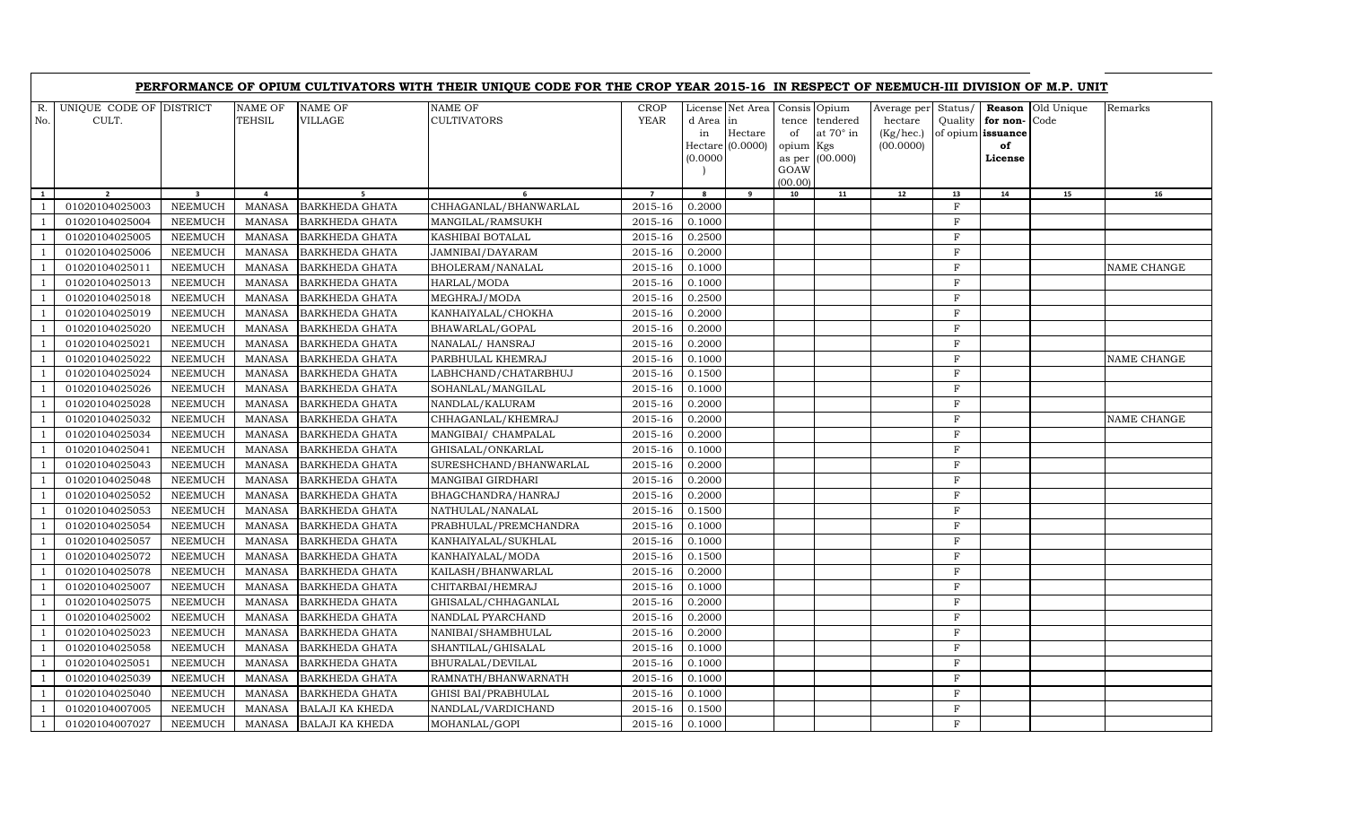|                    |                                  |                         |                         |                           | PERFORMANCE OF OPIUM CULTIVATORS WITH THEIR UNIQUE CODE FOR THE CROP YEAR 2015-16 IN RESPECT OF NEEMUCH-III DIVISION OF M.P. UNIT |                            |                             |                                                   |                         |                                                                       |                                                  |                    |                                                          |                    |             |
|--------------------|----------------------------------|-------------------------|-------------------------|---------------------------|-----------------------------------------------------------------------------------------------------------------------------------|----------------------------|-----------------------------|---------------------------------------------------|-------------------------|-----------------------------------------------------------------------|--------------------------------------------------|--------------------|----------------------------------------------------------|--------------------|-------------|
| $R_{\cdot}$<br>No. | UNIQUE CODE OF DISTRICT<br>CULT. |                         | NAME OF<br>TEHSIL       | <b>NAME OF</b><br>VILLAGE | NAME OF<br><b>CULTIVATORS</b>                                                                                                     | <b>CROP</b><br><b>YEAR</b> | d Area in<br>in<br>(0.0000) | License Net Area<br>Hectare<br>$Hectare$ (0.0000) | of<br>opium Kgs<br>GOAW | Consis Opium<br>tence tendered<br>at $70^\circ$ in<br>as per (00.000) | Average per<br>hectare<br>(Kg/hec.)<br>(00.0000) | Status/<br>Quality | Reason<br>for non-<br>of opium issuance<br>of<br>License | Old Unique<br>Code | Remarks     |
| $\mathbf{1}$       | $\overline{2}$                   | $\overline{\mathbf{3}}$ | $\overline{\mathbf{4}}$ | 5 <sub>1</sub>            | 6                                                                                                                                 | $\overline{7}$             | 8                           | 9                                                 | (00.00)<br>10           | 11                                                                    | 12                                               | 13                 | 14                                                       | 15                 | 16          |
|                    | 01020104025003                   | <b>NEEMUCH</b>          | <b>MANASA</b>           | <b>BARKHEDA GHATA</b>     | CHHAGANLAL/BHANWARLAL                                                                                                             | 2015-16                    | 0.2000                      |                                                   |                         |                                                                       |                                                  | $\mathbf{F}$       |                                                          |                    |             |
| $\overline{1}$     | 01020104025004                   | <b>NEEMUCH</b>          | <b>MANASA</b>           | <b>BARKHEDA GHATA</b>     | MANGILAL/RAMSUKH                                                                                                                  | 2015-16                    | 0.1000                      |                                                   |                         |                                                                       |                                                  | F                  |                                                          |                    |             |
|                    | 01020104025005                   | <b>NEEMUCH</b>          | <b>MANASA</b>           | <b>BARKHEDA GHATA</b>     | KASHIBAI BOTALAL                                                                                                                  | 2015-16                    | 0.2500                      |                                                   |                         |                                                                       |                                                  | $\mathbf{F}$       |                                                          |                    |             |
| $\overline{1}$     | 01020104025006                   | <b>NEEMUCH</b>          | <b>MANASA</b>           | <b>BARKHEDA GHATA</b>     | JAMNIBAI/DAYARAM                                                                                                                  | 2015-16                    | 0.2000                      |                                                   |                         |                                                                       |                                                  | $\mathbf{F}$       |                                                          |                    |             |
|                    | 01020104025011                   | <b>NEEMUCH</b>          | <b>MANASA</b>           | <b>BARKHEDA GHATA</b>     | BHOLERAM/NANALAL                                                                                                                  | 2015-16                    | 0.1000                      |                                                   |                         |                                                                       |                                                  | F                  |                                                          |                    | NAME CHANGE |
|                    | 01020104025013                   | <b>NEEMUCH</b>          | <b>MANASA</b>           | BARKHEDA GHATA            | HARLAL/MODA                                                                                                                       | 2015-16                    | 0.1000                      |                                                   |                         |                                                                       |                                                  | $\mathbf F$        |                                                          |                    |             |
| $\overline{1}$     | 01020104025018                   | <b>NEEMUCH</b>          | <b>MANASA</b>           | <b>BARKHEDA GHATA</b>     | MEGHRAJ/MODA                                                                                                                      | 2015-16                    | 0.2500                      |                                                   |                         |                                                                       |                                                  | $\mathbf{F}$       |                                                          |                    |             |
| $\overline{1}$     | 01020104025019                   | <b>NEEMUCH</b>          | <b>MANASA</b>           | <b>BARKHEDA GHATA</b>     | KANHAIYALAL/CHOKHA                                                                                                                | 2015-16                    | 0.2000                      |                                                   |                         |                                                                       |                                                  | F                  |                                                          |                    |             |
| $\overline{1}$     | 01020104025020                   | <b>NEEMUCH</b>          | MANASA                  | <b>BARKHEDA GHATA</b>     | BHAWARLAL/GOPAL                                                                                                                   | 2015-16                    | 0.2000                      |                                                   |                         |                                                                       |                                                  | $\mathbf{F}$       |                                                          |                    |             |
|                    | 01020104025021                   | <b>NEEMUCH</b>          | <b>MANASA</b>           | <b>BARKHEDA GHATA</b>     | NANALAL/ HANSRAJ                                                                                                                  | 2015-16                    | 0.2000                      |                                                   |                         |                                                                       |                                                  | $\rm F$            |                                                          |                    |             |
| $\overline{1}$     | 01020104025022                   | <b>NEEMUCH</b>          | <b>MANASA</b>           | <b>BARKHEDA GHATA</b>     | PARBHULAL KHEMRAJ                                                                                                                 | 2015-16                    | 0.1000                      |                                                   |                         |                                                                       |                                                  | $\mathbf{F}$       |                                                          |                    | NAME CHANGE |
| $\overline{1}$     | 01020104025024                   | <b>NEEMUCH</b>          | <b>MANASA</b>           | <b>BARKHEDA GHATA</b>     | LABHCHAND/CHATARBHUJ                                                                                                              | 2015-16                    | 0.1500                      |                                                   |                         |                                                                       |                                                  | F                  |                                                          |                    |             |
| $\overline{1}$     | 01020104025026                   | <b>NEEMUCH</b>          | <b>MANASA</b>           | <b>BARKHEDA GHATA</b>     | SOHANLAL/MANGILAL                                                                                                                 | 2015-16                    | 0.1000                      |                                                   |                         |                                                                       |                                                  | $\mathbf{F}$       |                                                          |                    |             |
|                    | 01020104025028                   | <b>NEEMUCH</b>          | <b>MANASA</b>           | <b>BARKHEDA GHATA</b>     | NANDLAL/KALURAM                                                                                                                   | 2015-16                    | 0.2000                      |                                                   |                         |                                                                       |                                                  | F                  |                                                          |                    |             |
| $\overline{1}$     | 01020104025032                   | <b>NEEMUCH</b>          | <b>MANASA</b>           | <b>BARKHEDA GHATA</b>     | CHHAGANLAL/KHEMRAJ                                                                                                                | 2015-16                    | 0.2000                      |                                                   |                         |                                                                       |                                                  | $\mathbf{F}$       |                                                          |                    | NAME CHANGE |
|                    | 01020104025034                   | <b>NEEMUCH</b>          | <b>MANASA</b>           | <b>BARKHEDA GHATA</b>     | MANGIBAI/ CHAMPALAL                                                                                                               | 2015-16                    | 0.2000                      |                                                   |                         |                                                                       |                                                  | F                  |                                                          |                    |             |
| - 1                | 01020104025041                   | <b>NEEMUCH</b>          | <b>MANASA</b>           | <b>BARKHEDA GHATA</b>     | GHISALAL/ONKARLAL                                                                                                                 | 2015-16                    | 0.1000                      |                                                   |                         |                                                                       |                                                  | $\mathbf{F}$       |                                                          |                    |             |
|                    | 01020104025043                   | <b>NEEMUCH</b>          | <b>MANASA</b>           | <b>BARKHEDA GHATA</b>     | SURESHCHAND/BHANWARLAL                                                                                                            | 2015-16                    | 0.2000                      |                                                   |                         |                                                                       |                                                  | $\mathbf{F}$       |                                                          |                    |             |
| $\overline{1}$     | 01020104025048                   | <b>NEEMUCH</b>          | <b>MANASA</b>           | <b>BARKHEDA GHATA</b>     | <b>MANGIBAI GIRDHARI</b>                                                                                                          | 2015-16                    | 0.2000                      |                                                   |                         |                                                                       |                                                  | F                  |                                                          |                    |             |
|                    | 01020104025052                   | <b>NEEMUCH</b>          | <b>MANASA</b>           | <b>BARKHEDA GHATA</b>     | BHAGCHANDRA/HANRAJ                                                                                                                | 2015-16                    | 0.2000                      |                                                   |                         |                                                                       |                                                  | F                  |                                                          |                    |             |
| $\overline{1}$     | 01020104025053                   | <b>NEEMUCH</b>          | <b>MANASA</b>           | <b>BARKHEDA GHATA</b>     | NATHULAL/NANALAL                                                                                                                  | 2015-16                    | 0.1500                      |                                                   |                         |                                                                       |                                                  | $\mathbf{F}$       |                                                          |                    |             |
| $\overline{1}$     | 01020104025054                   | <b>NEEMUCH</b>          | <b>MANASA</b>           | <b>BARKHEDA GHATA</b>     | PRABHULAL/PREMCHANDRA                                                                                                             | 2015-16                    | 0.1000                      |                                                   |                         |                                                                       |                                                  | F                  |                                                          |                    |             |
| -1                 | 01020104025057                   | <b>NEEMUCH</b>          | <b>MANASA</b>           | <b>BARKHEDA GHATA</b>     | KANHAIYALAL/SUKHLAL                                                                                                               | 2015-16                    | 0.1000                      |                                                   |                         |                                                                       |                                                  | $\mathbf{F}$       |                                                          |                    |             |
| $\overline{1}$     | 01020104025072                   | <b>NEEMUCH</b>          | <b>MANASA</b>           | <b>BARKHEDA GHATA</b>     | KANHAIYALAL/MODA                                                                                                                  | 2015-16                    | 0.1500                      |                                                   |                         |                                                                       |                                                  | F                  |                                                          |                    |             |
| $\overline{1}$     | 01020104025078                   | <b>NEEMUCH</b>          | <b>MANASA</b>           | <b>BARKHEDA GHATA</b>     | KAILASH/BHANWARLAL                                                                                                                | 2015-16                    | 0.2000                      |                                                   |                         |                                                                       |                                                  | $\mathbf{F}$       |                                                          |                    |             |
| $\overline{1}$     | 01020104025007                   | <b>NEEMUCH</b>          | <b>MANASA</b>           | <b>BARKHEDA GHATA</b>     | CHITARBAI/HEMRAJ                                                                                                                  | 2015-16                    | 0.1000                      |                                                   |                         |                                                                       |                                                  | $\mathbf{F}$       |                                                          |                    |             |
| $\overline{1}$     | 01020104025075                   | <b>NEEMUCH</b>          | <b>MANASA</b>           | <b>BARKHEDA GHATA</b>     | GHISALAL/CHHAGANLAL                                                                                                               | 2015-16                    | 0.2000                      |                                                   |                         |                                                                       |                                                  | F                  |                                                          |                    |             |
| $\overline{1}$     | 01020104025002                   | <b>NEEMUCH</b>          | <b>MANASA</b>           | <b>BARKHEDA GHATA</b>     | NANDLAL PYARCHAND                                                                                                                 | 2015-16                    | 0.2000                      |                                                   |                         |                                                                       |                                                  | F                  |                                                          |                    |             |
|                    | 01020104025023                   | <b>NEEMUCH</b>          | <b>MANASA</b>           | <b>BARKHEDA GHATA</b>     | NANIBAI/SHAMBHULAL                                                                                                                | 2015-16                    | 0.2000                      |                                                   |                         |                                                                       |                                                  | $\mathbf{F}$       |                                                          |                    |             |
| $\overline{1}$     | 01020104025058                   | <b>NEEMUCH</b>          | <b>MANASA</b>           | <b>BARKHEDA GHATA</b>     | SHANTILAL/GHISALAL                                                                                                                | 2015-16                    | 0.1000                      |                                                   |                         |                                                                       |                                                  | F                  |                                                          |                    |             |
|                    | 01020104025051                   | <b>NEEMUCH</b>          | <b>MANASA</b>           | <b>BARKHEDA GHATA</b>     | BHURALAL/DEVILAL                                                                                                                  | 2015-16                    | 0.1000                      |                                                   |                         |                                                                       |                                                  | $\rm F$            |                                                          |                    |             |
| $\overline{1}$     | 01020104025039                   | <b>NEEMUCH</b>          | <b>MANASA</b>           | <b>BARKHEDA GHATA</b>     | RAMNATH/BHANWARNATH                                                                                                               | 2015-16                    | 0.1000                      |                                                   |                         |                                                                       |                                                  | F                  |                                                          |                    |             |
|                    | 01020104025040                   | <b>NEEMUCH</b>          | <b>MANASA</b>           | <b>BARKHEDA GHATA</b>     | GHISI BAI/PRABHULAL                                                                                                               | $2015 - 16$                | 0.1000                      |                                                   |                         |                                                                       |                                                  | $\mathbf{F}$       |                                                          |                    |             |
| -1                 | 01020104007005                   | <b>NEEMUCH</b>          | <b>MANASA</b>           | <b>BALAJI KA KHEDA</b>    | NANDLAL/VARDICHAND                                                                                                                | 2015-16                    | 0.1500                      |                                                   |                         |                                                                       |                                                  | F                  |                                                          |                    |             |
| $\mathbf{1}$       | 01020104007027                   | <b>NEEMUCH</b>          | <b>MANASA</b>           | <b>BALAJI KA KHEDA</b>    | MOHANLAL/GOPI                                                                                                                     | 2015-16                    | 0.1000                      |                                                   |                         |                                                                       |                                                  | $\rm F$            |                                                          |                    |             |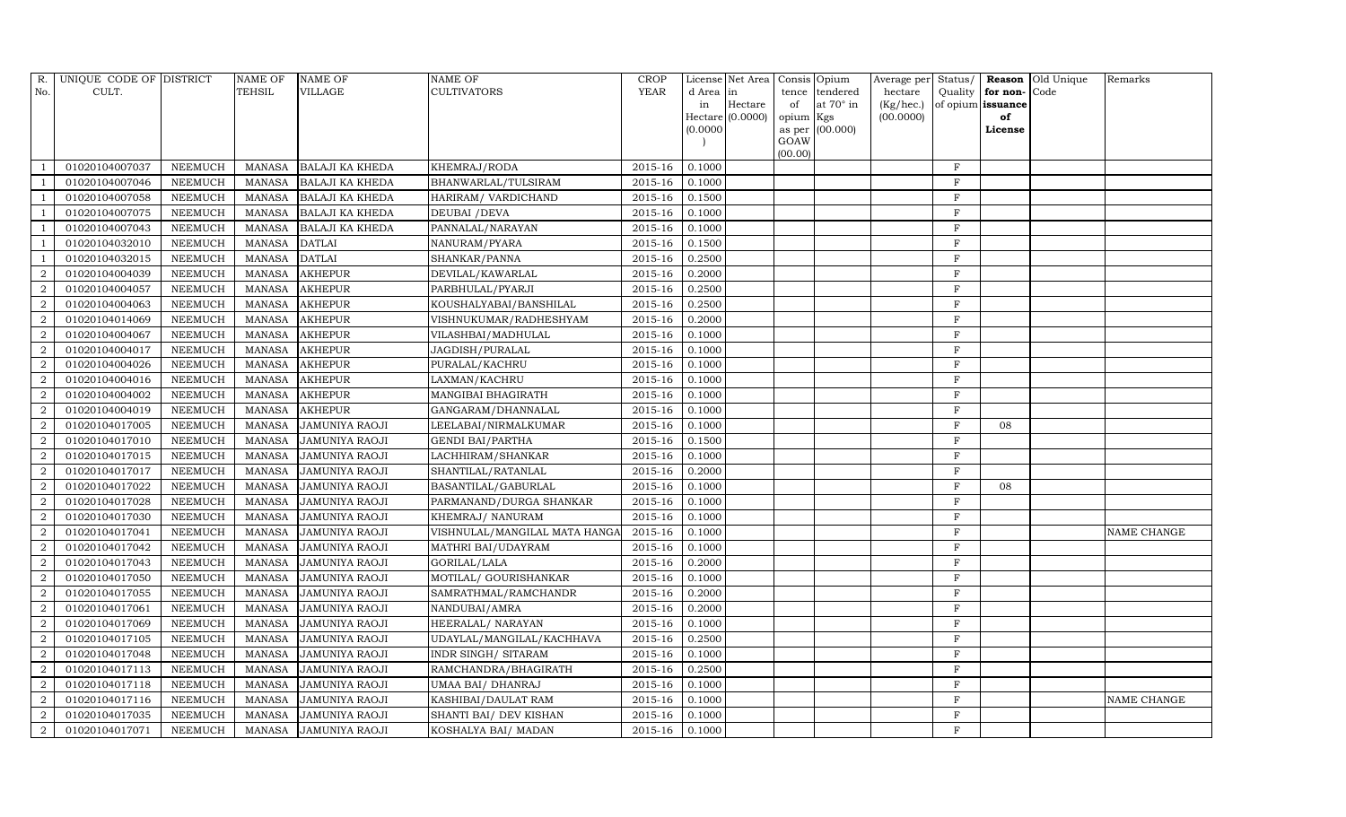| R.             | UNIQUE CODE OF DISTRICT |                | <b>NAME OF</b> | <b>NAME OF</b>         | <b>NAME OF</b>                | <b>CROP</b> |           | License Net Area Consis Opium |           |                  |                 |              |                   | Average per Status/ Reason Old Unique | Remarks            |
|----------------|-------------------------|----------------|----------------|------------------------|-------------------------------|-------------|-----------|-------------------------------|-----------|------------------|-----------------|--------------|-------------------|---------------------------------------|--------------------|
| No.            | CULT.                   |                | TEHSIL         | <b>VILLAGE</b>         | <b>CULTIVATORS</b>            | YEAR        | d Area in |                               |           | tence tendered   | hectare         |              | Quality for non-  | Code                                  |                    |
|                |                         |                |                |                        |                               |             | in        | Hectare                       | of        | at $70^\circ$ in | $(Kg/$ hec. $)$ |              | of opium issuance |                                       |                    |
|                |                         |                |                |                        |                               |             |           | $Hectare$ (0.0000)            | opium Kgs |                  | (00.0000)       |              | of                |                                       |                    |
|                |                         |                |                |                        |                               |             | (0.0000)  |                               | GOAW      | as per (00.000)  |                 |              | License           |                                       |                    |
|                |                         |                |                |                        |                               |             |           |                               | (00.00)   |                  |                 |              |                   |                                       |                    |
|                | 01020104007037          | <b>NEEMUCH</b> | MANASA         | <b>BALAJI KA KHEDA</b> | KHEMRAJ/RODA                  | 2015-16     | 0.1000    |                               |           |                  |                 | $\rm F$      |                   |                                       |                    |
|                | 01020104007046          | <b>NEEMUCH</b> | <b>MANASA</b>  | <b>BALAJI KA KHEDA</b> | BHANWARLAL/TULSIRAM           | 2015-16     | 0.1000    |                               |           |                  |                 | $\rm F$      |                   |                                       |                    |
|                | 01020104007058          | <b>NEEMUCH</b> | <b>MANASA</b>  | <b>BALAJI KA KHEDA</b> | HARIRAM/ VARDICHAND           | 2015-16     | 0.1500    |                               |           |                  |                 | F            |                   |                                       |                    |
|                | 01020104007075          | <b>NEEMUCH</b> | <b>MANASA</b>  | <b>BALAJI KA KHEDA</b> | DEUBAI / DEVA                 | 2015-16     | 0.1000    |                               |           |                  |                 | $\rm F$      |                   |                                       |                    |
|                | 01020104007043          | <b>NEEMUCH</b> | <b>MANASA</b>  | <b>BALAJI KA KHEDA</b> | PANNALAL/NARAYAN              | 2015-16     | 0.1000    |                               |           |                  |                 | $\rm F$      |                   |                                       |                    |
|                | 01020104032010          | <b>NEEMUCH</b> | <b>MANASA</b>  | <b>DATLAI</b>          | NANURAM/PYARA                 | 2015-16     | 0.1500    |                               |           |                  |                 | $\rm F$      |                   |                                       |                    |
|                | 01020104032015          | <b>NEEMUCH</b> | <b>MANASA</b>  | <b>DATLAI</b>          | SHANKAR/PANNA                 | 2015-16     | 0.2500    |                               |           |                  |                 | $\mathbf F$  |                   |                                       |                    |
| 2              | 01020104004039          | <b>NEEMUCH</b> | <b>MANASA</b>  | <b>AKHEPUR</b>         | DEVILAL/KAWARLAL              | 2015-16     | 0.2000    |                               |           |                  |                 | $\rm F$      |                   |                                       |                    |
| $\mathfrak{D}$ | 01020104004057          | <b>NEEMUCH</b> | <b>MANASA</b>  | <b>AKHEPUR</b>         | PARBHULAL/PYARJI              | 2015-16     | 0.2500    |                               |           |                  |                 | $\rm F$      |                   |                                       |                    |
| $\overline{2}$ | 01020104004063          | <b>NEEMUCH</b> | <b>MANASA</b>  | <b>AKHEPUR</b>         | KOUSHALYABAI/BANSHILAL        | 2015-16     | 0.2500    |                               |           |                  |                 | $\rm F$      |                   |                                       |                    |
| $\overline{2}$ | 01020104014069          | <b>NEEMUCH</b> | <b>MANASA</b>  | <b>AKHEPUR</b>         | VISHNUKUMAR/RADHESHYAM        | 2015-16     | 0.2000    |                               |           |                  |                 | $\mathbf{F}$ |                   |                                       |                    |
| $\overline{2}$ | 01020104004067          | <b>NEEMUCH</b> | <b>MANASA</b>  | <b>AKHEPUR</b>         | VILASHBAI/MADHULAL            | 2015-16     | 0.1000    |                               |           |                  |                 | $\rm F$      |                   |                                       |                    |
| $\overline{2}$ | 01020104004017          | <b>NEEMUCH</b> | <b>MANASA</b>  | <b>AKHEPUR</b>         | JAGDISH/PURALAL               | 2015-16     | 0.1000    |                               |           |                  |                 | $\rm F$      |                   |                                       |                    |
| $\overline{2}$ | 01020104004026          | <b>NEEMUCH</b> | <b>MANASA</b>  | <b>AKHEPUR</b>         | PURALAL/KACHRU                | 2015-16     | 0.1000    |                               |           |                  |                 | $\rm F$      |                   |                                       |                    |
| $\overline{2}$ | 01020104004016          | <b>NEEMUCH</b> | <b>MANASA</b>  | <b>AKHEPUR</b>         | LAXMAN/KACHRU                 | 2015-16     | 0.1000    |                               |           |                  |                 | $\rm F$      |                   |                                       |                    |
| $\overline{2}$ | 01020104004002          | <b>NEEMUCH</b> | <b>MANASA</b>  | <b>AKHEPUR</b>         | MANGIBAI BHAGIRATH            | 2015-16     | 0.1000    |                               |           |                  |                 | $\rm F$      |                   |                                       |                    |
| $\overline{2}$ | 01020104004019          | <b>NEEMUCH</b> | <b>MANASA</b>  | <b>AKHEPUR</b>         | GANGARAM/DHANNALAL            | 2015-16     | 0.1000    |                               |           |                  |                 | $\rm F$      |                   |                                       |                    |
| 2              | 01020104017005          | <b>NEEMUCH</b> | <b>MANASA</b>  | <b>JAMUNIYA RAOJI</b>  | LEELABAI/NIRMALKUMAR          | 2015-16     | 0.1000    |                               |           |                  |                 | $\mathbf F$  | 08                |                                       |                    |
| $\overline{2}$ | 01020104017010          | <b>NEEMUCH</b> | <b>MANASA</b>  | <b>JAMUNIYA RAOJI</b>  | <b>GENDI BAI/PARTHA</b>       | 2015-16     | 0.1500    |                               |           |                  |                 | $\mathbf F$  |                   |                                       |                    |
| $\overline{2}$ | 01020104017015          | <b>NEEMUCH</b> | <b>MANASA</b>  | <b>JAMUNIYA RAOJI</b>  | LACHHIRAM/SHANKAR             | 2015-16     | 0.1000    |                               |           |                  |                 | $\rm F$      |                   |                                       |                    |
| $\overline{2}$ | 01020104017017          | <b>NEEMUCH</b> | <b>MANASA</b>  | <b>JAMUNIYA RAOJI</b>  | SHANTILAL/RATANLAL            | 2015-16     | 0.2000    |                               |           |                  |                 | $\rm F$      |                   |                                       |                    |
| $\overline{2}$ | 01020104017022          | <b>NEEMUCH</b> | <b>MANASA</b>  | <b>JAMUNIYA RAOJI</b>  | BASANTILAL/GABURLAL           | 2015-16     | 0.1000    |                               |           |                  |                 | $\rm F$      | 08                |                                       |                    |
| 2              | 01020104017028          | <b>NEEMUCH</b> | <b>MANASA</b>  | <b>JAMUNIYA RAOJI</b>  | PARMANAND/DURGA SHANKAR       | 2015-16     | 0.1000    |                               |           |                  |                 | $\rm F$      |                   |                                       |                    |
| $\overline{2}$ | 01020104017030          | <b>NEEMUCH</b> | <b>MANASA</b>  | JAMUNIYA RAOJI         | KHEMRAJ/ NANURAM              | 2015-16     | 0.1000    |                               |           |                  |                 | $\rm F$      |                   |                                       |                    |
| $\overline{2}$ | 01020104017041          | <b>NEEMUCH</b> | <b>MANASA</b>  | <b>JAMUNIYA RAOJI</b>  | VISHNULAL/MANGILAL MATA HANGA | 2015-16     | 0.1000    |                               |           |                  |                 | F            |                   |                                       | NAME CHANGE        |
| $\mathfrak{D}$ | 01020104017042          | <b>NEEMUCH</b> | <b>MANASA</b>  | <b>JAMUNIYA RAOJI</b>  | MATHRI BAI/UDAYRAM            | 2015-16     | 0.1000    |                               |           |                  |                 | $\rm F$      |                   |                                       |                    |
| $\overline{2}$ | 01020104017043          | <b>NEEMUCH</b> | <b>MANASA</b>  | JAMUNIYA RAOJI         | GORILAL/LALA                  | 2015-16     | 0.2000    |                               |           |                  |                 | $\rm F$      |                   |                                       |                    |
| $\overline{2}$ | 01020104017050          | <b>NEEMUCH</b> | <b>MANASA</b>  | <b>JAMUNIYA RAOJI</b>  | MOTILAL/ GOURISHANKAR         | 2015-16     | 0.1000    |                               |           |                  |                 | $\rm F$      |                   |                                       |                    |
| $\overline{2}$ | 01020104017055          | <b>NEEMUCH</b> | <b>MANASA</b>  | <b>JAMUNIYA RAOJI</b>  | SAMRATHMAL/RAMCHANDR          | 2015-16     | 0.2000    |                               |           |                  |                 | $\mathbf F$  |                   |                                       |                    |
| $\overline{2}$ | 01020104017061          | <b>NEEMUCH</b> | <b>MANASA</b>  | JAMUNIYA RAOJI         | NANDUBAI/AMRA                 | 2015-16     | 0.2000    |                               |           |                  |                 | F            |                   |                                       |                    |
| $\overline{2}$ | 01020104017069          | <b>NEEMUCH</b> | <b>MANASA</b>  | <b>JAMUNIYA RAOJI</b>  | HEERALAL/ NARAYAN             | 2015-16     | 0.1000    |                               |           |                  |                 | $\mathbf{F}$ |                   |                                       |                    |
| 2              | 01020104017105          | <b>NEEMUCH</b> | <b>MANASA</b>  | <b>JAMUNIYA RAOJI</b>  | UDAYLAL/MANGILAL/KACHHAVA     | 2015-16     | 0.2500    |                               |           |                  |                 | $\rm F$      |                   |                                       |                    |
| $\overline{2}$ | 01020104017048          | <b>NEEMUCH</b> | <b>MANASA</b>  | JAMUNIYA RAOJI         | INDR SINGH/ SITARAM           | 2015-16     | 0.1000    |                               |           |                  |                 | $\mathbf F$  |                   |                                       |                    |
| $\overline{2}$ | 01020104017113          | <b>NEEMUCH</b> | <b>MANASA</b>  | JAMUNIYA RAOJI         | RAMCHANDRA/BHAGIRATH          | 2015-16     | 0.2500    |                               |           |                  |                 | $\rm F$      |                   |                                       |                    |
| $\overline{2}$ | 01020104017118          | <b>NEEMUCH</b> | <b>MANASA</b>  | <b>JAMUNIYA RAOJI</b>  | UMAA BAI/ DHANRAJ             | 2015-16     | 0.1000    |                               |           |                  |                 | $\rm F$      |                   |                                       |                    |
| $\overline{2}$ | 01020104017116          | <b>NEEMUCH</b> | <b>MANASA</b>  | JAMUNIYA RAOJI         | KASHIBAI/DAULAT RAM           | 2015-16     | 0.1000    |                               |           |                  |                 | $\rm F$      |                   |                                       | <b>NAME CHANGE</b> |
| 2              | 01020104017035          | <b>NEEMUCH</b> | <b>MANASA</b>  | <b>JAMUNIYA RAOJI</b>  | SHANTI BAI/ DEV KISHAN        | 2015-16     | 0.1000    |                               |           |                  |                 | $\rm F$      |                   |                                       |                    |
| $\overline{a}$ | 01020104017071          | <b>NEEMUCH</b> | <b>MANASA</b>  | <b>JAMUNIYA RAOJI</b>  | KOSHALYA BAI/ MADAN           | 2015-16     | 0.1000    |                               |           |                  |                 | $_{\rm F}$   |                   |                                       |                    |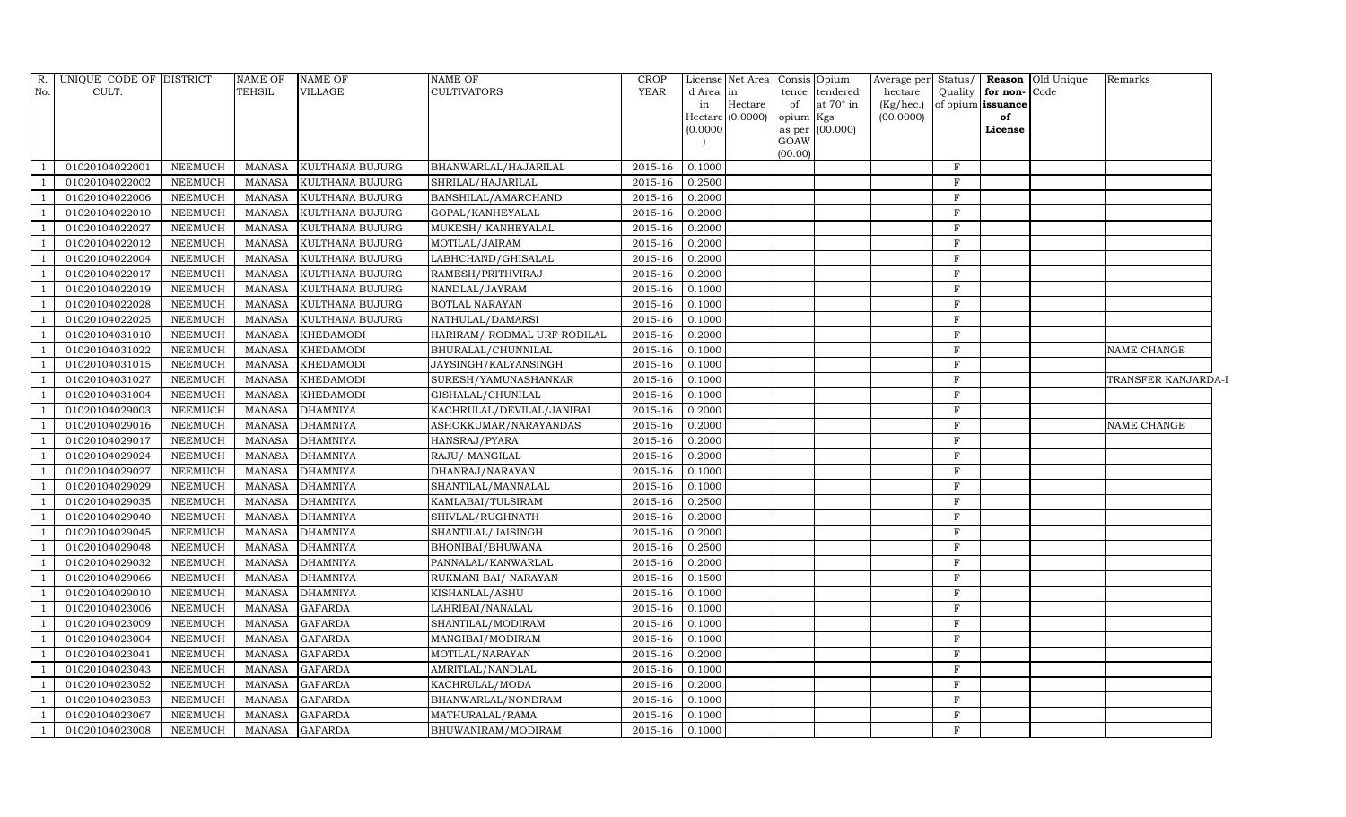|                                                                                        | <b>CROP</b>                                     |           | License Net Area   Consis   Opium |           |                   | Average per | Status/      |                   | Reason Old Unique | Remarks             |  |
|----------------------------------------------------------------------------------------|-------------------------------------------------|-----------|-----------------------------------|-----------|-------------------|-------------|--------------|-------------------|-------------------|---------------------|--|
| CULT.<br>TEHSIL<br>VILLAGE<br><b>CULTIVATORS</b><br>No.                                | YEAR                                            | d Area in |                                   |           | tence tendered    | hectare     | Quality      | for non-Code      |                   |                     |  |
|                                                                                        |                                                 | in        | Hectare                           | of        | at $70^\circ$ in  | (Kg/hec.)   |              | of opium issuance |                   |                     |  |
|                                                                                        |                                                 | (0.0000)  | Hectare (0.0000)                  | opium Kgs | as per $(00.000)$ | (00.0000)   |              | of<br>License     |                   |                     |  |
|                                                                                        |                                                 |           |                                   | GOAW      |                   |             |              |                   |                   |                     |  |
|                                                                                        |                                                 |           |                                   | (00.00)   |                   |             |              |                   |                   |                     |  |
| 01020104022001<br><b>NEEMUCH</b><br>KULTHANA BUJURG<br><b>MANASA</b>                   | BHANWARLAL/HAJARILAL<br>2015-16                 | 0.1000    |                                   |           |                   |             | F            |                   |                   |                     |  |
| 01020104022002<br><b>NEEMUCH</b><br><b>MANASA</b><br>KULTHANA BUJURG                   | SHRILAL/HAJARILAL<br>2015-16                    | 0.2500    |                                   |           |                   |             | F            |                   |                   |                     |  |
| 01020104022006<br><b>NEEMUCH</b><br><b>MANASA</b><br>KULTHANA BUJURG                   | BANSHILAL/AMARCHAND<br>2015-16                  | 0.2000    |                                   |           |                   |             | F            |                   |                   |                     |  |
| 01020104022010<br><b>NEEMUCH</b><br><b>MANASA</b><br>KULTHANA BUJURG                   | GOPAL/KANHEYALAL<br>2015-16                     | 0.2000    |                                   |           |                   |             | F            |                   |                   |                     |  |
| 01020104022027<br><b>NEEMUCH</b><br><b>MANASA</b><br>KULTHANA BUJURG                   | 2015-16<br>MUKESH/KANHEYALAL                    | 0.2000    |                                   |           |                   |             | F            |                   |                   |                     |  |
| 01020104022012<br><b>NEEMUCH</b><br><b>MANASA</b><br>KULTHANA BUJURG<br>MOTILAL/JAIRAM | 2015-16                                         | 0.2000    |                                   |           |                   |             | F            |                   |                   |                     |  |
| 01020104022004<br><b>NEEMUCH</b><br><b>MANASA</b><br>KULTHANA BUJURG                   | LABHCHAND/GHISALAL<br>2015-16                   | 0.2000    |                                   |           |                   |             | F            |                   |                   |                     |  |
| 01020104022017<br><b>NEEMUCH</b><br><b>MANASA</b><br>KULTHANA BUJURG                   | RAMESH/PRITHVIRAJ<br>$\overline{2015} - 16$     | 0.2000    |                                   |           |                   |             | F            |                   |                   |                     |  |
| 01020104022019<br><b>NEEMUCH</b><br><b>MANASA</b><br>KULTHANA BUJURG<br>NANDLAL/JAYRAM | 2015-16                                         | 0.1000    |                                   |           |                   |             | $\rm F$      |                   |                   |                     |  |
| 01020104022028<br><b>NEEMUCH</b><br><b>MANASA</b><br>KULTHANA BUJURG<br>BOTLAL NARAYAN | 2015-16                                         | 0.1000    |                                   |           |                   |             | F            |                   |                   |                     |  |
| 01020104022025<br><b>NEEMUCH</b><br>KULTHANA BUJURG<br><b>MANASA</b>                   | 2015-16<br>NATHULAL/DAMARSI                     | 0.1000    |                                   |           |                   |             | F            |                   |                   |                     |  |
| 01020104031010<br><b>NEEMUCH</b><br><b>MANASA</b><br><b>KHEDAMODI</b>                  | HARIRAM/ RODMAL URF RODILAL<br>2015-16          | 0.2000    |                                   |           |                   |             | F            |                   |                   |                     |  |
| 01020104031022<br><b>NEEMUCH</b><br><b>MANASA</b><br><b>KHEDAMODI</b>                  | BHURALAL/CHUNNILAL<br>2015-16                   | 0.1000    |                                   |           |                   |             | F            |                   |                   | NAME CHANGE         |  |
| 01020104031015<br><b>NEEMUCH</b><br><b>MANASA</b><br><b>KHEDAMODI</b>                  | JAYSINGH/KALYANSINGH<br>2015-16                 | 0.1000    |                                   |           |                   |             | F            |                   |                   |                     |  |
| 01020104031027<br><b>NEEMUCH</b><br><b>MANASA</b><br><b>KHEDAMODI</b>                  | 2015-16<br>SURESH/YAMUNASHANKAR                 | 0.1000    |                                   |           |                   |             | F            |                   |                   | TRANSFER KANJARDA-I |  |
| 01020104031004<br><b>NEEMUCH</b><br><b>MANASA</b><br><b>KHEDAMODI</b>                  | 2015-16<br>GISHALAL/CHUNILAL                    | 0.1000    |                                   |           |                   |             | F            |                   |                   |                     |  |
| 01020104029003<br><b>NEEMUCH</b><br><b>MANASA</b><br><b>DHAMNIYA</b>                   | KACHRULAL/DEVILAL/JANIBAI<br>2015-16            | 0.2000    |                                   |           |                   |             | F            |                   |                   |                     |  |
| 01020104029016<br><b>DHAMNIYA</b><br><b>NEEMUCH</b><br><b>MANASA</b>                   | $\overline{2015} - 16$<br>ASHOKKUMAR/NARAYANDAS | 0.2000    |                                   |           |                   |             | F            |                   |                   | NAME CHANGE         |  |
| 01020104029017<br><b>NEEMUCH</b><br><b>DHAMNIYA</b><br><b>MANASA</b><br>HANSRAJ/PYARA  | 2015-16                                         | 0.2000    |                                   |           |                   |             | F            |                   |                   |                     |  |
| <b>DHAMNIYA</b><br>01020104029024<br><b>NEEMUCH</b><br><b>MANASA</b><br>RAJU/ MANGILAL | 2015-16                                         | 0.2000    |                                   |           |                   |             | $\mathbf{F}$ |                   |                   |                     |  |
| 01020104029027<br><b>NEEMUCH</b><br><b>MANASA</b><br><b>DHAMNIYA</b>                   | 2015-16<br>DHANRAJ/NARAYAN                      | 0.1000    |                                   |           |                   |             | F            |                   |                   |                     |  |
| <b>DHAMNIYA</b><br>01020104029029<br><b>NEEMUCH</b><br><b>MANASA</b>                   | SHANTILAL/MANNALAL<br>2015-16                   | 0.1000    |                                   |           |                   |             | F            |                   |                   |                     |  |
| <b>DHAMNIYA</b><br>01020104029035<br><b>NEEMUCH</b><br><b>MANASA</b>                   | KAMLABAI/TULSIRAM<br>2015-16                    | 0.2500    |                                   |           |                   |             | F            |                   |                   |                     |  |
| 01020104029040<br><b>NEEMUCH</b><br><b>DHAMNIYA</b><br><b>MANASA</b>                   | 2015-16<br>SHIVLAL/RUGHNATH                     | 0.2000    |                                   |           |                   |             | F            |                   |                   |                     |  |
| 01020104029045<br><b>DHAMNIYA</b><br><b>NEEMUCH</b><br><b>MANASA</b>                   | 2015-16<br>SHANTILAL/JAISINGH                   | 0.2000    |                                   |           |                   |             | F            |                   |                   |                     |  |
| 01020104029048<br><b>NEEMUCH</b><br><b>DHAMNIYA</b><br><b>MANASA</b>                   | BHONIBAI/BHUWANA<br>2015-16                     | 0.2500    |                                   |           |                   |             | F            |                   |                   |                     |  |
| <b>NEEMUCH</b><br><b>DHAMNIYA</b><br>01020104029032<br><b>MANASA</b>                   | PANNALAL/KANWARLAL<br>2015-16                   | 0.2000    |                                   |           |                   |             | $\mathbf{F}$ |                   |                   |                     |  |
| 01020104029066<br><b>DHAMNIYA</b><br><b>NEEMUCH</b><br><b>MANASA</b>                   | $\overline{2015} - 16$<br>RUKMANI BAI/ NARAYAN  | 0.1500    |                                   |           |                   |             | $\rm F$      |                   |                   |                     |  |
| 01020104029010<br><b>NEEMUCH</b><br><b>DHAMNIYA</b><br>KISHANLAL/ASHU<br><b>MANASA</b> | 2015-16                                         | 0.1000    |                                   |           |                   |             | F            |                   |                   |                     |  |
| 01020104023006<br><b>NEEMUCH</b><br><b>MANASA</b><br><b>GAFARDA</b>                    | LAHRIBAI/NANALAL<br>2015-16                     | 0.1000    |                                   |           |                   |             | F            |                   |                   |                     |  |
| 01020104023009<br><b>NEEMUCH</b><br><b>GAFARDA</b><br><b>MANASA</b>                    | 2015-16<br>SHANTILAL/MODIRAM                    | 0.1000    |                                   |           |                   |             | F            |                   |                   |                     |  |
| 01020104023004<br><b>NEEMUCH</b><br><b>MANASA</b><br><b>GAFARDA</b>                    | MANGIBAI/MODIRAM<br>2015-16                     | 0.1000    |                                   |           |                   |             | F            |                   |                   |                     |  |
| <b>GAFARDA</b><br>01020104023041<br><b>NEEMUCH</b><br><b>MANASA</b>                    | 2015-16<br>MOTILAL/NARAYAN                      | 0.2000    |                                   |           |                   |             | $\rm F$      |                   |                   |                     |  |
| 01020104023043<br><b>NEEMUCH</b><br><b>MANASA</b><br><b>GAFARDA</b>                    | 2015-16<br>AMRITLAL/NANDLAL                     | 0.1000    |                                   |           |                   |             | F            |                   |                   |                     |  |
| 01020104023052<br><b>NEEMUCH</b><br><b>MANASA</b><br><b>GAFARDA</b>                    | 2015-16<br>KACHRULAL/MODA                       | 0.2000    |                                   |           |                   |             | F            |                   |                   |                     |  |
| 01020104023053<br><b>NEEMUCH</b><br><b>GAFARDA</b><br><b>MANASA</b>                    | BHANWARLAL/NONDRAM<br>2015-16                   | 0.1000    |                                   |           |                   |             | F            |                   |                   |                     |  |
| 01020104023067<br><b>NEEMUCH</b><br><b>MANASA</b><br><b>GAFARDA</b>                    | MATHURALAL/RAMA<br>2015-16                      | 0.1000    |                                   |           |                   |             | $\mathbf{F}$ |                   |                   |                     |  |
| 01020104023008<br><b>NEEMUCH</b><br><b>MANASA</b><br><b>GAFARDA</b>                    | BHUWANIRAM/MODIRAM<br>2015-16                   | 0.1000    |                                   |           |                   |             | F            |                   |                   |                     |  |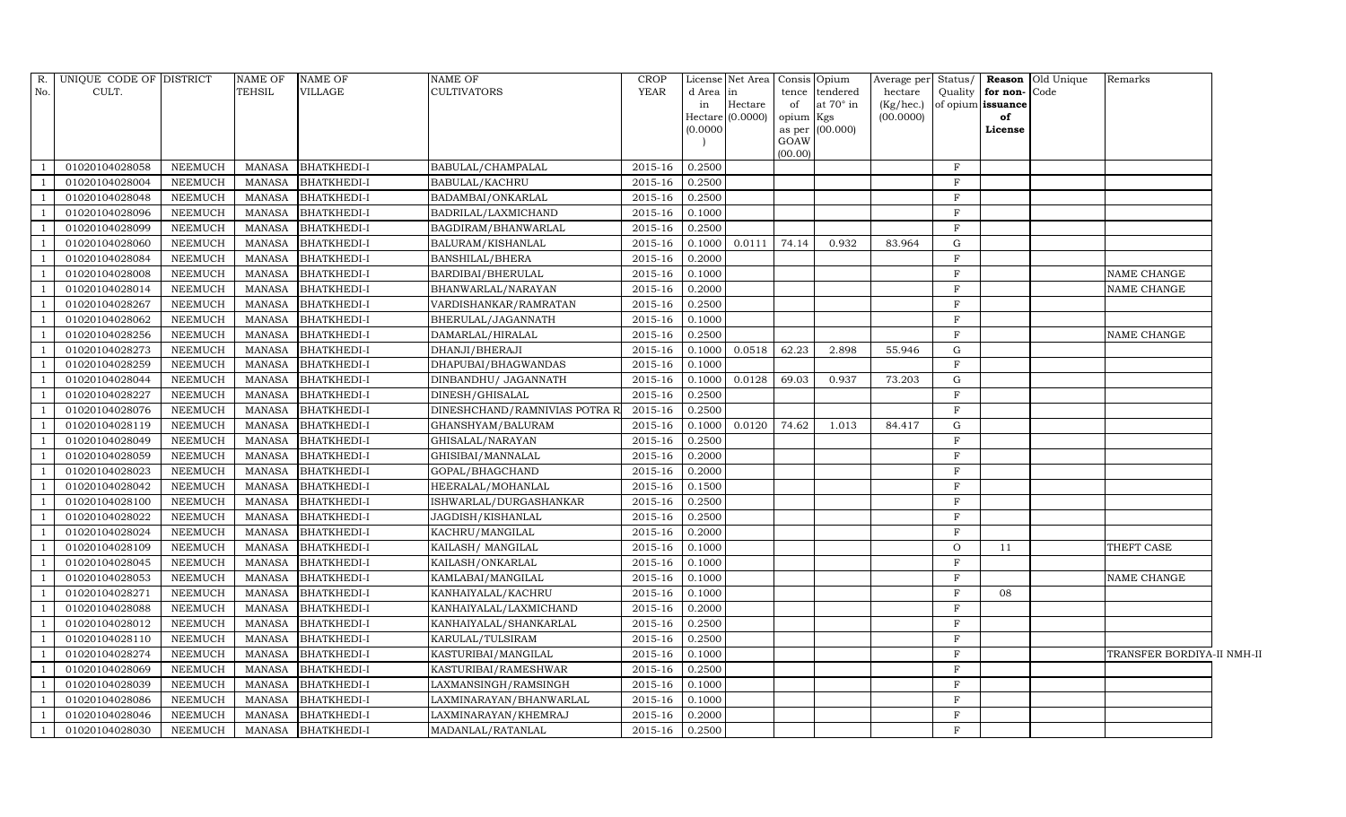|     | R. UNIQUE CODE OF DISTRICT |                | NAME OF       | <b>NAME OF</b>     | NAME OF                       | <b>CROP</b> |           | License Net Area   Consis   Opium |           |                  | Average per Status/ |                |                   | <b>Reason</b> Old Unique | Remarks                    |  |
|-----|----------------------------|----------------|---------------|--------------------|-------------------------------|-------------|-----------|-----------------------------------|-----------|------------------|---------------------|----------------|-------------------|--------------------------|----------------------------|--|
| No. | CULT.                      |                | <b>TEHSIL</b> | <b>VILLAGE</b>     | <b>CULTIVATORS</b>            | YEAR        | d Area in |                                   |           | tence tendered   | hectare             | Quality        | for non-Code      |                          |                            |  |
|     |                            |                |               |                    |                               |             | in        | Hectare                           | of        | at $70^\circ$ in | (Kg/hec.)           |                | of opium issuance |                          |                            |  |
|     |                            |                |               |                    |                               |             |           | $Hectare$ (0.0000)                | opium Kgs |                  | (00.0000)           |                | of                |                          |                            |  |
|     |                            |                |               |                    |                               |             | (0.0000)  |                                   | GOAW      | as per (00.000)  |                     |                | License           |                          |                            |  |
|     |                            |                |               |                    |                               |             |           |                                   | (00.00)   |                  |                     |                |                   |                          |                            |  |
|     | 01020104028058             | <b>NEEMUCH</b> | <b>MANASA</b> | <b>BHATKHEDI-I</b> | BABULAL/CHAMPALAL             | 2015-16     | 0.2500    |                                   |           |                  |                     | F              |                   |                          |                            |  |
|     | 01020104028004             | NEEMUCH        | <b>MANASA</b> | <b>BHATKHEDI-I</b> | BABULAL/KACHRU                | 2015-16     | 0.2500    |                                   |           |                  |                     | $\mathbf F$    |                   |                          |                            |  |
|     | 01020104028048             | <b>NEEMUCH</b> | <b>MANASA</b> | <b>BHATKHEDI-I</b> | BADAMBAI/ONKARLAL             | 2015-16     | 0.2500    |                                   |           |                  |                     | $_{\rm F}$     |                   |                          |                            |  |
|     | 01020104028096             | NEEMUCH        | <b>MANASA</b> | <b>BHATKHEDI-I</b> | BADRILAL/LAXMICHAND           | 2015-16     | 0.1000    |                                   |           |                  |                     | $\mathbf F$    |                   |                          |                            |  |
|     | 01020104028099             | NEEMUCH        | <b>MANASA</b> | <b>BHATKHEDI-I</b> | BAGDIRAM/BHANWARLAL           | 2015-16     | 0.2500    |                                   |           |                  |                     | $\rm F$        |                   |                          |                            |  |
|     | 01020104028060             | <b>NEEMUCH</b> | <b>MANASA</b> | <b>BHATKHEDI-I</b> | BALURAM/KISHANLAL             | 2015-16     | 0.1000    | 0.0111                            | 74.14     | 0.932            | 83.964              | G              |                   |                          |                            |  |
|     | 01020104028084             | NEEMUCH        | <b>MANASA</b> | <b>BHATKHEDI-I</b> | BANSHILAL/BHERA               | 2015-16     | 0.2000    |                                   |           |                  |                     | F              |                   |                          |                            |  |
|     | 01020104028008             | <b>NEEMUCH</b> | <b>MANASA</b> | <b>BHATKHEDI-I</b> | BARDIBAI/BHERULAL             | 2015-16     | 0.1000    |                                   |           |                  |                     | $\mathbf F$    |                   |                          | NAME CHANGE                |  |
|     | 01020104028014             | NEEMUCH        | <b>MANASA</b> | <b>BHATKHEDI-I</b> | BHANWARLAL/NARAYAN            | 2015-16     | 0.2000    |                                   |           |                  |                     | $\mathbf F$    |                   |                          | NAME CHANGE                |  |
|     | 01020104028267             | NEEMUCH        | <b>MANASA</b> | <b>BHATKHEDI-I</b> | VARDISHANKAR/RAMRATAN         | $2015 - 16$ | 0.2500    |                                   |           |                  |                     | F              |                   |                          |                            |  |
|     | 01020104028062             | NEEMUCH        | <b>MANASA</b> | <b>BHATKHEDI-I</b> | BHERULAL/JAGANNATH            | 2015-16     | 0.1000    |                                   |           |                  |                     | $\mathbf F$    |                   |                          |                            |  |
|     | 01020104028256             | <b>NEEMUCH</b> | <b>MANASA</b> | <b>BHATKHEDI-I</b> | DAMARLAL/HIRALAL              | 2015-16     | 0.2500    |                                   |           |                  |                     | $_{\rm F}$     |                   |                          | NAME CHANGE                |  |
|     | 01020104028273             | <b>NEEMUCH</b> | MANASA        | <b>BHATKHEDI-I</b> | DHANJI/BHERAJI                | $2015 - 16$ | 0.1000    | 0.0518                            | 62.23     | 2.898            | 55.946              | G              |                   |                          |                            |  |
|     | 01020104028259             | NEEMUCH        | <b>MANASA</b> | <b>BHATKHEDI-I</b> | DHAPUBAI/BHAGWANDAS           | 2015-16     | 0.1000    |                                   |           |                  |                     | F              |                   |                          |                            |  |
|     | 01020104028044             | NEEMUCH        | <b>MANASA</b> | <b>BHATKHEDI-I</b> | DINBANDHU/ JAGANNATH          | 2015-16     | 0.1000    | 0.0128                            | 69.03     | 0.937            | 73.203              | G              |                   |                          |                            |  |
|     | 01020104028227             | NEEMUCH        | <b>MANASA</b> | <b>BHATKHEDI-I</b> | DINESH/GHISALAL               | 2015-16     | 0.2500    |                                   |           |                  |                     | $_{\rm F}$     |                   |                          |                            |  |
|     | 01020104028076             | NEEMUCH        | <b>MANASA</b> | <b>BHATKHEDI-I</b> | DINESHCHAND/RAMNIVIAS POTRA R | 2015-16     | 0.2500    |                                   |           |                  |                     | $\rm F$        |                   |                          |                            |  |
|     | 01020104028119             | <b>NEEMUCH</b> | <b>MANASA</b> | <b>BHATKHEDI-I</b> | GHANSHYAM/BALURAM             | 2015-16     | 0.1000    | 0.0120                            | 74.62     | 1.013            | 84.417              | G              |                   |                          |                            |  |
|     | 01020104028049             | <b>NEEMUCH</b> | <b>MANASA</b> | <b>BHATKHEDI-I</b> | GHISALAL/NARAYAN              | 2015-16     | 0.2500    |                                   |           |                  |                     | $\mathbf F$    |                   |                          |                            |  |
|     | 01020104028059             | <b>NEEMUCH</b> | MANASA        | <b>BHATKHEDI-I</b> | GHISIBAI/MANNALAL             | $2015 - 16$ | 0.2000    |                                   |           |                  |                     | F              |                   |                          |                            |  |
|     | 01020104028023             | NEEMUCH        | <b>MANASA</b> | <b>BHATKHEDI-I</b> | GOPAL/BHAGCHAND               | 2015-16     | 0.2000    |                                   |           |                  |                     | F              |                   |                          |                            |  |
|     | 01020104028042             | NEEMUCH        | <b>MANASA</b> | <b>BHATKHEDI-I</b> | HEERALAL/MOHANLAL             | 2015-16     | 0.1500    |                                   |           |                  |                     | $_{\rm F}$     |                   |                          |                            |  |
|     | 01020104028100             | <b>NEEMUCH</b> | <b>MANASA</b> | <b>BHATKHEDI-I</b> | ISHWARLAL/DURGASHANKAR        | 2015-16     | 0.2500    |                                   |           |                  |                     | $\mathbf F$    |                   |                          |                            |  |
|     | 01020104028022             | NEEMUCH        | <b>MANASA</b> | <b>BHATKHEDI-I</b> | JAGDISH/KISHANLAL             | 2015-16     | 0.2500    |                                   |           |                  |                     | $\mathbf F$    |                   |                          |                            |  |
|     | 01020104028024             | <b>NEEMUCH</b> | <b>MANASA</b> | <b>BHATKHEDI-I</b> | KACHRU/MANGILAL               | 2015-16     | 0.2000    |                                   |           |                  |                     | $\rm F$        |                   |                          |                            |  |
|     | 01020104028109             | <b>NEEMUCH</b> | <b>MANASA</b> | <b>BHATKHEDI-I</b> | KAILASH/ MANGILAL             | 2015-16     | 0.1000    |                                   |           |                  |                     | $\overline{O}$ | 11                |                          | THEFT CASE                 |  |
|     | 01020104028045             | NEEMUCH        | <b>MANASA</b> | <b>BHATKHEDI-I</b> | KAILASH/ONKARLAL              | 2015-16     | 0.1000    |                                   |           |                  |                     | F              |                   |                          |                            |  |
|     | 01020104028053             | <b>NEEMUCH</b> | <b>MANASA</b> | <b>BHATKHEDI-I</b> | KAMLABAI/MANGILAL             | 2015-16     | 0.1000    |                                   |           |                  |                     | $\mathbf F$    |                   |                          | NAME CHANGE                |  |
|     | 01020104028271             | NEEMUCH        | <b>MANASA</b> | <b>BHATKHEDI-I</b> | KANHAIYALAL/KACHRU            | 2015-16     | 0.1000    |                                   |           |                  |                     | $\mathbf F$    | 08                |                          |                            |  |
|     | 01020104028088             | NEEMUCH        | <b>MANASA</b> | <b>BHATKHEDI-I</b> | KANHAIYALAL/LAXMICHAND        | 2015-16     | 0.2000    |                                   |           |                  |                     | $\rm F$        |                   |                          |                            |  |
|     | 01020104028012             | <b>NEEMUCH</b> | <b>MANASA</b> | <b>BHATKHEDI-I</b> | KANHAIYALAL/SHANKARLAL        | 2015-16     | 0.2500    |                                   |           |                  |                     | $\mathbf F$    |                   |                          |                            |  |
|     | 01020104028110             | <b>NEEMUCH</b> | <b>MANASA</b> | <b>BHATKHEDI-I</b> | KARULAL/TULSIRAM              | 2015-16     | 0.2500    |                                   |           |                  |                     | F              |                   |                          |                            |  |
|     | 01020104028274             | <b>NEEMUCH</b> | <b>MANASA</b> | <b>BHATKHEDI-I</b> | KASTURIBAI/MANGILAL           | 2015-16     | 0.1000    |                                   |           |                  |                     | $_{\rm F}$     |                   |                          | TRANSFER BORDIYA-II NMH-II |  |
|     | 01020104028069             | NEEMUCH        | <b>MANASA</b> | <b>BHATKHEDI-I</b> | KASTURIBAI/RAMESHWAR          | 2015-16     | 0.2500    |                                   |           |                  |                     | $\mathbf F$    |                   |                          |                            |  |
|     | 01020104028039             | <b>NEEMUCH</b> | <b>MANASA</b> | <b>BHATKHEDI-I</b> | LAXMANSINGH/RAMSINGH          | 2015-16     | 0.1000    |                                   |           |                  |                     | $\mathbf F$    |                   |                          |                            |  |
|     | 01020104028086             | NEEMUCH        | <b>MANASA</b> | <b>BHATKHEDI-I</b> | LAXMINARAYAN/BHANWARLAL       | 2015-16     | 0.1000    |                                   |           |                  |                     | $\mathbf F$    |                   |                          |                            |  |
|     | 01020104028046             | <b>NEEMUCH</b> | <b>MANASA</b> | <b>BHATKHEDI-I</b> | LAXMINARAYAN/KHEMRAJ          | 2015-16     | 0.2000    |                                   |           |                  |                     | F              |                   |                          |                            |  |
|     | 01020104028030             | NEEMUCH        | MANASA        | <b>BHATKHEDI-I</b> | MADANLAL/RATANLAL             | 2015-16     | 0.2500    |                                   |           |                  |                     | $_{\rm F}$     |                   |                          |                            |  |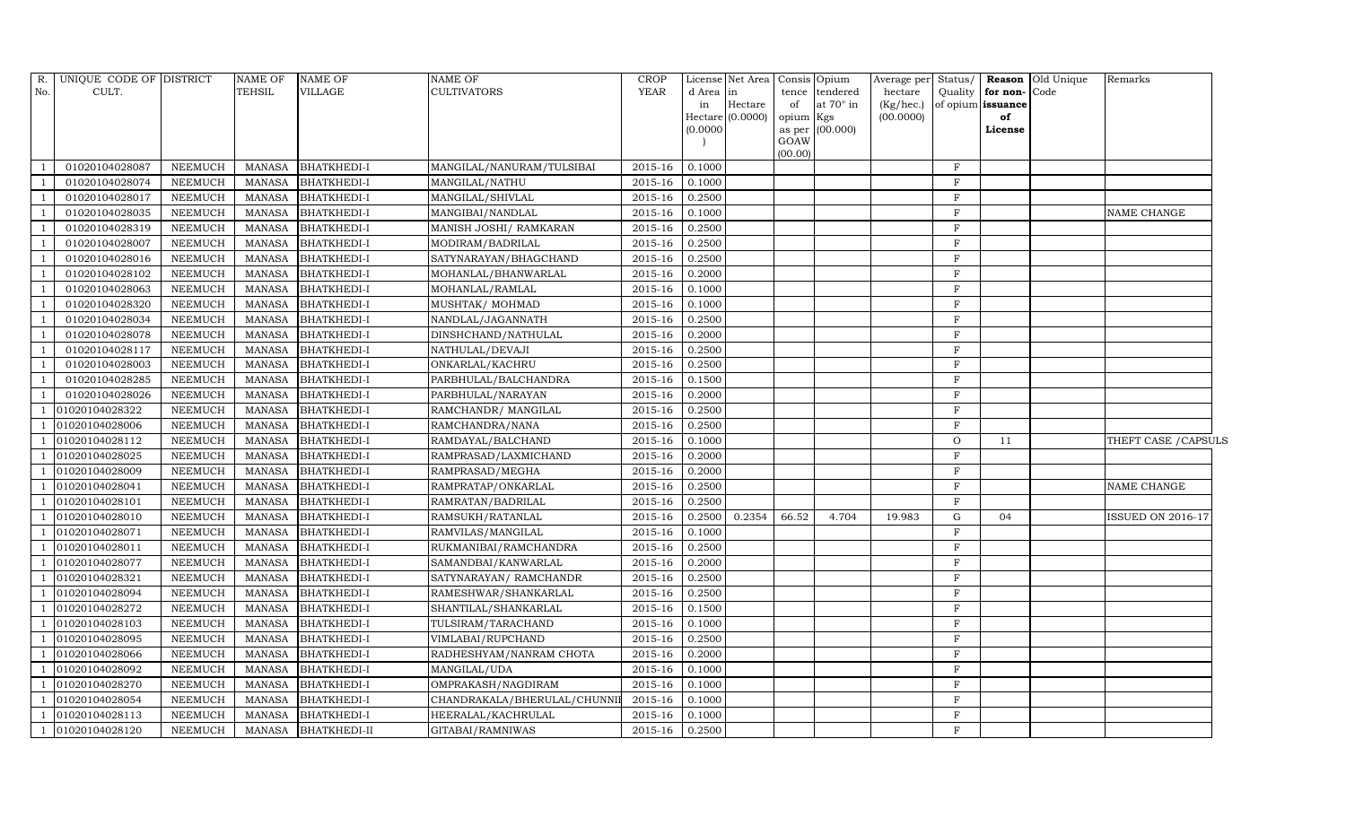| R.             | UNIQUE CODE OF DISTRICT |                | <b>NAME OF</b> | <b>NAME OF</b>      | <b>NAME OF</b>               | <b>CROP</b> |           | License Net Area   Consis   Opium |           |                   | Average per | Status/      |                   | Reason Old Unique | Remarks                  |
|----------------|-------------------------|----------------|----------------|---------------------|------------------------------|-------------|-----------|-----------------------------------|-----------|-------------------|-------------|--------------|-------------------|-------------------|--------------------------|
| No.            | CULT.                   |                | <b>TEHSIL</b>  | <b>VILLAGE</b>      | <b>CULTIVATORS</b>           | YEAR        | d Area in |                                   | tence     | tendered          | hectare     | Quality      | for non-Code      |                   |                          |
|                |                         |                |                |                     |                              |             | in        | Hectare                           | of        | at $70^\circ$ in  | (Kg/hec.)   |              | of opium issuance |                   |                          |
|                |                         |                |                |                     |                              |             | (0.0000)  | Hectare (0.0000)                  | opium Kgs | as per $(00.000)$ | (00.0000)   |              | of<br>License     |                   |                          |
|                |                         |                |                |                     |                              |             |           |                                   | GOAW      |                   |             |              |                   |                   |                          |
|                |                         |                |                |                     |                              |             |           |                                   | (00.00)   |                   |             |              |                   |                   |                          |
|                | 01020104028087          | <b>NEEMUCH</b> | <b>MANASA</b>  | <b>BHATKHEDI-I</b>  | MANGILAL/NANURAM/TULSIBAI    | 2015-16     | 0.1000    |                                   |           |                   |             | F            |                   |                   |                          |
|                | 01020104028074          | <b>NEEMUCH</b> | <b>MANASA</b>  | <b>BHATKHEDI-I</b>  | MANGILAL/NATHU               | 2015-16     | 0.1000    |                                   |           |                   |             | F            |                   |                   |                          |
| - 1            | 01020104028017          | <b>NEEMUCH</b> | <b>MANASA</b>  | <b>BHATKHEDI-I</b>  | MANGILAL/SHIVLAL             | 2015-16     | 0.2500    |                                   |           |                   |             | F            |                   |                   |                          |
|                | 01020104028035          | <b>NEEMUCH</b> | <b>MANASA</b>  | <b>BHATKHEDI-I</b>  | MANGIBAI/NANDLAL             | 2015-16     | 0.1000    |                                   |           |                   |             | F            |                   |                   | NAME CHANGE              |
| - 1            | 01020104028319          | <b>NEEMUCH</b> | <b>MANASA</b>  | <b>BHATKHEDI-I</b>  | MANISH JOSHI/ RAMKARAN       | 2015-16     | 0.2500    |                                   |           |                   |             | $\rm F$      |                   |                   |                          |
| $\overline{1}$ | 01020104028007          | <b>NEEMUCH</b> | <b>MANASA</b>  | BHATKHEDI-I         | MODIRAM/BADRILAL             | 2015-16     | 0.2500    |                                   |           |                   |             | F            |                   |                   |                          |
| $\overline{1}$ | 01020104028016          | <b>NEEMUCH</b> | <b>MANASA</b>  | <b>BHATKHEDI-I</b>  | SATYNARAYAN/BHAGCHAND        | 2015-16     | 0.2500    |                                   |           |                   |             | $\mathbf F$  |                   |                   |                          |
|                | 01020104028102          | <b>NEEMUCH</b> | <b>MANASA</b>  | <b>BHATKHEDI-I</b>  | MOHANLAL/BHANWARLAL          | 2015-16     | 0.2000    |                                   |           |                   |             | F            |                   |                   |                          |
|                | 01020104028063          | <b>NEEMUCH</b> | <b>MANASA</b>  | <b>BHATKHEDI-I</b>  | MOHANLAL/RAMLAL              | 2015-16     | 0.1000    |                                   |           |                   |             | $\rm F$      |                   |                   |                          |
| - 1            | 01020104028320          | <b>NEEMUCH</b> | <b>MANASA</b>  | <b>BHATKHEDI-I</b>  | MUSHTAK/ MOHMAD              | 2015-16     | 0.1000    |                                   |           |                   |             | F            |                   |                   |                          |
| $\overline{1}$ | 01020104028034          | <b>NEEMUCH</b> | <b>MANASA</b>  | <b>BHATKHEDI-I</b>  | NANDLAL/JAGANNATH            | 2015-16     | 0.2500    |                                   |           |                   |             | F            |                   |                   |                          |
|                | 01020104028078          | <b>NEEMUCH</b> | <b>MANASA</b>  | <b>BHATKHEDI-I</b>  | DINSHCHAND/NATHULAL          | 2015-16     | 0.2000    |                                   |           |                   |             | $\mathbf{F}$ |                   |                   |                          |
| - 1            | 01020104028117          | <b>NEEMUCH</b> | <b>MANASA</b>  | <b>BHATKHEDI-I</b>  | NATHULAL/DEVAJI              | 2015-16     | 0.2500    |                                   |           |                   |             | $\rm F$      |                   |                   |                          |
|                | 01020104028003          | <b>NEEMUCH</b> | <b>MANASA</b>  | <b>BHATKHEDI-I</b>  | ONKARLAL/KACHRU              | 2015-16     | 0.2500    |                                   |           |                   |             | $\rm F$      |                   |                   |                          |
| - 1            | 01020104028285          | <b>NEEMUCH</b> | <b>MANASA</b>  | <b>BHATKHEDI-I</b>  | PARBHULAL/BALCHANDRA         | 2015-16     | 0.1500    |                                   |           |                   |             | $\rm F$      |                   |                   |                          |
| $\overline{1}$ | 01020104028026          | <b>NEEMUCH</b> | <b>MANASA</b>  | <b>BHATKHEDI-I</b>  | PARBHULAL/NARAYAN            | 2015-16     | 0.2000    |                                   |           |                   |             | $\mathbf{F}$ |                   |                   |                          |
|                | 01020104028322          | <b>NEEMUCH</b> | <b>MANASA</b>  | <b>BHATKHEDI-I</b>  | RAMCHANDR/ MANGILAL          | 2015-16     | 0.2500    |                                   |           |                   |             | $\mathbf{F}$ |                   |                   |                          |
|                | 01020104028006          | <b>NEEMUCH</b> | <b>MANASA</b>  | <b>BHATKHEDI-I</b>  | RAMCHANDRA/NANA              | 2015-16     | 0.2500    |                                   |           |                   |             | F            |                   |                   |                          |
|                | 01020104028112          | <b>NEEMUCH</b> | <b>MANASA</b>  | <b>BHATKHEDI-I</b>  | RAMDAYAL/BALCHAND            | 2015-16     | 0.1000    |                                   |           |                   |             | $\circ$      | 11                |                   | THEFT CASE / CAPSULS     |
|                | 01020104028025          | <b>NEEMUCH</b> | <b>MANASA</b>  | <b>BHATKHEDI-I</b>  | RAMPRASAD/LAXMICHAND         | 2015-16     | 0.2000    |                                   |           |                   |             | $\rm F$      |                   |                   |                          |
|                | 01020104028009          | <b>NEEMUCH</b> | <b>MANASA</b>  | <b>BHATKHEDI-I</b>  | RAMPRASAD/MEGHA              | 2015-16     | 0.2000    |                                   |           |                   |             | $\rm F$      |                   |                   |                          |
|                | 01020104028041          | <b>NEEMUCH</b> | <b>MANASA</b>  | <b>BHATKHEDI-I</b>  | RAMPRATAP/ONKARLAL           | 2015-16     | 0.2500    |                                   |           |                   |             | $\mathbf{F}$ |                   |                   | NAME CHANGE              |
|                | 01020104028101          | <b>NEEMUCH</b> | <b>MANASA</b>  | BHATKHEDI-I         | RAMRATAN/BADRILAL            | 2015-16     | 0.2500    |                                   |           |                   |             | F            |                   |                   |                          |
|                | 01020104028010          | <b>NEEMUCH</b> | <b>MANASA</b>  | <b>BHATKHEDI-I</b>  | RAMSUKH/RATANLAL             | 2015-16     | 0.2500    | 0.2354                            | 66.52     | 4.704             | 19.983      | G            | 04                |                   | <b>ISSUED ON 2016-17</b> |
|                | 01020104028071          | <b>NEEMUCH</b> | <b>MANASA</b>  | <b>BHATKHEDI-I</b>  | RAMVILAS/MANGILAL            | 2015-16     | 0.1000    |                                   |           |                   |             | $\rm F$      |                   |                   |                          |
|                | 01020104028011          | <b>NEEMUCH</b> | <b>MANASA</b>  | <b>BHATKHEDI-I</b>  | RUKMANIBAI/RAMCHANDRA        | 2015-16     | 0.2500    |                                   |           |                   |             | $\rm F$      |                   |                   |                          |
|                | 01020104028077          | <b>NEEMUCH</b> | <b>MANASA</b>  | <b>BHATKHEDI-I</b>  | SAMANDBAI/KANWARLAL          | 2015-16     | 0.2000    |                                   |           |                   |             | $\mathbf{F}$ |                   |                   |                          |
|                | 01020104028321          | <b>NEEMUCH</b> | <b>MANASA</b>  | <b>BHATKHEDI-I</b>  | SATYNARAYAN/ RAMCHANDR       | 2015-16     | 0.2500    |                                   |           |                   |             | F            |                   |                   |                          |
|                | 01020104028094          | <b>NEEMUCH</b> | <b>MANASA</b>  | <b>BHATKHEDI-I</b>  | RAMESHWAR/SHANKARLAL         | 2015-16     | 0.2500    |                                   |           |                   |             | F            |                   |                   |                          |
|                | 01020104028272          | <b>NEEMUCH</b> | <b>MANASA</b>  | BHATKHEDI-I         | SHANTILAL/SHANKARLAL         | 2015-16     | 0.1500    |                                   |           |                   |             | F            |                   |                   |                          |
|                | 01020104028103          | <b>NEEMUCH</b> | <b>MANASA</b>  | <b>BHATKHEDI-I</b>  | TULSIRAM/TARACHAND           | 2015-16     | 0.1000    |                                   |           |                   |             | F            |                   |                   |                          |
|                | 01020104028095          | <b>NEEMUCH</b> | <b>MANASA</b>  | <b>BHATKHEDI-I</b>  | VIMLABAI/RUPCHAND            | 2015-16     | 0.2500    |                                   |           |                   |             | $\rm F$      |                   |                   |                          |
|                | 01020104028066          | <b>NEEMUCH</b> | <b>MANASA</b>  | <b>BHATKHEDI-I</b>  | RADHESHYAM/NANRAM CHOTA      | 2015-16     | 0.2000    |                                   |           |                   |             | $\mathbf{F}$ |                   |                   |                          |
|                | 01020104028092          | <b>NEEMUCH</b> | <b>MANASA</b>  | <b>BHATKHEDI-I</b>  | MANGILAL/UDA                 | 2015-16     | 0.1000    |                                   |           |                   |             | F            |                   |                   |                          |
|                | 01020104028270          | <b>NEEMUCH</b> | <b>MANASA</b>  | <b>BHATKHEDI-I</b>  | OMPRAKASH/NAGDIRAM           | 2015-16     | 0.1000    |                                   |           |                   |             | F            |                   |                   |                          |
|                | 01020104028054          | <b>NEEMUCH</b> | <b>MANASA</b>  | BHATKHEDI-I         | CHANDRAKALA/BHERULAL/CHUNNIE | 2015-16     | 0.1000    |                                   |           |                   |             | $_{\rm F}$   |                   |                   |                          |
|                | 01020104028113          | <b>NEEMUCH</b> | <b>MANASA</b>  | BHATKHEDI-I         | HEERALAL/KACHRULAL           | 2015-16     | 0.1000    |                                   |           |                   |             | $\mathbf{F}$ |                   |                   |                          |
| -1             | 01020104028120          | <b>NEEMUCH</b> | <b>MANASA</b>  | <b>BHATKHEDI-II</b> | GITABAI/RAMNIWAS             | 2015-16     | 0.2500    |                                   |           |                   |             | $\mathbf{F}$ |                   |                   |                          |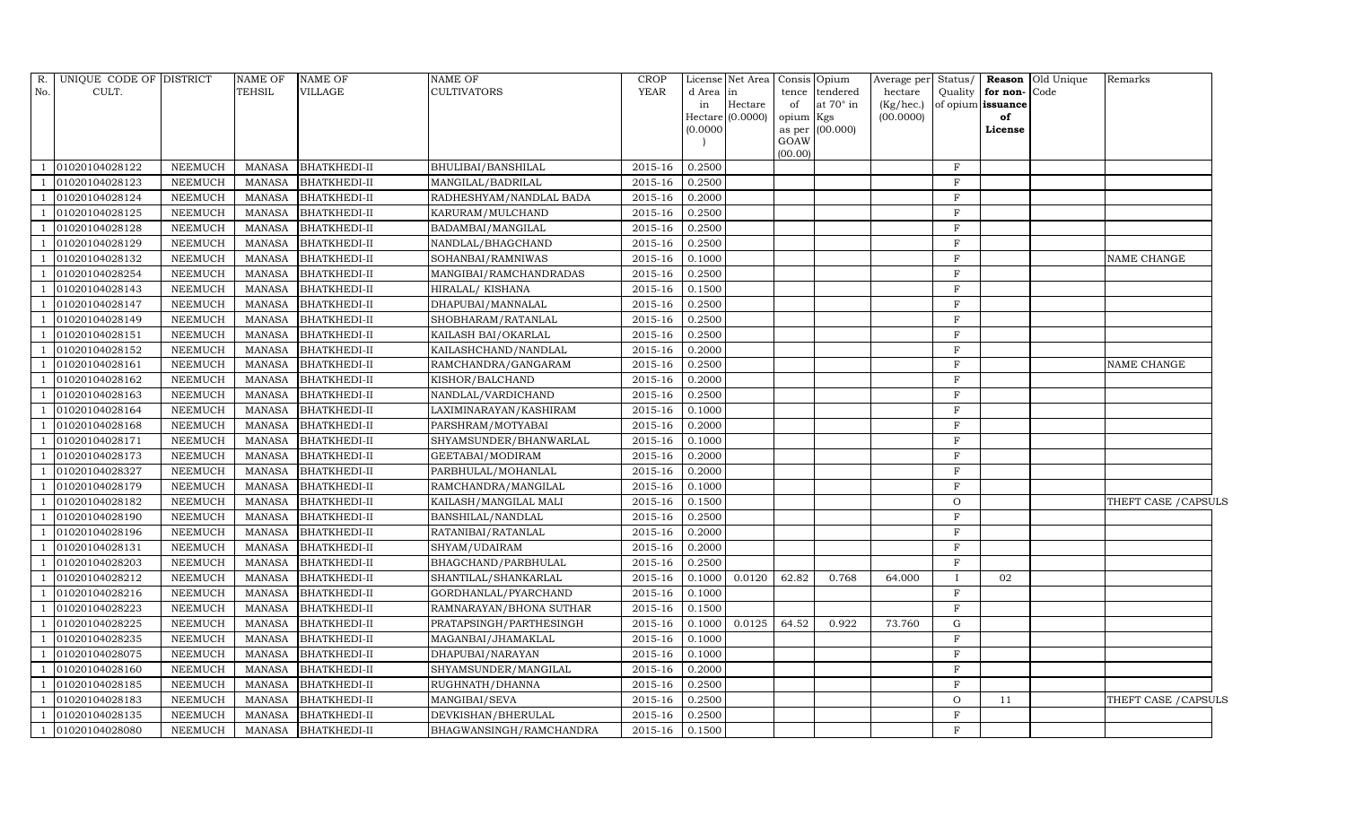| R.  | UNIQUE CODE OF DISTRICT |                | <b>NAME OF</b> | <b>NAME OF</b>      | <b>NAME OF</b>          | <b>CROP</b> |           | License Net Area Consis Opium |           |                   | Average per | Status/      |                   | Reason Old Unique | Remarks              |
|-----|-------------------------|----------------|----------------|---------------------|-------------------------|-------------|-----------|-------------------------------|-----------|-------------------|-------------|--------------|-------------------|-------------------|----------------------|
| No. | CULT.                   |                | <b>TEHSIL</b>  | <b>VILLAGE</b>      | <b>CULTIVATORS</b>      | YEAR        | d Area in |                               | tence     | tendered          | hectare     | Quality      | for non-Code      |                   |                      |
|     |                         |                |                |                     |                         |             | in        | Hectare                       | of        | at $70^\circ$ in  | (Kg/hec.)   |              | of opium issuance |                   |                      |
|     |                         |                |                |                     |                         |             | (0.0000)  | Hectare (0.0000)              | opium Kgs | as per $(00.000)$ | (00.0000)   |              | of<br>License     |                   |                      |
|     |                         |                |                |                     |                         |             |           |                               | GOAW      |                   |             |              |                   |                   |                      |
|     |                         |                |                |                     |                         |             |           |                               | (00.00)   |                   |             |              |                   |                   |                      |
|     | 01020104028122          | <b>NEEMUCH</b> | <b>MANASA</b>  | <b>BHATKHEDI-II</b> | BHULIBAI/BANSHILAL      | 2015-16     | 0.2500    |                               |           |                   |             | $\mathbf{F}$ |                   |                   |                      |
|     | 01020104028123          | <b>NEEMUCH</b> | <b>MANASA</b>  | <b>BHATKHEDI-II</b> | MANGILAL/BADRILAL       | 2015-16     | 0.2500    |                               |           |                   |             | F            |                   |                   |                      |
|     | 01020104028124          | <b>NEEMUCH</b> | <b>MANASA</b>  | <b>BHATKHEDI-II</b> | RADHESHYAM/NANDLAL BADA | 2015-16     | 0.2000    |                               |           |                   |             | F            |                   |                   |                      |
|     | 01020104028125          | <b>NEEMUCH</b> | <b>MANASA</b>  | <b>BHATKHEDI-II</b> | KARURAM/MULCHAND        | 2015-16     | 0.2500    |                               |           |                   |             | $\rm F$      |                   |                   |                      |
|     | 01020104028128          | <b>NEEMUCH</b> | <b>MANASA</b>  | <b>BHATKHEDI-II</b> | BADAMBAI/MANGILAL       | 2015-16     | 0.2500    |                               |           |                   |             | $\rm F$      |                   |                   |                      |
|     | 01020104028129          | <b>NEEMUCH</b> | <b>MANASA</b>  | <b>BHATKHEDI-II</b> | NANDLAL/BHAGCHAND       | 2015-16     | 0.2500    |                               |           |                   |             | $\rm F$      |                   |                   |                      |
|     | 01020104028132          | <b>NEEMUCH</b> | <b>MANASA</b>  | <b>BHATKHEDI-II</b> | SOHANBAI/RAMNIWAS       | 2015-16     | 0.1000    |                               |           |                   |             | $\mathbf{F}$ |                   |                   | NAME CHANGE          |
|     | 01020104028254          | <b>NEEMUCH</b> | <b>MANASA</b>  | <b>BHATKHEDI-II</b> | MANGIBAI/RAMCHANDRADAS  | 2015-16     | 0.2500    |                               |           |                   |             | F            |                   |                   |                      |
|     | 01020104028143          | <b>NEEMUCH</b> | <b>MANASA</b>  | <b>BHATKHEDI-II</b> | HIRALAL/KISHANA         | 2015-16     | 0.1500    |                               |           |                   |             | $\mathbf{F}$ |                   |                   |                      |
|     | 01020104028147          | <b>NEEMUCH</b> | <b>MANASA</b>  | <b>BHATKHEDI-II</b> | DHAPUBAI/MANNALAL       | 2015-16     | 0.2500    |                               |           |                   |             | F            |                   |                   |                      |
|     | 01020104028149          | <b>NEEMUCH</b> | <b>MANASA</b>  | <b>BHATKHEDI-II</b> | SHOBHARAM/RATANLAL      | 2015-16     | 0.2500    |                               |           |                   |             | F            |                   |                   |                      |
|     | 01020104028151          | <b>NEEMUCH</b> | <b>MANASA</b>  | <b>BHATKHEDI-II</b> | KAILASH BAI/OKARLAL     | 2015-16     | 0.2500    |                               |           |                   |             | $\rm F$      |                   |                   |                      |
|     | 01020104028152          | <b>NEEMUCH</b> | <b>MANASA</b>  | <b>BHATKHEDI-II</b> | KAILASHCHAND/NANDLAL    | 2015-16     | 0.2000    |                               |           |                   |             | $\mathbf{F}$ |                   |                   |                      |
|     | 01020104028161          | <b>NEEMUCH</b> | <b>MANASA</b>  | <b>BHATKHEDI-II</b> | RAMCHANDRA/GANGARAM     | 2015-16     | 0.2500    |                               |           |                   |             | $\mathbf{F}$ |                   |                   | NAME CHANGE          |
|     | 01020104028162          | <b>NEEMUCH</b> | <b>MANASA</b>  | <b>BHATKHEDI-II</b> | KISHOR/BALCHAND         | 2015-16     | 0.2000    |                               |           |                   |             | F            |                   |                   |                      |
|     | 01020104028163          | <b>NEEMUCH</b> | <b>MANASA</b>  | <b>BHATKHEDI-II</b> | NANDLAL/VARDICHAND      | 2015-16     | 0.2500    |                               |           |                   |             | F            |                   |                   |                      |
|     | 01020104028164          | <b>NEEMUCH</b> | <b>MANASA</b>  | BHATKHEDI-II        | LAXIMINARAYAN/KASHIRAM  | 2015-16     | 0.1000    |                               |           |                   |             | $\mathbf{F}$ |                   |                   |                      |
|     | 01020104028168          | <b>NEEMUCH</b> | <b>MANASA</b>  | <b>BHATKHEDI-II</b> | PARSHRAM/MOTYABAI       | 2015-16     | 0.2000    |                               |           |                   |             | F            |                   |                   |                      |
|     | 01020104028171          | <b>NEEMUCH</b> | <b>MANASA</b>  | <b>BHATKHEDI-II</b> | SHYAMSUNDER/BHANWARLAL  | 2015-16     | 0.1000    |                               |           |                   |             | F            |                   |                   |                      |
|     | 01020104028173          | <b>NEEMUCH</b> | <b>MANASA</b>  | <b>BHATKHEDI-II</b> | GEETABAI/MODIRAM        | 2015-16     | 0.2000    |                               |           |                   |             | F            |                   |                   |                      |
|     | 01020104028327          | <b>NEEMUCH</b> | <b>MANASA</b>  | <b>BHATKHEDI-II</b> | PARBHULAL/MOHANLAL      | 2015-16     | 0.2000    |                               |           |                   |             | F            |                   |                   |                      |
|     | 01020104028179          | <b>NEEMUCH</b> | <b>MANASA</b>  | <b>BHATKHEDI-II</b> | RAMCHANDRA/MANGILAL     | 2015-16     | 0.1000    |                               |           |                   |             | $\mathbf{F}$ |                   |                   |                      |
|     | 01020104028182          | <b>NEEMUCH</b> | <b>MANASA</b>  | <b>BHATKHEDI-II</b> | KAILASH/MANGILAL MALI   | 2015-16     | 0.1500    |                               |           |                   |             | $\circ$      |                   |                   | THEFT CASE / CAPSULS |
|     | 01020104028190          | <b>NEEMUCH</b> | <b>MANASA</b>  | <b>BHATKHEDI-II</b> | BANSHILAL/NANDLAL       | 2015-16     | 0.2500    |                               |           |                   |             | $\mathbf{F}$ |                   |                   |                      |
|     | 01020104028196          | <b>NEEMUCH</b> | <b>MANASA</b>  | <b>BHATKHEDI-II</b> | RATANIBAI/RATANLAL      | 2015-16     | 0.2000    |                               |           |                   |             | F            |                   |                   |                      |
|     | 01020104028131          | <b>NEEMUCH</b> | <b>MANASA</b>  | <b>BHATKHEDI-II</b> | SHYAM/UDAIRAM           | 2015-16     | 0.2000    |                               |           |                   |             | $\rm F$      |                   |                   |                      |
|     | 01020104028203          | <b>NEEMUCH</b> | <b>MANASA</b>  | <b>BHATKHEDI-II</b> | BHAGCHAND/PARBHULAL     | 2015-16     | 0.2500    |                               |           |                   |             | $\mathbf{F}$ |                   |                   |                      |
|     | 01020104028212          | <b>NEEMUCH</b> | <b>MANASA</b>  | <b>BHATKHEDI-II</b> | SHANTILAL/SHANKARLAL    | 2015-16     | 0.1000    | 0.0120                        | 62.82     | 0.768             | 64.000      |              | 02                |                   |                      |
|     | 01020104028216          | <b>NEEMUCH</b> | <b>MANASA</b>  | <b>BHATKHEDI-II</b> | GORDHANLAL/PYARCHAND    | 2015-16     | 0.1000    |                               |           |                   |             | F            |                   |                   |                      |
|     | 01020104028223          | <b>NEEMUCH</b> | <b>MANASA</b>  | <b>BHATKHEDI-II</b> | RAMNARAYAN/BHONA SUTHAR | 2015-16     | 0.1500    |                               |           |                   |             | F            |                   |                   |                      |
|     | 01020104028225          | <b>NEEMUCH</b> | <b>MANASA</b>  | <b>BHATKHEDI-II</b> | PRATAPSINGH/PARTHESINGH | 2015-16     | 0.1000    | 0.0125                        | 64.52     | 0.922             | 73.760      | G            |                   |                   |                      |
|     | 01020104028235          | <b>NEEMUCH</b> | <b>MANASA</b>  | <b>BHATKHEDI-II</b> | MAGANBAI/JHAMAKLAL      | 2015-16     | 0.1000    |                               |           |                   |             | F            |                   |                   |                      |
|     | 01020104028075          | <b>NEEMUCH</b> | <b>MANASA</b>  | <b>BHATKHEDI-II</b> | DHAPUBAI/NARAYAN        | 2015-16     | 0.1000    |                               |           |                   |             | F            |                   |                   |                      |
|     | 01020104028160          | <b>NEEMUCH</b> | <b>MANASA</b>  | <b>BHATKHEDI-II</b> | SHYAMSUNDER/MANGILAL    | 2015-16     | 0.2000    |                               |           |                   |             | $\rm F$      |                   |                   |                      |
|     | 01020104028185          | <b>NEEMUCH</b> | <b>MANASA</b>  | <b>BHATKHEDI-II</b> | RUGHNATH/DHANNA         | 2015-16     | 0.2500    |                               |           |                   |             | F            |                   |                   |                      |
|     | 01020104028183          | <b>NEEMUCH</b> | <b>MANASA</b>  | <b>BHATKHEDI-II</b> | MANGIBAI/SEVA           | 2015-16     | 0.2500    |                               |           |                   |             | $\circ$      | 11                |                   | THEFT CASE / CAPSULS |
|     | 01020104028135          | <b>NEEMUCH</b> | <b>MANASA</b>  | BHATKHEDI-II        | DEVKISHAN/BHERULAL      | 2015-16     | 0.2500    |                               |           |                   |             | F            |                   |                   |                      |
|     | 01020104028080          | <b>NEEMUCH</b> | <b>MANASA</b>  | <b>BHATKHEDI-II</b> | BHAGWANSINGH/RAMCHANDRA | 2015-16     | 0.1500    |                               |           |                   |             | $\rm F$      |                   |                   |                      |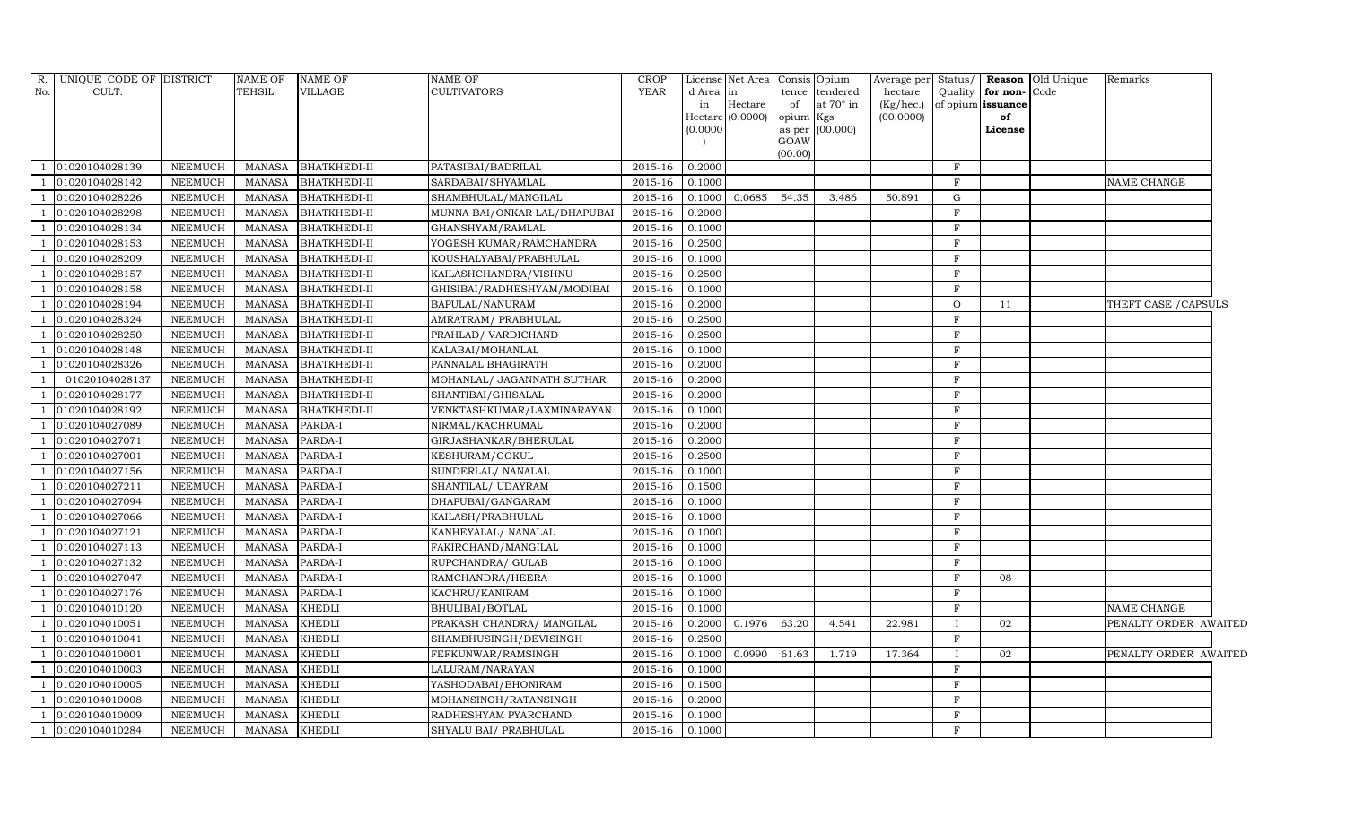| R.  | UNIQUE CODE OF DISTRICT |                | <b>NAME OF</b> | <b>NAME OF</b>      | <b>NAME OF</b>               | <b>CROP</b> |           | License Net Area   Consis   Opium |                 |                 | Average per Status/    |              |                         | <b>Reason</b> Old Unique | Remarks               |  |
|-----|-------------------------|----------------|----------------|---------------------|------------------------------|-------------|-----------|-----------------------------------|-----------------|-----------------|------------------------|--------------|-------------------------|--------------------------|-----------------------|--|
| No. | CULT.                   |                | TEHSIL         | VILLAGE             | <b>CULTIVATORS</b>           | YEAR        | d Area in |                                   | tence           | tendered        | hectare                | Quality      | for non-                | Code                     |                       |  |
|     |                         |                |                |                     |                              |             | in        | Hectare<br>Hectare $(0.0000)$     | of<br>opium Kgs | at 70° in       | (Kg/hec.)<br>(00.0000) |              | of opium issuance<br>of |                          |                       |  |
|     |                         |                |                |                     |                              |             | (0.0000)  |                                   |                 | as per (00.000) |                        |              | License                 |                          |                       |  |
|     |                         |                |                |                     |                              |             |           |                                   | GOAW            |                 |                        |              |                         |                          |                       |  |
|     | 01020104028139          | NEEMUCH        | <b>MANASA</b>  | <b>BHATKHEDI-II</b> | PATASIBAI/BADRILAL           | 2015-16     | 0.2000    |                                   | (00.00)         |                 |                        | F            |                         |                          |                       |  |
|     | 01020104028142          | <b>NEEMUCH</b> | <b>MANASA</b>  | <b>BHATKHEDI-II</b> | SARDABAI/SHYAMLAL            | 2015-16     | 0.1000    |                                   |                 |                 |                        | $_{\rm F}$   |                         |                          | NAME CHANGE           |  |
|     | 01020104028226          | <b>NEEMUCH</b> | <b>MANASA</b>  | <b>BHATKHEDI-II</b> | SHAMBHULAL/MANGILAL          | 2015-16     | 0.1000    | 0.0685                            | 54.35           | 3.486           | 50.891                 | G            |                         |                          |                       |  |
|     | 01020104028298          | <b>NEEMUCH</b> | <b>MANASA</b>  | <b>BHATKHEDI-II</b> | MUNNA BAI/ONKAR LAL/DHAPUBAI | 2015-16     | 0.2000    |                                   |                 |                 |                        | $_{\rm F}$   |                         |                          |                       |  |
|     | 01020104028134          | <b>NEEMUCH</b> | <b>MANASA</b>  | <b>BHATKHEDI-II</b> | GHANSHYAM/RAMLAL             | 2015-16     | 0.1000    |                                   |                 |                 |                        | $\mathbf{F}$ |                         |                          |                       |  |
|     | 01020104028153          | <b>NEEMUCH</b> | <b>MANASA</b>  | <b>BHATKHEDI-II</b> | YOGESH KUMAR/RAMCHANDRA      | $2015 - 16$ | 0.2500    |                                   |                 |                 |                        | F            |                         |                          |                       |  |
|     | 01020104028209          | <b>NEEMUCH</b> | <b>MANASA</b>  | <b>BHATKHEDI-II</b> | KOUSHALYABAI/PRABHULAL       | 2015-16     | 0.1000    |                                   |                 |                 |                        | $\mathbf F$  |                         |                          |                       |  |
|     | 01020104028157          | NEEMUCH        | <b>MANASA</b>  | <b>BHATKHEDI-II</b> | KAILASHCHANDRA/VISHNU        | 2015-16     | 0.2500    |                                   |                 |                 |                        | F            |                         |                          |                       |  |
|     | 01020104028158          | <b>NEEMUCH</b> | <b>MANASA</b>  | <b>BHATKHEDI-II</b> | GHISIBAI/RADHESHYAM/MODIBAI  | 2015-16     | 0.1000    |                                   |                 |                 |                        | $_{\rm F}$   |                         |                          |                       |  |
|     | 01020104028194          | <b>NEEMUCH</b> | <b>MANASA</b>  | <b>BHATKHEDI-II</b> | BAPULAL/NANURAM              | 2015-16     | 0.2000    |                                   |                 |                 |                        | $\circ$      | 11                      |                          | THEFT CASE / CAPSULS  |  |
|     | 01020104028324          | <b>NEEMUCH</b> | <b>MANASA</b>  | <b>BHATKHEDI-II</b> | AMRATRAM / PRABHULAL         | 2015-16     | 0.2500    |                                   |                 |                 |                        | F            |                         |                          |                       |  |
|     | 01020104028250          | <b>NEEMUCH</b> | <b>MANASA</b>  | <b>BHATKHEDI-II</b> | PRAHLAD/ VARDICHAND          | 2015-16     | 0.2500    |                                   |                 |                 |                        | F            |                         |                          |                       |  |
|     | 01020104028148          | <b>NEEMUCH</b> | <b>MANASA</b>  | <b>BHATKHEDI-II</b> | KALABAI/MOHANLAL             | 2015-16     | 0.1000    |                                   |                 |                 |                        | F            |                         |                          |                       |  |
|     | 01020104028326          | <b>NEEMUCH</b> | <b>MANASA</b>  | <b>BHATKHEDI-II</b> | PANNALAL BHAGIRATH           | 2015-16     | 0.2000    |                                   |                 |                 |                        | F            |                         |                          |                       |  |
|     | 01020104028137          | <b>NEEMUCH</b> | <b>MANASA</b>  | <b>BHATKHEDI-II</b> | MOHANLAL/ JAGANNATH SUTHAR   | 2015-16     | 0.2000    |                                   |                 |                 |                        | F            |                         |                          |                       |  |
|     | 01020104028177          | <b>NEEMUCH</b> | <b>MANASA</b>  | <b>BHATKHEDI-II</b> | SHANTIBAI/GHISALAL           | 2015-16     | 0.2000    |                                   |                 |                 |                        | $\mathbf{F}$ |                         |                          |                       |  |
|     | 01020104028192          | <b>NEEMUCH</b> | <b>MANASA</b>  | <b>BHATKHEDI-II</b> | VENKTASHKUMAR/LAXMINARAYAN   | 2015-16     | 0.1000    |                                   |                 |                 |                        | F            |                         |                          |                       |  |
|     | 01020104027089          | NEEMUCH        | <b>MANASA</b>  | PARDA-I             | NIRMAL/KACHRUMAL             | $2015 - 16$ | 0.2000    |                                   |                 |                 |                        | F            |                         |                          |                       |  |
|     | 01020104027071          | <b>NEEMUCH</b> | <b>MANASA</b>  | PARDA-I             | GIRJASHANKAR/BHERULAL        | $2015 - 16$ | 0.2000    |                                   |                 |                 |                        | $\mathbf{F}$ |                         |                          |                       |  |
|     | 01020104027001          | <b>NEEMUCH</b> | <b>MANASA</b>  | PARDA-I             | KESHURAM/GOKUL               | 2015-16     | 0.2500    |                                   |                 |                 |                        | $_{\rm F}$   |                         |                          |                       |  |
|     | 01020104027156          | <b>NEEMUCH</b> | <b>MANASA</b>  | PARDA-I             | SUNDERLAL/ NANALAL           | 2015-16     | 0.1000    |                                   |                 |                 |                        | F            |                         |                          |                       |  |
|     | 01020104027211          | <b>NEEMUCH</b> | <b>MANASA</b>  | PARDA-I             | SHANTILAL/ UDAYRAM           | 2015-16     | 0.1500    |                                   |                 |                 |                        | F            |                         |                          |                       |  |
|     | 01020104027094          | NEEMUCH        | <b>MANASA</b>  | PARDA-I             | DHAPUBAI/GANGARAM            | $2015 - 16$ | 0.1000    |                                   |                 |                 |                        | F            |                         |                          |                       |  |
|     | 01020104027066          | <b>NEEMUCH</b> | <b>MANASA</b>  | PARDA-I             | KAILASH/PRABHULAL            | 2015-16     | 0.1000    |                                   |                 |                 |                        | F            |                         |                          |                       |  |
|     | 01020104027121          | <b>NEEMUCH</b> | <b>MANASA</b>  | PARDA-I             | KANHEYALAL/ NANALAL          | 2015-16     | 0.1000    |                                   |                 |                 |                        | $\mathbf F$  |                         |                          |                       |  |
|     | 01020104027113          | <b>NEEMUCH</b> | <b>MANASA</b>  | PARDA-I             | FAKIRCHAND/MANGILAL          | 2015-16     | 0.1000    |                                   |                 |                 |                        | F            |                         |                          |                       |  |
|     | 01020104027132          | <b>NEEMUCH</b> | <b>MANASA</b>  | PARDA-I             | RUPCHANDRA/ GULAB            | 2015-16     | 0.1000    |                                   |                 |                 |                        | F            |                         |                          |                       |  |
|     | 01020104027047          | <b>NEEMUCH</b> | <b>MANASA</b>  | PARDA-I             | RAMCHANDRA/HEERA             | 2015-16     | 0.1000    |                                   |                 |                 |                        | F            | 08                      |                          |                       |  |
|     | 01020104027176          | <b>NEEMUCH</b> | <b>MANASA</b>  | PARDA-I             | KACHRU/KANIRAM               | $2015 - 16$ | 0.1000    |                                   |                 |                 |                        | $\mathbf{F}$ |                         |                          |                       |  |
|     | 01020104010120          | <b>NEEMUCH</b> | <b>MANASA</b>  | KHEDLI              | BHULIBAI/BOTLAL              | $2015 - 16$ | 0.1000    |                                   |                 |                 |                        | $\mathbf F$  |                         |                          | NAME CHANGE           |  |
|     | 01020104010051          | <b>NEEMUCH</b> | <b>MANASA</b>  | <b>KHEDLI</b>       | PRAKASH CHANDRA/ MANGILAL    | 2015-16     | 0.2000    | 0.1976                            | 63.20           | 4.541           | 22.981                 | $\mathbf I$  | 02                      |                          | PENALTY ORDER AWAITED |  |
|     | 01020104010041          | <b>NEEMUCH</b> | <b>MANASA</b>  | <b>KHEDLI</b>       | SHAMBHUSINGH/DEVISINGH       | 2015-16     | 0.2500    |                                   |                 |                 |                        | $_{\rm F}$   |                         |                          |                       |  |
|     | 01020104010001          | <b>NEEMUCH</b> | <b>MANASA</b>  | <b>KHEDLI</b>       | FEFKUNWAR/RAMSINGH           | 2015-16     | 0.1000    | 0.0990                            | 61.63           | 1.719           | 17.364                 | $\mathbf{I}$ | 02                      |                          | PENALTY ORDER AWAITED |  |
|     | 01020104010003          | <b>NEEMUCH</b> | <b>MANASA</b>  | <b>KHEDLI</b>       | LALURAM/NARAYAN              | $2015 - 16$ | 0.1000    |                                   |                 |                 |                        | F            |                         |                          |                       |  |
|     | 01020104010005          | NEEMUCH        | <b>MANASA</b>  | <b>KHEDLI</b>       | YASHODABAI/BHONIRAM          | 2015-16     | 0.1500    |                                   |                 |                 |                        | F            |                         |                          |                       |  |
|     | 01020104010008          | <b>NEEMUCH</b> | <b>MANASA</b>  | <b>KHEDLI</b>       | MOHANSINGH/RATANSINGH        | 2015-16     | 0.2000    |                                   |                 |                 |                        | $_{\rm F}$   |                         |                          |                       |  |
|     | 01020104010009          | <b>NEEMUCH</b> | <b>MANASA</b>  | <b>KHEDLI</b>       | RADHESHYAM PYARCHAND         | 2015-16     | 0.1000    |                                   |                 |                 |                        | $\mathbf F$  |                         |                          |                       |  |
| -1  | 01020104010284          | NEEMUCH        | MANASA         | <b>KHEDLI</b>       | SHYALU BAI / PRABHULAL       | 2015-16     | 0.1000    |                                   |                 |                 |                        | F            |                         |                          |                       |  |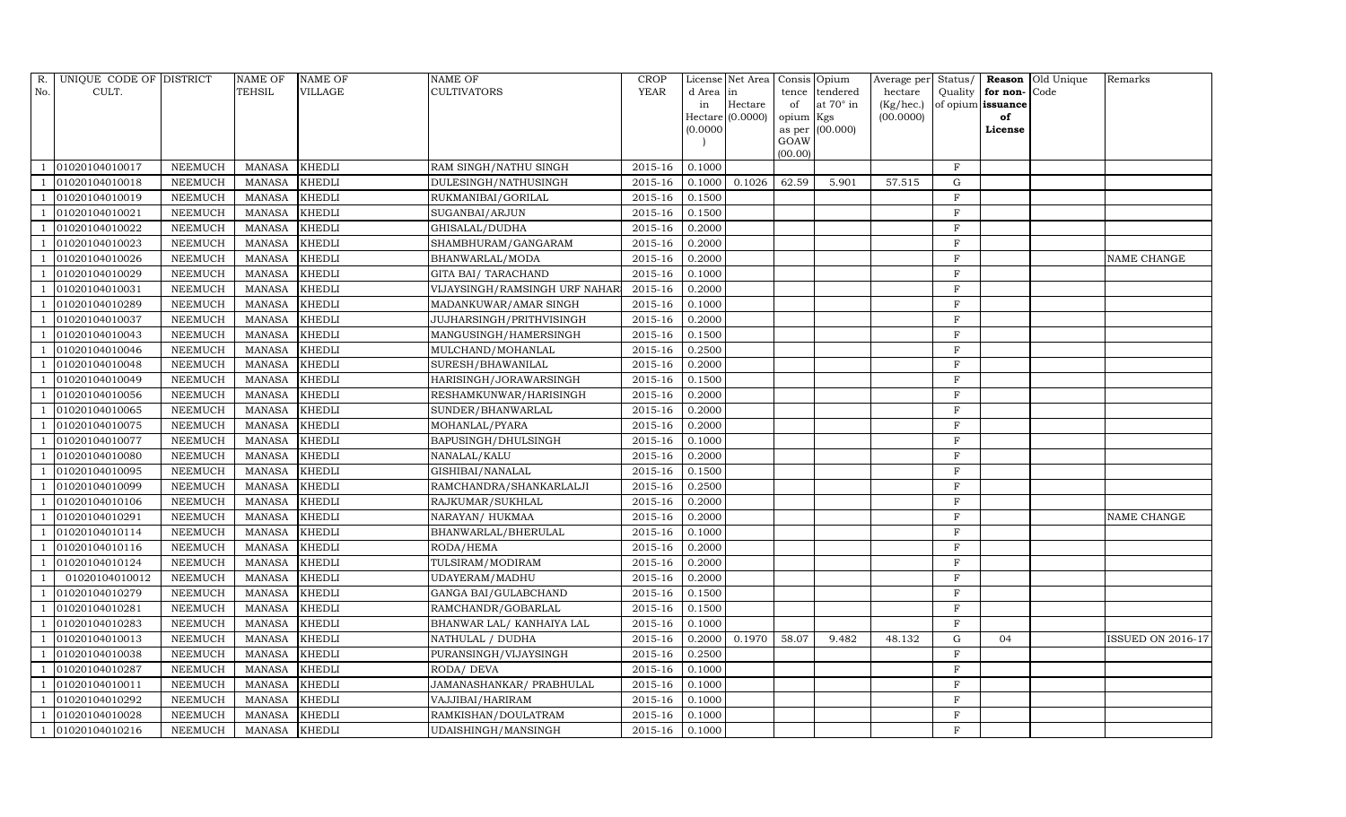| R.                       | UNIQUE CODE OF DISTRICT |                | <b>NAME OF</b> | <b>NAME OF</b> | <b>NAME OF</b>                  | <b>CROP</b> |           | License Net Area   Consis   Opium |           |                   | Average per Status/ |              |                   | Reason Old Unique | Remarks                  |
|--------------------------|-------------------------|----------------|----------------|----------------|---------------------------------|-------------|-----------|-----------------------------------|-----------|-------------------|---------------------|--------------|-------------------|-------------------|--------------------------|
| No.                      | CULT.                   |                | TEHSIL         | <b>VILLAGE</b> | <b>CULTIVATORS</b>              | YEAR        | d Area in |                                   | tence     | tendered          | hectare             | Quality      | for non-          | Code              |                          |
|                          |                         |                |                |                |                                 |             | in        | Hectare                           | of        | at $70^\circ$ in  | (Kg/hec.)           |              | of opium issuance |                   |                          |
|                          |                         |                |                |                |                                 |             |           | $Hectare$ (0.0000)                | opium Kgs |                   | (00.0000)           |              | of                |                   |                          |
|                          |                         |                |                |                |                                 |             | (0.0000)  |                                   | GOAW      | as per $(00.000)$ |                     |              | License           |                   |                          |
|                          |                         |                |                |                |                                 |             |           |                                   | (00.00)   |                   |                     |              |                   |                   |                          |
|                          | 01020104010017          | <b>NEEMUCH</b> | MANASA         | <b>KHEDLI</b>  | RAM SINGH/NATHU SINGH           | 2015-16     | 0.1000    |                                   |           |                   |                     | $\rm F$      |                   |                   |                          |
|                          | 01020104010018          | <b>NEEMUCH</b> | <b>MANASA</b>  | <b>KHEDLI</b>  | DULESINGH/NATHUSINGH            | 2015-16     | 0.1000    | 0.1026                            | 62.59     | 5.901             | 57.515              | $\mathbf G$  |                   |                   |                          |
|                          | 01020104010019          | <b>NEEMUCH</b> | <b>MANASA</b>  | <b>KHEDLI</b>  | RUKMANIBAI/GORILAL              | 2015-16     | 0.1500    |                                   |           |                   |                     | $\rm F$      |                   |                   |                          |
|                          | 01020104010021          | <b>NEEMUCH</b> | <b>MANASA</b>  | <b>KHEDLI</b>  | SUGANBAI/ARJUN                  | 2015-16     | 0.1500    |                                   |           |                   |                     | $\rm F$      |                   |                   |                          |
|                          | 01020104010022          | <b>NEEMUCH</b> | <b>MANASA</b>  | <b>KHEDLI</b>  | GHISALAL/DUDHA                  | 2015-16     | 0.2000    |                                   |           |                   |                     | $\,$ F       |                   |                   |                          |
|                          | 01020104010023          | <b>NEEMUCH</b> | <b>MANASA</b>  | <b>KHEDLI</b>  | SHAMBHURAM/GANGARAM             | $2015 - 16$ | 0.2000    |                                   |           |                   |                     | $\rm F$      |                   |                   |                          |
|                          | 01020104010026          | <b>NEEMUCH</b> | <b>MANASA</b>  | <b>KHEDLI</b>  | BHANWARLAL/MODA                 | 2015-16     | 0.2000    |                                   |           |                   |                     | $\rm F$      |                   |                   | NAME CHANGE              |
|                          | 01020104010029          | <b>NEEMUCH</b> | <b>MANASA</b>  | <b>KHEDLI</b>  | <b>GITA BAI/ TARACHAND</b>      | 2015-16     | 0.1000    |                                   |           |                   |                     | $\,$ F       |                   |                   |                          |
|                          | 01020104010031          | <b>NEEMUCH</b> | <b>MANASA</b>  | <b>KHEDLI</b>  | VIJAYSINGH/RAMSINGH URF NAHAR   | 2015-16     | 0.2000    |                                   |           |                   |                     | $\rm F$      |                   |                   |                          |
|                          | 01020104010289          | <b>NEEMUCH</b> | <b>MANASA</b>  | <b>KHEDLI</b>  | MADANKUWAR/AMAR SINGH           | 2015-16     | 0.1000    |                                   |           |                   |                     | $\rm F$      |                   |                   |                          |
|                          | 01020104010037          | <b>NEEMUCH</b> | <b>MANASA</b>  | <b>KHEDLI</b>  | <b>JUJHARSINGH/PRITHVISINGH</b> | 2015-16     | 0.2000    |                                   |           |                   |                     | $\rm F$      |                   |                   |                          |
|                          | 01020104010043          | <b>NEEMUCH</b> | <b>MANASA</b>  | <b>KHEDLI</b>  | MANGUSINGH/HAMERSINGH           | 2015-16     | 0.1500    |                                   |           |                   |                     | $\rm F$      |                   |                   |                          |
|                          | 01020104010046          | <b>NEEMUCH</b> | MANASA         | <b>KHEDLI</b>  | MULCHAND/MOHANLAL               | 2015-16     | 0.2500    |                                   |           |                   |                     | $\,$ F       |                   |                   |                          |
|                          | 01020104010048          | <b>NEEMUCH</b> | <b>MANASA</b>  | <b>KHEDLI</b>  | SURESH/BHAWANILAL               | 2015-16     | 0.2000    |                                   |           |                   |                     | $\rm F$      |                   |                   |                          |
|                          | 01020104010049          | <b>NEEMUCH</b> | <b>MANASA</b>  | <b>KHEDLI</b>  | HARISINGH/JORAWARSINGH          | 2015-16     | 0.1500    |                                   |           |                   |                     | $\rm F$      |                   |                   |                          |
|                          | 01020104010056          | <b>NEEMUCH</b> | <b>MANASA</b>  | <b>KHEDLI</b>  | RESHAMKUNWAR/HARISINGH          | 2015-16     | 0.2000    |                                   |           |                   |                     | $\rm F$      |                   |                   |                          |
|                          | 01020104010065          | <b>NEEMUCH</b> | <b>MANASA</b>  | <b>KHEDLI</b>  | SUNDER/BHANWARLAL               | 2015-16     | 0.2000    |                                   |           |                   |                     | $\,$ F       |                   |                   |                          |
|                          | 01020104010075          | <b>NEEMUCH</b> | <b>MANASA</b>  | <b>KHEDLI</b>  | MOHANLAL/PYARA                  | 2015-16     | 0.2000    |                                   |           |                   |                     | $\mathbf{F}$ |                   |                   |                          |
|                          | 01020104010077          | <b>NEEMUCH</b> | <b>MANASA</b>  | <b>KHEDLI</b>  | BAPUSINGH/DHULSINGH             | 2015-16     | 0.1000    |                                   |           |                   |                     | $\rm F$      |                   |                   |                          |
|                          | 01020104010080          | <b>NEEMUCH</b> | <b>MANASA</b>  | <b>KHEDLI</b>  | NANALAL/KALU                    | 2015-16     | 0.2000    |                                   |           |                   |                     | $\,$ F       |                   |                   |                          |
|                          | 01020104010095          | <b>NEEMUCH</b> | <b>MANASA</b>  | <b>KHEDLI</b>  | GISHIBAI/NANALAL                | 2015-16     | 0.1500    |                                   |           |                   |                     | $\mathbf{F}$ |                   |                   |                          |
|                          | 01020104010099          | <b>NEEMUCH</b> | <b>MANASA</b>  | <b>KHEDLI</b>  | RAMCHANDRA/SHANKARLALJI         | 2015-16     | 0.2500    |                                   |           |                   |                     | $\mathbf F$  |                   |                   |                          |
|                          | 01020104010106          | <b>NEEMUCH</b> | <b>MANASA</b>  | <b>KHEDLI</b>  | RAJKUMAR/SUKHLAL                | 2015-16     | 0.2000    |                                   |           |                   |                     | $\mathbf{F}$ |                   |                   |                          |
|                          | 01020104010291          | <b>NEEMUCH</b> | <b>MANASA</b>  | <b>KHEDLI</b>  | NARAYAN/ HUKMAA                 | 2015-16     | 0.2000    |                                   |           |                   |                     | $\mathbf F$  |                   |                   | NAME CHANGE              |
|                          | 01020104010114          | <b>NEEMUCH</b> | <b>MANASA</b>  | <b>KHEDLI</b>  | BHANWARLAL/BHERULAL             | 2015-16     | 0.1000    |                                   |           |                   |                     | $\,$ F       |                   |                   |                          |
|                          | 01020104010116          | <b>NEEMUCH</b> | <b>MANASA</b>  | <b>KHEDLI</b>  | RODA/HEMA                       | 2015-16     | 0.2000    |                                   |           |                   |                     | $\rm F$      |                   |                   |                          |
|                          | 01020104010124          | <b>NEEMUCH</b> | <b>MANASA</b>  | <b>KHEDLI</b>  | TULSIRAM/MODIRAM                | 2015-16     | 0.2000    |                                   |           |                   |                     | $\mathbf F$  |                   |                   |                          |
| $\overline{1}$           | 01020104010012          | <b>NEEMUCH</b> | <b>MANASA</b>  | <b>KHEDLI</b>  | UDAYERAM/MADHU                  | 2015-16     | 0.2000    |                                   |           |                   |                     | $\rm F$      |                   |                   |                          |
|                          | 01020104010279          | <b>NEEMUCH</b> | MANASA         | <b>KHEDLI</b>  | GANGA BAI/GULABCHAND            | $2015 - 16$ | 0.1500    |                                   |           |                   |                     | $\rm F$      |                   |                   |                          |
|                          | 01020104010281          | <b>NEEMUCH</b> | <b>MANASA</b>  | <b>KHEDLI</b>  | RAMCHANDR/GOBARLAL              | 2015-16     | 0.1500    |                                   |           |                   |                     | $\,$ F       |                   |                   |                          |
|                          | 01020104010283          | <b>NEEMUCH</b> | <b>MANASA</b>  | <b>KHEDLI</b>  | BHANWAR LAL/ KANHAIYA LAL       | 2015-16     | 0.1000    |                                   |           |                   |                     | $\mathbf{F}$ |                   |                   |                          |
|                          | 01020104010013          | <b>NEEMUCH</b> | <b>MANASA</b>  | <b>KHEDLI</b>  | NATHULAL / DUDHA                | 2015-16     | 0.2000    | 0.1970                            | 58.07     | 9.482             | 48.132              | ${\bf G}$    | 04                |                   | <b>ISSUED ON 2016-17</b> |
|                          | 01020104010038          | <b>NEEMUCH</b> | <b>MANASA</b>  | <b>KHEDLI</b>  | PURANSINGH/VIJAYSINGH           | 2015-16     | 0.2500    |                                   |           |                   |                     | F            |                   |                   |                          |
|                          | 01020104010287          | <b>NEEMUCH</b> | <b>MANASA</b>  | <b>KHEDLI</b>  | RODA/ DEVA                      | $2015 - 16$ | 0.1000    |                                   |           |                   |                     | $\,$ F       |                   |                   |                          |
|                          | 01020104010011          | <b>NEEMUCH</b> | <b>MANASA</b>  | <b>KHEDLI</b>  | JAMANASHANKAR/ PRABHULAL        | 2015-16     | 0.1000    |                                   |           |                   |                     | $\rm F$      |                   |                   |                          |
|                          | 01020104010292          | <b>NEEMUCH</b> | <b>MANASA</b>  | <b>KHEDLI</b>  | VAJJIBAI/HARIRAM                | 2015-16     | 0.1000    |                                   |           |                   |                     | $\mathbf F$  |                   |                   |                          |
|                          | 01020104010028          | <b>NEEMUCH</b> | <b>MANASA</b>  | <b>KHEDLI</b>  | RAMKISHAN/DOULATRAM             | 2015-16     | 0.1000    |                                   |           |                   |                     | $\rm F$      |                   |                   |                          |
| $\overline{\phantom{0}}$ | 01020104010216          | <b>NEEMUCH</b> | MANASA KHEDLI  |                | UDAISHINGH/MANSINGH             | 2015-16     | 0.1000    |                                   |           |                   |                     | $\mathbf F$  |                   |                   |                          |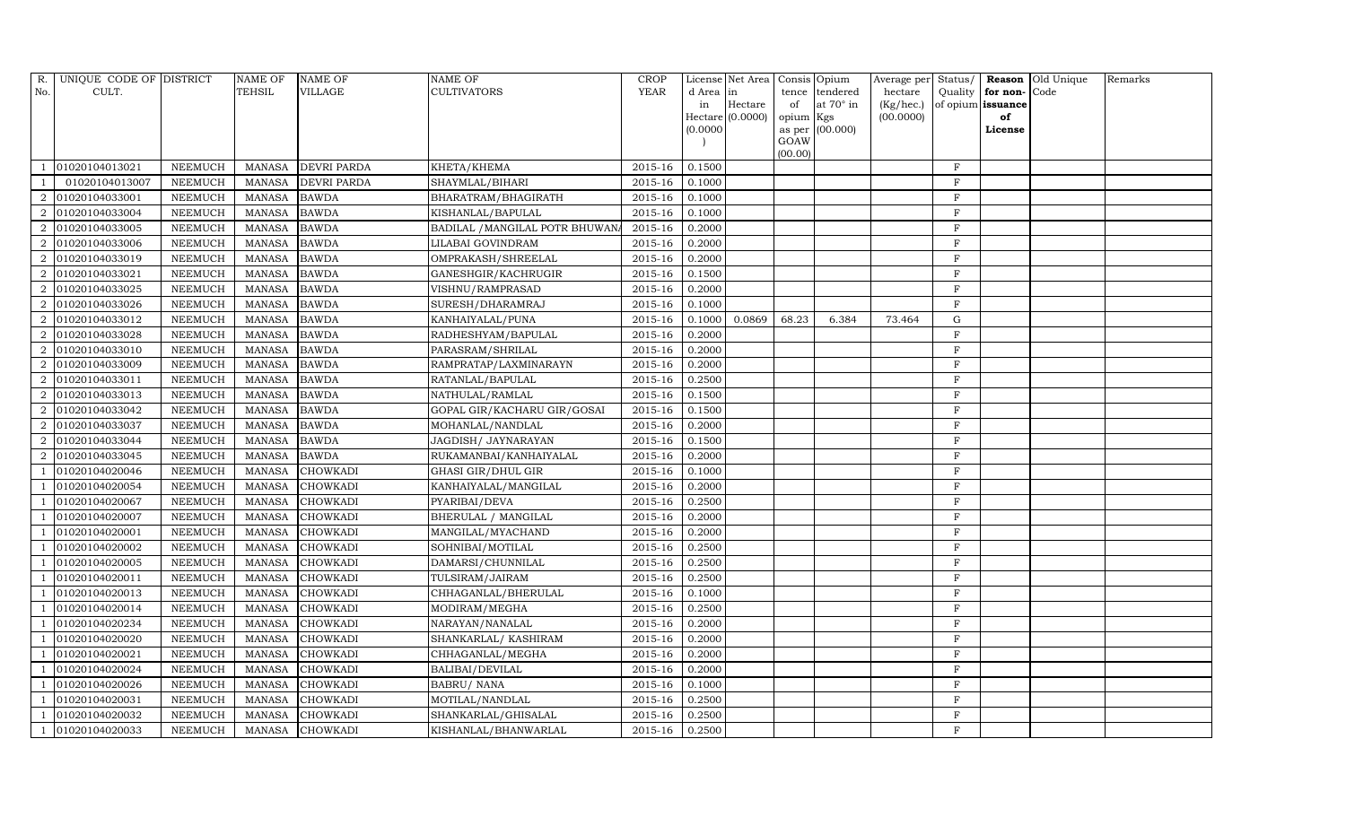| R.             | UNIQUE CODE OF DISTRICT |                | <b>NAME OF</b> | <b>NAME OF</b>     | <b>NAME OF</b>                 | <b>CROP</b> |          | License Net Area Consis Opium |           |                  | Average per Status/ |              |                   | Reason Old Unique | Remarks |
|----------------|-------------------------|----------------|----------------|--------------------|--------------------------------|-------------|----------|-------------------------------|-----------|------------------|---------------------|--------------|-------------------|-------------------|---------|
| No.            | CULT.                   |                | TEHSIL         | <b>VILLAGE</b>     | <b>CULTIVATORS</b>             | YEAR        | d Area   | in                            | tence     | tendered         | hectare             | Quality      | for non-          | Code              |         |
|                |                         |                |                |                    |                                |             | in       | Hectare                       | of        | at $70^\circ$ in | (Kg/hec.)           |              | of opium issuance |                   |         |
|                |                         |                |                |                    |                                |             |          | $Hectare$ (0.0000)            | opium Kgs |                  | (00.0000)           |              | of                |                   |         |
|                |                         |                |                |                    |                                |             | (0.0000) |                               | GOAW      | as per (00.000)  |                     |              | License           |                   |         |
|                |                         |                |                |                    |                                |             |          |                               | (00.00)   |                  |                     |              |                   |                   |         |
|                | 01020104013021          | <b>NEEMUCH</b> | MANASA         | <b>DEVRI PARDA</b> | KHETA/KHEMA                    | 2015-16     | 0.1500   |                               |           |                  |                     | $\mathbf F$  |                   |                   |         |
|                | 01020104013007          | <b>NEEMUCH</b> | <b>MANASA</b>  | <b>DEVRI PARDA</b> | SHAYMLAL/BIHARI                | 2015-16     | 0.1000   |                               |           |                  |                     | $\mathbf F$  |                   |                   |         |
| $\overline{2}$ | 01020104033001          | <b>NEEMUCH</b> | <b>MANASA</b>  | <b>BAWDA</b>       | BHARATRAM/BHAGIRATH            | $2015 - 16$ | 0.1000   |                               |           |                  |                     | F            |                   |                   |         |
| $\mathcal{D}$  | 01020104033004          | <b>NEEMUCH</b> | <b>MANASA</b>  | <b>BAWDA</b>       | KISHANLAL/BAPULAL              | 2015-16     | 0.1000   |                               |           |                  |                     | $\rm F$      |                   |                   |         |
| $\overline{2}$ | 01020104033005          | <b>NEEMUCH</b> | <b>MANASA</b>  | <b>BAWDA</b>       | BADILAL / MANGILAL POTR BHUWAN | 2015-16     | 0.2000   |                               |           |                  |                     | $\mathbf F$  |                   |                   |         |
| $\overline{2}$ | 01020104033006          | <b>NEEMUCH</b> | <b>MANASA</b>  | <b>BAWDA</b>       | LILABAI GOVINDRAM              | 2015-16     | 0.2000   |                               |           |                  |                     | F            |                   |                   |         |
| $\overline{2}$ | 01020104033019          | <b>NEEMUCH</b> | <b>MANASA</b>  | <b>BAWDA</b>       | OMPRAKASH/SHREELAL             | 2015-16     | 0.2000   |                               |           |                  |                     | $\rm F$      |                   |                   |         |
| $\overline{2}$ | 01020104033021          | <b>NEEMUCH</b> | <b>MANASA</b>  | <b>BAWDA</b>       | GANESHGIR/KACHRUGIR            | 2015-16     | 0.1500   |                               |           |                  |                     | $\mathbf{F}$ |                   |                   |         |
| $\mathcal{D}$  | 01020104033025          | <b>NEEMUCH</b> | <b>MANASA</b>  | <b>BAWDA</b>       | VISHNU/RAMPRASAD               | 2015-16     | 0.2000   |                               |           |                  |                     | F            |                   |                   |         |
| 2              | 01020104033026          | <b>NEEMUCH</b> | <b>MANASA</b>  | <b>BAWDA</b>       | SURESH/DHARAMRAJ               | $2015 - 16$ | 0.1000   |                               |           |                  |                     | $\mathbf{F}$ |                   |                   |         |
| -2             | 01020104033012          | <b>NEEMUCH</b> | <b>MANASA</b>  | <b>BAWDA</b>       | KANHAIYALAL/PUNA               | 2015-16     | 0.1000   | 0.0869                        | 68.23     | 6.384            | 73.464              | ${\rm G}$    |                   |                   |         |
| $\overline{2}$ | 01020104033028          | <b>NEEMUCH</b> | <b>MANASA</b>  | <b>BAWDA</b>       | RADHESHYAM/BAPULAL             | 2015-16     | 0.2000   |                               |           |                  |                     | $\rm F$      |                   |                   |         |
| $\overline{2}$ | 01020104033010          | <b>NEEMUCH</b> | <b>MANASA</b>  | <b>BAWDA</b>       | PARASRAM/SHRILAL               | 2015-16     | 0.2000   |                               |           |                  |                     | F            |                   |                   |         |
| $\overline{2}$ | 01020104033009          | <b>NEEMUCH</b> | <b>MANASA</b>  | <b>BAWDA</b>       | RAMPRATAP/LAXMINARAYN          | 2015-16     | 0.2000   |                               |           |                  |                     | F            |                   |                   |         |
| $\overline{2}$ | 01020104033011          | <b>NEEMUCH</b> | <b>MANASA</b>  | <b>BAWDA</b>       | RATANLAL/BAPULAL               | 2015-16     | 0.2500   |                               |           |                  |                     | F            |                   |                   |         |
| $\mathcal{D}$  | 01020104033013          | <b>NEEMUCH</b> | <b>MANASA</b>  | <b>BAWDA</b>       | NATHULAL/RAMLAL                | 2015-16     | 0.1500   |                               |           |                  |                     | F            |                   |                   |         |
| 2              | 01020104033042          | <b>NEEMUCH</b> | <b>MANASA</b>  | <b>BAWDA</b>       | GOPAL GIR/KACHARU GIR/GOSAI    | 2015-16     | 0.1500   |                               |           |                  |                     | $\mathbf F$  |                   |                   |         |
| 2              | 01020104033037          | <b>NEEMUCH</b> | <b>MANASA</b>  | <b>BAWDA</b>       | MOHANLAL/NANDLAL               | $2015 - 16$ | 0.2000   |                               |           |                  |                     | $\mathbf{F}$ |                   |                   |         |
| $\overline{2}$ | 01020104033044          | <b>NEEMUCH</b> | <b>MANASA</b>  | <b>BAWDA</b>       | JAGDISH / JAYNARAYAN           | 2015-16     | 0.1500   |                               |           |                  |                     | $\mathbf F$  |                   |                   |         |
| $\overline{2}$ | 01020104033045          | <b>NEEMUCH</b> | <b>MANASA</b>  | <b>BAWDA</b>       | RUKAMANBAI/KANHAIYALAL         | 2015-16     | 0.2000   |                               |           |                  |                     | F            |                   |                   |         |
|                | 01020104020046          | <b>NEEMUCH</b> | <b>MANASA</b>  | <b>CHOWKADI</b>    | <b>GHASI GIR/DHUL GIR</b>      | 2015-16     | 0.1000   |                               |           |                  |                     | F            |                   |                   |         |
|                | 01020104020054          | <b>NEEMUCH</b> | <b>MANASA</b>  | CHOWKADI           | KANHAIYALAL/MANGILAL           | 2015-16     | 0.2000   |                               |           |                  |                     | $\mathbf F$  |                   |                   |         |
|                | 01020104020067          | <b>NEEMUCH</b> | <b>MANASA</b>  | CHOWKADI           | PYARIBAI/DEVA                  | 2015-16     | 0.2500   |                               |           |                  |                     | $\rm F$      |                   |                   |         |
|                | 01020104020007          | <b>NEEMUCH</b> | <b>MANASA</b>  | CHOWKADI           | BHERULAL / MANGILAL            | 2015-16     | 0.2000   |                               |           |                  |                     | $\mathbf F$  |                   |                   |         |
|                | 01020104020001          | <b>NEEMUCH</b> | <b>MANASA</b>  | CHOWKADI           | MANGILAL/MYACHAND              | $2015 - 16$ | 0.2000   |                               |           |                  |                     | F            |                   |                   |         |
|                | 01020104020002          | <b>NEEMUCH</b> | <b>MANASA</b>  | CHOWKADI           | SOHNIBAI/MOTILAL               | 2015-16     | 0.2500   |                               |           |                  |                     | F            |                   |                   |         |
|                | 01020104020005          | <b>NEEMUCH</b> | <b>MANASA</b>  | CHOWKADI           | DAMARSI/CHUNNILAL              | 2015-16     | 0.2500   |                               |           |                  |                     | $\mathbf F$  |                   |                   |         |
|                | 01020104020011          | <b>NEEMUCH</b> | <b>MANASA</b>  | <b>CHOWKADI</b>    | TULSIRAM/JAIRAM                | 2015-16     | 0.2500   |                               |           |                  |                     | F            |                   |                   |         |
|                | 01020104020013          | <b>NEEMUCH</b> | <b>MANASA</b>  | CHOWKADI           | CHHAGANLAL/BHERULAL            | 2015-16     | 0.1000   |                               |           |                  |                     | $\rm F$      |                   |                   |         |
|                | 01020104020014          | <b>NEEMUCH</b> | <b>MANASA</b>  | CHOWKADI           | MODIRAM/MEGHA                  | 2015-16     | 0.2500   |                               |           |                  |                     | F            |                   |                   |         |
|                | 01020104020234          | <b>NEEMUCH</b> | <b>MANASA</b>  | <b>CHOWKADI</b>    | NARAYAN/NANALAL                | 2015-16     | 0.2000   |                               |           |                  |                     | F            |                   |                   |         |
|                | 01020104020020          | <b>NEEMUCH</b> | <b>MANASA</b>  | CHOWKADI           | SHANKARLAL/ KASHIRAM           | 2015-16     | 0.2000   |                               |           |                  |                     | $\mathbf{F}$ |                   |                   |         |
|                | 01020104020021          | <b>NEEMUCH</b> | <b>MANASA</b>  | CHOWKADI           | CHHAGANLAL/MEGHA               | 2015-16     | 0.2000   |                               |           |                  |                     | F            |                   |                   |         |
|                | 01020104020024          | <b>NEEMUCH</b> | <b>MANASA</b>  | <b>CHOWKADI</b>    | BALIBAI/DEVILAL                | 2015-16     | 0.2000   |                               |           |                  |                     | $\rm F$      |                   |                   |         |
|                | 01020104020026          | <b>NEEMUCH</b> | <b>MANASA</b>  | <b>CHOWKADI</b>    | <b>BABRU/ NANA</b>             | 2015-16     | 0.1000   |                               |           |                  |                     | F            |                   |                   |         |
|                | 01020104020031          | <b>NEEMUCH</b> | <b>MANASA</b>  | CHOWKADI           | MOTILAL/NANDLAL                | 2015-16     | 0.2500   |                               |           |                  |                     | F            |                   |                   |         |
|                | 01020104020032          | <b>NEEMUCH</b> | <b>MANASA</b>  | CHOWKADI           | SHANKARLAL/GHISALAL            | 2015-16     | 0.2500   |                               |           |                  |                     | F            |                   |                   |         |
|                | 01020104020033          | <b>NEEMUCH</b> | MANASA         | <b>CHOWKADI</b>    | KISHANLAL/BHANWARLAL           | 2015-16     | 0.2500   |                               |           |                  |                     | $_{\rm F}$   |                   |                   |         |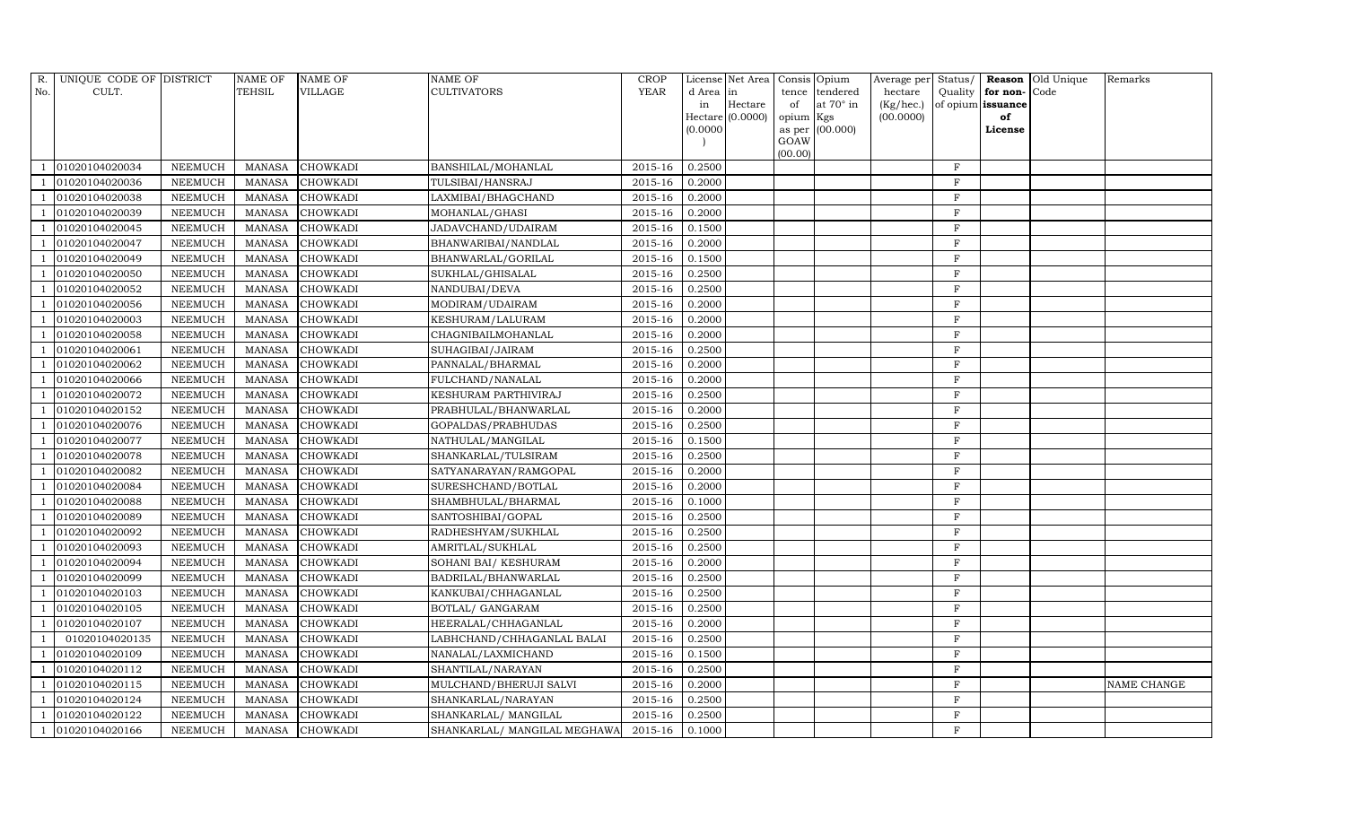| R.             | UNIQUE CODE OF DISTRICT |                | NAME OF       | <b>NAME OF</b>  | <b>NAME OF</b>               | <b>CROP</b> |           | License Net Area |           | Consis Opium     | Average per | Status/      |                   | Reason Old Unique | Remarks            |
|----------------|-------------------------|----------------|---------------|-----------------|------------------------------|-------------|-----------|------------------|-----------|------------------|-------------|--------------|-------------------|-------------------|--------------------|
| No.            | CULT.                   |                | TEHSIL        | <b>VILLAGE</b>  | <b>CULTIVATORS</b>           | YEAR        | d Area in |                  | tence     | tendered         | hectare     | Quality      | for non-Code      |                   |                    |
|                |                         |                |               |                 |                              |             | in        | Hectare          | of        | at $70^\circ$ in | (Kg/hec.)   |              | of opium issuance |                   |                    |
|                |                         |                |               |                 |                              |             |           | Hectare (0.0000) | opium Kgs |                  | (00.0000)   |              | of                |                   |                    |
|                |                         |                |               |                 |                              |             | (0.0000)  |                  | GOAW      | as per (00.000)  |             |              | License           |                   |                    |
|                |                         |                |               |                 |                              |             |           |                  | (00.00)   |                  |             |              |                   |                   |                    |
|                | 01020104020034          | <b>NEEMUCH</b> | MANASA        | <b>CHOWKADI</b> | BANSHILAL/MOHANLAL           | 2015-16     | 0.2500    |                  |           |                  |             | $\mathbf{F}$ |                   |                   |                    |
|                | 01020104020036          | <b>NEEMUCH</b> | <b>MANASA</b> | <b>CHOWKADI</b> | TULSIBAI/HANSRAJ             | 2015-16     | 0.2000    |                  |           |                  |             | $\rm F$      |                   |                   |                    |
|                | 01020104020038          | <b>NEEMUCH</b> | <b>MANASA</b> | <b>CHOWKADI</b> | LAXMIBAI/BHAGCHAND           | 2015-16     | 0.2000    |                  |           |                  |             | F            |                   |                   |                    |
|                | 01020104020039          | <b>NEEMUCH</b> | <b>MANASA</b> | <b>CHOWKADI</b> | MOHANLAL/GHASI               | 2015-16     | 0.2000    |                  |           |                  |             | $\rm F$      |                   |                   |                    |
|                | 01020104020045          | <b>NEEMUCH</b> | <b>MANASA</b> | <b>CHOWKADI</b> | JADAVCHAND/UDAIRAM           | 2015-16     | 0.1500    |                  |           |                  |             | $\mathbf{F}$ |                   |                   |                    |
|                | 01020104020047          | <b>NEEMUCH</b> | <b>MANASA</b> | <b>CHOWKADI</b> | BHANWARIBAI/NANDLAL          | 2015-16     | 0.2000    |                  |           |                  |             | F            |                   |                   |                    |
|                | 01020104020049          | <b>NEEMUCH</b> | <b>MANASA</b> | CHOWKADI        | BHANWARLAL/GORILAL           | 2015-16     | 0.1500    |                  |           |                  |             | $\rm F$      |                   |                   |                    |
|                | 01020104020050          | <b>NEEMUCH</b> | <b>MANASA</b> | <b>CHOWKADI</b> | SUKHLAL/GHISALAL             | 2015-16     | 0.2500    |                  |           |                  |             | $\mathbf{F}$ |                   |                   |                    |
|                | 01020104020052          | <b>NEEMUCH</b> | <b>MANASA</b> | <b>CHOWKADI</b> | NANDUBAI/DEVA                | 2015-16     | 0.2500    |                  |           |                  |             | F            |                   |                   |                    |
|                | 01020104020056          | <b>NEEMUCH</b> | <b>MANASA</b> | <b>CHOWKADI</b> | MODIRAM/UDAIRAM              | 2015-16     | 0.2000    |                  |           |                  |             | F            |                   |                   |                    |
|                | 01020104020003          | <b>NEEMUCH</b> | <b>MANASA</b> | <b>CHOWKADI</b> | KESHURAM/LALURAM             | 2015-16     | 0.2000    |                  |           |                  |             | F            |                   |                   |                    |
|                | 01020104020058          | <b>NEEMUCH</b> | <b>MANASA</b> | <b>CHOWKADI</b> | CHAGNIBAILMOHANLAL           | 2015-16     | 0.2000    |                  |           |                  |             | $\rm F$      |                   |                   |                    |
|                | 01020104020061          | <b>NEEMUCH</b> | <b>MANASA</b> | <b>CHOWKADI</b> | SUHAGIBAI/JAIRAM             | 2015-16     | 0.2500    |                  |           |                  |             | $\rm F$      |                   |                   |                    |
|                | 01020104020062          | <b>NEEMUCH</b> | <b>MANASA</b> | <b>CHOWKADI</b> | PANNALAL/BHARMAL             | 2015-16     | 0.2000    |                  |           |                  |             | $\rm F$      |                   |                   |                    |
|                | 01020104020066          | <b>NEEMUCH</b> | <b>MANASA</b> | <b>CHOWKADI</b> | FULCHAND/NANALAL             | 2015-16     | 0.2000    |                  |           |                  |             | $\mathbf{F}$ |                   |                   |                    |
|                | 01020104020072          | <b>NEEMUCH</b> | <b>MANASA</b> | <b>CHOWKADI</b> | KESHURAM PARTHIVIRAJ         | 2015-16     | 0.2500    |                  |           |                  |             | F            |                   |                   |                    |
|                | 01020104020152          | <b>NEEMUCH</b> | <b>MANASA</b> | <b>CHOWKADI</b> | PRABHULAL/BHANWARLAL         | 2015-16     | 0.2000    |                  |           |                  |             | $\mathbf{F}$ |                   |                   |                    |
|                | 01020104020076          | <b>NEEMUCH</b> | <b>MANASA</b> | <b>CHOWKADI</b> | GOPALDAS/PRABHUDAS           | 2015-16     | 0.2500    |                  |           |                  |             | $\mathbf{F}$ |                   |                   |                    |
|                | 01020104020077          | <b>NEEMUCH</b> | <b>MANASA</b> | <b>CHOWKADI</b> | NATHULAL/MANGILAL            | 2015-16     | 0.1500    |                  |           |                  |             | $\mathbf{F}$ |                   |                   |                    |
|                | 01020104020078          | <b>NEEMUCH</b> | <b>MANASA</b> | CHOWKADI        | SHANKARLAL/TULSIRAM          | 2015-16     | 0.2500    |                  |           |                  |             | $\mathbf{F}$ |                   |                   |                    |
|                | 01020104020082          | <b>NEEMUCH</b> | <b>MANASA</b> | <b>CHOWKADI</b> | SATYANARAYAN/RAMGOPAL        | 2015-16     | 0.2000    |                  |           |                  |             | $\mathbf{F}$ |                   |                   |                    |
|                | 01020104020084          | <b>NEEMUCH</b> | <b>MANASA</b> | <b>CHOWKADI</b> | SURESHCHAND/BOTLAL           | 2015-16     | 0.2000    |                  |           |                  |             | $\rm F$      |                   |                   |                    |
|                | 01020104020088          | <b>NEEMUCH</b> | <b>MANASA</b> | <b>CHOWKADI</b> | SHAMBHULAL/BHARMAL           | 2015-16     | 0.1000    |                  |           |                  |             | $\rm F$      |                   |                   |                    |
|                | 01020104020089          | <b>NEEMUCH</b> | <b>MANASA</b> | <b>CHOWKADI</b> | SANTOSHIBAI/GOPAL            | 2015-16     | 0.2500    |                  |           |                  |             | F            |                   |                   |                    |
|                | 01020104020092          | <b>NEEMUCH</b> | <b>MANASA</b> | <b>CHOWKADI</b> | RADHESHYAM/SUKHLAL           | 2015-16     | 0.2500    |                  |           |                  |             | F            |                   |                   |                    |
|                | 01020104020093          | <b>NEEMUCH</b> | <b>MANASA</b> | CHOWKADI        | AMRITLAL/SUKHLAL             | 2015-16     | 0.2500    |                  |           |                  |             | $\mathbf{F}$ |                   |                   |                    |
|                | 01020104020094          | <b>NEEMUCH</b> | <b>MANASA</b> | <b>CHOWKADI</b> | SOHANI BAI/ KESHURAM         | 2015-16     | 0.2000    |                  |           |                  |             | $\rm F$      |                   |                   |                    |
|                | 01020104020099          | <b>NEEMUCH</b> | <b>MANASA</b> | <b>CHOWKADI</b> | BADRILAL/BHANWARLAL          | 2015-16     | 0.2500    |                  |           |                  |             | F            |                   |                   |                    |
|                | 01020104020103          | <b>NEEMUCH</b> | <b>MANASA</b> | CHOWKADI        | KANKUBAI/CHHAGANLAL          | 2015-16     | 0.2500    |                  |           |                  |             | $\rm F$      |                   |                   |                    |
|                | 01020104020105          | <b>NEEMUCH</b> | <b>MANASA</b> | <b>CHOWKADI</b> | BOTLAL/ GANGARAM             | 2015-16     | 0.2500    |                  |           |                  |             | F            |                   |                   |                    |
|                | 01020104020107          | <b>NEEMUCH</b> | <b>MANASA</b> | <b>CHOWKADI</b> | HEERALAL/CHHAGANLAL          | 2015-16     | 0.2000    |                  |           |                  |             | F            |                   |                   |                    |
| $\overline{1}$ | 01020104020135          | <b>NEEMUCH</b> | <b>MANASA</b> | <b>CHOWKADI</b> | LABHCHAND/CHHAGANLAL BALAI   | 2015-16     | 0.2500    |                  |           |                  |             | F            |                   |                   |                    |
|                | 01020104020109          | <b>NEEMUCH</b> | <b>MANASA</b> | <b>CHOWKADI</b> | NANALAL/LAXMICHAND           | 2015-16     | 0.1500    |                  |           |                  |             | F            |                   |                   |                    |
|                | 01020104020112          | <b>NEEMUCH</b> | <b>MANASA</b> | <b>CHOWKADI</b> | SHANTILAL/NARAYAN            | 2015-16     | 0.2500    |                  |           |                  |             | $\mathbf{F}$ |                   |                   |                    |
|                | 01020104020115          | <b>NEEMUCH</b> | <b>MANASA</b> | <b>CHOWKADI</b> | MULCHAND/BHERUJI SALVI       | 2015-16     | 0.2000    |                  |           |                  |             | F            |                   |                   | <b>NAME CHANGE</b> |
|                | 01020104020124          | <b>NEEMUCH</b> | <b>MANASA</b> | <b>CHOWKADI</b> | SHANKARLAL/NARAYAN           | 2015-16     | 0.2500    |                  |           |                  |             | F            |                   |                   |                    |
|                | 01020104020122          | <b>NEEMUCH</b> | <b>MANASA</b> | <b>CHOWKADI</b> | SHANKARLAL/ MANGILAL         | 2015-16     | 0.2500    |                  |           |                  |             | $\mathbf{F}$ |                   |                   |                    |
|                | 01020104020166          | <b>NEEMUCH</b> | MANASA        | <b>CHOWKADI</b> | SHANKARLAL/ MANGILAL MEGHAWA | 2015-16     | 0.1000    |                  |           |                  |             | F            |                   |                   |                    |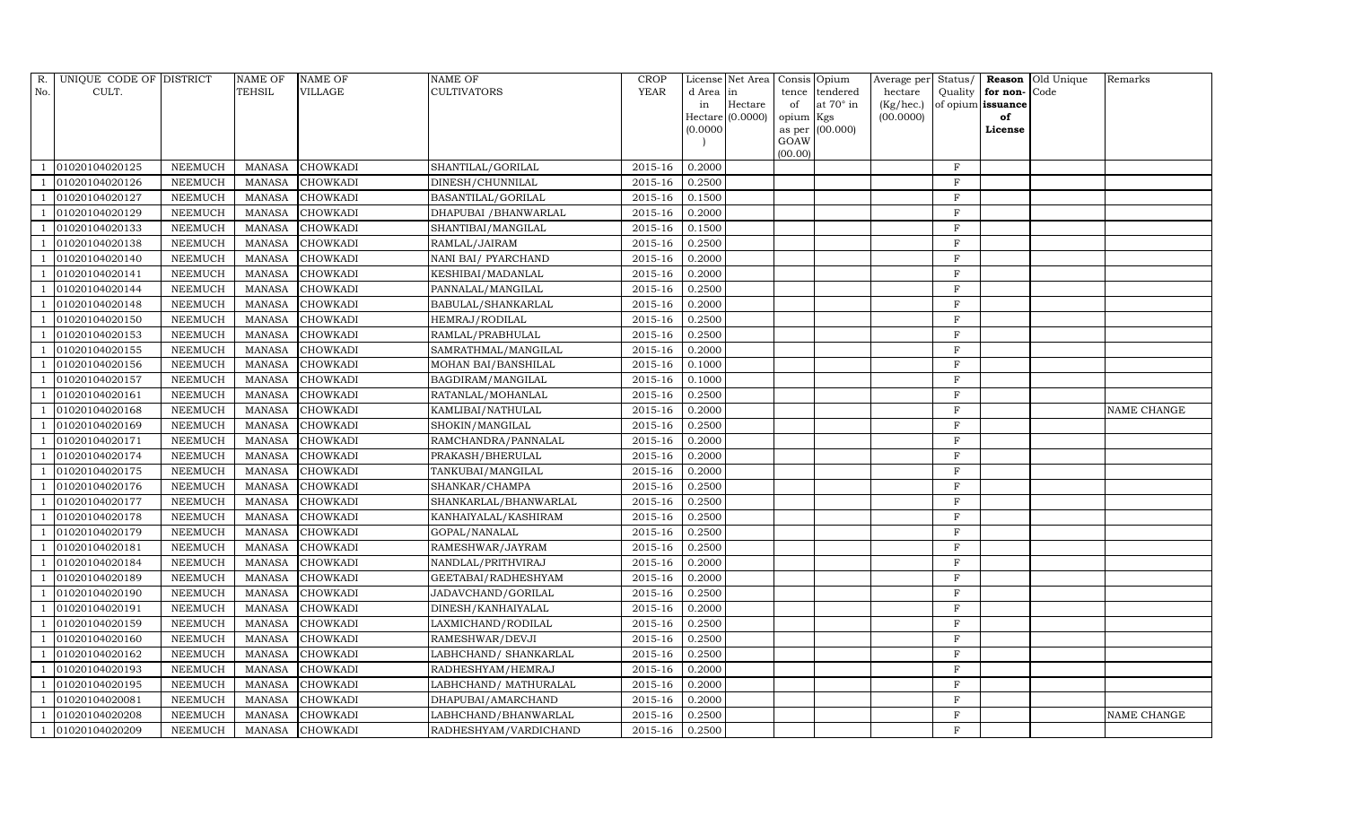| R.  | UNIQUE CODE OF DISTRICT |                | <b>NAME OF</b> | <b>NAME OF</b>  | NAME OF               | <b>CROP</b> |           | License Net Area Consis Opium |           |                  | Average per Status/ |              |                   | Reason Old Unique | Remarks            |
|-----|-------------------------|----------------|----------------|-----------------|-----------------------|-------------|-----------|-------------------------------|-----------|------------------|---------------------|--------------|-------------------|-------------------|--------------------|
| No. | CULT.                   |                | TEHSIL         | <b>VILLAGE</b>  | <b>CULTIVATORS</b>    | YEAR        | d Area in |                               | tence     | tendered         | hectare             | Quality      | for non-          | Code              |                    |
|     |                         |                |                |                 |                       |             | in        | Hectare                       | of        | at $70^\circ$ in | (Kg/hec.)           |              | of opium issuance |                   |                    |
|     |                         |                |                |                 |                       |             |           | $Hectare$ (0.0000)            | opium Kgs |                  | (00.0000)           |              | of                |                   |                    |
|     |                         |                |                |                 |                       |             | (0.0000)  |                               | GOAW      | as per (00.000)  |                     |              | License           |                   |                    |
|     |                         |                |                |                 |                       |             |           |                               | (00.00)   |                  |                     |              |                   |                   |                    |
|     | 01020104020125          | <b>NEEMUCH</b> | <b>MANASA</b>  | <b>CHOWKADI</b> | SHANTILAL/GORILAL     | 2015-16     | 0.2000    |                               |           |                  |                     | $\mathbf F$  |                   |                   |                    |
|     | 01020104020126          | <b>NEEMUCH</b> | <b>MANASA</b>  | <b>CHOWKADI</b> | DINESH/CHUNNILAL      | 2015-16     | 0.2500    |                               |           |                  |                     | $\rm F$      |                   |                   |                    |
|     | 01020104020127          | <b>NEEMUCH</b> | MANASA         | <b>CHOWKADI</b> | BASANTILAL/GORILAL    | 2015-16     | 0.1500    |                               |           |                  |                     | $\mathbf{F}$ |                   |                   |                    |
|     | 01020104020129          | <b>NEEMUCH</b> | <b>MANASA</b>  | <b>CHOWKADI</b> | DHAPUBAI / BHANWARLAL | 2015-16     | 0.2000    |                               |           |                  |                     | $\rm F$      |                   |                   |                    |
|     | 01020104020133          | <b>NEEMUCH</b> | <b>MANASA</b>  | <b>CHOWKADI</b> | SHANTIBAI/MANGILAL    | 2015-16     | 0.1500    |                               |           |                  |                     | $\,$ F       |                   |                   |                    |
|     | 01020104020138          | <b>NEEMUCH</b> | <b>MANASA</b>  | <b>CHOWKADI</b> | RAMLAL/JAIRAM         | 2015-16     | 0.2500    |                               |           |                  |                     | $\rm F$      |                   |                   |                    |
|     | 01020104020140          | <b>NEEMUCH</b> | <b>MANASA</b>  | <b>CHOWKADI</b> | NANI BAI/ PYARCHAND   | 2015-16     | 0.2000    |                               |           |                  |                     | $\mathbf F$  |                   |                   |                    |
|     | 01020104020141          | <b>NEEMUCH</b> | <b>MANASA</b>  | <b>CHOWKADI</b> | KESHIBAI/MADANLAL     | 2015-16     | 0.2000    |                               |           |                  |                     | $\rm F$      |                   |                   |                    |
|     | 01020104020144          | <b>NEEMUCH</b> | <b>MANASA</b>  | <b>CHOWKADI</b> | PANNALAL/MANGILAL     | 2015-16     | 0.2500    |                               |           |                  |                     | F            |                   |                   |                    |
|     | 01020104020148          | <b>NEEMUCH</b> | <b>MANASA</b>  | <b>CHOWKADI</b> | BABULAL/SHANKARLAL    | 2015-16     | 0.2000    |                               |           |                  |                     | $\,$ F       |                   |                   |                    |
|     | 01020104020150          | <b>NEEMUCH</b> | <b>MANASA</b>  | <b>CHOWKADI</b> | HEMRAJ/RODILAL        | 2015-16     | 0.2500    |                               |           |                  |                     | $\mathbf F$  |                   |                   |                    |
|     | 01020104020153          | <b>NEEMUCH</b> | <b>MANASA</b>  | <b>CHOWKADI</b> | RAMLAL/PRABHULAL      | 2015-16     | 0.2500    |                               |           |                  |                     | $\rm F$      |                   |                   |                    |
|     | 01020104020155          | <b>NEEMUCH</b> | <b>MANASA</b>  | <b>CHOWKADI</b> | SAMRATHMAL/MANGILAL   | 2015-16     | 0.2000    |                               |           |                  |                     | $\rm F$      |                   |                   |                    |
|     | 01020104020156          | <b>NEEMUCH</b> | <b>MANASA</b>  | <b>CHOWKADI</b> | MOHAN BAI/BANSHILAL   | 2015-16     | 0.1000    |                               |           |                  |                     | $\rm F$      |                   |                   |                    |
|     | 01020104020157          | <b>NEEMUCH</b> | <b>MANASA</b>  | <b>CHOWKADI</b> | BAGDIRAM/MANGILAL     | 2015-16     | 0.1000    |                               |           |                  |                     | $\rm F$      |                   |                   |                    |
|     | 01020104020161          | <b>NEEMUCH</b> | <b>MANASA</b>  | <b>CHOWKADI</b> | RATANLAL/MOHANLAL     | 2015-16     | 0.2500    |                               |           |                  |                     | $\rm F$      |                   |                   |                    |
|     | 01020104020168          | <b>NEEMUCH</b> | <b>MANASA</b>  | <b>CHOWKADI</b> | KAMLIBAI/NATHULAL     | 2015-16     | 0.2000    |                               |           |                  |                     | $\,$ F       |                   |                   | NAME CHANGE        |
|     | 01020104020169          | <b>NEEMUCH</b> | <b>MANASA</b>  | <b>CHOWKADI</b> | SHOKIN/MANGILAL       | 2015-16     | 0.2500    |                               |           |                  |                     | F            |                   |                   |                    |
|     | 01020104020171          | <b>NEEMUCH</b> | <b>MANASA</b>  | <b>CHOWKADI</b> | RAMCHANDRA/PANNALAL   | 2015-16     | 0.2000    |                               |           |                  |                     | $\mathbf F$  |                   |                   |                    |
|     | 01020104020174          | <b>NEEMUCH</b> | <b>MANASA</b>  | <b>CHOWKADI</b> | PRAKASH/BHERULAL      | 2015-16     | 0.2000    |                               |           |                  |                     | $\,$ F       |                   |                   |                    |
|     | 01020104020175          | <b>NEEMUCH</b> | <b>MANASA</b>  | <b>CHOWKADI</b> | TANKUBAI/MANGILAL     | 2015-16     | 0.2000    |                               |           |                  |                     | $\rm F$      |                   |                   |                    |
|     | 01020104020176          | <b>NEEMUCH</b> | <b>MANASA</b>  | <b>CHOWKADI</b> | SHANKAR/CHAMPA        | 2015-16     | 0.2500    |                               |           |                  |                     | $\rm F$      |                   |                   |                    |
|     | 01020104020177          | <b>NEEMUCH</b> | <b>MANASA</b>  | CHOWKADI        | SHANKARLAL/BHANWARLAL | 2015-16     | 0.2500    |                               |           |                  |                     | $\rm F$      |                   |                   |                    |
|     | 01020104020178          | <b>NEEMUCH</b> | <b>MANASA</b>  | <b>CHOWKADI</b> | KANHAIYALAL/KASHIRAM  | 2015-16     | 0.2500    |                               |           |                  |                     | $\rm F$      |                   |                   |                    |
|     | 01020104020179          | <b>NEEMUCH</b> | <b>MANASA</b>  | <b>CHOWKADI</b> | GOPAL/NANALAL         | 2015-16     | 0.2500    |                               |           |                  |                     | $\mathbf{F}$ |                   |                   |                    |
|     | 01020104020181          | <b>NEEMUCH</b> | <b>MANASA</b>  | <b>CHOWKADI</b> | RAMESHWAR/JAYRAM      | 2015-16     | 0.2500    |                               |           |                  |                     | $\rm F$      |                   |                   |                    |
|     | 01020104020184          | <b>NEEMUCH</b> | <b>MANASA</b>  | <b>CHOWKADI</b> | NANDLAL/PRITHVIRAJ    | 2015-16     | 0.2000    |                               |           |                  |                     | $\rm F$      |                   |                   |                    |
|     | 01020104020189          | <b>NEEMUCH</b> | <b>MANASA</b>  | <b>CHOWKADI</b> | GEETABAI/RADHESHYAM   | 2015-16     | 0.2000    |                               |           |                  |                     | $\rm F$      |                   |                   |                    |
|     | 01020104020190          | <b>NEEMUCH</b> | <b>MANASA</b>  | <b>CHOWKADI</b> | JADAVCHAND/GORILAL    | 2015-16     | 0.2500    |                               |           |                  |                     | $\mathbf F$  |                   |                   |                    |
|     | 01020104020191          | <b>NEEMUCH</b> | <b>MANASA</b>  | <b>CHOWKADI</b> | DINESH/KANHAIYALAL    | 2015-16     | 0.2000    |                               |           |                  |                     | $\rm F$      |                   |                   |                    |
|     | 01020104020159          | <b>NEEMUCH</b> | <b>MANASA</b>  | <b>CHOWKADI</b> | LAXMICHAND/RODILAL    | 2015-16     | 0.2500    |                               |           |                  |                     | $\mathbf{F}$ |                   |                   |                    |
|     | 01020104020160          | <b>NEEMUCH</b> | <b>MANASA</b>  | <b>CHOWKADI</b> | RAMESHWAR/DEVJI       | 2015-16     | 0.2500    |                               |           |                  |                     | $\mathbf{F}$ |                   |                   |                    |
|     | 01020104020162          | <b>NEEMUCH</b> | <b>MANASA</b>  | <b>CHOWKADI</b> | LABHCHAND/ SHANKARLAL | 2015-16     | 0.2500    |                               |           |                  |                     | $\mathbf F$  |                   |                   |                    |
|     | 01020104020193          | <b>NEEMUCH</b> | <b>MANASA</b>  | <b>CHOWKADI</b> | RADHESHYAM/HEMRAJ     | 2015-16     | 0.2000    |                               |           |                  |                     | $\rm F$      |                   |                   |                    |
|     | 01020104020195          | <b>NEEMUCH</b> | <b>MANASA</b>  | <b>CHOWKADI</b> | LABHCHAND/ MATHURALAL | 2015-16     | 0.2000    |                               |           |                  |                     | $\rm F$      |                   |                   |                    |
|     | 01020104020081          | <b>NEEMUCH</b> | <b>MANASA</b>  | CHOWKADI        | DHAPUBAI/AMARCHAND    | 2015-16     | 0.2000    |                               |           |                  |                     | $\,$ F       |                   |                   |                    |
|     | 01020104020208          | <b>NEEMUCH</b> | <b>MANASA</b>  | <b>CHOWKADI</b> | LABHCHAND/BHANWARLAL  | 2015-16     | 0.2500    |                               |           |                  |                     | $\rm F$      |                   |                   | <b>NAME CHANGE</b> |
|     | 01020104020209          | <b>NEEMUCH</b> | MANASA         | <b>CHOWKADI</b> | RADHESHYAM/VARDICHAND | 2015-16     | 0.2500    |                               |           |                  |                     | F            |                   |                   |                    |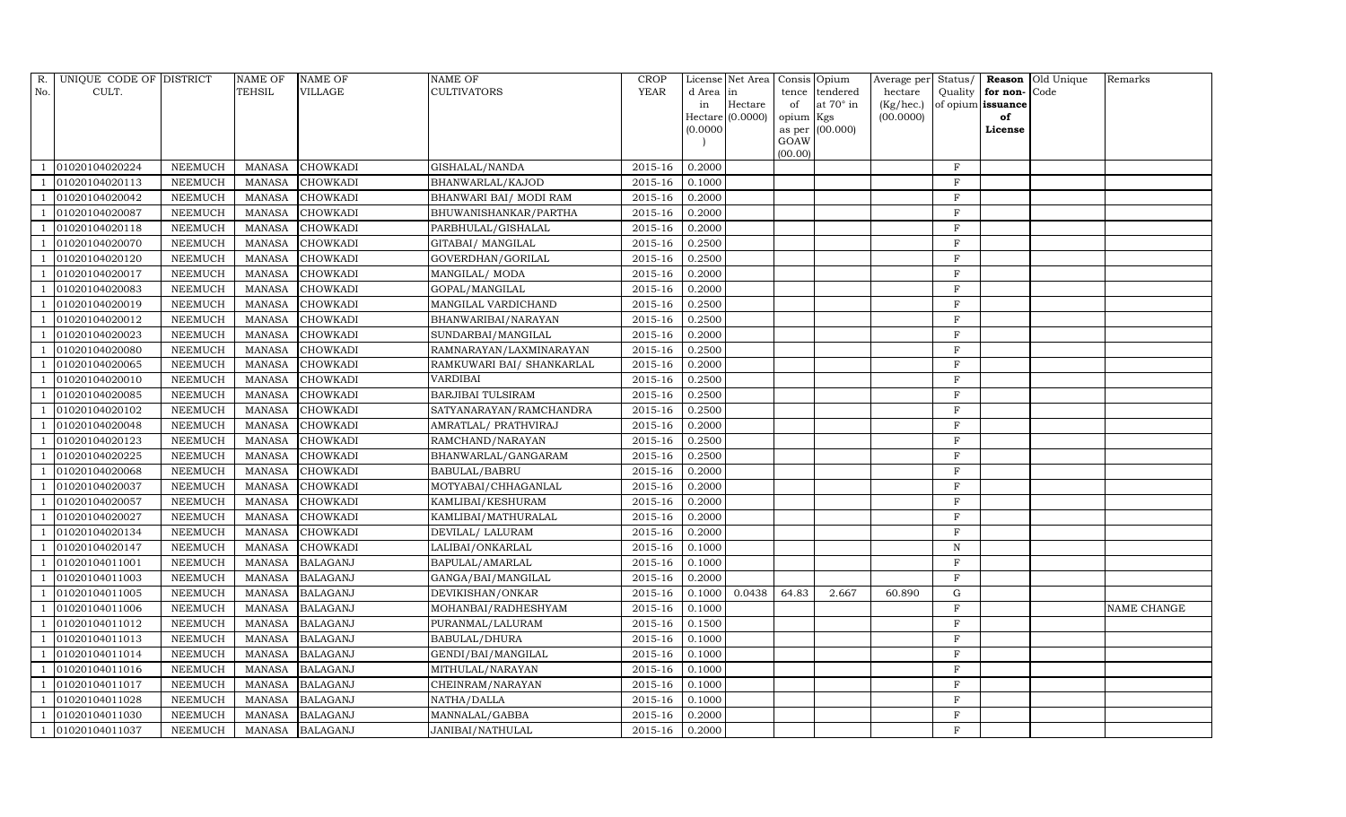| R.  | UNIQUE CODE OF DISTRICT |                | <b>NAME OF</b> | <b>NAME OF</b>  | NAME OF                   | <b>CROP</b> |           | License Net Area |           | Consis Opium     | Average per | Status/      |                   | Reason Old Unique | Remarks            |
|-----|-------------------------|----------------|----------------|-----------------|---------------------------|-------------|-----------|------------------|-----------|------------------|-------------|--------------|-------------------|-------------------|--------------------|
| No. | CULT.                   |                | TEHSIL         | <b>VILLAGE</b>  | <b>CULTIVATORS</b>        | YEAR        | d Area in |                  | tence     | tendered         | hectare     | Quality      | for non-Code      |                   |                    |
|     |                         |                |                |                 |                           |             | in        | Hectare          | of        | at $70^\circ$ in | (Kg/hec.)   |              | of opium issuance |                   |                    |
|     |                         |                |                |                 |                           |             |           | Hectare (0.0000) | opium Kgs | as per (00.000)  | (00.0000)   |              | of                |                   |                    |
|     |                         |                |                |                 |                           |             | (0.0000)  |                  | GOAW      |                  |             |              | License           |                   |                    |
|     |                         |                |                |                 |                           |             |           |                  | (00.00)   |                  |             |              |                   |                   |                    |
|     | 01020104020224          | <b>NEEMUCH</b> | MANASA         | <b>CHOWKADI</b> | GISHALAL/NANDA            | 2015-16     | 0.2000    |                  |           |                  |             | $\rm F$      |                   |                   |                    |
|     | 01020104020113          | <b>NEEMUCH</b> | <b>MANASA</b>  | <b>CHOWKADI</b> | BHANWARLAL/KAJOD          | 2015-16     | 0.1000    |                  |           |                  |             | $\rm F$      |                   |                   |                    |
|     | 01020104020042          | <b>NEEMUCH</b> | <b>MANASA</b>  | <b>CHOWKADI</b> | BHANWARI BAI/ MODI RAM    | 2015-16     | 0.2000    |                  |           |                  |             | F            |                   |                   |                    |
|     | 01020104020087          | <b>NEEMUCH</b> | <b>MANASA</b>  | <b>CHOWKADI</b> | BHUWANISHANKAR/PARTHA     | 2015-16     | 0.2000    |                  |           |                  |             | $\rm F$      |                   |                   |                    |
|     | 01020104020118          | <b>NEEMUCH</b> | <b>MANASA</b>  | <b>CHOWKADI</b> | PARBHULAL/GISHALAL        | 2015-16     | 0.2000    |                  |           |                  |             | $\mathbf{F}$ |                   |                   |                    |
|     | 01020104020070          | <b>NEEMUCH</b> | <b>MANASA</b>  | <b>CHOWKADI</b> | GITABAI/ MANGILAL         | 2015-16     | 0.2500    |                  |           |                  |             | F            |                   |                   |                    |
|     | 01020104020120          | <b>NEEMUCH</b> | <b>MANASA</b>  | CHOWKADI        | GOVERDHAN/GORILAL         | 2015-16     | 0.2500    |                  |           |                  |             | $\rm F$      |                   |                   |                    |
|     | 01020104020017          | <b>NEEMUCH</b> | <b>MANASA</b>  | <b>CHOWKADI</b> | MANGILAL/ MODA            | 2015-16     | 0.2000    |                  |           |                  |             | F            |                   |                   |                    |
|     | 01020104020083          | <b>NEEMUCH</b> | <b>MANASA</b>  | <b>CHOWKADI</b> | GOPAL/MANGILAL            | 2015-16     | 0.2000    |                  |           |                  |             | F            |                   |                   |                    |
|     | 01020104020019          | <b>NEEMUCH</b> | <b>MANASA</b>  | CHOWKADI        | MANGILAL VARDICHAND       | 2015-16     | 0.2500    |                  |           |                  |             | F            |                   |                   |                    |
|     | 01020104020012          | <b>NEEMUCH</b> | <b>MANASA</b>  | <b>CHOWKADI</b> | BHANWARIBAI/NARAYAN       | 2015-16     | 0.2500    |                  |           |                  |             | F            |                   |                   |                    |
|     | 01020104020023          | <b>NEEMUCH</b> | <b>MANASA</b>  | <b>CHOWKADI</b> | SUNDARBAI/MANGILAL        | 2015-16     | 0.2000    |                  |           |                  |             | $\mathbf F$  |                   |                   |                    |
|     | 01020104020080          | <b>NEEMUCH</b> | <b>MANASA</b>  | <b>CHOWKADI</b> | RAMNARAYAN/LAXMINARAYAN   | 2015-16     | 0.2500    |                  |           |                  |             | $\rm F$      |                   |                   |                    |
|     | 01020104020065          | <b>NEEMUCH</b> | <b>MANASA</b>  | <b>CHOWKADI</b> | RAMKUWARI BAI/ SHANKARLAL | 2015-16     | 0.2000    |                  |           |                  |             | $\rm F$      |                   |                   |                    |
|     | 01020104020010          | <b>NEEMUCH</b> | <b>MANASA</b>  | <b>CHOWKADI</b> | <b>VARDIBAI</b>           | 2015-16     | 0.2500    |                  |           |                  |             | F            |                   |                   |                    |
|     | 01020104020085          | <b>NEEMUCH</b> | <b>MANASA</b>  | <b>CHOWKADI</b> | <b>BARJIBAI TULSIRAM</b>  | 2015-16     | 0.2500    |                  |           |                  |             | F            |                   |                   |                    |
|     | 01020104020102          | <b>NEEMUCH</b> | <b>MANASA</b>  | <b>CHOWKADI</b> | SATYANARAYAN/RAMCHANDRA   | 2015-16     | 0.2500    |                  |           |                  |             | F            |                   |                   |                    |
|     | 01020104020048          | <b>NEEMUCH</b> | <b>MANASA</b>  | <b>CHOWKADI</b> | AMRATLAL/ PRATHVIRAJ      | 2015-16     | 0.2000    |                  |           |                  |             | F            |                   |                   |                    |
|     | 01020104020123          | <b>NEEMUCH</b> | <b>MANASA</b>  | <b>CHOWKADI</b> | RAMCHAND/NARAYAN          | 2015-16     | 0.2500    |                  |           |                  |             | $\mathbf{F}$ |                   |                   |                    |
|     | 01020104020225          | <b>NEEMUCH</b> | <b>MANASA</b>  | CHOWKADI        | BHANWARLAL/GANGARAM       | 2015-16     | 0.2500    |                  |           |                  |             | F            |                   |                   |                    |
|     | 01020104020068          | <b>NEEMUCH</b> | <b>MANASA</b>  | <b>CHOWKADI</b> | <b>BABULAL/BABRU</b>      | 2015-16     | 0.2000    |                  |           |                  |             | F            |                   |                   |                    |
|     | 01020104020037          | <b>NEEMUCH</b> | <b>MANASA</b>  | CHOWKADI        | MOTYABAI/CHHAGANLAL       | 2015-16     | 0.2000    |                  |           |                  |             | $\rm F$      |                   |                   |                    |
|     | 01020104020057          | <b>NEEMUCH</b> | <b>MANASA</b>  | <b>CHOWKADI</b> | KAMLIBAI/KESHURAM         | 2015-16     | 0.2000    |                  |           |                  |             | $\rm F$      |                   |                   |                    |
|     | 01020104020027          | <b>NEEMUCH</b> | <b>MANASA</b>  | <b>CHOWKADI</b> | KAMLIBAI/MATHURALAL       | 2015-16     | 0.2000    |                  |           |                  |             | F            |                   |                   |                    |
|     | 01020104020134          | <b>NEEMUCH</b> | <b>MANASA</b>  | <b>CHOWKADI</b> | DEVILAL/ LALURAM          | 2015-16     | 0.2000    |                  |           |                  |             | F            |                   |                   |                    |
|     | 01020104020147          | <b>NEEMUCH</b> | <b>MANASA</b>  | CHOWKADI        | LALIBAI/ONKARLAL          | 2015-16     | 0.1000    |                  |           |                  |             | $\, {\bf N}$ |                   |                   |                    |
|     | 01020104011001          | <b>NEEMUCH</b> | <b>MANASA</b>  | <b>BALAGANJ</b> | BAPULAL/AMARLAL           | 2015-16     | 0.1000    |                  |           |                  |             | $\rm F$      |                   |                   |                    |
|     | 01020104011003          | <b>NEEMUCH</b> | <b>MANASA</b>  | <b>BALAGANJ</b> | GANGA/BAI/MANGILAL        | 2015-16     | 0.2000    |                  |           |                  |             | F            |                   |                   |                    |
|     | 01020104011005          | <b>NEEMUCH</b> | <b>MANASA</b>  | <b>BALAGANJ</b> | DEVIKISHAN/ONKAR          | 2015-16     | 0.1000    | 0.0438           | 64.83     | 2.667            | 60.890      | ${\rm G}$    |                   |                   |                    |
|     | 01020104011006          | <b>NEEMUCH</b> | <b>MANASA</b>  | <b>BALAGANJ</b> | MOHANBAI/RADHESHYAM       | 2015-16     | 0.1000    |                  |           |                  |             | $\mathbf{F}$ |                   |                   | <b>NAME CHANGE</b> |
|     | 01020104011012          | <b>NEEMUCH</b> | <b>MANASA</b>  | <b>BALAGANJ</b> | PURANMAL/LALURAM          | 2015-16     | 0.1500    |                  |           |                  |             | F            |                   |                   |                    |
|     | 01020104011013          | <b>NEEMUCH</b> | <b>MANASA</b>  | <b>BALAGANJ</b> | BABULAL/DHURA             | 2015-16     | 0.1000    |                  |           |                  |             | F            |                   |                   |                    |
|     | 01020104011014          | <b>NEEMUCH</b> | <b>MANASA</b>  | <b>BALAGANJ</b> | GENDI/BAI/MANGILAL        | 2015-16     | 0.1000    |                  |           |                  |             | F            |                   |                   |                    |
|     | 01020104011016          | <b>NEEMUCH</b> | <b>MANASA</b>  | <b>BALAGANJ</b> | MITHULAL/NARAYAN          | 2015-16     | 0.1000    |                  |           |                  |             | $\mathbf{F}$ |                   |                   |                    |
|     | 01020104011017          | <b>NEEMUCH</b> | <b>MANASA</b>  | <b>BALAGANJ</b> | CHEINRAM/NARAYAN          | 2015-16     | 0.1000    |                  |           |                  |             | F            |                   |                   |                    |
|     | 01020104011028          | <b>NEEMUCH</b> | <b>MANASA</b>  | <b>BALAGANJ</b> | NATHA/DALLA               | 2015-16     | 0.1000    |                  |           |                  |             | F            |                   |                   |                    |
|     | 01020104011030          | <b>NEEMUCH</b> | <b>MANASA</b>  | <b>BALAGANJ</b> | MANNALAL/GABBA            | 2015-16     | 0.2000    |                  |           |                  |             | $\mathbf{F}$ |                   |                   |                    |
|     | 01020104011037          | <b>NEEMUCH</b> |                | MANASA BALAGANJ | JANIBAI/NATHULAL          | 2015-16     | 0.2000    |                  |           |                  |             | F            |                   |                   |                    |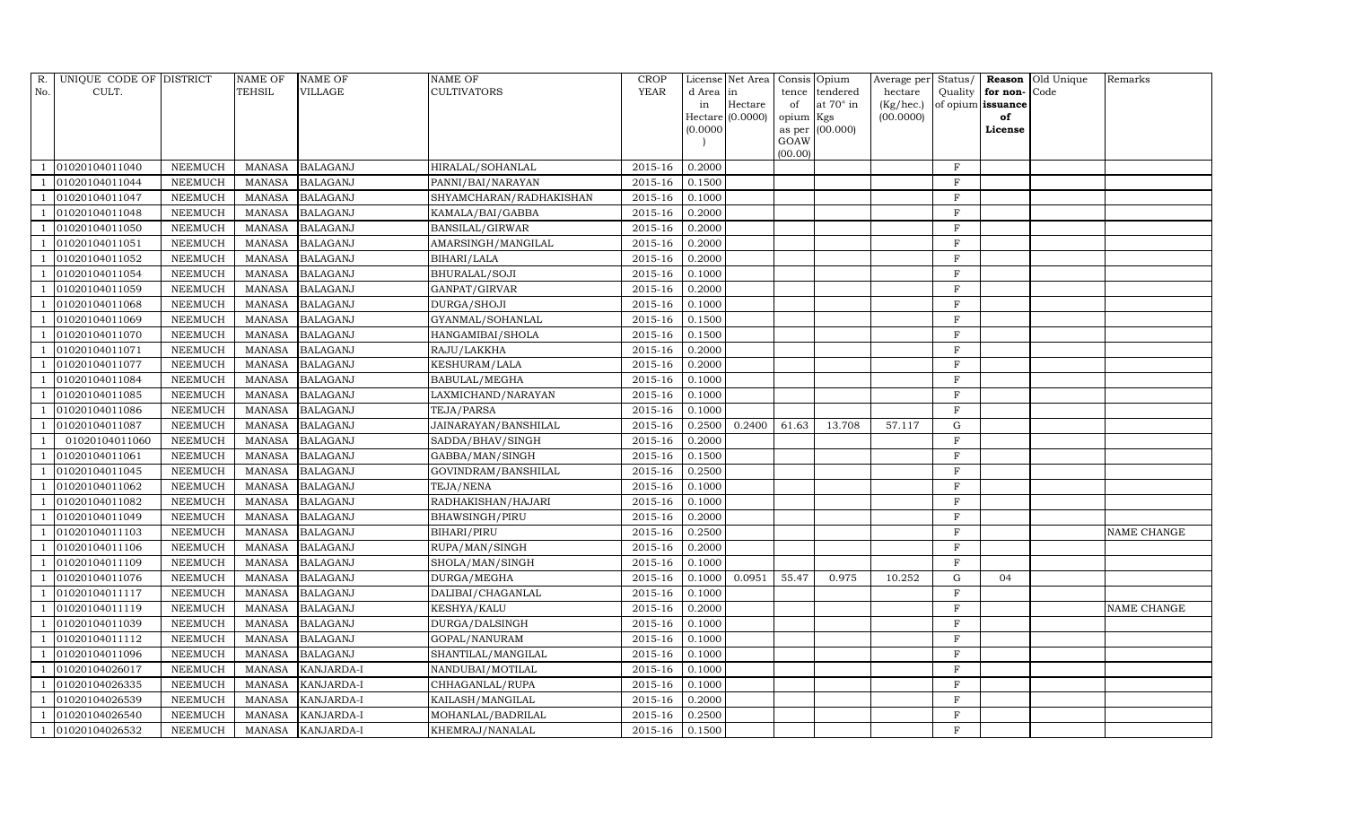| R.                       | UNIQUE CODE OF DISTRICT |                | NAME OF       | <b>NAME OF</b>    | <b>NAME OF</b>          | <b>CROP</b> |          | License Net Area   Consis   Opium |           |                  | Average per | Status/      |                   | Reason Old Unique | Remarks            |
|--------------------------|-------------------------|----------------|---------------|-------------------|-------------------------|-------------|----------|-----------------------------------|-----------|------------------|-------------|--------------|-------------------|-------------------|--------------------|
| No.                      | CULT.                   |                | TEHSIL        | <b>VILLAGE</b>    | <b>CULTIVATORS</b>      | YEAR        | d Area   | in                                | tence     | tendered         | hectare     | Quality      | for non-          | Code              |                    |
|                          |                         |                |               |                   |                         |             | in       | Hectare                           | of        | at $70^\circ$ in | (Kg/hec.)   |              | of opium issuance |                   |                    |
|                          |                         |                |               |                   |                         |             |          | $Hectare$ (0.0000)                | opium Kgs |                  | (00.0000)   |              | of                |                   |                    |
|                          |                         |                |               |                   |                         |             | (0.0000) |                                   | GOAW      | as per (00.000)  |             |              | License           |                   |                    |
|                          |                         |                |               |                   |                         |             |          |                                   | (00.00)   |                  |             |              |                   |                   |                    |
|                          | 01020104011040          | <b>NEEMUCH</b> | MANASA        | <b>BALAGANJ</b>   | HIRALAL/SOHANLAL        | 2015-16     | 0.2000   |                                   |           |                  |             | $\mathbf F$  |                   |                   |                    |
|                          | 01020104011044          | <b>NEEMUCH</b> | <b>MANASA</b> | <b>BALAGANJ</b>   | PANNI/BAI/NARAYAN       | 2015-16     | 0.1500   |                                   |           |                  |             | $\rm F$      |                   |                   |                    |
|                          | 01020104011047          | <b>NEEMUCH</b> | MANASA        | <b>BALAGANJ</b>   | SHYAMCHARAN/RADHAKISHAN | 2015-16     | 0.1000   |                                   |           |                  |             | $\mathbf{F}$ |                   |                   |                    |
|                          | 01020104011048          | <b>NEEMUCH</b> | <b>MANASA</b> | <b>BALAGANJ</b>   | KAMALA/BAI/GABBA        | 2015-16     | 0.2000   |                                   |           |                  |             | $\rm F$      |                   |                   |                    |
|                          | 01020104011050          | <b>NEEMUCH</b> | <b>MANASA</b> | <b>BALAGANJ</b>   | BANSILAL/GIRWAR         | 2015-16     | 0.2000   |                                   |           |                  |             | $\rm F$      |                   |                   |                    |
|                          | 01020104011051          | <b>NEEMUCH</b> | <b>MANASA</b> | <b>BALAGANJ</b>   | AMARSINGH/MANGILAL      | 2015-16     | 0.2000   |                                   |           |                  |             | $\rm F$      |                   |                   |                    |
|                          | 01020104011052          | <b>NEEMUCH</b> | <b>MANASA</b> | <b>BALAGANJ</b>   | BIHARI/LALA             | 2015-16     | 0.2000   |                                   |           |                  |             | $\mathbf F$  |                   |                   |                    |
|                          | 01020104011054          | <b>NEEMUCH</b> | <b>MANASA</b> | <b>BALAGANJ</b>   | BHURALAL/SOJI           | 2015-16     | 0.1000   |                                   |           |                  |             | $\rm F$      |                   |                   |                    |
|                          | 01020104011059          | <b>NEEMUCH</b> | MANASA        | <b>BALAGANJ</b>   | GANPAT/GIRVAR           | 2015-16     | 0.2000   |                                   |           |                  |             | F            |                   |                   |                    |
|                          | 01020104011068          | <b>NEEMUCH</b> | <b>MANASA</b> | <b>BALAGANJ</b>   | DURGA/SHOJI             | 2015-16     | 0.1000   |                                   |           |                  |             | $\rm F$      |                   |                   |                    |
|                          | 01020104011069          | <b>NEEMUCH</b> | <b>MANASA</b> | <b>BALAGANJ</b>   | GYANMAL/SOHANLAL        | 2015-16     | 0.1500   |                                   |           |                  |             | $\mathbf F$  |                   |                   |                    |
|                          | 01020104011070          | <b>NEEMUCH</b> | <b>MANASA</b> | <b>BALAGANJ</b>   | HANGAMIBAI/SHOLA        | 2015-16     | 0.1500   |                                   |           |                  |             | $\rm F$      |                   |                   |                    |
|                          | 01020104011071          | <b>NEEMUCH</b> | <b>MANASA</b> | <b>BALAGANJ</b>   | RAJU/LAKKHA             | 2015-16     | 0.2000   |                                   |           |                  |             | $\rm F$      |                   |                   |                    |
|                          | 01020104011077          | <b>NEEMUCH</b> | <b>MANASA</b> | <b>BALAGANJ</b>   | KESHURAM/LALA           | 2015-16     | 0.2000   |                                   |           |                  |             | $\mathbf{F}$ |                   |                   |                    |
|                          | 01020104011084          | <b>NEEMUCH</b> | <b>MANASA</b> | <b>BALAGANJ</b>   | BABULAL/MEGHA           | 2015-16     | 0.1000   |                                   |           |                  |             | $\rm F$      |                   |                   |                    |
|                          | 01020104011085          | <b>NEEMUCH</b> | <b>MANASA</b> | <b>BALAGANJ</b>   | LAXMICHAND/NARAYAN      | 2015-16     | 0.1000   |                                   |           |                  |             | $\rm F$      |                   |                   |                    |
|                          | 01020104011086          | <b>NEEMUCH</b> | <b>MANASA</b> | <b>BALAGANJ</b>   | TEJA/PARSA              | 2015-16     | 0.1000   |                                   |           |                  |             | $\rm F$      |                   |                   |                    |
|                          | 01020104011087          | <b>NEEMUCH</b> | <b>MANASA</b> | <b>BALAGANJ</b>   | JAINARAYAN/BANSHILAL    | 2015-16     | 0.2500   | 0.2400                            | 61.63     | 13.708           | 57.117      | ${\rm G}$    |                   |                   |                    |
|                          | 01020104011060          | <b>NEEMUCH</b> | <b>MANASA</b> | <b>BALAGANJ</b>   | SADDA/BHAV/SINGH        | 2015-16     | 0.2000   |                                   |           |                  |             | $\mathbf F$  |                   |                   |                    |
| $\overline{\phantom{0}}$ | 01020104011061          | <b>NEEMUCH</b> | <b>MANASA</b> | <b>BALAGANJ</b>   | GABBA/MAN/SINGH         | 2015-16     | 0.1500   |                                   |           |                  |             | $\rm F$      |                   |                   |                    |
|                          | 01020104011045          | <b>NEEMUCH</b> | <b>MANASA</b> | <b>BALAGANJ</b>   | GOVINDRAM/BANSHILAL     | 2015-16     | 0.2500   |                                   |           |                  |             | $\rm F$      |                   |                   |                    |
|                          | 01020104011062          | <b>NEEMUCH</b> | <b>MANASA</b> | <b>BALAGANJ</b>   | TEJA/NENA               | 2015-16     | 0.1000   |                                   |           |                  |             | $\rm F$      |                   |                   |                    |
|                          | 01020104011082          | <b>NEEMUCH</b> | <b>MANASA</b> | <b>BALAGANJ</b>   | RADHAKISHAN/HAJARI      | 2015-16     | 0.1000   |                                   |           |                  |             | $\rm F$      |                   |                   |                    |
|                          | 01020104011049          | <b>NEEMUCH</b> | <b>MANASA</b> | <b>BALAGANJ</b>   | BHAWSINGH/PIRU          | 2015-16     | 0.2000   |                                   |           |                  |             | $\mathbf{F}$ |                   |                   |                    |
|                          | 01020104011103          | <b>NEEMUCH</b> | <b>MANASA</b> | <b>BALAGANJ</b>   | BIHARI/PIRU             | 2015-16     | 0.2500   |                                   |           |                  |             | $\mathbf{F}$ |                   |                   | NAME CHANGE        |
|                          | 01020104011106          | <b>NEEMUCH</b> | <b>MANASA</b> | <b>BALAGANJ</b>   | RUPA/MAN/SINGH          | 2015-16     | 0.2000   |                                   |           |                  |             | $\rm F$      |                   |                   |                    |
|                          | 01020104011109          | <b>NEEMUCH</b> | <b>MANASA</b> | <b>BALAGANJ</b>   | SHOLA/MAN/SINGH         | 2015-16     | 0.1000   |                                   |           |                  |             | $\rm F$      |                   |                   |                    |
|                          | 01020104011076          | <b>NEEMUCH</b> | <b>MANASA</b> | <b>BALAGANJ</b>   | DURGA/MEGHA             | 2015-16     | 0.1000   | 0.0951                            | 55.47     | 0.975            | 10.252      | $\mathbf G$  | 04                |                   |                    |
|                          | 01020104011117          | <b>NEEMUCH</b> | <b>MANASA</b> | <b>BALAGANJ</b>   | DALIBAI/CHAGANLAL       | 2015-16     | 0.1000   |                                   |           |                  |             | $\mathbf F$  |                   |                   |                    |
|                          | 01020104011119          | <b>NEEMUCH</b> | <b>MANASA</b> | <b>BALAGANJ</b>   | KESHYA/KALU             | 2015-16     | 0.2000   |                                   |           |                  |             | F            |                   |                   | <b>NAME CHANGE</b> |
|                          | 01020104011039          | <b>NEEMUCH</b> | <b>MANASA</b> | <b>BALAGANJ</b>   | DURGA/DALSINGH          | 2015-16     | 0.1000   |                                   |           |                  |             | $\mathbf{F}$ |                   |                   |                    |
|                          | 01020104011112          | <b>NEEMUCH</b> | <b>MANASA</b> | <b>BALAGANJ</b>   | GOPAL/NANURAM           | 2015-16     | 0.1000   |                                   |           |                  |             | $\rm F$      |                   |                   |                    |
|                          | 01020104011096          | <b>NEEMUCH</b> | <b>MANASA</b> | <b>BALAGANJ</b>   | SHANTILAL/MANGILAL      | 2015-16     | 0.1000   |                                   |           |                  |             | $\mathbf F$  |                   |                   |                    |
|                          | 01020104026017          | <b>NEEMUCH</b> | <b>MANASA</b> | KANJARDA-I        | NANDUBAI/MOTILAL        | 2015-16     | 0.1000   |                                   |           |                  |             | $\rm F$      |                   |                   |                    |
|                          | 01020104026335          | <b>NEEMUCH</b> | <b>MANASA</b> | KANJARDA-I        | CHHAGANLAL/RUPA         | 2015-16     | 0.1000   |                                   |           |                  |             | $\rm F$      |                   |                   |                    |
|                          | 01020104026539          | <b>NEEMUCH</b> | <b>MANASA</b> | KANJARDA-I        | KAILASH/MANGILAL        | 2015-16     | 0.2000   |                                   |           |                  |             | $\rm F$      |                   |                   |                    |
|                          | 01020104026540          | <b>NEEMUCH</b> | <b>MANASA</b> | KANJARDA-I        | MOHANLAL/BADRILAL       | 2015-16     | 0.2500   |                                   |           |                  |             | $\rm F$      |                   |                   |                    |
|                          | 01020104026532          | <b>NEEMUCH</b> |               | MANASA KANJARDA-I | KHEMRAJ/NANALAL         | 2015-16     | 0.1500   |                                   |           |                  |             | $\mathbf F$  |                   |                   |                    |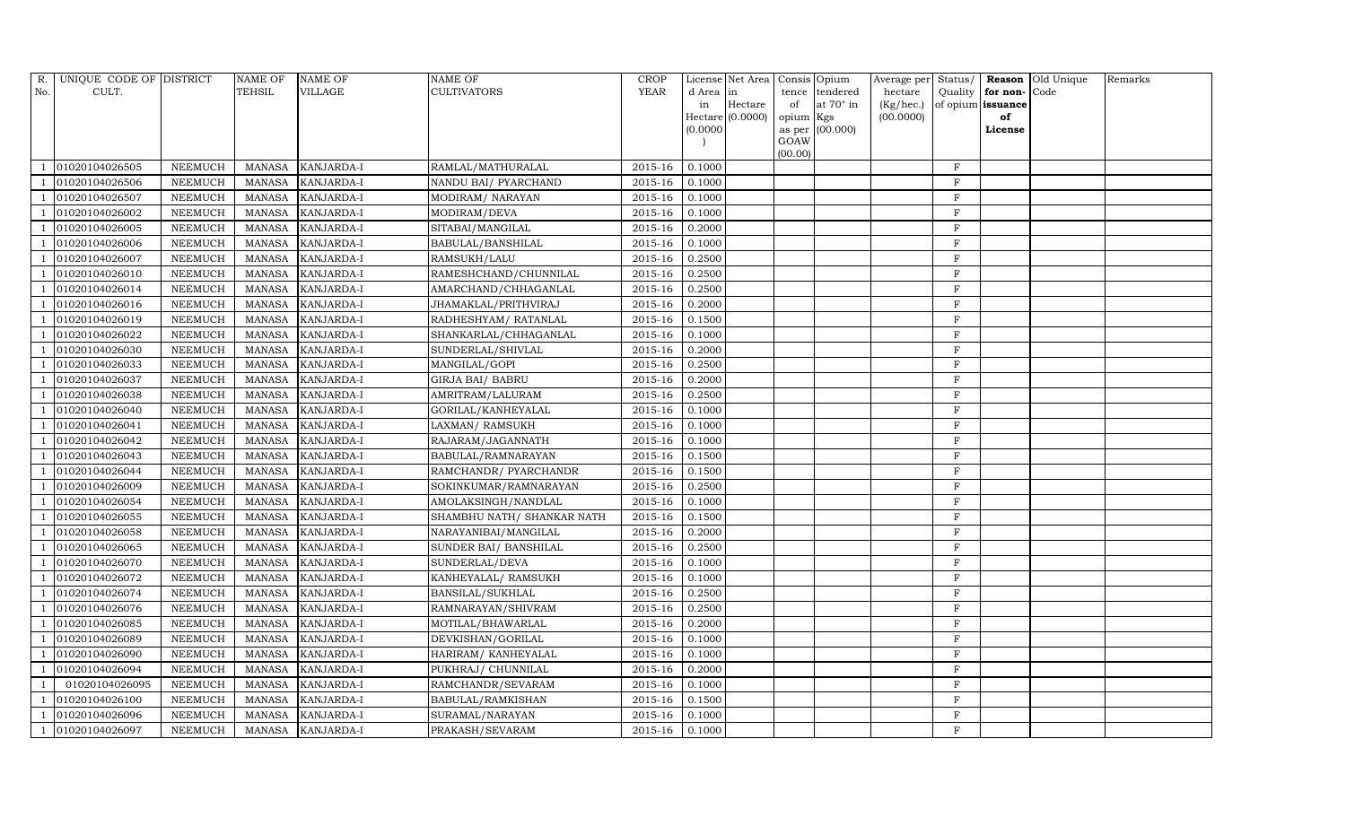| R.             | UNIQUE CODE OF DISTRICT |                | <b>NAME OF</b> | <b>NAME OF</b>    | <b>NAME OF</b>              | <b>CROP</b> |           | License Net Area Consis Opium |           |                 | Average per Status/ |              |                   | Reason Old Unique | Remarks |
|----------------|-------------------------|----------------|----------------|-------------------|-----------------------------|-------------|-----------|-------------------------------|-----------|-----------------|---------------------|--------------|-------------------|-------------------|---------|
| No.            | CULT.                   |                | <b>TEHSIL</b>  | <b>VILLAGE</b>    | <b>CULTIVATORS</b>          | YEAR        | d Area in |                               |           | tence tendered  | hectare             | Quality      | for non-          | Code              |         |
|                |                         |                |                |                   |                             |             | in        | Hectare                       | of        | at 70° in       | (Kg/hec.)           |              | of opium issuance |                   |         |
|                |                         |                |                |                   |                             |             |           | $Hectare$ (0.0000)            | opium Kgs |                 | (00.0000)           |              | of                |                   |         |
|                |                         |                |                |                   |                             |             | (0.0000)  |                               | GOAW      | as per (00.000) |                     |              | License           |                   |         |
|                |                         |                |                |                   |                             |             |           |                               | (00.00)   |                 |                     |              |                   |                   |         |
|                | 01020104026505          | <b>NEEMUCH</b> |                | MANASA KANJARDA-I | RAMLAL/MATHURALAL           | 2015-16     | 0.1000    |                               |           |                 |                     | $\mathbf F$  |                   |                   |         |
|                | 01020104026506          | <b>NEEMUCH</b> | <b>MANASA</b>  | KANJARDA-I        | NANDU BAI / PYARCHAND       | 2015-16     | 0.1000    |                               |           |                 |                     | $\mathbf F$  |                   |                   |         |
|                | 01020104026507          | <b>NEEMUCH</b> | <b>MANASA</b>  | KANJARDA-I        | MODIRAM/NARAYAN             | 2015-16     | 0.1000    |                               |           |                 |                     | $\mathbf{F}$ |                   |                   |         |
|                | 01020104026002          | <b>NEEMUCH</b> | <b>MANASA</b>  | KANJARDA-I        | MODIRAM/DEVA                | 2015-16     | 0.1000    |                               |           |                 |                     | $\rm F$      |                   |                   |         |
|                | 01020104026005          | <b>NEEMUCH</b> | <b>MANASA</b>  | KANJARDA-I        | SITABAI/MANGILAL            | 2015-16     | 0.2000    |                               |           |                 |                     | $\mathbf F$  |                   |                   |         |
|                | 01020104026006          | <b>NEEMUCH</b> | <b>MANASA</b>  | KANJARDA-I        | BABULAL/BANSHILAL           | 2015-16     | 0.1000    |                               |           |                 |                     | F            |                   |                   |         |
|                | 01020104026007          | <b>NEEMUCH</b> | <b>MANASA</b>  | KANJARDA-I        | RAMSUKH/LALU                | 2015-16     | 0.2500    |                               |           |                 |                     | $\rm F$      |                   |                   |         |
|                | 01020104026010          | <b>NEEMUCH</b> | <b>MANASA</b>  | <b>KANJARDA-I</b> | RAMESHCHAND/CHUNNILAL       | 2015-16     | 0.2500    |                               |           |                 |                     | F            |                   |                   |         |
|                | 01020104026014          | <b>NEEMUCH</b> | <b>MANASA</b>  | KANJARDA-I        | AMARCHAND/CHHAGANLAL        | 2015-16     | 0.2500    |                               |           |                 |                     | F            |                   |                   |         |
|                | 01020104026016          | <b>NEEMUCH</b> | <b>MANASA</b>  | KANJARDA-I        | JHAMAKLAL/PRITHVIRAJ        | 2015-16     | 0.2000    |                               |           |                 |                     | $\mathbf{F}$ |                   |                   |         |
|                | 01020104026019          | <b>NEEMUCH</b> | <b>MANASA</b>  | KANJARDA-I        | RADHESHYAM/ RATANLAL        | 2015-16     | 0.1500    |                               |           |                 |                     | F            |                   |                   |         |
|                | 01020104026022          | <b>NEEMUCH</b> | <b>MANASA</b>  | KANJARDA-I        | SHANKARLAL/CHHAGANLAL       | 2015-16     | 0.1000    |                               |           |                 |                     | $\mathbf F$  |                   |                   |         |
|                | 01020104026030          | <b>NEEMUCH</b> | <b>MANASA</b>  | KANJARDA-I        | SUNDERLAL/SHIVLAL           | 2015-16     | 0.2000    |                               |           |                 |                     | F            |                   |                   |         |
|                | 01020104026033          | <b>NEEMUCH</b> | <b>MANASA</b>  | KANJARDA-I        | MANGILAL/GOPI               | 2015-16     | 0.2500    |                               |           |                 |                     | F            |                   |                   |         |
|                | 01020104026037          | <b>NEEMUCH</b> | <b>MANASA</b>  | KANJARDA-I        | <b>GIRJA BAI/ BABRU</b>     | 2015-16     | 0.2000    |                               |           |                 |                     | F            |                   |                   |         |
|                | 01020104026038          | <b>NEEMUCH</b> | <b>MANASA</b>  | KANJARDA-I        | AMRITRAM/LALURAM            | 2015-16     | 0.2500    |                               |           |                 |                     | F            |                   |                   |         |
|                | 01020104026040          | <b>NEEMUCH</b> | <b>MANASA</b>  | KANJARDA-I        | GORILAL/KANHEYALAL          | 2015-16     | 0.1000    |                               |           |                 |                     | $\mathbf F$  |                   |                   |         |
|                | 01020104026041          | <b>NEEMUCH</b> | <b>MANASA</b>  | KANJARDA-I        | LAXMAN/ RAMSUKH             | 2015-16     | 0.1000    |                               |           |                 |                     | $\mathbf{F}$ |                   |                   |         |
|                | 01020104026042          | <b>NEEMUCH</b> | <b>MANASA</b>  | KANJARDA-I        | RAJARAM/JAGANNATH           | 2015-16     | 0.1000    |                               |           |                 |                     | $\rm F$      |                   |                   |         |
|                | 01020104026043          | <b>NEEMUCH</b> | <b>MANASA</b>  | KANJARDA-I        | BABULAL/RAMNARAYAN          | 2015-16     | 0.1500    |                               |           |                 |                     | F            |                   |                   |         |
|                | 01020104026044          | <b>NEEMUCH</b> | <b>MANASA</b>  | KANJARDA-I        | RAMCHANDR/ PYARCHANDR       | 2015-16     | 0.1500    |                               |           |                 |                     | F            |                   |                   |         |
|                | 01020104026009          | <b>NEEMUCH</b> | <b>MANASA</b>  | KANJARDA-I        | SOKINKUMAR/RAMNARAYAN       | 2015-16     | 0.2500    |                               |           |                 |                     | $\mathbf F$  |                   |                   |         |
|                | 01020104026054          | <b>NEEMUCH</b> | <b>MANASA</b>  | KANJARDA-I        | AMOLAKSINGH/NANDLAL         | 2015-16     | 0.1000    |                               |           |                 |                     | $\rm F$      |                   |                   |         |
|                | 01020104026055          | <b>NEEMUCH</b> | <b>MANASA</b>  | KANJARDA-I        | SHAMBHU NATH / SHANKAR NATH | 2015-16     | 0.1500    |                               |           |                 |                     | $\mathbf F$  |                   |                   |         |
|                | 01020104026058          | <b>NEEMUCH</b> | <b>MANASA</b>  | KANJARDA-I        | NARAYANIBAI/MANGILAL        | $2015 - 16$ | 0.2000    |                               |           |                 |                     | F            |                   |                   |         |
|                | 01020104026065          | <b>NEEMUCH</b> | <b>MANASA</b>  | KANJARDA-I        | SUNDER BAI/ BANSHILAL       | 2015-16     | 0.2500    |                               |           |                 |                     | $\mathbf F$  |                   |                   |         |
|                | 01020104026070          | <b>NEEMUCH</b> | <b>MANASA</b>  | KANJARDA-I        | SUNDERLAL/DEVA              | 2015-16     | 0.1000    |                               |           |                 |                     | $\mathbf F$  |                   |                   |         |
|                | 01020104026072          | <b>NEEMUCH</b> | <b>MANASA</b>  | KANJARDA-I        | KANHEYALAL/ RAMSUKH         | 2015-16     | 0.1000    |                               |           |                 |                     | F            |                   |                   |         |
|                | 01020104026074          | <b>NEEMUCH</b> | <b>MANASA</b>  | KANJARDA-I        | BANSILAL/SUKHLAL            | 2015-16     | 0.2500    |                               |           |                 |                     | $\rm F$      |                   |                   |         |
|                | 01020104026076          | <b>NEEMUCH</b> | <b>MANASA</b>  | KANJARDA-I        | RAMNARAYAN/SHIVRAM          | 2015-16     | 0.2500    |                               |           |                 |                     | F            |                   |                   |         |
|                | 01020104026085          | <b>NEEMUCH</b> | <b>MANASA</b>  | KANJARDA-I        | MOTILAL/BHAWARLAL           | 2015-16     | 0.2000    |                               |           |                 |                     | F            |                   |                   |         |
|                | 01020104026089          | <b>NEEMUCH</b> | <b>MANASA</b>  | KANJARDA-I        | DEVKISHAN/GORILAL           | 2015-16     | 0.1000    |                               |           |                 |                     | $\mathbf{F}$ |                   |                   |         |
|                | 01020104026090          | <b>NEEMUCH</b> | <b>MANASA</b>  | KANJARDA-I        | HARIRAM/KANHEYALAL          | 2015-16     | 0.1000    |                               |           |                 |                     | F            |                   |                   |         |
|                | 01020104026094          | <b>NEEMUCH</b> | <b>MANASA</b>  | KANJARDA-I        | PUKHRAJ/ CHUNNILAL          | 2015-16     | 0.2000    |                               |           |                 |                     | $\mathbf F$  |                   |                   |         |
| $\overline{1}$ | 01020104026095          | <b>NEEMUCH</b> | <b>MANASA</b>  | <b>KANJARDA-I</b> | RAMCHANDR/SEVARAM           | 2015-16     | 0.1000    |                               |           |                 |                     | F            |                   |                   |         |
|                | 01020104026100          | <b>NEEMUCH</b> | <b>MANASA</b>  | KANJARDA-I        | BABULAL/RAMKISHAN           | 2015-16     | 0.1500    |                               |           |                 |                     | F            |                   |                   |         |
|                | 01020104026096          | <b>NEEMUCH</b> | <b>MANASA</b>  | KANJARDA-I        | SURAMAL/NARAYAN             | 2015-16     | 0.1000    |                               |           |                 |                     | F            |                   |                   |         |
|                | 01020104026097          | <b>NEEMUCH</b> |                | MANASA KANJARDA-I | PRAKASH/SEVARAM             | 2015-16     | 0.1000    |                               |           |                 |                     | $_{\rm F}$   |                   |                   |         |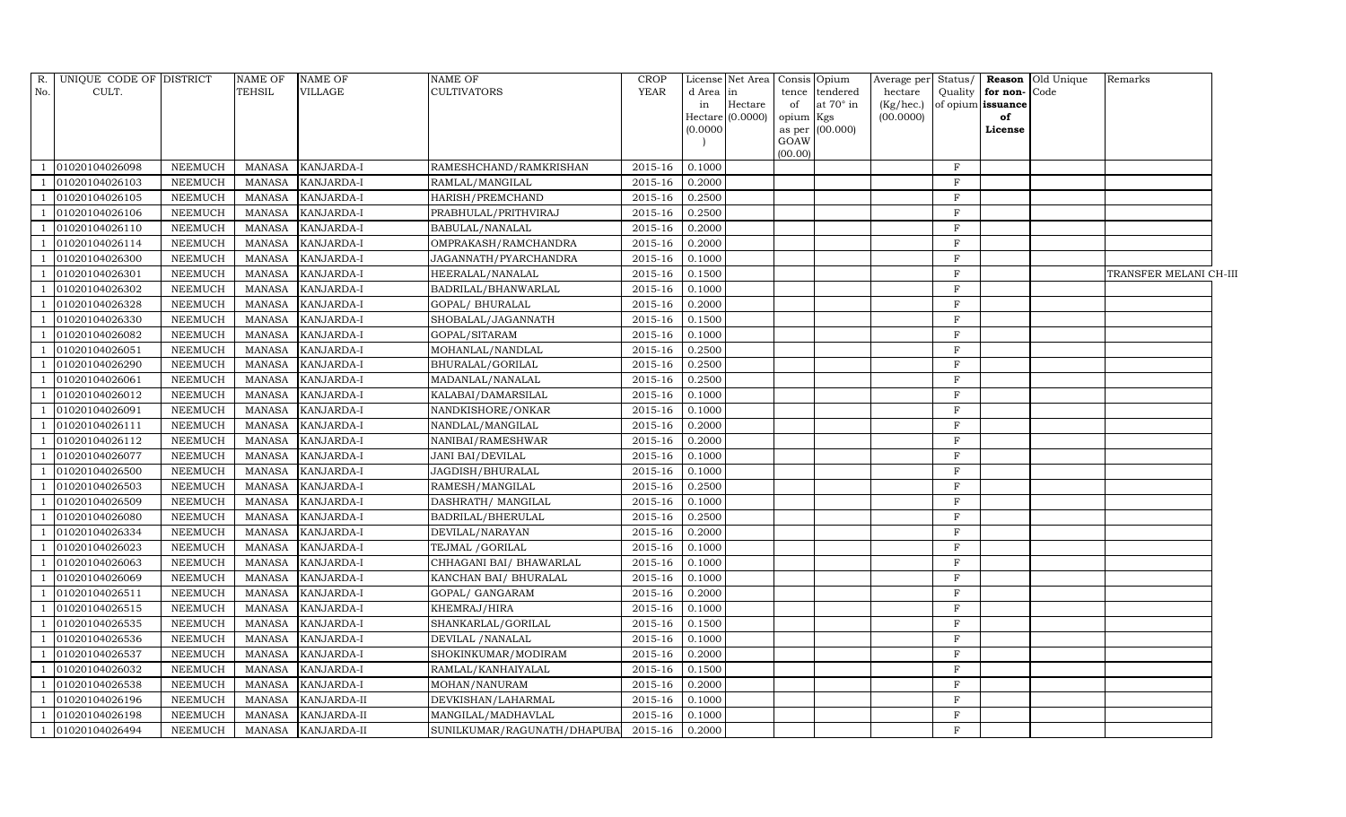| R.  | UNIQUE CODE OF DISTRICT |                | <b>NAME OF</b> | <b>NAME OF</b>    | <b>NAME OF</b>              | <b>CROP</b> |          | License Net Area   |           | Consis Opium      | Average per Status/ |              |                   | <b>Reason</b> Old Unique | Remarks                |  |
|-----|-------------------------|----------------|----------------|-------------------|-----------------------------|-------------|----------|--------------------|-----------|-------------------|---------------------|--------------|-------------------|--------------------------|------------------------|--|
| No. | CULT.                   |                | <b>TEHSIL</b>  | VILLAGE           | <b>CULTIVATORS</b>          | <b>YEAR</b> | d Area   | in                 | tence     | tendered          | hectare             | Quality      | for non-Code      |                          |                        |  |
|     |                         |                |                |                   |                             |             | in       | Hectare            | of        | at $70^\circ$ in  | (Kg/hec.)           |              | of opium issuance |                          |                        |  |
|     |                         |                |                |                   |                             |             | (0.0000) | Hectare $(0.0000)$ | opium Kgs | as per $(00.000)$ | (00.0000)           |              | of<br>License     |                          |                        |  |
|     |                         |                |                |                   |                             |             |          |                    | GOAW      |                   |                     |              |                   |                          |                        |  |
|     |                         |                |                |                   |                             |             |          |                    | (00.00)   |                   |                     |              |                   |                          |                        |  |
|     | 01020104026098          | <b>NEEMUCH</b> | <b>MANASA</b>  | KANJARDA-I        | RAMESHCHAND/RAMKRISHAN      | 2015-16     | 0.1000   |                    |           |                   |                     | F            |                   |                          |                        |  |
|     | 01020104026103          | <b>NEEMUCH</b> | <b>MANASA</b>  | KANJARDA-I        | RAMLAL/MANGILAL             | 2015-16     | 0.2000   |                    |           |                   |                     | $\mathbf{F}$ |                   |                          |                        |  |
|     | 01020104026105          | <b>NEEMUCH</b> | <b>MANASA</b>  | KANJARDA-I        | HARISH/PREMCHAND            | 2015-16     | 0.2500   |                    |           |                   |                     | $\mathbf{F}$ |                   |                          |                        |  |
|     | 01020104026106          | <b>NEEMUCH</b> | <b>MANASA</b>  | KANJARDA-I        | PRABHULAL/PRITHVIRAJ        | 2015-16     | 0.2500   |                    |           |                   |                     | $\mathbf{F}$ |                   |                          |                        |  |
|     | 01020104026110          | <b>NEEMUCH</b> | <b>MANASA</b>  | KANJARDA-I        | BABULAL/NANALAL             | 2015-16     | 0.2000   |                    |           |                   |                     | $\mathbf{F}$ |                   |                          |                        |  |
|     | 01020104026114          | <b>NEEMUCH</b> | <b>MANASA</b>  | KANJARDA-I        | OMPRAKASH/RAMCHANDRA        | $2015 - 16$ | 0.2000   |                    |           |                   |                     | F            |                   |                          |                        |  |
|     | 01020104026300          | <b>NEEMUCH</b> | <b>MANASA</b>  | KANJARDA-I        | JAGANNATH/PYARCHANDRA       | 2015-16     | 0.1000   |                    |           |                   |                     | $\mathbf{F}$ |                   |                          |                        |  |
|     | 01020104026301          | <b>NEEMUCH</b> | <b>MANASA</b>  | KANJARDA-I        | HEERALAL/NANALAL            | 2015-16     | 0.1500   |                    |           |                   |                     | $\mathbf{F}$ |                   |                          | TRANSFER MELANI CH-III |  |
|     | 01020104026302          | <b>NEEMUCH</b> | <b>MANASA</b>  | KANJARDA-I        | BADRILAL/BHANWARLAL         | 2015-16     | 0.1000   |                    |           |                   |                     | $\rm F$      |                   |                          |                        |  |
|     | 01020104026328          | <b>NEEMUCH</b> | <b>MANASA</b>  | KANJARDA-I        | GOPAL/ BHURALAL             | 2015-16     | 0.2000   |                    |           |                   |                     | $\mathbf{F}$ |                   |                          |                        |  |
|     | 01020104026330          | <b>NEEMUCH</b> | <b>MANASA</b>  | KANJARDA-I        | SHOBALAL/JAGANNATH          | 2015-16     | 0.1500   |                    |           |                   |                     | F            |                   |                          |                        |  |
|     | 01020104026082          | <b>NEEMUCH</b> | <b>MANASA</b>  | KANJARDA-I        | GOPAL/SITARAM               | 2015-16     | 0.1000   |                    |           |                   |                     | $\mathbf F$  |                   |                          |                        |  |
|     | 01020104026051          | <b>NEEMUCH</b> | <b>MANASA</b>  | KANJARDA-I        | MOHANLAL/NANDLAL            | 2015-16     | 0.2500   |                    |           |                   |                     | F            |                   |                          |                        |  |
|     | 01020104026290          | <b>NEEMUCH</b> | <b>MANASA</b>  | KANJARDA-I        | BHURALAL/GORILAL            | 2015-16     | 0.2500   |                    |           |                   |                     | $\mathbf{F}$ |                   |                          |                        |  |
|     | 01020104026061          | <b>NEEMUCH</b> | <b>MANASA</b>  | KANJARDA-I        | MADANLAL/NANALAL            | 2015-16     | 0.2500   |                    |           |                   |                     | $\mathbf{F}$ |                   |                          |                        |  |
|     | 01020104026012          | <b>NEEMUCH</b> | <b>MANASA</b>  | KANJARDA-I        | KALABAI/DAMARSILAL          | 2015-16     | 0.1000   |                    |           |                   |                     | $\mathbf{F}$ |                   |                          |                        |  |
|     | 01020104026091          | <b>NEEMUCH</b> | <b>MANASA</b>  | KANJARDA-I        | NANDKISHORE/ONKAR           | 2015-16     | 0.1000   |                    |           |                   |                     | $\mathbf{F}$ |                   |                          |                        |  |
|     | 01020104026111          | <b>NEEMUCH</b> | <b>MANASA</b>  | KANJARDA-I        | NANDLAL/MANGILAL            | 2015-16     | 0.2000   |                    |           |                   |                     | $\mathbf{F}$ |                   |                          |                        |  |
|     | 01020104026112          | <b>NEEMUCH</b> | <b>MANASA</b>  | KANJARDA-I        | NANIBAI/RAMESHWAR           | 2015-16     | 0.2000   |                    |           |                   |                     | $\mathbf F$  |                   |                          |                        |  |
|     | 01020104026077          | <b>NEEMUCH</b> | <b>MANASA</b>  | KANJARDA-I        | JANI BAI/DEVILAL            | 2015-16     | 0.1000   |                    |           |                   |                     | $\rm F$      |                   |                          |                        |  |
|     | 01020104026500          | <b>NEEMUCH</b> | <b>MANASA</b>  | KANJARDA-I        | JAGDISH/BHURALAL            | 2015-16     | 0.1000   |                    |           |                   |                     | $\mathbf{F}$ |                   |                          |                        |  |
|     | 01020104026503          | <b>NEEMUCH</b> | <b>MANASA</b>  | KANJARDA-I        | RAMESH/MANGILAL             | 2015-16     | 0.2500   |                    |           |                   |                     | $\mathbf F$  |                   |                          |                        |  |
|     | 01020104026509          | <b>NEEMUCH</b> | <b>MANASA</b>  | KANJARDA-I        | DASHRATH / MANGILAL         | 2015-16     | 0.1000   |                    |           |                   |                     | F            |                   |                          |                        |  |
|     | 01020104026080          | <b>NEEMUCH</b> | <b>MANASA</b>  | <b>KANJARDA-I</b> | BADRILAL/BHERULAL           | 2015-16     | 0.2500   |                    |           |                   |                     | $\mathbf F$  |                   |                          |                        |  |
|     | 01020104026334          | <b>NEEMUCH</b> | <b>MANASA</b>  | KANJARDA-I        | DEVILAL/NARAYAN             | 2015-16     | 0.2000   |                    |           |                   |                     | $\rm F$      |                   |                          |                        |  |
|     | 01020104026023          | <b>NEEMUCH</b> | <b>MANASA</b>  | KANJARDA-I        | TEJMAL / GORILAL            | 2015-16     | 0.1000   |                    |           |                   |                     | F            |                   |                          |                        |  |
|     | 01020104026063          | <b>NEEMUCH</b> | <b>MANASA</b>  | KANJARDA-I        | CHHAGANI BAI/ BHAWARLAL     | 2015-16     | 0.1000   |                    |           |                   |                     | $\mathbf{F}$ |                   |                          |                        |  |
|     | 01020104026069          | <b>NEEMUCH</b> | <b>MANASA</b>  | KANJARDA-I        | KANCHAN BAI / BHURALAL      | 2015-16     | 0.1000   |                    |           |                   |                     | F            |                   |                          |                        |  |
|     | 01020104026511          | <b>NEEMUCH</b> | <b>MANASA</b>  | KANJARDA-I        | GOPAL/ GANGARAM             | $2015 - 16$ | 0.2000   |                    |           |                   |                     | $\mathbf{F}$ |                   |                          |                        |  |
|     | 01020104026515          | <b>NEEMUCH</b> | <b>MANASA</b>  | KANJARDA-I        | KHEMRAJ/HIRA                | 2015-16     | 0.1000   |                    |           |                   |                     | $\mathbf{F}$ |                   |                          |                        |  |
|     | 01020104026535          | <b>NEEMUCH</b> | <b>MANASA</b>  | KANJARDA-I        | SHANKARLAL/GORILAL          | 2015-16     | 0.1500   |                    |           |                   |                     | $\mathbf{F}$ |                   |                          |                        |  |
|     | 01020104026536          | <b>NEEMUCH</b> | <b>MANASA</b>  | KANJARDA-I        | DEVILAL / NANALAL           | 2015-16     | 0.1000   |                    |           |                   |                     | $\mathbf{F}$ |                   |                          |                        |  |
|     | 01020104026537          | <b>NEEMUCH</b> | <b>MANASA</b>  | <b>KANJARDA-I</b> | SHOKINKUMAR/MODIRAM         | 2015-16     | 0.2000   |                    |           |                   |                     | $\mathbf{F}$ |                   |                          |                        |  |
|     | 01020104026032          | <b>NEEMUCH</b> | <b>MANASA</b>  | KANJARDA-I        | RAMLAL/KANHAIYALAL          | 2015-16     | 0.1500   |                    |           |                   |                     | $\mathbf F$  |                   |                          |                        |  |
|     | 01020104026538          | <b>NEEMUCH</b> | <b>MANASA</b>  | KANJARDA-I        | MOHAN/NANURAM               | 2015-16     | 0.2000   |                    |           |                   |                     | $\mathbf{F}$ |                   |                          |                        |  |
|     | 01020104026196          | <b>NEEMUCH</b> | <b>MANASA</b>  | KANJARDA-II       | DEVKISHAN/LAHARMAL          | 2015-16     | 0.1000   |                    |           |                   |                     | F            |                   |                          |                        |  |
|     | 01020104026198          | <b>NEEMUCH</b> | <b>MANASA</b>  | KANJARDA-II       | MANGILAL/MADHAVLAL          | 2015-16     | 0.1000   |                    |           |                   |                     | $\mathbf F$  |                   |                          |                        |  |
| -1  | 01020104026494          | <b>NEEMUCH</b> | <b>MANASA</b>  | KANJARDA-II       | SUNILKUMAR/RAGUNATH/DHAPUBA | 2015-16     | 0.2000   |                    |           |                   |                     | $\rm F$      |                   |                          |                        |  |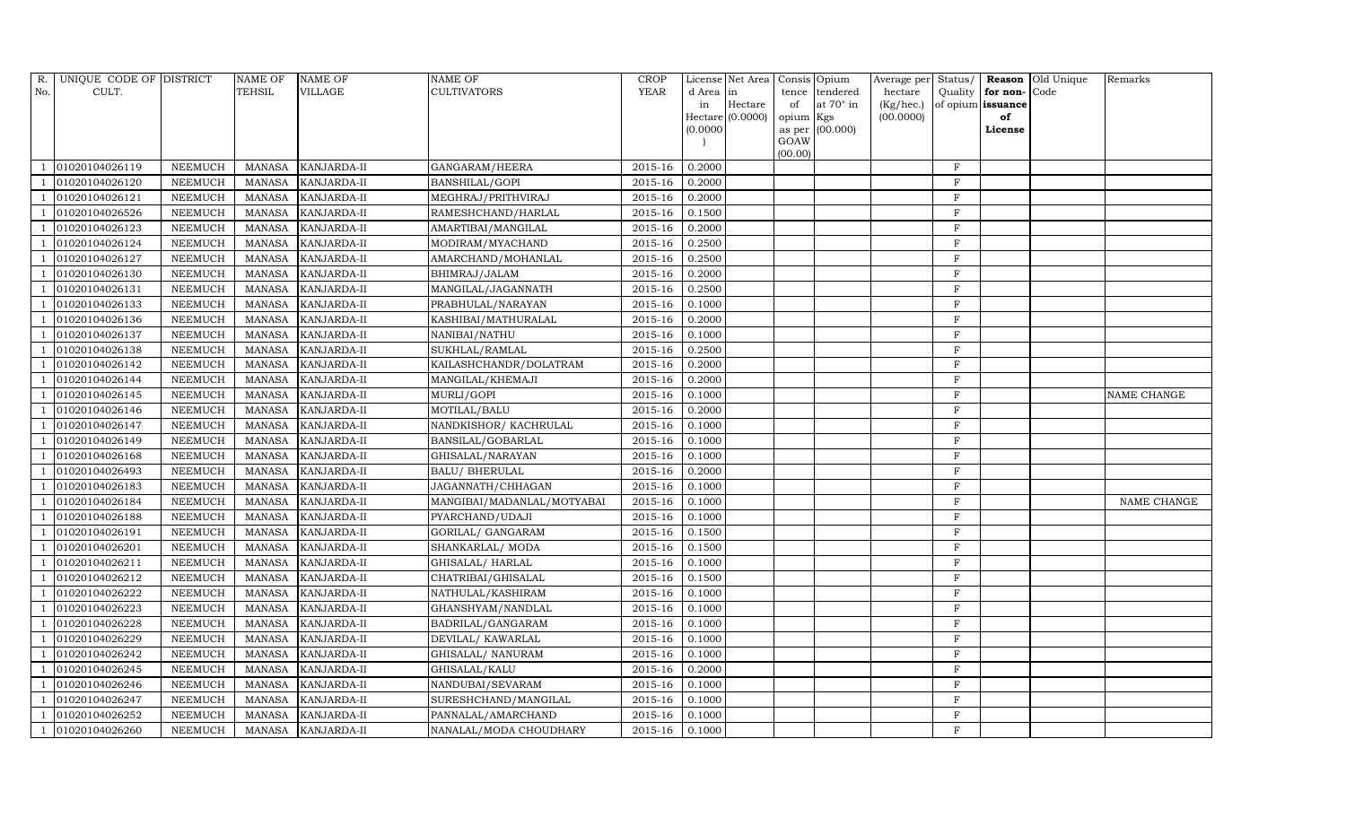| R.  | UNIQUE CODE OF DISTRICT |                | NAME OF       | <b>NAME OF</b>     | NAME OF                    | <b>CROP</b> |           | License Net Area   Consis   Opium |           |                  |           |              |                          | Average per Status/ <b>Reason</b> Old Unique | Remarks            |
|-----|-------------------------|----------------|---------------|--------------------|----------------------------|-------------|-----------|-----------------------------------|-----------|------------------|-----------|--------------|--------------------------|----------------------------------------------|--------------------|
| No. | CULT.                   |                | TEHSIL        | VILLAGE            | <b>CULTIVATORS</b>         | YEAR        | d Area in |                                   | tence     | tendered         | hectare   |              | Quality $\vert$ for non- | Code                                         |                    |
|     |                         |                |               |                    |                            |             | in        | Hectare                           | of        | at $70^\circ$ in | (Kg/hec.) |              | of opium issuance        |                                              |                    |
|     |                         |                |               |                    |                            |             | (0.0000)  | Hectare (0.0000)                  | opium Kgs | as per (00.000)  | (00.0000) |              | of<br>License            |                                              |                    |
|     |                         |                |               |                    |                            |             |           |                                   | GOAW      |                  |           |              |                          |                                              |                    |
|     |                         |                |               |                    |                            |             |           |                                   | (00.00)   |                  |           |              |                          |                                              |                    |
|     | 01020104026119          | <b>NEEMUCH</b> | MANASA        | <b>KANJARDA-II</b> | GANGARAM/HEERA             | 2015-16     | 0.2000    |                                   |           |                  |           | $\mathbf{F}$ |                          |                                              |                    |
|     | 01020104026120          | <b>NEEMUCH</b> | MANASA        | KANJARDA-II        | BANSHILAL/GOPI             | $2015 - 16$ | 0.2000    |                                   |           |                  |           | $\rm F$      |                          |                                              |                    |
|     | 01020104026121          | <b>NEEMUCH</b> | <b>MANASA</b> | KANJARDA-II        | MEGHRAJ/PRITHVIRAJ         | 2015-16     | 0.2000    |                                   |           |                  |           | F            |                          |                                              |                    |
|     | 01020104026526          | <b>NEEMUCH</b> | MANASA        | <b>KANJARDA-II</b> | RAMESHCHAND/HARLAL         | 2015-16     | 0.1500    |                                   |           |                  |           | $\rm F$      |                          |                                              |                    |
|     | 01020104026123          | <b>NEEMUCH</b> | <b>MANASA</b> | KANJARDA-II        | AMARTIBAI/MANGILAL         | 2015-16     | 0.2000    |                                   |           |                  |           | $\rm F$      |                          |                                              |                    |
|     | 01020104026124          | <b>NEEMUCH</b> | <b>MANASA</b> | KANJARDA-II        | MODIRAM/MYACHAND           | 2015-16     | 0.2500    |                                   |           |                  |           | $\rm F$      |                          |                                              |                    |
|     | 01020104026127          | <b>NEEMUCH</b> | <b>MANASA</b> | KANJARDA-II        | AMARCHAND/MOHANLAL         | 2015-16     | 0.2500    |                                   |           |                  |           | $\rm F$      |                          |                                              |                    |
|     | 01020104026130          | <b>NEEMUCH</b> | <b>MANASA</b> | KANJARDA-II        | BHIMRAJ/JALAM              | 2015-16     | 0.2000    |                                   |           |                  |           | $\rm F$      |                          |                                              |                    |
|     | 01020104026131          | <b>NEEMUCH</b> | <b>MANASA</b> | <b>KANJARDA-II</b> | MANGILAL/JAGANNATH         | 2015-16     | 0.2500    |                                   |           |                  |           | $\,$ F       |                          |                                              |                    |
|     | 01020104026133          | <b>NEEMUCH</b> | <b>MANASA</b> | KANJARDA-II        | PRABHULAL/NARAYAN          | 2015-16     | 0.1000    |                                   |           |                  |           | $\,$ F       |                          |                                              |                    |
|     | 01020104026136          | <b>NEEMUCH</b> | MANASA        | KANJARDA-II        | KASHIBAI/MATHURALAL        | 2015-16     | 0.2000    |                                   |           |                  |           | $\mathbf{F}$ |                          |                                              |                    |
|     | 01020104026137          | <b>NEEMUCH</b> | <b>MANASA</b> | KANJARDA-II        | NANIBAI/NATHU              | 2015-16     | 0.1000    |                                   |           |                  |           | $\rm F$      |                          |                                              |                    |
|     | 01020104026138          | <b>NEEMUCH</b> | <b>MANASA</b> | KANJARDA-II        | SUKHLAL/RAMLAL             | 2015-16     | 0.2500    |                                   |           |                  |           | $\,$ F       |                          |                                              |                    |
|     | 01020104026142          | <b>NEEMUCH</b> | <b>MANASA</b> | <b>KANJARDA-II</b> | KAILASHCHANDR/DOLATRAM     | 2015-16     | 0.2000    |                                   |           |                  |           | $\,$ F       |                          |                                              |                    |
|     | 01020104026144          | <b>NEEMUCH</b> | <b>MANASA</b> | KANJARDA-II        | MANGILAL/KHEMAJI           | 2015-16     | 0.2000    |                                   |           |                  |           | $\,$ F       |                          |                                              |                    |
|     | 01020104026145          | <b>NEEMUCH</b> | <b>MANASA</b> | <b>KANJARDA-II</b> | MURLI/GOPI                 | 2015-16     | 0.1000    |                                   |           |                  |           | $\rm F$      |                          |                                              | NAME CHANGE        |
|     | 01020104026146          | <b>NEEMUCH</b> | <b>MANASA</b> | KANJARDA-II        | MOTILAL/BALU               | 2015-16     | 0.2000    |                                   |           |                  |           | $\mathbf{F}$ |                          |                                              |                    |
| - 1 | 01020104026147          | <b>NEEMUCH</b> | <b>MANASA</b> | <b>KANJARDA-II</b> | NANDKISHOR/ KACHRULAL      | 2015-16     | 0.1000    |                                   |           |                  |           | $\mathbf{F}$ |                          |                                              |                    |
|     | 01020104026149          | <b>NEEMUCH</b> | <b>MANASA</b> | KANJARDA-II        | BANSILAL/GOBARLAL          | 2015-16     | 0.1000    |                                   |           |                  |           | $\,$ F       |                          |                                              |                    |
|     | 01020104026168          | <b>NEEMUCH</b> | <b>MANASA</b> | KANJARDA-II        | GHISALAL/NARAYAN           | 2015-16     | 0.1000    |                                   |           |                  |           | $\,$ F       |                          |                                              |                    |
|     | 01020104026493          | <b>NEEMUCH</b> | <b>MANASA</b> | <b>KANJARDA-II</b> | <b>BALU/ BHERULAL</b>      | 2015-16     | 0.2000    |                                   |           |                  |           | $\rm F$      |                          |                                              |                    |
|     | 01020104026183          | <b>NEEMUCH</b> | <b>MANASA</b> | KANJARDA-II        | JAGANNATH/CHHAGAN          | 2015-16     | 0.1000    |                                   |           |                  |           | $\mathbf{F}$ |                          |                                              |                    |
| -1  | 01020104026184          | <b>NEEMUCH</b> | <b>MANASA</b> | KANJARDA-II        | MANGIBAI/MADANLAL/MOTYABAI | 2015-16     | 0.1000    |                                   |           |                  |           | $\rm F$      |                          |                                              | <b>NAME CHANGE</b> |
|     | 01020104026188          | <b>NEEMUCH</b> | <b>MANASA</b> | KANJARDA-II        | PYARCHAND/UDAJI            | 2015-16     | 0.1000    |                                   |           |                  |           | $\rm F$      |                          |                                              |                    |
|     | 01020104026191          | <b>NEEMUCH</b> | <b>MANASA</b> | KANJARDA-II        | GORILAL/ GANGARAM          | 2015-16     | 0.1500    |                                   |           |                  |           | $\mathbf{F}$ |                          |                                              |                    |
|     | 01020104026201          | <b>NEEMUCH</b> | <b>MANASA</b> | <b>KANJARDA-II</b> | SHANKARLAL/ MODA           | 2015-16     | 0.1500    |                                   |           |                  |           | $\rm F$      |                          |                                              |                    |
|     | 01020104026211          | <b>NEEMUCH</b> | <b>MANASA</b> | KANJARDA-II        | GHISALAL/ HARLAL           | 2015-16     | 0.1000    |                                   |           |                  |           | $\rm F$      |                          |                                              |                    |
|     | 01020104026212          | <b>NEEMUCH</b> | <b>MANASA</b> | <b>KANJARDA-II</b> | CHATRIBAI/GHISALAL         | 2015-16     | 0.1500    |                                   |           |                  |           | $\rm F$      |                          |                                              |                    |
|     | 01020104026222          | <b>NEEMUCH</b> | <b>MANASA</b> | KANJARDA-II        | NATHULAL/KASHIRAM          | 2015-16     | 0.1000    |                                   |           |                  |           | $\mathbf F$  |                          |                                              |                    |
|     | 01020104026223          | <b>NEEMUCH</b> | <b>MANASA</b> | KANJARDA-II        | GHANSHYAM/NANDLAL          | 2015-16     | 0.1000    |                                   |           |                  |           | $\rm F$      |                          |                                              |                    |
|     | 01020104026228          | <b>NEEMUCH</b> | <b>MANASA</b> | KANJARDA-II        | BADRILAL/GANGARAM          | 2015-16     | 0.1000    |                                   |           |                  |           | $\,$ F       |                          |                                              |                    |
|     | 01020104026229          | <b>NEEMUCH</b> | <b>MANASA</b> | KANJARDA-II        | DEVILAL/ KAWARLAL          | 2015-16     | 0.1000    |                                   |           |                  |           | $\,$ F       |                          |                                              |                    |
|     | 01020104026242          | <b>NEEMUCH</b> | MANASA        | KANJARDA-II        | GHISALAL/ NANURAM          | 2015-16     | 0.1000    |                                   |           |                  |           | $\mathbf F$  |                          |                                              |                    |
|     | 01020104026245          | <b>NEEMUCH</b> | <b>MANASA</b> | KANJARDA-II        | GHISALAL/KALU              | 2015-16     | 0.2000    |                                   |           |                  |           | $\rm F$      |                          |                                              |                    |
|     | 01020104026246          | <b>NEEMUCH</b> | <b>MANASA</b> | KANJARDA-II        | NANDUBAI/SEVARAM           | 2015-16     | 0.1000    |                                   |           |                  |           | $\,$ F       |                          |                                              |                    |
|     | 01020104026247          | <b>NEEMUCH</b> | <b>MANASA</b> | KANJARDA-II        | SURESHCHAND/MANGILAL       | 2015-16     | 0.1000    |                                   |           |                  |           | $\,$ F       |                          |                                              |                    |
|     | 01020104026252          | <b>NEEMUCH</b> | <b>MANASA</b> | KANJARDA-II        | PANNALAL/AMARCHAND         | 2015-16     | 0.1000    |                                   |           |                  |           | $\mathbf F$  |                          |                                              |                    |
| -1  | 01020104026260          | <b>NEEMUCH</b> |               | MANASA KANJARDA-II | NANALAL/MODA CHOUDHARY     | 2015-16     | 0.1000    |                                   |           |                  |           | $\mathbf{F}$ |                          |                                              |                    |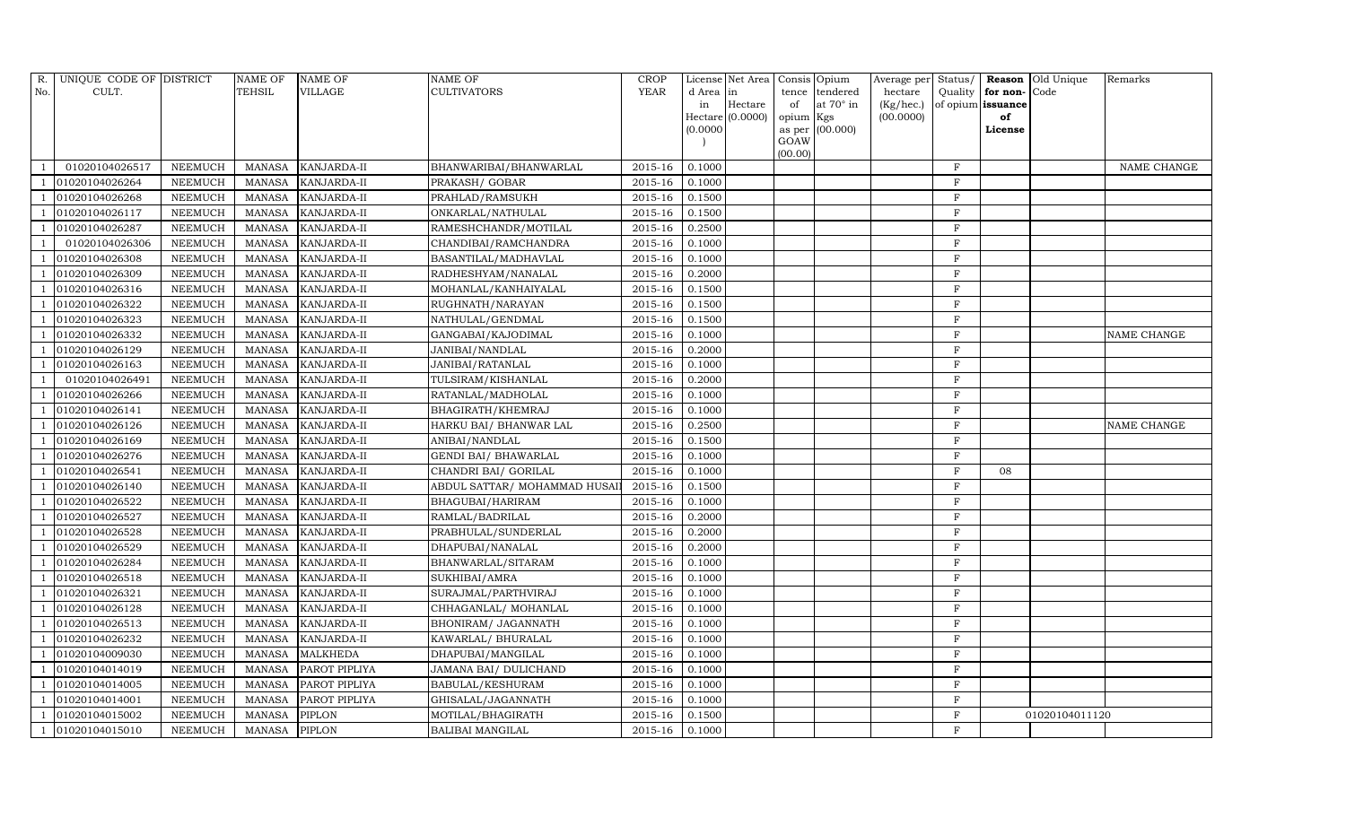| R.             | UNIQUE CODE OF DISTRICT |                | <b>NAME OF</b> | <b>NAME OF</b>     | <b>NAME OF</b>               | <b>CROP</b> |           | License Net Area Consis Opium |           |                  | Average per Status/ |              |                   | Reason Old Unique | Remarks     |
|----------------|-------------------------|----------------|----------------|--------------------|------------------------------|-------------|-----------|-------------------------------|-----------|------------------|---------------------|--------------|-------------------|-------------------|-------------|
| No.            | CULT.                   |                | TEHSIL         | <b>VILLAGE</b>     | <b>CULTIVATORS</b>           | YEAR        | d Area in |                               | tence     | tendered         | hectare             | Quality      | for non-          | Code              |             |
|                |                         |                |                |                    |                              |             | in        | Hectare                       | of        | at $70^\circ$ in | (Kg/hec.)           |              | of opium issuance |                   |             |
|                |                         |                |                |                    |                              |             |           | $Hectare$ (0.0000)            | opium Kgs |                  | (00.0000)           |              | of                |                   |             |
|                |                         |                |                |                    |                              |             | (0.0000)  |                               | GOAW      | as per (00.000)  |                     |              | License           |                   |             |
|                |                         |                |                |                    |                              |             |           |                               | (00.00)   |                  |                     |              |                   |                   |             |
|                | 01020104026517          | <b>NEEMUCH</b> | MANASA         | <b>KANJARDA-II</b> | BHANWARIBAI/BHANWARLAL       | 2015-16     | 0.1000    |                               |           |                  |                     | $\mathbf F$  |                   |                   | NAME CHANGE |
|                | 01020104026264          | <b>NEEMUCH</b> | <b>MANASA</b>  | KANJARDA-II        | PRAKASH / GOBAR              | 2015-16     | 0.1000    |                               |           |                  |                     | $\,$ F       |                   |                   |             |
|                | 01020104026268          | <b>NEEMUCH</b> | <b>MANASA</b>  | KANJARDA-II        | PRAHLAD/RAMSUKH              | 2015-16     | 0.1500    |                               |           |                  |                     | $\mathbf{F}$ |                   |                   |             |
|                | 01020104026117          | <b>NEEMUCH</b> | <b>MANASA</b>  | KANJARDA-II        | ONKARLAL/NATHULAL            | 2015-16     | 0.1500    |                               |           |                  |                     | $\rm F$      |                   |                   |             |
|                | 01020104026287          | <b>NEEMUCH</b> | <b>MANASA</b>  | KANJARDA-II        | RAMESHCHANDR/MOTILAL         | 2015-16     | 0.2500    |                               |           |                  |                     | $\,$ F       |                   |                   |             |
| $\overline{1}$ | 01020104026306          | <b>NEEMUCH</b> | <b>MANASA</b>  | KANJARDA-II        | CHANDIBAI/RAMCHANDRA         | 2015-16     | 0.1000    |                               |           |                  |                     | $\rm F$      |                   |                   |             |
|                | 01020104026308          | <b>NEEMUCH</b> | <b>MANASA</b>  | KANJARDA-II        | BASANTILAL/MADHAVLAL         | 2015-16     | 0.1000    |                               |           |                  |                     | $\mathbf F$  |                   |                   |             |
|                | 01020104026309          | <b>NEEMUCH</b> | <b>MANASA</b>  | KANJARDA-II        | RADHESHYAM/NANALAL           | 2015-16     | 0.2000    |                               |           |                  |                     | $\rm F$      |                   |                   |             |
|                | 01020104026316          | <b>NEEMUCH</b> | <b>MANASA</b>  | KANJARDA-II        | MOHANLAL/KANHAIYALAL         | 2015-16     | 0.1500    |                               |           |                  |                     | $\rm F$      |                   |                   |             |
|                | 01020104026322          | <b>NEEMUCH</b> | <b>MANASA</b>  | KANJARDA-II        | RUGHNATH/NARAYAN             | 2015-16     | 0.1500    |                               |           |                  |                     | $\,$ F       |                   |                   |             |
|                | 01020104026323          | <b>NEEMUCH</b> | <b>MANASA</b>  | KANJARDA-II        | NATHULAL/GENDMAL             | 2015-16     | 0.1500    |                               |           |                  |                     | $\mathbf F$  |                   |                   |             |
|                | 01020104026332          | <b>NEEMUCH</b> | <b>MANASA</b>  | KANJARDA-II        | GANGABAI/KAJODIMAL           | 2015-16     | 0.1000    |                               |           |                  |                     | $\rm F$      |                   |                   | NAME CHANGE |
|                | 01020104026129          | <b>NEEMUCH</b> | <b>MANASA</b>  | KANJARDA-II        | JANIBAI/NANDLAL              | 2015-16     | 0.2000    |                               |           |                  |                     | $\rm F$      |                   |                   |             |
|                | 01020104026163          | <b>NEEMUCH</b> | <b>MANASA</b>  | KANJARDA-II        | JANIBAI/RATANLAL             | 2015-16     | 0.1000    |                               |           |                  |                     | $\mathbf{F}$ |                   |                   |             |
| - 1            | 01020104026491          | <b>NEEMUCH</b> | <b>MANASA</b>  | KANJARDA-II        | TULSIRAM/KISHANLAL           | 2015-16     | 0.2000    |                               |           |                  |                     | $\rm F$      |                   |                   |             |
|                | 01020104026266          | <b>NEEMUCH</b> | <b>MANASA</b>  | KANJARDA-II        | RATANLAL/MADHOLAL            | 2015-16     | 0.1000    |                               |           |                  |                     | $\rm F$      |                   |                   |             |
|                | 01020104026141          | <b>NEEMUCH</b> | <b>MANASA</b>  | KANJARDA-II        | BHAGIRATH/KHEMRAJ            | 2015-16     | 0.1000    |                               |           |                  |                     | $\,$ F       |                   |                   |             |
|                | 01020104026126          | <b>NEEMUCH</b> | <b>MANASA</b>  | KANJARDA-II        | HARKU BAI/ BHANWAR LAL       | 2015-16     | 0.2500    |                               |           |                  |                     | $\mathbf F$  |                   |                   | NAME CHANGE |
|                | 01020104026169          | <b>NEEMUCH</b> | <b>MANASA</b>  | KANJARDA-II        | ANIBAI/NANDLAL               | 2015-16     | 0.1500    |                               |           |                  |                     | $\mathbf F$  |                   |                   |             |
|                | 01020104026276          | <b>NEEMUCH</b> | <b>MANASA</b>  | KANJARDA-II        | <b>GENDI BAI/ BHAWARLAL</b>  | 2015-16     | 0.1000    |                               |           |                  |                     | $\,$ F       |                   |                   |             |
|                | 01020104026541          | <b>NEEMUCH</b> | <b>MANASA</b>  | KANJARDA-II        | CHANDRI BAI/ GORILAL         | 2015-16     | 0.1000    |                               |           |                  |                     | $\rm F$      | 08                |                   |             |
|                | 01020104026140          | <b>NEEMUCH</b> | <b>MANASA</b>  | KANJARDA-II        | ABDUL SATTAR/ MOHAMMAD HUSAI | 2015-16     | 0.1500    |                               |           |                  |                     | $\rm F$      |                   |                   |             |
|                | 01020104026522          | <b>NEEMUCH</b> | <b>MANASA</b>  | KANJARDA-II        | BHAGUBAI/HARIRAM             | 2015-16     | 0.1000    |                               |           |                  |                     | $\rm F$      |                   |                   |             |
|                | 01020104026527          | <b>NEEMUCH</b> | <b>MANASA</b>  | KANJARDA-II        | RAMLAL/BADRILAL              | 2015-16     | 0.2000    |                               |           |                  |                     | $\rm F$      |                   |                   |             |
|                | 01020104026528          | <b>NEEMUCH</b> | <b>MANASA</b>  | KANJARDA-II        | PRABHULAL/SUNDERLAL          | 2015-16     | 0.2000    |                               |           |                  |                     | $\mathbf{F}$ |                   |                   |             |
|                | 01020104026529          | <b>NEEMUCH</b> | <b>MANASA</b>  | KANJARDA-II        | DHAPUBAI/NANALAL             | 2015-16     | 0.2000    |                               |           |                  |                     | $\rm F$      |                   |                   |             |
|                | 01020104026284          | <b>NEEMUCH</b> | <b>MANASA</b>  | KANJARDA-II        | BHANWARLAL/SITARAM           | 2015-16     | 0.1000    |                               |           |                  |                     | $\,$ F       |                   |                   |             |
|                | 01020104026518          | <b>NEEMUCH</b> | <b>MANASA</b>  | KANJARDA-II        | SUKHIBAI/AMRA                | 2015-16     | 0.1000    |                               |           |                  |                     | $\rm F$      |                   |                   |             |
|                | 01020104026321          | <b>NEEMUCH</b> | <b>MANASA</b>  | KANJARDA-II        | SURAJMAL/PARTHVIRAJ          | 2015-16     | 0.1000    |                               |           |                  |                     | $\mathbf F$  |                   |                   |             |
|                | 01020104026128          | <b>NEEMUCH</b> | <b>MANASA</b>  | KANJARDA-II        | CHHAGANLAL/ MOHANLAL         | 2015-16     | 0.1000    |                               |           |                  |                     | $\rm F$      |                   |                   |             |
|                | 01020104026513          | <b>NEEMUCH</b> | <b>MANASA</b>  | KANJARDA-II        | BHONIRAM/ JAGANNATH          | 2015-16     | 0.1000    |                               |           |                  |                     | $\mathbf{F}$ |                   |                   |             |
|                | 01020104026232          | <b>NEEMUCH</b> | <b>MANASA</b>  | KANJARDA-II        | KAWARLAL/ BHURALAL           | 2015-16     | 0.1000    |                               |           |                  |                     | $\mathbf{F}$ |                   |                   |             |
|                | 01020104009030          | <b>NEEMUCH</b> | <b>MANASA</b>  | <b>MALKHEDA</b>    | DHAPUBAI/MANGILAL            | 2015-16     | 0.1000    |                               |           |                  |                     | $\mathbf F$  |                   |                   |             |
|                | 01020104014019          | <b>NEEMUCH</b> | <b>MANASA</b>  | PAROT PIPLIYA      | JAMANA BAI/ DULICHAND        | 2015-16     | 0.1000    |                               |           |                  |                     | $\rm F$      |                   |                   |             |
|                | 01020104014005          | <b>NEEMUCH</b> | <b>MANASA</b>  | PAROT PIPLIYA      | BABULAL/KESHURAM             | 2015-16     | 0.1000    |                               |           |                  |                     | $\rm F$      |                   |                   |             |
|                | 01020104014001          | <b>NEEMUCH</b> | <b>MANASA</b>  | PAROT PIPLIYA      | GHISALAL/JAGANNATH           | 2015-16     | 0.1000    |                               |           |                  |                     | $\rm F$      |                   |                   |             |
|                | 01020104015002          | <b>NEEMUCH</b> | <b>MANASA</b>  | <b>PIPLON</b>      | MOTILAL/BHAGIRATH            | 2015-16     | 0.1500    |                               |           |                  |                     | $\rm F$      |                   | 01020104011120    |             |
|                | 01020104015010          | <b>NEEMUCH</b> | MANASA PIPLON  |                    | <b>BALIBAI MANGILAL</b>      | 2015-16     | 0.1000    |                               |           |                  |                     | $_{\rm F}$   |                   |                   |             |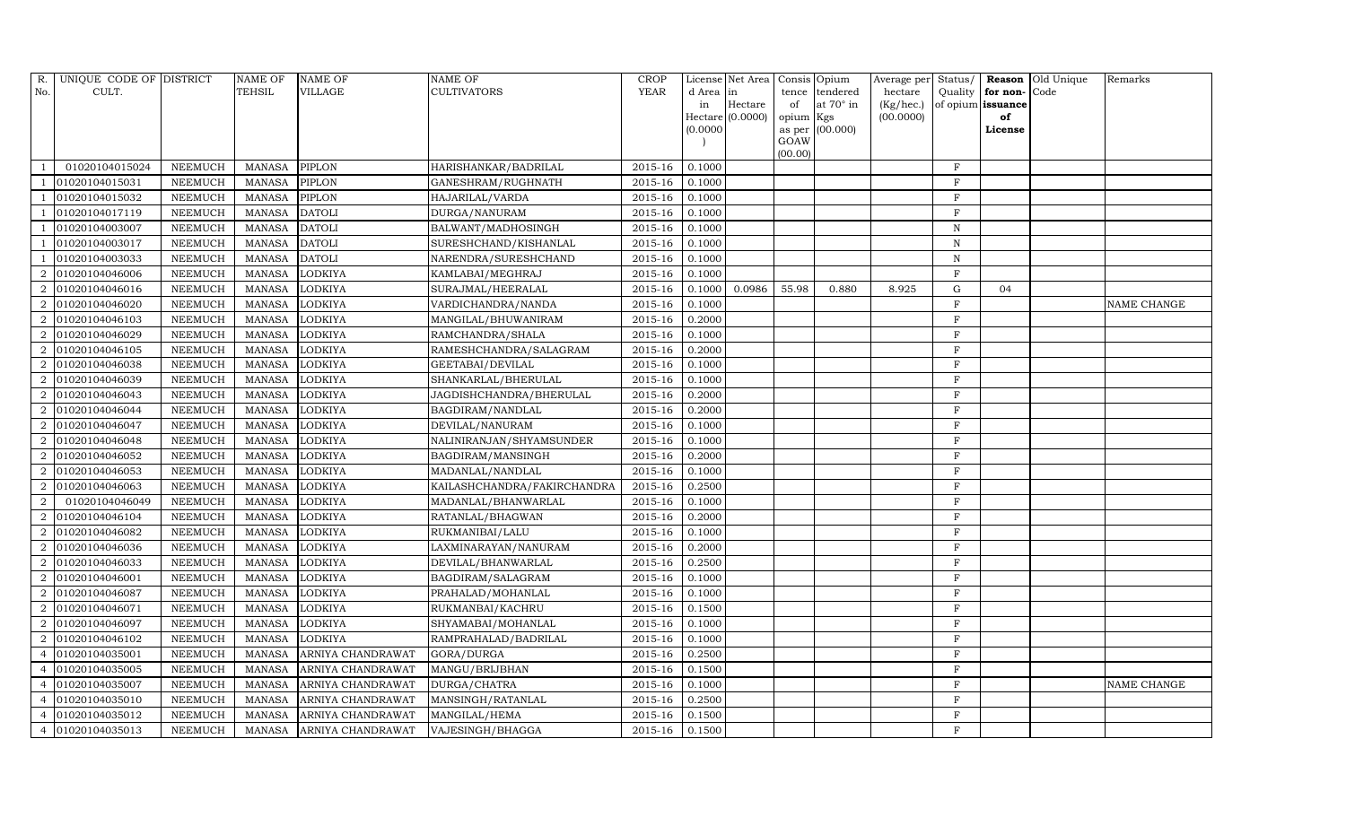| R.             | UNIQUE CODE OF DISTRICT |                | NAME OF       | <b>NAME OF</b>    | <b>NAME OF</b>              | <b>CROP</b> |          | License Net Area   | Consis Opium |                  | Average per | Status/      |          | Reason Old Unique | Remarks     |
|----------------|-------------------------|----------------|---------------|-------------------|-----------------------------|-------------|----------|--------------------|--------------|------------------|-------------|--------------|----------|-------------------|-------------|
| No.            | CULT.                   |                | TEHSIL        | <b>VILLAGE</b>    | <b>CULTIVATORS</b>          | YEAR        | d Area   | in                 | tence        | tendered         | hectare     | Quality      | for non- | Code              |             |
|                |                         |                |               |                   |                             |             | in       | Hectare            | of           | at $70^\circ$ in | (Kg/hec.)   | of opium     | issuance |                   |             |
|                |                         |                |               |                   |                             |             |          | $Hectare$ (0.0000) | opium Kgs    |                  | (00.0000)   |              | of       |                   |             |
|                |                         |                |               |                   |                             |             | (0.0000) |                    | GOAW         | as per (00.000)  |             |              | License  |                   |             |
|                |                         |                |               |                   |                             |             |          |                    | (00.00)      |                  |             |              |          |                   |             |
|                | 01020104015024          | <b>NEEMUCH</b> | <b>MANASA</b> | PIPLON            | HARISHANKAR/BADRILAL        | 2015-16     | 0.1000   |                    |              |                  |             | $\rm F$      |          |                   |             |
|                | 01020104015031          | <b>NEEMUCH</b> | <b>MANASA</b> | <b>PIPLON</b>     | GANESHRAM/RUGHNATH          | 2015-16     | 0.1000   |                    |              |                  |             | $\mathbf F$  |          |                   |             |
|                | 01020104015032          | <b>NEEMUCH</b> | <b>MANASA</b> | PIPLON            | HAJARILAL/VARDA             | $2015 - 16$ | 0.1000   |                    |              |                  |             | F            |          |                   |             |
|                | 01020104017119          | <b>NEEMUCH</b> | <b>MANASA</b> | <b>DATOLI</b>     | DURGA/NANURAM               | 2015-16     | 0.1000   |                    |              |                  |             | $\mathbf{F}$ |          |                   |             |
|                | 01020104003007          | <b>NEEMUCH</b> | <b>MANASA</b> | <b>DATOLI</b>     | BALWANT/MADHOSINGH          | 2015-16     | 0.1000   |                    |              |                  |             | $\mathbf N$  |          |                   |             |
|                | 01020104003017          | <b>NEEMUCH</b> | <b>MANASA</b> | <b>DATOLI</b>     | SURESHCHAND/KISHANLAL       | 2015-16     | 0.1000   |                    |              |                  |             | $\mathbf N$  |          |                   |             |
|                | 01020104003033          | <b>NEEMUCH</b> | <b>MANASA</b> | <b>DATOLI</b>     | NARENDRA/SURESHCHAND        | 2015-16     | 0.1000   |                    |              |                  |             | $\mathbf N$  |          |                   |             |
| $\mathcal{D}$  | 01020104046006          | <b>NEEMUCH</b> | <b>MANASA</b> | <b>LODKIYA</b>    | KAMLABAI/MEGHRAJ            | 2015-16     | 0.1000   |                    |              |                  |             | $\mathbf{F}$ |          |                   |             |
| $\mathcal{D}$  | 01020104046016          | <b>NEEMUCH</b> | <b>MANASA</b> | <b>LODKIYA</b>    | SURAJMAL/HEERALAL           | 2015-16     | 0.1000   | 0.0986             | 55.98        | 0.880            | 8.925       | $\mathbf G$  | 04       |                   |             |
| 2              | 01020104046020          | <b>NEEMUCH</b> | <b>MANASA</b> | <b>LODKIYA</b>    | VARDICHANDRA/NANDA          | $2015 - 16$ | 0.1000   |                    |              |                  |             | $\mathbf{F}$ |          |                   | NAME CHANGE |
| $\mathcal{D}$  | 01020104046103          | <b>NEEMUCH</b> | <b>MANASA</b> | LODKIYA           | MANGILAL/BHUWANIRAM         | 2015-16     | 0.2000   |                    |              |                  |             | $\mathbf{F}$ |          |                   |             |
| $\overline{2}$ | 01020104046029          | <b>NEEMUCH</b> | <b>MANASA</b> | <b>LODKIYA</b>    | RAMCHANDRA/SHALA            | 2015-16     | 0.1000   |                    |              |                  |             | $\mathbf F$  |          |                   |             |
| $\overline{2}$ | 01020104046105          | <b>NEEMUCH</b> | <b>MANASA</b> | LODKIYA           | RAMESHCHANDRA/SALAGRAM      | 2015-16     | 0.2000   |                    |              |                  |             | F            |          |                   |             |
| $\overline{2}$ | 01020104046038          | <b>NEEMUCH</b> | <b>MANASA</b> | <b>LODKIYA</b>    | GEETABAI/DEVILAL            | 2015-16     | 0.1000   |                    |              |                  |             | F            |          |                   |             |
| $\overline{2}$ | 01020104046039          | <b>NEEMUCH</b> | <b>MANASA</b> | <b>LODKIYA</b>    | SHANKARLAL/BHERULAL         | 2015-16     | 0.1000   |                    |              |                  |             | F            |          |                   |             |
| $\mathcal{D}$  | 01020104046043          | <b>NEEMUCH</b> | <b>MANASA</b> | <b>LODKIYA</b>    | JAGDISHCHANDRA/BHERULAL     | 2015-16     | 0.2000   |                    |              |                  |             | F            |          |                   |             |
| 2              | 01020104046044          | <b>NEEMUCH</b> | <b>MANASA</b> | <b>LODKIYA</b>    | BAGDIRAM/NANDLAL            | 2015-16     | 0.2000   |                    |              |                  |             | $\mathbf F$  |          |                   |             |
| 2              | 01020104046047          | <b>NEEMUCH</b> | <b>MANASA</b> | LODKIYA           | DEVILAL/NANURAM             | 2015-16     | 0.1000   |                    |              |                  |             | $\mathbf{F}$ |          |                   |             |
| $\overline{2}$ | 01020104046048          | <b>NEEMUCH</b> | <b>MANASA</b> | <b>LODKIYA</b>    | NALINIRANJAN/SHYAMSUNDER    | 2015-16     | 0.1000   |                    |              |                  |             | $\mathbf F$  |          |                   |             |
| $\overline{2}$ | 01020104046052          | <b>NEEMUCH</b> | <b>MANASA</b> | <b>LODKIYA</b>    | BAGDIRAM/MANSINGH           | 2015-16     | 0.2000   |                    |              |                  |             | F            |          |                   |             |
| $\mathcal{D}$  | 01020104046053          | <b>NEEMUCH</b> | <b>MANASA</b> | <b>LODKIYA</b>    | MADANLAL/NANDLAL            | 2015-16     | 0.1000   |                    |              |                  |             | F            |          |                   |             |
| $\overline{2}$ | 01020104046063          | <b>NEEMUCH</b> | <b>MANASA</b> | <b>LODKIYA</b>    | KAILASHCHANDRA/FAKIRCHANDRA | 2015-16     | 0.2500   |                    |              |                  |             | $\mathbf F$  |          |                   |             |
| 2              | 01020104046049          | <b>NEEMUCH</b> | <b>MANASA</b> | LODKIYA           | MADANLAL/BHANWARLAL         | 2015-16     | 0.1000   |                    |              |                  |             | F            |          |                   |             |
| 2              | 01020104046104          | <b>NEEMUCH</b> | <b>MANASA</b> | <b>LODKIYA</b>    | RATANLAL/BHAGWAN            | 2015-16     | 0.2000   |                    |              |                  |             | $\mathbf F$  |          |                   |             |
| $\overline{2}$ | 01020104046082          | <b>NEEMUCH</b> | <b>MANASA</b> | LODKIYA           | RUKMANIBAI/LALU             | $2015 - 16$ | 0.1000   |                    |              |                  |             | F            |          |                   |             |
| $\mathcal{D}$  | 01020104046036          | <b>NEEMUCH</b> | <b>MANASA</b> | <b>LODKIYA</b>    | LAXMINARAYAN/NANURAM        | 2015-16     | 0.2000   |                    |              |                  |             | F            |          |                   |             |
| $\overline{2}$ | 01020104046033          | <b>NEEMUCH</b> | <b>MANASA</b> | <b>LODKIYA</b>    | DEVILAL/BHANWARLAL          | 2015-16     | 0.2500   |                    |              |                  |             | $\mathbf F$  |          |                   |             |
| $\overline{2}$ | 01020104046001          | <b>NEEMUCH</b> | <b>MANASA</b> | LODKIYA           | BAGDIRAM/SALAGRAM           | 2015-16     | 0.1000   |                    |              |                  |             | F            |          |                   |             |
| $\overline{2}$ | 01020104046087          | <b>NEEMUCH</b> | <b>MANASA</b> | <b>LODKIYA</b>    | PRAHALAD/MOHANLAL           | 2015-16     | 0.1000   |                    |              |                  |             | $\rm F$      |          |                   |             |
| 2              | 01020104046071          | <b>NEEMUCH</b> | <b>MANASA</b> | LODKIYA           | RUKMANBAI/KACHRU            | 2015-16     | 0.1500   |                    |              |                  |             | F            |          |                   |             |
| $\mathcal{D}$  | 01020104046097          | <b>NEEMUCH</b> | <b>MANASA</b> | <b>LODKIYA</b>    | SHYAMABAI/MOHANLAL          | 2015-16     | 0.1000   |                    |              |                  |             | F            |          |                   |             |
| $\overline{2}$ | 01020104046102          | <b>NEEMUCH</b> | <b>MANASA</b> | <b>LODKIYA</b>    | RAMPRAHALAD/BADRILAL        | 2015-16     | 0.1000   |                    |              |                  |             | F            |          |                   |             |
| $\overline{4}$ | 01020104035001          | <b>NEEMUCH</b> | <b>MANASA</b> | ARNIYA CHANDRAWAT | GORA/DURGA                  | 2015-16     | 0.2500   |                    |              |                  |             | F            |          |                   |             |
| $\overline{4}$ | 01020104035005          | <b>NEEMUCH</b> | <b>MANASA</b> | ARNIYA CHANDRAWAT | MANGU/BRIJBHAN              | 2015-16     | 0.1500   |                    |              |                  |             | $\mathbf F$  |          |                   |             |
| $\overline{a}$ | 01020104035007          | <b>NEEMUCH</b> | <b>MANASA</b> | ARNIYA CHANDRAWAT | DURGA/CHATRA                | 2015-16     | 0.1000   |                    |              |                  |             | F            |          |                   | NAME CHANGE |
|                | 01020104035010          | <b>NEEMUCH</b> | <b>MANASA</b> | ARNIYA CHANDRAWAT | MANSINGH/RATANLAL           | 2015-16     | 0.2500   |                    |              |                  |             | F            |          |                   |             |
| $\overline{4}$ | 01020104035012          | <b>NEEMUCH</b> | <b>MANASA</b> | ARNIYA CHANDRAWAT | MANGILAL/HEMA               | 2015-16     | 0.1500   |                    |              |                  |             | F            |          |                   |             |
| $\overline{4}$ | 01020104035013          | <b>NEEMUCH</b> | <b>MANASA</b> | ARNIYA CHANDRAWAT | VAJESINGH/BHAGGA            | 2015-16     | 0.1500   |                    |              |                  |             | $_{\rm F}$   |          |                   |             |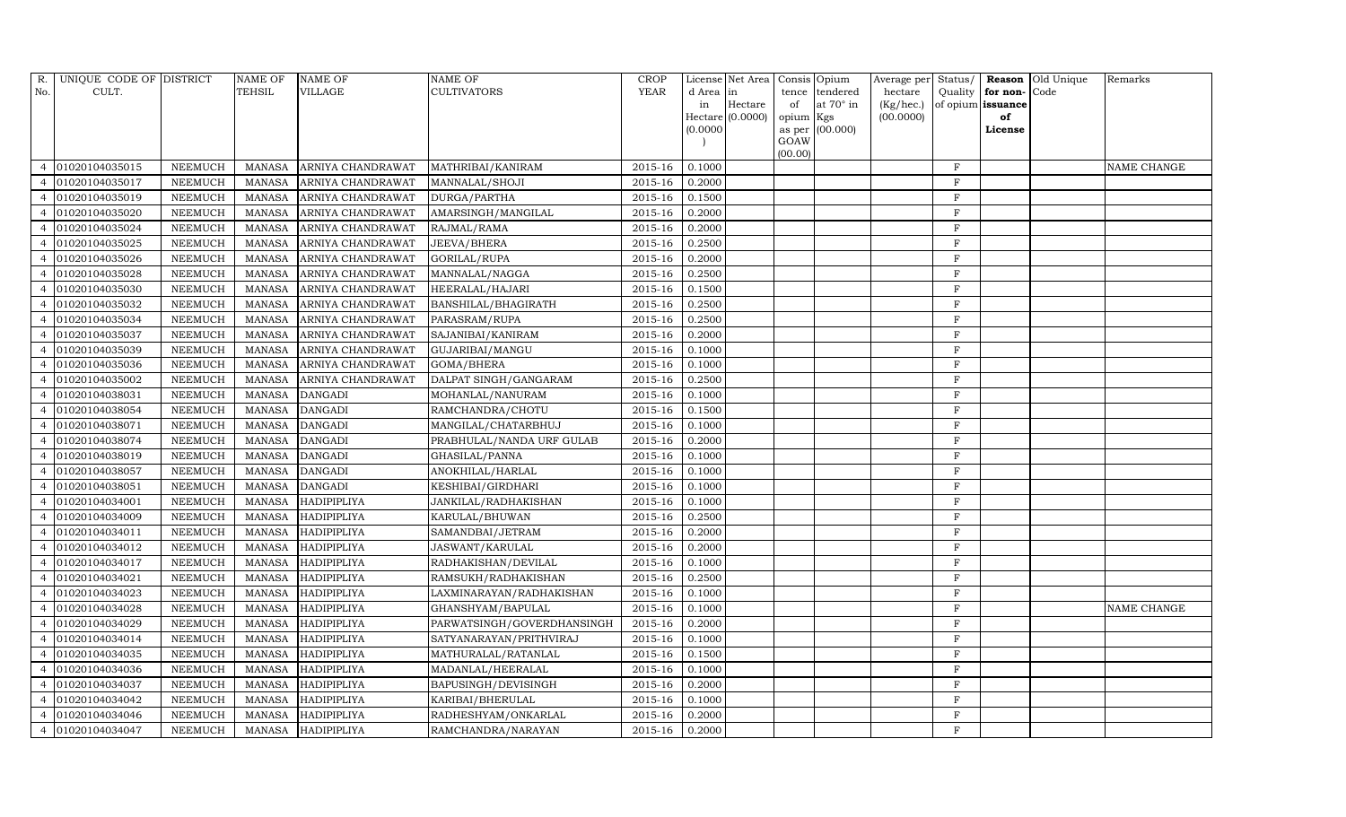| R.             | UNIQUE CODE OF DISTRICT |                | NAME OF       | <b>NAME OF</b>     | <b>NAME OF</b>             | <b>CROP</b> |          | License Net Area   Consis   Opium |           |                  | Average per | Status/      |                   | Reason Old Unique | Remarks     |
|----------------|-------------------------|----------------|---------------|--------------------|----------------------------|-------------|----------|-----------------------------------|-----------|------------------|-------------|--------------|-------------------|-------------------|-------------|
| No.            | CULT.                   |                | TEHSIL        | <b>VILLAGE</b>     | <b>CULTIVATORS</b>         | YEAR        | d Area   | in                                | tence     | tendered         | hectare     | Quality      | for non-          | Code              |             |
|                |                         |                |               |                    |                            |             | in       | Hectare                           | of        | at $70^\circ$ in | (Kg/hec.)   |              | of opium issuance |                   |             |
|                |                         |                |               |                    |                            |             |          | $Hectare$ (0.0000)                | opium Kgs |                  | (00.0000)   |              | of                |                   |             |
|                |                         |                |               |                    |                            |             | (0.0000) |                                   | GOAW      | as per (00.000)  |             |              | License           |                   |             |
|                |                         |                |               |                    |                            |             |          |                                   | (00.00)   |                  |             |              |                   |                   |             |
|                | 01020104035015          | <b>NEEMUCH</b> | <b>MANASA</b> | ARNIYA CHANDRAWAT  | MATHRIBAI/KANIRAM          | 2015-16     | 0.1000   |                                   |           |                  |             | $\rm F$      |                   |                   | NAME CHANGE |
|                | 01020104035017          | <b>NEEMUCH</b> | <b>MANASA</b> | ARNIYA CHANDRAWAT  | MANNALAL/SHOJI             | 2015-16     | 0.2000   |                                   |           |                  |             | $\mathbf F$  |                   |                   |             |
| $\overline{4}$ | 01020104035019          | <b>NEEMUCH</b> | <b>MANASA</b> | ARNIYA CHANDRAWAT  | DURGA/PARTHA               | $2015 - 16$ | 0.1500   |                                   |           |                  |             | F            |                   |                   |             |
|                | 01020104035020          | <b>NEEMUCH</b> | <b>MANASA</b> | ARNIYA CHANDRAWAT  | AMARSINGH/MANGILAL         | 2015-16     | 0.2000   |                                   |           |                  |             | $\rm F$      |                   |                   |             |
| $\overline{4}$ | 01020104035024          | <b>NEEMUCH</b> | <b>MANASA</b> | ARNIYA CHANDRAWAT  | RAJMAL/RAMA                | 2015-16     | 0.2000   |                                   |           |                  |             | $\mathbf F$  |                   |                   |             |
|                | 01020104035025          | <b>NEEMUCH</b> | <b>MANASA</b> | ARNIYA CHANDRAWAT  | JEEVA/BHERA                | 2015-16     | 0.2500   |                                   |           |                  |             | F            |                   |                   |             |
| $\overline{4}$ | 01020104035026          | <b>NEEMUCH</b> | <b>MANASA</b> | ARNIYA CHANDRAWAT  | GORILAL/RUPA               | 2015-16     | 0.2000   |                                   |           |                  |             | $\rm F$      |                   |                   |             |
| $\overline{a}$ | 01020104035028          | <b>NEEMUCH</b> | <b>MANASA</b> | ARNIYA CHANDRAWAT  | MANNALAL/NAGGA             | 2015-16     | 0.2500   |                                   |           |                  |             | F            |                   |                   |             |
|                | 01020104035030          | <b>NEEMUCH</b> | <b>MANASA</b> | ARNIYA CHANDRAWAT  | HEERALAL/HAJARI            | 2015-16     | 0.1500   |                                   |           |                  |             | F            |                   |                   |             |
| $\overline{4}$ | 01020104035032          | <b>NEEMUCH</b> | <b>MANASA</b> | ARNIYA CHANDRAWAT  | BANSHILAL/BHAGIRATH        | 2015-16     | 0.2500   |                                   |           |                  |             | $\mathbf{F}$ |                   |                   |             |
|                | 01020104035034          | <b>NEEMUCH</b> | <b>MANASA</b> | ARNIYA CHANDRAWAT  | PARASRAM/RUPA              | 2015-16     | 0.2500   |                                   |           |                  |             | F            |                   |                   |             |
| $\overline{4}$ | 01020104035037          | <b>NEEMUCH</b> | <b>MANASA</b> | ARNIYA CHANDRAWAT  | SAJANIBAI/KANIRAM          | 2015-16     | 0.2000   |                                   |           |                  |             | $\mathbf F$  |                   |                   |             |
| $\overline{4}$ | 01020104035039          | <b>NEEMUCH</b> | <b>MANASA</b> | ARNIYA CHANDRAWAT  | GUJARIBAI/MANGU            | 2015-16     | 0.1000   |                                   |           |                  |             | F            |                   |                   |             |
|                | 01020104035036          | <b>NEEMUCH</b> | <b>MANASA</b> | ARNIYA CHANDRAWAT  | GOMA/BHERA                 | 2015-16     | 0.1000   |                                   |           |                  |             | F            |                   |                   |             |
| $\overline{a}$ | 01020104035002          | <b>NEEMUCH</b> | <b>MANASA</b> | ARNIYA CHANDRAWAT  | DALPAT SINGH/GANGARAM      | 2015-16     | 0.2500   |                                   |           |                  |             | F            |                   |                   |             |
|                | 01020104038031          | <b>NEEMUCH</b> | <b>MANASA</b> | <b>DANGADI</b>     | MOHANLAL/NANURAM           | 2015-16     | 0.1000   |                                   |           |                  |             | F            |                   |                   |             |
| $\overline{4}$ | 01020104038054          | <b>NEEMUCH</b> | <b>MANASA</b> | <b>DANGADI</b>     | RAMCHANDRA/CHOTU           | 2015-16     | 0.1500   |                                   |           |                  |             | $\mathbf F$  |                   |                   |             |
| $\overline{4}$ | 01020104038071          | <b>NEEMUCH</b> | <b>MANASA</b> | <b>DANGADI</b>     | MANGILAL/CHATARBHUJ        | 2015-16     | 0.1000   |                                   |           |                  |             | $\mathbf{F}$ |                   |                   |             |
|                | 01020104038074          | <b>NEEMUCH</b> | <b>MANASA</b> | <b>DANGADI</b>     | PRABHULAL/NANDA URF GULAB  | 2015-16     | 0.2000   |                                   |           |                  |             | $\mathbf F$  |                   |                   |             |
| $\overline{4}$ | 01020104038019          | <b>NEEMUCH</b> | <b>MANASA</b> | <b>DANGADI</b>     | GHASILAL/PANNA             | 2015-16     | 0.1000   |                                   |           |                  |             | F            |                   |                   |             |
|                | 01020104038057          | <b>NEEMUCH</b> | <b>MANASA</b> | <b>DANGADI</b>     | ANOKHILAL/HARLAL           | 2015-16     | 0.1000   |                                   |           |                  |             | F            |                   |                   |             |
| $\overline{4}$ | 01020104038051          | <b>NEEMUCH</b> | <b>MANASA</b> | <b>DANGADI</b>     | KESHIBAI/GIRDHARI          | 2015-16     | 0.1000   |                                   |           |                  |             | $\mathbf F$  |                   |                   |             |
| $\overline{4}$ | 01020104034001          | <b>NEEMUCH</b> | <b>MANASA</b> | HADIPIPLIYA        | JANKILAL/RADHAKISHAN       | 2015-16     | 0.1000   |                                   |           |                  |             | $\rm F$      |                   |                   |             |
| $\overline{4}$ | 01020104034009          | <b>NEEMUCH</b> | <b>MANASA</b> | <b>HADIPIPLIYA</b> | KARULAL/BHUWAN             | 2015-16     | 0.2500   |                                   |           |                  |             | $\mathbf F$  |                   |                   |             |
| $\overline{4}$ | 01020104034011          | <b>NEEMUCH</b> | <b>MANASA</b> | HADIPIPLIYA        | SAMANDBAI/JETRAM           | $2015 - 16$ | 0.2000   |                                   |           |                  |             | F            |                   |                   |             |
|                | 01020104034012          | <b>NEEMUCH</b> | <b>MANASA</b> | <b>HADIPIPLIYA</b> | JASWANT/KARULAL            | 2015-16     | 0.2000   |                                   |           |                  |             | F            |                   |                   |             |
| $\overline{4}$ | 01020104034017          | <b>NEEMUCH</b> | <b>MANASA</b> | <b>HADIPIPLIYA</b> | RADHAKISHAN/DEVILAL        | 2015-16     | 0.1000   |                                   |           |                  |             | $\mathbf F$  |                   |                   |             |
|                | 01020104034021          | <b>NEEMUCH</b> | <b>MANASA</b> | HADIPIPLIYA        | RAMSUKH/RADHAKISHAN        | 2015-16     | 0.2500   |                                   |           |                  |             | F            |                   |                   |             |
| $\overline{4}$ | 01020104034023          | <b>NEEMUCH</b> | <b>MANASA</b> | <b>HADIPIPLIYA</b> | LAXMINARAYAN/RADHAKISHAN   | 2015-16     | 0.1000   |                                   |           |                  |             | $\rm F$      |                   |                   |             |
| $\overline{4}$ | 01020104034028          | <b>NEEMUCH</b> | <b>MANASA</b> | HADIPIPLIYA        | GHANSHYAM/BAPULAL          | 2015-16     | 0.1000   |                                   |           |                  |             | F            |                   |                   | NAME CHANGE |
|                | 01020104034029          | <b>NEEMUCH</b> | <b>MANASA</b> | HADIPIPLIYA        | PARWATSINGH/GOVERDHANSINGH | 2015-16     | 0.2000   |                                   |           |                  |             | F            |                   |                   |             |
| $\overline{4}$ | 01020104034014          | <b>NEEMUCH</b> | <b>MANASA</b> | HADIPIPLIYA        | SATYANARAYAN/PRITHVIRAJ    | 2015-16     | 0.1000   |                                   |           |                  |             | F            |                   |                   |             |
|                | 01020104034035          | <b>NEEMUCH</b> | <b>MANASA</b> | HADIPIPLIYA        | MATHURALAL/RATANLAL        | 2015-16     | 0.1500   |                                   |           |                  |             | F            |                   |                   |             |
| $\overline{4}$ | 01020104034036          | <b>NEEMUCH</b> | <b>MANASA</b> | <b>HADIPIPLIYA</b> | MADANLAL/HEERALAL          | 2015-16     | 0.1000   |                                   |           |                  |             | $\mathbf F$  |                   |                   |             |
| $\overline{a}$ | 01020104034037          | <b>NEEMUCH</b> | <b>MANASA</b> | HADIPIPLIYA        | BAPUSINGH/DEVISINGH        | 2015-16     | 0.2000   |                                   |           |                  |             | F            |                   |                   |             |
|                | 01020104034042          | <b>NEEMUCH</b> | <b>MANASA</b> | <b>HADIPIPLIYA</b> | KARIBAI/BHERULAL           | 2015-16     | 0.1000   |                                   |           |                  |             | F            |                   |                   |             |
| $\overline{4}$ | 01020104034046          | <b>NEEMUCH</b> | <b>MANASA</b> | <b>HADIPIPLIYA</b> | RADHESHYAM/ONKARLAL        | 2015-16     | 0.2000   |                                   |           |                  |             | F            |                   |                   |             |
| $\overline{4}$ | 01020104034047          | <b>NEEMUCH</b> |               | MANASA HADIPIPLIYA | RAMCHANDRA/NARAYAN         | 2015-16     | 0.2000   |                                   |           |                  |             | $_{\rm F}$   |                   |                   |             |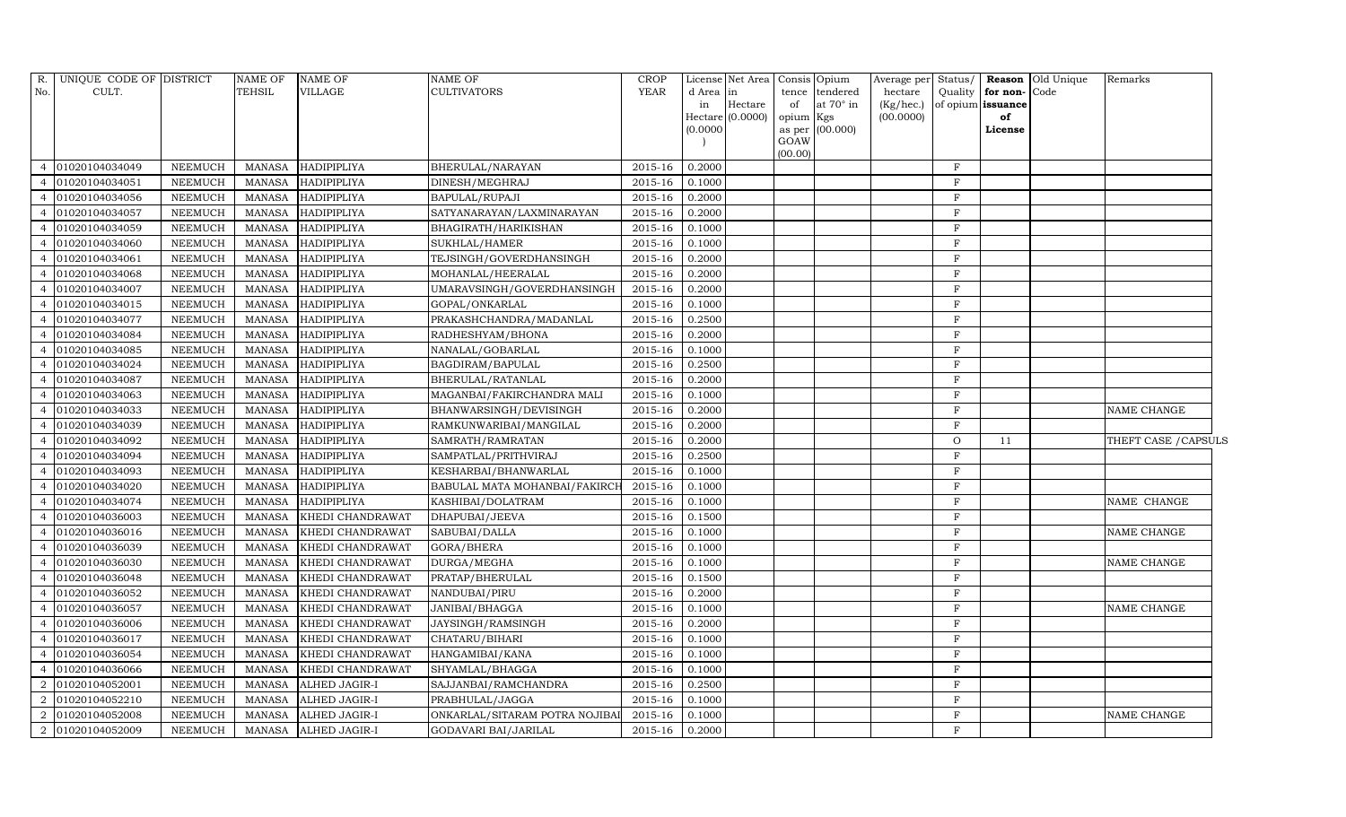| R.             | UNIQUE CODE OF DISTRICT |                | <b>NAME OF</b> | <b>NAME OF</b>     | <b>NAME OF</b>                 | <b>CROP</b> |           | License Net Area Consis Opium |           |                   | Average per | Status/      |                   | Reason Old Unique | Remarks              |
|----------------|-------------------------|----------------|----------------|--------------------|--------------------------------|-------------|-----------|-------------------------------|-----------|-------------------|-------------|--------------|-------------------|-------------------|----------------------|
| No.            | CULT.                   |                | <b>TEHSIL</b>  | <b>VILLAGE</b>     | <b>CULTIVATORS</b>             | YEAR        | d Area in |                               | tence     | tendered          | hectare     | Quality      | for non-Code      |                   |                      |
|                |                         |                |                |                    |                                |             | in        | Hectare                       | of        | at $70^\circ$ in  | (Kg/hec.)   |              | of opium issuance |                   |                      |
|                |                         |                |                |                    |                                |             | (0.0000)  | Hectare (0.0000)              | opium Kgs | as per $(00.000)$ | (00.0000)   |              | of<br>License     |                   |                      |
|                |                         |                |                |                    |                                |             |           |                               | GOAW      |                   |             |              |                   |                   |                      |
|                |                         |                |                |                    |                                |             |           |                               | (00.00)   |                   |             |              |                   |                   |                      |
|                | 01020104034049          | <b>NEEMUCH</b> | <b>MANASA</b>  | HADIPIPLIYA        | BHERULAL/NARAYAN               | 2015-16     | 0.2000    |                               |           |                   |             | F            |                   |                   |                      |
|                | 01020104034051          | <b>NEEMUCH</b> | <b>MANASA</b>  | <b>HADIPIPLIYA</b> | DINESH/MEGHRAJ                 | 2015-16     | 0.1000    |                               |           |                   |             | $_{\rm F}$   |                   |                   |                      |
|                | 01020104034056          | <b>NEEMUCH</b> | <b>MANASA</b>  | HADIPIPLIYA        | BAPULAL/RUPAJI                 | 2015-16     | 0.2000    |                               |           |                   |             | F            |                   |                   |                      |
|                | 01020104034057          | <b>NEEMUCH</b> | <b>MANASA</b>  | <b>HADIPIPLIYA</b> | SATYANARAYAN/LAXMINARAYAN      | 2015-16     | 0.2000    |                               |           |                   |             | F            |                   |                   |                      |
| $\overline{a}$ | 01020104034059          | <b>NEEMUCH</b> | <b>MANASA</b>  | <b>HADIPIPLIYA</b> | BHAGIRATH/HARIKISHAN           | 2015-16     | 0.1000    |                               |           |                   |             | F            |                   |                   |                      |
|                | 01020104034060          | <b>NEEMUCH</b> | <b>MANASA</b>  | HADIPIPLIYA        | SUKHLAL/HAMER                  | 2015-16     | 0.1000    |                               |           |                   |             | F            |                   |                   |                      |
|                | 01020104034061          | <b>NEEMUCH</b> | <b>MANASA</b>  | HADIPIPLIYA        | TEJSINGH/GOVERDHANSINGH        | 2015-16     | 0.2000    |                               |           |                   |             | $\rm F$      |                   |                   |                      |
|                | 01020104034068          | <b>NEEMUCH</b> | <b>MANASA</b>  | HADIPIPLIYA        | MOHANLAL/HEERALAL              | 2015-16     | 0.2000    |                               |           |                   |             | F            |                   |                   |                      |
|                | 01020104034007          | <b>NEEMUCH</b> | <b>MANASA</b>  | <b>HADIPIPLIYA</b> | UMARAVSINGH/GOVERDHANSINGH     | 2015-16     | 0.2000    |                               |           |                   |             | $\rm F$      |                   |                   |                      |
| $\overline{a}$ | 01020104034015          | <b>NEEMUCH</b> | <b>MANASA</b>  | HADIPIPLIYA        | GOPAL/ONKARLAL                 | 2015-16     | 0.1000    |                               |           |                   |             | F            |                   |                   |                      |
|                | 01020104034077          | <b>NEEMUCH</b> | <b>MANASA</b>  | <b>HADIPIPLIYA</b> | PRAKASHCHANDRA/MADANLAL        | 2015-16     | 0.2500    |                               |           |                   |             | F            |                   |                   |                      |
|                | 01020104034084          | <b>NEEMUCH</b> | <b>MANASA</b>  | HADIPIPLIYA        | RADHESHYAM/BHONA               | 2015-16     | 0.2000    |                               |           |                   |             | $\mathbf{F}$ |                   |                   |                      |
| $\overline{a}$ | 01020104034085          | <b>NEEMUCH</b> | <b>MANASA</b>  | <b>HADIPIPLIYA</b> | NANALAL/GOBARLAL               | 2015-16     | 0.1000    |                               |           |                   |             | $\rm F$      |                   |                   |                      |
|                | 01020104034024          | <b>NEEMUCH</b> | <b>MANASA</b>  | HADIPIPLIYA        | BAGDIRAM/BAPULAL               | 2015-16     | 0.2500    |                               |           |                   |             | $\rm F$      |                   |                   |                      |
| $\overline{a}$ | 01020104034087          | <b>NEEMUCH</b> | <b>MANASA</b>  | <b>HADIPIPLIYA</b> | BHERULAL/RATANLAL              | 2015-16     | 0.2000    |                               |           |                   |             | $\rm F$      |                   |                   |                      |
|                | 01020104034063          | <b>NEEMUCH</b> | <b>MANASA</b>  | HADIPIPLIYA        | MAGANBAI/FAKIRCHANDRA MALI     | 2015-16     | 0.1000    |                               |           |                   |             | $\mathbf{F}$ |                   |                   |                      |
|                | 01020104034033          | <b>NEEMUCH</b> | <b>MANASA</b>  | HADIPIPLIYA        | BHANWARSINGH/DEVISINGH         | 2015-16     | 0.2000    |                               |           |                   |             | $\mathbf{F}$ |                   |                   | NAME CHANGE          |
| $\overline{a}$ | 01020104034039          | <b>NEEMUCH</b> | <b>MANASA</b>  | HADIPIPLIYA        | RAMKUNWARIBAI/MANGILAL         | 2015-16     | 0.2000    |                               |           |                   |             | F            |                   |                   |                      |
|                | 01020104034092          | <b>NEEMUCH</b> | <b>MANASA</b>  | HADIPIPLIYA        | SAMRATH/RAMRATAN               | 2015-16     | 0.2000    |                               |           |                   |             | $\circ$      | 11                |                   | THEFT CASE / CAPSULS |
| $\overline{4}$ | 01020104034094          | <b>NEEMUCH</b> | <b>MANASA</b>  | HADIPIPLIYA        | SAMPATLAL/PRITHVIRAJ           | 2015-16     | 0.2500    |                               |           |                   |             | $\rm F$      |                   |                   |                      |
|                | 01020104034093          | <b>NEEMUCH</b> | <b>MANASA</b>  | HADIPIPLIYA        | KESHARBAI/BHANWARLAL           | 2015-16     | 0.1000    |                               |           |                   |             | F            |                   |                   |                      |
|                | 01020104034020          | <b>NEEMUCH</b> | <b>MANASA</b>  | <b>HADIPIPLIYA</b> | BABULAL MATA MOHANBAI/FAKIRCI  | 2015-16     | 0.1000    |                               |           |                   |             | $\mathbf{F}$ |                   |                   |                      |
|                | 01020104034074          | <b>NEEMUCH</b> | <b>MANASA</b>  | HADIPIPLIYA        | KASHIBAI/DOLATRAM              | 2015-16     | 0.1000    |                               |           |                   |             | F            |                   |                   | NAME CHANGE          |
|                | 01020104036003          | <b>NEEMUCH</b> | <b>MANASA</b>  | KHEDI CHANDRAWAT   | DHAPUBAI/JEEVA                 | 2015-16     | 0.1500    |                               |           |                   |             | F            |                   |                   |                      |
| $\overline{a}$ | 01020104036016          | <b>NEEMUCH</b> | <b>MANASA</b>  | KHEDI CHANDRAWAT   | SABUBAI/DALLA                  | 2015-16     | 0.1000    |                               |           |                   |             | $\rm F$      |                   |                   | NAME CHANGE          |
|                | 01020104036039          | <b>NEEMUCH</b> | <b>MANASA</b>  | KHEDI CHANDRAWAT   | GORA/BHERA                     | 2015-16     | 0.1000    |                               |           |                   |             | $\rm F$      |                   |                   |                      |
|                | 01020104036030          | <b>NEEMUCH</b> | <b>MANASA</b>  | KHEDI CHANDRAWAT   | DURGA/MEGHA                    | 2015-16     | 0.1000    |                               |           |                   |             | $\mathbf{F}$ |                   |                   | NAME CHANGE          |
|                | 01020104036048          | <b>NEEMUCH</b> | <b>MANASA</b>  | KHEDI CHANDRAWAT   | PRATAP/BHERULAL                | 2015-16     | 0.1500    |                               |           |                   |             | F            |                   |                   |                      |
|                | 01020104036052          | <b>NEEMUCH</b> | <b>MANASA</b>  | KHEDI CHANDRAWAT   | NANDUBAI/PIRU                  | 2015-16     | 0.2000    |                               |           |                   |             | F            |                   |                   |                      |
| $\overline{a}$ | 01020104036057          | <b>NEEMUCH</b> | <b>MANASA</b>  | KHEDI CHANDRAWAT   | JANIBAI/BHAGGA                 | 2015-16     | 0.1000    |                               |           |                   |             | F            |                   |                   | NAME CHANGE          |
|                | 01020104036006          | <b>NEEMUCH</b> | <b>MANASA</b>  | KHEDI CHANDRAWAT   | JAYSINGH/RAMSINGH              | 2015-16     | 0.2000    |                               |           |                   |             | F            |                   |                   |                      |
|                | 01020104036017          | <b>NEEMUCH</b> | <b>MANASA</b>  | KHEDI CHANDRAWAT   | CHATARU/BIHARI                 | 2015-16     | 0.1000    |                               |           |                   |             | $\mathbf{F}$ |                   |                   |                      |
|                | 01020104036054          | <b>NEEMUCH</b> | <b>MANASA</b>  | KHEDI CHANDRAWAT   | HANGAMIBAI/KANA                | 2015-16     | 0.1000    |                               |           |                   |             | $\mathbf{F}$ |                   |                   |                      |
|                | 01020104036066          | <b>NEEMUCH</b> | <b>MANASA</b>  | KHEDI CHANDRAWAT   | SHYAMLAL/BHAGGA                | 2015-16     | 0.1000    |                               |           |                   |             | F            |                   |                   |                      |
| $\mathcal{D}$  | 01020104052001          | <b>NEEMUCH</b> | <b>MANASA</b>  | ALHED JAGIR-I      | SAJJANBAI/RAMCHANDRA           | 2015-16     | 0.2500    |                               |           |                   |             | F            |                   |                   |                      |
| $\mathcal{D}$  | 01020104052210          | <b>NEEMUCH</b> | <b>MANASA</b>  | ALHED JAGIR-I      | PRABHULAL/JAGGA                | 2015-16     | 0.1000    |                               |           |                   |             | $_{\rm F}$   |                   |                   |                      |
| $\overline{2}$ | 01020104052008          | <b>NEEMUCH</b> | <b>MANASA</b>  | ALHED JAGIR-I      | ONKARLAL/SITARAM POTRA NOJIBAI | 2015-16     | 0.1000    |                               |           |                   |             | $\mathbf{F}$ |                   |                   | NAME CHANGE          |
|                | 2 01020104052009        | <b>NEEMUCH</b> | <b>MANASA</b>  | ALHED JAGIR-I      | GODAVARI BAI/JARILAL           | 2015-16     | 0.2000    |                               |           |                   |             | $\mathbf{F}$ |                   |                   |                      |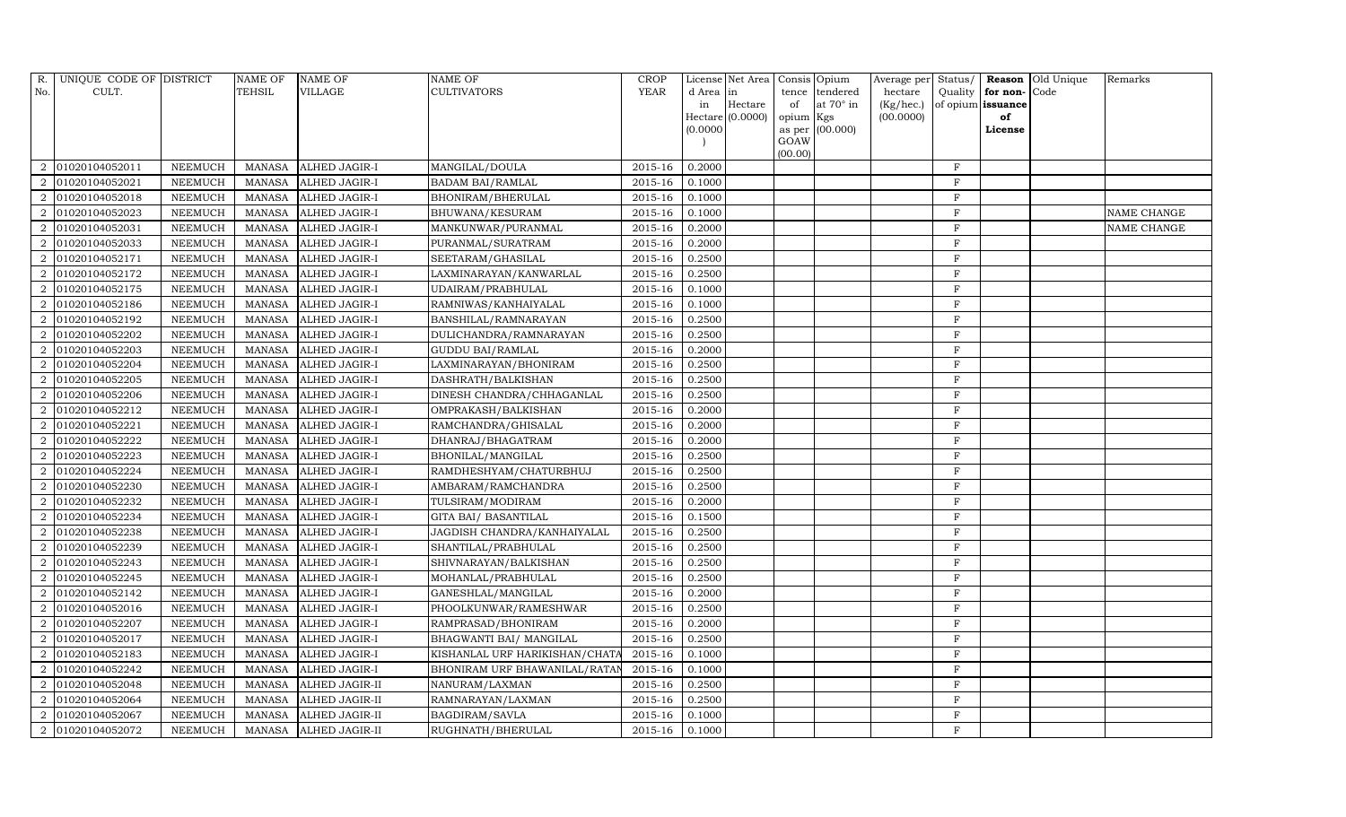| R.             | UNIQUE CODE OF DISTRICT |                | <b>NAME OF</b> | <b>NAME OF</b>        | <b>NAME OF</b>                 | <b>CROP</b> |           | License Net Area Consis Opium |                 |                  |           |                |                   | Average per Status/ Reason Old Unique | Remarks     |
|----------------|-------------------------|----------------|----------------|-----------------------|--------------------------------|-------------|-----------|-------------------------------|-----------------|------------------|-----------|----------------|-------------------|---------------------------------------|-------------|
| No.            | CULT.                   |                | TEHSIL         | <b>VILLAGE</b>        | <b>CULTIVATORS</b>             | YEAR        | d Area in |                               |                 | tence tendered   | hectare   | Quality        | for non-          | Code                                  |             |
|                |                         |                |                |                       |                                |             | in        | Hectare                       | of              | at $70^\circ$ in | (Kg/hec.) |                | of opium issuance |                                       |             |
|                |                         |                |                |                       |                                |             |           | $Hectare$ (0.0000)            | opium Kgs       |                  | (00.0000) |                | of                |                                       |             |
|                |                         |                |                |                       |                                |             | (0.0000)  |                               |                 | as per (00.000)  |           |                | License           |                                       |             |
|                |                         |                |                |                       |                                |             |           |                               | GOAW<br>(00.00) |                  |           |                |                   |                                       |             |
| 2              | 01020104052011          | <b>NEEMUCH</b> | <b>MANASA</b>  | ALHED JAGIR-I         | MANGILAL/DOULA                 | 2015-16     | 0.2000    |                               |                 |                  |           | $\mathbf F$    |                   |                                       |             |
|                | 01020104052021          | <b>NEEMUCH</b> | <b>MANASA</b>  | ALHED JAGIR-I         | <b>BADAM BAI/RAMLAL</b>        | 2015-16     | 0.1000    |                               |                 |                  |           | $\rm F$        |                   |                                       |             |
| 2              | 01020104052018          | <b>NEEMUCH</b> | <b>MANASA</b>  | ALHED JAGIR-I         | BHONIRAM/BHERULAL              | 2015-16     | 0.1000    |                               |                 |                  |           | F              |                   |                                       |             |
|                | 01020104052023          | <b>NEEMUCH</b> | <b>MANASA</b>  | ALHED JAGIR-I         | BHUWANA/KESURAM                | 2015-16     | 0.1000    |                               |                 |                  |           | $\rm F$        |                   |                                       | NAME CHANGE |
| 2              | 01020104052031          | <b>NEEMUCH</b> | <b>MANASA</b>  | ALHED JAGIR-I         | MANKUNWAR/PURANMAL             | 2015-16     | 0.2000    |                               |                 |                  |           | $\rm F$        |                   |                                       | NAME CHANGE |
| $\overline{2}$ | 01020104052033          | <b>NEEMUCH</b> | <b>MANASA</b>  | ALHED JAGIR-I         | PURANMAL/SURATRAM              | 2015-16     | 0.2000    |                               |                 |                  |           | $\rm F$        |                   |                                       |             |
| $\overline{2}$ | 01020104052171          | <b>NEEMUCH</b> | <b>MANASA</b>  | ALHED JAGIR-I         | SEETARAM/GHASILAL              | 2015-16     | 0.2500    |                               |                 |                  |           | $\mathbf F$    |                   |                                       |             |
| 2              | 01020104052172          | <b>NEEMUCH</b> | <b>MANASA</b>  | ALHED JAGIR-I         | LAXMINARAYAN/KANWARLAL         | 2015-16     | 0.2500    |                               |                 |                  |           | $\rm F$        |                   |                                       |             |
|                | 01020104052175          | <b>NEEMUCH</b> | <b>MANASA</b>  | ALHED JAGIR-I         | UDAIRAM/PRABHULAL              | 2015-16     | 0.1000    |                               |                 |                  |           | $\rm F$        |                   |                                       |             |
| 2              | 01020104052186          | <b>NEEMUCH</b> | <b>MANASA</b>  | ALHED JAGIR-I         | RAMNIWAS/KANHAIYALAL           | 2015-16     | 0.1000    |                               |                 |                  |           | $\rm F$        |                   |                                       |             |
| 2              | 01020104052192          | <b>NEEMUCH</b> | <b>MANASA</b>  | <b>ALHED JAGIR-I</b>  | BANSHILAL/RAMNARAYAN           | 2015-16     | 0.2500    |                               |                 |                  |           | $\mathbf{F}$   |                   |                                       |             |
| 2              | 01020104052202          | <b>NEEMUCH</b> | <b>MANASA</b>  | <b>ALHED JAGIR-I</b>  | DULICHANDRA/RAMNARAYAN         | 2015-16     | 0.2500    |                               |                 |                  |           | $\rm F$        |                   |                                       |             |
| $\overline{2}$ | 01020104052203          | <b>NEEMUCH</b> | <b>MANASA</b>  | ALHED JAGIR-I         | <b>GUDDU BAI/RAMLAL</b>        | $2015 - 16$ | 0.2000    |                               |                 |                  |           | $\rm F$        |                   |                                       |             |
|                | 01020104052204          | <b>NEEMUCH</b> | <b>MANASA</b>  | ALHED JAGIR-I         | LAXMINARAYAN/BHONIRAM          | 2015-16     | 0.2500    |                               |                 |                  |           | $\overline{F}$ |                   |                                       |             |
| 2              | 01020104052205          | <b>NEEMUCH</b> | <b>MANASA</b>  | ALHED JAGIR-I         | DASHRATH/BALKISHAN             | 2015-16     | 0.2500    |                               |                 |                  |           | $\rm F$        |                   |                                       |             |
| 2              | 01020104052206          | <b>NEEMUCH</b> | <b>MANASA</b>  | ALHED JAGIR-I         | DINESH CHANDRA/CHHAGANLAL      | 2015-16     | 0.2500    |                               |                 |                  |           | $\rm F$        |                   |                                       |             |
| $\overline{2}$ | 01020104052212          | <b>NEEMUCH</b> | <b>MANASA</b>  | ALHED JAGIR-I         | OMPRAKASH/BALKISHAN            | 2015-16     | 0.2000    |                               |                 |                  |           | $\rm F$        |                   |                                       |             |
| 2              | 01020104052221          | <b>NEEMUCH</b> | <b>MANASA</b>  | ALHED JAGIR-I         | RAMCHANDRA/GHISALAL            | $2015 - 16$ | 0.2000    |                               |                 |                  |           | $\mathbf F$    |                   |                                       |             |
| $\overline{2}$ | 01020104052222          | <b>NEEMUCH</b> | <b>MANASA</b>  | ALHED JAGIR-I         | DHANRAJ/BHAGATRAM              | 2015-16     | 0.2000    |                               |                 |                  |           | $\mathbf F$    |                   |                                       |             |
| $\overline{2}$ | 01020104052223          | <b>NEEMUCH</b> | <b>MANASA</b>  | ALHED JAGIR-I         | BHONILAL/MANGILAL              | 2015-16     | 0.2500    |                               |                 |                  |           | $\rm F$        |                   |                                       |             |
| $\mathfrak{D}$ | 01020104052224          | <b>NEEMUCH</b> | <b>MANASA</b>  | ALHED JAGIR-I         | RAMDHESHYAM/CHATURBHUJ         | 2015-16     | 0.2500    |                               |                 |                  |           | $\rm F$        |                   |                                       |             |
| $\overline{2}$ | 01020104052230          | <b>NEEMUCH</b> | <b>MANASA</b>  | <b>ALHED JAGIR-I</b>  | AMBARAM/RAMCHANDRA             | 2015-16     | 0.2500    |                               |                 |                  |           | $\rm F$        |                   |                                       |             |
| 2              | 01020104052232          | <b>NEEMUCH</b> | <b>MANASA</b>  | ALHED JAGIR-I         | TULSIRAM/MODIRAM               | 2015-16     | 0.2000    |                               |                 |                  |           | $\mathbf F$    |                   |                                       |             |
| 2              | 01020104052234          | <b>NEEMUCH</b> | <b>MANASA</b>  | ALHED JAGIR-I         | GITA BAI/ BASANTILAL           | 2015-16     | 0.1500    |                               |                 |                  |           | $\mathbf{F}$   |                   |                                       |             |
| 2              | 01020104052238          | <b>NEEMUCH</b> | <b>MANASA</b>  | ALHED JAGIR-I         | JAGDISH CHANDRA/KANHAIYALAL    | 2015-16     | 0.2500    |                               |                 |                  |           | F              |                   |                                       |             |
|                | 01020104052239          | <b>NEEMUCH</b> | <b>MANASA</b>  | ALHED JAGIR-I         | SHANTILAL/PRABHULAL            | 2015-16     | 0.2500    |                               |                 |                  |           | $\rm F$        |                   |                                       |             |
| 2              | 01020104052243          | <b>NEEMUCH</b> | <b>MANASA</b>  | ALHED JAGIR-I         | SHIVNARAYAN/BALKISHAN          | 2015-16     | 0.2500    |                               |                 |                  |           | $\rm F$        |                   |                                       |             |
| 2              | 01020104052245          | <b>NEEMUCH</b> | <b>MANASA</b>  | <b>ALHED JAGIR-I</b>  | MOHANLAL/PRABHULAL             | 2015-16     | 0.2500    |                               |                 |                  |           | $\overline{F}$ |                   |                                       |             |
| $\overline{2}$ | 01020104052142          | <b>NEEMUCH</b> | <b>MANASA</b>  | ALHED JAGIR-I         | GANESHLAL/MANGILAL             | 2015-16     | 0.2000    |                               |                 |                  |           | $\mathbf F$    |                   |                                       |             |
| 2              | 01020104052016          | <b>NEEMUCH</b> | <b>MANASA</b>  | ALHED JAGIR-I         | PHOOLKUNWAR/RAMESHWAR          | 2015-16     | 0.2500    |                               |                 |                  |           | $\rm F$        |                   |                                       |             |
|                | 01020104052207          | <b>NEEMUCH</b> | <b>MANASA</b>  | ALHED JAGIR-I         | RAMPRASAD/BHONIRAM             | 2015-16     | 0.2000    |                               |                 |                  |           | $\mathbf{F}$   |                   |                                       |             |
| 2              | 01020104052017          | <b>NEEMUCH</b> | <b>MANASA</b>  | ALHED JAGIR-I         | BHAGWANTI BAI/ MANGILAL        | 2015-16     | 0.2500    |                               |                 |                  |           | $\rm F$        |                   |                                       |             |
| $\overline{2}$ | 01020104052183          | <b>NEEMUCH</b> | <b>MANASA</b>  | ALHED JAGIR-I         | KISHANLAL URF HARIKISHAN/CHATA | 2015-16     | 0.1000    |                               |                 |                  |           | $\mathbf F$    |                   |                                       |             |
| $\overline{2}$ | 01020104052242          | <b>NEEMUCH</b> | <b>MANASA</b>  | ALHED JAGIR-I         | BHONIRAM URF BHAWANILAL/RATAN  | 2015-16     | 0.1000    |                               |                 |                  |           | $\rm F$        |                   |                                       |             |
| 2              | 01020104052048          | <b>NEEMUCH</b> | <b>MANASA</b>  | ALHED JAGIR-II        | NANURAM/LAXMAN                 | 2015-16     | 0.2500    |                               |                 |                  |           | $\rm F$        |                   |                                       |             |
|                | 01020104052064          | <b>NEEMUCH</b> | <b>MANASA</b>  | ALHED JAGIR-II        | RAMNARAYAN/LAXMAN              | 2015-16     | 0.2500    |                               |                 |                  |           | $\rm F$        |                   |                                       |             |
| 2              | 01020104052067          | <b>NEEMUCH</b> | <b>MANASA</b>  | ALHED JAGIR-II        | BAGDIRAM/SAVLA                 | 2015-16     | 0.1000    |                               |                 |                  |           | $\rm F$        |                   |                                       |             |
| $\overline{2}$ | 01020104052072          | <b>NEEMUCH</b> | <b>MANASA</b>  | <b>ALHED JAGIR-II</b> | RUGHNATH/BHERULAL              | 2015-16     | 0.1000    |                               |                 |                  |           | F              |                   |                                       |             |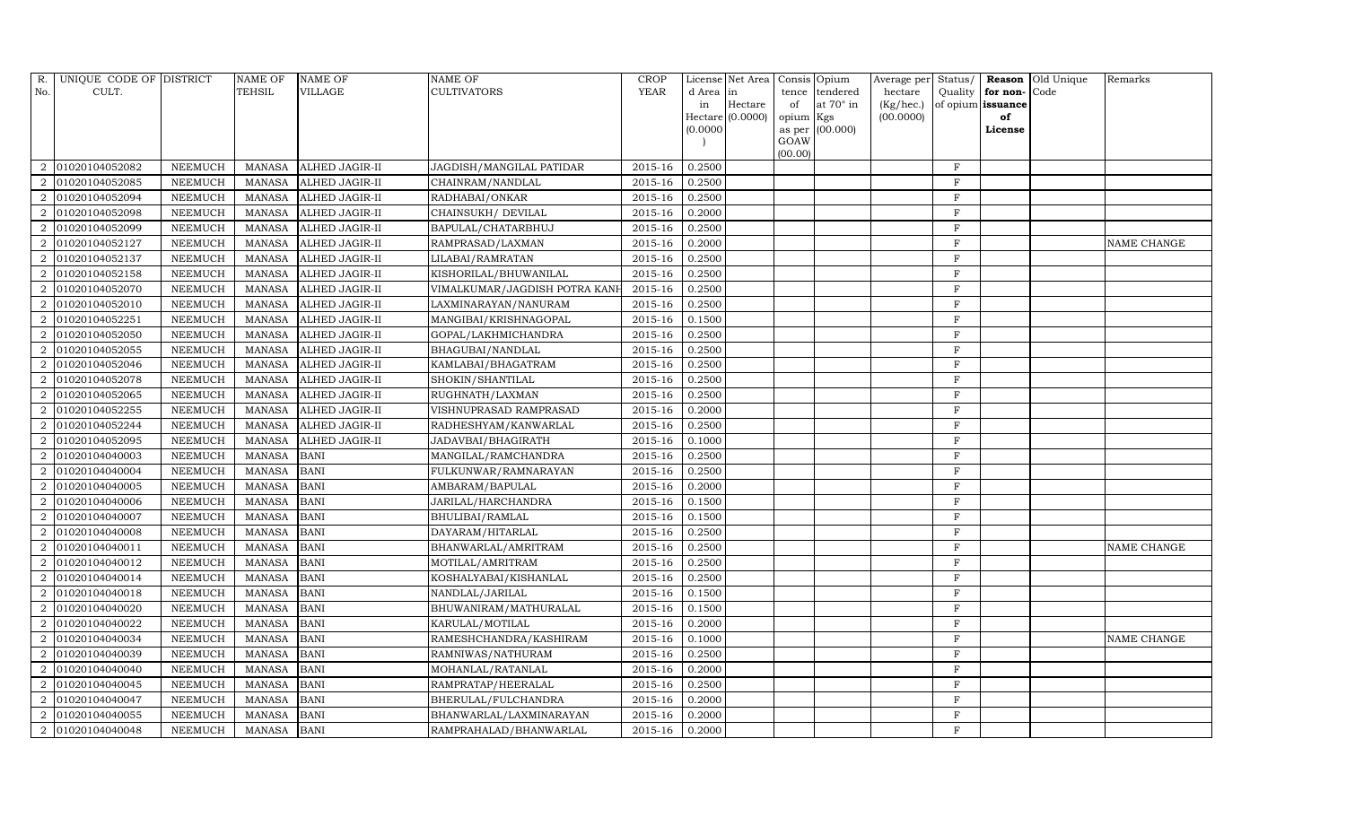| R.             | UNIQUE CODE OF DISTRICT |                | <b>NAME OF</b> | <b>NAME OF</b> | <b>NAME OF</b>               | <b>CROP</b> |          | License Net Area   Consis   Opium |           |                  | Average per | Status/      |                   | Reason Old Unique | Remarks     |
|----------------|-------------------------|----------------|----------------|----------------|------------------------------|-------------|----------|-----------------------------------|-----------|------------------|-------------|--------------|-------------------|-------------------|-------------|
| No.            | CULT.                   |                | TEHSIL         | <b>VILLAGE</b> | <b>CULTIVATORS</b>           | YEAR        | d Area   | in                                | tence     | tendered         | hectare     | Quality      | for non-          | Code              |             |
|                |                         |                |                |                |                              |             | in       | Hectare                           | of        | at $70^\circ$ in | (Kg/hec.)   |              | of opium issuance |                   |             |
|                |                         |                |                |                |                              |             |          | $Hectare$ (0.0000)                | opium Kgs |                  | (00.0000)   |              | of                |                   |             |
|                |                         |                |                |                |                              |             | (0.0000) |                                   | GOAW      | as per (00.000)  |             |              | License           |                   |             |
|                |                         |                |                |                |                              |             |          |                                   | (00.00)   |                  |             |              |                   |                   |             |
| $\overline{2}$ | 01020104052082          | <b>NEEMUCH</b> | <b>MANASA</b>  | ALHED JAGIR-II | JAGDISH/MANGILAL PATIDAR     | 2015-16     | 0.2500   |                                   |           |                  |             | $\rm F$      |                   |                   |             |
|                | 01020104052085          | <b>NEEMUCH</b> | <b>MANASA</b>  | ALHED JAGIR-II | CHAINRAM/NANDLAL             | 2015-16     | 0.2500   |                                   |           |                  |             | $\mathbf F$  |                   |                   |             |
| 2              | 01020104052094          | <b>NEEMUCH</b> | <b>MANASA</b>  | ALHED JAGIR-II | RADHABAI/ONKAR               | $2015 - 16$ | 0.2500   |                                   |           |                  |             | F            |                   |                   |             |
|                | 01020104052098          | <b>NEEMUCH</b> | <b>MANASA</b>  | ALHED JAGIR-II | CHAINSUKH/ DEVILAL           | 2015-16     | 0.2000   |                                   |           |                  |             | $\rm F$      |                   |                   |             |
| 2              | 01020104052099          | <b>NEEMUCH</b> | <b>MANASA</b>  | ALHED JAGIR-II | BAPULAL/CHATARBHUJ           | 2015-16     | 0.2500   |                                   |           |                  |             | $\mathbf F$  |                   |                   |             |
| $\overline{2}$ | 01020104052127          | <b>NEEMUCH</b> | <b>MANASA</b>  | ALHED JAGIR-II | RAMPRASAD/LAXMAN             | 2015-16     | 0.2000   |                                   |           |                  |             | F            |                   |                   | NAME CHANGE |
| $\overline{2}$ | 01020104052137          | <b>NEEMUCH</b> | <b>MANASA</b>  | ALHED JAGIR-II | LILABAI/RAMRATAN             | 2015-16     | 0.2500   |                                   |           |                  |             | $\mathbf F$  |                   |                   |             |
| 2              | 01020104052158          | <b>NEEMUCH</b> | <b>MANASA</b>  | ALHED JAGIR-II | KISHORILAL/BHUWANILAL        | 2015-16     | 0.2500   |                                   |           |                  |             | F            |                   |                   |             |
|                | 01020104052070          | <b>NEEMUCH</b> | <b>MANASA</b>  | ALHED JAGIR-II | VIMALKUMAR/JAGDISH POTRA KAN | 2015-16     | 0.2500   |                                   |           |                  |             | F            |                   |                   |             |
| 2              | 01020104052010          | <b>NEEMUCH</b> | <b>MANASA</b>  | ALHED JAGIR-II | LAXMINARAYAN/NANURAM         | $2015 - 16$ | 0.2500   |                                   |           |                  |             | $\mathbf{F}$ |                   |                   |             |
| 2              | 01020104052251          | <b>NEEMUCH</b> | <b>MANASA</b>  | ALHED JAGIR-II | MANGIBAI/KRISHNAGOPAL        | 2015-16     | 0.1500   |                                   |           |                  |             | F            |                   |                   |             |
| 2              | 01020104052050          | <b>NEEMUCH</b> | <b>MANASA</b>  | ALHED JAGIR-II | GOPAL/LAKHMICHANDRA          | 2015-16     | 0.2500   |                                   |           |                  |             | $\rm F$      |                   |                   |             |
| $\overline{2}$ | 01020104052055          | <b>NEEMUCH</b> | <b>MANASA</b>  | ALHED JAGIR-II | BHAGUBAI/NANDLAL             | 2015-16     | 0.2500   |                                   |           |                  |             | F            |                   |                   |             |
|                | 01020104052046          | <b>NEEMUCH</b> | <b>MANASA</b>  | ALHED JAGIR-II | KAMLABAI/BHAGATRAM           | 2015-16     | 0.2500   |                                   |           |                  |             | $\rm F$      |                   |                   |             |
| 2              | 01020104052078          | <b>NEEMUCH</b> | <b>MANASA</b>  | ALHED JAGIR-II | SHOKIN/SHANTILAL             | 2015-16     | 0.2500   |                                   |           |                  |             | F            |                   |                   |             |
| $\mathcal{D}$  | 01020104052065          | <b>NEEMUCH</b> | <b>MANASA</b>  | ALHED JAGIR-II | RUGHNATH/LAXMAN              | 2015-16     | 0.2500   |                                   |           |                  |             | F            |                   |                   |             |
| 2              | 01020104052255          | <b>NEEMUCH</b> | <b>MANASA</b>  | ALHED JAGIR-II | VISHNUPRASAD RAMPRASAD       | 2015-16     | 0.2000   |                                   |           |                  |             | $\mathbf F$  |                   |                   |             |
| 2              | 01020104052244          | <b>NEEMUCH</b> | <b>MANASA</b>  | ALHED JAGIR-II | RADHESHYAM/KANWARLAL         | 2015-16     | 0.2500   |                                   |           |                  |             | F            |                   |                   |             |
|                | 01020104052095          | <b>NEEMUCH</b> | <b>MANASA</b>  | ALHED JAGIR-II | JADAVBAI/BHAGIRATH           | 2015-16     | 0.1000   |                                   |           |                  |             | $\mathbf F$  |                   |                   |             |
| $\overline{2}$ | 01020104040003          | <b>NEEMUCH</b> | <b>MANASA</b>  | <b>BANI</b>    | MANGILAL/RAMCHANDRA          | 2015-16     | 0.2500   |                                   |           |                  |             | F            |                   |                   |             |
|                | 01020104040004          | <b>NEEMUCH</b> | <b>MANASA</b>  | <b>BANI</b>    | FULKUNWAR/RAMNARAYAN         | 2015-16     | 0.2500   |                                   |           |                  |             | $\rm F$      |                   |                   |             |
| $\overline{2}$ | 01020104040005          | <b>NEEMUCH</b> | <b>MANASA</b>  | <b>BANI</b>    | AMBARAM/BAPULAL              | 2015-16     | 0.2000   |                                   |           |                  |             | $\rm F$      |                   |                   |             |
| 2              | 01020104040006          | <b>NEEMUCH</b> | <b>MANASA</b>  | <b>BANI</b>    | JARILAL/HARCHANDRA           | 2015-16     | 0.1500   |                                   |           |                  |             | $\rm F$      |                   |                   |             |
| $\overline{2}$ | 01020104040007          | <b>NEEMUCH</b> | <b>MANASA</b>  | <b>BANI</b>    | BHULIBAI/RAMLAL              | 2015-16     | 0.1500   |                                   |           |                  |             | $\mathbf F$  |                   |                   |             |
| 2              | 01020104040008          | <b>NEEMUCH</b> | <b>MANASA</b>  | <b>BANI</b>    | DAYARAM/HITARLAL             | $2015 - 16$ | 0.2500   |                                   |           |                  |             | F            |                   |                   |             |
|                | 01020104040011          | <b>NEEMUCH</b> | <b>MANASA</b>  | <b>BANI</b>    | BHANWARLAL/AMRITRAM          | 2015-16     | 0.2500   |                                   |           |                  |             | $\rm F$      |                   |                   | NAME CHANGE |
| 2              | 01020104040012          | <b>NEEMUCH</b> | <b>MANASA</b>  | <b>BANI</b>    | MOTILAL/AMRITRAM             | 2015-16     | 0.2500   |                                   |           |                  |             | $\mathbf F$  |                   |                   |             |
| 2              | 01020104040014          | <b>NEEMUCH</b> | <b>MANASA</b>  | <b>BANI</b>    | KOSHALYABAI/KISHANLAL        | 2015-16     | 0.2500   |                                   |           |                  |             | F            |                   |                   |             |
| $\overline{2}$ | 01020104040018          | <b>NEEMUCH</b> | <b>MANASA</b>  | <b>BANI</b>    | NANDLAL/JARILAL              | 2015-16     | 0.1500   |                                   |           |                  |             | $\rm F$      |                   |                   |             |
| 2              | 01020104040020          | <b>NEEMUCH</b> | <b>MANASA</b>  | <b>BANI</b>    | BHUWANIRAM/MATHURALAL        | 2015-16     | 0.1500   |                                   |           |                  |             | F            |                   |                   |             |
|                | 01020104040022          | <b>NEEMUCH</b> | <b>MANASA</b>  | <b>BANI</b>    | KARULAL/MOTILAL              | 2015-16     | 0.2000   |                                   |           |                  |             | F            |                   |                   |             |
| 2              | 01020104040034          | <b>NEEMUCH</b> | <b>MANASA</b>  | <b>BANI</b>    | RAMESHCHANDRA/KASHIRAM       | 2015-16     | 0.1000   |                                   |           |                  |             | $\mathbf{F}$ |                   |                   | NAME CHANGE |
| 2              | 01020104040039          | <b>NEEMUCH</b> | <b>MANASA</b>  | <b>BANI</b>    | RAMNIWAS/NATHURAM            | 2015-16     | 0.2500   |                                   |           |                  |             | F            |                   |                   |             |
| 2              | 01020104040040          | <b>NEEMUCH</b> | <b>MANASA</b>  | <b>BANI</b>    | MOHANLAL/RATANLAL            | 2015-16     | 0.2000   |                                   |           |                  |             | $\rm F$      |                   |                   |             |
| 2              | 01020104040045          | <b>NEEMUCH</b> | <b>MANASA</b>  | <b>BANI</b>    | RAMPRATAP/HEERALAL           | 2015-16     | 0.2500   |                                   |           |                  |             | F            |                   |                   |             |
|                | 01020104040047          | <b>NEEMUCH</b> | <b>MANASA</b>  | <b>BANI</b>    | BHERULAL/FULCHANDRA          | 2015-16     | 0.2000   |                                   |           |                  |             | $\mathbf F$  |                   |                   |             |
| 2              | 01020104040055          | <b>NEEMUCH</b> | <b>MANASA</b>  | <b>BANI</b>    | BHANWARLAL/LAXMINARAYAN      | 2015-16     | 0.2000   |                                   |           |                  |             | F            |                   |                   |             |
| $\overline{2}$ | 01020104040048          | <b>NEEMUCH</b> | <b>MANASA</b>  | <b>BANI</b>    | RAMPRAHALAD/BHANWARLAL       | 2015-16     | 0.2000   |                                   |           |                  |             | F            |                   |                   |             |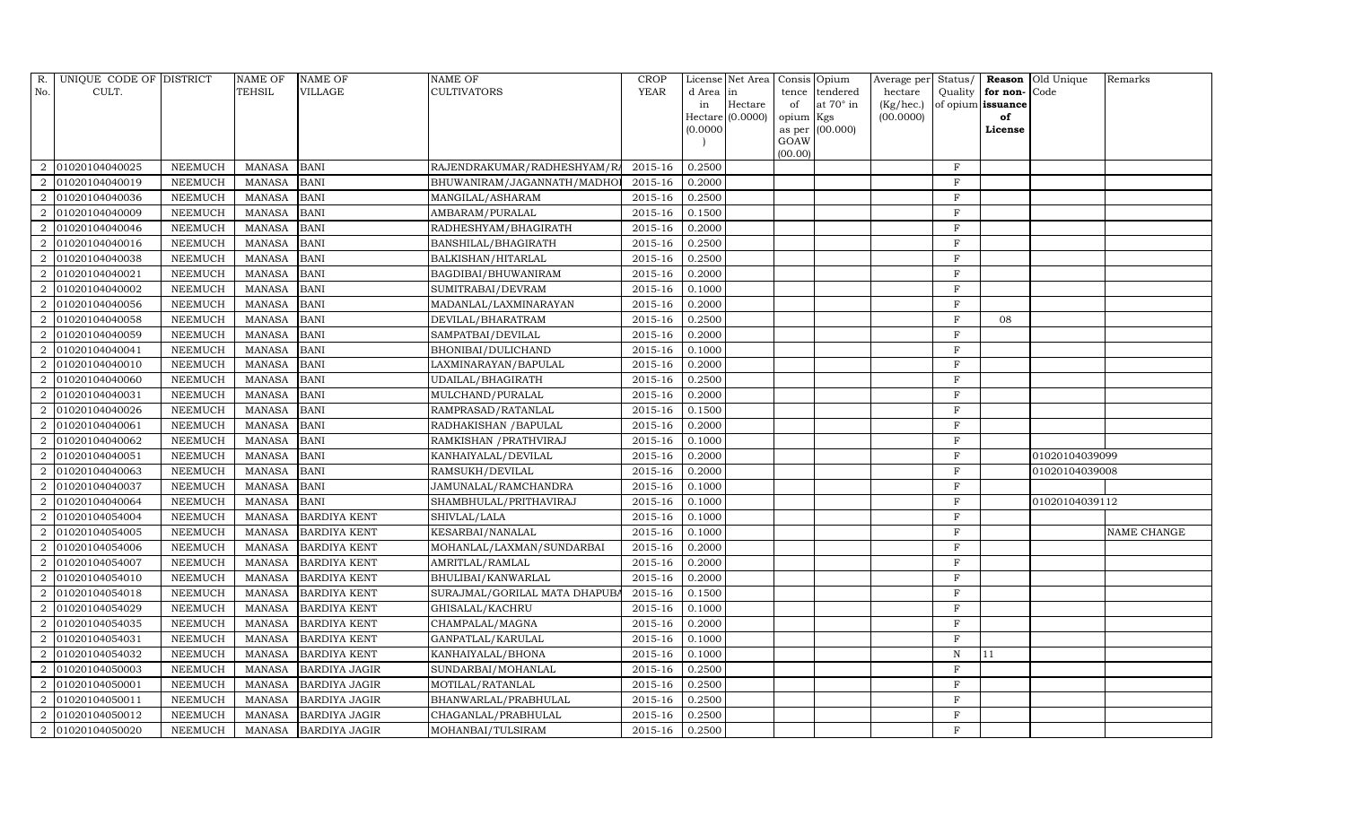| R.             | UNIQUE CODE OF DISTRICT |                | <b>NAME OF</b> | <b>NAME OF</b>       | <b>NAME OF</b>               | <b>CROP</b> |          | License Net Area   Consis   Opium |           |                  | Average per | Status/      |                   | Reason Old Unique | Remarks            |
|----------------|-------------------------|----------------|----------------|----------------------|------------------------------|-------------|----------|-----------------------------------|-----------|------------------|-------------|--------------|-------------------|-------------------|--------------------|
| No.            | CULT.                   |                | TEHSIL         | <b>VILLAGE</b>       | <b>CULTIVATORS</b>           | YEAR        | d Area   | in                                | tence     | tendered         | hectare     | Quality      | for non-          | Code              |                    |
|                |                         |                |                |                      |                              |             | in       | Hectare                           | of        | at $70^\circ$ in | (Kg/hec.)   |              | of opium issuance |                   |                    |
|                |                         |                |                |                      |                              |             |          | $Hectare$ (0.0000)                | opium Kgs |                  | (00.0000)   |              | of                |                   |                    |
|                |                         |                |                |                      |                              |             | (0.0000) |                                   | GOAW      | as per (00.000)  |             |              | License           |                   |                    |
|                |                         |                |                |                      |                              |             |          |                                   | (00.00)   |                  |             |              |                   |                   |                    |
| 2              | 01020104040025          | <b>NEEMUCH</b> | <b>MANASA</b>  | <b>BANI</b>          | RAJENDRAKUMAR/RADHESHYAM/R   | 2015-16     | 0.2500   |                                   |           |                  |             | $\rm F$      |                   |                   |                    |
|                | 01020104040019          | <b>NEEMUCH</b> | <b>MANASA</b>  | <b>BANI</b>          | BHUWANIRAM/JAGANNATH/MADHC   | 2015-16     | 0.2000   |                                   |           |                  |             | $\mathbf F$  |                   |                   |                    |
| 2              | 01020104040036          | <b>NEEMUCH</b> | <b>MANASA</b>  | <b>BANI</b>          | MANGILAL/ASHARAM             | $2015 - 16$ | 0.2500   |                                   |           |                  |             | F            |                   |                   |                    |
|                | 01020104040009          | <b>NEEMUCH</b> | <b>MANASA</b>  | <b>BANI</b>          | AMBARAM/PURALAL              | 2015-16     | 0.1500   |                                   |           |                  |             | $\rm F$      |                   |                   |                    |
| 2              | 01020104040046          | <b>NEEMUCH</b> | <b>MANASA</b>  | <b>BANI</b>          | RADHESHYAM/BHAGIRATH         | 2015-16     | 0.2000   |                                   |           |                  |             | $\mathbf F$  |                   |                   |                    |
| $\overline{2}$ | 01020104040016          | <b>NEEMUCH</b> | <b>MANASA</b>  | <b>BANI</b>          | BANSHILAL/BHAGIRATH          | 2015-16     | 0.2500   |                                   |           |                  |             | $\rm F$      |                   |                   |                    |
| $\overline{2}$ | 01020104040038          | <b>NEEMUCH</b> | <b>MANASA</b>  | <b>BANI</b>          | BALKISHAN/HITARLAL           | 2015-16     | 0.2500   |                                   |           |                  |             | $\mathbf F$  |                   |                   |                    |
| 2              | 01020104040021          | <b>NEEMUCH</b> | <b>MANASA</b>  | <b>BANI</b>          | BAGDIBAI/BHUWANIRAM          | 2015-16     | 0.2000   |                                   |           |                  |             | F            |                   |                   |                    |
|                | 01020104040002          | <b>NEEMUCH</b> | <b>MANASA</b>  | <b>BANI</b>          | SUMITRABAI/DEVRAM            | 2015-16     | 0.1000   |                                   |           |                  |             | F            |                   |                   |                    |
| 2              | 01020104040056          | <b>NEEMUCH</b> | <b>MANASA</b>  | <b>BANI</b>          | MADANLAL/LAXMINARAYAN        | 2015-16     | 0.2000   |                                   |           |                  |             | $\mathbf{F}$ |                   |                   |                    |
| 2              | 01020104040058          | <b>NEEMUCH</b> | <b>MANASA</b>  | <b>BANI</b>          | DEVILAL/BHARATRAM            | 2015-16     | 0.2500   |                                   |           |                  |             | F            | 08                |                   |                    |
| 2              | 01020104040059          | <b>NEEMUCH</b> | <b>MANASA</b>  | <b>BANI</b>          | SAMPATBAI/DEVILAL            | 2015-16     | 0.2000   |                                   |           |                  |             | $\mathbf F$  |                   |                   |                    |
| $\overline{2}$ | 01020104040041          | <b>NEEMUCH</b> | <b>MANASA</b>  | <b>BANI</b>          | BHONIBAI/DULICHAND           | 2015-16     | 0.1000   |                                   |           |                  |             | F            |                   |                   |                    |
|                | 01020104040010          | <b>NEEMUCH</b> | <b>MANASA</b>  | <b>BANI</b>          | LAXMINARAYAN/BAPULAL         | 2015-16     | 0.2000   |                                   |           |                  |             | $\rm F$      |                   |                   |                    |
| 2              | 01020104040060          | <b>NEEMUCH</b> | <b>MANASA</b>  | <b>BANI</b>          | UDAILAL/BHAGIRATH            | 2015-16     | 0.2500   |                                   |           |                  |             | F            |                   |                   |                    |
| $\mathfrak{D}$ | 01020104040031          | <b>NEEMUCH</b> | <b>MANASA</b>  | <b>BANI</b>          | MULCHAND/PURALAL             | 2015-16     | 0.2000   |                                   |           |                  |             | F            |                   |                   |                    |
| 2              | 01020104040026          | <b>NEEMUCH</b> | <b>MANASA</b>  | <b>BANI</b>          | RAMPRASAD/RATANLAL           | 2015-16     | 0.1500   |                                   |           |                  |             | $\mathbf F$  |                   |                   |                    |
| 2              | 01020104040061          | <b>NEEMUCH</b> | <b>MANASA</b>  | <b>BANI</b>          | RADHAKISHAN / BAPULAL        | 2015-16     | 0.2000   |                                   |           |                  |             | F            |                   |                   |                    |
| $\overline{2}$ | 01020104040062          | <b>NEEMUCH</b> | <b>MANASA</b>  | <b>BANI</b>          | RAMKISHAN / PRATHVIRAJ       | 2015-16     | 0.1000   |                                   |           |                  |             | $\mathbf F$  |                   |                   |                    |
| $\overline{2}$ | 01020104040051          | <b>NEEMUCH</b> | <b>MANASA</b>  | <b>BANI</b>          | KANHAIYALAL/DEVILAL          | 2015-16     | 0.2000   |                                   |           |                  |             | F            |                   | 01020104039099    |                    |
|                | 01020104040063          | <b>NEEMUCH</b> | <b>MANASA</b>  | <b>BANI</b>          | RAMSUKH/DEVILAL              | 2015-16     | 0.2000   |                                   |           |                  |             | $\rm F$      |                   | 01020104039008    |                    |
| $\overline{2}$ | 01020104040037          | <b>NEEMUCH</b> | <b>MANASA</b>  | <b>BANI</b>          | JAMUNALAL/RAMCHANDRA         | 2015-16     | 0.1000   |                                   |           |                  |             | $\rm F$      |                   |                   |                    |
| 2              | 01020104040064          | <b>NEEMUCH</b> | <b>MANASA</b>  | <b>BANI</b>          | SHAMBHULAL/PRITHAVIRAJ       | 2015-16     | 0.1000   |                                   |           |                  |             | $\rm F$      |                   | 01020104039112    |                    |
| 2              | 01020104054004          | <b>NEEMUCH</b> | <b>MANASA</b>  | <b>BARDIYA KENT</b>  | SHIVLAL/LALA                 | 2015-16     | 0.1000   |                                   |           |                  |             | $\mathbf F$  |                   |                   |                    |
| 2              | 01020104054005          | <b>NEEMUCH</b> | <b>MANASA</b>  | <b>BARDIYA KENT</b>  | KESARBAI/NANALAL             | $2015 - 16$ | 0.1000   |                                   |           |                  |             | F            |                   |                   | <b>NAME CHANGE</b> |
|                | 01020104054006          | <b>NEEMUCH</b> | <b>MANASA</b>  | <b>BARDIYA KENT</b>  | MOHANLAL/LAXMAN/SUNDARBAI    | 2015-16     | 0.2000   |                                   |           |                  |             | $\rm F$      |                   |                   |                    |
| 2              | 01020104054007          | <b>NEEMUCH</b> | <b>MANASA</b>  | <b>BARDIYA KENT</b>  | AMRITLAL/RAMLAL              | 2015-16     | 0.2000   |                                   |           |                  |             | $\mathbf F$  |                   |                   |                    |
| 2              | 01020104054010          | <b>NEEMUCH</b> | <b>MANASA</b>  | <b>BARDIYA KENT</b>  | BHULIBAI/KANWARLAL           | 2015-16     | 0.2000   |                                   |           |                  |             | F            |                   |                   |                    |
| $\overline{2}$ | 01020104054018          | <b>NEEMUCH</b> | <b>MANASA</b>  | <b>BARDIYA KENT</b>  | SURAJMAL/GORILAL MATA DHAPUB | 2015-16     | 0.1500   |                                   |           |                  |             | $\rm F$      |                   |                   |                    |
| 2              | 01020104054029          | <b>NEEMUCH</b> | <b>MANASA</b>  | <b>BARDIYA KENT</b>  | GHISALAL/KACHRU              | 2015-16     | 0.1000   |                                   |           |                  |             | F            |                   |                   |                    |
|                | 01020104054035          | <b>NEEMUCH</b> | <b>MANASA</b>  | <b>BARDIYA KENT</b>  | CHAMPALAL/MAGNA              | 2015-16     | 0.2000   |                                   |           |                  |             | F            |                   |                   |                    |
| 2              | 01020104054031          | <b>NEEMUCH</b> | <b>MANASA</b>  | <b>BARDIYA KENT</b>  | GANPATLAL/KARULAL            | 2015-16     | 0.1000   |                                   |           |                  |             | $\mathbf{F}$ |                   |                   |                    |
| 2              | 01020104054032          | <b>NEEMUCH</b> | <b>MANASA</b>  | <b>BARDIYA KENT</b>  | KANHAIYALAL/BHONA            | 2015-16     | 0.1000   |                                   |           |                  |             | $\, {\bf N}$ | 11                |                   |                    |
| 2              | 01020104050003          | <b>NEEMUCH</b> | <b>MANASA</b>  | <b>BARDIYA JAGIR</b> | SUNDARBAI/MOHANLAL           | 2015-16     | 0.2500   |                                   |           |                  |             | $\rm F$      |                   |                   |                    |
| 2              | 01020104050001          | <b>NEEMUCH</b> | <b>MANASA</b>  | <b>BARDIYA JAGIR</b> | MOTILAL/RATANLAL             | 2015-16     | 0.2500   |                                   |           |                  |             | F            |                   |                   |                    |
|                | 01020104050011          | <b>NEEMUCH</b> | <b>MANASA</b>  | <b>BARDIYA JAGIR</b> | BHANWARLAL/PRABHULAL         | 2015-16     | 0.2500   |                                   |           |                  |             | $\mathbf F$  |                   |                   |                    |
| 2              | 01020104050012          | <b>NEEMUCH</b> | <b>MANASA</b>  | <b>BARDIYA JAGIR</b> | CHAGANLAL/PRABHULAL          | 2015-16     | 0.2500   |                                   |           |                  |             | F            |                   |                   |                    |
| $\overline{2}$ | 01020104050020          | <b>NEEMUCH</b> | <b>MANASA</b>  | <b>BARDIYA JAGIR</b> | MOHANBAI/TULSIRAM            | 2015-16     | 0.2500   |                                   |           |                  |             | F            |                   |                   |                    |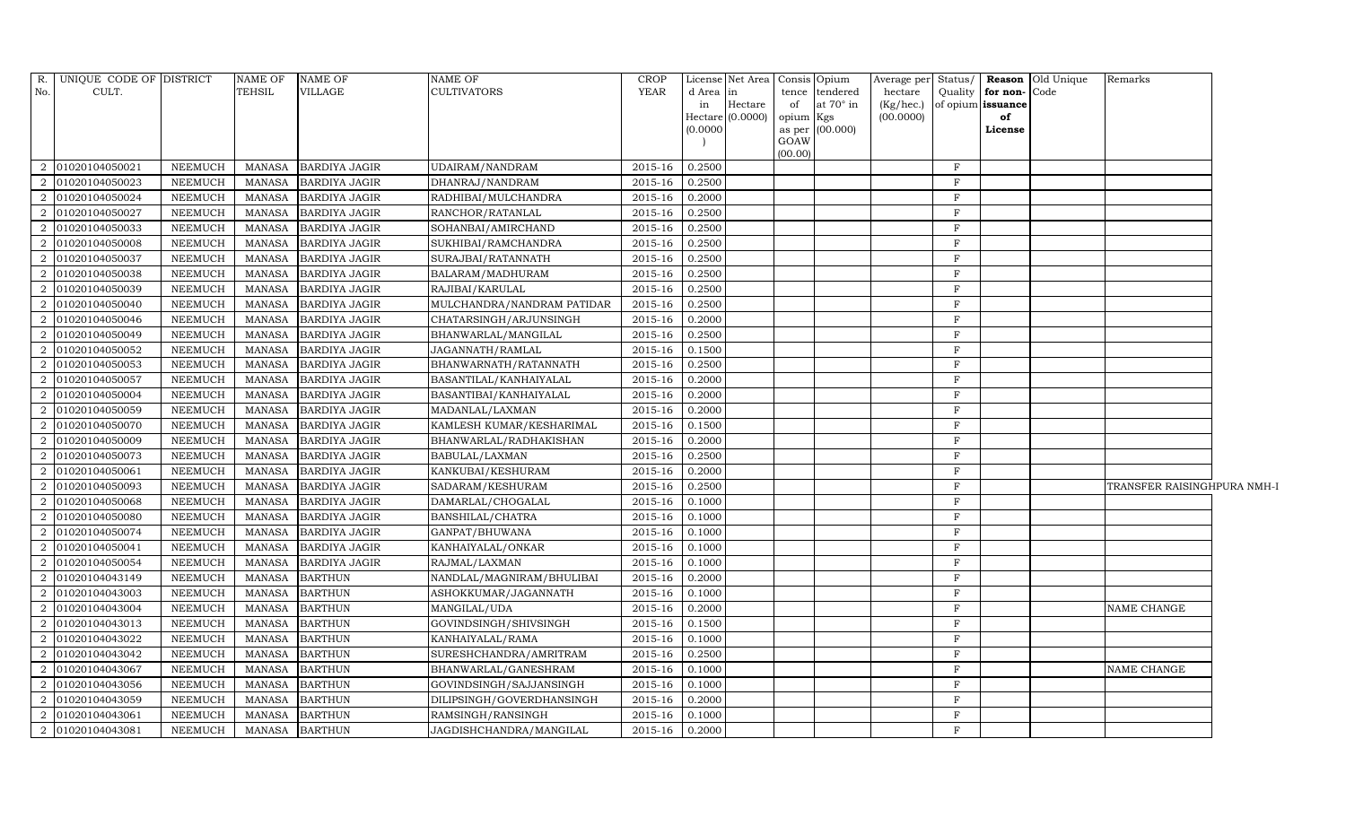| R. UNIQUE CODE OF DISTRICT       |                | NAME OF       | <b>NAME OF</b>       | NAME OF                    | <b>CROP</b>    |          | License Net Area Consis Opium |           |                  |                        |              |                      | Average per Status/ Reason Old Unique | Remarks                     |  |
|----------------------------------|----------------|---------------|----------------------|----------------------------|----------------|----------|-------------------------------|-----------|------------------|------------------------|--------------|----------------------|---------------------------------------|-----------------------------|--|
| No.<br>CULT.                     |                | TEHSIL        | <b>VILLAGE</b>       | CULTIVATORS                | <b>YEAR</b>    | d Area   | $\ln$                         |           | tence tendered   | hectare                |              | Quality for non-Code |                                       |                             |  |
|                                  |                |               |                      |                            |                | in       | Hectare<br>Hectare $(0.0000)$ | of        | at $70^\circ$ in | (Kg/hec.)<br>(00.0000) |              | of opium issuance    |                                       |                             |  |
|                                  |                |               |                      |                            |                | (0.0000) |                               | opium Kgs | as per (00.000)  |                        |              | of<br>License        |                                       |                             |  |
|                                  |                |               |                      |                            |                |          |                               | GOAW      |                  |                        |              |                      |                                       |                             |  |
|                                  |                |               |                      |                            |                |          |                               | (00.00)   |                  |                        |              |                      |                                       |                             |  |
| 2 01020104050021                 | <b>NEEMUCH</b> | MANASA        | <b>BARDIYA JAGIR</b> | UDAIRAM/NANDRAM            | 2015-16        | 0.2500   |                               |           |                  |                        | F            |                      |                                       |                             |  |
| 01020104050023<br>2              | <b>NEEMUCH</b> | <b>MANASA</b> | <b>BARDIYA JAGIR</b> | DHANRAJ/NANDRAM            | 2015-16        | 0.2500   |                               |           |                  |                        | F            |                      |                                       |                             |  |
| 01020104050024<br>2              | <b>NEEMUCH</b> | <b>MANASA</b> | <b>BARDIYA JAGIR</b> | RADHIBAI/MULCHANDRA        | 2015-16        | 0.2000   |                               |           |                  |                        | $_{\rm F}$   |                      |                                       |                             |  |
| 01020104050027<br>2              | <b>NEEMUCH</b> | <b>MANASA</b> | <b>BARDIYA JAGIR</b> | RANCHOR/RATANLAL           | 2015-16        | 0.2500   |                               |           |                  |                        | $_{\rm F}$   |                      |                                       |                             |  |
| 01020104050033<br>2              | <b>NEEMUCH</b> | <b>MANASA</b> | <b>BARDIYA JAGIR</b> | SOHANBAI/AMIRCHAND         | 2015-16        | 0.2500   |                               |           |                  |                        | $_{\rm F}$   |                      |                                       |                             |  |
| 01020104050008<br>2              | <b>NEEMUCH</b> | MANASA        | <b>BARDIYA JAGIR</b> | SUKHIBAI/RAMCHANDRA        | 2015-16        | 0.2500   |                               |           |                  |                        | F            |                      |                                       |                             |  |
| 01020104050037<br>2              | <b>NEEMUCH</b> | <b>MANASA</b> | <b>BARDIYA JAGIR</b> | SURAJBAI/RATANNATH         | 2015-16        | 0.2500   |                               |           |                  |                        | $\mathbf{F}$ |                      |                                       |                             |  |
| 01020104050038<br>2              | <b>NEEMUCH</b> | <b>MANASA</b> | <b>BARDIYA JAGIR</b> | BALARAM/MADHURAM           | 2015-16        | 0.2500   |                               |           |                  |                        | $\rm F$      |                      |                                       |                             |  |
| 01020104050039<br>$\overline{2}$ | <b>NEEMUCH</b> | <b>MANASA</b> | <b>BARDIYA JAGIR</b> | RAJIBAI/KARULAL            | 2015-16        | 0.2500   |                               |           |                  |                        | $_{\rm F}$   |                      |                                       |                             |  |
| 2 01020104050040                 | <b>NEEMUCH</b> | <b>MANASA</b> | <b>BARDIYA JAGIR</b> | MULCHANDRA/NANDRAM PATIDAR | 2015-16        | 0.2500   |                               |           |                  |                        | $_{\rm F}$   |                      |                                       |                             |  |
| 01020104050046<br>2              | <b>NEEMUCH</b> | <b>MANASA</b> | <b>BARDIYA JAGIR</b> | CHATARSINGH/ARJUNSINGH     | 2015-16        | 0.2000   |                               |           |                  |                        | F            |                      |                                       |                             |  |
| 01020104050049<br>2              | <b>NEEMUCH</b> | <b>MANASA</b> | <b>BARDIYA JAGIR</b> | BHANWARLAL/MANGILAL        | 2015-16        | 0.2500   |                               |           |                  |                        | F            |                      |                                       |                             |  |
| 01020104050052<br>2              | <b>NEEMUCH</b> | <b>MANASA</b> | <b>BARDIYA JAGIR</b> | JAGANNATH/RAMLAL           | 2015-16        | 0.1500   |                               |           |                  |                        | F            |                      |                                       |                             |  |
| 01020104050053<br>2              | NEEMUCH        | <b>MANASA</b> | <b>BARDIYA JAGIR</b> | BHANWARNATH/RATANNATH      | 2015-16        | 0.2500   |                               |           |                  |                        | $\mathbf{F}$ |                      |                                       |                             |  |
| 01020104050057<br>2              | <b>NEEMUCH</b> | <b>MANASA</b> | <b>BARDIYA JAGIR</b> | BASANTILAL/KANHAIYALAL     | 2015-16        | 0.2000   |                               |           |                  |                        | $_{\rm F}$   |                      |                                       |                             |  |
| 01020104050004<br>2              | <b>NEEMUCH</b> | <b>MANASA</b> | <b>BARDIYA JAGIR</b> | BASANTIBAI/KANHAIYALAL     | 2015-16        | 0.2000   |                               |           |                  |                        | F            |                      |                                       |                             |  |
| 01020104050059<br>$\overline{2}$ | <b>NEEMUCH</b> | <b>MANASA</b> | <b>BARDIYA JAGIR</b> | MADANLAL/LAXMAN            | $2015 - 16$    | 0.2000   |                               |           |                  |                        | $\mathbf{F}$ |                      |                                       |                             |  |
| 01020104050070<br>$\overline{2}$ | <b>NEEMUCH</b> | <b>MANASA</b> | <b>BARDIYA JAGIR</b> | KAMLESH KUMAR/KESHARIMAL   | $2015 - 16$    | 0.1500   |                               |           |                  |                        | $_{\rm F}$   |                      |                                       |                             |  |
| 01020104050009<br>$\overline{2}$ | <b>NEEMUCH</b> | <b>MANASA</b> | <b>BARDIYA JAGIR</b> | BHANWARLAL/RADHAKISHAN     | 2015-16        | 0.2000   |                               |           |                  |                        | F            |                      |                                       |                             |  |
| 01020104050073<br>2              | <b>NEEMUCH</b> | <b>MANASA</b> | <b>BARDIYA JAGIR</b> | BABULAL/LAXMAN             | 2015-16        | 0.2500   |                               |           |                  |                        | $_{\rm F}$   |                      |                                       |                             |  |
| 01020104050061<br>2              | <b>NEEMUCH</b> | <b>MANASA</b> | <b>BARDIYA JAGIR</b> | KANKUBAI/KESHURAM          | 2015-16        | 0.2000   |                               |           |                  |                        | $\mathbf{F}$ |                      |                                       |                             |  |
| 01020104050093<br>$\overline{2}$ | <b>NEEMUCH</b> | <b>MANASA</b> | <b>BARDIYA JAGIR</b> | SADARAM/KESHURAM           | 2015-16        | 0.2500   |                               |           |                  |                        | F            |                      |                                       | TRANSFER RAISINGHPURA NMH-1 |  |
| 01020104050068<br>2              | <b>NEEMUCH</b> | <b>MANASA</b> | <b>BARDIYA JAGIR</b> | DAMARLAL/CHOGALAL          | 2015-16        | 0.1000   |                               |           |                  |                        | F            |                      |                                       |                             |  |
| 01020104050080<br>$\overline{2}$ | <b>NEEMUCH</b> | <b>MANASA</b> | <b>BARDIYA JAGIR</b> | BANSHILAL/CHATRA           | 2015-16        | 0.1000   |                               |           |                  |                        | $\mathbf{F}$ |                      |                                       |                             |  |
| 2<br>01020104050074              | <b>NEEMUCH</b> | <b>MANASA</b> | <b>BARDIYA JAGIR</b> | GANPAT/BHUWANA             | 2015-16        | 0.1000   |                               |           |                  |                        | $\mathbf{F}$ |                      |                                       |                             |  |
| 01020104050041<br>2              | <b>NEEMUCH</b> | <b>MANASA</b> | <b>BARDIYA JAGIR</b> | KANHAIYALAL/ONKAR          | 2015-16        | 0.1000   |                               |           |                  |                        | $_{\rm F}$   |                      |                                       |                             |  |
| 01020104050054<br>$\overline{2}$ | <b>NEEMUCH</b> | <b>MANASA</b> | <b>BARDIYA JAGIR</b> | RAJMAL/LAXMAN              | 2015-16        | 0.1000   |                               |           |                  |                        | $\mathbf{F}$ |                      |                                       |                             |  |
| 01020104043149<br>2              | <b>NEEMUCH</b> | <b>MANASA</b> | <b>BARTHUN</b>       | NANDLAL/MAGNIRAM/BHULIBAI  | 2015-16        | 0.2000   |                               |           |                  |                        | F            |                      |                                       |                             |  |
| $\overline{2}$<br>01020104043003 | <b>NEEMUCH</b> | <b>MANASA</b> | <b>BARTHUN</b>       | ASHOKKUMAR/JAGANNATH       | 2015-16        | 0.1000   |                               |           |                  |                        | $_{\rm F}$   |                      |                                       |                             |  |
| 01020104043004<br>2              | <b>NEEMUCH</b> | <b>MANASA</b> | <b>BARTHUN</b>       | MANGILAL/UDA               | 2015-16        | 0.2000   |                               |           |                  |                        | $\mathbf{F}$ |                      |                                       | NAME CHANGE                 |  |
| 01020104043013<br>$\overline{2}$ | <b>NEEMUCH</b> | <b>MANASA</b> | <b>BARTHUN</b>       | GOVINDSINGH/SHIVSINGH      | 2015-16        | 0.1500   |                               |           |                  |                        | $\rm F$      |                      |                                       |                             |  |
| 01020104043022<br>$\overline{2}$ | <b>NEEMUCH</b> | <b>MANASA</b> | <b>BARTHUN</b>       | KANHAIYALAL/RAMA           | 2015-16        | 0.1000   |                               |           |                  |                        | $\rm F$      |                      |                                       |                             |  |
| 2<br>01020104043042              | <b>NEEMUCH</b> | <b>MANASA</b> | <b>BARTHUN</b>       | SURESHCHANDRA/AMRITRAM     | 2015-16        | 0.2500   |                               |           |                  |                        | F            |                      |                                       |                             |  |
| 01020104043067<br>2              | <b>NEEMUCH</b> | <b>MANASA</b> | <b>BARTHUN</b>       | BHANWARLAL/GANESHRAM       | 2015-16        | 0.1000   |                               |           |                  |                        | F            |                      |                                       | NAME CHANGE                 |  |
| 01020104043056<br>2              | <b>NEEMUCH</b> | <b>MANASA</b> | <b>BARTHUN</b>       | GOVINDSINGH/SAJJANSINGH    | 2015-16        | 0.1000   |                               |           |                  |                        | F            |                      |                                       |                             |  |
| 01020104043059<br>$\overline{2}$ | <b>NEEMUCH</b> | <b>MANASA</b> | <b>BARTHUN</b>       | DILIPSINGH/GOVERDHANSINGH  | 2015-16        | 0.2000   |                               |           |                  |                        | F            |                      |                                       |                             |  |
| 01020104043061<br>$\overline{a}$ | <b>NEEMUCH</b> | <b>MANASA</b> | <b>BARTHUN</b>       | RAMSINGH/RANSINGH          | 2015-16        | 0.1000   |                               |           |                  |                        | $\mathbf{F}$ |                      |                                       |                             |  |
| 2 01020104043081                 | <b>NEEMUCH</b> | MANASA        | <b>BARTHUN</b>       | JAGDISHCHANDRA/MANGILAL    | 2015-16 0.2000 |          |                               |           |                  |                        | F            |                      |                                       |                             |  |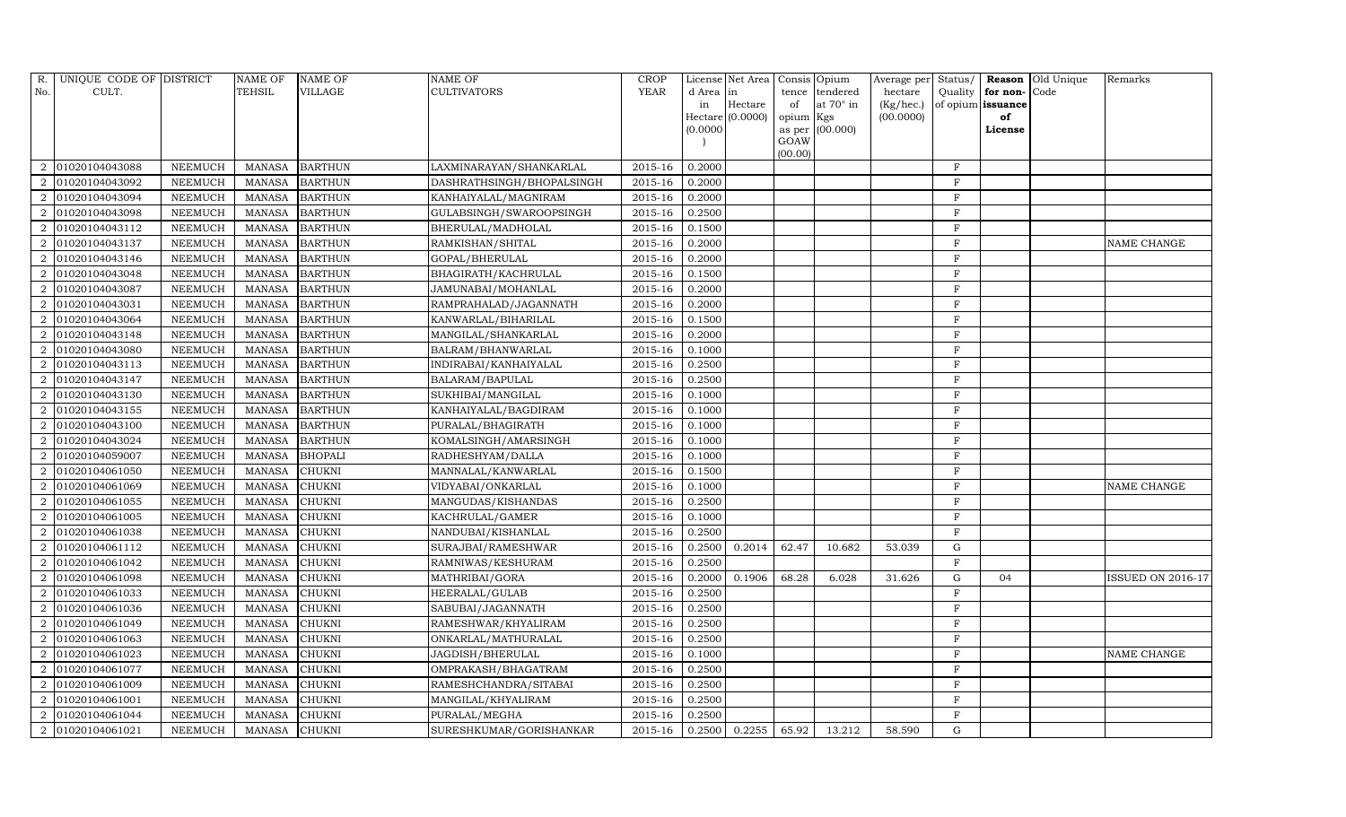| CULT.<br>TEHSIL<br><b>VILLAGE</b><br><b>CULTIVATORS</b><br>YEAR<br>Quality<br>No.<br>d Area<br>tendered<br>hectare<br>for non-<br>Code<br>in<br>tence<br>at $70^\circ$ in<br>Hectare<br>(Kg/hec.)<br>of opium<br>issuance<br>of<br>in<br>$Hectare$ (0.0000)<br>opium Kgs<br>(00.0000)<br>of<br>(0.0000)<br>as per (00.000)<br>License<br>GOAW<br>(00.00)<br>01020104043088<br><b>BARTHUN</b><br>2015-16<br>0.2000<br>$\rm F$<br><b>NEEMUCH</b><br>LAXMINARAYAN/SHANKARLAL<br>MANASA<br>2<br>01020104043092<br><b>MANASA</b><br><b>BARTHUN</b><br>2015-16<br>$\mathbf F$<br><b>NEEMUCH</b><br>DASHRATHSINGH/BHOPALSINGH<br>0.2000<br>01020104043094<br><b>BARTHUN</b><br>$2015 - 16$<br>F<br><b>NEEMUCH</b><br><b>MANASA</b><br>KANHAIYALAL/MAGNIRAM<br>0.2000<br>2<br><b>BARTHUN</b><br>2015-16<br>0.2500<br>$\rm F$<br>01020104043098<br><b>NEEMUCH</b><br><b>MANASA</b><br>GULABSINGH/SWAROOPSINGH<br><b>BARTHUN</b><br>2015-16<br>01020104043112<br><b>NEEMUCH</b><br><b>MANASA</b><br>BHERULAL/MADHOLAL<br>0.1500<br>$\mathbf F$<br>2<br>01020104043137<br>2015-16<br>$\rm F$<br><b>NEEMUCH</b><br><b>MANASA</b><br><b>BARTHUN</b><br>RAMKISHAN/SHITAL<br>0.2000<br>NAME CHANGE<br>$\overline{2}$<br><b>NEEMUCH</b><br><b>MANASA</b><br><b>BARTHUN</b><br>$\mathbf F$<br>01020104043146<br>GOPAL/BHERULAL<br>2015-16<br>0.2000<br>$\overline{2}$<br>01020104043048<br><b>BARTHUN</b><br>2015-16<br>0.1500<br>F<br><b>NEEMUCH</b><br><b>MANASA</b><br>BHAGIRATH/KACHRULAL<br>2<br>01020104043087<br><b>NEEMUCH</b><br><b>MANASA</b><br><b>BARTHUN</b><br>$2015 - 16$<br>0.2000<br>F<br>JAMUNABAI/MOHANLAL<br>01020104043031<br><b>NEEMUCH</b><br><b>MANASA</b><br><b>BARTHUN</b><br>$2015 - 16$<br>0.2000<br>$\mathbf{F}$<br>RAMPRAHALAD/JAGANNATH<br>2<br><b>BARTHUN</b><br>2015-16<br>F<br>01020104043064<br><b>NEEMUCH</b><br><b>MANASA</b><br>0.1500<br>KANWARLAL/BIHARILAL<br>2<br>01020104043148<br><b>NEEMUCH</b><br><b>MANASA</b><br><b>BARTHUN</b><br>MANGILAL/SHANKARLAL<br>2015-16<br>0.2000<br>$\rm F$<br>2<br>01020104043080<br>2015-16<br>F<br><b>NEEMUCH</b><br><b>MANASA</b><br><b>BARTHUN</b><br>0.1000<br>$\overline{2}$<br>BALRAM/BHANWARLAL<br><b>BARTHUN</b><br>2015-16<br>0.2500<br>$\rm F$<br>01020104043113<br><b>NEEMUCH</b><br><b>MANASA</b><br>INDIRABAI/KANHAIYALAL<br>01020104043147<br><b>MANASA</b><br><b>BARTHUN</b><br>BALARAM/BAPULAL<br>2015-16<br>0.2500<br>F<br><b>NEEMUCH</b><br>2<br>01020104043130<br><b>NEEMUCH</b><br><b>BARTHUN</b><br>2015-16<br>F<br><b>MANASA</b><br>SUKHIBAI/MANGILAL<br>0.1000<br>$\mathfrak{D}$<br>$\mathbf F$<br>01020104043155<br><b>NEEMUCH</b><br><b>MANASA</b><br><b>BARTHUN</b><br>KANHAIYALAL/BAGDIRAM<br>2015-16<br>0.1000<br>2<br>2015-16<br>F<br>01020104043100<br><b>NEEMUCH</b><br><b>MANASA</b><br><b>BARTHUN</b><br>0.1000<br>PURALAL/BHAGIRATH<br>2<br>$\mathbf F$<br>01020104043024<br><b>NEEMUCH</b><br><b>MANASA</b><br><b>BARTHUN</b><br>KOMALSINGH/AMARSINGH<br>2015-16<br>0.1000<br>F<br>01020104059007<br><b>NEEMUCH</b><br><b>MANASA</b><br><b>BHOPALI</b><br>2015-16<br>0.1000<br>$\overline{2}$<br>RADHESHYAM/DALLA<br><b>CHUKNI</b><br>2015-16<br>$\rm F$<br>01020104061050<br><b>NEEMUCH</b><br><b>MANASA</b><br>MANNALAL/KANWARLAL<br>0.1500<br><b>MANASA</b><br><b>CHUKNI</b><br>2015-16<br>$\rm F$<br>01020104061069<br><b>NEEMUCH</b><br>VIDYABAI/ONKARLAL<br>0.1000<br><b>NAME CHANGE</b><br>$\overline{2}$ |
|-----------------------------------------------------------------------------------------------------------------------------------------------------------------------------------------------------------------------------------------------------------------------------------------------------------------------------------------------------------------------------------------------------------------------------------------------------------------------------------------------------------------------------------------------------------------------------------------------------------------------------------------------------------------------------------------------------------------------------------------------------------------------------------------------------------------------------------------------------------------------------------------------------------------------------------------------------------------------------------------------------------------------------------------------------------------------------------------------------------------------------------------------------------------------------------------------------------------------------------------------------------------------------------------------------------------------------------------------------------------------------------------------------------------------------------------------------------------------------------------------------------------------------------------------------------------------------------------------------------------------------------------------------------------------------------------------------------------------------------------------------------------------------------------------------------------------------------------------------------------------------------------------------------------------------------------------------------------------------------------------------------------------------------------------------------------------------------------------------------------------------------------------------------------------------------------------------------------------------------------------------------------------------------------------------------------------------------------------------------------------------------------------------------------------------------------------------------------------------------------------------------------------------------------------------------------------------------------------------------------------------------------------------------------------------------------------------------------------------------------------------------------------------------------------------------------------------------------------------------------------------------------------------------------------------------------------------------------------------------------------------------------------------------------------------------------------------------------------------------------------------------------------------------------------------------------------------------------------------------------------------------------------------------------------------------------------------------------------------------------------------------------------------------------|
|                                                                                                                                                                                                                                                                                                                                                                                                                                                                                                                                                                                                                                                                                                                                                                                                                                                                                                                                                                                                                                                                                                                                                                                                                                                                                                                                                                                                                                                                                                                                                                                                                                                                                                                                                                                                                                                                                                                                                                                                                                                                                                                                                                                                                                                                                                                                                                                                                                                                                                                                                                                                                                                                                                                                                                                                                                                                                                                                                                                                                                                                                                                                                                                                                                                                                                                                                                                                                 |
|                                                                                                                                                                                                                                                                                                                                                                                                                                                                                                                                                                                                                                                                                                                                                                                                                                                                                                                                                                                                                                                                                                                                                                                                                                                                                                                                                                                                                                                                                                                                                                                                                                                                                                                                                                                                                                                                                                                                                                                                                                                                                                                                                                                                                                                                                                                                                                                                                                                                                                                                                                                                                                                                                                                                                                                                                                                                                                                                                                                                                                                                                                                                                                                                                                                                                                                                                                                                                 |
|                                                                                                                                                                                                                                                                                                                                                                                                                                                                                                                                                                                                                                                                                                                                                                                                                                                                                                                                                                                                                                                                                                                                                                                                                                                                                                                                                                                                                                                                                                                                                                                                                                                                                                                                                                                                                                                                                                                                                                                                                                                                                                                                                                                                                                                                                                                                                                                                                                                                                                                                                                                                                                                                                                                                                                                                                                                                                                                                                                                                                                                                                                                                                                                                                                                                                                                                                                                                                 |
|                                                                                                                                                                                                                                                                                                                                                                                                                                                                                                                                                                                                                                                                                                                                                                                                                                                                                                                                                                                                                                                                                                                                                                                                                                                                                                                                                                                                                                                                                                                                                                                                                                                                                                                                                                                                                                                                                                                                                                                                                                                                                                                                                                                                                                                                                                                                                                                                                                                                                                                                                                                                                                                                                                                                                                                                                                                                                                                                                                                                                                                                                                                                                                                                                                                                                                                                                                                                                 |
|                                                                                                                                                                                                                                                                                                                                                                                                                                                                                                                                                                                                                                                                                                                                                                                                                                                                                                                                                                                                                                                                                                                                                                                                                                                                                                                                                                                                                                                                                                                                                                                                                                                                                                                                                                                                                                                                                                                                                                                                                                                                                                                                                                                                                                                                                                                                                                                                                                                                                                                                                                                                                                                                                                                                                                                                                                                                                                                                                                                                                                                                                                                                                                                                                                                                                                                                                                                                                 |
|                                                                                                                                                                                                                                                                                                                                                                                                                                                                                                                                                                                                                                                                                                                                                                                                                                                                                                                                                                                                                                                                                                                                                                                                                                                                                                                                                                                                                                                                                                                                                                                                                                                                                                                                                                                                                                                                                                                                                                                                                                                                                                                                                                                                                                                                                                                                                                                                                                                                                                                                                                                                                                                                                                                                                                                                                                                                                                                                                                                                                                                                                                                                                                                                                                                                                                                                                                                                                 |
|                                                                                                                                                                                                                                                                                                                                                                                                                                                                                                                                                                                                                                                                                                                                                                                                                                                                                                                                                                                                                                                                                                                                                                                                                                                                                                                                                                                                                                                                                                                                                                                                                                                                                                                                                                                                                                                                                                                                                                                                                                                                                                                                                                                                                                                                                                                                                                                                                                                                                                                                                                                                                                                                                                                                                                                                                                                                                                                                                                                                                                                                                                                                                                                                                                                                                                                                                                                                                 |
|                                                                                                                                                                                                                                                                                                                                                                                                                                                                                                                                                                                                                                                                                                                                                                                                                                                                                                                                                                                                                                                                                                                                                                                                                                                                                                                                                                                                                                                                                                                                                                                                                                                                                                                                                                                                                                                                                                                                                                                                                                                                                                                                                                                                                                                                                                                                                                                                                                                                                                                                                                                                                                                                                                                                                                                                                                                                                                                                                                                                                                                                                                                                                                                                                                                                                                                                                                                                                 |
|                                                                                                                                                                                                                                                                                                                                                                                                                                                                                                                                                                                                                                                                                                                                                                                                                                                                                                                                                                                                                                                                                                                                                                                                                                                                                                                                                                                                                                                                                                                                                                                                                                                                                                                                                                                                                                                                                                                                                                                                                                                                                                                                                                                                                                                                                                                                                                                                                                                                                                                                                                                                                                                                                                                                                                                                                                                                                                                                                                                                                                                                                                                                                                                                                                                                                                                                                                                                                 |
|                                                                                                                                                                                                                                                                                                                                                                                                                                                                                                                                                                                                                                                                                                                                                                                                                                                                                                                                                                                                                                                                                                                                                                                                                                                                                                                                                                                                                                                                                                                                                                                                                                                                                                                                                                                                                                                                                                                                                                                                                                                                                                                                                                                                                                                                                                                                                                                                                                                                                                                                                                                                                                                                                                                                                                                                                                                                                                                                                                                                                                                                                                                                                                                                                                                                                                                                                                                                                 |
|                                                                                                                                                                                                                                                                                                                                                                                                                                                                                                                                                                                                                                                                                                                                                                                                                                                                                                                                                                                                                                                                                                                                                                                                                                                                                                                                                                                                                                                                                                                                                                                                                                                                                                                                                                                                                                                                                                                                                                                                                                                                                                                                                                                                                                                                                                                                                                                                                                                                                                                                                                                                                                                                                                                                                                                                                                                                                                                                                                                                                                                                                                                                                                                                                                                                                                                                                                                                                 |
|                                                                                                                                                                                                                                                                                                                                                                                                                                                                                                                                                                                                                                                                                                                                                                                                                                                                                                                                                                                                                                                                                                                                                                                                                                                                                                                                                                                                                                                                                                                                                                                                                                                                                                                                                                                                                                                                                                                                                                                                                                                                                                                                                                                                                                                                                                                                                                                                                                                                                                                                                                                                                                                                                                                                                                                                                                                                                                                                                                                                                                                                                                                                                                                                                                                                                                                                                                                                                 |
|                                                                                                                                                                                                                                                                                                                                                                                                                                                                                                                                                                                                                                                                                                                                                                                                                                                                                                                                                                                                                                                                                                                                                                                                                                                                                                                                                                                                                                                                                                                                                                                                                                                                                                                                                                                                                                                                                                                                                                                                                                                                                                                                                                                                                                                                                                                                                                                                                                                                                                                                                                                                                                                                                                                                                                                                                                                                                                                                                                                                                                                                                                                                                                                                                                                                                                                                                                                                                 |
|                                                                                                                                                                                                                                                                                                                                                                                                                                                                                                                                                                                                                                                                                                                                                                                                                                                                                                                                                                                                                                                                                                                                                                                                                                                                                                                                                                                                                                                                                                                                                                                                                                                                                                                                                                                                                                                                                                                                                                                                                                                                                                                                                                                                                                                                                                                                                                                                                                                                                                                                                                                                                                                                                                                                                                                                                                                                                                                                                                                                                                                                                                                                                                                                                                                                                                                                                                                                                 |
|                                                                                                                                                                                                                                                                                                                                                                                                                                                                                                                                                                                                                                                                                                                                                                                                                                                                                                                                                                                                                                                                                                                                                                                                                                                                                                                                                                                                                                                                                                                                                                                                                                                                                                                                                                                                                                                                                                                                                                                                                                                                                                                                                                                                                                                                                                                                                                                                                                                                                                                                                                                                                                                                                                                                                                                                                                                                                                                                                                                                                                                                                                                                                                                                                                                                                                                                                                                                                 |
|                                                                                                                                                                                                                                                                                                                                                                                                                                                                                                                                                                                                                                                                                                                                                                                                                                                                                                                                                                                                                                                                                                                                                                                                                                                                                                                                                                                                                                                                                                                                                                                                                                                                                                                                                                                                                                                                                                                                                                                                                                                                                                                                                                                                                                                                                                                                                                                                                                                                                                                                                                                                                                                                                                                                                                                                                                                                                                                                                                                                                                                                                                                                                                                                                                                                                                                                                                                                                 |
|                                                                                                                                                                                                                                                                                                                                                                                                                                                                                                                                                                                                                                                                                                                                                                                                                                                                                                                                                                                                                                                                                                                                                                                                                                                                                                                                                                                                                                                                                                                                                                                                                                                                                                                                                                                                                                                                                                                                                                                                                                                                                                                                                                                                                                                                                                                                                                                                                                                                                                                                                                                                                                                                                                                                                                                                                                                                                                                                                                                                                                                                                                                                                                                                                                                                                                                                                                                                                 |
|                                                                                                                                                                                                                                                                                                                                                                                                                                                                                                                                                                                                                                                                                                                                                                                                                                                                                                                                                                                                                                                                                                                                                                                                                                                                                                                                                                                                                                                                                                                                                                                                                                                                                                                                                                                                                                                                                                                                                                                                                                                                                                                                                                                                                                                                                                                                                                                                                                                                                                                                                                                                                                                                                                                                                                                                                                                                                                                                                                                                                                                                                                                                                                                                                                                                                                                                                                                                                 |
|                                                                                                                                                                                                                                                                                                                                                                                                                                                                                                                                                                                                                                                                                                                                                                                                                                                                                                                                                                                                                                                                                                                                                                                                                                                                                                                                                                                                                                                                                                                                                                                                                                                                                                                                                                                                                                                                                                                                                                                                                                                                                                                                                                                                                                                                                                                                                                                                                                                                                                                                                                                                                                                                                                                                                                                                                                                                                                                                                                                                                                                                                                                                                                                                                                                                                                                                                                                                                 |
|                                                                                                                                                                                                                                                                                                                                                                                                                                                                                                                                                                                                                                                                                                                                                                                                                                                                                                                                                                                                                                                                                                                                                                                                                                                                                                                                                                                                                                                                                                                                                                                                                                                                                                                                                                                                                                                                                                                                                                                                                                                                                                                                                                                                                                                                                                                                                                                                                                                                                                                                                                                                                                                                                                                                                                                                                                                                                                                                                                                                                                                                                                                                                                                                                                                                                                                                                                                                                 |
|                                                                                                                                                                                                                                                                                                                                                                                                                                                                                                                                                                                                                                                                                                                                                                                                                                                                                                                                                                                                                                                                                                                                                                                                                                                                                                                                                                                                                                                                                                                                                                                                                                                                                                                                                                                                                                                                                                                                                                                                                                                                                                                                                                                                                                                                                                                                                                                                                                                                                                                                                                                                                                                                                                                                                                                                                                                                                                                                                                                                                                                                                                                                                                                                                                                                                                                                                                                                                 |
|                                                                                                                                                                                                                                                                                                                                                                                                                                                                                                                                                                                                                                                                                                                                                                                                                                                                                                                                                                                                                                                                                                                                                                                                                                                                                                                                                                                                                                                                                                                                                                                                                                                                                                                                                                                                                                                                                                                                                                                                                                                                                                                                                                                                                                                                                                                                                                                                                                                                                                                                                                                                                                                                                                                                                                                                                                                                                                                                                                                                                                                                                                                                                                                                                                                                                                                                                                                                                 |
|                                                                                                                                                                                                                                                                                                                                                                                                                                                                                                                                                                                                                                                                                                                                                                                                                                                                                                                                                                                                                                                                                                                                                                                                                                                                                                                                                                                                                                                                                                                                                                                                                                                                                                                                                                                                                                                                                                                                                                                                                                                                                                                                                                                                                                                                                                                                                                                                                                                                                                                                                                                                                                                                                                                                                                                                                                                                                                                                                                                                                                                                                                                                                                                                                                                                                                                                                                                                                 |
|                                                                                                                                                                                                                                                                                                                                                                                                                                                                                                                                                                                                                                                                                                                                                                                                                                                                                                                                                                                                                                                                                                                                                                                                                                                                                                                                                                                                                                                                                                                                                                                                                                                                                                                                                                                                                                                                                                                                                                                                                                                                                                                                                                                                                                                                                                                                                                                                                                                                                                                                                                                                                                                                                                                                                                                                                                                                                                                                                                                                                                                                                                                                                                                                                                                                                                                                                                                                                 |
|                                                                                                                                                                                                                                                                                                                                                                                                                                                                                                                                                                                                                                                                                                                                                                                                                                                                                                                                                                                                                                                                                                                                                                                                                                                                                                                                                                                                                                                                                                                                                                                                                                                                                                                                                                                                                                                                                                                                                                                                                                                                                                                                                                                                                                                                                                                                                                                                                                                                                                                                                                                                                                                                                                                                                                                                                                                                                                                                                                                                                                                                                                                                                                                                                                                                                                                                                                                                                 |
|                                                                                                                                                                                                                                                                                                                                                                                                                                                                                                                                                                                                                                                                                                                                                                                                                                                                                                                                                                                                                                                                                                                                                                                                                                                                                                                                                                                                                                                                                                                                                                                                                                                                                                                                                                                                                                                                                                                                                                                                                                                                                                                                                                                                                                                                                                                                                                                                                                                                                                                                                                                                                                                                                                                                                                                                                                                                                                                                                                                                                                                                                                                                                                                                                                                                                                                                                                                                                 |
|                                                                                                                                                                                                                                                                                                                                                                                                                                                                                                                                                                                                                                                                                                                                                                                                                                                                                                                                                                                                                                                                                                                                                                                                                                                                                                                                                                                                                                                                                                                                                                                                                                                                                                                                                                                                                                                                                                                                                                                                                                                                                                                                                                                                                                                                                                                                                                                                                                                                                                                                                                                                                                                                                                                                                                                                                                                                                                                                                                                                                                                                                                                                                                                                                                                                                                                                                                                                                 |
| 01020104061055<br>2015-16<br>0.2500<br>$\rm F$<br><b>NEEMUCH</b><br><b>MANASA</b><br><b>CHUKNI</b><br>MANGUDAS/KISHANDAS<br>2                                                                                                                                                                                                                                                                                                                                                                                                                                                                                                                                                                                                                                                                                                                                                                                                                                                                                                                                                                                                                                                                                                                                                                                                                                                                                                                                                                                                                                                                                                                                                                                                                                                                                                                                                                                                                                                                                                                                                                                                                                                                                                                                                                                                                                                                                                                                                                                                                                                                                                                                                                                                                                                                                                                                                                                                                                                                                                                                                                                                                                                                                                                                                                                                                                                                                   |
| $\mathbf F$<br>01020104061005<br><b>MANASA</b><br><b>CHUKNI</b><br>2015-16<br>0.1000<br><b>NEEMUCH</b><br>KACHRULAL/GAMER<br>2                                                                                                                                                                                                                                                                                                                                                                                                                                                                                                                                                                                                                                                                                                                                                                                                                                                                                                                                                                                                                                                                                                                                                                                                                                                                                                                                                                                                                                                                                                                                                                                                                                                                                                                                                                                                                                                                                                                                                                                                                                                                                                                                                                                                                                                                                                                                                                                                                                                                                                                                                                                                                                                                                                                                                                                                                                                                                                                                                                                                                                                                                                                                                                                                                                                                                  |
| 01020104061038<br><b>NEEMUCH</b><br><b>MANASA</b><br><b>CHUKNI</b><br>NANDUBAI/KISHANLAL<br>$2015 - 16$<br>0.2500<br>F<br>2                                                                                                                                                                                                                                                                                                                                                                                                                                                                                                                                                                                                                                                                                                                                                                                                                                                                                                                                                                                                                                                                                                                                                                                                                                                                                                                                                                                                                                                                                                                                                                                                                                                                                                                                                                                                                                                                                                                                                                                                                                                                                                                                                                                                                                                                                                                                                                                                                                                                                                                                                                                                                                                                                                                                                                                                                                                                                                                                                                                                                                                                                                                                                                                                                                                                                     |
| <b>CHUKNI</b><br>2015-16<br>01020104061112<br><b>NEEMUCH</b><br><b>MANASA</b><br>SURAJBAI/RAMESHWAR<br>0.2500<br>0.2014<br>62.47<br>10.682<br>53.039<br>G                                                                                                                                                                                                                                                                                                                                                                                                                                                                                                                                                                                                                                                                                                                                                                                                                                                                                                                                                                                                                                                                                                                                                                                                                                                                                                                                                                                                                                                                                                                                                                                                                                                                                                                                                                                                                                                                                                                                                                                                                                                                                                                                                                                                                                                                                                                                                                                                                                                                                                                                                                                                                                                                                                                                                                                                                                                                                                                                                                                                                                                                                                                                                                                                                                                       |
| $\rm F$<br>01020104061042<br><b>NEEMUCH</b><br><b>MANASA</b><br><b>CHUKNI</b><br>RAMNIWAS/KESHURAM<br>2015-16<br>0.2500<br>2                                                                                                                                                                                                                                                                                                                                                                                                                                                                                                                                                                                                                                                                                                                                                                                                                                                                                                                                                                                                                                                                                                                                                                                                                                                                                                                                                                                                                                                                                                                                                                                                                                                                                                                                                                                                                                                                                                                                                                                                                                                                                                                                                                                                                                                                                                                                                                                                                                                                                                                                                                                                                                                                                                                                                                                                                                                                                                                                                                                                                                                                                                                                                                                                                                                                                    |
| <b>CHUKNI</b><br>2015-16<br>0.2000<br>0.1906<br>68.28<br>01020104061098<br><b>NEEMUCH</b><br><b>MANASA</b><br>MATHRIBAI/GORA<br>6.028<br>31.626<br>G<br>04<br><b>ISSUED ON 2016-17</b><br>2                                                                                                                                                                                                                                                                                                                                                                                                                                                                                                                                                                                                                                                                                                                                                                                                                                                                                                                                                                                                                                                                                                                                                                                                                                                                                                                                                                                                                                                                                                                                                                                                                                                                                                                                                                                                                                                                                                                                                                                                                                                                                                                                                                                                                                                                                                                                                                                                                                                                                                                                                                                                                                                                                                                                                                                                                                                                                                                                                                                                                                                                                                                                                                                                                     |
| 01020104061033<br><b>CHUKNI</b><br>2015-16<br>$\rm F$<br><b>NEEMUCH</b><br><b>MANASA</b><br>HEERALAL/GULAB<br>0.2500<br>$\overline{2}$                                                                                                                                                                                                                                                                                                                                                                                                                                                                                                                                                                                                                                                                                                                                                                                                                                                                                                                                                                                                                                                                                                                                                                                                                                                                                                                                                                                                                                                                                                                                                                                                                                                                                                                                                                                                                                                                                                                                                                                                                                                                                                                                                                                                                                                                                                                                                                                                                                                                                                                                                                                                                                                                                                                                                                                                                                                                                                                                                                                                                                                                                                                                                                                                                                                                          |
| 01020104061036<br>2015-16<br>F<br><b>NEEMUCH</b><br><b>MANASA</b><br><b>CHUKNI</b><br>SABUBAI/JAGANNATH<br>0.2500<br>2                                                                                                                                                                                                                                                                                                                                                                                                                                                                                                                                                                                                                                                                                                                                                                                                                                                                                                                                                                                                                                                                                                                                                                                                                                                                                                                                                                                                                                                                                                                                                                                                                                                                                                                                                                                                                                                                                                                                                                                                                                                                                                                                                                                                                                                                                                                                                                                                                                                                                                                                                                                                                                                                                                                                                                                                                                                                                                                                                                                                                                                                                                                                                                                                                                                                                          |
| <b>CHUKNI</b><br>01020104061049<br><b>NEEMUCH</b><br><b>MANASA</b><br>RAMESHWAR/KHYALIRAM<br>2015-16<br>0.2500<br>F                                                                                                                                                                                                                                                                                                                                                                                                                                                                                                                                                                                                                                                                                                                                                                                                                                                                                                                                                                                                                                                                                                                                                                                                                                                                                                                                                                                                                                                                                                                                                                                                                                                                                                                                                                                                                                                                                                                                                                                                                                                                                                                                                                                                                                                                                                                                                                                                                                                                                                                                                                                                                                                                                                                                                                                                                                                                                                                                                                                                                                                                                                                                                                                                                                                                                             |
| 2015-16<br>01020104061063<br><b>NEEMUCH</b><br><b>MANASA</b><br><b>CHUKNI</b><br>ONKARLAL/MATHURALAL<br>0.2500<br>$\mathbf{F}$<br>2                                                                                                                                                                                                                                                                                                                                                                                                                                                                                                                                                                                                                                                                                                                                                                                                                                                                                                                                                                                                                                                                                                                                                                                                                                                                                                                                                                                                                                                                                                                                                                                                                                                                                                                                                                                                                                                                                                                                                                                                                                                                                                                                                                                                                                                                                                                                                                                                                                                                                                                                                                                                                                                                                                                                                                                                                                                                                                                                                                                                                                                                                                                                                                                                                                                                             |
| 2015-16<br>F<br>01020104061023<br><b>NEEMUCH</b><br><b>CHUKNI</b><br>JAGDISH/BHERULAL<br>0.1000<br><b>MANASA</b><br>NAME CHANGE<br>2                                                                                                                                                                                                                                                                                                                                                                                                                                                                                                                                                                                                                                                                                                                                                                                                                                                                                                                                                                                                                                                                                                                                                                                                                                                                                                                                                                                                                                                                                                                                                                                                                                                                                                                                                                                                                                                                                                                                                                                                                                                                                                                                                                                                                                                                                                                                                                                                                                                                                                                                                                                                                                                                                                                                                                                                                                                                                                                                                                                                                                                                                                                                                                                                                                                                            |
| <b>MANASA</b><br><b>CHUKNI</b><br>2015-16<br>0.2500<br>$\rm F$<br>01020104061077<br><b>NEEMUCH</b><br>OMPRAKASH/BHAGATRAM<br>2                                                                                                                                                                                                                                                                                                                                                                                                                                                                                                                                                                                                                                                                                                                                                                                                                                                                                                                                                                                                                                                                                                                                                                                                                                                                                                                                                                                                                                                                                                                                                                                                                                                                                                                                                                                                                                                                                                                                                                                                                                                                                                                                                                                                                                                                                                                                                                                                                                                                                                                                                                                                                                                                                                                                                                                                                                                                                                                                                                                                                                                                                                                                                                                                                                                                                  |
| <b>CHUKNI</b><br>2015-16<br>F<br>01020104061009<br><b>NEEMUCH</b><br><b>MANASA</b><br>0.2500<br>RAMESHCHANDRA/SITABAI<br>2                                                                                                                                                                                                                                                                                                                                                                                                                                                                                                                                                                                                                                                                                                                                                                                                                                                                                                                                                                                                                                                                                                                                                                                                                                                                                                                                                                                                                                                                                                                                                                                                                                                                                                                                                                                                                                                                                                                                                                                                                                                                                                                                                                                                                                                                                                                                                                                                                                                                                                                                                                                                                                                                                                                                                                                                                                                                                                                                                                                                                                                                                                                                                                                                                                                                                      |
| <b>CHUKNI</b><br>2015-16<br>01020104061001<br><b>NEEMUCH</b><br><b>MANASA</b><br>MANGILAL/KHYALIRAM<br>0.2500<br>$\mathbf F$                                                                                                                                                                                                                                                                                                                                                                                                                                                                                                                                                                                                                                                                                                                                                                                                                                                                                                                                                                                                                                                                                                                                                                                                                                                                                                                                                                                                                                                                                                                                                                                                                                                                                                                                                                                                                                                                                                                                                                                                                                                                                                                                                                                                                                                                                                                                                                                                                                                                                                                                                                                                                                                                                                                                                                                                                                                                                                                                                                                                                                                                                                                                                                                                                                                                                    |
| 2015-16<br>$\rm F$<br>01020104061044<br><b>NEEMUCH</b><br><b>MANASA</b><br><b>CHUKNI</b><br>PURALAL/MEGHA<br>0.2500<br>2                                                                                                                                                                                                                                                                                                                                                                                                                                                                                                                                                                                                                                                                                                                                                                                                                                                                                                                                                                                                                                                                                                                                                                                                                                                                                                                                                                                                                                                                                                                                                                                                                                                                                                                                                                                                                                                                                                                                                                                                                                                                                                                                                                                                                                                                                                                                                                                                                                                                                                                                                                                                                                                                                                                                                                                                                                                                                                                                                                                                                                                                                                                                                                                                                                                                                        |
| <b>CHUKNI</b><br>2015-16<br>0.2500<br>01020104061021<br><b>NEEMUCH</b><br><b>MANASA</b><br>SURESHKUMAR/GORISHANKAR<br>0.2255<br>65.92<br>13.212<br>58.590<br>G<br>$\overline{2}$                                                                                                                                                                                                                                                                                                                                                                                                                                                                                                                                                                                                                                                                                                                                                                                                                                                                                                                                                                                                                                                                                                                                                                                                                                                                                                                                                                                                                                                                                                                                                                                                                                                                                                                                                                                                                                                                                                                                                                                                                                                                                                                                                                                                                                                                                                                                                                                                                                                                                                                                                                                                                                                                                                                                                                                                                                                                                                                                                                                                                                                                                                                                                                                                                                |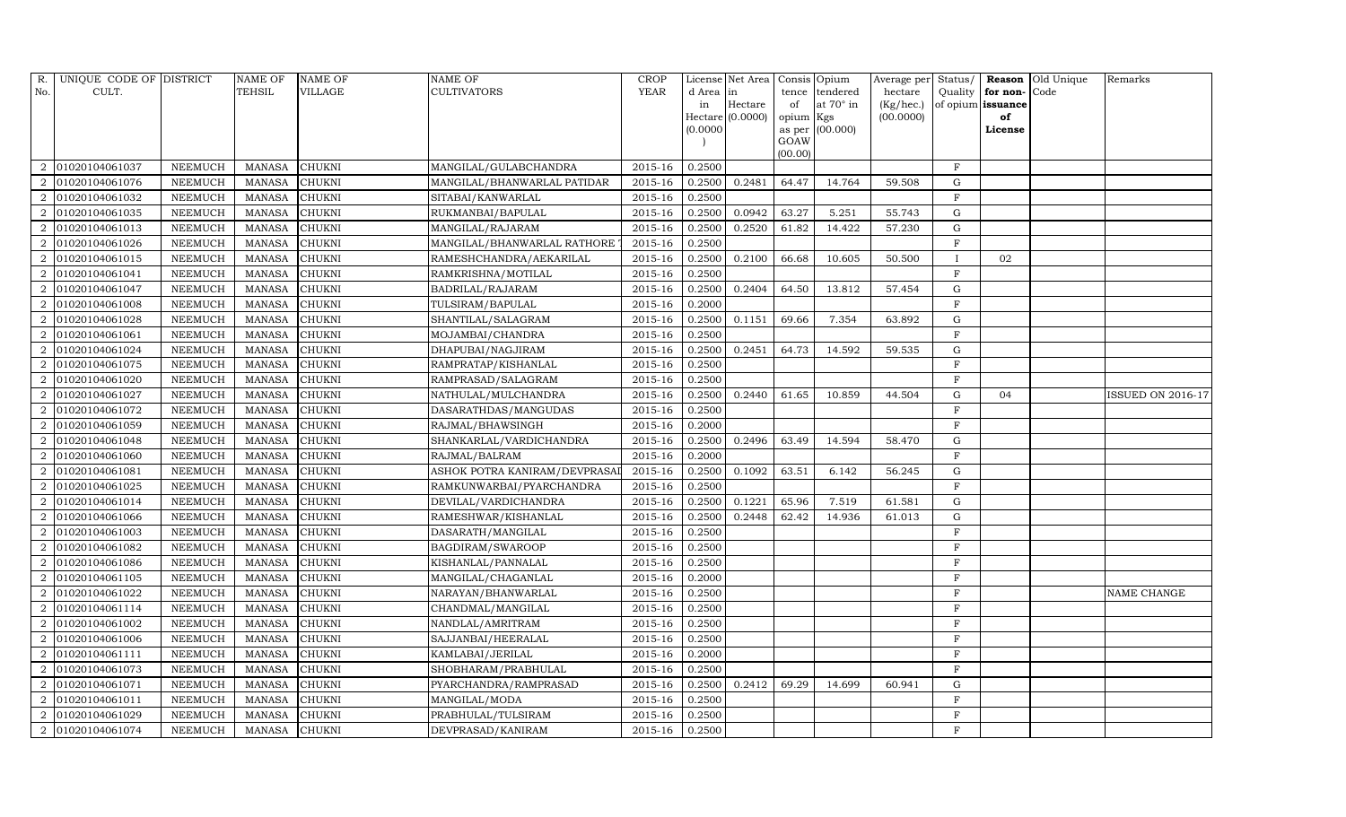| R.             | UNIQUE CODE OF DISTRICT |                | <b>NAME OF</b> | <b>NAME OF</b> | <b>NAME OF</b>                | <b>CROP</b> |           | License Net Area   | Consis Opium    |                 | Average per Status/ |                |                   | Reason Old Unique | Remarks                  |
|----------------|-------------------------|----------------|----------------|----------------|-------------------------------|-------------|-----------|--------------------|-----------------|-----------------|---------------------|----------------|-------------------|-------------------|--------------------------|
| No.            | CULT.                   |                | <b>TEHSIL</b>  | <b>VILLAGE</b> | <b>CULTIVATORS</b>            | YEAR        | d Area in |                    |                 | tence tendered  | hectare             | Quality        | for non-Code      |                   |                          |
|                |                         |                |                |                |                               |             | in        | Hectare            | of              | at 70° in       | (Kg/hec.)           |                | of opium issuance |                   |                          |
|                |                         |                |                |                |                               |             |           | $Hectare$ (0.0000) | opium Kgs       |                 | (00.0000)           |                | of                |                   |                          |
|                |                         |                |                |                |                               |             | (0.0000)  |                    |                 | as per (00.000) |                     |                | License           |                   |                          |
|                |                         |                |                |                |                               |             |           |                    | GOAW<br>(00.00) |                 |                     |                |                   |                   |                          |
| 2              | 01020104061037          | <b>NEEMUCH</b> | <b>MANASA</b>  | <b>CHUKNI</b>  | MANGILAL/GULABCHANDRA         | 2015-16     | 0.2500    |                    |                 |                 |                     | $\rm F$        |                   |                   |                          |
|                | 01020104061076          | <b>NEEMUCH</b> | <b>MANASA</b>  | <b>CHUKNI</b>  | MANGILAL/BHANWARLAL PATIDAR   | 2015-16     | 0.2500    | 0.2481             | 64.47           | 14.764          | 59.508              | ${\rm G}$      |                   |                   |                          |
| 2              | 01020104061032          | <b>NEEMUCH</b> | <b>MANASA</b>  | <b>CHUKNI</b>  | SITABAI/KANWARLAL             | $2015 - 16$ | 0.2500    |                    |                 |                 |                     | F              |                   |                   |                          |
|                | 01020104061035          | <b>NEEMUCH</b> | <b>MANASA</b>  | <b>CHUKNI</b>  | RUKMANBAI/BAPULAL             | 2015-16     | 0.2500    | 0.0942             | 63.27           | 5.251           | 55.743              | ${\rm G}$      |                   |                   |                          |
| 2              | 01020104061013          | <b>NEEMUCH</b> | <b>MANASA</b>  | <b>CHUKNI</b>  | MANGILAL/RAJARAM              | 2015-16     | 0.2500    | 0.2520             | 61.82           | 14.422          | 57.230              | G              |                   |                   |                          |
| $\overline{2}$ | 01020104061026          | <b>NEEMUCH</b> | <b>MANASA</b>  | <b>CHUKNI</b>  | MANGILAL/BHANWARLAL RATHORE   | 2015-16     | 0.2500    |                    |                 |                 |                     | $\mathbf F$    |                   |                   |                          |
| $\overline{2}$ | 01020104061015          | <b>NEEMUCH</b> | <b>MANASA</b>  | <b>CHUKNI</b>  | RAMESHCHANDRA/AEKARILAL       | 2015-16     | 0.2500    | 0.2100             | 66.68           | 10.605          | 50.500              | $\mathbf I$    | 02                |                   |                          |
| 2              | 01020104061041          | <b>NEEMUCH</b> | <b>MANASA</b>  | <b>CHUKNI</b>  | RAMKRISHNA/MOTILAL            | 2015-16     | 0.2500    |                    |                 |                 |                     | F              |                   |                   |                          |
|                | 01020104061047          | <b>NEEMUCH</b> | <b>MANASA</b>  | <b>CHUKNI</b>  | BADRILAL/RAJARAM              | 2015-16     | 0.2500    | 0.2404             | 64.50           | 13.812          | 57.454              | $\mathbf G$    |                   |                   |                          |
| 2              | 01020104061008          | <b>NEEMUCH</b> | <b>MANASA</b>  | CHUKNI         | TULSIRAM/BAPULAL              | 2015-16     | 0.2000    |                    |                 |                 |                     | $_{\rm F}$     |                   |                   |                          |
| 2              | 01020104061028          | <b>NEEMUCH</b> | <b>MANASA</b>  | CHUKNI         | SHANTILAL/SALAGRAM            | 2015-16     | 0.2500    | 0.1151             | 69.66           | 7.354           | 63.892              | $\mathbf G$    |                   |                   |                          |
| 2              | 01020104061061          | <b>NEEMUCH</b> | <b>MANASA</b>  | <b>CHUKNI</b>  | MOJAMBAI/CHANDRA              | 2015-16     | 0.2500    |                    |                 |                 |                     | $\rm F$        |                   |                   |                          |
| $\overline{2}$ | 01020104061024          | <b>NEEMUCH</b> | <b>MANASA</b>  | <b>CHUKNI</b>  | DHAPUBAI/NAGJIRAM             | $2015 - 16$ | 0.2500    | 0.2451             | 64.73           | 14.592          | 59.535              | $\mathbf G$    |                   |                   |                          |
|                | 01020104061075          | <b>NEEMUCH</b> | <b>MANASA</b>  | <b>CHUKNI</b>  | RAMPRATAP/KISHANLAL           | 2015-16     | 0.2500    |                    |                 |                 |                     | $\mathbf F$    |                   |                   |                          |
| 2              | 01020104061020          | <b>NEEMUCH</b> | <b>MANASA</b>  | <b>CHUKNI</b>  | RAMPRASAD/SALAGRAM            | 2015-16     | 0.2500    |                    |                 |                 |                     | F              |                   |                   |                          |
| $\mathcal{D}$  | 01020104061027          | <b>NEEMUCH</b> | <b>MANASA</b>  | <b>CHUKNI</b>  | NATHULAL/MULCHANDRA           | 2015-16     | 0.2500    | 0.2440             | 61.65           | 10.859          | 44.504              | $\mathbf G$    | 04                |                   | <b>ISSUED ON 2016-17</b> |
| 2              | 01020104061072          | <b>NEEMUCH</b> | <b>MANASA</b>  | <b>CHUKNI</b>  | DASARATHDAS/MANGUDAS          | 2015-16     | 0.2500    |                    |                 |                 |                     | $\mathbf F$    |                   |                   |                          |
| 2              | 01020104061059          | <b>NEEMUCH</b> | <b>MANASA</b>  | <b>CHUKNI</b>  | RAJMAL/BHAWSINGH              | 2015-16     | 0.2000    |                    |                 |                 |                     | $\mathbf{F}$   |                   |                   |                          |
|                | 01020104061048          | <b>NEEMUCH</b> | <b>MANASA</b>  | <b>CHUKNI</b>  | SHANKARLAL/VARDICHANDRA       | 2015-16     | 0.2500    | 0.2496             | 63.49           | 14.594          | 58.470              | ${\rm G}$      |                   |                   |                          |
| $\overline{2}$ | 01020104061060          | <b>NEEMUCH</b> | <b>MANASA</b>  | <b>CHUKNI</b>  | RAJMAL/BALRAM                 | 2015-16     | 0.2000    |                    |                 |                 |                     | $\mathbf F$    |                   |                   |                          |
|                | 01020104061081          | <b>NEEMUCH</b> | <b>MANASA</b>  | <b>CHUKNI</b>  | ASHOK POTRA KANIRAM/DEVPRASAI | 2015-16     | 0.2500    | 0.1092             | 63.51           | 6.142           | 56.245              | $\mathbf G$    |                   |                   |                          |
| $\overline{2}$ | 01020104061025          | <b>NEEMUCH</b> | <b>MANASA</b>  | <b>CHUKNI</b>  | RAMKUNWARBAI/PYARCHANDRA      | 2015-16     | 0.2500    |                    |                 |                 |                     | $\mathbf F$    |                   |                   |                          |
| 2              | 01020104061014          | <b>NEEMUCH</b> | <b>MANASA</b>  | <b>CHUKNI</b>  | DEVILAL/VARDICHANDRA          | 2015-16     | 0.2500    | 0.1221             | 65.96           | 7.519           | 61.581              | $\mathbf G$    |                   |                   |                          |
| 2              | 01020104061066          | <b>NEEMUCH</b> | <b>MANASA</b>  | <b>CHUKNI</b>  | RAMESHWAR/KISHANLAL           | $2015 - 16$ | 0.2500    | 0.2448             | 62.42           | 14.936          | 61.013              | ${\rm G}$      |                   |                   |                          |
| 2              | 01020104061003          | <b>NEEMUCH</b> | <b>MANASA</b>  | <b>CHUKNI</b>  | DASARATH/MANGILAL             | $2015 - 16$ | 0.2500    |                    |                 |                 |                     | F              |                   |                   |                          |
|                | 01020104061082          | <b>NEEMUCH</b> | <b>MANASA</b>  | <b>CHUKNI</b>  | BAGDIRAM/SWAROOP              | 2015-16     | 0.2500    |                    |                 |                 |                     | $\mathbf{F}$   |                   |                   |                          |
| 2              | 01020104061086          | <b>NEEMUCH</b> | <b>MANASA</b>  | <b>CHUKNI</b>  | KISHANLAL/PANNALAL            | 2015-16     | 0.2500    |                    |                 |                 |                     | $\rm F$        |                   |                   |                          |
| 2              | 01020104061105          | <b>NEEMUCH</b> | <b>MANASA</b>  | <b>CHUKNI</b>  | MANGILAL/CHAGANLAL            | 2015-16     | 0.2000    |                    |                 |                 |                     | $\overline{F}$ |                   |                   |                          |
| $\overline{2}$ | 01020104061022          | <b>NEEMUCH</b> | <b>MANASA</b>  | <b>CHUKNI</b>  | NARAYAN/BHANWARLAL            | 2015-16     | 0.2500    |                    |                 |                 |                     | $\mathbf F$    |                   |                   | NAME CHANGE              |
| 2              | 01020104061114          | <b>NEEMUCH</b> | <b>MANASA</b>  | <b>CHUKNI</b>  | CHANDMAL/MANGILAL             | 2015-16     | 0.2500    |                    |                 |                 |                     | F              |                   |                   |                          |
|                | 01020104061002          | <b>NEEMUCH</b> | <b>MANASA</b>  | <b>CHUKNI</b>  | NANDLAL/AMRITRAM              | 2015-16     | 0.2500    |                    |                 |                 |                     | $\overline{F}$ |                   |                   |                          |
| 2              | 01020104061006          | <b>NEEMUCH</b> | <b>MANASA</b>  | <b>CHUKNI</b>  | SAJJANBAI/HEERALAL            | 2015-16     | 0.2500    |                    |                 |                 |                     | $\rm F$        |                   |                   |                          |
| $\overline{2}$ | 01020104061111          | <b>NEEMUCH</b> | <b>MANASA</b>  | <b>CHUKNI</b>  | KAMLABAI/JERILAL              | 2015-16     | 0.2000    |                    |                 |                 |                     | $\mathbf{F}$   |                   |                   |                          |
| 2              | 01020104061073          | <b>NEEMUCH</b> | <b>MANASA</b>  | <b>CHUKNI</b>  | SHOBHARAM/PRABHULAL           | $2015 - 16$ | 0.2500    |                    |                 |                 |                     | $\rm F$        |                   |                   |                          |
| 2              | 01020104061071          | <b>NEEMUCH</b> | <b>MANASA</b>  | <b>CHUKNI</b>  | PYARCHANDRA/RAMPRASAD         | 2015-16     | 0.2500    | 0.2412             | 69.29           | 14.699          | 60.941              | $\mathbf G$    |                   |                   |                          |
|                | 01020104061011          | <b>NEEMUCH</b> | <b>MANASA</b>  | <b>CHUKNI</b>  | MANGILAL/MODA                 | 2015-16     | 0.2500    |                    |                 |                 |                     | $\mathbf{F}$   |                   |                   |                          |
| 2              | 01020104061029          | <b>NEEMUCH</b> | <b>MANASA</b>  | CHUKNI         | PRABHULAL/TULSIRAM            | 2015-16     | 0.2500    |                    |                 |                 |                     | $\mathbf F$    |                   |                   |                          |
| $\overline{2}$ | 01020104061074          | <b>NEEMUCH</b> | <b>MANASA</b>  | <b>CHUKNI</b>  | DEVPRASAD/KANIRAM             | 2015-16     | 0.2500    |                    |                 |                 |                     | F              |                   |                   |                          |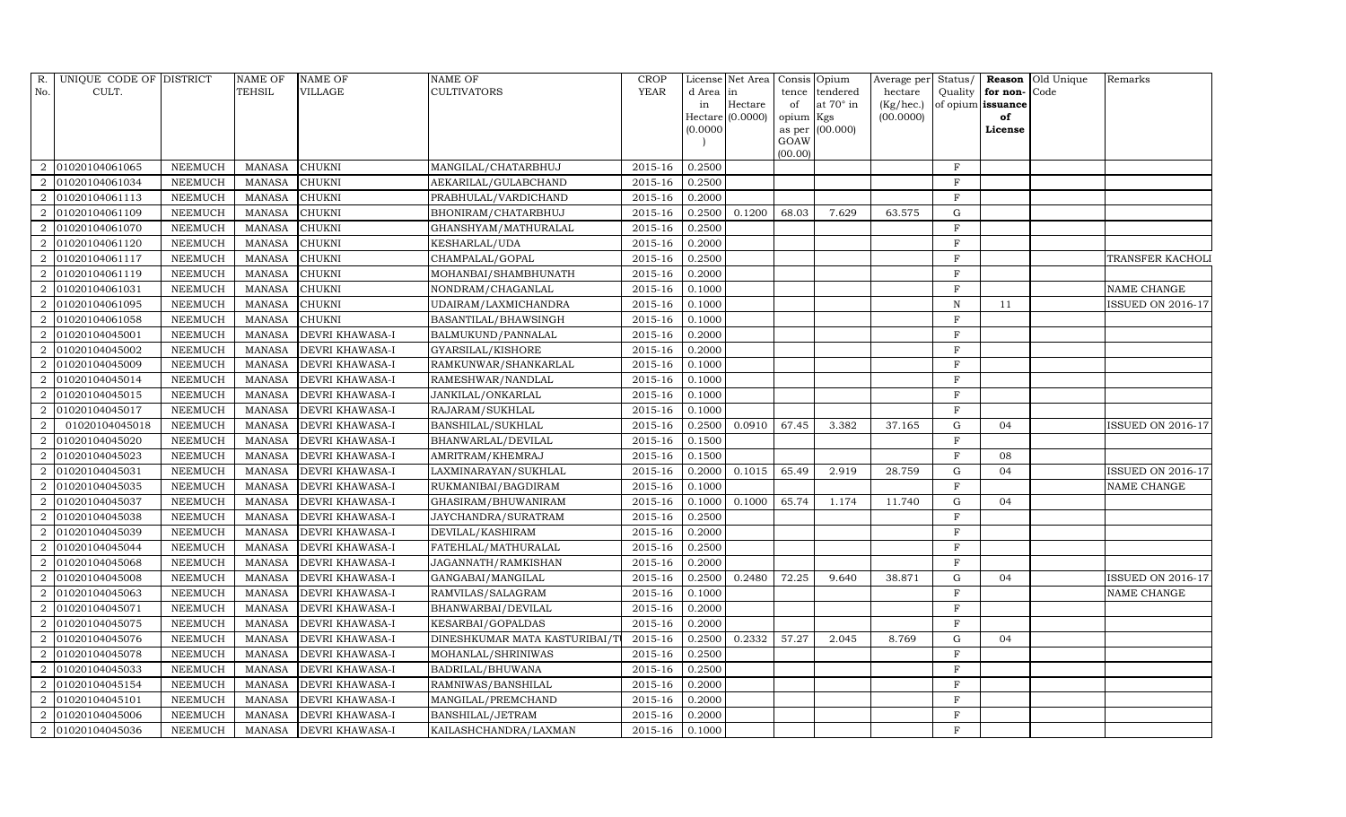| R.             | UNIQUE CODE OF DISTRICT |                | <b>NAME OF</b> | <b>NAME OF</b>         | <b>NAME OF</b>                | <b>CROP</b> |           | License Net Area   |                 | Consis Opium     | Average per Status/ |                |                   | Reason Old Unique | Remarks                  |
|----------------|-------------------------|----------------|----------------|------------------------|-------------------------------|-------------|-----------|--------------------|-----------------|------------------|---------------------|----------------|-------------------|-------------------|--------------------------|
| No.            | CULT.                   |                | TEHSIL         | <b>VILLAGE</b>         | <b>CULTIVATORS</b>            | <b>YEAR</b> | d Area in |                    | tence           | tendered         | hectare             | Quality        | for non-          | Code              |                          |
|                |                         |                |                |                        |                               |             | in        | Hectare            | of              | at $70^\circ$ in | (Kg/hec.)           |                | of opium issuance |                   |                          |
|                |                         |                |                |                        |                               |             |           | $Hectare (0.0000)$ | opium Kgs       |                  | (00.0000)           |                | of                |                   |                          |
|                |                         |                |                |                        |                               |             | (0.0000)  |                    |                 | as per (00.000)  |                     |                | License           |                   |                          |
|                |                         |                |                |                        |                               |             |           |                    | GOAW<br>(00.00) |                  |                     |                |                   |                   |                          |
| 2              | 01020104061065          | <b>NEEMUCH</b> | <b>MANASA</b>  | <b>CHUKNI</b>          | MANGILAL/CHATARBHUJ           | 2015-16     | 0.2500    |                    |                 |                  |                     | $\rm F$        |                   |                   |                          |
| $\mathcal{D}$  | 01020104061034          | <b>NEEMUCH</b> | <b>MANASA</b>  | <b>CHUKNI</b>          | AEKARILAL/GULABCHAND          | 2015-16     | 0.2500    |                    |                 |                  |                     | $\rm F$        |                   |                   |                          |
| $\overline{2}$ | 01020104061113          | <b>NEEMUCH</b> | <b>MANASA</b>  | <b>CHUKNI</b>          | PRABHULAL/VARDICHAND          | 2015-16     | 0.2000    |                    |                 |                  |                     | F              |                   |                   |                          |
| $\mathcal{D}$  | 01020104061109          | <b>NEEMUCH</b> | <b>MANASA</b>  | <b>CHUKNI</b>          | BHONIRAM/CHATARBHUJ           | 2015-16     | 0.2500    | 0.1200             | 68.03           | 7.629            | 63.575              | G              |                   |                   |                          |
| $\overline{2}$ | 01020104061070          | <b>NEEMUCH</b> | <b>MANASA</b>  | <b>CHUKNI</b>          | GHANSHYAM/MATHURALAL          | 2015-16     | 0.2500    |                    |                 |                  |                     | $\rm F$        |                   |                   |                          |
| 2              | 01020104061120          | <b>NEEMUCH</b> | <b>MANASA</b>  | <b>CHUKNI</b>          | KESHARLAL/UDA                 | 2015-16     | 0.2000    |                    |                 |                  |                     | $\rm F$        |                   |                   |                          |
| $\overline{2}$ | 01020104061117          | <b>NEEMUCH</b> | <b>MANASA</b>  | <b>CHUKNI</b>          | CHAMPALAL/GOPAL               | 2015-16     | 0.2500    |                    |                 |                  |                     | $\rm F$        |                   |                   | TRANSFER KACHOL          |
| 2              | 01020104061119          | <b>NEEMUCH</b> | <b>MANASA</b>  | <b>CHUKNI</b>          | MOHANBAI/SHAMBHUNATH          | 2015-16     | 0.2000    |                    |                 |                  |                     | $\rm F$        |                   |                   |                          |
|                | 01020104061031          | <b>NEEMUCH</b> | <b>MANASA</b>  | <b>CHUKNI</b>          | NONDRAM/CHAGANLAL             | 2015-16     | 0.1000    |                    |                 |                  |                     | $\rm F$        |                   |                   | <b>NAME CHANGE</b>       |
| 2              | 01020104061095          | <b>NEEMUCH</b> | <b>MANASA</b>  | CHUKNI                 | UDAIRAM/LAXMICHANDRA          | 2015-16     | 0.1000    |                    |                 |                  |                     | $\mathbf N$    | 11                |                   | <b>ISSUED ON 2016-17</b> |
| $\mathcal{D}$  | 01020104061058          | <b>NEEMUCH</b> | <b>MANASA</b>  | <b>CHUKNI</b>          | BASANTILAL/BHAWSINGH          | 2015-16     | 0.1000    |                    |                 |                  |                     | $\mathbf F$    |                   |                   |                          |
| $\overline{2}$ | 01020104045001          | <b>NEEMUCH</b> | <b>MANASA</b>  | DEVRI KHAWASA-I        | BALMUKUND/PANNALAL            | 2015-16     | 0.2000    |                    |                 |                  |                     | $\mathbf F$    |                   |                   |                          |
| $\overline{2}$ | 01020104045002          | <b>NEEMUCH</b> | <b>MANASA</b>  | <b>DEVRI KHAWASA-I</b> | GYARSILAL/KISHORE             | 2015-16     | 0.2000    |                    |                 |                  |                     | $\rm F$        |                   |                   |                          |
|                | 01020104045009          | <b>NEEMUCH</b> | <b>MANASA</b>  | <b>DEVRI KHAWASA-I</b> | RAMKUNWAR/SHANKARLAL          | 2015-16     | 0.1000    |                    |                 |                  |                     | $\rm F$        |                   |                   |                          |
|                | 01020104045014          | <b>NEEMUCH</b> | <b>MANASA</b>  | <b>DEVRI KHAWASA-I</b> | RAMESHWAR/NANDLAL             | 2015-16     | 0.1000    |                    |                 |                  |                     | F              |                   |                   |                          |
| $\overline{2}$ | 01020104045015          | <b>NEEMUCH</b> | <b>MANASA</b>  | <b>DEVRI KHAWASA-I</b> | JANKILAL/ONKARLAL             | 2015-16     | 0.1000    |                    |                 |                  |                     | $_{\rm F}$     |                   |                   |                          |
| $\overline{2}$ | 01020104045017          | <b>NEEMUCH</b> | <b>MANASA</b>  | <b>DEVRI KHAWASA-I</b> | RAJARAM/SUKHLAL               | 2015-16     | 0.1000    |                    |                 |                  |                     | $\rm F$        |                   |                   |                          |
| $\overline{2}$ | 01020104045018          | <b>NEEMUCH</b> | <b>MANASA</b>  | <b>DEVRI KHAWASA-I</b> | <b>BANSHILAL/SUKHLAL</b>      | 2015-16     | 0.2500    | 0.0910             | 67.45           | 3.382            | 37.165              | $\mathbf G$    | 04                |                   | <b>ISSUED ON 2016-17</b> |
| $\overline{2}$ | 01020104045020          | <b>NEEMUCH</b> | <b>MANASA</b>  | <b>DEVRI KHAWASA-I</b> | BHANWARLAL/DEVILAL            | 2015-16     | 0.1500    |                    |                 |                  |                     | $\mathbf F$    |                   |                   |                          |
| $\overline{2}$ | 01020104045023          | <b>NEEMUCH</b> | <b>MANASA</b>  | <b>DEVRI KHAWASA-I</b> | AMRITRAM/KHEMRAJ              | 2015-16     | 0.1500    |                    |                 |                  |                     | $\rm F$        | 08                |                   |                          |
| $\overline{2}$ | 01020104045031          | <b>NEEMUCH</b> | <b>MANASA</b>  | <b>DEVRI KHAWASA-I</b> | LAXMINARAYAN/SUKHLAL          | 2015-16     | 0.2000    | 0.1015             | 65.49           | 2.919            | 28.759              | $\mathbf G$    | 04                |                   | <b>ISSUED ON 2016-17</b> |
| $\mathcal{D}$  | 01020104045035          | <b>NEEMUCH</b> | <b>MANASA</b>  | <b>DEVRI KHAWASA-I</b> | RUKMANIBAI/BAGDIRAM           | 2015-16     | 0.1000    |                    |                 |                  |                     | $\rm F$        |                   |                   | NAME CHANGE              |
| 2              | 01020104045037          | <b>NEEMUCH</b> | <b>MANASA</b>  | <b>DEVRI KHAWASA-I</b> | GHASIRAM/BHUWANIRAM           | 2015-16     | 0.1000    | 0.1000             | 65.74           | 1.174            | 11.740              | $\mathbf G$    | 04                |                   |                          |
| $\overline{2}$ | 01020104045038          | <b>NEEMUCH</b> | <b>MANASA</b>  | <b>DEVRI KHAWASA-I</b> | JAYCHANDRA/SURATRAM           | $2015 - 16$ | 0.2500    |                    |                 |                  |                     | $\rm F$        |                   |                   |                          |
| $\overline{2}$ | 01020104045039          | <b>NEEMUCH</b> | <b>MANASA</b>  | <b>DEVRI KHAWASA-I</b> | DEVILAL/KASHIRAM              | $2015 - 16$ | 0.2000    |                    |                 |                  |                     | F              |                   |                   |                          |
| $\mathcal{D}$  | 01020104045044          | <b>NEEMUCH</b> | <b>MANASA</b>  | <b>DEVRI KHAWASA-I</b> | FATEHLAL/MATHURALAL           | 2015-16     | 0.2500    |                    |                 |                  |                     | $\rm F$        |                   |                   |                          |
| 2              | 01020104045068          | <b>NEEMUCH</b> | <b>MANASA</b>  | <b>DEVRI KHAWASA-I</b> | JAGANNATH/RAMKISHAN           | 2015-16     | 0.2000    |                    |                 |                  |                     | $\rm F$        |                   |                   |                          |
| $\overline{2}$ | 01020104045008          | <b>NEEMUCH</b> | <b>MANASA</b>  | <b>DEVRI KHAWASA-I</b> | GANGABAI/MANGILAL             | 2015-16     | 0.2500    | 0.2480             | 72.25           | 9.640            | 38.871              | $\mathbf G$    | 04                |                   | <b>ISSUED ON 2016-17</b> |
| $\overline{2}$ | 01020104045063          | <b>NEEMUCH</b> | <b>MANASA</b>  | <b>DEVRI KHAWASA-I</b> | RAMVILAS/SALAGRAM             | 2015-16     | 0.1000    |                    |                 |                  |                     | $\mathbf F$    |                   |                   | NAME CHANGE              |
| $\overline{2}$ | 01020104045071          | <b>NEEMUCH</b> | <b>MANASA</b>  | <b>DEVRI KHAWASA-I</b> | BHANWARBAI/DEVILAL            | 2015-16     | 0.2000    |                    |                 |                  |                     | $\rm F$        |                   |                   |                          |
| $\overline{2}$ | 01020104045075          | <b>NEEMUCH</b> | <b>MANASA</b>  | <b>DEVRI KHAWASA-I</b> | KESARBAI/GOPALDAS             | 2015-16     | 0.2000    |                    |                 |                  |                     | $\rm F$        |                   |                   |                          |
| $\overline{2}$ | 01020104045076          | <b>NEEMUCH</b> | <b>MANASA</b>  | <b>DEVRI KHAWASA-I</b> | DINESHKUMAR MATA KASTURIBAI/T | 2015-16     | 0.2500    | 0.2332             | 57.27           | 2.045            | 8.769               | G              | 04                |                   |                          |
| $\overline{2}$ | 01020104045078          | <b>NEEMUCH</b> | <b>MANASA</b>  | <b>DEVRI KHAWASA-I</b> | MOHANLAL/SHRINIWAS            | 2015-16     | 0.2500    |                    |                 |                  |                     | F              |                   |                   |                          |
| $\overline{2}$ | 01020104045033          | <b>NEEMUCH</b> | <b>MANASA</b>  | <b>DEVRI KHAWASA-I</b> | BADRILAL/BHUWANA              | $2015 - 16$ | 0.2500    |                    |                 |                  |                     | $\rm F$        |                   |                   |                          |
| $\overline{2}$ | 01020104045154          | <b>NEEMUCH</b> | <b>MANASA</b>  | <b>DEVRI KHAWASA-I</b> | RAMNIWAS/BANSHILAL            | 2015-16     | 0.2000    |                    |                 |                  |                     | $\mathbf F$    |                   |                   |                          |
|                | 01020104045101          | <b>NEEMUCH</b> | <b>MANASA</b>  | DEVRI KHAWASA-I        | MANGILAL/PREMCHAND            | 2015-16     | 0.2000    |                    |                 |                  |                     | $\rm F$        |                   |                   |                          |
| $\overline{2}$ | 01020104045006          | <b>NEEMUCH</b> | <b>MANASA</b>  | <b>DEVRI KHAWASA-I</b> | BANSHILAL/JETRAM              | 2015-16     | 0.2000    |                    |                 |                  |                     | $\rm F$        |                   |                   |                          |
| $\overline{a}$ | 01020104045036          | <b>NEEMUCH</b> | <b>MANASA</b>  | <b>DEVRI KHAWASA-I</b> | KAILASHCHANDRA/LAXMAN         | 2015-16     | 0.1000    |                    |                 |                  |                     | $\overline{F}$ |                   |                   |                          |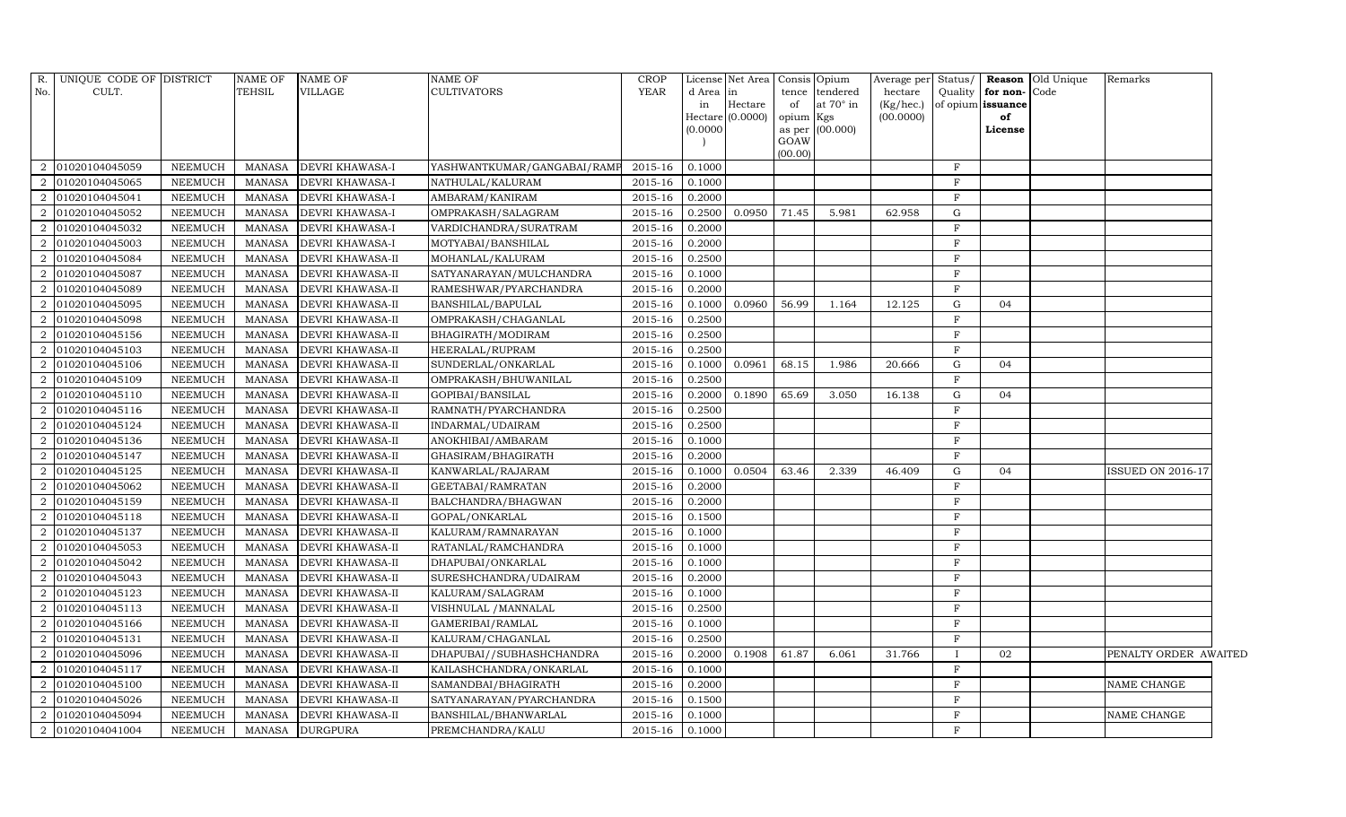| CULT.<br><b>TEHSIL</b><br>VILLAGE<br><b>CULTIVATORS</b><br>YEAR<br>No.<br>d Area<br>tendered<br>hectare<br>Quality<br>for non-<br>Code<br>in<br>tence<br>Hectare<br>at $70^\circ$ in<br>(Kg/hec.)<br>of opium issuance<br>in<br>of<br>Hectare (0.0000)<br>(00.0000)<br>opium Kgs<br>of<br>(0.0000)<br>as per (00.000)<br>License<br>GOAW<br>(00.00)<br>01020104045059<br><b>NEEMUCH</b><br><b>DEVRI KHAWASA-I</b><br>YASHWANTKUMAR/GANGABAI/RAMP<br>2015-16<br>0.1000<br>$_{\rm F}$<br>2<br>MANASA<br>2015-16<br>01020104045065<br><b>NEEMUCH</b><br><b>MANASA</b><br>DEVRI KHAWASA-I<br>NATHULAL/KALURAM<br>0.1000<br>F<br>2<br>01020104045041<br>0.2000<br>$\mathbf{F}$<br><b>NEEMUCH</b><br><b>MANASA</b><br>DEVRI KHAWASA-I<br>AMBARAM/KANIRAM<br>2015-16<br>2<br>01020104045052<br><b>NEEMUCH</b><br><b>MANASA</b><br>2015-16<br>0.2500<br>0.0950<br>71.45<br>5.981<br>62.958<br>$\mathbf G$<br>$\overline{2}$<br>DEVRI KHAWASA-I<br>OMPRAKASH/SALAGRAM<br>2015-16<br>01020104045032<br><b>NEEMUCH</b><br><b>MANASA</b><br>DEVRI KHAWASA-I<br>VARDICHANDRA/SURATRAM<br>0.2000<br>F<br>2<br>01020104045003<br><b>NEEMUCH</b><br><b>MANASA</b><br>DEVRI KHAWASA-I<br>MOTYABAI/BANSHILAL<br>2015-16<br>0.2000<br>F<br>$\overline{2}$<br>2015-16<br>0.2500<br>$\mathbf F$<br>01020104045084<br><b>NEEMUCH</b><br><b>MANASA</b><br>DEVRI KHAWASA-II<br>MOHANLAL/KALURAM<br>2<br>01020104045087<br>$2015 - 16$<br>0.1000<br>F<br><b>NEEMUCH</b><br><b>MANASA</b><br>DEVRI KHAWASA-II<br>$\overline{2}$<br>SATYANARAYAN/MULCHANDRA<br>01020104045089<br><b>NEEMUCH</b><br><b>MANASA</b><br>DEVRI KHAWASA-II<br>RAMESHWAR/PYARCHANDRA<br>2015-16<br>0.2000<br>$_{\rm F}$<br>2<br>$2015 - 16$<br>0.1000<br>0.0960<br>56.99<br>G<br>04<br>2<br>01020104045095<br><b>NEEMUCH</b><br><b>MANASA</b><br>DEVRI KHAWASA-II<br>1.164<br>12.125<br>BANSHILAL/BAPULAL<br>01020104045098<br><b>NEEMUCH</b><br><b>MANASA</b><br>DEVRI KHAWASA-II<br>OMPRAKASH/CHAGANLAL<br>2015-16<br>0.2500<br>$\mathbf{F}$<br>2<br>01020104045156<br><b>NEEMUCH</b><br>2015-16<br>0.2500<br>$\mathbf F$<br>2<br><b>MANASA</b><br>DEVRI KHAWASA-II<br>BHAGIRATH/MODIRAM<br>01020104045103<br><b>NEEMUCH</b><br><b>MANASA</b><br>2015-16<br>0.2500<br>F<br>$\overline{2}$<br>DEVRI KHAWASA-II<br>HEERALAL/RUPRAM<br>01020104045106<br><b>NEEMUCH</b><br><b>MANASA</b><br>DEVRI KHAWASA-II<br>2015-16<br>0.1000<br>0.0961<br>68.15<br>1.986<br>$\mathbf G$<br>04<br>SUNDERLAL/ONKARLAL<br>20.666<br>2<br>01020104045109<br>2015-16<br>0.2500<br><b>NEEMUCH</b><br><b>MANASA</b><br>DEVRI KHAWASA-II<br>OMPRAKASH/BHUWANILAL<br>$_{\rm F}$<br>2<br>01020104045110<br><b>NEEMUCH</b><br>2015-16<br>0.2000<br>0.1890<br>65.69<br>$\overline{2}$<br><b>MANASA</b><br>DEVRI KHAWASA-II<br>GOPIBAI/BANSILAL<br>3.050<br>16.138<br>G<br>04<br>01020104045116<br>$2015 - 16$<br>0.2500<br>F<br><b>NEEMUCH</b><br><b>MANASA</b><br>DEVRI KHAWASA-II<br>RAMNATH/PYARCHANDRA<br>2<br>01020104045124<br>2015-16<br>0.2500<br><b>NEEMUCH</b><br><b>MANASA</b><br>DEVRI KHAWASA-II<br>INDARMAL/UDAIRAM<br>$_{\rm F}$<br>2<br>01020104045136<br>2015-16<br>0.1000<br>$\rm F$<br><b>NEEMUCH</b><br><b>MANASA</b><br>DEVRI KHAWASA-II<br>ANOKHIBAI/AMBARAM<br>2<br>01020104045147<br><b>NEEMUCH</b><br><b>MANASA</b><br>$2015 - 16$<br>0.2000<br>F<br>DEVRI KHAWASA-II<br>GHASIRAM/BHAGIRATH<br>2<br>2.339<br>01020104045125<br><b>NEEMUCH</b><br><b>MANASA</b><br>DEVRI KHAWASA-II<br>KANWARLAL/RAJARAM<br>2015-16<br>0.1000<br>0.0504<br>63.46<br>46.409<br>$\mathbf G$<br>04<br><b>ISSUED ON 2016-17</b><br>$\overline{2}$<br>01020104045062<br>2015-16<br>0.2000<br><b>NEEMUCH</b><br><b>MANASA</b><br>DEVRI KHAWASA-II<br>GEETABAI/RAMRATAN<br>F<br>2<br>01020104045159<br>2<br><b>NEEMUCH</b><br><b>MANASA</b><br>DEVRI KHAWASA-II<br>BALCHANDRA/BHAGWAN<br>2015-16<br>0.2000<br>F<br>0.1500<br>$\mathbf F$<br>01020104045118<br><b>NEEMUCH</b><br><b>MANASA</b><br>DEVRI KHAWASA-II<br>GOPAL/ONKARLAL<br>2015-16<br>$\overline{2}$<br>01020104045137<br><b>NEEMUCH</b><br>$2015 - 16$<br>0.1000<br>$\mathbf{F}$<br><b>MANASA</b><br>DEVRI KHAWASA-II<br>KALURAM/RAMNARAYAN<br>2<br>01020104045053<br><b>NEEMUCH</b><br>2015-16<br>0.1000<br>$\rm F$<br>$\overline{2}$<br><b>MANASA</b><br>DEVRI KHAWASA-II<br>RATANLAL/RAMCHANDRA<br>01020104045042<br><b>NEEMUCH</b><br><b>MANASA</b><br>$2015 - 16$<br>0.1000<br>F<br>2<br>DEVRI KHAWASA-II<br>DHAPUBAI/ONKARLAL<br>01020104045043<br><b>NEEMUCH</b><br><b>MANASA</b><br>DEVRI KHAWASA-II<br>SURESHCHANDRA/UDAIRAM<br>2015-16<br>0.2000<br>F<br>$\overline{2}$<br>01020104045123<br><b>NEEMUCH</b><br><b>MANASA</b><br>DEVRI KHAWASA-II<br>KALURAM/SALAGRAM<br>2015-16<br>0.1000<br>F<br>2<br>01020104045113<br>0.2500<br>F<br><b>NEEMUCH</b><br><b>MANASA</b><br>DEVRI KHAWASA-II<br>2015-16<br>2<br>VISHNULAL / MANNALAL<br>01020104045166<br>0.1000<br>F<br><b>NEEMUCH</b><br><b>MANASA</b><br>DEVRI KHAWASA-II<br>GAMERIBAI/RAMLAL<br>2015-16<br>$\overline{a}$<br>01020104045131<br>$2015 - 16$<br>0.2500<br>F<br><b>NEEMUCH</b><br><b>MANASA</b><br>DEVRI KHAWASA-II<br>KALURAM/CHAGANLAL<br>2<br>01020104045096<br><b>NEEMUCH</b><br><b>MANASA</b><br>DEVRI KHAWASA-II<br>2015-16<br>0.2000<br>0.1908<br>61.87<br>31.766<br>PENALTY ORDER AWAITED<br>$\mathcal{D}$<br>DHAPUBAI//SUBHASHCHANDRA<br>6.061<br>02<br>$\mathbf{I}$<br>01020104045117<br>$2015 - 16$<br>0.1000<br>$_{\rm F}$<br><b>NEEMUCH</b><br><b>MANASA</b><br>DEVRI KHAWASA-II<br>KAILASHCHANDRA/ONKARLAL<br>$\overline{2}$<br>F<br>01020104045100<br><b>NEEMUCH</b><br>2015-16<br>0.2000<br><b>MANASA</b><br>DEVRI KHAWASA-II<br>SAMANDBAI/BHAGIRATH<br>NAME CHANGE<br>2<br>0.1500<br>$\overline{2}$<br>01020104045026<br><b>NEEMUCH</b><br><b>MANASA</b><br>DEVRI KHAWASA-II<br>SATYANARAYAN/PYARCHANDRA<br>2015-16<br>F<br>F<br>01020104045094<br><b>NEEMUCH</b><br>2015-16<br>0.1000<br>$\overline{2}$<br><b>MANASA</b><br>DEVRI KHAWASA-II<br>BANSHILAL/BHANWARLAL<br>NAME CHANGE | R. | UNIQUE CODE OF DISTRICT |         | NAME OF       | <b>NAME OF</b>  | <b>NAME OF</b>   | <b>CROP</b> |        | License Net Area Consis Opium |  | Average per Status/ |   | <b>Reason Old Unique</b> | Remarks |  |
|---------------------------------------------------------------------------------------------------------------------------------------------------------------------------------------------------------------------------------------------------------------------------------------------------------------------------------------------------------------------------------------------------------------------------------------------------------------------------------------------------------------------------------------------------------------------------------------------------------------------------------------------------------------------------------------------------------------------------------------------------------------------------------------------------------------------------------------------------------------------------------------------------------------------------------------------------------------------------------------------------------------------------------------------------------------------------------------------------------------------------------------------------------------------------------------------------------------------------------------------------------------------------------------------------------------------------------------------------------------------------------------------------------------------------------------------------------------------------------------------------------------------------------------------------------------------------------------------------------------------------------------------------------------------------------------------------------------------------------------------------------------------------------------------------------------------------------------------------------------------------------------------------------------------------------------------------------------------------------------------------------------------------------------------------------------------------------------------------------------------------------------------------------------------------------------------------------------------------------------------------------------------------------------------------------------------------------------------------------------------------------------------------------------------------------------------------------------------------------------------------------------------------------------------------------------------------------------------------------------------------------------------------------------------------------------------------------------------------------------------------------------------------------------------------------------------------------------------------------------------------------------------------------------------------------------------------------------------------------------------------------------------------------------------------------------------------------------------------------------------------------------------------------------------------------------------------------------------------------------------------------------------------------------------------------------------------------------------------------------------------------------------------------------------------------------------------------------------------------------------------------------------------------------------------------------------------------------------------------------------------------------------------------------------------------------------------------------------------------------------------------------------------------------------------------------------------------------------------------------------------------------------------------------------------------------------------------------------------------------------------------------------------------------------------------------------------------------------------------------------------------------------------------------------------------------------------------------------------------------------------------------------------------------------------------------------------------------------------------------------------------------------------------------------------------------------------------------------------------------------------------------------------------------------------------------------------------------------------------------------------------------------------------------------------------------------------------------------------------------------------------------------------------------------------------------------------------------------------------------------------------------------------------------------------------------------------------------------------------------------------------------------------------------------------------------------------------------------------------------------------------------------------------------------------------------------------------------------------------------------------------------------------------------------------------------------------------------------------------------------------------------------------------------------------------------------------------------------------------------------------------------------------------------------------------------------------------------------------------------------------------------------------------------------------------------------------------------------------------------------------------------------------------------------------------------------------------------------------------------------------------------------------------------------------------------------------------------------|----|-------------------------|---------|---------------|-----------------|------------------|-------------|--------|-------------------------------|--|---------------------|---|--------------------------|---------|--|
|                                                                                                                                                                                                                                                                                                                                                                                                                                                                                                                                                                                                                                                                                                                                                                                                                                                                                                                                                                                                                                                                                                                                                                                                                                                                                                                                                                                                                                                                                                                                                                                                                                                                                                                                                                                                                                                                                                                                                                                                                                                                                                                                                                                                                                                                                                                                                                                                                                                                                                                                                                                                                                                                                                                                                                                                                                                                                                                                                                                                                                                                                                                                                                                                                                                                                                                                                                                                                                                                                                                                                                                                                                                                                                                                                                                                                                                                                                                                                                                                                                                                                                                                                                                                                                                                                                                                                                                                                                                                                                                                                                                                                                                                                                                                                                                                                                                                                                                                                                                                                                                                                                                                                                                                                                                                                                                                                                                                                                                                                                                                                                                                                                                                                                                                                                                                                                                                                                                                                                     |    |                         |         |               |                 |                  |             |        |                               |  |                     |   |                          |         |  |
|                                                                                                                                                                                                                                                                                                                                                                                                                                                                                                                                                                                                                                                                                                                                                                                                                                                                                                                                                                                                                                                                                                                                                                                                                                                                                                                                                                                                                                                                                                                                                                                                                                                                                                                                                                                                                                                                                                                                                                                                                                                                                                                                                                                                                                                                                                                                                                                                                                                                                                                                                                                                                                                                                                                                                                                                                                                                                                                                                                                                                                                                                                                                                                                                                                                                                                                                                                                                                                                                                                                                                                                                                                                                                                                                                                                                                                                                                                                                                                                                                                                                                                                                                                                                                                                                                                                                                                                                                                                                                                                                                                                                                                                                                                                                                                                                                                                                                                                                                                                                                                                                                                                                                                                                                                                                                                                                                                                                                                                                                                                                                                                                                                                                                                                                                                                                                                                                                                                                                                     |    |                         |         |               |                 |                  |             |        |                               |  |                     |   |                          |         |  |
|                                                                                                                                                                                                                                                                                                                                                                                                                                                                                                                                                                                                                                                                                                                                                                                                                                                                                                                                                                                                                                                                                                                                                                                                                                                                                                                                                                                                                                                                                                                                                                                                                                                                                                                                                                                                                                                                                                                                                                                                                                                                                                                                                                                                                                                                                                                                                                                                                                                                                                                                                                                                                                                                                                                                                                                                                                                                                                                                                                                                                                                                                                                                                                                                                                                                                                                                                                                                                                                                                                                                                                                                                                                                                                                                                                                                                                                                                                                                                                                                                                                                                                                                                                                                                                                                                                                                                                                                                                                                                                                                                                                                                                                                                                                                                                                                                                                                                                                                                                                                                                                                                                                                                                                                                                                                                                                                                                                                                                                                                                                                                                                                                                                                                                                                                                                                                                                                                                                                                                     |    |                         |         |               |                 |                  |             |        |                               |  |                     |   |                          |         |  |
|                                                                                                                                                                                                                                                                                                                                                                                                                                                                                                                                                                                                                                                                                                                                                                                                                                                                                                                                                                                                                                                                                                                                                                                                                                                                                                                                                                                                                                                                                                                                                                                                                                                                                                                                                                                                                                                                                                                                                                                                                                                                                                                                                                                                                                                                                                                                                                                                                                                                                                                                                                                                                                                                                                                                                                                                                                                                                                                                                                                                                                                                                                                                                                                                                                                                                                                                                                                                                                                                                                                                                                                                                                                                                                                                                                                                                                                                                                                                                                                                                                                                                                                                                                                                                                                                                                                                                                                                                                                                                                                                                                                                                                                                                                                                                                                                                                                                                                                                                                                                                                                                                                                                                                                                                                                                                                                                                                                                                                                                                                                                                                                                                                                                                                                                                                                                                                                                                                                                                                     |    |                         |         |               |                 |                  |             |        |                               |  |                     |   |                          |         |  |
|                                                                                                                                                                                                                                                                                                                                                                                                                                                                                                                                                                                                                                                                                                                                                                                                                                                                                                                                                                                                                                                                                                                                                                                                                                                                                                                                                                                                                                                                                                                                                                                                                                                                                                                                                                                                                                                                                                                                                                                                                                                                                                                                                                                                                                                                                                                                                                                                                                                                                                                                                                                                                                                                                                                                                                                                                                                                                                                                                                                                                                                                                                                                                                                                                                                                                                                                                                                                                                                                                                                                                                                                                                                                                                                                                                                                                                                                                                                                                                                                                                                                                                                                                                                                                                                                                                                                                                                                                                                                                                                                                                                                                                                                                                                                                                                                                                                                                                                                                                                                                                                                                                                                                                                                                                                                                                                                                                                                                                                                                                                                                                                                                                                                                                                                                                                                                                                                                                                                                                     |    |                         |         |               |                 |                  |             |        |                               |  |                     |   |                          |         |  |
|                                                                                                                                                                                                                                                                                                                                                                                                                                                                                                                                                                                                                                                                                                                                                                                                                                                                                                                                                                                                                                                                                                                                                                                                                                                                                                                                                                                                                                                                                                                                                                                                                                                                                                                                                                                                                                                                                                                                                                                                                                                                                                                                                                                                                                                                                                                                                                                                                                                                                                                                                                                                                                                                                                                                                                                                                                                                                                                                                                                                                                                                                                                                                                                                                                                                                                                                                                                                                                                                                                                                                                                                                                                                                                                                                                                                                                                                                                                                                                                                                                                                                                                                                                                                                                                                                                                                                                                                                                                                                                                                                                                                                                                                                                                                                                                                                                                                                                                                                                                                                                                                                                                                                                                                                                                                                                                                                                                                                                                                                                                                                                                                                                                                                                                                                                                                                                                                                                                                                                     |    |                         |         |               |                 |                  |             |        |                               |  |                     |   |                          |         |  |
|                                                                                                                                                                                                                                                                                                                                                                                                                                                                                                                                                                                                                                                                                                                                                                                                                                                                                                                                                                                                                                                                                                                                                                                                                                                                                                                                                                                                                                                                                                                                                                                                                                                                                                                                                                                                                                                                                                                                                                                                                                                                                                                                                                                                                                                                                                                                                                                                                                                                                                                                                                                                                                                                                                                                                                                                                                                                                                                                                                                                                                                                                                                                                                                                                                                                                                                                                                                                                                                                                                                                                                                                                                                                                                                                                                                                                                                                                                                                                                                                                                                                                                                                                                                                                                                                                                                                                                                                                                                                                                                                                                                                                                                                                                                                                                                                                                                                                                                                                                                                                                                                                                                                                                                                                                                                                                                                                                                                                                                                                                                                                                                                                                                                                                                                                                                                                                                                                                                                                                     |    |                         |         |               |                 |                  |             |        |                               |  |                     |   |                          |         |  |
|                                                                                                                                                                                                                                                                                                                                                                                                                                                                                                                                                                                                                                                                                                                                                                                                                                                                                                                                                                                                                                                                                                                                                                                                                                                                                                                                                                                                                                                                                                                                                                                                                                                                                                                                                                                                                                                                                                                                                                                                                                                                                                                                                                                                                                                                                                                                                                                                                                                                                                                                                                                                                                                                                                                                                                                                                                                                                                                                                                                                                                                                                                                                                                                                                                                                                                                                                                                                                                                                                                                                                                                                                                                                                                                                                                                                                                                                                                                                                                                                                                                                                                                                                                                                                                                                                                                                                                                                                                                                                                                                                                                                                                                                                                                                                                                                                                                                                                                                                                                                                                                                                                                                                                                                                                                                                                                                                                                                                                                                                                                                                                                                                                                                                                                                                                                                                                                                                                                                                                     |    |                         |         |               |                 |                  |             |        |                               |  |                     |   |                          |         |  |
|                                                                                                                                                                                                                                                                                                                                                                                                                                                                                                                                                                                                                                                                                                                                                                                                                                                                                                                                                                                                                                                                                                                                                                                                                                                                                                                                                                                                                                                                                                                                                                                                                                                                                                                                                                                                                                                                                                                                                                                                                                                                                                                                                                                                                                                                                                                                                                                                                                                                                                                                                                                                                                                                                                                                                                                                                                                                                                                                                                                                                                                                                                                                                                                                                                                                                                                                                                                                                                                                                                                                                                                                                                                                                                                                                                                                                                                                                                                                                                                                                                                                                                                                                                                                                                                                                                                                                                                                                                                                                                                                                                                                                                                                                                                                                                                                                                                                                                                                                                                                                                                                                                                                                                                                                                                                                                                                                                                                                                                                                                                                                                                                                                                                                                                                                                                                                                                                                                                                                                     |    |                         |         |               |                 |                  |             |        |                               |  |                     |   |                          |         |  |
|                                                                                                                                                                                                                                                                                                                                                                                                                                                                                                                                                                                                                                                                                                                                                                                                                                                                                                                                                                                                                                                                                                                                                                                                                                                                                                                                                                                                                                                                                                                                                                                                                                                                                                                                                                                                                                                                                                                                                                                                                                                                                                                                                                                                                                                                                                                                                                                                                                                                                                                                                                                                                                                                                                                                                                                                                                                                                                                                                                                                                                                                                                                                                                                                                                                                                                                                                                                                                                                                                                                                                                                                                                                                                                                                                                                                                                                                                                                                                                                                                                                                                                                                                                                                                                                                                                                                                                                                                                                                                                                                                                                                                                                                                                                                                                                                                                                                                                                                                                                                                                                                                                                                                                                                                                                                                                                                                                                                                                                                                                                                                                                                                                                                                                                                                                                                                                                                                                                                                                     |    |                         |         |               |                 |                  |             |        |                               |  |                     |   |                          |         |  |
|                                                                                                                                                                                                                                                                                                                                                                                                                                                                                                                                                                                                                                                                                                                                                                                                                                                                                                                                                                                                                                                                                                                                                                                                                                                                                                                                                                                                                                                                                                                                                                                                                                                                                                                                                                                                                                                                                                                                                                                                                                                                                                                                                                                                                                                                                                                                                                                                                                                                                                                                                                                                                                                                                                                                                                                                                                                                                                                                                                                                                                                                                                                                                                                                                                                                                                                                                                                                                                                                                                                                                                                                                                                                                                                                                                                                                                                                                                                                                                                                                                                                                                                                                                                                                                                                                                                                                                                                                                                                                                                                                                                                                                                                                                                                                                                                                                                                                                                                                                                                                                                                                                                                                                                                                                                                                                                                                                                                                                                                                                                                                                                                                                                                                                                                                                                                                                                                                                                                                                     |    |                         |         |               |                 |                  |             |        |                               |  |                     |   |                          |         |  |
|                                                                                                                                                                                                                                                                                                                                                                                                                                                                                                                                                                                                                                                                                                                                                                                                                                                                                                                                                                                                                                                                                                                                                                                                                                                                                                                                                                                                                                                                                                                                                                                                                                                                                                                                                                                                                                                                                                                                                                                                                                                                                                                                                                                                                                                                                                                                                                                                                                                                                                                                                                                                                                                                                                                                                                                                                                                                                                                                                                                                                                                                                                                                                                                                                                                                                                                                                                                                                                                                                                                                                                                                                                                                                                                                                                                                                                                                                                                                                                                                                                                                                                                                                                                                                                                                                                                                                                                                                                                                                                                                                                                                                                                                                                                                                                                                                                                                                                                                                                                                                                                                                                                                                                                                                                                                                                                                                                                                                                                                                                                                                                                                                                                                                                                                                                                                                                                                                                                                                                     |    |                         |         |               |                 |                  |             |        |                               |  |                     |   |                          |         |  |
|                                                                                                                                                                                                                                                                                                                                                                                                                                                                                                                                                                                                                                                                                                                                                                                                                                                                                                                                                                                                                                                                                                                                                                                                                                                                                                                                                                                                                                                                                                                                                                                                                                                                                                                                                                                                                                                                                                                                                                                                                                                                                                                                                                                                                                                                                                                                                                                                                                                                                                                                                                                                                                                                                                                                                                                                                                                                                                                                                                                                                                                                                                                                                                                                                                                                                                                                                                                                                                                                                                                                                                                                                                                                                                                                                                                                                                                                                                                                                                                                                                                                                                                                                                                                                                                                                                                                                                                                                                                                                                                                                                                                                                                                                                                                                                                                                                                                                                                                                                                                                                                                                                                                                                                                                                                                                                                                                                                                                                                                                                                                                                                                                                                                                                                                                                                                                                                                                                                                                                     |    |                         |         |               |                 |                  |             |        |                               |  |                     |   |                          |         |  |
|                                                                                                                                                                                                                                                                                                                                                                                                                                                                                                                                                                                                                                                                                                                                                                                                                                                                                                                                                                                                                                                                                                                                                                                                                                                                                                                                                                                                                                                                                                                                                                                                                                                                                                                                                                                                                                                                                                                                                                                                                                                                                                                                                                                                                                                                                                                                                                                                                                                                                                                                                                                                                                                                                                                                                                                                                                                                                                                                                                                                                                                                                                                                                                                                                                                                                                                                                                                                                                                                                                                                                                                                                                                                                                                                                                                                                                                                                                                                                                                                                                                                                                                                                                                                                                                                                                                                                                                                                                                                                                                                                                                                                                                                                                                                                                                                                                                                                                                                                                                                                                                                                                                                                                                                                                                                                                                                                                                                                                                                                                                                                                                                                                                                                                                                                                                                                                                                                                                                                                     |    |                         |         |               |                 |                  |             |        |                               |  |                     |   |                          |         |  |
|                                                                                                                                                                                                                                                                                                                                                                                                                                                                                                                                                                                                                                                                                                                                                                                                                                                                                                                                                                                                                                                                                                                                                                                                                                                                                                                                                                                                                                                                                                                                                                                                                                                                                                                                                                                                                                                                                                                                                                                                                                                                                                                                                                                                                                                                                                                                                                                                                                                                                                                                                                                                                                                                                                                                                                                                                                                                                                                                                                                                                                                                                                                                                                                                                                                                                                                                                                                                                                                                                                                                                                                                                                                                                                                                                                                                                                                                                                                                                                                                                                                                                                                                                                                                                                                                                                                                                                                                                                                                                                                                                                                                                                                                                                                                                                                                                                                                                                                                                                                                                                                                                                                                                                                                                                                                                                                                                                                                                                                                                                                                                                                                                                                                                                                                                                                                                                                                                                                                                                     |    |                         |         |               |                 |                  |             |        |                               |  |                     |   |                          |         |  |
|                                                                                                                                                                                                                                                                                                                                                                                                                                                                                                                                                                                                                                                                                                                                                                                                                                                                                                                                                                                                                                                                                                                                                                                                                                                                                                                                                                                                                                                                                                                                                                                                                                                                                                                                                                                                                                                                                                                                                                                                                                                                                                                                                                                                                                                                                                                                                                                                                                                                                                                                                                                                                                                                                                                                                                                                                                                                                                                                                                                                                                                                                                                                                                                                                                                                                                                                                                                                                                                                                                                                                                                                                                                                                                                                                                                                                                                                                                                                                                                                                                                                                                                                                                                                                                                                                                                                                                                                                                                                                                                                                                                                                                                                                                                                                                                                                                                                                                                                                                                                                                                                                                                                                                                                                                                                                                                                                                                                                                                                                                                                                                                                                                                                                                                                                                                                                                                                                                                                                                     |    |                         |         |               |                 |                  |             |        |                               |  |                     |   |                          |         |  |
|                                                                                                                                                                                                                                                                                                                                                                                                                                                                                                                                                                                                                                                                                                                                                                                                                                                                                                                                                                                                                                                                                                                                                                                                                                                                                                                                                                                                                                                                                                                                                                                                                                                                                                                                                                                                                                                                                                                                                                                                                                                                                                                                                                                                                                                                                                                                                                                                                                                                                                                                                                                                                                                                                                                                                                                                                                                                                                                                                                                                                                                                                                                                                                                                                                                                                                                                                                                                                                                                                                                                                                                                                                                                                                                                                                                                                                                                                                                                                                                                                                                                                                                                                                                                                                                                                                                                                                                                                                                                                                                                                                                                                                                                                                                                                                                                                                                                                                                                                                                                                                                                                                                                                                                                                                                                                                                                                                                                                                                                                                                                                                                                                                                                                                                                                                                                                                                                                                                                                                     |    |                         |         |               |                 |                  |             |        |                               |  |                     |   |                          |         |  |
|                                                                                                                                                                                                                                                                                                                                                                                                                                                                                                                                                                                                                                                                                                                                                                                                                                                                                                                                                                                                                                                                                                                                                                                                                                                                                                                                                                                                                                                                                                                                                                                                                                                                                                                                                                                                                                                                                                                                                                                                                                                                                                                                                                                                                                                                                                                                                                                                                                                                                                                                                                                                                                                                                                                                                                                                                                                                                                                                                                                                                                                                                                                                                                                                                                                                                                                                                                                                                                                                                                                                                                                                                                                                                                                                                                                                                                                                                                                                                                                                                                                                                                                                                                                                                                                                                                                                                                                                                                                                                                                                                                                                                                                                                                                                                                                                                                                                                                                                                                                                                                                                                                                                                                                                                                                                                                                                                                                                                                                                                                                                                                                                                                                                                                                                                                                                                                                                                                                                                                     |    |                         |         |               |                 |                  |             |        |                               |  |                     |   |                          |         |  |
|                                                                                                                                                                                                                                                                                                                                                                                                                                                                                                                                                                                                                                                                                                                                                                                                                                                                                                                                                                                                                                                                                                                                                                                                                                                                                                                                                                                                                                                                                                                                                                                                                                                                                                                                                                                                                                                                                                                                                                                                                                                                                                                                                                                                                                                                                                                                                                                                                                                                                                                                                                                                                                                                                                                                                                                                                                                                                                                                                                                                                                                                                                                                                                                                                                                                                                                                                                                                                                                                                                                                                                                                                                                                                                                                                                                                                                                                                                                                                                                                                                                                                                                                                                                                                                                                                                                                                                                                                                                                                                                                                                                                                                                                                                                                                                                                                                                                                                                                                                                                                                                                                                                                                                                                                                                                                                                                                                                                                                                                                                                                                                                                                                                                                                                                                                                                                                                                                                                                                                     |    |                         |         |               |                 |                  |             |        |                               |  |                     |   |                          |         |  |
|                                                                                                                                                                                                                                                                                                                                                                                                                                                                                                                                                                                                                                                                                                                                                                                                                                                                                                                                                                                                                                                                                                                                                                                                                                                                                                                                                                                                                                                                                                                                                                                                                                                                                                                                                                                                                                                                                                                                                                                                                                                                                                                                                                                                                                                                                                                                                                                                                                                                                                                                                                                                                                                                                                                                                                                                                                                                                                                                                                                                                                                                                                                                                                                                                                                                                                                                                                                                                                                                                                                                                                                                                                                                                                                                                                                                                                                                                                                                                                                                                                                                                                                                                                                                                                                                                                                                                                                                                                                                                                                                                                                                                                                                                                                                                                                                                                                                                                                                                                                                                                                                                                                                                                                                                                                                                                                                                                                                                                                                                                                                                                                                                                                                                                                                                                                                                                                                                                                                                                     |    |                         |         |               |                 |                  |             |        |                               |  |                     |   |                          |         |  |
|                                                                                                                                                                                                                                                                                                                                                                                                                                                                                                                                                                                                                                                                                                                                                                                                                                                                                                                                                                                                                                                                                                                                                                                                                                                                                                                                                                                                                                                                                                                                                                                                                                                                                                                                                                                                                                                                                                                                                                                                                                                                                                                                                                                                                                                                                                                                                                                                                                                                                                                                                                                                                                                                                                                                                                                                                                                                                                                                                                                                                                                                                                                                                                                                                                                                                                                                                                                                                                                                                                                                                                                                                                                                                                                                                                                                                                                                                                                                                                                                                                                                                                                                                                                                                                                                                                                                                                                                                                                                                                                                                                                                                                                                                                                                                                                                                                                                                                                                                                                                                                                                                                                                                                                                                                                                                                                                                                                                                                                                                                                                                                                                                                                                                                                                                                                                                                                                                                                                                                     |    |                         |         |               |                 |                  |             |        |                               |  |                     |   |                          |         |  |
|                                                                                                                                                                                                                                                                                                                                                                                                                                                                                                                                                                                                                                                                                                                                                                                                                                                                                                                                                                                                                                                                                                                                                                                                                                                                                                                                                                                                                                                                                                                                                                                                                                                                                                                                                                                                                                                                                                                                                                                                                                                                                                                                                                                                                                                                                                                                                                                                                                                                                                                                                                                                                                                                                                                                                                                                                                                                                                                                                                                                                                                                                                                                                                                                                                                                                                                                                                                                                                                                                                                                                                                                                                                                                                                                                                                                                                                                                                                                                                                                                                                                                                                                                                                                                                                                                                                                                                                                                                                                                                                                                                                                                                                                                                                                                                                                                                                                                                                                                                                                                                                                                                                                                                                                                                                                                                                                                                                                                                                                                                                                                                                                                                                                                                                                                                                                                                                                                                                                                                     |    |                         |         |               |                 |                  |             |        |                               |  |                     |   |                          |         |  |
|                                                                                                                                                                                                                                                                                                                                                                                                                                                                                                                                                                                                                                                                                                                                                                                                                                                                                                                                                                                                                                                                                                                                                                                                                                                                                                                                                                                                                                                                                                                                                                                                                                                                                                                                                                                                                                                                                                                                                                                                                                                                                                                                                                                                                                                                                                                                                                                                                                                                                                                                                                                                                                                                                                                                                                                                                                                                                                                                                                                                                                                                                                                                                                                                                                                                                                                                                                                                                                                                                                                                                                                                                                                                                                                                                                                                                                                                                                                                                                                                                                                                                                                                                                                                                                                                                                                                                                                                                                                                                                                                                                                                                                                                                                                                                                                                                                                                                                                                                                                                                                                                                                                                                                                                                                                                                                                                                                                                                                                                                                                                                                                                                                                                                                                                                                                                                                                                                                                                                                     |    |                         |         |               |                 |                  |             |        |                               |  |                     |   |                          |         |  |
|                                                                                                                                                                                                                                                                                                                                                                                                                                                                                                                                                                                                                                                                                                                                                                                                                                                                                                                                                                                                                                                                                                                                                                                                                                                                                                                                                                                                                                                                                                                                                                                                                                                                                                                                                                                                                                                                                                                                                                                                                                                                                                                                                                                                                                                                                                                                                                                                                                                                                                                                                                                                                                                                                                                                                                                                                                                                                                                                                                                                                                                                                                                                                                                                                                                                                                                                                                                                                                                                                                                                                                                                                                                                                                                                                                                                                                                                                                                                                                                                                                                                                                                                                                                                                                                                                                                                                                                                                                                                                                                                                                                                                                                                                                                                                                                                                                                                                                                                                                                                                                                                                                                                                                                                                                                                                                                                                                                                                                                                                                                                                                                                                                                                                                                                                                                                                                                                                                                                                                     |    |                         |         |               |                 |                  |             |        |                               |  |                     |   |                          |         |  |
|                                                                                                                                                                                                                                                                                                                                                                                                                                                                                                                                                                                                                                                                                                                                                                                                                                                                                                                                                                                                                                                                                                                                                                                                                                                                                                                                                                                                                                                                                                                                                                                                                                                                                                                                                                                                                                                                                                                                                                                                                                                                                                                                                                                                                                                                                                                                                                                                                                                                                                                                                                                                                                                                                                                                                                                                                                                                                                                                                                                                                                                                                                                                                                                                                                                                                                                                                                                                                                                                                                                                                                                                                                                                                                                                                                                                                                                                                                                                                                                                                                                                                                                                                                                                                                                                                                                                                                                                                                                                                                                                                                                                                                                                                                                                                                                                                                                                                                                                                                                                                                                                                                                                                                                                                                                                                                                                                                                                                                                                                                                                                                                                                                                                                                                                                                                                                                                                                                                                                                     |    |                         |         |               |                 |                  |             |        |                               |  |                     |   |                          |         |  |
|                                                                                                                                                                                                                                                                                                                                                                                                                                                                                                                                                                                                                                                                                                                                                                                                                                                                                                                                                                                                                                                                                                                                                                                                                                                                                                                                                                                                                                                                                                                                                                                                                                                                                                                                                                                                                                                                                                                                                                                                                                                                                                                                                                                                                                                                                                                                                                                                                                                                                                                                                                                                                                                                                                                                                                                                                                                                                                                                                                                                                                                                                                                                                                                                                                                                                                                                                                                                                                                                                                                                                                                                                                                                                                                                                                                                                                                                                                                                                                                                                                                                                                                                                                                                                                                                                                                                                                                                                                                                                                                                                                                                                                                                                                                                                                                                                                                                                                                                                                                                                                                                                                                                                                                                                                                                                                                                                                                                                                                                                                                                                                                                                                                                                                                                                                                                                                                                                                                                                                     |    |                         |         |               |                 |                  |             |        |                               |  |                     |   |                          |         |  |
|                                                                                                                                                                                                                                                                                                                                                                                                                                                                                                                                                                                                                                                                                                                                                                                                                                                                                                                                                                                                                                                                                                                                                                                                                                                                                                                                                                                                                                                                                                                                                                                                                                                                                                                                                                                                                                                                                                                                                                                                                                                                                                                                                                                                                                                                                                                                                                                                                                                                                                                                                                                                                                                                                                                                                                                                                                                                                                                                                                                                                                                                                                                                                                                                                                                                                                                                                                                                                                                                                                                                                                                                                                                                                                                                                                                                                                                                                                                                                                                                                                                                                                                                                                                                                                                                                                                                                                                                                                                                                                                                                                                                                                                                                                                                                                                                                                                                                                                                                                                                                                                                                                                                                                                                                                                                                                                                                                                                                                                                                                                                                                                                                                                                                                                                                                                                                                                                                                                                                                     |    |                         |         |               |                 |                  |             |        |                               |  |                     |   |                          |         |  |
|                                                                                                                                                                                                                                                                                                                                                                                                                                                                                                                                                                                                                                                                                                                                                                                                                                                                                                                                                                                                                                                                                                                                                                                                                                                                                                                                                                                                                                                                                                                                                                                                                                                                                                                                                                                                                                                                                                                                                                                                                                                                                                                                                                                                                                                                                                                                                                                                                                                                                                                                                                                                                                                                                                                                                                                                                                                                                                                                                                                                                                                                                                                                                                                                                                                                                                                                                                                                                                                                                                                                                                                                                                                                                                                                                                                                                                                                                                                                                                                                                                                                                                                                                                                                                                                                                                                                                                                                                                                                                                                                                                                                                                                                                                                                                                                                                                                                                                                                                                                                                                                                                                                                                                                                                                                                                                                                                                                                                                                                                                                                                                                                                                                                                                                                                                                                                                                                                                                                                                     |    |                         |         |               |                 |                  |             |        |                               |  |                     |   |                          |         |  |
|                                                                                                                                                                                                                                                                                                                                                                                                                                                                                                                                                                                                                                                                                                                                                                                                                                                                                                                                                                                                                                                                                                                                                                                                                                                                                                                                                                                                                                                                                                                                                                                                                                                                                                                                                                                                                                                                                                                                                                                                                                                                                                                                                                                                                                                                                                                                                                                                                                                                                                                                                                                                                                                                                                                                                                                                                                                                                                                                                                                                                                                                                                                                                                                                                                                                                                                                                                                                                                                                                                                                                                                                                                                                                                                                                                                                                                                                                                                                                                                                                                                                                                                                                                                                                                                                                                                                                                                                                                                                                                                                                                                                                                                                                                                                                                                                                                                                                                                                                                                                                                                                                                                                                                                                                                                                                                                                                                                                                                                                                                                                                                                                                                                                                                                                                                                                                                                                                                                                                                     |    |                         |         |               |                 |                  |             |        |                               |  |                     |   |                          |         |  |
|                                                                                                                                                                                                                                                                                                                                                                                                                                                                                                                                                                                                                                                                                                                                                                                                                                                                                                                                                                                                                                                                                                                                                                                                                                                                                                                                                                                                                                                                                                                                                                                                                                                                                                                                                                                                                                                                                                                                                                                                                                                                                                                                                                                                                                                                                                                                                                                                                                                                                                                                                                                                                                                                                                                                                                                                                                                                                                                                                                                                                                                                                                                                                                                                                                                                                                                                                                                                                                                                                                                                                                                                                                                                                                                                                                                                                                                                                                                                                                                                                                                                                                                                                                                                                                                                                                                                                                                                                                                                                                                                                                                                                                                                                                                                                                                                                                                                                                                                                                                                                                                                                                                                                                                                                                                                                                                                                                                                                                                                                                                                                                                                                                                                                                                                                                                                                                                                                                                                                                     |    |                         |         |               |                 |                  |             |        |                               |  |                     |   |                          |         |  |
|                                                                                                                                                                                                                                                                                                                                                                                                                                                                                                                                                                                                                                                                                                                                                                                                                                                                                                                                                                                                                                                                                                                                                                                                                                                                                                                                                                                                                                                                                                                                                                                                                                                                                                                                                                                                                                                                                                                                                                                                                                                                                                                                                                                                                                                                                                                                                                                                                                                                                                                                                                                                                                                                                                                                                                                                                                                                                                                                                                                                                                                                                                                                                                                                                                                                                                                                                                                                                                                                                                                                                                                                                                                                                                                                                                                                                                                                                                                                                                                                                                                                                                                                                                                                                                                                                                                                                                                                                                                                                                                                                                                                                                                                                                                                                                                                                                                                                                                                                                                                                                                                                                                                                                                                                                                                                                                                                                                                                                                                                                                                                                                                                                                                                                                                                                                                                                                                                                                                                                     |    |                         |         |               |                 |                  |             |        |                               |  |                     |   |                          |         |  |
|                                                                                                                                                                                                                                                                                                                                                                                                                                                                                                                                                                                                                                                                                                                                                                                                                                                                                                                                                                                                                                                                                                                                                                                                                                                                                                                                                                                                                                                                                                                                                                                                                                                                                                                                                                                                                                                                                                                                                                                                                                                                                                                                                                                                                                                                                                                                                                                                                                                                                                                                                                                                                                                                                                                                                                                                                                                                                                                                                                                                                                                                                                                                                                                                                                                                                                                                                                                                                                                                                                                                                                                                                                                                                                                                                                                                                                                                                                                                                                                                                                                                                                                                                                                                                                                                                                                                                                                                                                                                                                                                                                                                                                                                                                                                                                                                                                                                                                                                                                                                                                                                                                                                                                                                                                                                                                                                                                                                                                                                                                                                                                                                                                                                                                                                                                                                                                                                                                                                                                     |    |                         |         |               |                 |                  |             |        |                               |  |                     |   |                          |         |  |
|                                                                                                                                                                                                                                                                                                                                                                                                                                                                                                                                                                                                                                                                                                                                                                                                                                                                                                                                                                                                                                                                                                                                                                                                                                                                                                                                                                                                                                                                                                                                                                                                                                                                                                                                                                                                                                                                                                                                                                                                                                                                                                                                                                                                                                                                                                                                                                                                                                                                                                                                                                                                                                                                                                                                                                                                                                                                                                                                                                                                                                                                                                                                                                                                                                                                                                                                                                                                                                                                                                                                                                                                                                                                                                                                                                                                                                                                                                                                                                                                                                                                                                                                                                                                                                                                                                                                                                                                                                                                                                                                                                                                                                                                                                                                                                                                                                                                                                                                                                                                                                                                                                                                                                                                                                                                                                                                                                                                                                                                                                                                                                                                                                                                                                                                                                                                                                                                                                                                                                     |    |                         |         |               |                 |                  |             |        |                               |  |                     |   |                          |         |  |
|                                                                                                                                                                                                                                                                                                                                                                                                                                                                                                                                                                                                                                                                                                                                                                                                                                                                                                                                                                                                                                                                                                                                                                                                                                                                                                                                                                                                                                                                                                                                                                                                                                                                                                                                                                                                                                                                                                                                                                                                                                                                                                                                                                                                                                                                                                                                                                                                                                                                                                                                                                                                                                                                                                                                                                                                                                                                                                                                                                                                                                                                                                                                                                                                                                                                                                                                                                                                                                                                                                                                                                                                                                                                                                                                                                                                                                                                                                                                                                                                                                                                                                                                                                                                                                                                                                                                                                                                                                                                                                                                                                                                                                                                                                                                                                                                                                                                                                                                                                                                                                                                                                                                                                                                                                                                                                                                                                                                                                                                                                                                                                                                                                                                                                                                                                                                                                                                                                                                                                     |    |                         |         |               |                 |                  |             |        |                               |  |                     |   |                          |         |  |
|                                                                                                                                                                                                                                                                                                                                                                                                                                                                                                                                                                                                                                                                                                                                                                                                                                                                                                                                                                                                                                                                                                                                                                                                                                                                                                                                                                                                                                                                                                                                                                                                                                                                                                                                                                                                                                                                                                                                                                                                                                                                                                                                                                                                                                                                                                                                                                                                                                                                                                                                                                                                                                                                                                                                                                                                                                                                                                                                                                                                                                                                                                                                                                                                                                                                                                                                                                                                                                                                                                                                                                                                                                                                                                                                                                                                                                                                                                                                                                                                                                                                                                                                                                                                                                                                                                                                                                                                                                                                                                                                                                                                                                                                                                                                                                                                                                                                                                                                                                                                                                                                                                                                                                                                                                                                                                                                                                                                                                                                                                                                                                                                                                                                                                                                                                                                                                                                                                                                                                     |    |                         |         |               |                 |                  |             |        |                               |  |                     |   |                          |         |  |
|                                                                                                                                                                                                                                                                                                                                                                                                                                                                                                                                                                                                                                                                                                                                                                                                                                                                                                                                                                                                                                                                                                                                                                                                                                                                                                                                                                                                                                                                                                                                                                                                                                                                                                                                                                                                                                                                                                                                                                                                                                                                                                                                                                                                                                                                                                                                                                                                                                                                                                                                                                                                                                                                                                                                                                                                                                                                                                                                                                                                                                                                                                                                                                                                                                                                                                                                                                                                                                                                                                                                                                                                                                                                                                                                                                                                                                                                                                                                                                                                                                                                                                                                                                                                                                                                                                                                                                                                                                                                                                                                                                                                                                                                                                                                                                                                                                                                                                                                                                                                                                                                                                                                                                                                                                                                                                                                                                                                                                                                                                                                                                                                                                                                                                                                                                                                                                                                                                                                                                     |    |                         |         |               |                 |                  |             |        |                               |  |                     |   |                          |         |  |
|                                                                                                                                                                                                                                                                                                                                                                                                                                                                                                                                                                                                                                                                                                                                                                                                                                                                                                                                                                                                                                                                                                                                                                                                                                                                                                                                                                                                                                                                                                                                                                                                                                                                                                                                                                                                                                                                                                                                                                                                                                                                                                                                                                                                                                                                                                                                                                                                                                                                                                                                                                                                                                                                                                                                                                                                                                                                                                                                                                                                                                                                                                                                                                                                                                                                                                                                                                                                                                                                                                                                                                                                                                                                                                                                                                                                                                                                                                                                                                                                                                                                                                                                                                                                                                                                                                                                                                                                                                                                                                                                                                                                                                                                                                                                                                                                                                                                                                                                                                                                                                                                                                                                                                                                                                                                                                                                                                                                                                                                                                                                                                                                                                                                                                                                                                                                                                                                                                                                                                     |    |                         |         |               |                 |                  |             |        |                               |  |                     |   |                          |         |  |
|                                                                                                                                                                                                                                                                                                                                                                                                                                                                                                                                                                                                                                                                                                                                                                                                                                                                                                                                                                                                                                                                                                                                                                                                                                                                                                                                                                                                                                                                                                                                                                                                                                                                                                                                                                                                                                                                                                                                                                                                                                                                                                                                                                                                                                                                                                                                                                                                                                                                                                                                                                                                                                                                                                                                                                                                                                                                                                                                                                                                                                                                                                                                                                                                                                                                                                                                                                                                                                                                                                                                                                                                                                                                                                                                                                                                                                                                                                                                                                                                                                                                                                                                                                                                                                                                                                                                                                                                                                                                                                                                                                                                                                                                                                                                                                                                                                                                                                                                                                                                                                                                                                                                                                                                                                                                                                                                                                                                                                                                                                                                                                                                                                                                                                                                                                                                                                                                                                                                                                     |    |                         |         |               |                 |                  |             |        |                               |  |                     |   |                          |         |  |
|                                                                                                                                                                                                                                                                                                                                                                                                                                                                                                                                                                                                                                                                                                                                                                                                                                                                                                                                                                                                                                                                                                                                                                                                                                                                                                                                                                                                                                                                                                                                                                                                                                                                                                                                                                                                                                                                                                                                                                                                                                                                                                                                                                                                                                                                                                                                                                                                                                                                                                                                                                                                                                                                                                                                                                                                                                                                                                                                                                                                                                                                                                                                                                                                                                                                                                                                                                                                                                                                                                                                                                                                                                                                                                                                                                                                                                                                                                                                                                                                                                                                                                                                                                                                                                                                                                                                                                                                                                                                                                                                                                                                                                                                                                                                                                                                                                                                                                                                                                                                                                                                                                                                                                                                                                                                                                                                                                                                                                                                                                                                                                                                                                                                                                                                                                                                                                                                                                                                                                     |    |                         |         |               |                 |                  |             |        |                               |  |                     |   |                          |         |  |
|                                                                                                                                                                                                                                                                                                                                                                                                                                                                                                                                                                                                                                                                                                                                                                                                                                                                                                                                                                                                                                                                                                                                                                                                                                                                                                                                                                                                                                                                                                                                                                                                                                                                                                                                                                                                                                                                                                                                                                                                                                                                                                                                                                                                                                                                                                                                                                                                                                                                                                                                                                                                                                                                                                                                                                                                                                                                                                                                                                                                                                                                                                                                                                                                                                                                                                                                                                                                                                                                                                                                                                                                                                                                                                                                                                                                                                                                                                                                                                                                                                                                                                                                                                                                                                                                                                                                                                                                                                                                                                                                                                                                                                                                                                                                                                                                                                                                                                                                                                                                                                                                                                                                                                                                                                                                                                                                                                                                                                                                                                                                                                                                                                                                                                                                                                                                                                                                                                                                                                     |    |                         |         |               |                 |                  |             |        |                               |  |                     |   |                          |         |  |
|                                                                                                                                                                                                                                                                                                                                                                                                                                                                                                                                                                                                                                                                                                                                                                                                                                                                                                                                                                                                                                                                                                                                                                                                                                                                                                                                                                                                                                                                                                                                                                                                                                                                                                                                                                                                                                                                                                                                                                                                                                                                                                                                                                                                                                                                                                                                                                                                                                                                                                                                                                                                                                                                                                                                                                                                                                                                                                                                                                                                                                                                                                                                                                                                                                                                                                                                                                                                                                                                                                                                                                                                                                                                                                                                                                                                                                                                                                                                                                                                                                                                                                                                                                                                                                                                                                                                                                                                                                                                                                                                                                                                                                                                                                                                                                                                                                                                                                                                                                                                                                                                                                                                                                                                                                                                                                                                                                                                                                                                                                                                                                                                                                                                                                                                                                                                                                                                                                                                                                     |    |                         |         |               |                 |                  |             |        |                               |  |                     |   |                          |         |  |
|                                                                                                                                                                                                                                                                                                                                                                                                                                                                                                                                                                                                                                                                                                                                                                                                                                                                                                                                                                                                                                                                                                                                                                                                                                                                                                                                                                                                                                                                                                                                                                                                                                                                                                                                                                                                                                                                                                                                                                                                                                                                                                                                                                                                                                                                                                                                                                                                                                                                                                                                                                                                                                                                                                                                                                                                                                                                                                                                                                                                                                                                                                                                                                                                                                                                                                                                                                                                                                                                                                                                                                                                                                                                                                                                                                                                                                                                                                                                                                                                                                                                                                                                                                                                                                                                                                                                                                                                                                                                                                                                                                                                                                                                                                                                                                                                                                                                                                                                                                                                                                                                                                                                                                                                                                                                                                                                                                                                                                                                                                                                                                                                                                                                                                                                                                                                                                                                                                                                                                     |    |                         |         |               |                 |                  |             |        |                               |  |                     |   |                          |         |  |
|                                                                                                                                                                                                                                                                                                                                                                                                                                                                                                                                                                                                                                                                                                                                                                                                                                                                                                                                                                                                                                                                                                                                                                                                                                                                                                                                                                                                                                                                                                                                                                                                                                                                                                                                                                                                                                                                                                                                                                                                                                                                                                                                                                                                                                                                                                                                                                                                                                                                                                                                                                                                                                                                                                                                                                                                                                                                                                                                                                                                                                                                                                                                                                                                                                                                                                                                                                                                                                                                                                                                                                                                                                                                                                                                                                                                                                                                                                                                                                                                                                                                                                                                                                                                                                                                                                                                                                                                                                                                                                                                                                                                                                                                                                                                                                                                                                                                                                                                                                                                                                                                                                                                                                                                                                                                                                                                                                                                                                                                                                                                                                                                                                                                                                                                                                                                                                                                                                                                                                     |    | 2 01020104041004        | NEEMUCH | <b>MANASA</b> | <b>DURGPURA</b> | PREMCHANDRA/KALU | 2015-16     | 0.1000 |                               |  |                     | F |                          |         |  |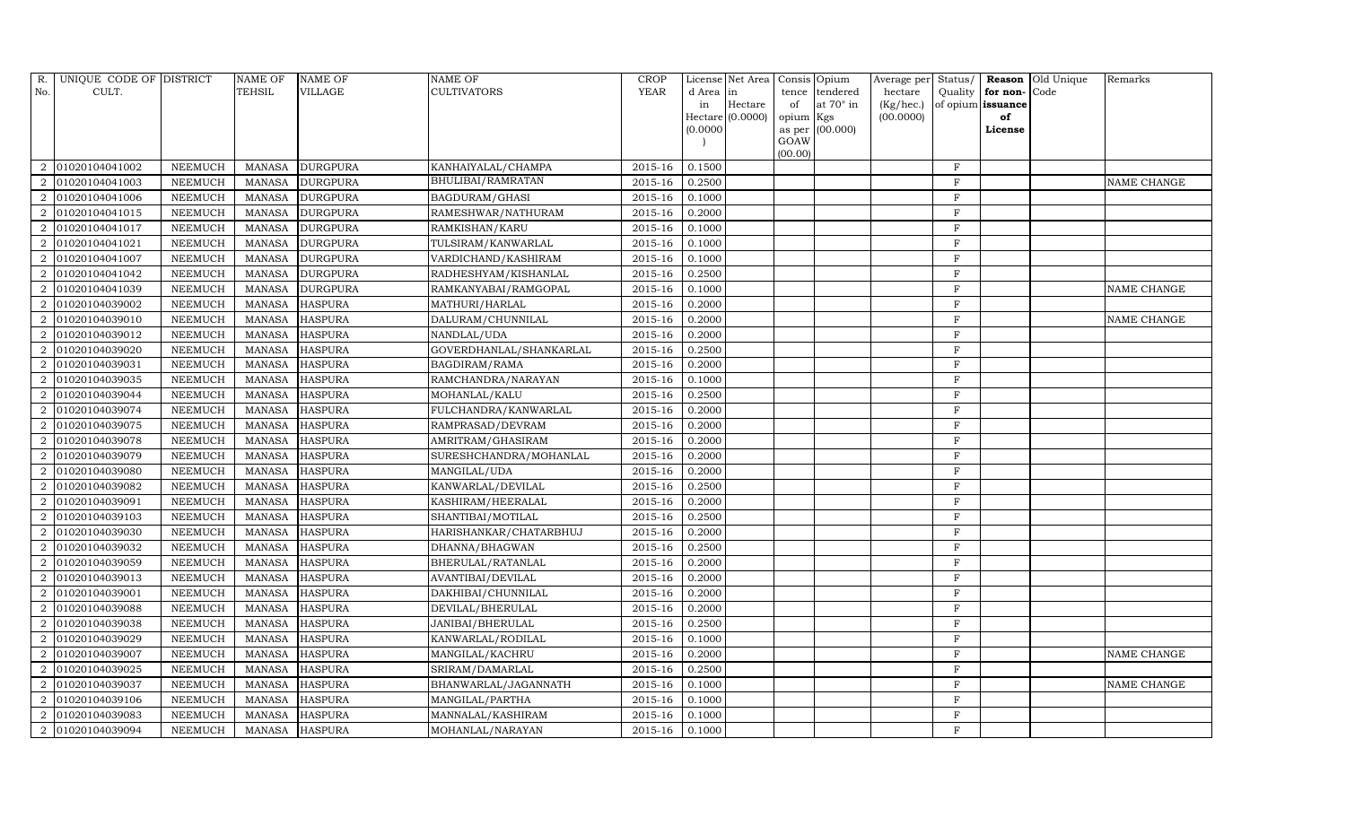| R.             | UNIQUE CODE OF DISTRICT |                | <b>NAME OF</b> | <b>NAME OF</b>  | <b>NAME OF</b>          | <b>CROP</b> |           | License Net Area Consis Opium |                 |                  |           |                |                   | Average per Status/ Reason Old Unique | Remarks     |
|----------------|-------------------------|----------------|----------------|-----------------|-------------------------|-------------|-----------|-------------------------------|-----------------|------------------|-----------|----------------|-------------------|---------------------------------------|-------------|
| No.            | CULT.                   |                | <b>TEHSIL</b>  | <b>VILLAGE</b>  | <b>CULTIVATORS</b>      | YEAR        | d Area in |                               |                 | tence tendered   | hectare   | Quality        | for non-          | Code                                  |             |
|                |                         |                |                |                 |                         |             | in        | Hectare                       | of              | at $70^\circ$ in | (Kg/hec.) |                | of opium issuance |                                       |             |
|                |                         |                |                |                 |                         |             |           | $Hectare$ (0.0000)            | opium Kgs       |                  | (00.0000) |                | of                |                                       |             |
|                |                         |                |                |                 |                         |             | (0.0000)  |                               |                 | as per (00.000)  |           |                | License           |                                       |             |
|                |                         |                |                |                 |                         |             |           |                               | GOAW<br>(00.00) |                  |           |                |                   |                                       |             |
|                | 2 01020104041002        | <b>NEEMUCH</b> | <b>MANASA</b>  | <b>DURGPURA</b> | KANHAIYALAL/CHAMPA      | 2015-16     | 0.1500    |                               |                 |                  |           | $\rm F$        |                   |                                       |             |
|                | 01020104041003          | <b>NEEMUCH</b> | <b>MANASA</b>  | <b>DURGPURA</b> | BHULIBAI/RAMRATAN       | 2015-16     | 0.2500    |                               |                 |                  |           | $\rm F$        |                   |                                       | NAME CHANGE |
| $\overline{2}$ | 01020104041006          | <b>NEEMUCH</b> | <b>MANASA</b>  | <b>DURGPURA</b> | BAGDURAM/GHASI          | 2015-16     | 0.1000    |                               |                 |                  |           | $\rm F$        |                   |                                       |             |
|                | 01020104041015          | <b>NEEMUCH</b> | <b>MANASA</b>  | <b>DURGPURA</b> | RAMESHWAR/NATHURAM      | 2015-16     | 0.2000    |                               |                 |                  |           | $\rm F$        |                   |                                       |             |
| $\overline{2}$ | 01020104041017          | <b>NEEMUCH</b> | <b>MANASA</b>  | <b>DURGPURA</b> | RAMKISHAN/KARU          | 2015-16     | 0.1000    |                               |                 |                  |           | $\rm F$        |                   |                                       |             |
| $\overline{2}$ | 01020104041021          | <b>NEEMUCH</b> | <b>MANASA</b>  | <b>DURGPURA</b> | TULSIRAM/KANWARLAL      | 2015-16     | 0.1000    |                               |                 |                  |           | $\rm F$        |                   |                                       |             |
| 2              | 01020104041007          | <b>NEEMUCH</b> | <b>MANASA</b>  | <b>DURGPURA</b> | VARDICHAND/KASHIRAM     | $2015 - 16$ | 0.1000    |                               |                 |                  |           | $\mathbf F$    |                   |                                       |             |
| $\overline{2}$ | 01020104041042          | <b>NEEMUCH</b> | <b>MANASA</b>  | <b>DURGPURA</b> | RADHESHYAM/KISHANLAL    | $2015 - 16$ | 0.2500    |                               |                 |                  |           | F              |                   |                                       |             |
|                | 01020104041039          | <b>NEEMUCH</b> | <b>MANASA</b>  | <b>DURGPURA</b> | RAMKANYABAI/RAMGOPAL    | 2015-16     | 0.1000    |                               |                 |                  |           | $\mathbf{F}$   |                   |                                       | NAME CHANGE |
| 2              | 01020104039002          | <b>NEEMUCH</b> | <b>MANASA</b>  | <b>HASPURA</b>  | MATHURI/HARLAL          | 2015-16     | 0.2000    |                               |                 |                  |           | $\rm F$        |                   |                                       |             |
| 2              | 01020104039010          | <b>NEEMUCH</b> | <b>MANASA</b>  | <b>HASPURA</b>  | DALURAM/CHUNNILAL       | 2015-16     | 0.2000    |                               |                 |                  |           | $\overline{F}$ |                   |                                       | NAME CHANGE |
| $\overline{2}$ | 01020104039012          | <b>NEEMUCH</b> | <b>MANASA</b>  | <b>HASPURA</b>  | NANDLAL/UDA             | 2015-16     | 0.2000    |                               |                 |                  |           | $\mathbf F$    |                   |                                       |             |
| $\overline{2}$ | 01020104039020          | <b>NEEMUCH</b> | <b>MANASA</b>  | <b>HASPURA</b>  | GOVERDHANLAL/SHANKARLAL | 2015-16     | 0.2500    |                               |                 |                  |           | $\rm F$        |                   |                                       |             |
|                | 01020104039031          | <b>NEEMUCH</b> | <b>MANASA</b>  | <b>HASPURA</b>  | BAGDIRAM/RAMA           | 2015-16     | 0.2000    |                               |                 |                  |           | $\overline{F}$ |                   |                                       |             |
| 2              | 01020104039035          | <b>NEEMUCH</b> | <b>MANASA</b>  | <b>HASPURA</b>  | RAMCHANDRA/NARAYAN      | 2015-16     | 0.1000    |                               |                 |                  |           | F              |                   |                                       |             |
|                | 01020104039044          | <b>NEEMUCH</b> | <b>MANASA</b>  | <b>HASPURA</b>  | MOHANLAL/KALU           | 2015-16     | 0.2500    |                               |                 |                  |           | $\mathbf F$    |                   |                                       |             |
| 2              | 01020104039074          | <b>NEEMUCH</b> | <b>MANASA</b>  | <b>HASPURA</b>  | FULCHANDRA/KANWARLAL    | 2015-16     | 0.2000    |                               |                 |                  |           | $\mathbf F$    |                   |                                       |             |
| $\overline{2}$ | 01020104039075          | <b>NEEMUCH</b> | <b>MANASA</b>  | <b>HASPURA</b>  | RAMPRASAD/DEVRAM        | 2015-16     | 0.2000    |                               |                 |                  |           | $\rm F$        |                   |                                       |             |
|                | 01020104039078          | <b>NEEMUCH</b> | <b>MANASA</b>  | <b>HASPURA</b>  | AMRITRAM/GHASIRAM       | 2015-16     | 0.2000    |                               |                 |                  |           | $\mathbf F$    |                   |                                       |             |
| 2              | 01020104039079          | <b>NEEMUCH</b> | <b>MANASA</b>  | <b>HASPURA</b>  | SURESHCHANDRA/MOHANLAL  | 2015-16     | 0.2000    |                               |                 |                  |           | $\rm F$        |                   |                                       |             |
|                | 01020104039080          | <b>NEEMUCH</b> | <b>MANASA</b>  | <b>HASPURA</b>  | MANGILAL/UDA            | 2015-16     | 0.2000    |                               |                 |                  |           | $\mathbf{F}$   |                   |                                       |             |
| $\overline{2}$ | 01020104039082          | <b>NEEMUCH</b> | <b>MANASA</b>  | <b>HASPURA</b>  | KANWARLAL/DEVILAL       | 2015-16     | 0.2500    |                               |                 |                  |           | $\mathbf F$    |                   |                                       |             |
| 2              | 01020104039091          | <b>NEEMUCH</b> | <b>MANASA</b>  | <b>HASPURA</b>  | KASHIRAM/HEERALAL       | 2015-16     | 0.2000    |                               |                 |                  |           | $\rm F$        |                   |                                       |             |
|                | 01020104039103          | <b>NEEMUCH</b> | <b>MANASA</b>  | <b>HASPURA</b>  | SHANTIBAI/MOTILAL       | 2015-16     | 0.2500    |                               |                 |                  |           | $\mathbf F$    |                   |                                       |             |
| $\overline{2}$ | 01020104039030          | <b>NEEMUCH</b> | <b>MANASA</b>  | <b>HASPURA</b>  | HARISHANKAR/CHATARBHUJ  | 2015-16     | 0.2000    |                               |                 |                  |           | $\rm F$        |                   |                                       |             |
| $\mathfrak{D}$ | 01020104039032          | <b>NEEMUCH</b> | <b>MANASA</b>  | <b>HASPURA</b>  | DHANNA/BHAGWAN          | 2015-16     | 0.2500    |                               |                 |                  |           | $\rm F$        |                   |                                       |             |
| 2              | 01020104039059          | <b>NEEMUCH</b> | <b>MANASA</b>  | <b>HASPURA</b>  | BHERULAL/RATANLAL       | 2015-16     | 0.2000    |                               |                 |                  |           | $\overline{F}$ |                   |                                       |             |
| 2              | 01020104039013          | <b>NEEMUCH</b> | <b>MANASA</b>  | <b>HASPURA</b>  | AVANTIBAI/DEVILAL       | 2015-16     | 0.2000    |                               |                 |                  |           | F              |                   |                                       |             |
|                | 01020104039001          | <b>NEEMUCH</b> | <b>MANASA</b>  | <b>HASPURA</b>  | DAKHIBAI/CHUNNILAL      | 2015-16     | 0.2000    |                               |                 |                  |           | $\mathbf F$    |                   |                                       |             |
| $\overline{2}$ | 01020104039088          | <b>NEEMUCH</b> | <b>MANASA</b>  | <b>HASPURA</b>  | DEVILAL/BHERULAL        | 2015-16     | 0.2000    |                               |                 |                  |           | $\rm F$        |                   |                                       |             |
|                | 01020104039038          | <b>NEEMUCH</b> | <b>MANASA</b>  | <b>HASPURA</b>  | JANIBAI/BHERULAL        | 2015-16     | 0.2500    |                               |                 |                  |           | $\rm F$        |                   |                                       |             |
|                | 01020104039029          | <b>NEEMUCH</b> | <b>MANASA</b>  | <b>HASPURA</b>  | KANWARLAL/RODILAL       | 2015-16     | 0.1000    |                               |                 |                  |           | $\overline{F}$ |                   |                                       |             |
| 2              | 01020104039007          | <b>NEEMUCH</b> | <b>MANASA</b>  | <b>HASPURA</b>  | MANGILAL/KACHRU         | $2015 - 16$ | 0.2000    |                               |                 |                  |           | $\rm F$        |                   |                                       | NAME CHANGE |
| $\overline{2}$ | 01020104039025          | <b>NEEMUCH</b> | <b>MANASA</b>  | <b>HASPURA</b>  | SRIRAM/DAMARLAL         | 2015-16     | 0.2500    |                               |                 |                  |           | $\overline{F}$ |                   |                                       |             |
| $\overline{2}$ | 01020104039037          | <b>NEEMUCH</b> | <b>MANASA</b>  | <b>HASPURA</b>  | BHANWARLAL/JAGANNATH    | 2015-16     | 0.1000    |                               |                 |                  |           | $\rm F$        |                   |                                       | NAME CHANGE |
|                | 01020104039106          | <b>NEEMUCH</b> | <b>MANASA</b>  | <b>HASPURA</b>  | MANGILAL/PARTHA         | 2015-16     | 0.1000    |                               |                 |                  |           | $\rm F$        |                   |                                       |             |
| 2              | 01020104039083          | <b>NEEMUCH</b> | <b>MANASA</b>  | <b>HASPURA</b>  | MANNALAL/KASHIRAM       | 2015-16     | 0.1000    |                               |                 |                  |           | $\rm F$        |                   |                                       |             |
|                | 2 01020104039094        | <b>NEEMUCH</b> | <b>MANASA</b>  | <b>HASPURA</b>  | MOHANLAL/NARAYAN        | 2015-16     | 0.1000    |                               |                 |                  |           | $\rm F$        |                   |                                       |             |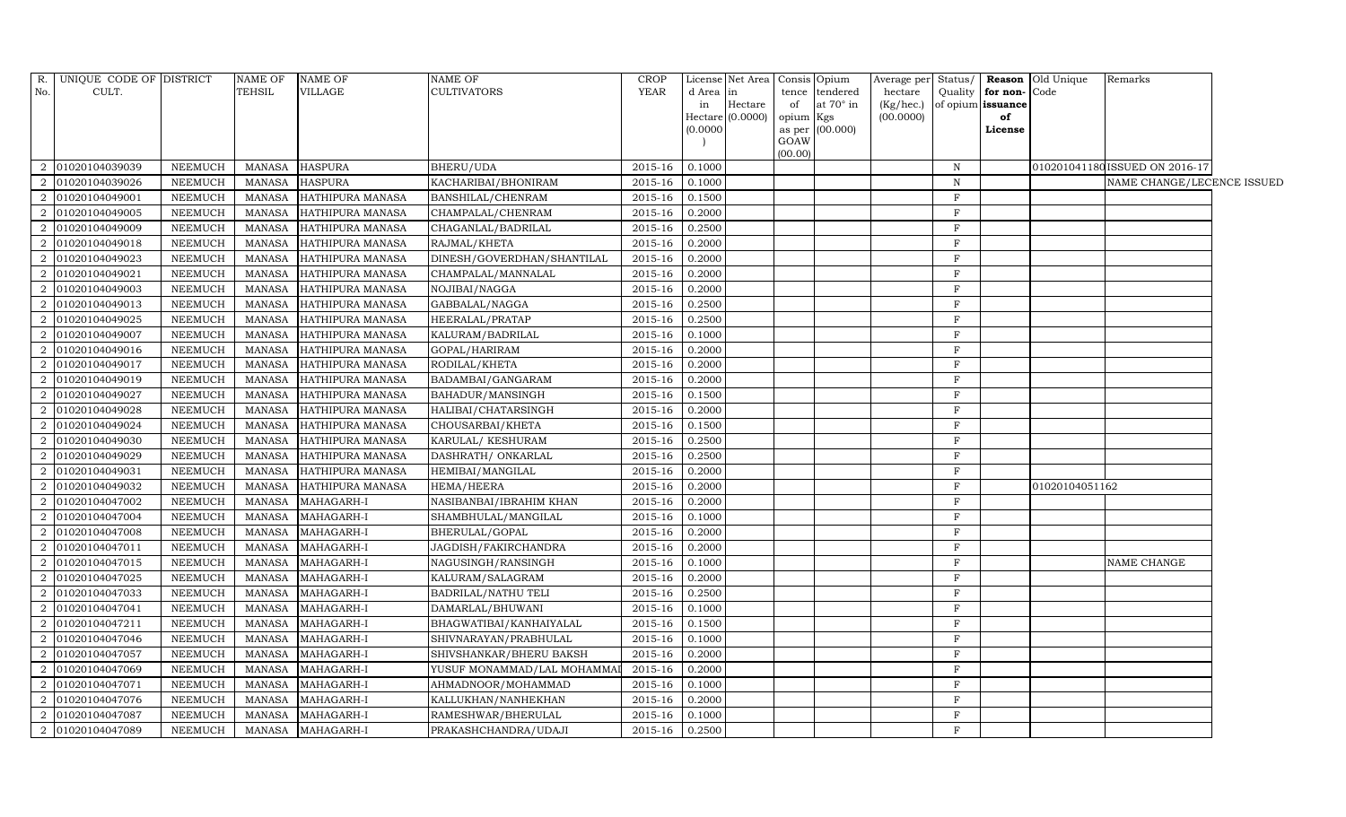| CULT.<br>TEHSIL<br><b>CULTIVATORS</b><br>YEAR<br>No.<br>VILLAGE<br>d Area in<br>tendered<br>hectare<br>Quality<br>for non-Code<br>tence<br>at $70^\circ$ in<br>Hectare<br>(Kg/hec.)<br>of opium issuance<br>in<br>of<br>Hectare (0.0000)<br>opium Kgs<br>(00.0000)<br>of<br>as per $(00.000)$<br>(0.0000)<br>License<br>GOAW<br>(00.00)<br>2 01020104039039<br>NEEMUCH<br><b>HASPURA</b><br>BHERU/UDA<br>0.1000<br>010201041180ISSUED ON 2016-17<br><b>MANASA</b><br>2015-16<br>$\mathbf N$<br>2 01020104039026<br><b>NEEMUCH</b><br><b>HASPURA</b><br>2015-16<br>0.1000<br>$\mathbf N$<br>NAME CHANGE/LECENCE ISSUED<br><b>MANASA</b><br>KACHARIBAI/BHONIRAM<br>2 01020104049001<br><b>NEEMUCH</b><br><b>MANASA</b><br>HATHIPURA MANASA<br>BANSHILAL/CHENRAM<br>2015-16<br>0.1500<br>F<br>01020104049005<br><b>NEEMUCH</b><br><b>MANASA</b><br>HATHIPURA MANASA<br>CHAMPALAL/CHENRAM<br>2015-16<br>0.2000<br>$\mathbf F$<br>2<br>2015-16<br>0.2500<br>01020104049009<br><b>NEEMUCH</b><br><b>MANASA</b><br>HATHIPURA MANASA<br>CHAGANLAL/BADRILAL<br>$_{\rm F}$<br>2<br>$2015 - 16$<br>0.2000<br>2 01020104049018<br>NEEMUCH<br><b>MANASA</b><br>HATHIPURA MANASA<br>RAJMAL/KHETA<br>$\mathbf{F}$<br>${\tt NEEMUCH}$<br><b>MANASA</b><br>HATHIPURA MANASA<br>DINESH/GOVERDHAN/SHANTILAL<br>$2015 - 16$<br>0.2000<br>$\mathbf F$<br>2 01020104049023<br>01020104049021<br><b>NEEMUCH</b><br><b>MANASA</b><br>HATHIPURA MANASA<br>CHAMPALAL/MANNALAL<br>2015-16<br>0.2000<br>$_{\rm F}$<br>2<br>01020104049003<br><b>NEEMUCH</b><br><b>MANASA</b><br><b>HATHIPURA MANASA</b><br>NOJIBAI/NAGGA<br>2015-16<br>0.2000<br>$_{\rm F}$<br>2<br><b>NEEMUCH</b><br><b>MANASA</b><br>HATHIPURA MANASA<br>GABBALAL/NAGGA<br>2015-16<br>0.2500<br>$\mathbf{F}$<br>2 01020104049013<br>2 01020104049025<br>NEEMUCH<br>2015-16<br>0.2500<br>$\rm F$<br><b>MANASA</b><br>HATHIPURA MANASA<br><b>HEERALAL/PRATAP</b><br>01020104049007<br>HATHIPURA MANASA<br>$2015 - 16$<br>0.1000<br>$\mathbf F$<br>2<br><b>NEEMUCH</b><br><b>MANASA</b><br>KALURAM/BADRILAL<br>${\tt NEEMUCH}$<br><b>MANASA</b><br>HATHIPURA MANASA<br>$2015 - 16$<br>0.2000<br>$_{\rm F}$<br>2 01020104049016<br>GOPAL/HARIRAM<br>01020104049017<br><b>NEEMUCH</b><br><b>MANASA</b><br>HATHIPURA MANASA<br>2015-16<br>0.2000<br>F<br>2<br>RODILAL/KHETA<br>2015-16<br>0.2000<br>01020104049019<br>NEEMUCH<br><b>MANASA</b><br>HATHIPURA MANASA<br>BADAMBAI/GANGARAM<br>$_{\rm F}$<br>2<br>2015-16<br>0.1500<br>2 01020104049027<br><b>NEEMUCH</b><br><b>MANASA</b><br>HATHIPURA MANASA<br>BAHADUR/MANSINGH<br>$_{\rm F}$<br>0.2000<br>$\mathbf{F}$<br>2 01020104049028<br>NEEMUCH<br><b>MANASA</b><br>HATHIPURA MANASA<br>HALIBAI/CHATARSINGH<br>2015-16<br>2 01020104049024<br>${\tt NEEMUCH}$<br>HATHIPURA MANASA<br>$2015 - 16$<br>0.1500<br>F<br><b>MANASA</b><br>CHOUSARBAI/KHETA<br>0.2500<br>$\overline{2}$<br>01020104049030<br>NEEMUCH<br><b>MANASA</b><br>HATHIPURA MANASA<br>KARULAL/KESHURAM<br>$2015 - 16$<br>$\mathbf F$<br><b>NEEMUCH</b><br><b>MANASA</b><br>HATHIPURA MANASA<br>2015-16<br>0.2500<br>$_{\rm F}$<br>2 01020104049029<br>DASHRATH / ONKARLAL<br>2015-16<br>0.2000<br>2 01020104049031<br><b>NEEMUCH</b><br><b>MANASA</b><br>HATHIPURA MANASA<br>F<br>HEMIBAI/MANGILAL<br><b>NEEMUCH</b><br>HATHIPURA MANASA<br>HEMA/HEERA<br>2015-16<br>0.2000<br>F<br>2<br>01020104049032<br><b>MANASA</b><br>01020104051162<br>$2015 - 16$<br>0.2000<br>F<br>2 01020104047002<br>NEEMUCH<br><b>MANASA</b><br>MAHAGARH-I<br>NASIBANBAI/IBRAHIM KHAN<br>NEEMUCH<br>MAHAGARH-I<br>0.1000<br>$\overline{2}$<br>01020104047004<br><b>MANASA</b><br>SHAMBHULAL/MANGILAL<br>2015-16<br>F<br>2015-16<br>2 01020104047008<br><b>NEEMUCH</b><br><b>MANASA</b><br>MAHAGARH-I<br>BHERULAL/GOPAL<br>0.2000<br>$_{\rm F}$<br>01020104047011<br><b>NEEMUCH</b><br>MAHAGARH-I<br>JAGDISH/FAKIRCHANDRA<br>2015-16<br>0.2000<br>2<br><b>MANASA</b><br>$_{\rm F}$<br>0.1000<br>$\mathbf F$<br>2 01020104047015<br><b>NEEMUCH</b><br><b>MANASA</b><br>MAHAGARH-I<br>NAGUSINGH/RANSINGH<br>2015-16<br>NAME CHANGE<br>NEEMUCH<br>MAHAGARH-I<br>2015-16<br>0.2000<br>F<br>2 01020104047025<br><b>MANASA</b><br>KALURAM/SALAGRAM<br>01020104047033<br>NEEMUCH<br><b>MANASA</b><br>MAHAGARH-I<br>BADRILAL/NATHU TELI<br>$2015 - 16$<br>0.2500<br>$\mathbf{F}$<br>$\overline{2}$<br>MANASA<br>$2015 - 16$<br>0.1000<br>$_{\rm F}$<br>2 01020104047041<br>NEEMUCH<br>MAHAGARH-I<br>DAMARLAL/BHUWANI<br>2 01020104047211<br><b>NEEMUCH</b><br>MAHAGARH-I<br>2015-16<br>0.1500<br>$\mathbf F$<br><b>MANASA</b><br>BHAGWATIBAI/KANHAIYALAL<br>01020104047046<br><b>NEEMUCH</b><br>MAHAGARH-I<br>2015-16<br>0.1000<br>$\mathbf F$<br>2<br><b>MANASA</b><br>SHIVNARAYAN/PRABHULAL<br>F<br>2 01020104047057<br><b>NEEMUCH</b><br><b>MANASA</b><br>MAHAGARH-I<br>SHIVSHANKAR/BHERU BAKSH<br>2015-16<br>0.2000<br><b>MANASA</b><br>MAHAGARH-I<br>2015-16<br>0.2000<br>$\mathbf{F}$<br>2 01020104047069<br>NEEMUCH<br>YUSUF MONAMMAD/LAL MOHAMMA | R. UNIQUE CODE OF DISTRICT | NAME OF | <b>NAME OF</b> | NAME OF            | <b>CROP</b> |        | License Net Area | Consis Opium | Average per Status/ |  | Reason Old Unique | Remarks |  |
|-----------------------------------------------------------------------------------------------------------------------------------------------------------------------------------------------------------------------------------------------------------------------------------------------------------------------------------------------------------------------------------------------------------------------------------------------------------------------------------------------------------------------------------------------------------------------------------------------------------------------------------------------------------------------------------------------------------------------------------------------------------------------------------------------------------------------------------------------------------------------------------------------------------------------------------------------------------------------------------------------------------------------------------------------------------------------------------------------------------------------------------------------------------------------------------------------------------------------------------------------------------------------------------------------------------------------------------------------------------------------------------------------------------------------------------------------------------------------------------------------------------------------------------------------------------------------------------------------------------------------------------------------------------------------------------------------------------------------------------------------------------------------------------------------------------------------------------------------------------------------------------------------------------------------------------------------------------------------------------------------------------------------------------------------------------------------------------------------------------------------------------------------------------------------------------------------------------------------------------------------------------------------------------------------------------------------------------------------------------------------------------------------------------------------------------------------------------------------------------------------------------------------------------------------------------------------------------------------------------------------------------------------------------------------------------------------------------------------------------------------------------------------------------------------------------------------------------------------------------------------------------------------------------------------------------------------------------------------------------------------------------------------------------------------------------------------------------------------------------------------------------------------------------------------------------------------------------------------------------------------------------------------------------------------------------------------------------------------------------------------------------------------------------------------------------------------------------------------------------------------------------------------------------------------------------------------------------------------------------------------------------------------------------------------------------------------------------------------------------------------------------------------------------------------------------------------------------------------------------------------------------------------------------------------------------------------------------------------------------------------------------------------------------------------------------------------------------------------------------------------------------------------------------------------------------------------------------------------------------------------------------------------------------------------------------------------------------------------------------------------------------------------------------------------------------------------------------------------------------------------------------------------------------------------------------------------------------------------------------------------------------------------------------------------------------------------------------------------------------------------------------------------------------------------------------------------------------------------------------------------------------------------------------------------------------------------------------------------------------|----------------------------|---------|----------------|--------------------|-------------|--------|------------------|--------------|---------------------|--|-------------------|---------|--|
|                                                                                                                                                                                                                                                                                                                                                                                                                                                                                                                                                                                                                                                                                                                                                                                                                                                                                                                                                                                                                                                                                                                                                                                                                                                                                                                                                                                                                                                                                                                                                                                                                                                                                                                                                                                                                                                                                                                                                                                                                                                                                                                                                                                                                                                                                                                                                                                                                                                                                                                                                                                                                                                                                                                                                                                                                                                                                                                                                                                                                                                                                                                                                                                                                                                                                                                                                                                                                                                                                                                                                                                                                                                                                                                                                                                                                                                                                                                                                                                                                                                                                                                                                                                                                                                                                                                                                                                                                                                                                                                                                                                                                                                                                                                                                                                                                                                                                                                                                                                   |                            |         |                |                    |             |        |                  |              |                     |  |                   |         |  |
|                                                                                                                                                                                                                                                                                                                                                                                                                                                                                                                                                                                                                                                                                                                                                                                                                                                                                                                                                                                                                                                                                                                                                                                                                                                                                                                                                                                                                                                                                                                                                                                                                                                                                                                                                                                                                                                                                                                                                                                                                                                                                                                                                                                                                                                                                                                                                                                                                                                                                                                                                                                                                                                                                                                                                                                                                                                                                                                                                                                                                                                                                                                                                                                                                                                                                                                                                                                                                                                                                                                                                                                                                                                                                                                                                                                                                                                                                                                                                                                                                                                                                                                                                                                                                                                                                                                                                                                                                                                                                                                                                                                                                                                                                                                                                                                                                                                                                                                                                                                   |                            |         |                |                    |             |        |                  |              |                     |  |                   |         |  |
|                                                                                                                                                                                                                                                                                                                                                                                                                                                                                                                                                                                                                                                                                                                                                                                                                                                                                                                                                                                                                                                                                                                                                                                                                                                                                                                                                                                                                                                                                                                                                                                                                                                                                                                                                                                                                                                                                                                                                                                                                                                                                                                                                                                                                                                                                                                                                                                                                                                                                                                                                                                                                                                                                                                                                                                                                                                                                                                                                                                                                                                                                                                                                                                                                                                                                                                                                                                                                                                                                                                                                                                                                                                                                                                                                                                                                                                                                                                                                                                                                                                                                                                                                                                                                                                                                                                                                                                                                                                                                                                                                                                                                                                                                                                                                                                                                                                                                                                                                                                   |                            |         |                |                    |             |        |                  |              |                     |  |                   |         |  |
|                                                                                                                                                                                                                                                                                                                                                                                                                                                                                                                                                                                                                                                                                                                                                                                                                                                                                                                                                                                                                                                                                                                                                                                                                                                                                                                                                                                                                                                                                                                                                                                                                                                                                                                                                                                                                                                                                                                                                                                                                                                                                                                                                                                                                                                                                                                                                                                                                                                                                                                                                                                                                                                                                                                                                                                                                                                                                                                                                                                                                                                                                                                                                                                                                                                                                                                                                                                                                                                                                                                                                                                                                                                                                                                                                                                                                                                                                                                                                                                                                                                                                                                                                                                                                                                                                                                                                                                                                                                                                                                                                                                                                                                                                                                                                                                                                                                                                                                                                                                   |                            |         |                |                    |             |        |                  |              |                     |  |                   |         |  |
|                                                                                                                                                                                                                                                                                                                                                                                                                                                                                                                                                                                                                                                                                                                                                                                                                                                                                                                                                                                                                                                                                                                                                                                                                                                                                                                                                                                                                                                                                                                                                                                                                                                                                                                                                                                                                                                                                                                                                                                                                                                                                                                                                                                                                                                                                                                                                                                                                                                                                                                                                                                                                                                                                                                                                                                                                                                                                                                                                                                                                                                                                                                                                                                                                                                                                                                                                                                                                                                                                                                                                                                                                                                                                                                                                                                                                                                                                                                                                                                                                                                                                                                                                                                                                                                                                                                                                                                                                                                                                                                                                                                                                                                                                                                                                                                                                                                                                                                                                                                   |                            |         |                |                    |             |        |                  |              |                     |  |                   |         |  |
|                                                                                                                                                                                                                                                                                                                                                                                                                                                                                                                                                                                                                                                                                                                                                                                                                                                                                                                                                                                                                                                                                                                                                                                                                                                                                                                                                                                                                                                                                                                                                                                                                                                                                                                                                                                                                                                                                                                                                                                                                                                                                                                                                                                                                                                                                                                                                                                                                                                                                                                                                                                                                                                                                                                                                                                                                                                                                                                                                                                                                                                                                                                                                                                                                                                                                                                                                                                                                                                                                                                                                                                                                                                                                                                                                                                                                                                                                                                                                                                                                                                                                                                                                                                                                                                                                                                                                                                                                                                                                                                                                                                                                                                                                                                                                                                                                                                                                                                                                                                   |                            |         |                |                    |             |        |                  |              |                     |  |                   |         |  |
|                                                                                                                                                                                                                                                                                                                                                                                                                                                                                                                                                                                                                                                                                                                                                                                                                                                                                                                                                                                                                                                                                                                                                                                                                                                                                                                                                                                                                                                                                                                                                                                                                                                                                                                                                                                                                                                                                                                                                                                                                                                                                                                                                                                                                                                                                                                                                                                                                                                                                                                                                                                                                                                                                                                                                                                                                                                                                                                                                                                                                                                                                                                                                                                                                                                                                                                                                                                                                                                                                                                                                                                                                                                                                                                                                                                                                                                                                                                                                                                                                                                                                                                                                                                                                                                                                                                                                                                                                                                                                                                                                                                                                                                                                                                                                                                                                                                                                                                                                                                   |                            |         |                |                    |             |        |                  |              |                     |  |                   |         |  |
|                                                                                                                                                                                                                                                                                                                                                                                                                                                                                                                                                                                                                                                                                                                                                                                                                                                                                                                                                                                                                                                                                                                                                                                                                                                                                                                                                                                                                                                                                                                                                                                                                                                                                                                                                                                                                                                                                                                                                                                                                                                                                                                                                                                                                                                                                                                                                                                                                                                                                                                                                                                                                                                                                                                                                                                                                                                                                                                                                                                                                                                                                                                                                                                                                                                                                                                                                                                                                                                                                                                                                                                                                                                                                                                                                                                                                                                                                                                                                                                                                                                                                                                                                                                                                                                                                                                                                                                                                                                                                                                                                                                                                                                                                                                                                                                                                                                                                                                                                                                   |                            |         |                |                    |             |        |                  |              |                     |  |                   |         |  |
|                                                                                                                                                                                                                                                                                                                                                                                                                                                                                                                                                                                                                                                                                                                                                                                                                                                                                                                                                                                                                                                                                                                                                                                                                                                                                                                                                                                                                                                                                                                                                                                                                                                                                                                                                                                                                                                                                                                                                                                                                                                                                                                                                                                                                                                                                                                                                                                                                                                                                                                                                                                                                                                                                                                                                                                                                                                                                                                                                                                                                                                                                                                                                                                                                                                                                                                                                                                                                                                                                                                                                                                                                                                                                                                                                                                                                                                                                                                                                                                                                                                                                                                                                                                                                                                                                                                                                                                                                                                                                                                                                                                                                                                                                                                                                                                                                                                                                                                                                                                   |                            |         |                |                    |             |        |                  |              |                     |  |                   |         |  |
|                                                                                                                                                                                                                                                                                                                                                                                                                                                                                                                                                                                                                                                                                                                                                                                                                                                                                                                                                                                                                                                                                                                                                                                                                                                                                                                                                                                                                                                                                                                                                                                                                                                                                                                                                                                                                                                                                                                                                                                                                                                                                                                                                                                                                                                                                                                                                                                                                                                                                                                                                                                                                                                                                                                                                                                                                                                                                                                                                                                                                                                                                                                                                                                                                                                                                                                                                                                                                                                                                                                                                                                                                                                                                                                                                                                                                                                                                                                                                                                                                                                                                                                                                                                                                                                                                                                                                                                                                                                                                                                                                                                                                                                                                                                                                                                                                                                                                                                                                                                   |                            |         |                |                    |             |        |                  |              |                     |  |                   |         |  |
|                                                                                                                                                                                                                                                                                                                                                                                                                                                                                                                                                                                                                                                                                                                                                                                                                                                                                                                                                                                                                                                                                                                                                                                                                                                                                                                                                                                                                                                                                                                                                                                                                                                                                                                                                                                                                                                                                                                                                                                                                                                                                                                                                                                                                                                                                                                                                                                                                                                                                                                                                                                                                                                                                                                                                                                                                                                                                                                                                                                                                                                                                                                                                                                                                                                                                                                                                                                                                                                                                                                                                                                                                                                                                                                                                                                                                                                                                                                                                                                                                                                                                                                                                                                                                                                                                                                                                                                                                                                                                                                                                                                                                                                                                                                                                                                                                                                                                                                                                                                   |                            |         |                |                    |             |        |                  |              |                     |  |                   |         |  |
|                                                                                                                                                                                                                                                                                                                                                                                                                                                                                                                                                                                                                                                                                                                                                                                                                                                                                                                                                                                                                                                                                                                                                                                                                                                                                                                                                                                                                                                                                                                                                                                                                                                                                                                                                                                                                                                                                                                                                                                                                                                                                                                                                                                                                                                                                                                                                                                                                                                                                                                                                                                                                                                                                                                                                                                                                                                                                                                                                                                                                                                                                                                                                                                                                                                                                                                                                                                                                                                                                                                                                                                                                                                                                                                                                                                                                                                                                                                                                                                                                                                                                                                                                                                                                                                                                                                                                                                                                                                                                                                                                                                                                                                                                                                                                                                                                                                                                                                                                                                   |                            |         |                |                    |             |        |                  |              |                     |  |                   |         |  |
|                                                                                                                                                                                                                                                                                                                                                                                                                                                                                                                                                                                                                                                                                                                                                                                                                                                                                                                                                                                                                                                                                                                                                                                                                                                                                                                                                                                                                                                                                                                                                                                                                                                                                                                                                                                                                                                                                                                                                                                                                                                                                                                                                                                                                                                                                                                                                                                                                                                                                                                                                                                                                                                                                                                                                                                                                                                                                                                                                                                                                                                                                                                                                                                                                                                                                                                                                                                                                                                                                                                                                                                                                                                                                                                                                                                                                                                                                                                                                                                                                                                                                                                                                                                                                                                                                                                                                                                                                                                                                                                                                                                                                                                                                                                                                                                                                                                                                                                                                                                   |                            |         |                |                    |             |        |                  |              |                     |  |                   |         |  |
|                                                                                                                                                                                                                                                                                                                                                                                                                                                                                                                                                                                                                                                                                                                                                                                                                                                                                                                                                                                                                                                                                                                                                                                                                                                                                                                                                                                                                                                                                                                                                                                                                                                                                                                                                                                                                                                                                                                                                                                                                                                                                                                                                                                                                                                                                                                                                                                                                                                                                                                                                                                                                                                                                                                                                                                                                                                                                                                                                                                                                                                                                                                                                                                                                                                                                                                                                                                                                                                                                                                                                                                                                                                                                                                                                                                                                                                                                                                                                                                                                                                                                                                                                                                                                                                                                                                                                                                                                                                                                                                                                                                                                                                                                                                                                                                                                                                                                                                                                                                   |                            |         |                |                    |             |        |                  |              |                     |  |                   |         |  |
|                                                                                                                                                                                                                                                                                                                                                                                                                                                                                                                                                                                                                                                                                                                                                                                                                                                                                                                                                                                                                                                                                                                                                                                                                                                                                                                                                                                                                                                                                                                                                                                                                                                                                                                                                                                                                                                                                                                                                                                                                                                                                                                                                                                                                                                                                                                                                                                                                                                                                                                                                                                                                                                                                                                                                                                                                                                                                                                                                                                                                                                                                                                                                                                                                                                                                                                                                                                                                                                                                                                                                                                                                                                                                                                                                                                                                                                                                                                                                                                                                                                                                                                                                                                                                                                                                                                                                                                                                                                                                                                                                                                                                                                                                                                                                                                                                                                                                                                                                                                   |                            |         |                |                    |             |        |                  |              |                     |  |                   |         |  |
|                                                                                                                                                                                                                                                                                                                                                                                                                                                                                                                                                                                                                                                                                                                                                                                                                                                                                                                                                                                                                                                                                                                                                                                                                                                                                                                                                                                                                                                                                                                                                                                                                                                                                                                                                                                                                                                                                                                                                                                                                                                                                                                                                                                                                                                                                                                                                                                                                                                                                                                                                                                                                                                                                                                                                                                                                                                                                                                                                                                                                                                                                                                                                                                                                                                                                                                                                                                                                                                                                                                                                                                                                                                                                                                                                                                                                                                                                                                                                                                                                                                                                                                                                                                                                                                                                                                                                                                                                                                                                                                                                                                                                                                                                                                                                                                                                                                                                                                                                                                   |                            |         |                |                    |             |        |                  |              |                     |  |                   |         |  |
|                                                                                                                                                                                                                                                                                                                                                                                                                                                                                                                                                                                                                                                                                                                                                                                                                                                                                                                                                                                                                                                                                                                                                                                                                                                                                                                                                                                                                                                                                                                                                                                                                                                                                                                                                                                                                                                                                                                                                                                                                                                                                                                                                                                                                                                                                                                                                                                                                                                                                                                                                                                                                                                                                                                                                                                                                                                                                                                                                                                                                                                                                                                                                                                                                                                                                                                                                                                                                                                                                                                                                                                                                                                                                                                                                                                                                                                                                                                                                                                                                                                                                                                                                                                                                                                                                                                                                                                                                                                                                                                                                                                                                                                                                                                                                                                                                                                                                                                                                                                   |                            |         |                |                    |             |        |                  |              |                     |  |                   |         |  |
|                                                                                                                                                                                                                                                                                                                                                                                                                                                                                                                                                                                                                                                                                                                                                                                                                                                                                                                                                                                                                                                                                                                                                                                                                                                                                                                                                                                                                                                                                                                                                                                                                                                                                                                                                                                                                                                                                                                                                                                                                                                                                                                                                                                                                                                                                                                                                                                                                                                                                                                                                                                                                                                                                                                                                                                                                                                                                                                                                                                                                                                                                                                                                                                                                                                                                                                                                                                                                                                                                                                                                                                                                                                                                                                                                                                                                                                                                                                                                                                                                                                                                                                                                                                                                                                                                                                                                                                                                                                                                                                                                                                                                                                                                                                                                                                                                                                                                                                                                                                   |                            |         |                |                    |             |        |                  |              |                     |  |                   |         |  |
|                                                                                                                                                                                                                                                                                                                                                                                                                                                                                                                                                                                                                                                                                                                                                                                                                                                                                                                                                                                                                                                                                                                                                                                                                                                                                                                                                                                                                                                                                                                                                                                                                                                                                                                                                                                                                                                                                                                                                                                                                                                                                                                                                                                                                                                                                                                                                                                                                                                                                                                                                                                                                                                                                                                                                                                                                                                                                                                                                                                                                                                                                                                                                                                                                                                                                                                                                                                                                                                                                                                                                                                                                                                                                                                                                                                                                                                                                                                                                                                                                                                                                                                                                                                                                                                                                                                                                                                                                                                                                                                                                                                                                                                                                                                                                                                                                                                                                                                                                                                   |                            |         |                |                    |             |        |                  |              |                     |  |                   |         |  |
|                                                                                                                                                                                                                                                                                                                                                                                                                                                                                                                                                                                                                                                                                                                                                                                                                                                                                                                                                                                                                                                                                                                                                                                                                                                                                                                                                                                                                                                                                                                                                                                                                                                                                                                                                                                                                                                                                                                                                                                                                                                                                                                                                                                                                                                                                                                                                                                                                                                                                                                                                                                                                                                                                                                                                                                                                                                                                                                                                                                                                                                                                                                                                                                                                                                                                                                                                                                                                                                                                                                                                                                                                                                                                                                                                                                                                                                                                                                                                                                                                                                                                                                                                                                                                                                                                                                                                                                                                                                                                                                                                                                                                                                                                                                                                                                                                                                                                                                                                                                   |                            |         |                |                    |             |        |                  |              |                     |  |                   |         |  |
|                                                                                                                                                                                                                                                                                                                                                                                                                                                                                                                                                                                                                                                                                                                                                                                                                                                                                                                                                                                                                                                                                                                                                                                                                                                                                                                                                                                                                                                                                                                                                                                                                                                                                                                                                                                                                                                                                                                                                                                                                                                                                                                                                                                                                                                                                                                                                                                                                                                                                                                                                                                                                                                                                                                                                                                                                                                                                                                                                                                                                                                                                                                                                                                                                                                                                                                                                                                                                                                                                                                                                                                                                                                                                                                                                                                                                                                                                                                                                                                                                                                                                                                                                                                                                                                                                                                                                                                                                                                                                                                                                                                                                                                                                                                                                                                                                                                                                                                                                                                   |                            |         |                |                    |             |        |                  |              |                     |  |                   |         |  |
|                                                                                                                                                                                                                                                                                                                                                                                                                                                                                                                                                                                                                                                                                                                                                                                                                                                                                                                                                                                                                                                                                                                                                                                                                                                                                                                                                                                                                                                                                                                                                                                                                                                                                                                                                                                                                                                                                                                                                                                                                                                                                                                                                                                                                                                                                                                                                                                                                                                                                                                                                                                                                                                                                                                                                                                                                                                                                                                                                                                                                                                                                                                                                                                                                                                                                                                                                                                                                                                                                                                                                                                                                                                                                                                                                                                                                                                                                                                                                                                                                                                                                                                                                                                                                                                                                                                                                                                                                                                                                                                                                                                                                                                                                                                                                                                                                                                                                                                                                                                   |                            |         |                |                    |             |        |                  |              |                     |  |                   |         |  |
|                                                                                                                                                                                                                                                                                                                                                                                                                                                                                                                                                                                                                                                                                                                                                                                                                                                                                                                                                                                                                                                                                                                                                                                                                                                                                                                                                                                                                                                                                                                                                                                                                                                                                                                                                                                                                                                                                                                                                                                                                                                                                                                                                                                                                                                                                                                                                                                                                                                                                                                                                                                                                                                                                                                                                                                                                                                                                                                                                                                                                                                                                                                                                                                                                                                                                                                                                                                                                                                                                                                                                                                                                                                                                                                                                                                                                                                                                                                                                                                                                                                                                                                                                                                                                                                                                                                                                                                                                                                                                                                                                                                                                                                                                                                                                                                                                                                                                                                                                                                   |                            |         |                |                    |             |        |                  |              |                     |  |                   |         |  |
|                                                                                                                                                                                                                                                                                                                                                                                                                                                                                                                                                                                                                                                                                                                                                                                                                                                                                                                                                                                                                                                                                                                                                                                                                                                                                                                                                                                                                                                                                                                                                                                                                                                                                                                                                                                                                                                                                                                                                                                                                                                                                                                                                                                                                                                                                                                                                                                                                                                                                                                                                                                                                                                                                                                                                                                                                                                                                                                                                                                                                                                                                                                                                                                                                                                                                                                                                                                                                                                                                                                                                                                                                                                                                                                                                                                                                                                                                                                                                                                                                                                                                                                                                                                                                                                                                                                                                                                                                                                                                                                                                                                                                                                                                                                                                                                                                                                                                                                                                                                   |                            |         |                |                    |             |        |                  |              |                     |  |                   |         |  |
|                                                                                                                                                                                                                                                                                                                                                                                                                                                                                                                                                                                                                                                                                                                                                                                                                                                                                                                                                                                                                                                                                                                                                                                                                                                                                                                                                                                                                                                                                                                                                                                                                                                                                                                                                                                                                                                                                                                                                                                                                                                                                                                                                                                                                                                                                                                                                                                                                                                                                                                                                                                                                                                                                                                                                                                                                                                                                                                                                                                                                                                                                                                                                                                                                                                                                                                                                                                                                                                                                                                                                                                                                                                                                                                                                                                                                                                                                                                                                                                                                                                                                                                                                                                                                                                                                                                                                                                                                                                                                                                                                                                                                                                                                                                                                                                                                                                                                                                                                                                   |                            |         |                |                    |             |        |                  |              |                     |  |                   |         |  |
|                                                                                                                                                                                                                                                                                                                                                                                                                                                                                                                                                                                                                                                                                                                                                                                                                                                                                                                                                                                                                                                                                                                                                                                                                                                                                                                                                                                                                                                                                                                                                                                                                                                                                                                                                                                                                                                                                                                                                                                                                                                                                                                                                                                                                                                                                                                                                                                                                                                                                                                                                                                                                                                                                                                                                                                                                                                                                                                                                                                                                                                                                                                                                                                                                                                                                                                                                                                                                                                                                                                                                                                                                                                                                                                                                                                                                                                                                                                                                                                                                                                                                                                                                                                                                                                                                                                                                                                                                                                                                                                                                                                                                                                                                                                                                                                                                                                                                                                                                                                   |                            |         |                |                    |             |        |                  |              |                     |  |                   |         |  |
|                                                                                                                                                                                                                                                                                                                                                                                                                                                                                                                                                                                                                                                                                                                                                                                                                                                                                                                                                                                                                                                                                                                                                                                                                                                                                                                                                                                                                                                                                                                                                                                                                                                                                                                                                                                                                                                                                                                                                                                                                                                                                                                                                                                                                                                                                                                                                                                                                                                                                                                                                                                                                                                                                                                                                                                                                                                                                                                                                                                                                                                                                                                                                                                                                                                                                                                                                                                                                                                                                                                                                                                                                                                                                                                                                                                                                                                                                                                                                                                                                                                                                                                                                                                                                                                                                                                                                                                                                                                                                                                                                                                                                                                                                                                                                                                                                                                                                                                                                                                   |                            |         |                |                    |             |        |                  |              |                     |  |                   |         |  |
|                                                                                                                                                                                                                                                                                                                                                                                                                                                                                                                                                                                                                                                                                                                                                                                                                                                                                                                                                                                                                                                                                                                                                                                                                                                                                                                                                                                                                                                                                                                                                                                                                                                                                                                                                                                                                                                                                                                                                                                                                                                                                                                                                                                                                                                                                                                                                                                                                                                                                                                                                                                                                                                                                                                                                                                                                                                                                                                                                                                                                                                                                                                                                                                                                                                                                                                                                                                                                                                                                                                                                                                                                                                                                                                                                                                                                                                                                                                                                                                                                                                                                                                                                                                                                                                                                                                                                                                                                                                                                                                                                                                                                                                                                                                                                                                                                                                                                                                                                                                   |                            |         |                |                    |             |        |                  |              |                     |  |                   |         |  |
|                                                                                                                                                                                                                                                                                                                                                                                                                                                                                                                                                                                                                                                                                                                                                                                                                                                                                                                                                                                                                                                                                                                                                                                                                                                                                                                                                                                                                                                                                                                                                                                                                                                                                                                                                                                                                                                                                                                                                                                                                                                                                                                                                                                                                                                                                                                                                                                                                                                                                                                                                                                                                                                                                                                                                                                                                                                                                                                                                                                                                                                                                                                                                                                                                                                                                                                                                                                                                                                                                                                                                                                                                                                                                                                                                                                                                                                                                                                                                                                                                                                                                                                                                                                                                                                                                                                                                                                                                                                                                                                                                                                                                                                                                                                                                                                                                                                                                                                                                                                   |                            |         |                |                    |             |        |                  |              |                     |  |                   |         |  |
|                                                                                                                                                                                                                                                                                                                                                                                                                                                                                                                                                                                                                                                                                                                                                                                                                                                                                                                                                                                                                                                                                                                                                                                                                                                                                                                                                                                                                                                                                                                                                                                                                                                                                                                                                                                                                                                                                                                                                                                                                                                                                                                                                                                                                                                                                                                                                                                                                                                                                                                                                                                                                                                                                                                                                                                                                                                                                                                                                                                                                                                                                                                                                                                                                                                                                                                                                                                                                                                                                                                                                                                                                                                                                                                                                                                                                                                                                                                                                                                                                                                                                                                                                                                                                                                                                                                                                                                                                                                                                                                                                                                                                                                                                                                                                                                                                                                                                                                                                                                   |                            |         |                |                    |             |        |                  |              |                     |  |                   |         |  |
|                                                                                                                                                                                                                                                                                                                                                                                                                                                                                                                                                                                                                                                                                                                                                                                                                                                                                                                                                                                                                                                                                                                                                                                                                                                                                                                                                                                                                                                                                                                                                                                                                                                                                                                                                                                                                                                                                                                                                                                                                                                                                                                                                                                                                                                                                                                                                                                                                                                                                                                                                                                                                                                                                                                                                                                                                                                                                                                                                                                                                                                                                                                                                                                                                                                                                                                                                                                                                                                                                                                                                                                                                                                                                                                                                                                                                                                                                                                                                                                                                                                                                                                                                                                                                                                                                                                                                                                                                                                                                                                                                                                                                                                                                                                                                                                                                                                                                                                                                                                   |                            |         |                |                    |             |        |                  |              |                     |  |                   |         |  |
|                                                                                                                                                                                                                                                                                                                                                                                                                                                                                                                                                                                                                                                                                                                                                                                                                                                                                                                                                                                                                                                                                                                                                                                                                                                                                                                                                                                                                                                                                                                                                                                                                                                                                                                                                                                                                                                                                                                                                                                                                                                                                                                                                                                                                                                                                                                                                                                                                                                                                                                                                                                                                                                                                                                                                                                                                                                                                                                                                                                                                                                                                                                                                                                                                                                                                                                                                                                                                                                                                                                                                                                                                                                                                                                                                                                                                                                                                                                                                                                                                                                                                                                                                                                                                                                                                                                                                                                                                                                                                                                                                                                                                                                                                                                                                                                                                                                                                                                                                                                   |                            |         |                |                    |             |        |                  |              |                     |  |                   |         |  |
|                                                                                                                                                                                                                                                                                                                                                                                                                                                                                                                                                                                                                                                                                                                                                                                                                                                                                                                                                                                                                                                                                                                                                                                                                                                                                                                                                                                                                                                                                                                                                                                                                                                                                                                                                                                                                                                                                                                                                                                                                                                                                                                                                                                                                                                                                                                                                                                                                                                                                                                                                                                                                                                                                                                                                                                                                                                                                                                                                                                                                                                                                                                                                                                                                                                                                                                                                                                                                                                                                                                                                                                                                                                                                                                                                                                                                                                                                                                                                                                                                                                                                                                                                                                                                                                                                                                                                                                                                                                                                                                                                                                                                                                                                                                                                                                                                                                                                                                                                                                   |                            |         |                |                    |             |        |                  |              |                     |  |                   |         |  |
|                                                                                                                                                                                                                                                                                                                                                                                                                                                                                                                                                                                                                                                                                                                                                                                                                                                                                                                                                                                                                                                                                                                                                                                                                                                                                                                                                                                                                                                                                                                                                                                                                                                                                                                                                                                                                                                                                                                                                                                                                                                                                                                                                                                                                                                                                                                                                                                                                                                                                                                                                                                                                                                                                                                                                                                                                                                                                                                                                                                                                                                                                                                                                                                                                                                                                                                                                                                                                                                                                                                                                                                                                                                                                                                                                                                                                                                                                                                                                                                                                                                                                                                                                                                                                                                                                                                                                                                                                                                                                                                                                                                                                                                                                                                                                                                                                                                                                                                                                                                   |                            |         |                |                    |             |        |                  |              |                     |  |                   |         |  |
|                                                                                                                                                                                                                                                                                                                                                                                                                                                                                                                                                                                                                                                                                                                                                                                                                                                                                                                                                                                                                                                                                                                                                                                                                                                                                                                                                                                                                                                                                                                                                                                                                                                                                                                                                                                                                                                                                                                                                                                                                                                                                                                                                                                                                                                                                                                                                                                                                                                                                                                                                                                                                                                                                                                                                                                                                                                                                                                                                                                                                                                                                                                                                                                                                                                                                                                                                                                                                                                                                                                                                                                                                                                                                                                                                                                                                                                                                                                                                                                                                                                                                                                                                                                                                                                                                                                                                                                                                                                                                                                                                                                                                                                                                                                                                                                                                                                                                                                                                                                   |                            |         |                |                    |             |        |                  |              |                     |  |                   |         |  |
|                                                                                                                                                                                                                                                                                                                                                                                                                                                                                                                                                                                                                                                                                                                                                                                                                                                                                                                                                                                                                                                                                                                                                                                                                                                                                                                                                                                                                                                                                                                                                                                                                                                                                                                                                                                                                                                                                                                                                                                                                                                                                                                                                                                                                                                                                                                                                                                                                                                                                                                                                                                                                                                                                                                                                                                                                                                                                                                                                                                                                                                                                                                                                                                                                                                                                                                                                                                                                                                                                                                                                                                                                                                                                                                                                                                                                                                                                                                                                                                                                                                                                                                                                                                                                                                                                                                                                                                                                                                                                                                                                                                                                                                                                                                                                                                                                                                                                                                                                                                   |                            |         |                |                    |             |        |                  |              |                     |  |                   |         |  |
|                                                                                                                                                                                                                                                                                                                                                                                                                                                                                                                                                                                                                                                                                                                                                                                                                                                                                                                                                                                                                                                                                                                                                                                                                                                                                                                                                                                                                                                                                                                                                                                                                                                                                                                                                                                                                                                                                                                                                                                                                                                                                                                                                                                                                                                                                                                                                                                                                                                                                                                                                                                                                                                                                                                                                                                                                                                                                                                                                                                                                                                                                                                                                                                                                                                                                                                                                                                                                                                                                                                                                                                                                                                                                                                                                                                                                                                                                                                                                                                                                                                                                                                                                                                                                                                                                                                                                                                                                                                                                                                                                                                                                                                                                                                                                                                                                                                                                                                                                                                   |                            |         |                |                    |             |        |                  |              |                     |  |                   |         |  |
|                                                                                                                                                                                                                                                                                                                                                                                                                                                                                                                                                                                                                                                                                                                                                                                                                                                                                                                                                                                                                                                                                                                                                                                                                                                                                                                                                                                                                                                                                                                                                                                                                                                                                                                                                                                                                                                                                                                                                                                                                                                                                                                                                                                                                                                                                                                                                                                                                                                                                                                                                                                                                                                                                                                                                                                                                                                                                                                                                                                                                                                                                                                                                                                                                                                                                                                                                                                                                                                                                                                                                                                                                                                                                                                                                                                                                                                                                                                                                                                                                                                                                                                                                                                                                                                                                                                                                                                                                                                                                                                                                                                                                                                                                                                                                                                                                                                                                                                                                                                   |                            |         |                |                    |             |        |                  |              |                     |  |                   |         |  |
|                                                                                                                                                                                                                                                                                                                                                                                                                                                                                                                                                                                                                                                                                                                                                                                                                                                                                                                                                                                                                                                                                                                                                                                                                                                                                                                                                                                                                                                                                                                                                                                                                                                                                                                                                                                                                                                                                                                                                                                                                                                                                                                                                                                                                                                                                                                                                                                                                                                                                                                                                                                                                                                                                                                                                                                                                                                                                                                                                                                                                                                                                                                                                                                                                                                                                                                                                                                                                                                                                                                                                                                                                                                                                                                                                                                                                                                                                                                                                                                                                                                                                                                                                                                                                                                                                                                                                                                                                                                                                                                                                                                                                                                                                                                                                                                                                                                                                                                                                                                   |                            |         |                |                    |             |        |                  |              |                     |  |                   |         |  |
| 01020104047071<br><b>NEEMUCH</b><br><b>MANASA</b><br>2015-16<br>F<br>2                                                                                                                                                                                                                                                                                                                                                                                                                                                                                                                                                                                                                                                                                                                                                                                                                                                                                                                                                                                                                                                                                                                                                                                                                                                                                                                                                                                                                                                                                                                                                                                                                                                                                                                                                                                                                                                                                                                                                                                                                                                                                                                                                                                                                                                                                                                                                                                                                                                                                                                                                                                                                                                                                                                                                                                                                                                                                                                                                                                                                                                                                                                                                                                                                                                                                                                                                                                                                                                                                                                                                                                                                                                                                                                                                                                                                                                                                                                                                                                                                                                                                                                                                                                                                                                                                                                                                                                                                                                                                                                                                                                                                                                                                                                                                                                                                                                                                                            |                            |         | MAHAGARH-I     | AHMADNOOR/MOHAMMAD |             | 0.1000 |                  |              |                     |  |                   |         |  |
| MAHAGARH-I<br>2015-16<br>0.2000<br>2<br>01020104047076<br><b>NEEMUCH</b><br><b>MANASA</b><br>KALLUKHAN/NANHEKHAN<br>$_{\rm F}$                                                                                                                                                                                                                                                                                                                                                                                                                                                                                                                                                                                                                                                                                                                                                                                                                                                                                                                                                                                                                                                                                                                                                                                                                                                                                                                                                                                                                                                                                                                                                                                                                                                                                                                                                                                                                                                                                                                                                                                                                                                                                                                                                                                                                                                                                                                                                                                                                                                                                                                                                                                                                                                                                                                                                                                                                                                                                                                                                                                                                                                                                                                                                                                                                                                                                                                                                                                                                                                                                                                                                                                                                                                                                                                                                                                                                                                                                                                                                                                                                                                                                                                                                                                                                                                                                                                                                                                                                                                                                                                                                                                                                                                                                                                                                                                                                                                    |                            |         |                |                    |             |        |                  |              |                     |  |                   |         |  |
| 0.1000<br>$\mathbf F$<br>2 01020104047087<br><b>NEEMUCH</b><br><b>MANASA</b><br>MAHAGARH-I<br>RAMESHWAR/BHERULAL<br>2015-16                                                                                                                                                                                                                                                                                                                                                                                                                                                                                                                                                                                                                                                                                                                                                                                                                                                                                                                                                                                                                                                                                                                                                                                                                                                                                                                                                                                                                                                                                                                                                                                                                                                                                                                                                                                                                                                                                                                                                                                                                                                                                                                                                                                                                                                                                                                                                                                                                                                                                                                                                                                                                                                                                                                                                                                                                                                                                                                                                                                                                                                                                                                                                                                                                                                                                                                                                                                                                                                                                                                                                                                                                                                                                                                                                                                                                                                                                                                                                                                                                                                                                                                                                                                                                                                                                                                                                                                                                                                                                                                                                                                                                                                                                                                                                                                                                                                       |                            |         |                |                    |             |        |                  |              |                     |  |                   |         |  |
| 2015-16<br>0.2500<br>$\rm F$<br>2 01020104047089<br><b>NEEMUCH</b><br>MANASA<br>MAHAGARH-I<br>PRAKASHCHANDRA/UDAJI                                                                                                                                                                                                                                                                                                                                                                                                                                                                                                                                                                                                                                                                                                                                                                                                                                                                                                                                                                                                                                                                                                                                                                                                                                                                                                                                                                                                                                                                                                                                                                                                                                                                                                                                                                                                                                                                                                                                                                                                                                                                                                                                                                                                                                                                                                                                                                                                                                                                                                                                                                                                                                                                                                                                                                                                                                                                                                                                                                                                                                                                                                                                                                                                                                                                                                                                                                                                                                                                                                                                                                                                                                                                                                                                                                                                                                                                                                                                                                                                                                                                                                                                                                                                                                                                                                                                                                                                                                                                                                                                                                                                                                                                                                                                                                                                                                                                |                            |         |                |                    |             |        |                  |              |                     |  |                   |         |  |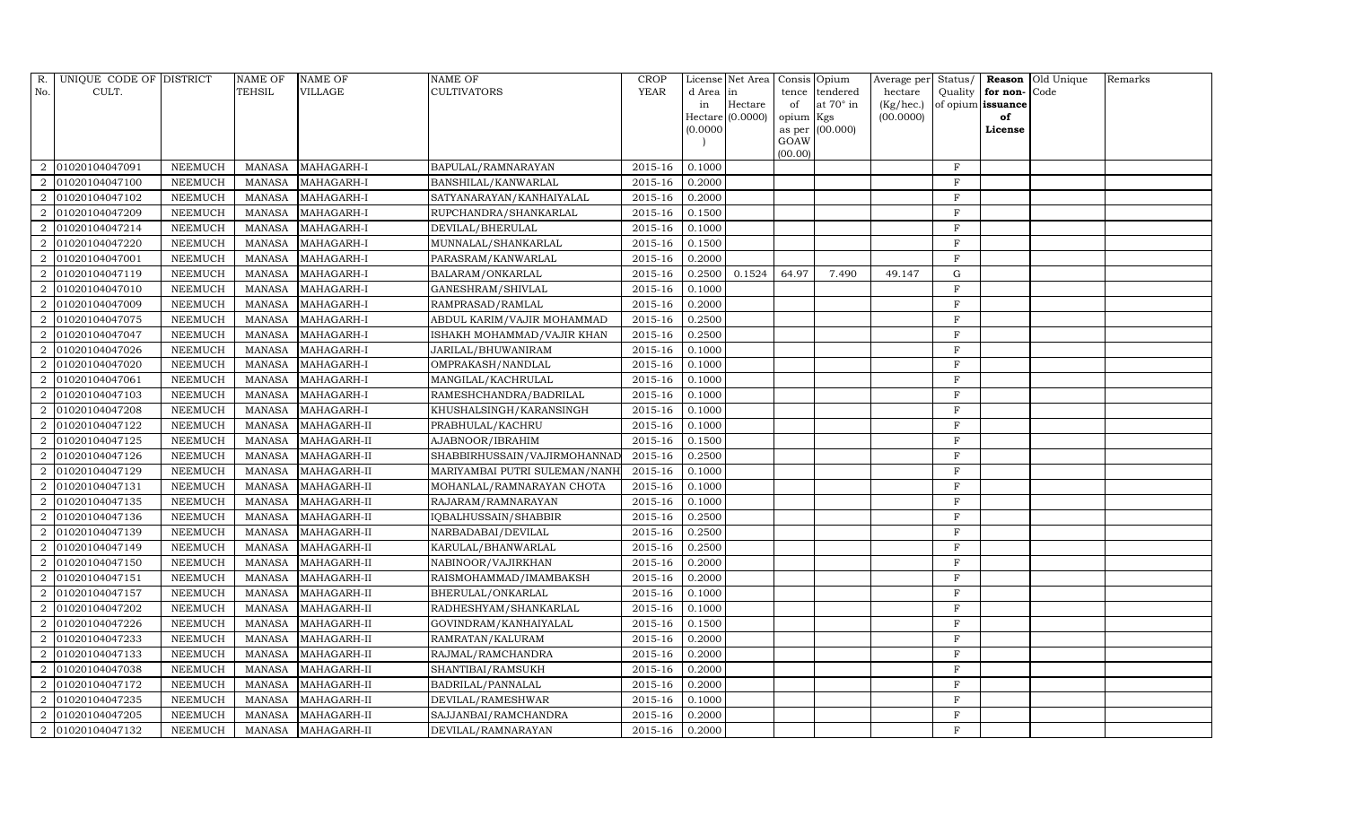| R.             | UNIQUE CODE OF DISTRICT |                | <b>NAME OF</b> | <b>NAME OF</b> | <b>NAME OF</b>                | <b>CROP</b> |          | License Net Area   Consis   Opium |           |                  | Average per | Status/      |                   | Reason Old Unique | Remarks |
|----------------|-------------------------|----------------|----------------|----------------|-------------------------------|-------------|----------|-----------------------------------|-----------|------------------|-------------|--------------|-------------------|-------------------|---------|
| No.            | CULT.                   |                | TEHSIL         | <b>VILLAGE</b> | <b>CULTIVATORS</b>            | YEAR        | d Area   | in                                | tence     | tendered         | hectare     | Quality      | for non-          | Code              |         |
|                |                         |                |                |                |                               |             | in       | Hectare                           | of        | at $70^\circ$ in | (Kg/hec.)   |              | of opium issuance |                   |         |
|                |                         |                |                |                |                               |             |          | $Hectare$ (0.0000)                | opium Kgs |                  | (00.0000)   |              | of                |                   |         |
|                |                         |                |                |                |                               |             | (0.0000) |                                   | GOAW      | as per (00.000)  |             |              | License           |                   |         |
|                |                         |                |                |                |                               |             |          |                                   | (00.00)   |                  |             |              |                   |                   |         |
| 2              | 01020104047091          | <b>NEEMUCH</b> | MANASA         | MAHAGARH-I     | BAPULAL/RAMNARAYAN            | 2015-16     | 0.1000   |                                   |           |                  |             | $\rm F$      |                   |                   |         |
|                | 01020104047100          | <b>NEEMUCH</b> | <b>MANASA</b>  | MAHAGARH-I     | BANSHILAL/KANWARLAL           | 2015-16     | 0.2000   |                                   |           |                  |             | $\mathbf F$  |                   |                   |         |
| 2              | 01020104047102          | <b>NEEMUCH</b> | <b>MANASA</b>  | MAHAGARH-I     | SATYANARAYAN/KANHAIYALAL      | $2015 - 16$ | 0.2000   |                                   |           |                  |             | F            |                   |                   |         |
|                | 01020104047209          | <b>NEEMUCH</b> | <b>MANASA</b>  | MAHAGARH-I     | RUPCHANDRA/SHANKARLAL         | 2015-16     | 0.1500   |                                   |           |                  |             | $\rm F$      |                   |                   |         |
| 2              | 01020104047214          | <b>NEEMUCH</b> | <b>MANASA</b>  | MAHAGARH-I     | DEVILAL/BHERULAL              | 2015-16     | 0.1000   |                                   |           |                  |             | $\mathbf F$  |                   |                   |         |
| $\overline{2}$ | 01020104047220          | <b>NEEMUCH</b> | <b>MANASA</b>  | MAHAGARH-I     | MUNNALAL/SHANKARLAL           | 2015-16     | 0.1500   |                                   |           |                  |             | $\rm F$      |                   |                   |         |
| $\overline{2}$ | 01020104047001          | <b>NEEMUCH</b> | <b>MANASA</b>  | MAHAGARH-I     | PARASRAM/KANWARLAL            | 2015-16     | 0.2000   |                                   |           |                  |             | $\rm F$      |                   |                   |         |
| 2              | 01020104047119          | <b>NEEMUCH</b> | <b>MANASA</b>  | MAHAGARH-I     | BALARAM/ONKARLAL              | 2015-16     | 0.2500   | 0.1524                            | 64.97     | 7.490            | 49.147      | $\mathbf G$  |                   |                   |         |
|                | 01020104047010          | <b>NEEMUCH</b> | <b>MANASA</b>  | MAHAGARH-I     | GANESHRAM/SHIVLAL             | 2015-16     | 0.1000   |                                   |           |                  |             | F            |                   |                   |         |
| 2              | 01020104047009          | <b>NEEMUCH</b> | <b>MANASA</b>  | MAHAGARH-I     | RAMPRASAD/RAMLAL              | 2015-16     | 0.2000   |                                   |           |                  |             | $\mathbf{F}$ |                   |                   |         |
| 2              | 01020104047075          | <b>NEEMUCH</b> | <b>MANASA</b>  | MAHAGARH-I     | ABDUL KARIM/VAJIR MOHAMMAD    | 2015-16     | 0.2500   |                                   |           |                  |             | F            |                   |                   |         |
| 2              | 01020104047047          | <b>NEEMUCH</b> | <b>MANASA</b>  | MAHAGARH-I     | ISHAKH MOHAMMAD/VAJIR KHAN    | 2015-16     | 0.2500   |                                   |           |                  |             | $\mathbf F$  |                   |                   |         |
| $\overline{2}$ | 01020104047026          | <b>NEEMUCH</b> | <b>MANASA</b>  | MAHAGARH-I     | JARILAL/BHUWANIRAM            | $2015 - 16$ | 0.1000   |                                   |           |                  |             | F            |                   |                   |         |
|                | 01020104047020          | <b>NEEMUCH</b> | <b>MANASA</b>  | MAHAGARH-I     | OMPRAKASH/NANDLAL             | 2015-16     | 0.1000   |                                   |           |                  |             | $\rm F$      |                   |                   |         |
| 2              | 01020104047061          | <b>NEEMUCH</b> | <b>MANASA</b>  | MAHAGARH-I     | MANGILAL/KACHRULAL            | 2015-16     | 0.1000   |                                   |           |                  |             | F            |                   |                   |         |
| $\mathfrak{D}$ | 01020104047103          | <b>NEEMUCH</b> | <b>MANASA</b>  | MAHAGARH-I     | RAMESHCHANDRA/BADRILAL        | 2015-16     | 0.1000   |                                   |           |                  |             | F            |                   |                   |         |
| 2              | 01020104047208          | <b>NEEMUCH</b> | <b>MANASA</b>  | MAHAGARH-I     | KHUSHALSINGH/KARANSINGH       | 2015-16     | 0.1000   |                                   |           |                  |             | $\mathbf F$  |                   |                   |         |
| 2              | 01020104047122          | <b>NEEMUCH</b> | <b>MANASA</b>  | MAHAGARH-II    | PRABHULAL/KACHRU              | 2015-16     | 0.1000   |                                   |           |                  |             | F            |                   |                   |         |
|                | 01020104047125          | <b>NEEMUCH</b> | <b>MANASA</b>  | MAHAGARH-II    | AJABNOOR/IBRAHIM              | 2015-16     | 0.1500   |                                   |           |                  |             | $\mathbf F$  |                   |                   |         |
| $\overline{2}$ | 01020104047126          | <b>NEEMUCH</b> | <b>MANASA</b>  | MAHAGARH-II    | SHABBIRHUSSAIN/VAJIRMOHANNAI  | 2015-16     | 0.2500   |                                   |           |                  |             | F            |                   |                   |         |
|                | 01020104047129          | <b>NEEMUCH</b> | <b>MANASA</b>  | MAHAGARH-II    | MARIYAMBAI PUTRI SULEMAN/NANH | 2015-16     | 0.1000   |                                   |           |                  |             | $\rm F$      |                   |                   |         |
| $\overline{2}$ | 01020104047131          | <b>NEEMUCH</b> | <b>MANASA</b>  | MAHAGARH-II    | MOHANLAL/RAMNARAYAN CHOTA     | 2015-16     | 0.1000   |                                   |           |                  |             | $\mathbf F$  |                   |                   |         |
| 2              | 01020104047135          | <b>NEEMUCH</b> | <b>MANASA</b>  | MAHAGARH-II    | RAJARAM/RAMNARAYAN            | 2015-16     | 0.1000   |                                   |           |                  |             | $\rm F$      |                   |                   |         |
| 2              | 01020104047136          | <b>NEEMUCH</b> | <b>MANASA</b>  | MAHAGARH-II    | IQBALHUSSAIN/SHABBIR          | 2015-16     | 0.2500   |                                   |           |                  |             | $\mathbf F$  |                   |                   |         |
| 2              | 01020104047139          | <b>NEEMUCH</b> | <b>MANASA</b>  | MAHAGARH-II    | NARBADABAI/DEVILAL            | $2015 - 16$ | 0.2500   |                                   |           |                  |             | F            |                   |                   |         |
|                | 01020104047149          | <b>NEEMUCH</b> | <b>MANASA</b>  | MAHAGARH-II    | KARULAL/BHANWARLAL            | 2015-16     | 0.2500   |                                   |           |                  |             | $\mathbf F$  |                   |                   |         |
| 2              | 01020104047150          | <b>NEEMUCH</b> | <b>MANASA</b>  | MAHAGARH-II    | NABINOOR/VAJIRKHAN            | 2015-16     | 0.2000   |                                   |           |                  |             | $\mathbf F$  |                   |                   |         |
| 2              | 01020104047151          | <b>NEEMUCH</b> | <b>MANASA</b>  | MAHAGARH-II    | RAISMOHAMMAD/IMAMBAKSH        | 2015-16     | 0.2000   |                                   |           |                  |             | F            |                   |                   |         |
| $\overline{2}$ | 01020104047157          | <b>NEEMUCH</b> | <b>MANASA</b>  | MAHAGARH-II    | BHERULAL/ONKARLAL             | 2015-16     | 0.1000   |                                   |           |                  |             | $\rm F$      |                   |                   |         |
| 2              | 01020104047202          | <b>NEEMUCH</b> | <b>MANASA</b>  | MAHAGARH-II    | RADHESHYAM/SHANKARLAL         | 2015-16     | 0.1000   |                                   |           |                  |             | F            |                   |                   |         |
|                | 01020104047226          | <b>NEEMUCH</b> | <b>MANASA</b>  | MAHAGARH-II    | GOVINDRAM/KANHAIYALAL         | 2015-16     | 0.1500   |                                   |           |                  |             | F            |                   |                   |         |
| 2              | 01020104047233          | <b>NEEMUCH</b> | <b>MANASA</b>  | MAHAGARH-II    | RAMRATAN/KALURAM              | 2015-16     | 0.2000   |                                   |           |                  |             | $\mathbf{F}$ |                   |                   |         |
| 2              | 01020104047133          | <b>NEEMUCH</b> | <b>MANASA</b>  | MAHAGARH-II    | RAJMAL/RAMCHANDRA             | 2015-16     | 0.2000   |                                   |           |                  |             | F            |                   |                   |         |
| 2              | 01020104047038          | <b>NEEMUCH</b> | <b>MANASA</b>  | MAHAGARH-II    | SHANTIBAI/RAMSUKH             | 2015-16     | 0.2000   |                                   |           |                  |             | $\rm F$      |                   |                   |         |
| 2              | 01020104047172          | <b>NEEMUCH</b> | <b>MANASA</b>  | MAHAGARH-II    | BADRILAL/PANNALAL             | 2015-16     | 0.2000   |                                   |           |                  |             | F            |                   |                   |         |
|                | 01020104047235          | <b>NEEMUCH</b> | <b>MANASA</b>  | MAHAGARH-II    | DEVILAL/RAMESHWAR             | 2015-16     | 0.1000   |                                   |           |                  |             | $\mathbf F$  |                   |                   |         |
| 2              | 01020104047205          | <b>NEEMUCH</b> | <b>MANASA</b>  | MAHAGARH-II    | SAJJANBAI/RAMCHANDRA          | 2015-16     | 0.2000   |                                   |           |                  |             | F            |                   |                   |         |
| $\overline{2}$ | 01020104047132          | <b>NEEMUCH</b> | <b>MANASA</b>  | MAHAGARH-II    | DEVILAL/RAMNARAYAN            | 2015-16     | 0.2000   |                                   |           |                  |             | F            |                   |                   |         |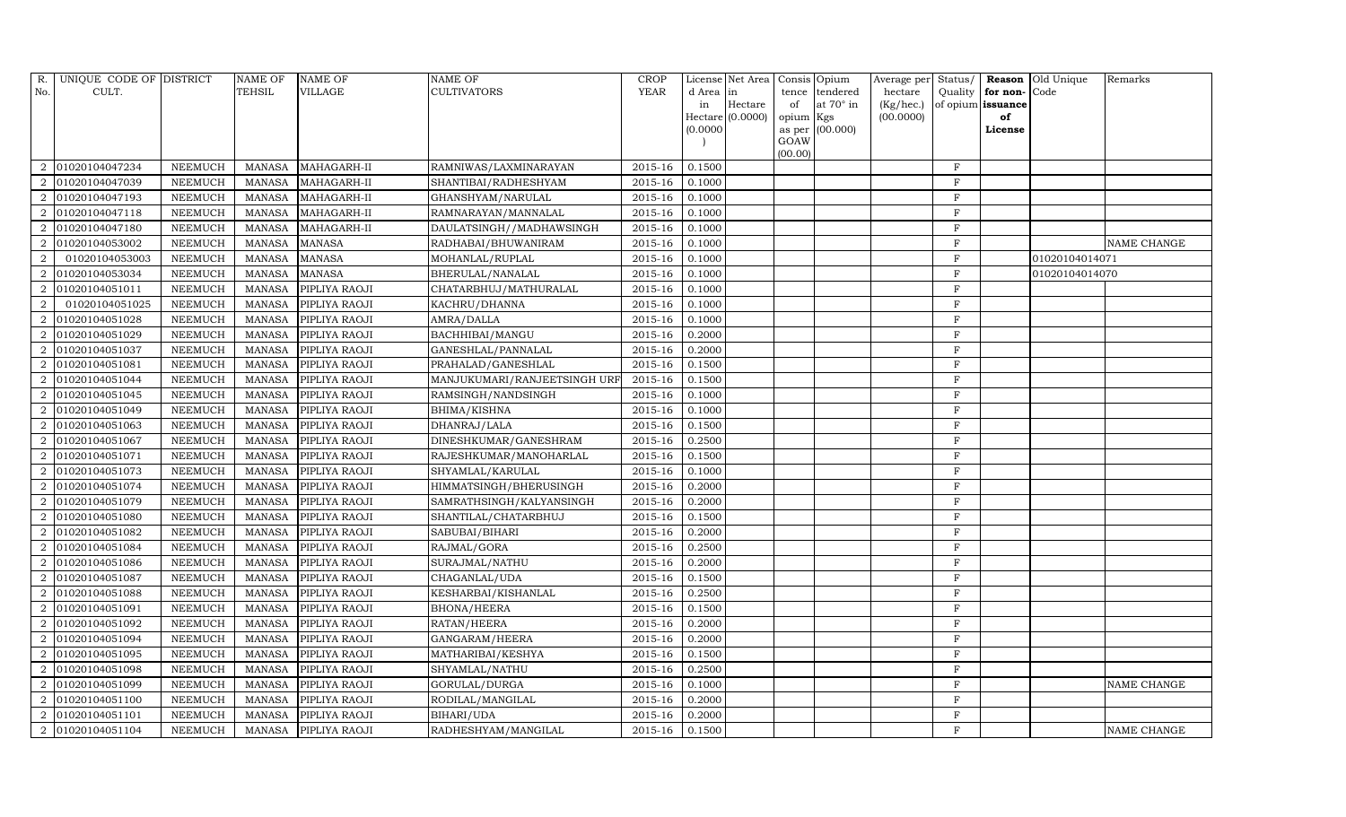| R.             | UNIQUE CODE OF DISTRICT |                | <b>NAME OF</b> | <b>NAME OF</b> | <b>NAME OF</b>               | <b>CROP</b> |           | License Net Area   | Consis Opium |                  | Average per Status/ |                |                   | Reason Old Unique | Remarks            |
|----------------|-------------------------|----------------|----------------|----------------|------------------------------|-------------|-----------|--------------------|--------------|------------------|---------------------|----------------|-------------------|-------------------|--------------------|
| No.            | CULT.                   |                | TEHSIL         | <b>VILLAGE</b> | <b>CULTIVATORS</b>           | YEAR        | d Area in |                    |              | tence tendered   | hectare             | Quality        | for non-          | Code              |                    |
|                |                         |                |                |                |                              |             | in        | Hectare            | of           | at $70^\circ$ in | (Kg/hec.)           |                | of opium issuance |                   |                    |
|                |                         |                |                |                |                              |             |           | $Hectare$ (0.0000) | opium Kgs    |                  | (00.0000)           |                | of                |                   |                    |
|                |                         |                |                |                |                              |             | (0.0000)  |                    | GOAW         | as per (00.000)  |                     |                | License           |                   |                    |
|                |                         |                |                |                |                              |             |           |                    | (00.00)      |                  |                     |                |                   |                   |                    |
| 2              | 01020104047234          | <b>NEEMUCH</b> | <b>MANASA</b>  | MAHAGARH-II    | RAMNIWAS/LAXMINARAYAN        | 2015-16     | 0.1500    |                    |              |                  |                     | $\mathbf F$    |                   |                   |                    |
|                | 01020104047039          | <b>NEEMUCH</b> | <b>MANASA</b>  | MAHAGARH-II    | SHANTIBAI/RADHESHYAM         | 2015-16     | 0.1000    |                    |              |                  |                     | $\rm F$        |                   |                   |                    |
| 2              | 01020104047193          | <b>NEEMUCH</b> | <b>MANASA</b>  | MAHAGARH-II    | GHANSHYAM/NARULAL            | 2015-16     | 0.1000    |                    |              |                  |                     | F              |                   |                   |                    |
|                | 01020104047118          | <b>NEEMUCH</b> | <b>MANASA</b>  | MAHAGARH-II    | RAMNARAYAN/MANNALAL          | 2015-16     | 0.1000    |                    |              |                  |                     | $\rm F$        |                   |                   |                    |
| 2              | 01020104047180          | <b>NEEMUCH</b> | <b>MANASA</b>  | MAHAGARH-II    | DAULATSINGH//MADHAWSINGH     | 2015-16     | 0.1000    |                    |              |                  |                     | $\rm F$        |                   |                   |                    |
| $\overline{2}$ | 01020104053002          | <b>NEEMUCH</b> | <b>MANASA</b>  | <b>MANASA</b>  | RADHABAI/BHUWANIRAM          | 2015-16     | 0.1000    |                    |              |                  |                     | $\rm F$        |                   |                   | NAME CHANGE        |
| $\overline{2}$ | 01020104053003          | <b>NEEMUCH</b> | <b>MANASA</b>  | <b>MANASA</b>  | MOHANLAL/RUPLAL              | 2015-16     | 0.1000    |                    |              |                  |                     | $\mathbf F$    |                   | 01020104014071    |                    |
| 2              | 01020104053034          | <b>NEEMUCH</b> | <b>MANASA</b>  | <b>MANASA</b>  | BHERULAL/NANALAL             | 2015-16     | 0.1000    |                    |              |                  |                     | $\rm F$        |                   | 01020104014070    |                    |
|                | 01020104051011          | <b>NEEMUCH</b> | <b>MANASA</b>  | PIPLIYA RAOJI  | CHATARBHUJ/MATHURALAL        | 2015-16     | 0.1000    |                    |              |                  |                     | $\rm F$        |                   |                   |                    |
| 2              | 01020104051025          | <b>NEEMUCH</b> | <b>MANASA</b>  | PIPLIYA RAOJI  | KACHRU/DHANNA                | 2015-16     | 0.1000    |                    |              |                  |                     | $\rm F$        |                   |                   |                    |
| 2              | 01020104051028          | <b>NEEMUCH</b> | <b>MANASA</b>  | PIPLIYA RAOJI  | AMRA/DALLA                   | 2015-16     | 0.1000    |                    |              |                  |                     | $\mathbf{F}$   |                   |                   |                    |
| $\overline{2}$ | 01020104051029          | <b>NEEMUCH</b> | <b>MANASA</b>  | PIPLIYA RAOJI  | BACHHIBAI/MANGU              | 2015-16     | 0.2000    |                    |              |                  |                     | $\rm F$        |                   |                   |                    |
| $\overline{2}$ | 01020104051037          | <b>NEEMUCH</b> | <b>MANASA</b>  | PIPLIYA RAOJI  | GANESHLAL/PANNALAL           | $2015 - 16$ | 0.2000    |                    |              |                  |                     | $\rm F$        |                   |                   |                    |
|                | 01020104051081          | <b>NEEMUCH</b> | <b>MANASA</b>  | PIPLIYA RAOJI  | PRAHALAD/GANESHLAL           | 2015-16     | 0.1500    |                    |              |                  |                     | $\overline{F}$ |                   |                   |                    |
| 2              | 01020104051044          | <b>NEEMUCH</b> | <b>MANASA</b>  | PIPLIYA RAOJI  | MANJUKUMARI/RANJEETSINGH URF | 2015-16     | 0.1500    |                    |              |                  |                     | $\rm F$        |                   |                   |                    |
| $\mathfrak{D}$ | 01020104051045          | <b>NEEMUCH</b> | <b>MANASA</b>  | PIPLIYA RAOJI  | RAMSINGH/NANDSINGH           | 2015-16     | 0.1000    |                    |              |                  |                     | $\rm F$        |                   |                   |                    |
| 2              | 01020104051049          | <b>NEEMUCH</b> | <b>MANASA</b>  | PIPLIYA RAOJI  | BHIMA/KISHNA                 | 2015-16     | 0.1000    |                    |              |                  |                     | $\rm F$        |                   |                   |                    |
| 2              | 01020104051063          | <b>NEEMUCH</b> | <b>MANASA</b>  | PIPLIYA RAOJI  | DHANRAJ/LALA                 | 2015-16     | 0.1500    |                    |              |                  |                     | $\mathbf F$    |                   |                   |                    |
| $\overline{2}$ | 01020104051067          | <b>NEEMUCH</b> | <b>MANASA</b>  | PIPLIYA RAOJI  | DINESHKUMAR/GANESHRAM        | 2015-16     | 0.2500    |                    |              |                  |                     | $\mathbf F$    |                   |                   |                    |
| $\overline{2}$ | 01020104051071          | <b>NEEMUCH</b> | <b>MANASA</b>  | PIPLIYA RAOJI  | RAJESHKUMAR/MANOHARLAL       | 2015-16     | 0.1500    |                    |              |                  |                     | $\rm F$        |                   |                   |                    |
|                | 01020104051073          | <b>NEEMUCH</b> | <b>MANASA</b>  | PIPLIYA RAOJI  | SHYAMLAL/KARULAL             | 2015-16     | 0.1000    |                    |              |                  |                     | $\rm F$        |                   |                   |                    |
| $\overline{2}$ | 01020104051074          | <b>NEEMUCH</b> | <b>MANASA</b>  | PIPLIYA RAOJI  | HIMMATSINGH/BHERUSINGH       | 2015-16     | 0.2000    |                    |              |                  |                     | $\rm F$        |                   |                   |                    |
| 2              | 01020104051079          | <b>NEEMUCH</b> | <b>MANASA</b>  | PIPLIYA RAOJI  | SAMRATHSINGH/KALYANSINGH     | 2015-16     | 0.2000    |                    |              |                  |                     | $\mathbf F$    |                   |                   |                    |
| $\overline{2}$ | 01020104051080          | <b>NEEMUCH</b> | <b>MANASA</b>  | PIPLIYA RAOJI  | SHANTILAL/CHATARBHUJ         | 2015-16     | 0.1500    |                    |              |                  |                     | $\rm F$        |                   |                   |                    |
| 2              | 01020104051082          | <b>NEEMUCH</b> | <b>MANASA</b>  | PIPLIYA RAOJI  | SABUBAI/BIHARI               | $2015 - 16$ | 0.2000    |                    |              |                  |                     | F              |                   |                   |                    |
|                | 01020104051084          | <b>NEEMUCH</b> | <b>MANASA</b>  | PIPLIYA RAOJI  | RAJMAL/GORA                  | 2015-16     | 0.2500    |                    |              |                  |                     | $\rm F$        |                   |                   |                    |
| 2              | 01020104051086          | <b>NEEMUCH</b> | <b>MANASA</b>  | PIPLIYA RAOJI  | SURAJMAL/NATHU               | 2015-16     | 0.2000    |                    |              |                  |                     | $\rm F$        |                   |                   |                    |
| 2              | 01020104051087          | <b>NEEMUCH</b> | <b>MANASA</b>  | PIPLIYA RAOJI  | CHAGANLAL/UDA                | 2015-16     | 0.1500    |                    |              |                  |                     | $\rm F$        |                   |                   |                    |
| $\overline{2}$ | 01020104051088          | <b>NEEMUCH</b> | <b>MANASA</b>  | PIPLIYA RAOJI  | KESHARBAI/KISHANLAL          | 2015-16     | 0.2500    |                    |              |                  |                     | $\mathbf F$    |                   |                   |                    |
| 2              | 01020104051091          | <b>NEEMUCH</b> | <b>MANASA</b>  | PIPLIYA RAOJI  | <b>BHONA/HEERA</b>           | 2015-16     | 0.1500    |                    |              |                  |                     | $\rm F$        |                   |                   |                    |
|                | 01020104051092          | <b>NEEMUCH</b> | <b>MANASA</b>  | PIPLIYA RAOJI  | RATAN/HEERA                  | 2015-16     | 0.2000    |                    |              |                  |                     | $\mathbf{F}$   |                   |                   |                    |
| 2              | 01020104051094          | <b>NEEMUCH</b> | <b>MANASA</b>  | PIPLIYA RAOJI  | GANGARAM/HEERA               | 2015-16     | 0.2000    |                    |              |                  |                     | $\rm F$        |                   |                   |                    |
| $\overline{2}$ | 01020104051095          | <b>NEEMUCH</b> | <b>MANASA</b>  | PIPLIYA RAOJI  | MATHARIBAI/KESHYA            | 2015-16     | 0.1500    |                    |              |                  |                     | $\mathbf F$    |                   |                   |                    |
| 2              | 01020104051098          | <b>NEEMUCH</b> | <b>MANASA</b>  | PIPLIYA RAOJI  | SHYAMLAL/NATHU               | 2015-16     | 0.2500    |                    |              |                  |                     | $\rm F$        |                   |                   |                    |
| 2              | 01020104051099          | <b>NEEMUCH</b> | <b>MANASA</b>  | PIPLIYA RAOJI  | GORULAL/DURGA                | 2015-16     | 0.1000    |                    |              |                  |                     | $\rm F$        |                   |                   | <b>NAME CHANGE</b> |
|                | 01020104051100          | <b>NEEMUCH</b> | <b>MANASA</b>  | PIPLIYA RAOJI  | RODILAL/MANGILAL             | 2015-16     | 0.2000    |                    |              |                  |                     | $\rm F$        |                   |                   |                    |
| 2              | 01020104051101          | <b>NEEMUCH</b> | <b>MANASA</b>  | PIPLIYA RAOJI  | BIHARI/UDA                   | 2015-16     | 0.2000    |                    |              |                  |                     | $\rm F$        |                   |                   |                    |
| $\overline{2}$ | 01020104051104          | <b>NEEMUCH</b> | <b>MANASA</b>  | PIPLIYA RAOJI  | RADHESHYAM/MANGILAL          | 2015-16     | 0.1500    |                    |              |                  |                     | F              |                   |                   | <b>NAME CHANGE</b> |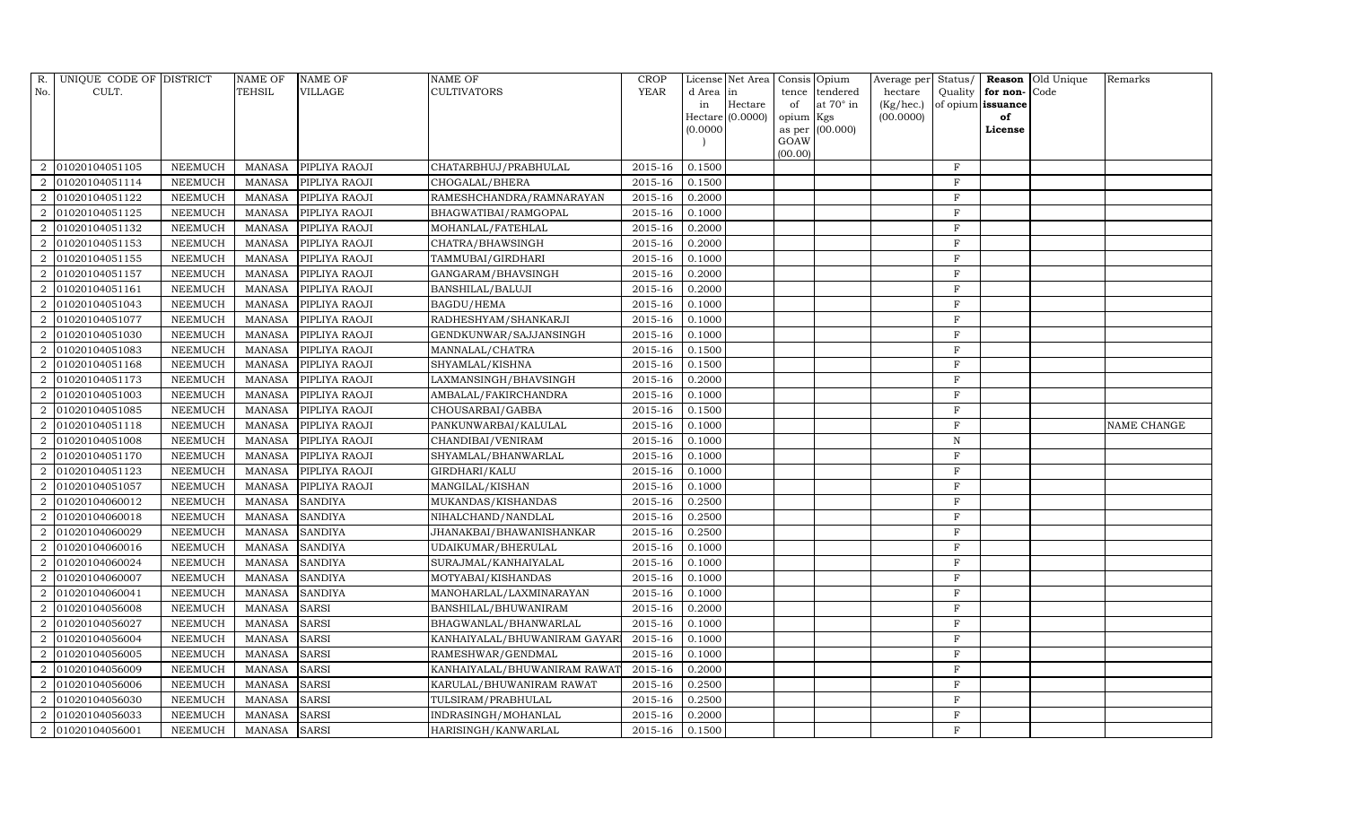| R.             | UNIQUE CODE OF DISTRICT |                | <b>NAME OF</b> | <b>NAME OF</b> | <b>NAME OF</b>               | <b>CROP</b> |           | License Net Area |           | Consis Opium     | Average per | Status/      |                   | Reason Old Unique | Remarks            |
|----------------|-------------------------|----------------|----------------|----------------|------------------------------|-------------|-----------|------------------|-----------|------------------|-------------|--------------|-------------------|-------------------|--------------------|
| No.            | CULT.                   |                | TEHSIL         | <b>VILLAGE</b> | <b>CULTIVATORS</b>           | YEAR        | d Area in |                  | tence     | tendered         | hectare     | Quality      | for non-Code      |                   |                    |
|                |                         |                |                |                |                              |             | in        | Hectare          | of        | at $70^\circ$ in | (Kg/hec.)   |              | of opium issuance |                   |                    |
|                |                         |                |                |                |                              |             |           | Hectare (0.0000) | opium Kgs | as per (00.000)  | (00.0000)   |              | of                |                   |                    |
|                |                         |                |                |                |                              |             | (0.0000)  |                  | GOAW      |                  |             |              | License           |                   |                    |
|                |                         |                |                |                |                              |             |           |                  | (00.00)   |                  |             |              |                   |                   |                    |
| $\overline{2}$ | 01020104051105          | <b>NEEMUCH</b> | MANASA         | PIPLIYA RAOJI  | CHATARBHUJ/PRABHULAL         | 2015-16     | 0.1500    |                  |           |                  |             | $\mathbf{F}$ |                   |                   |                    |
|                | 01020104051114          | <b>NEEMUCH</b> | <b>MANASA</b>  | PIPLIYA RAOJI  | CHOGALAL/BHERA               | 2015-16     | 0.1500    |                  |           |                  |             | $\mathbf{F}$ |                   |                   |                    |
| $\overline{2}$ | 01020104051122          | <b>NEEMUCH</b> | <b>MANASA</b>  | PIPLIYA RAOJI  | RAMESHCHANDRA/RAMNARAYAN     | $2015 - 16$ | 0.2000    |                  |           |                  |             | F            |                   |                   |                    |
| $\mathcal{D}$  | 01020104051125          | <b>NEEMUCH</b> | <b>MANASA</b>  | PIPLIYA RAOJI  | BHAGWATIBAI/RAMGOPAL         | 2015-16     | 0.1000    |                  |           |                  |             | $\rm F$      |                   |                   |                    |
| $\overline{2}$ | 01020104051132          | <b>NEEMUCH</b> | <b>MANASA</b>  | PIPLIYA RAOJI  | MOHANLAL/FATEHLAL            | 2015-16     | 0.2000    |                  |           |                  |             | $\mathbf{F}$ |                   |                   |                    |
| $\overline{2}$ | 01020104051153          | <b>NEEMUCH</b> | <b>MANASA</b>  | PIPLIYA RAOJI  | CHATRA/BHAWSINGH             | 2015-16     | 0.2000    |                  |           |                  |             | F            |                   |                   |                    |
| $\overline{2}$ | 01020104051155          | <b>NEEMUCH</b> | <b>MANASA</b>  | PIPLIYA RAOJI  | TAMMUBAI/GIRDHARI            | 2015-16     | 0.1000    |                  |           |                  |             | $\rm F$      |                   |                   |                    |
| 2              | 01020104051157          | <b>NEEMUCH</b> | <b>MANASA</b>  | PIPLIYA RAOJI  | GANGARAM/BHAVSINGH           | 2015-16     | 0.2000    |                  |           |                  |             | $\mathbf{F}$ |                   |                   |                    |
| $\mathcal{D}$  | 01020104051161          | <b>NEEMUCH</b> | <b>MANASA</b>  | PIPLIYA RAOJI  | BANSHILAL/BALUJI             | 2015-16     | 0.2000    |                  |           |                  |             | F            |                   |                   |                    |
| $\overline{2}$ | 01020104051043          | <b>NEEMUCH</b> | <b>MANASA</b>  | PIPLIYA RAOJI  | <b>BAGDU/HEMA</b>            | 2015-16     | 0.1000    |                  |           |                  |             | F            |                   |                   |                    |
| $\overline{2}$ | 01020104051077          | <b>NEEMUCH</b> | <b>MANASA</b>  | PIPLIYA RAOJI  | RADHESHYAM/SHANKARJI         | 2015-16     | 0.1000    |                  |           |                  |             | F            |                   |                   |                    |
| $\overline{2}$ | 01020104051030          | <b>NEEMUCH</b> | <b>MANASA</b>  | PIPLIYA RAOJI  | GENDKUNWAR/SAJJANSINGH       | 2015-16     | 0.1000    |                  |           |                  |             | $\rm F$      |                   |                   |                    |
| $\overline{2}$ | 01020104051083          | <b>NEEMUCH</b> | <b>MANASA</b>  | PIPLIYA RAOJI  | MANNALAL/CHATRA              | 2015-16     | 0.1500    |                  |           |                  |             | $\rm F$      |                   |                   |                    |
| $\overline{2}$ | 01020104051168          | <b>NEEMUCH</b> | <b>MANASA</b>  | PIPLIYA RAOJI  | SHYAMLAL/KISHNA              | 2015-16     | 0.1500    |                  |           |                  |             | $\rm F$      |                   |                   |                    |
| $\overline{2}$ | 01020104051173          | <b>NEEMUCH</b> | <b>MANASA</b>  | PIPLIYA RAOJI  | LAXMANSINGH/BHAVSINGH        | 2015-16     | 0.2000    |                  |           |                  |             | $\mathbf{F}$ |                   |                   |                    |
| $\overline{2}$ | 01020104051003          | <b>NEEMUCH</b> | <b>MANASA</b>  | PIPLIYA RAOJI  | AMBALAL/FAKIRCHANDRA         | 2015-16     | 0.1000    |                  |           |                  |             | F            |                   |                   |                    |
| $\overline{2}$ | 01020104051085          | <b>NEEMUCH</b> | <b>MANASA</b>  | PIPLIYA RAOJI  | CHOUSARBAI/GABBA             | 2015-16     | 0.1500    |                  |           |                  |             | $\mathbf{F}$ |                   |                   |                    |
| 2              | 01020104051118          | <b>NEEMUCH</b> | <b>MANASA</b>  | PIPLIYA RAOJI  | PANKUNWARBAI/KALULAL         | 2015-16     | 0.1000    |                  |           |                  |             | F            |                   |                   | <b>NAME CHANGE</b> |
| $\overline{2}$ | 01020104051008          | <b>NEEMUCH</b> | <b>MANASA</b>  | PIPLIYA RAOJI  | CHANDIBAI/VENIRAM            | 2015-16     | 0.1000    |                  |           |                  |             | $\, {\bf N}$ |                   |                   |                    |
| $\overline{2}$ | 01020104051170          | <b>NEEMUCH</b> | <b>MANASA</b>  | PIPLIYA RAOJI  | SHYAMLAL/BHANWARLAL          | 2015-16     | 0.1000    |                  |           |                  |             | $\mathbf{F}$ |                   |                   |                    |
| $\overline{2}$ | 01020104051123          | <b>NEEMUCH</b> | <b>MANASA</b>  | PIPLIYA RAOJI  | GIRDHARI/KALU                | 2015-16     | 0.1000    |                  |           |                  |             | $\mathbf{F}$ |                   |                   |                    |
| $\overline{2}$ | 01020104051057          | <b>NEEMUCH</b> | <b>MANASA</b>  | PIPLIYA RAOJI  | MANGILAL/KISHAN              | 2015-16     | 0.1000    |                  |           |                  |             | $\rm F$      |                   |                   |                    |
| 2              | 01020104060012          | <b>NEEMUCH</b> | <b>MANASA</b>  | <b>SANDIYA</b> | MUKANDAS/KISHANDAS           | 2015-16     | 0.2500    |                  |           |                  |             | $\rm F$      |                   |                   |                    |
| $\overline{2}$ | 01020104060018          | <b>NEEMUCH</b> | <b>MANASA</b>  | <b>SANDIYA</b> | NIHALCHAND/NANDLAL           | 2015-16     | 0.2500    |                  |           |                  |             | F            |                   |                   |                    |
| 2              | 01020104060029          | <b>NEEMUCH</b> | <b>MANASA</b>  | <b>SANDIYA</b> | JHANAKBAI/BHAWANISHANKAR     | 2015-16     | 0.2500    |                  |           |                  |             | F            |                   |                   |                    |
| $\mathcal{D}$  | 01020104060016          | <b>NEEMUCH</b> | <b>MANASA</b>  | <b>SANDIYA</b> | UDAIKUMAR/BHERULAL           | 2015-16     | 0.1000    |                  |           |                  |             | $\mathbf{F}$ |                   |                   |                    |
| $\overline{2}$ | 01020104060024          | <b>NEEMUCH</b> | <b>MANASA</b>  | <b>SANDIYA</b> | SURAJMAL/KANHAIYALAL         | 2015-16     | 0.1000    |                  |           |                  |             | $\rm F$      |                   |                   |                    |
| $\overline{2}$ | 01020104060007          | <b>NEEMUCH</b> | <b>MANASA</b>  | <b>SANDIYA</b> | MOTYABAI/KISHANDAS           | 2015-16     | 0.1000    |                  |           |                  |             | $\mathbf{F}$ |                   |                   |                    |
| $\overline{2}$ | 01020104060041          | <b>NEEMUCH</b> | <b>MANASA</b>  | <b>SANDIYA</b> | MANOHARLAL/LAXMINARAYAN      | 2015-16     | 0.1000    |                  |           |                  |             | $\rm F$      |                   |                   |                    |
| $\overline{2}$ | 01020104056008          | <b>NEEMUCH</b> | <b>MANASA</b>  | <b>SARSI</b>   | BANSHILAL/BHUWANIRAM         | 2015-16     | 0.2000    |                  |           |                  |             | F            |                   |                   |                    |
| $\overline{2}$ | 01020104056027          | <b>NEEMUCH</b> | <b>MANASA</b>  | <b>SARSI</b>   | BHAGWANLAL/BHANWARLAL        | 2015-16     | 0.1000    |                  |           |                  |             | F            |                   |                   |                    |
| $\overline{2}$ | 01020104056004          | <b>NEEMUCH</b> | <b>MANASA</b>  | <b>SARSI</b>   | KANHAIYALAL/BHUWANIRAM GAYAR | 2015-16     | 0.1000    |                  |           |                  |             | F            |                   |                   |                    |
| $\overline{2}$ | 01020104056005          | <b>NEEMUCH</b> | <b>MANASA</b>  | <b>SARSI</b>   | RAMESHWAR/GENDMAL            | 2015-16     | 0.1000    |                  |           |                  |             | F            |                   |                   |                    |
| $\overline{2}$ | 01020104056009          | <b>NEEMUCH</b> | <b>MANASA</b>  | <b>SARSI</b>   | KANHAIYALAL/BHUWANIRAM RAWAT | 2015-16     | 0.2000    |                  |           |                  |             | $\mathbf{F}$ |                   |                   |                    |
| $\overline{2}$ | 01020104056006          | <b>NEEMUCH</b> | <b>MANASA</b>  | <b>SARSI</b>   | KARULAL/BHUWANIRAM RAWAT     | 2015-16     | 0.2500    |                  |           |                  |             | $\mathbf{F}$ |                   |                   |                    |
| $\overline{2}$ | 01020104056030          | <b>NEEMUCH</b> | <b>MANASA</b>  | <b>SARSI</b>   | TULSIRAM/PRABHULAL           | 2015-16     | 0.2500    |                  |           |                  |             | F            |                   |                   |                    |
| $\overline{2}$ | 01020104056033          | <b>NEEMUCH</b> | <b>MANASA</b>  | <b>SARSI</b>   | INDRASINGH/MOHANLAL          | 2015-16     | 0.2000    |                  |           |                  |             | $\rm F$      |                   |                   |                    |
| $\overline{a}$ | 01020104056001          | <b>NEEMUCH</b> | <b>MANASA</b>  | <b>SARSI</b>   | HARISINGH/KANWARLAL          | 2015-16     | 0.1500    |                  |           |                  |             | F            |                   |                   |                    |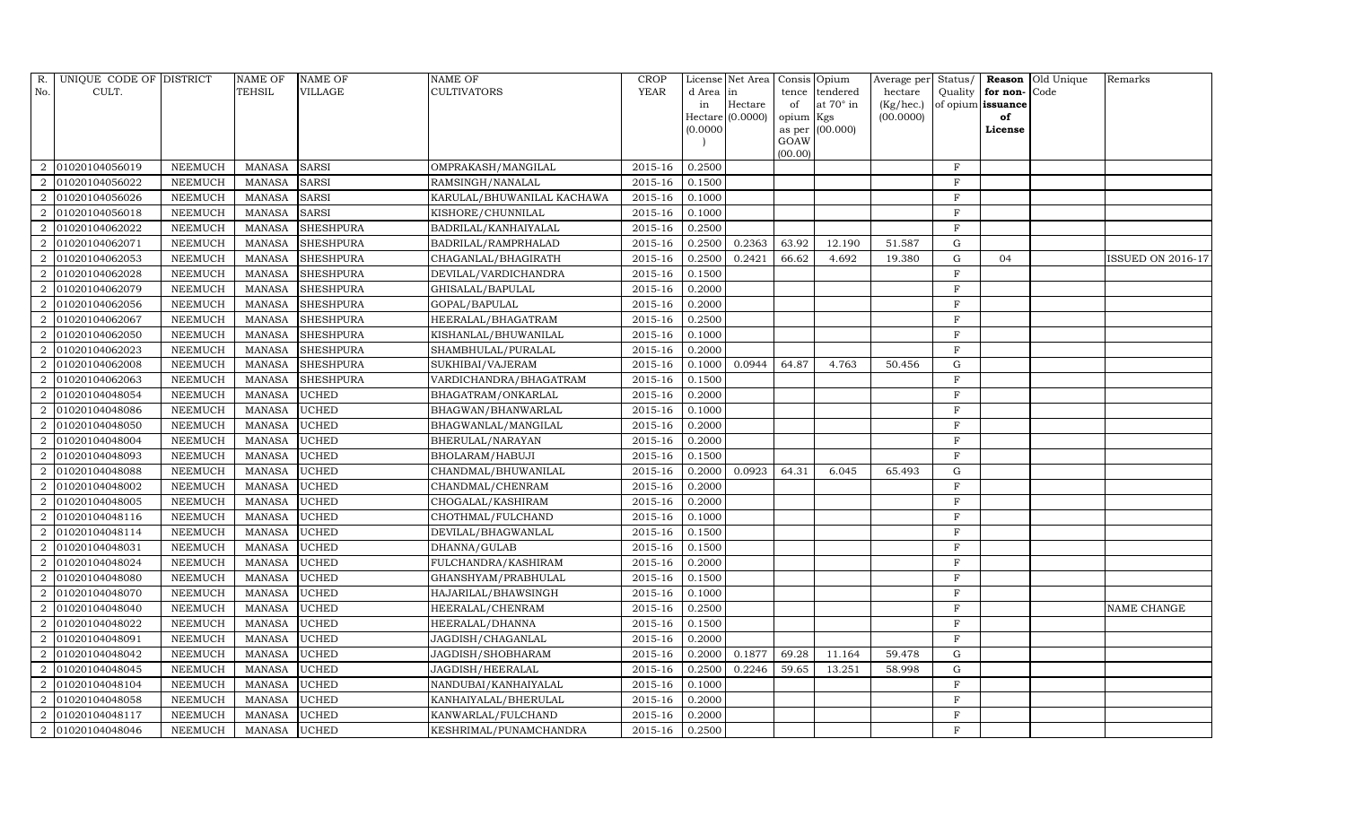| R.             | UNIQUE CODE OF DISTRICT |                | <b>NAME OF</b> | <b>NAME OF</b>   | <b>NAME OF</b>             | <b>CROP</b> |           | License Net Area   | Consis Opium |                  | Average per Status/ |                |                   | Reason Old Unique | Remarks           |
|----------------|-------------------------|----------------|----------------|------------------|----------------------------|-------------|-----------|--------------------|--------------|------------------|---------------------|----------------|-------------------|-------------------|-------------------|
| No.            | CULT.                   |                | TEHSIL         | <b>VILLAGE</b>   | <b>CULTIVATORS</b>         | YEAR        | d Area in |                    |              | tence tendered   | hectare             | Quality        | for non-          | Code              |                   |
|                |                         |                |                |                  |                            |             | in        | Hectare            | of           | at $70^\circ$ in | (Kg/hec.)           |                | of opium issuance |                   |                   |
|                |                         |                |                |                  |                            |             |           | $Hectare$ (0.0000) | opium Kgs    |                  | (00.0000)           |                | of                |                   |                   |
|                |                         |                |                |                  |                            |             | (0.0000)  |                    | GOAW         | as per (00.000)  |                     |                | License           |                   |                   |
|                |                         |                |                |                  |                            |             |           |                    | (00.00)      |                  |                     |                |                   |                   |                   |
| $\overline{2}$ | 01020104056019          | <b>NEEMUCH</b> | <b>MANASA</b>  | <b>SARSI</b>     | OMPRAKASH/MANGILAL         | 2015-16     | 0.2500    |                    |              |                  |                     | $\rm F$        |                   |                   |                   |
|                | 01020104056022          | <b>NEEMUCH</b> | <b>MANASA</b>  | <b>SARSI</b>     | RAMSINGH/NANALAL           | 2015-16     | 0.1500    |                    |              |                  |                     | $\rm F$        |                   |                   |                   |
| 2              | 01020104056026          | <b>NEEMUCH</b> | MANASA         | <b>SARSI</b>     | KARULAL/BHUWANILAL KACHAWA | 2015-16     | 0.1000    |                    |              |                  |                     | $\rm F$        |                   |                   |                   |
|                | 01020104056018          | <b>NEEMUCH</b> | <b>MANASA</b>  | <b>SARSI</b>     | KISHORE/CHUNNILAL          | 2015-16     | 0.1000    |                    |              |                  |                     | $\rm F$        |                   |                   |                   |
| $\overline{2}$ | 01020104062022          | <b>NEEMUCH</b> | <b>MANASA</b>  | <b>SHESHPURA</b> | BADRILAL/KANHAIYALAL       | 2015-16     | 0.2500    |                    |              |                  |                     | $\rm F$        |                   |                   |                   |
| $\overline{2}$ | 01020104062071          | <b>NEEMUCH</b> | <b>MANASA</b>  | <b>SHESHPURA</b> | BADRILAL/RAMPRHALAD        | 2015-16     | 0.2500    | 0.2363             | 63.92        | 12.190           | 51.587              | $\mathbf G$    |                   |                   |                   |
| 2              | 01020104062053          | <b>NEEMUCH</b> | <b>MANASA</b>  | <b>SHESHPURA</b> | CHAGANLAL/BHAGIRATH        | 2015-16     | 0.2500    | 0.2421             | 66.62        | 4.692            | 19.380              | $\mathbf G$    | 04                |                   | ISSUED ON 2016-17 |
| $\overline{2}$ | 01020104062028          | <b>NEEMUCH</b> | <b>MANASA</b>  | <b>SHESHPURA</b> | DEVILAL/VARDICHANDRA       | $2015 - 16$ | 0.1500    |                    |              |                  |                     | F              |                   |                   |                   |
|                | 01020104062079          | <b>NEEMUCH</b> | <b>MANASA</b>  | <b>SHESHPURA</b> | GHISALAL/BAPULAL           | 2015-16     | 0.2000    |                    |              |                  |                     | F              |                   |                   |                   |
| 2              | 01020104062056          | <b>NEEMUCH</b> | <b>MANASA</b>  | <b>SHESHPURA</b> | GOPAL/BAPULAL              | 2015-16     | 0.2000    |                    |              |                  |                     | $\rm F$        |                   |                   |                   |
|                | 01020104062067          | <b>NEEMUCH</b> | <b>MANASA</b>  | <b>SHESHPURA</b> | HEERALAL/BHAGATRAM         | 2015-16     | 0.2500    |                    |              |                  |                     | $\overline{F}$ |                   |                   |                   |
| $\overline{2}$ | 01020104062050          | <b>NEEMUCH</b> | <b>MANASA</b>  | <b>SHESHPURA</b> | KISHANLAL/BHUWANILAL       | 2015-16     | 0.1000    |                    |              |                  |                     | $\mathbf F$    |                   |                   |                   |
| 2              | 01020104062023          | <b>NEEMUCH</b> | <b>MANASA</b>  | <b>SHESHPURA</b> | SHAMBHULAL/PURALAL         | 2015-16     | 0.2000    |                    |              |                  |                     | $\rm F$        |                   |                   |                   |
|                | 01020104062008          | <b>NEEMUCH</b> | <b>MANASA</b>  | <b>SHESHPURA</b> | SUKHIBAI/VAJERAM           | 2015-16     | 0.1000    | 0.0944             | 64.87        | 4.763            | 50.456              | $\mathbf G$    |                   |                   |                   |
|                | 01020104062063          | <b>NEEMUCH</b> | <b>MANASA</b>  | <b>SHESHPURA</b> | VARDICHANDRA/BHAGATRAM     | 2015-16     | 0.1500    |                    |              |                  |                     | F              |                   |                   |                   |
|                | 01020104048054          | <b>NEEMUCH</b> | <b>MANASA</b>  | <b>UCHED</b>     | BHAGATRAM/ONKARLAL         | 2015-16     | 0.2000    |                    |              |                  |                     | $\mathbf F$    |                   |                   |                   |
| 2              | 01020104048086          | <b>NEEMUCH</b> | <b>MANASA</b>  | <b>UCHED</b>     | BHAGWAN/BHANWARLAL         | 2015-16     | 0.1000    |                    |              |                  |                     | $\mathbf F$    |                   |                   |                   |
| 2              | 01020104048050          | <b>NEEMUCH</b> | <b>MANASA</b>  | <b>UCHED</b>     | BHAGWANLAL/MANGILAL        | 2015-16     | 0.2000    |                    |              |                  |                     | $\rm F$        |                   |                   |                   |
|                | 01020104048004          | <b>NEEMUCH</b> | <b>MANASA</b>  | <b>UCHED</b>     | BHERULAL/NARAYAN           | 2015-16     | 0.2000    |                    |              |                  |                     | $\mathbf F$    |                   |                   |                   |
| 2              | 01020104048093          | <b>NEEMUCH</b> | <b>MANASA</b>  | <b>UCHED</b>     | BHOLARAM/HABUJI            | $2015 - 16$ | 0.1500    |                    |              |                  |                     | F              |                   |                   |                   |
|                | 01020104048088          | <b>NEEMUCH</b> | <b>MANASA</b>  | <b>UCHED</b>     | CHANDMAL/BHUWANILAL        | 2015-16     | 0.2000    | 0.0923             | 64.31        | 6.045            | 65.493              | G              |                   |                   |                   |
| $\overline{2}$ | 01020104048002          | <b>NEEMUCH</b> | <b>MANASA</b>  | <b>UCHED</b>     | CHANDMAL/CHENRAM           | 2015-16     | 0.2000    |                    |              |                  |                     | $\mathbf F$    |                   |                   |                   |
| 2              | 01020104048005          | <b>NEEMUCH</b> | <b>MANASA</b>  | <b>UCHED</b>     | CHOGALAL/KASHIRAM          | 2015-16     | 0.2000    |                    |              |                  |                     | $\rm F$        |                   |                   |                   |
|                | 01020104048116          | <b>NEEMUCH</b> | <b>MANASA</b>  | <b>UCHED</b>     | CHOTHMAL/FULCHAND          | 2015-16     | 0.1000    |                    |              |                  |                     | $\overline{F}$ |                   |                   |                   |
|                | 01020104048114          | <b>NEEMUCH</b> | <b>MANASA</b>  | <b>UCHED</b>     | DEVILAL/BHAGWANLAL         | 2015-16     | 0.1500    |                    |              |                  |                     | $\rm F$        |                   |                   |                   |
|                | 01020104048031          | <b>NEEMUCH</b> | <b>MANASA</b>  | <b>UCHED</b>     | DHANNA/GULAB               | 2015-16     | 0.1500    |                    |              |                  |                     | $\mathbf F$    |                   |                   |                   |
| 2              | 01020104048024          | <b>NEEMUCH</b> | <b>MANASA</b>  | <b>UCHED</b>     | FULCHANDRA/KASHIRAM        | 2015-16     | 0.2000    |                    |              |                  |                     | $\mathbf{F}$   |                   |                   |                   |
| 2              | 01020104048080          | <b>NEEMUCH</b> | <b>MANASA</b>  | <b>UCHED</b>     | GHANSHYAM/PRABHULAL        | 2015-16     | 0.1500    |                    |              |                  |                     | F              |                   |                   |                   |
|                | 01020104048070          | <b>NEEMUCH</b> | <b>MANASA</b>  | <b>UCHED</b>     | HAJARILAL/BHAWSINGH        | 2015-16     | 0.1000    |                    |              |                  |                     | $\mathbf F$    |                   |                   |                   |
| 2              | 01020104048040          | <b>NEEMUCH</b> | <b>MANASA</b>  | UCHED            | HEERALAL/CHENRAM           | 2015-16     | 0.2500    |                    |              |                  |                     | $\rm F$        |                   |                   | NAME CHANGE       |
|                | 01020104048022          | <b>NEEMUCH</b> | <b>MANASA</b>  | <b>UCHED</b>     | HEERALAL/DHANNA            | 2015-16     | 0.1500    |                    |              |                  |                     | $\mathbf F$    |                   |                   |                   |
|                | 01020104048091          | <b>NEEMUCH</b> | <b>MANASA</b>  | <b>UCHED</b>     | JAGDISH/CHAGANLAL          | 2015-16     | 0.2000    |                    |              |                  |                     | $\rm F$        |                   |                   |                   |
| 2              | 01020104048042          | <b>NEEMUCH</b> | <b>MANASA</b>  | <b>UCHED</b>     | JAGDISH/SHOBHARAM          | $2015 - 16$ | 0.2000    | 0.1877             | 69.28        | 11.164           | 59.478              | $\mathbf G$    |                   |                   |                   |
| 2              | 01020104048045          | <b>NEEMUCH</b> | <b>MANASA</b>  | <b>UCHED</b>     | JAGDISH/HEERALAL           | 2015-16     | 0.2500    | 0.2246             | 59.65        | 13.251           | 58.998              | $\mathbf G$    |                   |                   |                   |
| 2              | 01020104048104          | <b>NEEMUCH</b> | <b>MANASA</b>  | <b>UCHED</b>     | NANDUBAI/KANHAIYALAL       | 2015-16     | 0.1000    |                    |              |                  |                     | $\rm F$        |                   |                   |                   |
|                | 01020104048058          | <b>NEEMUCH</b> | <b>MANASA</b>  | <b>UCHED</b>     | KANHAIYALAL/BHERULAL       | 2015-16     | 0.2000    |                    |              |                  |                     | $\mathbf F$    |                   |                   |                   |
| 2              | 01020104048117          | <b>NEEMUCH</b> | <b>MANASA</b>  | <b>UCHED</b>     | KANWARLAL/FULCHAND         | 2015-16     | 0.2000    |                    |              |                  |                     | $\mathbf F$    |                   |                   |                   |
|                | 2 01020104048046        | <b>NEEMUCH</b> | <b>MANASA</b>  | <b>UCHED</b>     | KESHRIMAL/PUNAMCHANDRA     | 2015-16     | 0.2500    |                    |              |                  |                     | $\overline{F}$ |                   |                   |                   |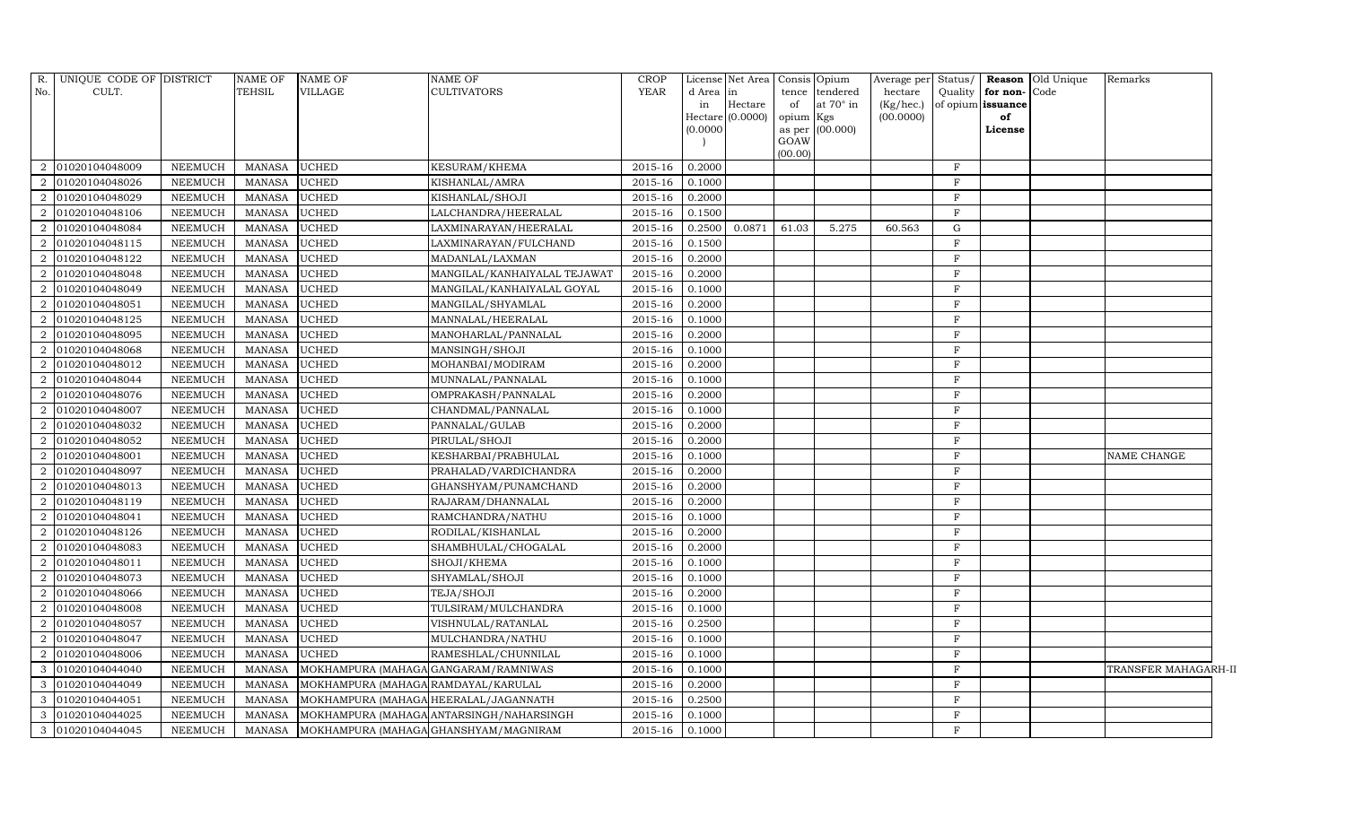| R.             | UNIQUE CODE OF DISTRICT |                | <b>NAME OF</b> | <b>NAME OF</b>                        | <b>NAME OF</b>                           | <b>CROP</b> |          | License Net Area   |           | Consis Opium     | Average per Status/ |              |                   | Reason Old Unique | Remarks              |
|----------------|-------------------------|----------------|----------------|---------------------------------------|------------------------------------------|-------------|----------|--------------------|-----------|------------------|---------------------|--------------|-------------------|-------------------|----------------------|
| No.            | CULT.                   |                | TEHSIL         | <b>VILLAGE</b>                        | <b>CULTIVATORS</b>                       | <b>YEAR</b> | d Area   | in                 | tence     | tendered         | hectare             | Quality      | for non-Code      |                   |                      |
|                |                         |                |                |                                       |                                          |             | in       | Hectare            | of        | at $70^\circ$ in | (Kg/hec.)           |              | of opium issuance |                   |                      |
|                |                         |                |                |                                       |                                          |             | (0.0000) | Hectare $(0.0000)$ | opium Kgs | as per (00.000)  | (00.0000)           |              | of<br>License     |                   |                      |
|                |                         |                |                |                                       |                                          |             |          |                    | GOAW      |                  |                     |              |                   |                   |                      |
|                |                         |                |                |                                       |                                          |             |          |                    | (00.00)   |                  |                     |              |                   |                   |                      |
| 2              | 01020104048009          | <b>NEEMUCH</b> | MANASA         | <b>UCHED</b>                          | <b>KESURAM/KHEMA</b>                     | 2015-16     | 0.2000   |                    |           |                  |                     | $\mathbf{F}$ |                   |                   |                      |
| $\overline{2}$ | 01020104048026          | <b>NEEMUCH</b> | MANASA         | <b>UCHED</b>                          | KISHANLAL/AMRA                           | 2015-16     | 0.1000   |                    |           |                  |                     | F            |                   |                   |                      |
| $\overline{2}$ | 01020104048029          | <b>NEEMUCH</b> | MANASA         | <b>UCHED</b>                          | KISHANLAL/SHOJI                          | 2015-16     | 0.2000   |                    |           |                  |                     | F            |                   |                   |                      |
| $\overline{2}$ | 01020104048106          | <b>NEEMUCH</b> | MANASA         | <b>UCHED</b>                          | LALCHANDRA/HEERALAL                      | 2015-16     | 0.1500   |                    |           |                  |                     | $\rm F$      |                   |                   |                      |
| 2              | 01020104048084          | <b>NEEMUCH</b> | <b>MANASA</b>  | <b>UCHED</b>                          | LAXMINARAYAN/HEERALAL                    | 2015-16     | 0.2500   | 0.0871             | 61.03     | 5.275            | 60.563              | G            |                   |                   |                      |
| 2              | 01020104048115          | <b>NEEMUCH</b> | MANASA         | <b>UCHED</b>                          | LAXMINARAYAN/FULCHAND                    | 2015-16     | 0.1500   |                    |           |                  |                     | $\mathbf{F}$ |                   |                   |                      |
| 2              | 01020104048122          | <b>NEEMUCH</b> | <b>MANASA</b>  | <b>UCHED</b>                          | MADANLAL/LAXMAN                          | 2015-16     | 0.2000   |                    |           |                  |                     | $\mathbf{F}$ |                   |                   |                      |
| 2              | 01020104048048          | <b>NEEMUCH</b> | <b>MANASA</b>  | <b>UCHED</b>                          | MANGILAL/KANHAIYALAL TEJAWAT             | 2015-16     | 0.2000   |                    |           |                  |                     | F            |                   |                   |                      |
| $\overline{2}$ | 01020104048049          | <b>NEEMUCH</b> | <b>MANASA</b>  | <b>UCHED</b>                          | MANGILAL/KANHAIYALAL GOYAL               | 2015-16     | 0.1000   |                    |           |                  |                     | F            |                   |                   |                      |
| 2              | 01020104048051          | <b>NEEMUCH</b> | MANASA         | <b>UCHED</b>                          | MANGILAL/SHYAMLAL                        | 2015-16     | 0.2000   |                    |           |                  |                     | F            |                   |                   |                      |
| 2              | 01020104048125          | <b>NEEMUCH</b> | <b>MANASA</b>  | <b>UCHED</b>                          | MANNALAL/HEERALAL                        | 2015-16     | 0.1000   |                    |           |                  |                     | $_{\rm F}$   |                   |                   |                      |
| 2              | 01020104048095          | <b>NEEMUCH</b> | <b>MANASA</b>  | <b>UCHED</b>                          | MANOHARLAL/PANNALAL                      | 2015-16     | 0.2000   |                    |           |                  |                     | $_{\rm F}$   |                   |                   |                      |
| $\overline{2}$ | 01020104048068          | <b>NEEMUCH</b> | MANASA         | <b>UCHED</b>                          | MANSINGH/SHOJI                           | 2015-16     | 0.1000   |                    |           |                  |                     | $\mathbf{F}$ |                   |                   |                      |
| $\overline{2}$ | 01020104048012          | <b>NEEMUCH</b> | <b>MANASA</b>  | <b>UCHED</b>                          | MOHANBAI/MODIRAM                         | 2015-16     | 0.2000   |                    |           |                  |                     | F            |                   |                   |                      |
| 2              | 01020104048044          | <b>NEEMUCH</b> | <b>MANASA</b>  | <b>UCHED</b>                          | MUNNALAL/PANNALAL                        | 2015-16     | 0.1000   |                    |           |                  |                     | F            |                   |                   |                      |
| 2              | 01020104048076          | <b>NEEMUCH</b> | <b>MANASA</b>  | <b>UCHED</b>                          | OMPRAKASH/PANNALAL                       | 2015-16     | 0.2000   |                    |           |                  |                     | $_{\rm F}$   |                   |                   |                      |
| 2              | 01020104048007          | <b>NEEMUCH</b> | <b>MANASA</b>  | <b>UCHED</b>                          | CHANDMAL/PANNALAL                        | 2015-16     | 0.1000   |                    |           |                  |                     | $\mathbf{F}$ |                   |                   |                      |
| 2              | 01020104048032          | <b>NEEMUCH</b> | MANASA         | <b>UCHED</b>                          | PANNALAL/GULAB                           | 2015-16     | 0.2000   |                    |           |                  |                     | F            |                   |                   |                      |
| $\overline{2}$ | 01020104048052          | <b>NEEMUCH</b> | MANASA         | <b>UCHED</b>                          | PIRULAL/SHOJI                            | 2015-16     | 0.2000   |                    |           |                  |                     | $\rm F$      |                   |                   |                      |
| 2              | 01020104048001          | <b>NEEMUCH</b> | MANASA         | <b>UCHED</b>                          | KESHARBAI/PRABHULAL                      | 2015-16     | 0.1000   |                    |           |                  |                     | $_{\rm F}$   |                   |                   | NAME CHANGE          |
| $\overline{2}$ | 01020104048097          | <b>NEEMUCH</b> | <b>MANASA</b>  | <b>UCHED</b>                          | PRAHALAD/VARDICHANDRA                    | 2015-16     | 0.2000   |                    |           |                  |                     | $_{\rm F}$   |                   |                   |                      |
| 2              | 01020104048013          | <b>NEEMUCH</b> | <b>MANASA</b>  | <b>UCHED</b>                          | GHANSHYAM/PUNAMCHAND                     | 2015-16     | 0.2000   |                    |           |                  |                     | $_{\rm F}$   |                   |                   |                      |
| 2              | 01020104048119          | <b>NEEMUCH</b> | MANASA         | <b>UCHED</b>                          | RAJARAM/DHANNALAL                        | 2015-16     | 0.2000   |                    |           |                  |                     | $\rm F$      |                   |                   |                      |
| 2              | 01020104048041          | <b>NEEMUCH</b> | MANASA         | <b>UCHED</b>                          | RAMCHANDRA/NATHU                         | $2015 - 16$ | 0.1000   |                    |           |                  |                     | F            |                   |                   |                      |
| 2              | 01020104048126          | <b>NEEMUCH</b> | <b>MANASA</b>  | <b>UCHED</b>                          | RODILAL/KISHANLAL                        | $2015 - 16$ | 0.2000   |                    |           |                  |                     | F            |                   |                   |                      |
| $\mathfrak{D}$ | 01020104048083          | <b>NEEMUCH</b> | <b>MANASA</b>  | <b>UCHED</b>                          | SHAMBHULAL/CHOGALAL                      | 2015-16     | 0.2000   |                    |           |                  |                     | $\rm F$      |                   |                   |                      |
| 2              | 01020104048011          | <b>NEEMUCH</b> | <b>MANASA</b>  | <b>UCHED</b>                          | SHOJI/KHEMA                              | 2015-16     | 0.1000   |                    |           |                  |                     | F            |                   |                   |                      |
| $\overline{2}$ | 01020104048073          | <b>NEEMUCH</b> | <b>MANASA</b>  | <b>UCHED</b>                          | SHYAMLAL/SHOJI                           | 2015-16     | 0.1000   |                    |           |                  |                     | $\mathbf F$  |                   |                   |                      |
| $\overline{2}$ | 01020104048066          | <b>NEEMUCH</b> | <b>MANASA</b>  | <b>UCHED</b>                          | TEJA/SHOJI                               | 2015-16     | 0.2000   |                    |           |                  |                     | $\mathbf F$  |                   |                   |                      |
| 2              | 01020104048008          | <b>NEEMUCH</b> | <b>MANASA</b>  | <b>UCHED</b>                          | TULSIRAM/MULCHANDRA                      | 2015-16     | 0.1000   |                    |           |                  |                     | F            |                   |                   |                      |
| 2              | 01020104048057          | <b>NEEMUCH</b> | <b>MANASA</b>  | <b>UCHED</b>                          | VISHNULAL/RATANLAL                       | 2015-16     | 0.2500   |                    |           |                  |                     | F            |                   |                   |                      |
| 2              | 01020104048047          | <b>NEEMUCH</b> | <b>MANASA</b>  | <b>UCHED</b>                          | MULCHANDRA/NATHU                         | 2015-16     | 0.1000   |                    |           |                  |                     | $_{\rm F}$   |                   |                   |                      |
| 2              | 01020104048006          | <b>NEEMUCH</b> | <b>MANASA</b>  | <b>UCHED</b>                          | RAMESHLAL/CHUNNILAL                      | 2015-16     | 0.1000   |                    |           |                  |                     | $_{\rm F}$   |                   |                   |                      |
| 3              | 01020104044040          | <b>NEEMUCH</b> | <b>MANASA</b>  | MOKHAMPURA (MAHAGA GANGARAM/RAMNIWAS  |                                          | 2015-16     | 0.1000   |                    |           |                  |                     | $\mathbf{F}$ |                   |                   | TRANSFER MAHAGARH-II |
| 3              | 01020104044049          | <b>NEEMUCH</b> | MANASA         | MOKHAMPURA (MAHAGA RAMDAYAL/KARULAL   |                                          | 2015-16     | 0.2000   |                    |           |                  |                     | F            |                   |                   |                      |
| 3              | 01020104044051          | <b>NEEMUCH</b> | <b>MANASA</b>  | MOKHAMPURA (MAHAGA HEERALAL/JAGANNATH |                                          | 2015-16     | 0.2500   |                    |           |                  |                     | F            |                   |                   |                      |
| 3              | 01020104044025          | NEEMUCH        | <b>MANASA</b>  |                                       | MOKHAMPURA (MAHAGA ANTARSINGH/NAHARSINGH | 2015-16     | 0.1000   |                    |           |                  |                     | F            |                   |                   |                      |
|                | 3 01020104044045        | <b>NEEMUCH</b> | MANASA         |                                       | MOKHAMPURA (MAHAGA GHANSHYAM/MAGNIRAM    | 2015-16     | 0.1000   |                    |           |                  |                     | $_{\rm F}$   |                   |                   |                      |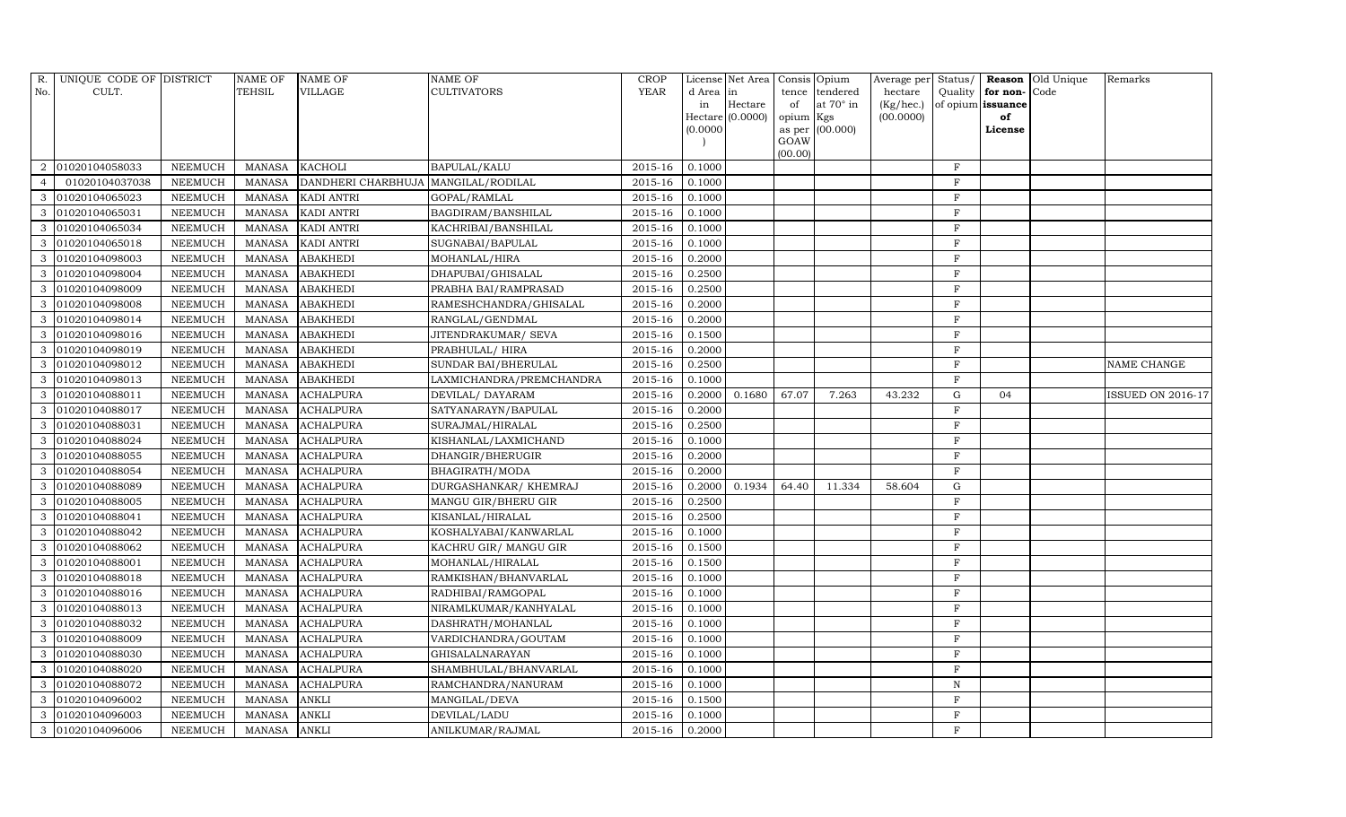| R.            | UNIQUE CODE OF DISTRICT |                | <b>NAME OF</b> | <b>NAME OF</b>                      | <b>NAME OF</b>           | <b>CROP</b> |           | License Net Area   | Consis Opium |                  | Average per Status/ |                |                   | Reason Old Unique | Remarks                  |
|---------------|-------------------------|----------------|----------------|-------------------------------------|--------------------------|-------------|-----------|--------------------|--------------|------------------|---------------------|----------------|-------------------|-------------------|--------------------------|
| No.           | CULT.                   |                | <b>TEHSIL</b>  | <b>VILLAGE</b>                      | <b>CULTIVATORS</b>       | YEAR        | d Area in |                    |              | tence tendered   | hectare             | Quality        | for non-Code      |                   |                          |
|               |                         |                |                |                                     |                          |             | in        | Hectare            | of           | at $70^\circ$ in | (Kg/hec.)           |                | of opium issuance |                   |                          |
|               |                         |                |                |                                     |                          |             |           | $Hectare$ (0.0000) | opium Kgs    |                  | (00.0000)           |                | of                |                   |                          |
|               |                         |                |                |                                     |                          |             | (0.0000)  |                    | GOAW         | as per (00.000)  |                     |                | License           |                   |                          |
|               |                         |                |                |                                     |                          |             |           |                    | (00.00)      |                  |                     |                |                   |                   |                          |
| 2             | 01020104058033          | <b>NEEMUCH</b> | <b>MANASA</b>  | <b>KACHOLI</b>                      | BAPULAL/KALU             | 2015-16     | 0.1000    |                    |              |                  |                     | $\rm F$        |                   |                   |                          |
|               | 01020104037038          | <b>NEEMUCH</b> | <b>MANASA</b>  | DANDHERI CHARBHUJA MANGILAL/RODILAL |                          | 2015-16     | 0.1000    |                    |              |                  |                     | $\mathbf{F}$   |                   |                   |                          |
| 3             | 01020104065023          | <b>NEEMUCH</b> | <b>MANASA</b>  | <b>KADI ANTRI</b>                   | GOPAL/RAMLAL             | 2015-16     | 0.1000    |                    |              |                  |                     | $\mathbf F$    |                   |                   |                          |
| 3             | 01020104065031          | <b>NEEMUCH</b> | <b>MANASA</b>  | <b>KADI ANTRI</b>                   | BAGDIRAM/BANSHILAL       | 2015-16     | 0.1000    |                    |              |                  |                     | $\mathbf{F}$   |                   |                   |                          |
| 3             | 01020104065034          | <b>NEEMUCH</b> | <b>MANASA</b>  | <b>KADI ANTRI</b>                   | KACHRIBAI/BANSHILAL      | 2015-16     | 0.1000    |                    |              |                  |                     | $\rm F$        |                   |                   |                          |
| 3             | 01020104065018          | <b>NEEMUCH</b> | <b>MANASA</b>  | <b>KADI ANTRI</b>                   | SUGNABAI/BAPULAL         | 2015-16     | 0.1000    |                    |              |                  |                     | $\mathbf F$    |                   |                   |                          |
| 3             | 01020104098003          | <b>NEEMUCH</b> | <b>MANASA</b>  | <b>ABAKHEDI</b>                     | MOHANLAL/HIRA            | 2015-16     | 0.2000    |                    |              |                  |                     | $\rm F$        |                   |                   |                          |
| $\mathcal{S}$ | 01020104098004          | <b>NEEMUCH</b> | <b>MANASA</b>  | <b>ABAKHEDI</b>                     | DHAPUBAI/GHISALAL        | $2015 - 16$ | 0.2500    |                    |              |                  |                     | $_{\rm F}$     |                   |                   |                          |
|               | 01020104098009          | <b>NEEMUCH</b> | <b>MANASA</b>  | <b>ABAKHEDI</b>                     | PRABHA BAI/RAMPRASAD     | 2015-16     | 0.2500    |                    |              |                  |                     | $\mathbf{F}$   |                   |                   |                          |
| 3             | 01020104098008          | <b>NEEMUCH</b> | <b>MANASA</b>  | ABAKHEDI                            | RAMESHCHANDRA/GHISALAL   | 2015-16     | 0.2000    |                    |              |                  |                     | $\rm F$        |                   |                   |                          |
| 3             | 01020104098014          | <b>NEEMUCH</b> | <b>MANASA</b>  | <b>ABAKHEDI</b>                     | RANGLAL/GENDMAL          | 2015-16     | 0.2000    |                    |              |                  |                     | $\mathbf F$    |                   |                   |                          |
| 3             | 01020104098016          | <b>NEEMUCH</b> | <b>MANASA</b>  | <b>ABAKHEDI</b>                     | JITENDRAKUMAR / SEVA     | 2015-16     | 0.1500    |                    |              |                  |                     | $\mathbf F$    |                   |                   |                          |
| $\mathcal{S}$ | 01020104098019          | <b>NEEMUCH</b> | <b>MANASA</b>  | ABAKHEDI                            | PRABHULAL/HIRA           | 2015-16     | 0.2000    |                    |              |                  |                     | F              |                   |                   |                          |
|               | 01020104098012          | <b>NEEMUCH</b> | <b>MANASA</b>  | <b>ABAKHEDI</b>                     | SUNDAR BAI/BHERULAL      | 2015-16     | 0.2500    |                    |              |                  |                     | $\mathbf{F}$   |                   |                   | NAME CHANGE              |
| $\mathcal{S}$ | 01020104098013          | <b>NEEMUCH</b> | <b>MANASA</b>  | <b>ABAKHEDI</b>                     | LAXMICHANDRA/PREMCHANDRA | 2015-16     | 0.1000    |                    |              |                  |                     | $\mathbf{F}$   |                   |                   |                          |
| $\mathcal{R}$ | 01020104088011          | <b>NEEMUCH</b> | <b>MANASA</b>  | ACHALPURA                           | DEVILAL/ DAYARAM         | 2015-16     | 0.2000    | 0.1680             | 67.07        | 7.263            | 43.232              | G              | 04                |                   | <b>ISSUED ON 2016-17</b> |
| 3             | 01020104088017          | <b>NEEMUCH</b> | <b>MANASA</b>  | <b>ACHALPURA</b>                    | SATYANARAYN/BAPULAL      | 2015-16     | 0.2000    |                    |              |                  |                     | $\mathbf F$    |                   |                   |                          |
| 3             | 01020104088031          | <b>NEEMUCH</b> | <b>MANASA</b>  | <b>ACHALPURA</b>                    | SURAJMAL/HIRALAL         | 2015-16     | 0.2500    |                    |              |                  |                     | F              |                   |                   |                          |
|               | 01020104088024          | <b>NEEMUCH</b> | <b>MANASA</b>  | <b>ACHALPURA</b>                    | KISHANLAL/LAXMICHAND     | 2015-16     | 0.1000    |                    |              |                  |                     | $\overline{F}$ |                   |                   |                          |
| $\mathcal{S}$ | 01020104088055          | <b>NEEMUCH</b> | <b>MANASA</b>  | ACHALPURA                           | DHANGIR/BHERUGIR         | 2015-16     | 0.2000    |                    |              |                  |                     | F              |                   |                   |                          |
| $\mathcal{S}$ | 01020104088054          | <b>NEEMUCH</b> | <b>MANASA</b>  | <b>ACHALPURA</b>                    | BHAGIRATH/MODA           | 2015-16     | 0.2000    |                    |              |                  |                     | $\mathbf{F}$   |                   |                   |                          |
| 3             | 01020104088089          | <b>NEEMUCH</b> | <b>MANASA</b>  | <b>ACHALPURA</b>                    | DURGASHANKAR/ KHEMRAJ    | 2015-16     | 0.2000    | 0.1934             | 64.40        | 11.334           | 58.604              | ${\rm G}$      |                   |                   |                          |
| 3             | 01020104088005          | <b>NEEMUCH</b> | <b>MANASA</b>  | ACHALPURA                           | MANGU GIR/BHERU GIR      | 2015-16     | 0.2500    |                    |              |                  |                     | $\mathbf F$    |                   |                   |                          |
| 3             | 01020104088041          | <b>NEEMUCH</b> | <b>MANASA</b>  | <b>ACHALPURA</b>                    | KISANLAL/HIRALAL         | 2015-16     | 0.2500    |                    |              |                  |                     | $\overline{F}$ |                   |                   |                          |
| $\mathcal{S}$ | 01020104088042          | <b>NEEMUCH</b> | <b>MANASA</b>  | <b>ACHALPURA</b>                    | KOSHALYABAI/KANWARLAL    | 2015-16     | 0.1000    |                    |              |                  |                     | $\mathbf F$    |                   |                   |                          |
| 3             | 01020104088062          | <b>NEEMUCH</b> | <b>MANASA</b>  | <b>ACHALPURA</b>                    | KACHRU GIR / MANGU GIR   | 2015-16     | 0.1500    |                    |              |                  |                     | $\mathbf{F}$   |                   |                   |                          |
| 3             | 01020104088001          | <b>NEEMUCH</b> | <b>MANASA</b>  | ACHALPURA                           | MOHANLAL/HIRALAL         | 2015-16     | 0.1500    |                    |              |                  |                     | $\mathbf F$    |                   |                   |                          |
| $\mathcal{S}$ | 01020104088018          | <b>NEEMUCH</b> | <b>MANASA</b>  | <b>ACHALPURA</b>                    | RAMKISHAN/BHANVARLAL     | 2015-16     | 0.1000    |                    |              |                  |                     | F              |                   |                   |                          |
|               | 01020104088016          | <b>NEEMUCH</b> | <b>MANASA</b>  | <b>ACHALPURA</b>                    | RADHIBAI/RAMGOPAL        | 2015-16     | 0.1000    |                    |              |                  |                     | $\overline{F}$ |                   |                   |                          |
| 3             | 01020104088013          | <b>NEEMUCH</b> | <b>MANASA</b>  | <b>ACHALPURA</b>                    | NIRAMLKUMAR/KANHYALAL    | 2015-16     | 0.1000    |                    |              |                  |                     | $\rm F$        |                   |                   |                          |
| 3             | 01020104088032          | <b>NEEMUCH</b> | <b>MANASA</b>  | <b>ACHALPURA</b>                    | DASHRATH/MOHANLAL        | 2015-16     | 0.1000    |                    |              |                  |                     | $\mathbf{F}$   |                   |                   |                          |
| $\mathcal{S}$ | 01020104088009          | <b>NEEMUCH</b> | <b>MANASA</b>  | <b>ACHALPURA</b>                    | VARDICHANDRA/GOUTAM      | 2015-16     | 0.1000    |                    |              |                  |                     | $\mathbf{F}$   |                   |                   |                          |
| 3             | 01020104088030          | <b>NEEMUCH</b> | <b>MANASA</b>  | ACHALPURA                           | <b>GHISALALNARAYAN</b>   | 2015-16     | 0.1000    |                    |              |                  |                     | $\mathbf F$    |                   |                   |                          |
| 3             | 01020104088020          | <b>NEEMUCH</b> | <b>MANASA</b>  | <b>ACHALPURA</b>                    | SHAMBHULAL/BHANVARLAL    | 2015-16     | 0.1000    |                    |              |                  |                     | $\mathbf{F}$   |                   |                   |                          |
| 3             | 01020104088072          | <b>NEEMUCH</b> | <b>MANASA</b>  | <b>ACHALPURA</b>                    | RAMCHANDRA/NANURAM       | 2015-16     | 0.1000    |                    |              |                  |                     | $\mathbf N$    |                   |                   |                          |
|               | 01020104096002          | <b>NEEMUCH</b> | <b>MANASA</b>  | ANKLI                               | MANGILAL/DEVA            | 2015-16     | 0.1500    |                    |              |                  |                     | $\mathbf{F}$   |                   |                   |                          |
| 3             | 01020104096003          | <b>NEEMUCH</b> | <b>MANASA</b>  | ANKLI                               | DEVILAL/LADU             | 2015-16     | 0.1000    |                    |              |                  |                     | $\mathbf{F}$   |                   |                   |                          |
|               | 3 01020104096006        | <b>NEEMUCH</b> | <b>MANASA</b>  | <b>ANKLI</b>                        | ANILKUMAR/RAJMAL         | 2015-16     | 0.2000    |                    |              |                  |                     | $\overline{F}$ |                   |                   |                          |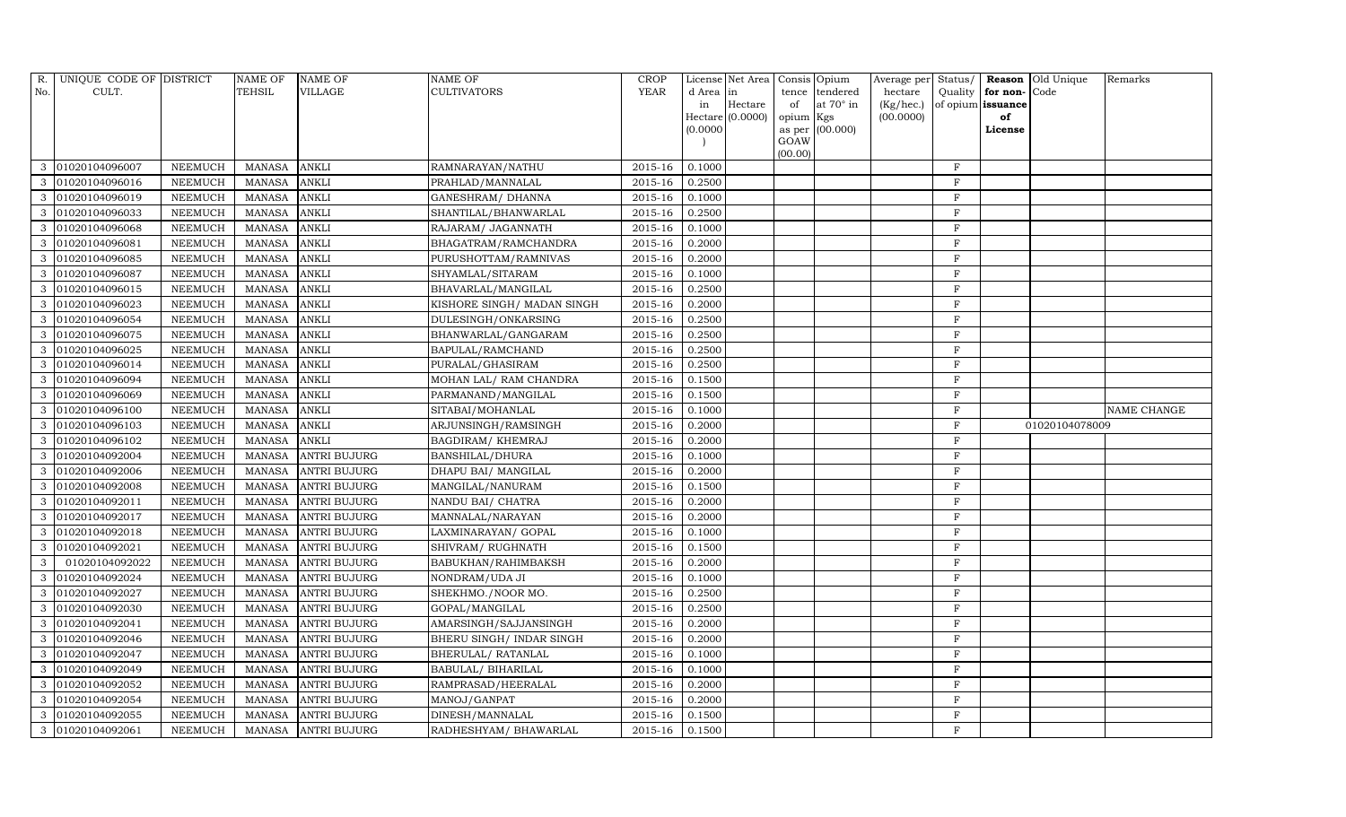| R.            | UNIQUE CODE OF DISTRICT |                | NAME OF       | <b>NAME OF</b>      | NAME OF                    | <b>CROP</b> |           | License Net Area   Consis   Opium |           |                  |           |              |                   | Average per Status/ Reason Old Unique | Remarks     |
|---------------|-------------------------|----------------|---------------|---------------------|----------------------------|-------------|-----------|-----------------------------------|-----------|------------------|-----------|--------------|-------------------|---------------------------------------|-------------|
| No.           | CULT.                   |                | TEHSIL        | <b>VILLAGE</b>      | <b>CULTIVATORS</b>         | YEAR        | d Area in |                                   | tence     | tendered         | hectare   |              | Quality for non-  | Code                                  |             |
|               |                         |                |               |                     |                            |             | in        | Hectare                           | of        | at $70^\circ$ in | (Kg/hec.) |              | of opium issuance |                                       |             |
|               |                         |                |               |                     |                            |             |           | Hectare (0.0000)                  | opium Kgs |                  | (00.0000) |              | of                |                                       |             |
|               |                         |                |               |                     |                            |             | (0.0000)  |                                   | GOAW      | as per (00.000)  |           |              | License           |                                       |             |
|               |                         |                |               |                     |                            |             |           |                                   | (00.00)   |                  |           |              |                   |                                       |             |
| 3             | 01020104096007          | <b>NEEMUCH</b> | MANASA        | <b>ANKLI</b>        | RAMNARAYAN/NATHU           | $2015 - 16$ | 0.1000    |                                   |           |                  |           | $\mathbf F$  |                   |                                       |             |
| $\mathcal{A}$ | 01020104096016          | <b>NEEMUCH</b> | <b>MANASA</b> | <b>ANKLI</b>        | PRAHLAD/MANNALAL           | 2015-16     | 0.2500    |                                   |           |                  |           | $\rm F$      |                   |                                       |             |
| 3             | 01020104096019          | <b>NEEMUCH</b> | <b>MANASA</b> | <b>ANKLI</b>        | GANESHRAM/ DHANNA          | 2015-16     | 0.1000    |                                   |           |                  |           | $\,$ F       |                   |                                       |             |
| 3             | 01020104096033          | <b>NEEMUCH</b> | <b>MANASA</b> | <b>ANKLI</b>        | SHANTILAL/BHANWARLAL       | 2015-16     | 0.2500    |                                   |           |                  |           | $\rm F$      |                   |                                       |             |
| 3             | 01020104096068          | <b>NEEMUCH</b> | <b>MANASA</b> | <b>ANKLI</b>        | RAJARAM / JAGANNATH        | 2015-16     | 0.1000    |                                   |           |                  |           | $\,$ F       |                   |                                       |             |
| 3             | 01020104096081          | <b>NEEMUCH</b> | <b>MANASA</b> | <b>ANKLI</b>        | BHAGATRAM/RAMCHANDRA       | 2015-16     | 0.2000    |                                   |           |                  |           | $\rm F$      |                   |                                       |             |
| 3             | 01020104096085          | <b>NEEMUCH</b> | <b>MANASA</b> | <b>ANKLI</b>        | PURUSHOTTAM/RAMNIVAS       | 2015-16     | 0.2000    |                                   |           |                  |           | $\mathbf F$  |                   |                                       |             |
| 3             | 01020104096087          | <b>NEEMUCH</b> | <b>MANASA</b> | <b>ANKLI</b>        | SHYAMLAL/SITARAM           | 2015-16     | 0.1000    |                                   |           |                  |           | $\mathbf{F}$ |                   |                                       |             |
| $\mathcal{R}$ | 01020104096015          | <b>NEEMUCH</b> | <b>MANASA</b> | <b>ANKLI</b>        | BHAVARLAL/MANGILAL         | 2015-16     | 0.2500    |                                   |           |                  |           | $\mathbf{F}$ |                   |                                       |             |
| 3             | 01020104096023          | <b>NEEMUCH</b> | <b>MANASA</b> | <b>ANKLI</b>        | KISHORE SINGH/ MADAN SINGH | 2015-16     | 0.2000    |                                   |           |                  |           | $\,$ F       |                   |                                       |             |
| 3             | 01020104096054          | <b>NEEMUCH</b> | <b>MANASA</b> | <b>ANKLI</b>        | DULESINGH/ONKARSING        | 2015-16     | 0.2500    |                                   |           |                  |           | $\rm F$      |                   |                                       |             |
| 3             | 01020104096075          | <b>NEEMUCH</b> | <b>MANASA</b> | <b>ANKLI</b>        | BHANWARLAL/GANGARAM        | 2015-16     | 0.2500    |                                   |           |                  |           | $\mathbf F$  |                   |                                       |             |
| 3             | 01020104096025          | <b>NEEMUCH</b> | <b>MANASA</b> | <b>ANKLI</b>        | BAPULAL/RAMCHAND           | 2015-16     | 0.2500    |                                   |           |                  |           | F            |                   |                                       |             |
| 3             | 01020104096014          | <b>NEEMUCH</b> | <b>MANASA</b> | <b>ANKLI</b>        | PURALAL/GHASIRAM           | 2015-16     | 0.2500    |                                   |           |                  |           | $\mathbf F$  |                   |                                       |             |
| 3             | 01020104096094          | <b>NEEMUCH</b> | <b>MANASA</b> | <b>ANKLI</b>        | MOHAN LAL/ RAM CHANDRA     | 2015-16     | 0.1500    |                                   |           |                  |           | $\mathbf{F}$ |                   |                                       |             |
| $\mathcal{S}$ | 01020104096069          | <b>NEEMUCH</b> | <b>MANASA</b> | <b>ANKLI</b>        | PARMANAND/MANGILAL         | 2015-16     | 0.1500    |                                   |           |                  |           | $\rm F$      |                   |                                       |             |
| 3             | 01020104096100          | <b>NEEMUCH</b> | <b>MANASA</b> | <b>ANKLI</b>        | SITABAI/MOHANLAL           | 2015-16     | 0.1000    |                                   |           |                  |           | $\rm F$      |                   |                                       | NAME CHANGE |
| 3             | 01020104096103          | <b>NEEMUCH</b> | <b>MANASA</b> | <b>ANKLI</b>        | ARJUNSINGH/RAMSINGH        | 2015-16     | 0.2000    |                                   |           |                  |           | $\rm F$      |                   | 01020104078009                        |             |
| 3             | 01020104096102          | <b>NEEMUCH</b> | <b>MANASA</b> | <b>ANKLI</b>        | BAGDIRAM/KHEMRAJ           | 2015-16     | 0.2000    |                                   |           |                  |           | $\rm F$      |                   |                                       |             |
| 3             | 01020104092004          | <b>NEEMUCH</b> | <b>MANASA</b> | <b>ANTRI BUJURG</b> | BANSHILAL/DHURA            | 2015-16     | 0.1000    |                                   |           |                  |           | $\rm F$      |                   |                                       |             |
| $\mathcal{B}$ | 01020104092006          | <b>NEEMUCH</b> | <b>MANASA</b> | <b>ANTRI BUJURG</b> | DHAPU BAI/ MANGILAL        | 2015-16     | 0.2000    |                                   |           |                  |           | $_{\rm F}$   |                   |                                       |             |
| 3             | 01020104092008          | <b>NEEMUCH</b> | <b>MANASA</b> | <b>ANTRI BUJURG</b> | MANGILAL/NANURAM           | 2015-16     | 0.1500    |                                   |           |                  |           | $\rm F$      |                   |                                       |             |
| 3             | 01020104092011          | <b>NEEMUCH</b> | <b>MANASA</b> | <b>ANTRI BUJURG</b> | NANDU BAI/ CHATRA          | 2015-16     | 0.2000    |                                   |           |                  |           | $\,$ F       |                   |                                       |             |
| 3             | 01020104092017          | <b>NEEMUCH</b> | <b>MANASA</b> | <b>ANTRI BUJURG</b> | MANNALAL/NARAYAN           | 2015-16     | 0.2000    |                                   |           |                  |           | $\,$ F       |                   |                                       |             |
| 3             | 01020104092018          | <b>NEEMUCH</b> | <b>MANASA</b> | <b>ANTRI BUJURG</b> | LAXMINARAYAN/ GOPAL        | 2015-16     | 0.1000    |                                   |           |                  |           | $\rm F$      |                   |                                       |             |
| 3             | 01020104092021          | <b>NEEMUCH</b> | <b>MANASA</b> | <b>ANTRI BUJURG</b> | SHIVRAM/ RUGHNATH          | 2015-16     | 0.1500    |                                   |           |                  |           | $\,$ F       |                   |                                       |             |
| 3             | 01020104092022          | <b>NEEMUCH</b> | <b>MANASA</b> | <b>ANTRI BUJURG</b> | BABUKHAN/RAHIMBAKSH        | 2015-16     | 0.2000    |                                   |           |                  |           | $\,$ F       |                   |                                       |             |
| 3             | 01020104092024          | <b>NEEMUCH</b> | <b>MANASA</b> | <b>ANTRI BUJURG</b> | NONDRAM/UDA JI             | 2015-16     | 0.1000    |                                   |           |                  |           | F            |                   |                                       |             |
| 3             | 01020104092027          | <b>NEEMUCH</b> | <b>MANASA</b> | <b>ANTRI BUJURG</b> | SHEKHMO./NOOR MO.          | 2015-16     | 0.2500    |                                   |           |                  |           | $\rm F$      |                   |                                       |             |
| 3             | 01020104092030          | <b>NEEMUCH</b> | MANASA        | <b>ANTRI BUJURG</b> | GOPAL/MANGILAL             | 2015-16     | 0.2500    |                                   |           |                  |           | $\,$ F       |                   |                                       |             |
| 3             | 01020104092041          | <b>NEEMUCH</b> | <b>MANASA</b> | <b>ANTRI BUJURG</b> | AMARSINGH/SAJJANSINGH      | 2015-16     | 0.2000    |                                   |           |                  |           | $\,$ F       |                   |                                       |             |
| 3             | 01020104092046          | <b>NEEMUCH</b> | <b>MANASA</b> | <b>ANTRI BUJURG</b> | BHERU SINGH / INDAR SINGH  | 2015-16     | 0.2000    |                                   |           |                  |           | $\,$ F       |                   |                                       |             |
| 3             | 01020104092047          | <b>NEEMUCH</b> | <b>MANASA</b> | <b>ANTRI BUJURG</b> | BHERULAL/ RATANLAL         | $2015 - 16$ | 0.1000    |                                   |           |                  |           | $\mathbf F$  |                   |                                       |             |
| 3             | 01020104092049          | <b>NEEMUCH</b> | <b>MANASA</b> | <b>ANTRI BUJURG</b> | BABULAL/ BIHARILAL         | 2015-16     | 0.1000    |                                   |           |                  |           | $\rm F$      |                   |                                       |             |
| 3             | 01020104092052          | <b>NEEMUCH</b> | <b>MANASA</b> | <b>ANTRI BUJURG</b> | RAMPRASAD/HEERALAL         | 2015-16     | 0.2000    |                                   |           |                  |           | $\,$ F       |                   |                                       |             |
| 3             | 01020104092054          | <b>NEEMUCH</b> | <b>MANASA</b> | <b>ANTRI BUJURG</b> | MANOJ/GANPAT               | 2015-16     | 0.2000    |                                   |           |                  |           | $\,$ F       |                   |                                       |             |
| 3             | 01020104092055          | <b>NEEMUCH</b> | <b>MANASA</b> | <b>ANTRI BUJURG</b> | DINESH/MANNALAL            | 2015-16     | 0.1500    |                                   |           |                  |           | $\,$ F       |                   |                                       |             |
| 3             | 01020104092061          | <b>NEEMUCH</b> |               | MANASA ANTRI BUJURG | RADHESHYAM / BHAWARLAL     | 2015-16     | 0.1500    |                                   |           |                  |           | $\mathbf{F}$ |                   |                                       |             |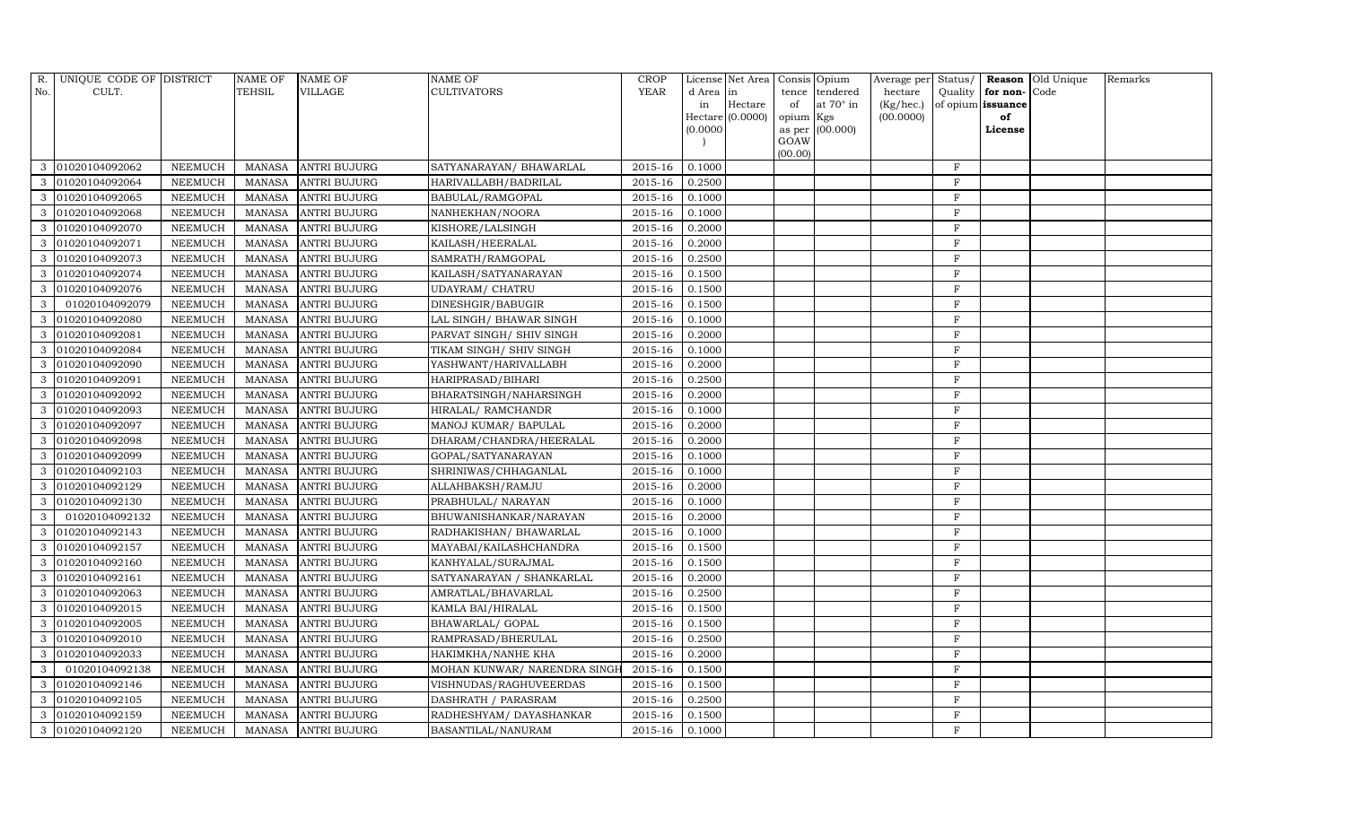| R.            | UNIQUE CODE OF DISTRICT |                | <b>NAME OF</b> | <b>NAME OF</b>      | <b>NAME OF</b>               | <b>CROP</b> |           | License Net Area   Consis   Opium |           |                   | Average per | Status/      |                   | Reason Old Unique | Remarks |
|---------------|-------------------------|----------------|----------------|---------------------|------------------------------|-------------|-----------|-----------------------------------|-----------|-------------------|-------------|--------------|-------------------|-------------------|---------|
| No.           | CULT.                   |                | TEHSIL         | <b>VILLAGE</b>      | <b>CULTIVATORS</b>           | YEAR        | d Area in |                                   |           | tence tendered    | hectare     | Quality      | for non-          | Code              |         |
|               |                         |                |                |                     |                              |             | in        | Hectare                           | of        | at $70^\circ$ in  | (Kg/hec.)   |              | of opium issuance |                   |         |
|               |                         |                |                |                     |                              |             |           | $Hectare$ (0.0000)                | opium Kgs |                   | (00.0000)   |              | of                |                   |         |
|               |                         |                |                |                     |                              |             | (0.0000)  |                                   | GOAW      | as per $(00.000)$ |             |              | License           |                   |         |
|               |                         |                |                |                     |                              |             |           |                                   | (00.00)   |                   |             |              |                   |                   |         |
| 3             | 01020104092062          | <b>NEEMUCH</b> | MANASA         | <b>ANTRI BUJURG</b> | SATYANARAYAN/ BHAWARLAL      | 2015-16     | 0.1000    |                                   |           |                   |             | $\rm F$      |                   |                   |         |
| 3             | 01020104092064          | <b>NEEMUCH</b> | <b>MANASA</b>  | <b>ANTRI BUJURG</b> | HARIVALLABH/BADRILAL         | 2015-16     | 0.2500    |                                   |           |                   |             | $\mathbf F$  |                   |                   |         |
| 3             | 01020104092065          | <b>NEEMUCH</b> | <b>MANASA</b>  | <b>ANTRI BUJURG</b> | BABULAL/RAMGOPAL             | $2015 - 16$ | 0.1000    |                                   |           |                   |             | F            |                   |                   |         |
|               | 01020104092068          | <b>NEEMUCH</b> | <b>MANASA</b>  | <b>ANTRI BUJURG</b> | NANHEKHAN/NOORA              | 2015-16     | 0.1000    |                                   |           |                   |             | $\rm F$      |                   |                   |         |
| 3             | 01020104092070          | <b>NEEMUCH</b> | <b>MANASA</b>  | <b>ANTRI BUJURG</b> | KISHORE/LALSINGH             | 2015-16     | 0.2000    |                                   |           |                   |             | $\mathbf F$  |                   |                   |         |
| 3             | 01020104092071          | <b>NEEMUCH</b> | <b>MANASA</b>  | <b>ANTRI BUJURG</b> | KAILASH/HEERALAL             | 2015-16     | 0.2000    |                                   |           |                   |             | $\rm F$      |                   |                   |         |
| 3             | 01020104092073          | <b>NEEMUCH</b> | <b>MANASA</b>  | <b>ANTRI BUJURG</b> | SAMRATH/RAMGOPAL             | 2015-16     | 0.2500    |                                   |           |                   |             | $\rm F$      |                   |                   |         |
| 3             | 01020104092074          | <b>NEEMUCH</b> | <b>MANASA</b>  | <b>ANTRI BUJURG</b> | KAILASH/SATYANARAYAN         | 2015-16     | 0.1500    |                                   |           |                   |             | F            |                   |                   |         |
|               | 01020104092076          | <b>NEEMUCH</b> | <b>MANASA</b>  | <b>ANTRI BUJURG</b> | UDAYRAM/ CHATRU              | 2015-16     | 0.1500    |                                   |           |                   |             | F            |                   |                   |         |
| 3             | 01020104092079          | <b>NEEMUCH</b> | <b>MANASA</b>  | <b>ANTRI BUJURG</b> | DINESHGIR/BABUGIR            | 2015-16     | 0.1500    |                                   |           |                   |             | $\mathbf{F}$ |                   |                   |         |
| 3             | 01020104092080          | <b>NEEMUCH</b> | <b>MANASA</b>  | <b>ANTRI BUJURG</b> | LAL SINGH/ BHAWAR SINGH      | 2015-16     | 0.1000    |                                   |           |                   |             | F            |                   |                   |         |
| 3             | 01020104092081          | <b>NEEMUCH</b> | <b>MANASA</b>  | <b>ANTRI BUJURG</b> | PARVAT SINGH/ SHIV SINGH     | 2015-16     | 0.2000    |                                   |           |                   |             | $\rm F$      |                   |                   |         |
| 3             | 01020104092084          | <b>NEEMUCH</b> | <b>MANASA</b>  | <b>ANTRI BUJURG</b> | TIKAM SINGH/ SHIV SINGH      | $2015 - 16$ | 0.1000    |                                   |           |                   |             | F            |                   |                   |         |
|               | 01020104092090          | <b>NEEMUCH</b> | <b>MANASA</b>  | <b>ANTRI BUJURG</b> | YASHWANT/HARIVALLABH         | 2015-16     | 0.2000    |                                   |           |                   |             | $\rm F$      |                   |                   |         |
| $\mathcal{S}$ | 01020104092091          | <b>NEEMUCH</b> | <b>MANASA</b>  | <b>ANTRI BUJURG</b> | HARIPRASAD/BIHARI            | 2015-16     | 0.2500    |                                   |           |                   |             | F            |                   |                   |         |
| 3             | 01020104092092          | <b>NEEMUCH</b> | <b>MANASA</b>  | <b>ANTRI BUJURG</b> | BHARATSINGH/NAHARSINGH       | 2015-16     | 0.2000    |                                   |           |                   |             | $\rm F$      |                   |                   |         |
| 3             | 01020104092093          | <b>NEEMUCH</b> | <b>MANASA</b>  | <b>ANTRI BUJURG</b> | HIRALAL/ RAMCHANDR           | 2015-16     | 0.1000    |                                   |           |                   |             | $\mathbf F$  |                   |                   |         |
| $\mathcal{S}$ | 01020104092097          | <b>NEEMUCH</b> | <b>MANASA</b>  | <b>ANTRI BUJURG</b> | MANOJ KUMAR/ BAPULAL         | 2015-16     | 0.2000    |                                   |           |                   |             | F            |                   |                   |         |
| 3             | 01020104092098          | <b>NEEMUCH</b> | <b>MANASA</b>  | <b>ANTRI BUJURG</b> | DHARAM/CHANDRA/HEERALAL      | 2015-16     | 0.2000    |                                   |           |                   |             | $\rm F$      |                   |                   |         |
| 3             | 01020104092099          | <b>NEEMUCH</b> | <b>MANASA</b>  | <b>ANTRI BUJURG</b> | GOPAL/SATYANARAYAN           | 2015-16     | 0.1000    |                                   |           |                   |             | F            |                   |                   |         |
| 3             | 01020104092103          | <b>NEEMUCH</b> | <b>MANASA</b>  | <b>ANTRI BUJURG</b> | SHRINIWAS/CHHAGANLAL         | 2015-16     | 0.1000    |                                   |           |                   |             | $\rm F$      |                   |                   |         |
| 3             | 01020104092129          | <b>NEEMUCH</b> | <b>MANASA</b>  | <b>ANTRI BUJURG</b> | ALLAHBAKSH/RAMJU             | 2015-16     | 0.2000    |                                   |           |                   |             | $\rm F$      |                   |                   |         |
| 3             | 01020104092130          | <b>NEEMUCH</b> | <b>MANASA</b>  | <b>ANTRI BUJURG</b> | PRABHULAL/ NARAYAN           | 2015-16     | 0.1000    |                                   |           |                   |             | $\rm F$      |                   |                   |         |
| 3             | 01020104092132          | <b>NEEMUCH</b> | <b>MANASA</b>  | <b>ANTRI BUJURG</b> | BHUWANISHANKAR/NARAYAN       | 2015-16     | 0.2000    |                                   |           |                   |             | $\mathbf F$  |                   |                   |         |
| 3             | 01020104092143          | <b>NEEMUCH</b> | <b>MANASA</b>  | <b>ANTRI BUJURG</b> | RADHAKISHAN/ BHAWARLAL       | $2015 - 16$ | 0.1000    |                                   |           |                   |             | F            |                   |                   |         |
|               | 01020104092157          | <b>NEEMUCH</b> | <b>MANASA</b>  | <b>ANTRI BUJURG</b> | MAYABAI/KAILASHCHANDRA       | 2015-16     | 0.1500    |                                   |           |                   |             | $\rm F$      |                   |                   |         |
| 3             | 01020104092160          | <b>NEEMUCH</b> | <b>MANASA</b>  | <b>ANTRI BUJURG</b> | KANHYALAL/SURAJMAL           | 2015-16     | 0.1500    |                                   |           |                   |             | $\mathbf F$  |                   |                   |         |
| 3             | 01020104092161          | <b>NEEMUCH</b> | <b>MANASA</b>  | <b>ANTRI BUJURG</b> | SATYANARAYAN / SHANKARLAL    | 2015-16     | 0.2000    |                                   |           |                   |             | F            |                   |                   |         |
| 3             | 01020104092063          | <b>NEEMUCH</b> | <b>MANASA</b>  | <b>ANTRI BUJURG</b> | AMRATLAL/BHAVARLAL           | 2015-16     | 0.2500    |                                   |           |                   |             | $\rm F$      |                   |                   |         |
| 3             | 01020104092015          | <b>NEEMUCH</b> | <b>MANASA</b>  | <b>ANTRI BUJURG</b> | KAMLA BAI/HIRALAL            | 2015-16     | 0.1500    |                                   |           |                   |             | F            |                   |                   |         |
|               | 01020104092005          | <b>NEEMUCH</b> | <b>MANASA</b>  | <b>ANTRI BUJURG</b> | BHAWARLAL/ GOPAL             | 2015-16     | 0.1500    |                                   |           |                   |             | F            |                   |                   |         |
| $\mathcal{S}$ | 01020104092010          | <b>NEEMUCH</b> | <b>MANASA</b>  | <b>ANTRI BUJURG</b> | RAMPRASAD/BHERULAL           | 2015-16     | 0.2500    |                                   |           |                   |             | $\mathbf{F}$ |                   |                   |         |
| 3             | 01020104092033          | <b>NEEMUCH</b> | <b>MANASA</b>  | <b>ANTRI BUJURG</b> | HAKIMKHA/NANHE KHA           | 2015-16     | 0.2000    |                                   |           |                   |             | F            |                   |                   |         |
| 3             | 01020104092138          | <b>NEEMUCH</b> | <b>MANASA</b>  | <b>ANTRI BUJURG</b> | MOHAN KUNWAR/ NARENDRA SINGF | 2015-16     | 0.1500    |                                   |           |                   |             | $\rm F$      |                   |                   |         |
| 3             | 01020104092146          | <b>NEEMUCH</b> | <b>MANASA</b>  | <b>ANTRI BUJURG</b> | VISHNUDAS/RAGHUVEERDAS       | 2015-16     | 0.1500    |                                   |           |                   |             | F            |                   |                   |         |
|               | 01020104092105          | <b>NEEMUCH</b> | <b>MANASA</b>  | <b>ANTRI BUJURG</b> | DASHRATH / PARASRAM          | 2015-16     | 0.2500    |                                   |           |                   |             | $\mathbf F$  |                   |                   |         |
| 3             | 01020104092159          | <b>NEEMUCH</b> | <b>MANASA</b>  | <b>ANTRI BUJURG</b> | RADHESHYAM / DAYASHANKAR     | 2015-16     | 0.1500    |                                   |           |                   |             | $\mathbf{F}$ |                   |                   |         |
| 3             | 01020104092120          | <b>NEEMUCH</b> | MANASA         | <b>ANTRI BUJURG</b> | BASANTILAL/NANURAM           | 2015-16     | 0.1000    |                                   |           |                   |             | $_{\rm F}$   |                   |                   |         |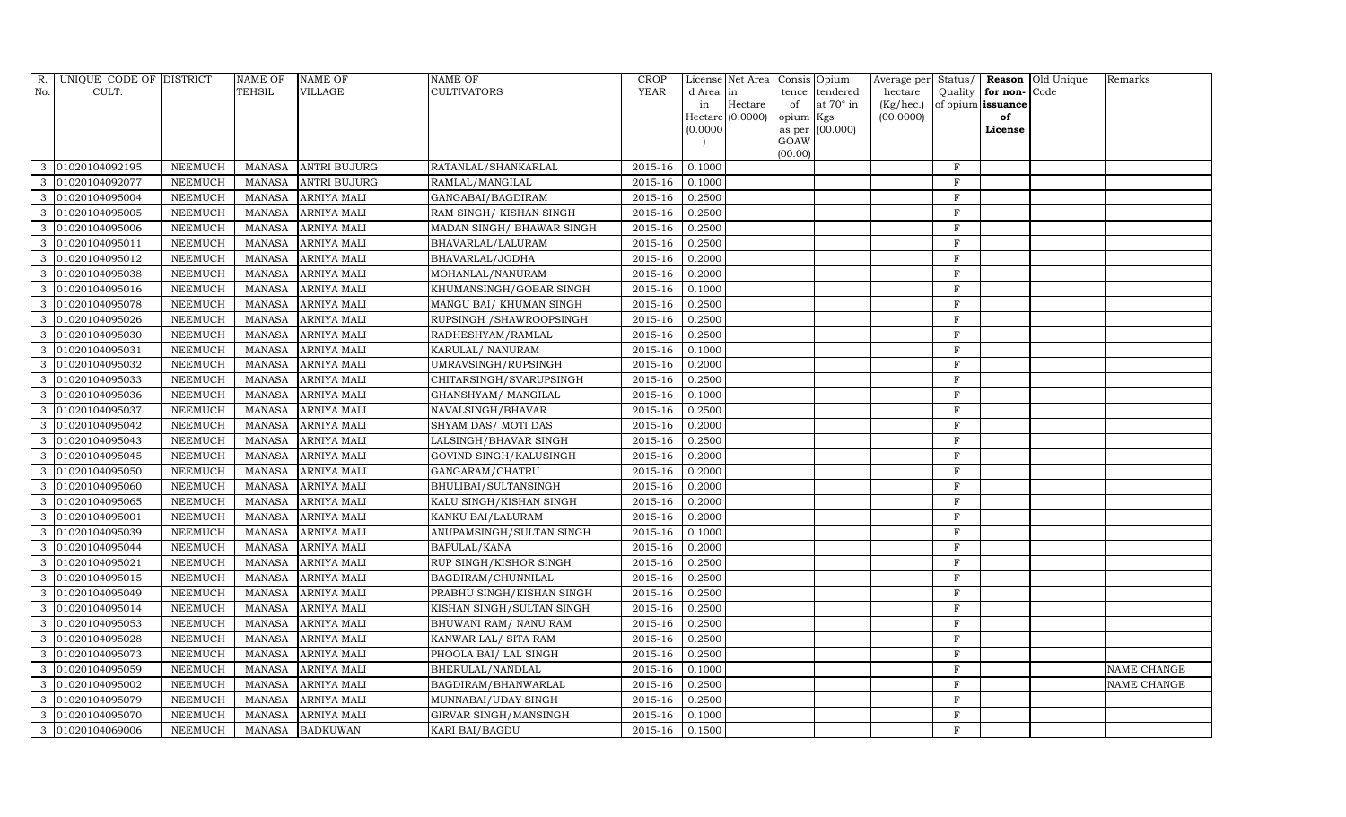| R.            | UNIQUE CODE OF DISTRICT |                | <b>NAME OF</b> | <b>NAME OF</b>      | <b>NAME OF</b>            | <b>CROP</b> |           | License Net Area   Consis   Opium |           |                  | Average per | Status/      |                   | Reason Old Unique | Remarks            |
|---------------|-------------------------|----------------|----------------|---------------------|---------------------------|-------------|-----------|-----------------------------------|-----------|------------------|-------------|--------------|-------------------|-------------------|--------------------|
| No.           | CULT.                   |                | TEHSIL         | <b>VILLAGE</b>      | <b>CULTIVATORS</b>        | YEAR        | d Area in |                                   |           | tence tendered   | hectare     | Quality      | for non-          | Code              |                    |
|               |                         |                |                |                     |                           |             | in        | Hectare                           | of        | at $70^\circ$ in | (Kg/hec.)   |              | of opium issuance |                   |                    |
|               |                         |                |                |                     |                           |             |           | $Hectare$ (0.0000)                | opium Kgs |                  | (00.0000)   |              | of                |                   |                    |
|               |                         |                |                |                     |                           |             | (0.0000)  |                                   | GOAW      | as per (00.000)  |             |              | License           |                   |                    |
|               |                         |                |                |                     |                           |             |           |                                   | (00.00)   |                  |             |              |                   |                   |                    |
| $\mathcal{S}$ | 01020104092195          | <b>NEEMUCH</b> | <b>MANASA</b>  | <b>ANTRI BUJURG</b> | RATANLAL/SHANKARLAL       | 2015-16     | 0.1000    |                                   |           |                  |             | $\rm F$      |                   |                   |                    |
|               | 01020104092077          | <b>NEEMUCH</b> | <b>MANASA</b>  | <b>ANTRI BUJURG</b> | RAMLAL/MANGILAL           | 2015-16     | 0.1000    |                                   |           |                  |             | $\mathbf F$  |                   |                   |                    |
| 3             | 01020104095004          | <b>NEEMUCH</b> | <b>MANASA</b>  | <b>ARNIYA MALI</b>  | GANGABAI/BAGDIRAM         | $2015 - 16$ | 0.2500    |                                   |           |                  |             | $\mathbf{F}$ |                   |                   |                    |
|               | 01020104095005          | <b>NEEMUCH</b> | <b>MANASA</b>  | <b>ARNIYA MALI</b>  | RAM SINGH/ KISHAN SINGH   | 2015-16     | 0.2500    |                                   |           |                  |             | $\rm F$      |                   |                   |                    |
| 3             | 01020104095006          | <b>NEEMUCH</b> | <b>MANASA</b>  | <b>ARNIYA MALI</b>  | MADAN SINGH/ BHAWAR SINGH | 2015-16     | 0.2500    |                                   |           |                  |             | $\mathbf F$  |                   |                   |                    |
| 3             | 01020104095011          | <b>NEEMUCH</b> | <b>MANASA</b>  | <b>ARNIYA MALI</b>  | BHAVARLAL/LALURAM         | 2015-16     | 0.2500    |                                   |           |                  |             | $\rm F$      |                   |                   |                    |
| 3             | 01020104095012          | <b>NEEMUCH</b> | <b>MANASA</b>  | <b>ARNIYA MALI</b>  | BHAVARLAL/JODHA           | 2015-16     | 0.2000    |                                   |           |                  |             | $\rm F$      |                   |                   |                    |
| 3             | 01020104095038          | <b>NEEMUCH</b> | <b>MANASA</b>  | <b>ARNIYA MALI</b>  | MOHANLAL/NANURAM          | 2015-16     | 0.2000    |                                   |           |                  |             | F            |                   |                   |                    |
|               | 01020104095016          | <b>NEEMUCH</b> | <b>MANASA</b>  | ARNIYA MALI         | KHUMANSINGH/GOBAR SINGH   | 2015-16     | 0.1000    |                                   |           |                  |             | F            |                   |                   |                    |
| $\mathcal{S}$ | 01020104095078          | <b>NEEMUCH</b> | <b>MANASA</b>  | ARNIYA MALI         | MANGU BAI/ KHUMAN SINGH   | 2015-16     | 0.2500    |                                   |           |                  |             | $\mathbf{F}$ |                   |                   |                    |
| $\mathcal{S}$ | 01020104095026          | <b>NEEMUCH</b> | <b>MANASA</b>  | <b>ARNIYA MALI</b>  | RUPSINGH / SHAWROOPSINGH  | 2015-16     | 0.2500    |                                   |           |                  |             | F            |                   |                   |                    |
| 3             | 01020104095030          | <b>NEEMUCH</b> | <b>MANASA</b>  | <b>ARNIYA MALI</b>  | RADHESHYAM/RAMLAL         | 2015-16     | 0.2500    |                                   |           |                  |             | $\rm F$      |                   |                   |                    |
| 3             | 01020104095031          | <b>NEEMUCH</b> | <b>MANASA</b>  | <b>ARNIYA MALI</b>  | KARULAL/ NANURAM          | 2015-16     | 0.1000    |                                   |           |                  |             | F            |                   |                   |                    |
|               | 01020104095032          | <b>NEEMUCH</b> | <b>MANASA</b>  | <b>ARNIYA MALI</b>  | UMRAVSINGH/RUPSINGH       | 2015-16     | 0.2000    |                                   |           |                  |             | $\rm F$      |                   |                   |                    |
| 3             | 01020104095033          | <b>NEEMUCH</b> | <b>MANASA</b>  | <b>ARNIYA MALI</b>  | CHITARSINGH/SVARUPSINGH   | 2015-16     | 0.2500    |                                   |           |                  |             | F            |                   |                   |                    |
|               | 01020104095036          | <b>NEEMUCH</b> | <b>MANASA</b>  | ARNIYA MALI         | GHANSHYAM/ MANGILAL       | 2015-16     | 0.1000    |                                   |           |                  |             | F            |                   |                   |                    |
| 3             | 01020104095037          | <b>NEEMUCH</b> | <b>MANASA</b>  | ARNIYA MALI         | NAVALSINGH/BHAVAR         | 2015-16     | 0.2500    |                                   |           |                  |             | $\mathbf F$  |                   |                   |                    |
| $\mathcal{S}$ | 01020104095042          | <b>NEEMUCH</b> | <b>MANASA</b>  | <b>ARNIYA MALI</b>  | SHYAM DAS/ MOTI DAS       | 2015-16     | 0.2000    |                                   |           |                  |             | F            |                   |                   |                    |
| 3             | 01020104095043          | <b>NEEMUCH</b> | <b>MANASA</b>  | <b>ARNIYA MALI</b>  | LALSINGH/BHAVAR SINGH     | 2015-16     | 0.2500    |                                   |           |                  |             | $\rm F$      |                   |                   |                    |
| 3             | 01020104095045          | <b>NEEMUCH</b> | <b>MANASA</b>  | ARNIYA MALI         | GOVIND SINGH/KALUSINGH    | 2015-16     | 0.2000    |                                   |           |                  |             | $\mathbf{F}$ |                   |                   |                    |
|               | 01020104095050          | <b>NEEMUCH</b> | <b>MANASA</b>  | <b>ARNIYA MALI</b>  | GANGARAM/CHATRU           | 2015-16     | 0.2000    |                                   |           |                  |             | $\rm F$      |                   |                   |                    |
| $\mathcal{S}$ | 01020104095060          | <b>NEEMUCH</b> | <b>MANASA</b>  | <b>ARNIYA MALI</b>  | BHULIBAI/SULTANSINGH      | 2015-16     | 0.2000    |                                   |           |                  |             | $\rm F$      |                   |                   |                    |
| 3             | 01020104095065          | <b>NEEMUCH</b> | <b>MANASA</b>  | ARNIYA MALI         | KALU SINGH/KISHAN SINGH   | 2015-16     | 0.2000    |                                   |           |                  |             | $\rm F$      |                   |                   |                    |
| 3             | 01020104095001          | <b>NEEMUCH</b> | <b>MANASA</b>  | ARNIYA MALI         | KANKU BAI/LALURAM         | 2015-16     | 0.2000    |                                   |           |                  |             | $\mathbf F$  |                   |                   |                    |
| 3             | 01020104095039          | <b>NEEMUCH</b> | <b>MANASA</b>  | <b>ARNIYA MALI</b>  | ANUPAMSINGH/SULTAN SINGH  | $2015 - 16$ | 0.1000    |                                   |           |                  |             | F            |                   |                   |                    |
|               | 01020104095044          | <b>NEEMUCH</b> | <b>MANASA</b>  | <b>ARNIYA MALI</b>  | BAPULAL/KANA              | 2015-16     | 0.2000    |                                   |           |                  |             | $\mathbf F$  |                   |                   |                    |
| 3             | 01020104095021          | <b>NEEMUCH</b> | <b>MANASA</b>  | ARNIYA MALI         | RUP SINGH/KISHOR SINGH    | 2015-16     | 0.2500    |                                   |           |                  |             | $\mathbf F$  |                   |                   |                    |
| 3             | 01020104095015          | <b>NEEMUCH</b> | <b>MANASA</b>  | <b>ARNIYA MALI</b>  | BAGDIRAM/CHUNNILAL        | 2015-16     | 0.2500    |                                   |           |                  |             | F            |                   |                   |                    |
| 3             | 01020104095049          | <b>NEEMUCH</b> | <b>MANASA</b>  | ARNIYA MALI         | PRABHU SINGH/KISHAN SINGH | 2015-16     | 0.2500    |                                   |           |                  |             | $\rm F$      |                   |                   |                    |
| 3             | 01020104095014          | <b>NEEMUCH</b> | <b>MANASA</b>  | ARNIYA MALI         | KISHAN SINGH/SULTAN SINGH | 2015-16     | 0.2500    |                                   |           |                  |             | F            |                   |                   |                    |
|               | 01020104095053          | <b>NEEMUCH</b> | <b>MANASA</b>  | <b>ARNIYA MALI</b>  | BHUWANI RAM/ NANU RAM     | 2015-16     | 0.2500    |                                   |           |                  |             | F            |                   |                   |                    |
| $\mathcal{S}$ | 01020104095028          | <b>NEEMUCH</b> | <b>MANASA</b>  | ARNIYA MALI         | KANWAR LAL/ SITA RAM      | 2015-16     | 0.2500    |                                   |           |                  |             | $\mathbf{F}$ |                   |                   |                    |
| 3             | 01020104095073          | <b>NEEMUCH</b> | <b>MANASA</b>  | <b>ARNIYA MALI</b>  | PHOOLA BAI/ LAL SINGH     | 2015-16     | 0.2500    |                                   |           |                  |             | F            |                   |                   |                    |
| 3             | 01020104095059          | <b>NEEMUCH</b> | <b>MANASA</b>  | <b>ARNIYA MALI</b>  | BHERULAL/NANDLAL          | 2015-16     | 0.1000    |                                   |           |                  |             | $\rm F$      |                   |                   | NAME CHANGE        |
| 3             | 01020104095002          | <b>NEEMUCH</b> | <b>MANASA</b>  | <b>ARNIYA MALI</b>  | BAGDIRAM/BHANWARLAL       | 2015-16     | 0.2500    |                                   |           |                  |             | F            |                   |                   | <b>NAME CHANGE</b> |
|               | 01020104095079          | <b>NEEMUCH</b> | <b>MANASA</b>  | ARNIYA MALI         | MUNNABAI/UDAY SINGH       | 2015-16     | 0.2500    |                                   |           |                  |             | $\mathbf F$  |                   |                   |                    |
| $\mathcal{S}$ | 01020104095070          | <b>NEEMUCH</b> | <b>MANASA</b>  | ARNIYA MALI         | GIRVAR SINGH/MANSINGH     | 2015-16     | 0.1000    |                                   |           |                  |             | $\mathbf{F}$ |                   |                   |                    |
| 3             | 01020104069006          | <b>NEEMUCH</b> | <b>MANASA</b>  | <b>BADKUWAN</b>     | <b>KARI BAI/BAGDU</b>     | 2015-16     | 0.1500    |                                   |           |                  |             | F            |                   |                   |                    |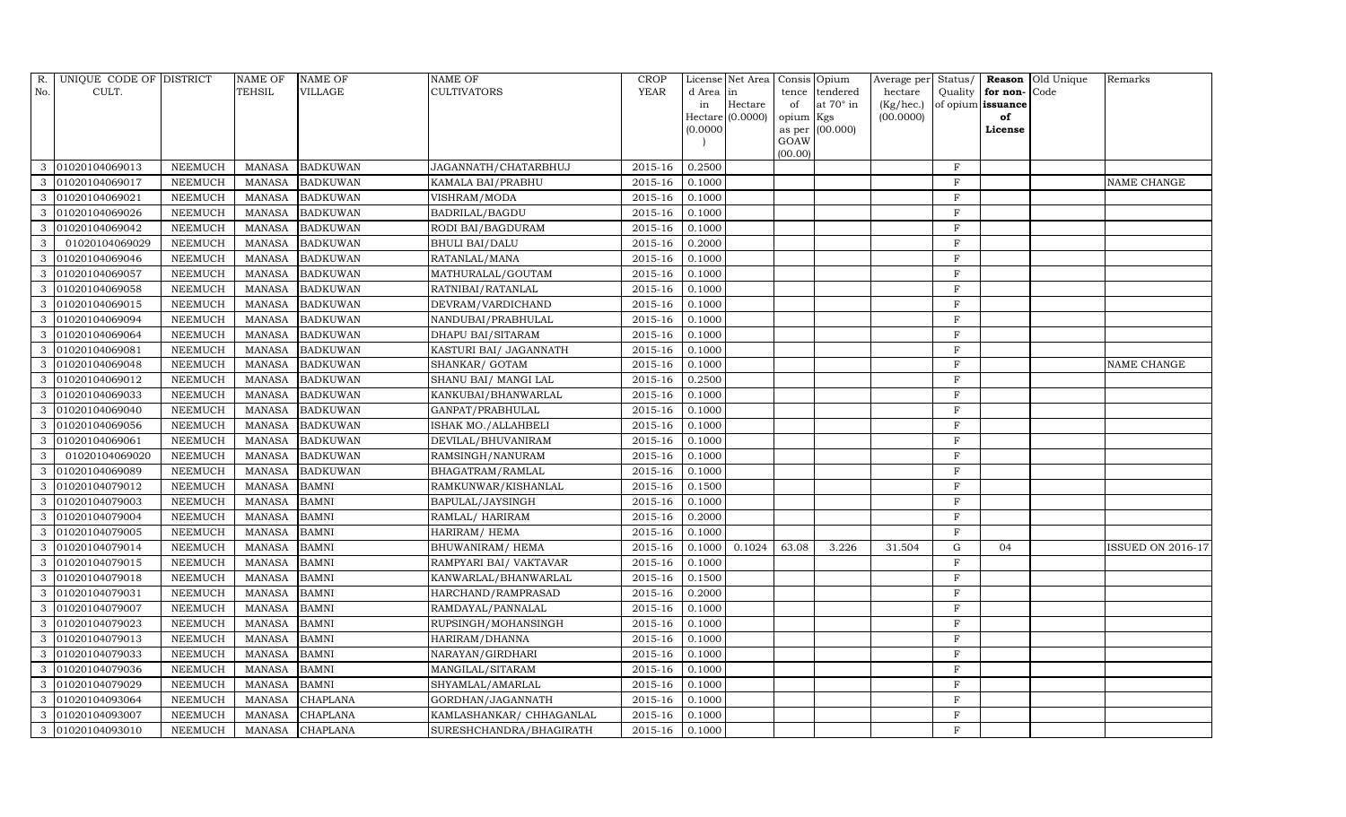| R.            | UNIQUE CODE OF DISTRICT |                | <b>NAME OF</b> | <b>NAME OF</b>  | <b>NAME OF</b>           | <b>CROP</b> |           | License Net Area | Consis Opium |                 | Average per Status/ |                | <b>Reason</b>     | Old Unique | Remarks                  |
|---------------|-------------------------|----------------|----------------|-----------------|--------------------------|-------------|-----------|------------------|--------------|-----------------|---------------------|----------------|-------------------|------------|--------------------------|
| No.           | CULT.                   |                | TEHSIL         | VILLAGE         | <b>CULTIVATORS</b>       | YEAR        | d Area in |                  |              | tence tendered  | hectare             |                | Quality for non-  | Code       |                          |
|               |                         |                |                |                 |                          |             | in        | Hectare          | of           | at 70° in       | (Kg/hec.)           |                | of opium issuance |            |                          |
|               |                         |                |                |                 |                          |             | (0.0000)  | Hectare (0.0000) | opium Kgs    | as per (00.000) | (00.0000)           |                | of<br>License     |            |                          |
|               |                         |                |                |                 |                          |             |           |                  | GOAW         |                 |                     |                |                   |            |                          |
|               |                         |                |                |                 |                          |             |           |                  | (00.00)      |                 |                     |                |                   |            |                          |
| 3             | 01020104069013          | <b>NEEMUCH</b> | <b>MANASA</b>  | <b>BADKUWAN</b> | JAGANNATH/CHATARBHUJ     | 2015-16     | 0.2500    |                  |              |                 |                     | $\rm F$        |                   |            |                          |
|               | 01020104069017          | <b>NEEMUCH</b> | <b>MANASA</b>  | <b>BADKUWAN</b> | KAMALA BAI/PRABHU        | 2015-16     | 0.1000    |                  |              |                 |                     | $\rm F$        |                   |            | <b>NAME CHANGE</b>       |
| $\mathcal{S}$ | 01020104069021          | <b>NEEMUCH</b> | <b>MANASA</b>  | <b>BADKUWAN</b> | VISHRAM/MODA             | 2015-16     | 0.1000    |                  |              |                 |                     | F              |                   |            |                          |
| $\mathcal{S}$ | 01020104069026          | <b>NEEMUCH</b> | <b>MANASA</b>  | <b>BADKUWAN</b> | BADRILAL/BAGDU           | 2015-16     | 0.1000    |                  |              |                 |                     | $_{\rm F}$     |                   |            |                          |
| 3             | 01020104069042          | <b>NEEMUCH</b> | <b>MANASA</b>  | <b>BADKUWAN</b> | RODI BAI/BAGDURAM        | 2015-16     | 0.1000    |                  |              |                 |                     | $\rm F$        |                   |            |                          |
| 3             | 01020104069029          | <b>NEEMUCH</b> | <b>MANASA</b>  | <b>BADKUWAN</b> | <b>BHULI BAI/DALU</b>    | 2015-16     | 0.2000    |                  |              |                 |                     | $\rm F$        |                   |            |                          |
| 3             | 01020104069046          | <b>NEEMUCH</b> | <b>MANASA</b>  | <b>BADKUWAN</b> | RATANLAL/MANA            | 2015-16     | 0.1000    |                  |              |                 |                     | $\mathbf F$    |                   |            |                          |
| $\mathcal{S}$ | 01020104069057          | <b>NEEMUCH</b> | <b>MANASA</b>  | <b>BADKUWAN</b> | MATHURALAL/GOUTAM        | 2015-16     | 0.1000    |                  |              |                 |                     | $\rm F$        |                   |            |                          |
|               | 01020104069058          | <b>NEEMUCH</b> | <b>MANASA</b>  | <b>BADKUWAN</b> | RATNIBAI/RATANLAL        | 2015-16     | 0.1000    |                  |              |                 |                     | $\rm F$        |                   |            |                          |
| 3             | 01020104069015          | <b>NEEMUCH</b> | <b>MANASA</b>  | <b>BADKUWAN</b> | DEVRAM/VARDICHAND        | 2015-16     | 0.1000    |                  |              |                 |                     | $\mathbf F$    |                   |            |                          |
| $\mathcal{S}$ | 01020104069094          | <b>NEEMUCH</b> | <b>MANASA</b>  | <b>BADKUWAN</b> | NANDUBAI/PRABHULAL       | 2015-16     | 0.1000    |                  |              |                 |                     | $\rm F$        |                   |            |                          |
| 3             | 01020104069064          | <b>NEEMUCH</b> | <b>MANASA</b>  | <b>BADKUWAN</b> | DHAPU BAI/SITARAM        | 2015-16     | 0.1000    |                  |              |                 |                     | $\mathbf F$    |                   |            |                          |
| 3             | 01020104069081          | <b>NEEMUCH</b> | <b>MANASA</b>  | <b>BADKUWAN</b> | KASTURI BAI/ JAGANNATH   | 2015-16     | 0.1000    |                  |              |                 |                     | $\rm F$        |                   |            |                          |
|               | 01020104069048          | <b>NEEMUCH</b> | <b>MANASA</b>  | <b>BADKUWAN</b> | SHANKAR/ GOTAM           | 2015-16     | 0.1000    |                  |              |                 |                     | $\mathbf F$    |                   |            | <b>NAME CHANGE</b>       |
| 3             | 01020104069012          | <b>NEEMUCH</b> | <b>MANASA</b>  | <b>BADKUWAN</b> | SHANU BAI/ MANGI LAL     | 2015-16     | 0.2500    |                  |              |                 |                     | $\rm F$        |                   |            |                          |
| 3             | 01020104069033          | <b>NEEMUCH</b> | <b>MANASA</b>  | <b>BADKUWAN</b> | KANKUBAI/BHANWARLAL      | 2015-16     | 0.1000    |                  |              |                 |                     | $\rm F$        |                   |            |                          |
| 3             | 01020104069040          | <b>NEEMUCH</b> | <b>MANASA</b>  | <b>BADKUWAN</b> | GANPAT/PRABHULAL         | 2015-16     | 0.1000    |                  |              |                 |                     | $\mathbf{F}$   |                   |            |                          |
| $\mathcal{S}$ | 01020104069056          | <b>NEEMUCH</b> | <b>MANASA</b>  | <b>BADKUWAN</b> | ISHAK MO./ALLAHBELI      | $2015 - 16$ | 0.1000    |                  |              |                 |                     | F              |                   |            |                          |
|               | 01020104069061          | <b>NEEMUCH</b> | <b>MANASA</b>  | <b>BADKUWAN</b> | DEVILAL/BHUVANIRAM       | 2015-16     | 0.1000    |                  |              |                 |                     | $\rm F$        |                   |            |                          |
| 3             | 01020104069020          | <b>NEEMUCH</b> | <b>MANASA</b>  | <b>BADKUWAN</b> | RAMSINGH/NANURAM         | 2015-16     | 0.1000    |                  |              |                 |                     | $\rm F$        |                   |            |                          |
| 3             | 01020104069089          | <b>NEEMUCH</b> | <b>MANASA</b>  | <b>BADKUWAN</b> | BHAGATRAM/RAMLAL         | 2015-16     | 0.1000    |                  |              |                 |                     | $\mathbf{F}$   |                   |            |                          |
| 3             | 01020104079012          | <b>NEEMUCH</b> | <b>MANASA</b>  | <b>BAMNI</b>    | RAMKUNWAR/KISHANLAL      | 2015-16     | 0.1500    |                  |              |                 |                     | $\overline{F}$ |                   |            |                          |
| 3             | 01020104079003          | <b>NEEMUCH</b> | <b>MANASA</b>  | <b>BAMNI</b>    | BAPULAL/JAYSINGH         | 2015-16     | 0.1000    |                  |              |                 |                     | $\rm F$        |                   |            |                          |
|               | 01020104079004          | <b>NEEMUCH</b> | <b>MANASA</b>  | <b>BAMNI</b>    | RAMLAL/ HARIRAM          | $2015 - 16$ | 0.2000    |                  |              |                 |                     | $\rm F$        |                   |            |                          |
| $\mathcal{S}$ | 01020104079005          | <b>NEEMUCH</b> | <b>MANASA</b>  | <b>BAMNI</b>    | HARIRAM/ HEMA            | 2015-16     | 0.1000    |                  |              |                 |                     | F              |                   |            |                          |
| 3             | 01020104079014          | <b>NEEMUCH</b> | <b>MANASA</b>  | <b>BAMNI</b>    | BHUWANIRAM/ HEMA         | 2015-16     | 0.1000    | 0.1024           | 63.08        | 3.226           | 31.504              | G              | 04                |            | <b>ISSUED ON 2016-17</b> |
| 3             | 01020104079015          | <b>NEEMUCH</b> | <b>MANASA</b>  | <b>BAMNI</b>    | RAMPYARI BAI/ VAKTAVAR   | 2015-16     | 0.1000    |                  |              |                 |                     | $\rm F$        |                   |            |                          |
| 3             | 01020104079018          | <b>NEEMUCH</b> | <b>MANASA</b>  | <b>BAMNI</b>    | KANWARLAL/BHANWARLAL     | 2015-16     | 0.1500    |                  |              |                 |                     | $\rm F$        |                   |            |                          |
|               | 01020104079031          | <b>NEEMUCH</b> | <b>MANASA</b>  | <b>BAMNI</b>    | HARCHAND/RAMPRASAD       | 2015-16     | 0.2000    |                  |              |                 |                     | $\mathbf F$    |                   |            |                          |
| 3             | 01020104079007          | <b>NEEMUCH</b> | <b>MANASA</b>  | <b>BAMNI</b>    | RAMDAYAL/PANNALAL        | 2015-16     | 0.1000    |                  |              |                 |                     | $\rm F$        |                   |            |                          |
| $\mathcal{S}$ | 01020104079023          | <b>NEEMUCH</b> | <b>MANASA</b>  | <b>BAMNI</b>    | RUPSINGH/MOHANSINGH      | 2015-16     | 0.1000    |                  |              |                 |                     | $\rm F$        |                   |            |                          |
| $\mathcal{S}$ | 01020104079013          | <b>NEEMUCH</b> | <b>MANASA</b>  | <b>BAMNI</b>    | HARIRAM/DHANNA           | 2015-16     | 0.1000    |                  |              |                 |                     | $\rm F$        |                   |            |                          |
| 3             | 01020104079033          | <b>NEEMUCH</b> | <b>MANASA</b>  | <b>BAMNI</b>    | NARAYAN/GIRDHARI         | 2015-16     | 0.1000    |                  |              |                 |                     | $\rm F$        |                   |            |                          |
| 3             | 01020104079036          | <b>NEEMUCH</b> | <b>MANASA</b>  | <b>BAMNI</b>    | MANGILAL/SITARAM         | 2015-16     | 0.1000    |                  |              |                 |                     | $\rm F$        |                   |            |                          |
| 3             | 01020104079029          | <b>NEEMUCH</b> | <b>MANASA</b>  | <b>BAMNI</b>    | SHYAMLAL/AMARLAL         | 2015-16     | 0.1000    |                  |              |                 |                     | $\rm F$        |                   |            |                          |
|               | 01020104093064          | <b>NEEMUCH</b> | <b>MANASA</b>  | CHAPLANA        | GORDHAN/JAGANNATH        | 2015-16     | 0.1000    |                  |              |                 |                     | $\rm F$        |                   |            |                          |
| 3             | 01020104093007          | <b>NEEMUCH</b> | <b>MANASA</b>  | CHAPLANA        | KAMLASHANKAR/ CHHAGANLAL | 2015-16     | 0.1000    |                  |              |                 |                     | $\rm F$        |                   |            |                          |
|               | 3 01020104093010        | <b>NEEMUCH</b> | <b>MANASA</b>  | <b>CHAPLANA</b> | SURESHCHANDRA/BHAGIRATH  | 2015-16     | 0.1000    |                  |              |                 |                     | $\rm F$        |                   |            |                          |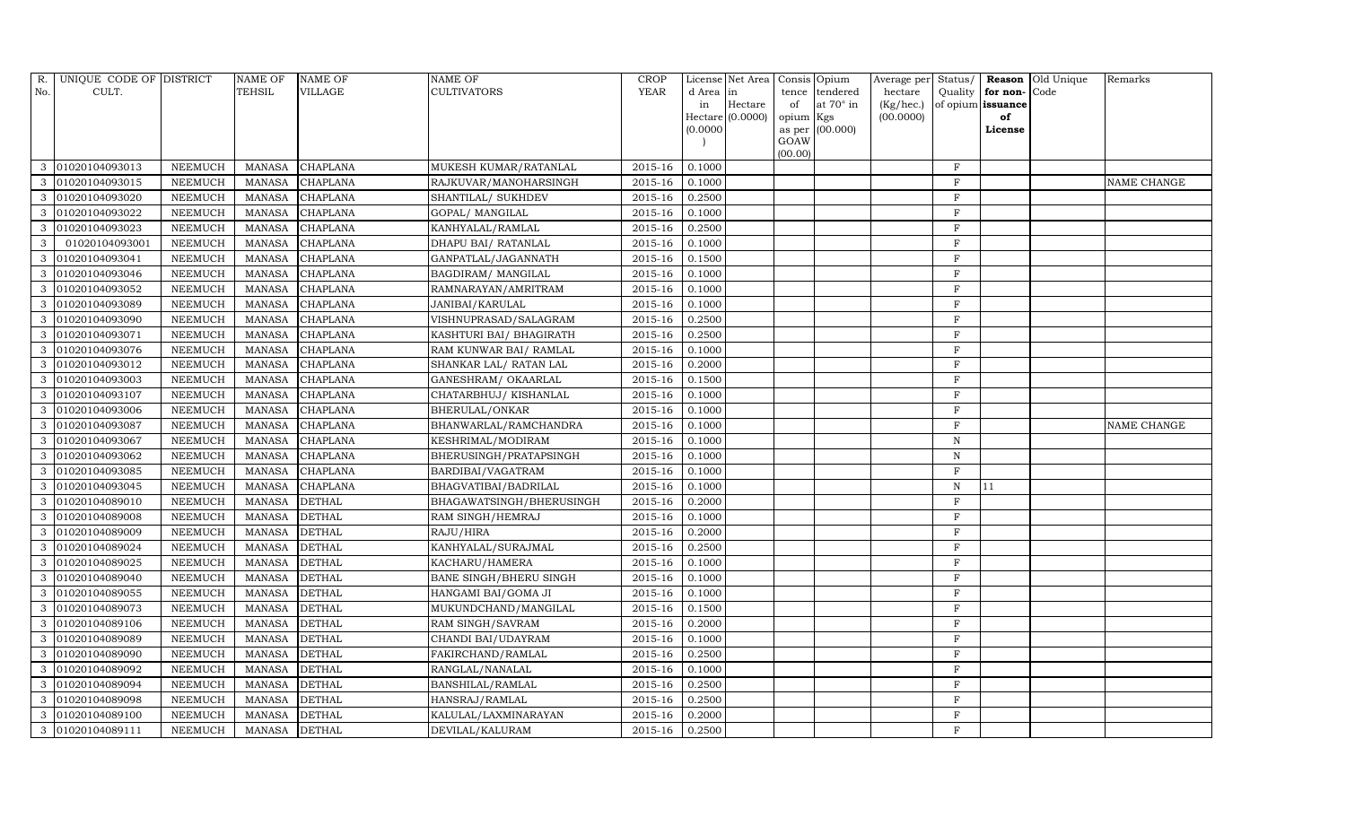| R.            | UNIQUE CODE OF DISTRICT |                | <b>NAME OF</b> | <b>NAME OF</b>  | <b>NAME OF</b>                | <b>CROP</b> |           | License Net Area Consis Opium |                 |                  |           |                |                   | Average per Status/ Reason Old Unique | Remarks            |
|---------------|-------------------------|----------------|----------------|-----------------|-------------------------------|-------------|-----------|-------------------------------|-----------------|------------------|-----------|----------------|-------------------|---------------------------------------|--------------------|
| No.           | CULT.                   |                | <b>TEHSIL</b>  | <b>VILLAGE</b>  | <b>CULTIVATORS</b>            | YEAR        | d Area in |                               |                 | tence tendered   | hectare   |                | Quality for non-  | Code                                  |                    |
|               |                         |                |                |                 |                               |             | in        | Hectare                       | of              | at $70^\circ$ in | (Kg/hec.) |                | of opium issuance |                                       |                    |
|               |                         |                |                |                 |                               |             |           | $Hectare$ (0.0000)            | opium Kgs       |                  | (00.0000) |                | of                |                                       |                    |
|               |                         |                |                |                 |                               |             | (0.0000)  |                               |                 | as per (00.000)  |           |                | License           |                                       |                    |
|               |                         |                |                |                 |                               |             |           |                               | GOAW<br>(00.00) |                  |           |                |                   |                                       |                    |
| 3             | 01020104093013          | <b>NEEMUCH</b> | <b>MANASA</b>  | <b>CHAPLANA</b> | MUKESH KUMAR/RATANLAL         | 2015-16     | 0.1000    |                               |                 |                  |           | $\rm F$        |                   |                                       |                    |
|               | 01020104093015          | <b>NEEMUCH</b> | <b>MANASA</b>  | <b>CHAPLANA</b> | RAJKUVAR/MANOHARSINGH         | 2015-16     | 0.1000    |                               |                 |                  |           | $\rm F$        |                   |                                       | NAME CHANGE        |
| 3             | 01020104093020          | <b>NEEMUCH</b> | <b>MANASA</b>  | CHAPLANA        | SHANTILAL/ SUKHDEV            | 2015-16     | 0.2500    |                               |                 |                  |           | $\rm F$        |                   |                                       |                    |
|               | 01020104093022          | <b>NEEMUCH</b> | <b>MANASA</b>  | <b>CHAPLANA</b> | GOPAL/ MANGILAL               | 2015-16     | 0.1000    |                               |                 |                  |           | $\rm F$        |                   |                                       |                    |
| 3             | 01020104093023          | <b>NEEMUCH</b> | <b>MANASA</b>  | <b>CHAPLANA</b> | KANHYALAL/RAMLAL              | 2015-16     | 0.2500    |                               |                 |                  |           | $\rm F$        |                   |                                       |                    |
| 3             | 01020104093001          | <b>NEEMUCH</b> | <b>MANASA</b>  | <b>CHAPLANA</b> | DHAPU BAI / RATANLAL          | 2015-16     | 0.1000    |                               |                 |                  |           | $\rm F$        |                   |                                       |                    |
| 3             | 01020104093041          | <b>NEEMUCH</b> | <b>MANASA</b>  | <b>CHAPLANA</b> | GANPATLAL/JAGANNATH           | $2015 - 16$ | 0.1500    |                               |                 |                  |           | $\mathbf F$    |                   |                                       |                    |
| 3             | 01020104093046          | <b>NEEMUCH</b> | <b>MANASA</b>  | <b>CHAPLANA</b> | BAGDIRAM/ MANGILAL            | $2015 - 16$ | 0.1000    |                               |                 |                  |           | F              |                   |                                       |                    |
|               | 01020104093052          | <b>NEEMUCH</b> | <b>MANASA</b>  | <b>CHAPLANA</b> | RAMNARAYAN/AMRITRAM           | 2015-16     | 0.1000    |                               |                 |                  |           | $\mathbf F$    |                   |                                       |                    |
| 3             | 01020104093089          | <b>NEEMUCH</b> | <b>MANASA</b>  | CHAPLANA        | JANIBAI/KARULAL               | 2015-16     | 0.1000    |                               |                 |                  |           | $\rm F$        |                   |                                       |                    |
| 3             | 01020104093090          | <b>NEEMUCH</b> | <b>MANASA</b>  | <b>CHAPLANA</b> | VISHNUPRASAD/SALAGRAM         | 2015-16     | 0.2500    |                               |                 |                  |           | $\overline{F}$ |                   |                                       |                    |
| 3             | 01020104093071          | <b>NEEMUCH</b> | <b>MANASA</b>  | <b>CHAPLANA</b> | KASHTURI BAI/ BHAGIRATH       | 2015-16     | 0.2500    |                               |                 |                  |           | $\mathbf F$    |                   |                                       |                    |
| 3             | 01020104093076          | <b>NEEMUCH</b> | <b>MANASA</b>  | CHAPLANA        | RAM KUNWAR BAI/ RAMLAL        | 2015-16     | 0.1000    |                               |                 |                  |           | $\rm F$        |                   |                                       |                    |
|               | 01020104093012          | <b>NEEMUCH</b> | <b>MANASA</b>  | <b>CHAPLANA</b> | SHANKAR LAL/ RATAN LAL        | 2015-16     | 0.2000    |                               |                 |                  |           | $\overline{F}$ |                   |                                       |                    |
| 3             | 01020104093003          | <b>NEEMUCH</b> | <b>MANASA</b>  | <b>CHAPLANA</b> | GANESHRAM/ OKAARLAL           | 2015-16     | 0.1500    |                               |                 |                  |           | F              |                   |                                       |                    |
| 3             | 01020104093107          | <b>NEEMUCH</b> | <b>MANASA</b>  | <b>CHAPLANA</b> | CHATARBHUJ/ KISHANLAL         | 2015-16     | 0.1000    |                               |                 |                  |           | $\mathbf F$    |                   |                                       |                    |
| 3             | 01020104093006          | <b>NEEMUCH</b> | <b>MANASA</b>  | <b>CHAPLANA</b> | BHERULAL/ONKAR                | 2015-16     | 0.1000    |                               |                 |                  |           | $\mathbf F$    |                   |                                       |                    |
| 3             | 01020104093087          | <b>NEEMUCH</b> | <b>MANASA</b>  | <b>CHAPLANA</b> | BHANWARLAL/RAMCHANDRA         | 2015-16     | 0.1000    |                               |                 |                  |           | $\rm F$        |                   |                                       | <b>NAME CHANGE</b> |
|               | 01020104093067          | <b>NEEMUCH</b> | <b>MANASA</b>  | <b>CHAPLANA</b> | KESHRIMAL/MODIRAM             | 2015-16     | 0.1000    |                               |                 |                  |           | ${\bf N}$      |                   |                                       |                    |
| 3             | 01020104093062          | <b>NEEMUCH</b> | <b>MANASA</b>  | <b>CHAPLANA</b> | BHERUSINGH/PRATAPSINGH        | $2015 - 16$ | 0.1000    |                               |                 |                  |           | ${\bf N}$      |                   |                                       |                    |
| 3             | 01020104093085          | <b>NEEMUCH</b> | <b>MANASA</b>  | <b>CHAPLANA</b> | BARDIBAI/VAGATRAM             | 2015-16     | 0.1000    |                               |                 |                  |           | $\mathbf{F}$   |                   |                                       |                    |
| 3             | 01020104093045          | <b>NEEMUCH</b> | <b>MANASA</b>  | <b>CHAPLANA</b> | BHAGVATIBAI/BADRILAL          | 2015-16     | 0.1000    |                               |                 |                  |           | $\, {\rm N}$   | 11                |                                       |                    |
| 3             | 01020104089010          | <b>NEEMUCH</b> | <b>MANASA</b>  | <b>DETHAL</b>   | BHAGAWATSINGH/BHERUSINGH      | 2015-16     | 0.2000    |                               |                 |                  |           | $\rm F$        |                   |                                       |                    |
|               | 01020104089008          | <b>NEEMUCH</b> | <b>MANASA</b>  | <b>DETHAL</b>   | RAM SINGH/HEMRAJ              | 2015-16     | 0.1000    |                               |                 |                  |           | $\mathbf F$    |                   |                                       |                    |
| 3             | 01020104089009          | <b>NEEMUCH</b> | <b>MANASA</b>  | <b>DETHAL</b>   | RAJU/HIRA                     | 2015-16     | 0.2000    |                               |                 |                  |           | $\rm F$        |                   |                                       |                    |
| 3             | 01020104089024          | <b>NEEMUCH</b> | <b>MANASA</b>  | <b>DETHAL</b>   | KANHYALAL/SURAJMAL            | 2015-16     | 0.2500    |                               |                 |                  |           | $\rm F$        |                   |                                       |                    |
| 3             | 01020104089025          | <b>NEEMUCH</b> | <b>MANASA</b>  | <b>DETHAL</b>   | KACHARU/HAMERA                | 2015-16     | 0.1000    |                               |                 |                  |           | $\overline{F}$ |                   |                                       |                    |
| $\mathcal{R}$ | 01020104089040          | <b>NEEMUCH</b> | <b>MANASA</b>  | <b>DETHAL</b>   | <b>BANE SINGH/BHERU SINGH</b> | 2015-16     | 0.1000    |                               |                 |                  |           | F              |                   |                                       |                    |
|               | 01020104089055          | <b>NEEMUCH</b> | <b>MANASA</b>  | <b>DETHAL</b>   | HANGAMI BAI/GOMA JI           | 2015-16     | 0.1000    |                               |                 |                  |           | $\mathbf F$    |                   |                                       |                    |
| 3             | 01020104089073          | <b>NEEMUCH</b> | <b>MANASA</b>  | <b>DETHAL</b>   | MUKUNDCHAND/MANGILAL          | 2015-16     | 0.1500    |                               |                 |                  |           | $\rm F$        |                   |                                       |                    |
| 3             | 01020104089106          | <b>NEEMUCH</b> | <b>MANASA</b>  | <b>DETHAL</b>   | RAM SINGH/SAVRAM              | 2015-16     | 0.2000    |                               |                 |                  |           | $\rm F$        |                   |                                       |                    |
| $\mathcal{S}$ | 01020104089089          | <b>NEEMUCH</b> | <b>MANASA</b>  | <b>DETHAL</b>   | CHANDI BAI/UDAYRAM            | 2015-16     | 0.1000    |                               |                 |                  |           | $\overline{F}$ |                   |                                       |                    |
| 3             | 01020104089090          | <b>NEEMUCH</b> | <b>MANASA</b>  | <b>DETHAL</b>   | FAKIRCHAND/RAMLAL             | $2015 - 16$ | 0.2500    |                               |                 |                  |           | $\rm F$        |                   |                                       |                    |
| $\mathcal{S}$ | 01020104089092          | <b>NEEMUCH</b> | <b>MANASA</b>  | <b>DETHAL</b>   | RANGLAL/NANALAL               | 2015-16     | 0.1000    |                               |                 |                  |           | $\overline{F}$ |                   |                                       |                    |
| 3             | 01020104089094          | <b>NEEMUCH</b> | <b>MANASA</b>  | <b>DETHAL</b>   | BANSHILAL/RAMLAL              | 2015-16     | 0.2500    |                               |                 |                  |           | $\rm F$        |                   |                                       |                    |
|               | 01020104089098          | <b>NEEMUCH</b> | <b>MANASA</b>  | <b>DETHAL</b>   | HANSRAJ/RAMLAL                | 2015-16     | 0.2500    |                               |                 |                  |           | $\rm F$        |                   |                                       |                    |
| 3             | 01020104089100          | <b>NEEMUCH</b> | <b>MANASA</b>  | <b>DETHAL</b>   | KALULAL/LAXMINARAYAN          | 2015-16     | 0.2000    |                               |                 |                  |           | $\rm F$        |                   |                                       |                    |
|               | 3 01020104089111        | <b>NEEMUCH</b> | MANASA         | <b>DETHAL</b>   | DEVILAL/KALURAM               | 2015-16     | 0.2500    |                               |                 |                  |           | $\rm F$        |                   |                                       |                    |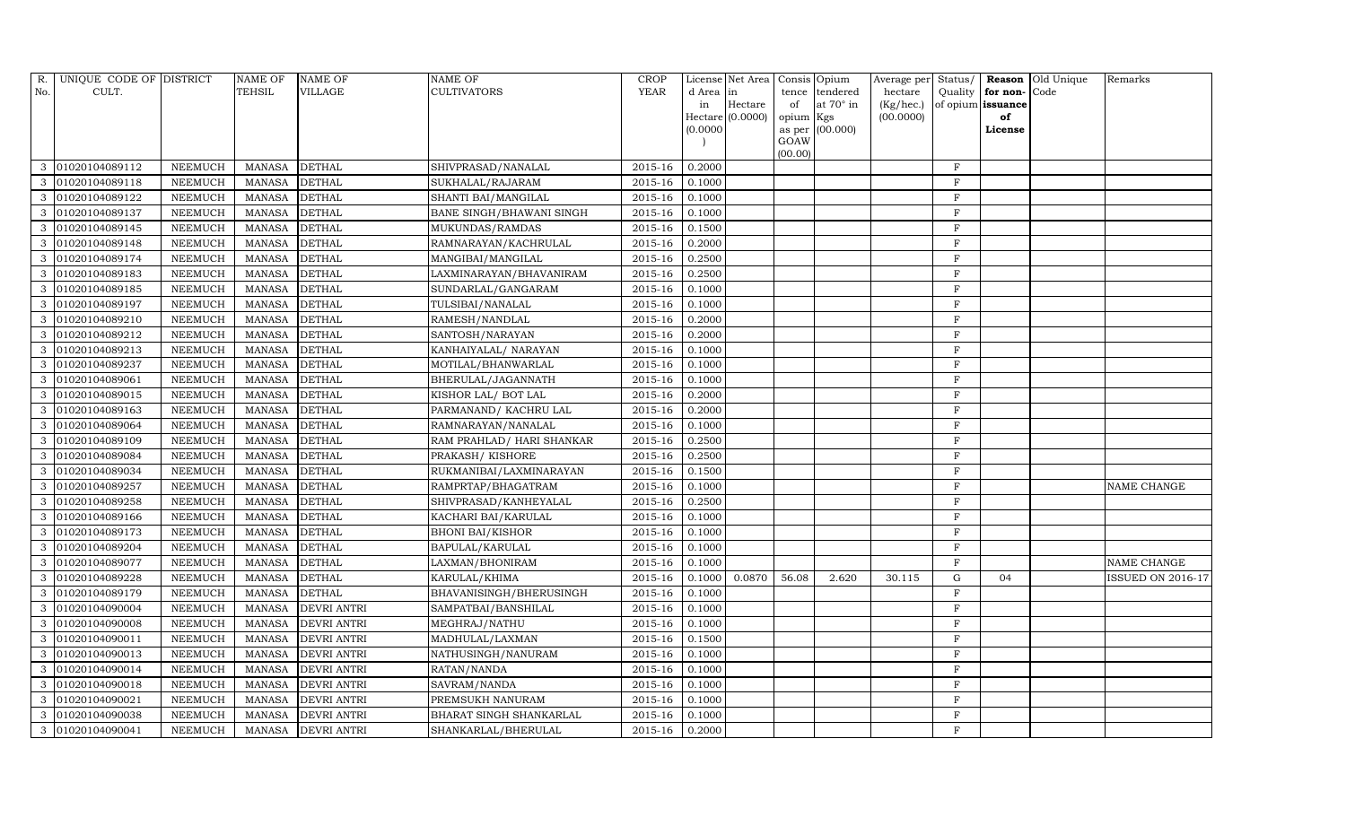| R.            | UNIQUE CODE OF DISTRICT |                | <b>NAME OF</b> | <b>NAME OF</b>     | <b>NAME OF</b>            | <b>CROP</b> |           | License Net Area   Consis   Opium |           |                  |           |              |                   | Average per Status/ Reason Old Unique | Remarks                  |
|---------------|-------------------------|----------------|----------------|--------------------|---------------------------|-------------|-----------|-----------------------------------|-----------|------------------|-----------|--------------|-------------------|---------------------------------------|--------------------------|
| No.           | CULT.                   |                | TEHSIL         | <b>VILLAGE</b>     | <b>CULTIVATORS</b>        | YEAR        | d Area in |                                   | tence     | tendered         | hectare   | Quality      | for non-          | Code                                  |                          |
|               |                         |                |                |                    |                           |             | in        | Hectare                           | of        | at $70^\circ$ in | (Kg/hec.) |              | of opium issuance |                                       |                          |
|               |                         |                |                |                    |                           |             |           | $Hectare$ (0.0000)                | opium Kgs |                  | (00.0000) |              | of                |                                       |                          |
|               |                         |                |                |                    |                           |             | (0.0000)  |                                   | GOAW      | as per (00.000)  |           |              | License           |                                       |                          |
|               |                         |                |                |                    |                           |             |           |                                   | (00.00)   |                  |           |              |                   |                                       |                          |
| 3             | 01020104089112          | <b>NEEMUCH</b> | MANASA         | <b>DETHAL</b>      | SHIVPRASAD/NANALAL        | $2015 - 16$ | 0.2000    |                                   |           |                  |           | $\rm F$      |                   |                                       |                          |
| $\mathcal{E}$ | 01020104089118          | <b>NEEMUCH</b> | <b>MANASA</b>  | <b>DETHAL</b>      | SUKHALAL/RAJARAM          | 2015-16     | 0.1000    |                                   |           |                  |           | $\rm F$      |                   |                                       |                          |
| 3             | 01020104089122          | <b>NEEMUCH</b> | MANASA         | <b>DETHAL</b>      | SHANTI BAI/MANGILAL       | 2015-16     | 0.1000    |                                   |           |                  |           | $\,$ F       |                   |                                       |                          |
| 3             | 01020104089137          | <b>NEEMUCH</b> | <b>MANASA</b>  | <b>DETHAL</b>      | BANE SINGH/BHAWANI SINGH  | 2015-16     | 0.1000    |                                   |           |                  |           | $\rm F$      |                   |                                       |                          |
| 3             | 01020104089145          | <b>NEEMUCH</b> | <b>MANASA</b>  | <b>DETHAL</b>      | MUKUNDAS/RAMDAS           | 2015-16     | 0.1500    |                                   |           |                  |           | $\,$ F       |                   |                                       |                          |
| 3             | 01020104089148          | <b>NEEMUCH</b> | <b>MANASA</b>  | <b>DETHAL</b>      | RAMNARAYAN/KACHRULAL      | 2015-16     | 0.2000    |                                   |           |                  |           | $\rm F$      |                   |                                       |                          |
| 3             | 01020104089174          | <b>NEEMUCH</b> | <b>MANASA</b>  | <b>DETHAL</b>      | MANGIBAI/MANGILAL         | 2015-16     | 0.2500    |                                   |           |                  |           | $\mathbf F$  |                   |                                       |                          |
| 3             | 01020104089183          | <b>NEEMUCH</b> | <b>MANASA</b>  | <b>DETHAL</b>      | LAXMINARAYAN/BHAVANIRAM   | 2015-16     | 0.2500    |                                   |           |                  |           | $\mathbf{F}$ |                   |                                       |                          |
| $\mathcal{R}$ | 01020104089185          | <b>NEEMUCH</b> | <b>MANASA</b>  | <b>DETHAL</b>      | SUNDARLAL/GANGARAM        | 2015-16     | 0.1000    |                                   |           |                  |           | $\mathbf{F}$ |                   |                                       |                          |
| 3             | 01020104089197          | <b>NEEMUCH</b> | <b>MANASA</b>  | <b>DETHAL</b>      | TULSIBAI/NANALAL          | 2015-16     | 0.1000    |                                   |           |                  |           | $\,$ F       |                   |                                       |                          |
| 3             | 01020104089210          | <b>NEEMUCH</b> | <b>MANASA</b>  | <b>DETHAL</b>      | RAMESH/NANDLAL            | 2015-16     | 0.2000    |                                   |           |                  |           | $\rm F$      |                   |                                       |                          |
| 3             | 01020104089212          | <b>NEEMUCH</b> | <b>MANASA</b>  | <b>DETHAL</b>      | SANTOSH/NARAYAN           | 2015-16     | 0.2000    |                                   |           |                  |           | $\mathbf F$  |                   |                                       |                          |
| 3             | 01020104089213          | <b>NEEMUCH</b> | <b>MANASA</b>  | <b>DETHAL</b>      | KANHAIYALAL/ NARAYAN      | 2015-16     | 0.1000    |                                   |           |                  |           | F            |                   |                                       |                          |
| 3             | 01020104089237          | <b>NEEMUCH</b> | <b>MANASA</b>  | <b>DETHAL</b>      | MOTILAL/BHANWARLAL        | 2015-16     | 0.1000    |                                   |           |                  |           | $\mathbf{F}$ |                   |                                       |                          |
| 3             | 01020104089061          | <b>NEEMUCH</b> | <b>MANASA</b>  | <b>DETHAL</b>      | BHERULAL/JAGANNATH        | 2015-16     | 0.1000    |                                   |           |                  |           | $\mathbf{F}$ |                   |                                       |                          |
| $\mathcal{S}$ | 01020104089015          | <b>NEEMUCH</b> | <b>MANASA</b>  | <b>DETHAL</b>      | KISHOR LAL/BOT LAL        | 2015-16     | 0.2000    |                                   |           |                  |           | $\rm F$      |                   |                                       |                          |
| 3             | 01020104089163          | <b>NEEMUCH</b> | <b>MANASA</b>  | <b>DETHAL</b>      | PARMANAND/ KACHRU LAL     | 2015-16     | 0.2000    |                                   |           |                  |           | $\mathbf F$  |                   |                                       |                          |
| 3             | 01020104089064          | <b>NEEMUCH</b> | <b>MANASA</b>  | <b>DETHAL</b>      | RAMNARAYAN/NANALAL        | 2015-16     | 0.1000    |                                   |           |                  |           | $\rm F$      |                   |                                       |                          |
| 3             | 01020104089109          | <b>NEEMUCH</b> | <b>MANASA</b>  | <b>DETHAL</b>      | RAM PRAHLAD/ HARI SHANKAR | 2015-16     | 0.2500    |                                   |           |                  |           | $\rm F$      |                   |                                       |                          |
| 3             | 01020104089084          | <b>NEEMUCH</b> | <b>MANASA</b>  | <b>DETHAL</b>      | PRAKASH/KISHORE           | 2015-16     | 0.2500    |                                   |           |                  |           | $\rm F$      |                   |                                       |                          |
| 3             | 01020104089034          | <b>NEEMUCH</b> | <b>MANASA</b>  | <b>DETHAL</b>      | RUKMANIBAI/LAXMINARAYAN   | 2015-16     | 0.1500    |                                   |           |                  |           | $\mathbf F$  |                   |                                       |                          |
| 3             | 01020104089257          | <b>NEEMUCH</b> | <b>MANASA</b>  | <b>DETHAL</b>      | RAMPRTAP/BHAGATRAM        | 2015-16     | 0.1000    |                                   |           |                  |           | $\rm F$      |                   |                                       | NAME CHANGE              |
| 3             | 01020104089258          | <b>NEEMUCH</b> | <b>MANASA</b>  | <b>DETHAL</b>      | SHIVPRASAD/KANHEYALAL     | 2015-16     | 0.2500    |                                   |           |                  |           | $\rm F$      |                   |                                       |                          |
| 3             | 01020104089166          | <b>NEEMUCH</b> | <b>MANASA</b>  | <b>DETHAL</b>      | KACHARI BAI/KARULAL       | 2015-16     | 0.1000    |                                   |           |                  |           | $\rm F$      |                   |                                       |                          |
| 3             | 01020104089173          | <b>NEEMUCH</b> | <b>MANASA</b>  | <b>DETHAL</b>      | <b>BHONI BAI/KISHOR</b>   | 2015-16     | 0.1000    |                                   |           |                  |           | $\rm F$      |                   |                                       |                          |
| 3             | 01020104089204          | <b>NEEMUCH</b> | <b>MANASA</b>  | <b>DETHAL</b>      | BAPULAL/KARULAL           | 2015-16     | 0.1000    |                                   |           |                  |           | $\,$ F       |                   |                                       |                          |
| 3             | 01020104089077          | <b>NEEMUCH</b> | <b>MANASA</b>  | <b>DETHAL</b>      | LAXMAN/BHONIRAM           | 2015-16     | 0.1000    |                                   |           |                  |           | $\,$ F       |                   |                                       | NAME CHANGE              |
| 3             | 01020104089228          | <b>NEEMUCH</b> | <b>MANASA</b>  | <b>DETHAL</b>      | KARULAL/KHIMA             | 2015-16     | 0.1000    | 0.0870                            | 56.08     | 2.620            | 30.115    | $\mathbf G$  | 04                |                                       | <b>ISSUED ON 2016-17</b> |
| 3             | 01020104089179          | <b>NEEMUCH</b> | <b>MANASA</b>  | <b>DETHAL</b>      | BHAVANISINGH/BHERUSINGH   | 2015-16     | 0.1000    |                                   |           |                  |           | $\mathbf F$  |                   |                                       |                          |
| 3             | 01020104090004          | <b>NEEMUCH</b> | <b>MANASA</b>  | <b>DEVRI ANTRI</b> | SAMPATBAI/BANSHILAL       | 2015-16     | 0.1000    |                                   |           |                  |           | $\,$ F       |                   |                                       |                          |
| 3             | 01020104090008          | <b>NEEMUCH</b> | <b>MANASA</b>  | <b>DEVRI ANTRI</b> | MEGHRAJ/NATHU             | 2015-16     | 0.1000    |                                   |           |                  |           | $\,$ F       |                   |                                       |                          |
| 3             | 01020104090011          | <b>NEEMUCH</b> | <b>MANASA</b>  | <b>DEVRI ANTRI</b> | MADHULAL/LAXMAN           | 2015-16     | 0.1500    |                                   |           |                  |           | $\rm F$      |                   |                                       |                          |
| 3             | 01020104090013          | <b>NEEMUCH</b> | MANASA         | <b>DEVRI ANTRI</b> | NATHUSINGH/NANURAM        | 2015-16     | 0.1000    |                                   |           |                  |           | $\mathbf F$  |                   |                                       |                          |
| 3             | 01020104090014          | <b>NEEMUCH</b> | <b>MANASA</b>  | <b>DEVRI ANTRI</b> | RATAN/NANDA               | 2015-16     | 0.1000    |                                   |           |                  |           | $\rm F$      |                   |                                       |                          |
| 3             | 01020104090018          | <b>NEEMUCH</b> | <b>MANASA</b>  | <b>DEVRI ANTRI</b> | SAVRAM/NANDA              | 2015-16     | 0.1000    |                                   |           |                  |           | $\,$ F       |                   |                                       |                          |
| 3             | 01020104090021          | <b>NEEMUCH</b> | <b>MANASA</b>  | <b>DEVRI ANTRI</b> | PREMSUKH NANURAM          | 2015-16     | 0.1000    |                                   |           |                  |           | $\,$ F       |                   |                                       |                          |
| 3             | 01020104090038          | <b>NEEMUCH</b> | <b>MANASA</b>  | <b>DEVRI ANTRI</b> | BHARAT SINGH SHANKARLAL   | 2015-16     | 0.1000    |                                   |           |                  |           | $\,$ F       |                   |                                       |                          |
| 3             | 01020104090041          | <b>NEEMUCH</b> |                | MANASA DEVRI ANTRI | SHANKARLAL/BHERULAL       | 2015-16     | 0.2000    |                                   |           |                  |           | $\mathbf{F}$ |                   |                                       |                          |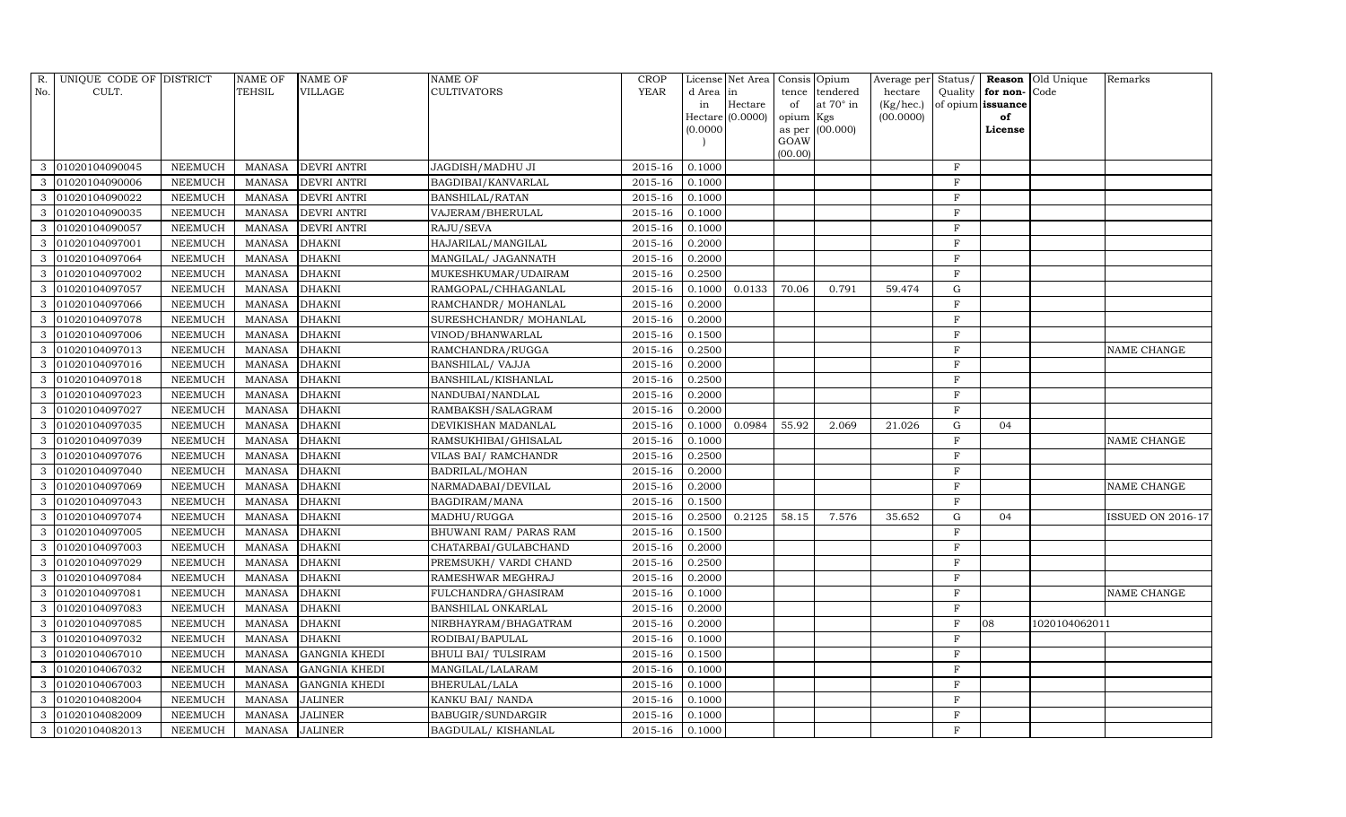| R.            | UNIQUE CODE OF DISTRICT |                | <b>NAME OF</b> | <b>NAME OF</b>       | <b>NAME OF</b>             | <b>CROP</b> |           | License Net Area   | Consis Opium |                  | Average per Status/ |                |                   | Reason Old Unique | Remarks                  |
|---------------|-------------------------|----------------|----------------|----------------------|----------------------------|-------------|-----------|--------------------|--------------|------------------|---------------------|----------------|-------------------|-------------------|--------------------------|
| No.           | CULT.                   |                | TEHSIL         | <b>VILLAGE</b>       | <b>CULTIVATORS</b>         | YEAR        | d Area in |                    |              | tence tendered   | hectare             | Quality        | for non-          | Code              |                          |
|               |                         |                |                |                      |                            |             | in        | Hectare            | of           | at $70^\circ$ in | (Kg/hec.)           |                | of opium issuance |                   |                          |
|               |                         |                |                |                      |                            |             |           | $Hectare$ (0.0000) | opium Kgs    |                  | (00.0000)           |                | of                |                   |                          |
|               |                         |                |                |                      |                            |             | (0.0000)  |                    | GOAW         | as per (00.000)  |                     |                | License           |                   |                          |
|               |                         |                |                |                      |                            |             |           |                    | (00.00)      |                  |                     |                |                   |                   |                          |
| 3             | 01020104090045          | <b>NEEMUCH</b> | <b>MANASA</b>  | <b>DEVRI ANTRI</b>   | JAGDISH/MADHU JI           | 2015-16     | 0.1000    |                    |              |                  |                     | $\mathbf F$    |                   |                   |                          |
| 3             | 01020104090006          | <b>NEEMUCH</b> | <b>MANASA</b>  | <b>DEVRI ANTRI</b>   | BAGDIBAI/KANVARLAL         | 2015-16     | 0.1000    |                    |              |                  |                     | $\rm F$        |                   |                   |                          |
| 3             | 01020104090022          | <b>NEEMUCH</b> | <b>MANASA</b>  | <b>DEVRI ANTRI</b>   | BANSHILAL/RATAN            | 2015-16     | 0.1000    |                    |              |                  |                     | F              |                   |                   |                          |
|               | 01020104090035          | <b>NEEMUCH</b> | <b>MANASA</b>  | <b>DEVRI ANTRI</b>   | VAJERAM/BHERULAL           | 2015-16     | 0.1000    |                    |              |                  |                     | $\rm F$        |                   |                   |                          |
| 3             | 01020104090057          | <b>NEEMUCH</b> | <b>MANASA</b>  | <b>DEVRI ANTRI</b>   | RAJU/SEVA                  | 2015-16     | 0.1000    |                    |              |                  |                     | $\rm F$        |                   |                   |                          |
| 3             | 01020104097001          | <b>NEEMUCH</b> | <b>MANASA</b>  | <b>DHAKNI</b>        | HAJARILAL/MANGILAL         | 2015-16     | 0.2000    |                    |              |                  |                     | $\rm F$        |                   |                   |                          |
| 3             | 01020104097064          | <b>NEEMUCH</b> | <b>MANASA</b>  | <b>DHAKNI</b>        | MANGILAL/ JAGANNATH        | 2015-16     | 0.2000    |                    |              |                  |                     | $\mathbf F$    |                   |                   |                          |
| 3             | 01020104097002          | <b>NEEMUCH</b> | <b>MANASA</b>  | <b>DHAKNI</b>        | MUKESHKUMAR/UDAIRAM        | 2015-16     | 0.2500    |                    |              |                  |                     | $\rm F$        |                   |                   |                          |
|               | 01020104097057          | <b>NEEMUCH</b> | <b>MANASA</b>  | <b>DHAKNI</b>        | RAMGOPAL/CHHAGANLAL        | 2015-16     | 0.1000    | 0.0133             | 70.06        | 0.791            | 59.474              | $\mathbf G$    |                   |                   |                          |
| $\mathcal{S}$ | 01020104097066          | <b>NEEMUCH</b> | <b>MANASA</b>  | <b>DHAKNI</b>        | RAMCHANDR/ MOHANLAL        | 2015-16     | 0.2000    |                    |              |                  |                     | $\rm F$        |                   |                   |                          |
| 3             | 01020104097078          | <b>NEEMUCH</b> | <b>MANASA</b>  | <b>DHAKNI</b>        | SURESHCHANDR/ MOHANLAL     | 2015-16     | 0.2000    |                    |              |                  |                     | $\mathbf{F}$   |                   |                   |                          |
| 3             | 01020104097006          | <b>NEEMUCH</b> | <b>MANASA</b>  | <b>DHAKNI</b>        | VINOD/BHANWARLAL           | 2015-16     | 0.1500    |                    |              |                  |                     | $\rm F$        |                   |                   |                          |
| 3             | 01020104097013          | <b>NEEMUCH</b> | <b>MANASA</b>  | <b>DHAKNI</b>        | RAMCHANDRA/RUGGA           | $2015 - 16$ | 0.2500    |                    |              |                  |                     | $\rm F$        |                   |                   | NAME CHANGE              |
|               | 01020104097016          | <b>NEEMUCH</b> | <b>MANASA</b>  | <b>DHAKNI</b>        | BANSHILAL/ VAJJA           | 2015-16     | 0.2000    |                    |              |                  |                     | $\overline{F}$ |                   |                   |                          |
| $\mathcal{S}$ | 01020104097018          | <b>NEEMUCH</b> | <b>MANASA</b>  | <b>DHAKNI</b>        | BANSHILAL/KISHANLAL        | 2015-16     | 0.2500    |                    |              |                  |                     | $\rm F$        |                   |                   |                          |
|               | 01020104097023          | <b>NEEMUCH</b> | <b>MANASA</b>  | <b>DHAKNI</b>        | NANDUBAI/NANDLAL           | 2015-16     | 0.2000    |                    |              |                  |                     | $\rm F$        |                   |                   |                          |
| 3             | 01020104097027          | <b>NEEMUCH</b> | <b>MANASA</b>  | <b>DHAKNI</b>        | RAMBAKSH/SALAGRAM          | 2015-16     | 0.2000    |                    |              |                  |                     | $\rm F$        |                   |                   |                          |
| $\mathcal{B}$ | 01020104097035          | <b>NEEMUCH</b> | <b>MANASA</b>  | <b>DHAKNI</b>        | DEVIKISHAN MADANLAL        | 2015-16     | 0.1000    | 0.0984             | 55.92        | 2.069            | 21.026              | ${\rm G}$      | 04                |                   |                          |
| 3             | 01020104097039          | <b>NEEMUCH</b> | <b>MANASA</b>  | <b>DHAKNI</b>        | RAMSUKHIBAI/GHISALAL       | 2015-16     | 0.1000    |                    |              |                  |                     | $\mathbf F$    |                   |                   | NAME CHANGE              |
| 3             | 01020104097076          | <b>NEEMUCH</b> | <b>MANASA</b>  | <b>DHAKNI</b>        | VILAS BAI/ RAMCHANDR       | 2015-16     | 0.2500    |                    |              |                  |                     | $\rm F$        |                   |                   |                          |
|               | 01020104097040          | <b>NEEMUCH</b> | <b>MANASA</b>  | <b>DHAKNI</b>        | BADRILAL/MOHAN             | 2015-16     | 0.2000    |                    |              |                  |                     | $\rm F$        |                   |                   |                          |
| $\mathcal{S}$ | 01020104097069          | <b>NEEMUCH</b> | <b>MANASA</b>  | <b>DHAKNI</b>        | NARMADABAI/DEVILAL         | 2015-16     | 0.2000    |                    |              |                  |                     | $\rm F$        |                   |                   | NAME CHANGE              |
| 3             | 01020104097043          | <b>NEEMUCH</b> | <b>MANASA</b>  | <b>DHAKNI</b>        | BAGDIRAM/MANA              | 2015-16     | 0.1500    |                    |              |                  |                     | $\rm F$        |                   |                   |                          |
| 3             | 01020104097074          | <b>NEEMUCH</b> | <b>MANASA</b>  | <b>DHAKNI</b>        | MADHU/RUGGA                | 2015-16     | 0.2500    | 0.2125             | 58.15        | 7.576            | 35.652              | $\mathbf G$    | 04                |                   | <b>ISSUED ON 2016-17</b> |
| 3             | 01020104097005          | <b>NEEMUCH</b> | <b>MANASA</b>  | <b>DHAKNI</b>        | BHUWANI RAM/ PARAS RAM     | $2015 - 16$ | 0.1500    |                    |              |                  |                     | F              |                   |                   |                          |
|               | 01020104097003          | <b>NEEMUCH</b> | <b>MANASA</b>  | <b>DHAKNI</b>        | CHATARBAI/GULABCHAND       | 2015-16     | 0.2000    |                    |              |                  |                     | $\rm F$        |                   |                   |                          |
| 3             | 01020104097029          | <b>NEEMUCH</b> | <b>MANASA</b>  | <b>DHAKNI</b>        | PREMSUKH/ VARDI CHAND      | 2015-16     | 0.2500    |                    |              |                  |                     | $\rm F$        |                   |                   |                          |
| 3             | 01020104097084          | <b>NEEMUCH</b> | <b>MANASA</b>  | <b>DHAKNI</b>        | RAMESHWAR MEGHRAJ          | 2015-16     | 0.2000    |                    |              |                  |                     | $\rm F$        |                   |                   |                          |
| 3             | 01020104097081          | <b>NEEMUCH</b> | <b>MANASA</b>  | <b>DHAKNI</b>        | FULCHANDRA/GHASIRAM        | 2015-16     | 0.1000    |                    |              |                  |                     | $\mathbf F$    |                   |                   | NAME CHANGE              |
| 3             | 01020104097083          | <b>NEEMUCH</b> | <b>MANASA</b>  | <b>DHAKNI</b>        | BANSHILAL ONKARLAL         | 2015-16     | 0.2000    |                    |              |                  |                     | $\rm F$        |                   |                   |                          |
|               | 01020104097085          | <b>NEEMUCH</b> | <b>MANASA</b>  | <b>DHAKNI</b>        | NIRBHAYRAM/BHAGATRAM       | 2015-16     | 0.2000    |                    |              |                  |                     | $\mathbf{F}$   | 08                | 1020104062011     |                          |
| $\mathcal{S}$ | 01020104097032          | <b>NEEMUCH</b> | <b>MANASA</b>  | <b>DHAKNI</b>        | RODIBAI/BAPULAL            | 2015-16     | 0.1000    |                    |              |                  |                     | $\mathbf{F}$   |                   |                   |                          |
| 3             | 01020104067010          | <b>NEEMUCH</b> | <b>MANASA</b>  | <b>GANGNIA KHEDI</b> | BHULI BAI/TULSIRAM         | 2015-16     | 0.1500    |                    |              |                  |                     | $\mathbf F$    |                   |                   |                          |
| 3             | 01020104067032          | <b>NEEMUCH</b> | <b>MANASA</b>  | <b>GANGNIA KHEDI</b> | MANGILAL/LALARAM           | 2015-16     | 0.1000    |                    |              |                  |                     | $\rm F$        |                   |                   |                          |
| 3             | 01020104067003          | <b>NEEMUCH</b> | <b>MANASA</b>  | <b>GANGNIA KHEDI</b> | BHERULAL/LALA              | 2015-16     | 0.1000    |                    |              |                  |                     | $\rm F$        |                   |                   |                          |
|               | 01020104082004          | <b>NEEMUCH</b> | <b>MANASA</b>  | <b>JALINER</b>       | KANKU BAI/ NANDA           | 2015-16     | 0.1000    |                    |              |                  |                     | $\rm F$        |                   |                   |                          |
| 3             | 01020104082009          | <b>NEEMUCH</b> | <b>MANASA</b>  | <b>JALINER</b>       | BABUGIR/SUNDARGIR          | 2015-16     | 0.1000    |                    |              |                  |                     | $\rm F$        |                   |                   |                          |
| 3             | 01020104082013          | <b>NEEMUCH</b> | <b>MANASA</b>  | <b>JALINER</b>       | <b>BAGDULAL/ KISHANLAL</b> | 2015-16     | 0.1000    |                    |              |                  |                     | F              |                   |                   |                          |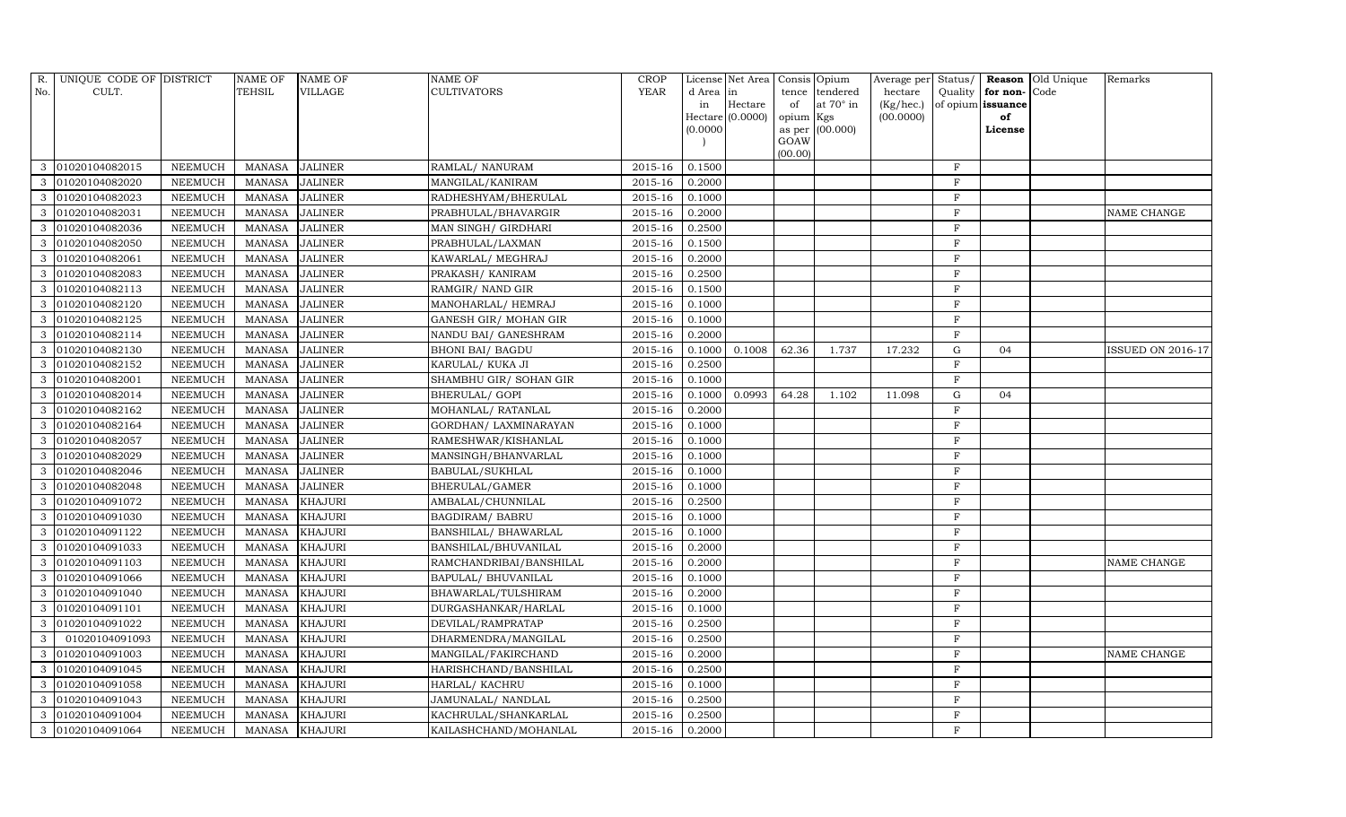| R.            | UNIQUE CODE OF DISTRICT |                | <b>NAME OF</b> | <b>NAME OF</b> | <b>NAME OF</b>               | <b>CROP</b> |          | License Net Area   | Consis Opium |                  | Average per Status/ |                |                   | Reason Old Unique | Remarks           |
|---------------|-------------------------|----------------|----------------|----------------|------------------------------|-------------|----------|--------------------|--------------|------------------|---------------------|----------------|-------------------|-------------------|-------------------|
| No.           | CULT.                   |                | TEHSIL         | <b>VILLAGE</b> | <b>CULTIVATORS</b>           | YEAR        | d Area   | in                 | tence        | tendered         | hectare             | Quality        | for non-          | Code              |                   |
|               |                         |                |                |                |                              |             | in       | Hectare            | of           | at $70^\circ$ in | (Kg/hec.)           |                | of opium issuance |                   |                   |
|               |                         |                |                |                |                              |             |          | $Hectare$ (0.0000) | opium Kgs    |                  | (00.0000)           |                | of                |                   |                   |
|               |                         |                |                |                |                              |             | (0.0000) |                    | GOAW         | as per (00.000)  |                     |                | License           |                   |                   |
|               |                         |                |                |                |                              |             |          |                    | (00.00)      |                  |                     |                |                   |                   |                   |
| 3             | 01020104082015          | <b>NEEMUCH</b> | <b>MANASA</b>  | <b>JALINER</b> | RAMLAL/ NANURAM              | 2015-16     | 0.1500   |                    |              |                  |                     | $\rm F$        |                   |                   |                   |
|               | 01020104082020          | <b>NEEMUCH</b> | <b>MANASA</b>  | <b>JALINER</b> | MANGILAL/KANIRAM             | 2015-16     | 0.2000   |                    |              |                  |                     | $\rm F$        |                   |                   |                   |
| 3             | 01020104082023          | <b>NEEMUCH</b> | <b>MANASA</b>  | <b>JALINER</b> | RADHESHYAM/BHERULAL          | 2015-16     | 0.1000   |                    |              |                  |                     | $\rm F$        |                   |                   |                   |
| 3             | 01020104082031          | <b>NEEMUCH</b> | <b>MANASA</b>  | <b>JALINER</b> | PRABHULAL/BHAVARGIR          | 2015-16     | 0.2000   |                    |              |                  |                     | $\rm F$        |                   |                   | NAME CHANGE       |
| 3             | 01020104082036          | <b>NEEMUCH</b> | <b>MANASA</b>  | <b>JALINER</b> | MAN SINGH/ GIRDHARI          | 2015-16     | 0.2500   |                    |              |                  |                     | $\rm F$        |                   |                   |                   |
| 3             | 01020104082050          | <b>NEEMUCH</b> | <b>MANASA</b>  | JALINER        | PRABHULAL/LAXMAN             | $2015 - 16$ | 0.1500   |                    |              |                  |                     | $\rm F$        |                   |                   |                   |
| 3             | 01020104082061          | <b>NEEMUCH</b> | <b>MANASA</b>  | <b>JALINER</b> | KAWARLAL/ MEGHRAJ            | 2015-16     | 0.2000   |                    |              |                  |                     | $\rm F$        |                   |                   |                   |
| $\mathcal{R}$ | 01020104082083          | <b>NEEMUCH</b> | <b>MANASA</b>  | <b>JALINER</b> | PRAKASH/KANIRAM              | 2015-16     | 0.2500   |                    |              |                  |                     | $\rm F$        |                   |                   |                   |
|               | 01020104082113          | <b>NEEMUCH</b> | <b>MANASA</b>  | <b>JALINER</b> | RAMGIR/ NAND GIR             | 2015-16     | 0.1500   |                    |              |                  |                     | $\rm F$        |                   |                   |                   |
| 3             | 01020104082120          | <b>NEEMUCH</b> | <b>MANASA</b>  | <b>JALINER</b> | MANOHARLAL/ HEMRAJ           | 2015-16     | 0.1000   |                    |              |                  |                     | $\rm F$        |                   |                   |                   |
| $\mathcal{S}$ | 01020104082125          | <b>NEEMUCH</b> | <b>MANASA</b>  | <b>JALINER</b> | <b>GANESH GIR/ MOHAN GIR</b> | 2015-16     | 0.1000   |                    |              |                  |                     | $\rm F$        |                   |                   |                   |
| 3             | 01020104082114          | <b>NEEMUCH</b> | <b>MANASA</b>  | <b>JALINER</b> | NANDU BAI/ GANESHRAM         | 2015-16     | 0.2000   |                    |              |                  |                     | $\rm F$        |                   |                   |                   |
| 3             | 01020104082130          | <b>NEEMUCH</b> | MANASA         | <b>JALINER</b> | <b>BHONI BAI/ BAGDU</b>      | $2015 - 16$ | 0.1000   | 0.1008             | 62.36        | 1.737            | 17.232              | $\mathbf G$    | 04                |                   | ISSUED ON 2016-17 |
|               | 01020104082152          | <b>NEEMUCH</b> | <b>MANASA</b>  | <b>JALINER</b> | KARULAL/ KUKA JI             | 2015-16     | 0.2500   |                    |              |                  |                     | $\rm F$        |                   |                   |                   |
| 3             | 01020104082001          | <b>NEEMUCH</b> | <b>MANASA</b>  | <b>JALINER</b> | SHAMBHU GIR/ SOHAN GIR       | 2015-16     | 0.1000   |                    |              |                  |                     | $\rm F$        |                   |                   |                   |
| 3             | 01020104082014          | <b>NEEMUCH</b> | <b>MANASA</b>  | <b>JALINER</b> | <b>BHERULAL/ GOPI</b>        | 2015-16     | 0.1000   | 0.0993             | 64.28        | 1.102            | 11.098              | $\mathbf G$    | 04                |                   |                   |
| 3             | 01020104082162          | <b>NEEMUCH</b> | <b>MANASA</b>  | <b>JALINER</b> | MOHANLAL/ RATANLAL           | 2015-16     | 0.2000   |                    |              |                  |                     | $\rm F$        |                   |                   |                   |
| 3             | 01020104082164          | <b>NEEMUCH</b> | <b>MANASA</b>  | <b>JALINER</b> | GORDHAN/ LAXMINARAYAN        | $2015 - 16$ | 0.1000   |                    |              |                  |                     | F              |                   |                   |                   |
|               | 01020104082057          | <b>NEEMUCH</b> | <b>MANASA</b>  | <b>JALINER</b> | RAMESHWAR/KISHANLAL          | 2015-16     | 0.1000   |                    |              |                  |                     | $\mathbf F$    |                   |                   |                   |
| 3             | 01020104082029          | <b>NEEMUCH</b> | <b>MANASA</b>  | <b>JALINER</b> | MANSINGH/BHANVARLAL          | 2015-16     | 0.1000   |                    |              |                  |                     | $\rm F$        |                   |                   |                   |
| 3             | 01020104082046          | <b>NEEMUCH</b> | <b>MANASA</b>  | <b>JALINER</b> | BABULAL/SUKHLAL              | 2015-16     | 0.1000   |                    |              |                  |                     | $\overline{F}$ |                   |                   |                   |
| 3             | 01020104082048          | <b>NEEMUCH</b> | <b>MANASA</b>  | <b>JALINER</b> | BHERULAL/GAMER               | 2015-16     | 0.1000   |                    |              |                  |                     | $\mathbf F$    |                   |                   |                   |
| 3             | 01020104091072          | <b>NEEMUCH</b> | <b>MANASA</b>  | <b>KHAJURI</b> | AMBALAL/CHUNNILAL            | $2015 - 16$ | 0.2500   |                    |              |                  |                     | $\rm F$        |                   |                   |                   |
|               | 01020104091030          | <b>NEEMUCH</b> | <b>MANASA</b>  | <b>KHAJURI</b> | BAGDIRAM/ BABRU              | 2015-16     | 0.1000   |                    |              |                  |                     | $\rm F$        |                   |                   |                   |
| 3             | 01020104091122          | <b>NEEMUCH</b> | <b>MANASA</b>  | KHAJURI        | BANSHILAL/ BHAWARLAL         | 2015-16     | 0.1000   |                    |              |                  |                     | $\rm F$        |                   |                   |                   |
| 3             | 01020104091033          | <b>NEEMUCH</b> | <b>MANASA</b>  | <b>KHAJURI</b> | BANSHILAL/BHUVANILAL         | 2015-16     | 0.2000   |                    |              |                  |                     | $\rm F$        |                   |                   |                   |
| 3             | 01020104091103          | <b>NEEMUCH</b> | <b>MANASA</b>  | <b>KHAJURI</b> | RAMCHANDRIBAI/BANSHILAL      | 2015-16     | 0.2000   |                    |              |                  |                     | $\mathbf F$    |                   |                   | NAME CHANGE       |
| 3             | 01020104091066          | <b>NEEMUCH</b> | <b>MANASA</b>  | <b>KHAJURI</b> | BAPULAL/ BHUVANILAL          | 2015-16     | 0.1000   |                    |              |                  |                     | $\rm F$        |                   |                   |                   |
|               | 01020104091040          | <b>NEEMUCH</b> | <b>MANASA</b>  | <b>KHAJURI</b> | BHAWARLAL/TULSHIRAM          | $2015 - 16$ | 0.2000   |                    |              |                  |                     | $\rm F$        |                   |                   |                   |
| 3             | 01020104091101          | <b>NEEMUCH</b> | <b>MANASA</b>  | <b>KHAJURI</b> | DURGASHANKAR/HARLAL          | 2015-16     | 0.1000   |                    |              |                  |                     | $\rm F$        |                   |                   |                   |
| 3             | 01020104091022          | <b>NEEMUCH</b> | <b>MANASA</b>  | <b>KHAJURI</b> | DEVILAL/RAMPRATAP            | 2015-16     | 0.2500   |                    |              |                  |                     | $\rm F$        |                   |                   |                   |
| 3             | 01020104091093          | <b>NEEMUCH</b> | <b>MANASA</b>  | <b>KHAJURI</b> | DHARMENDRA/MANGILAL          | 2015-16     | 0.2500   |                    |              |                  |                     | $\mathbf F$    |                   |                   |                   |
| 3             | 01020104091003          | <b>NEEMUCH</b> | <b>MANASA</b>  | <b>KHAJURI</b> | MANGILAL/FAKIRCHAND          | 2015-16     | 0.2000   |                    |              |                  |                     | $\rm F$        |                   |                   | NAME CHANGE       |
| 3             | 01020104091045          | <b>NEEMUCH</b> | <b>MANASA</b>  | <b>KHAJURI</b> | HARISHCHAND/BANSHILAL        | 2015-16     | 0.2500   |                    |              |                  |                     | $\rm F$        |                   |                   |                   |
| 3             | 01020104091058          | <b>NEEMUCH</b> | <b>MANASA</b>  | <b>KHAJURI</b> | HARLAL/ KACHRU               | 2015-16     | 0.1000   |                    |              |                  |                     | $\rm F$        |                   |                   |                   |
| 3             | 01020104091043          | <b>NEEMUCH</b> | <b>MANASA</b>  | <b>KHAJURI</b> | JAMUNALAL/ NANDLAL           | 2015-16     | 0.2500   |                    |              |                  |                     | $\mathbf F$    |                   |                   |                   |
| 3             | 01020104091004          | <b>NEEMUCH</b> | <b>MANASA</b>  | <b>KHAJURI</b> | KACHRULAL/SHANKARLAL         | 2015-16     | 0.2500   |                    |              |                  |                     | $\rm F$        |                   |                   |                   |
| 3             | 01020104091064          | <b>NEEMUCH</b> | <b>MANASA</b>  | <b>KHAJURI</b> | KAILASHCHAND/MOHANLAL        | 2015-16     | 0.2000   |                    |              |                  |                     | $\mathbf{F}$   |                   |                   |                   |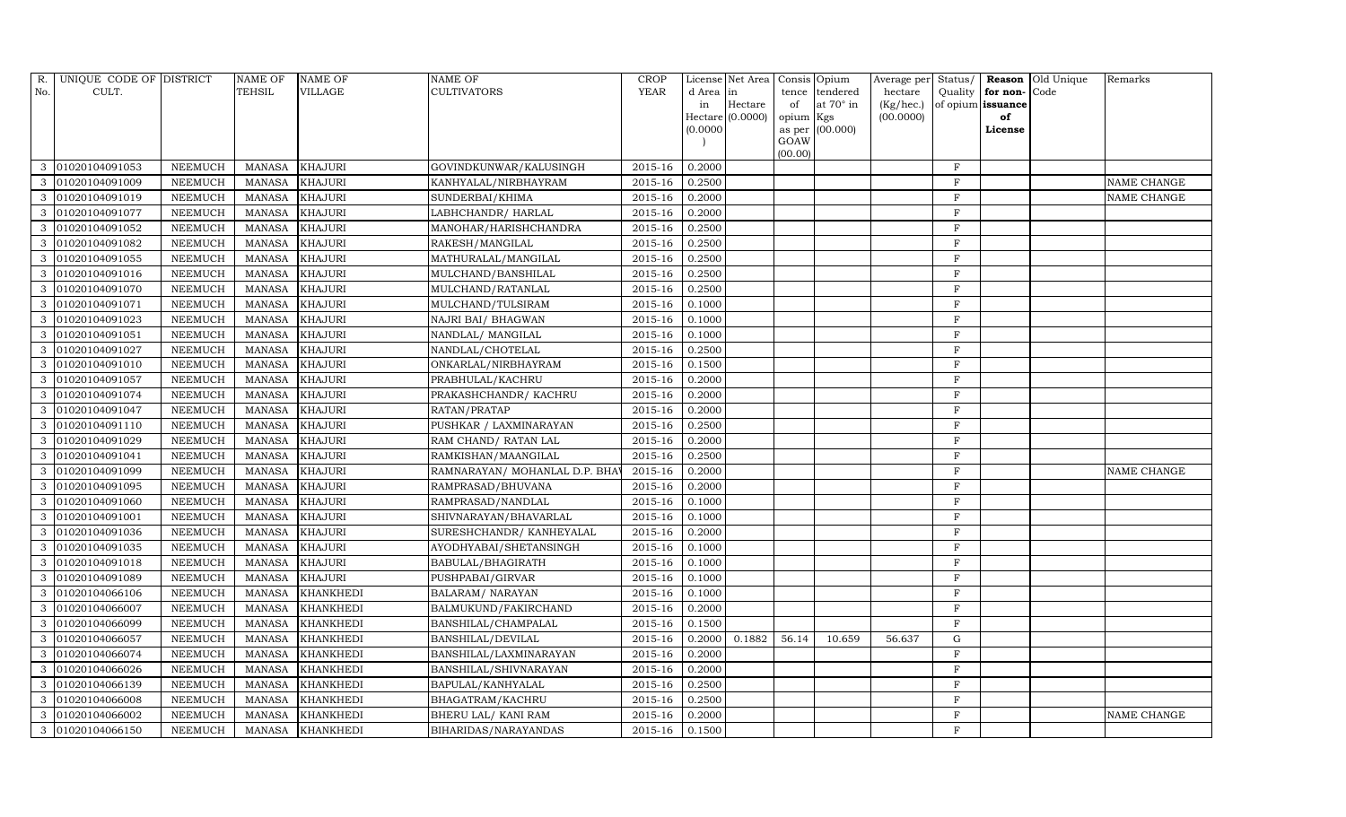| R.            | UNIQUE CODE OF DISTRICT |                | <b>NAME OF</b> | <b>NAME OF</b>   | <b>NAME OF</b>                | <b>CROP</b> |           | License Net Area   | Consis Opium |                  | Average per Status/ |                |                   | Reason Old Unique | Remarks            |
|---------------|-------------------------|----------------|----------------|------------------|-------------------------------|-------------|-----------|--------------------|--------------|------------------|---------------------|----------------|-------------------|-------------------|--------------------|
| No.           | CULT.                   |                | TEHSIL         | <b>VILLAGE</b>   | <b>CULTIVATORS</b>            | YEAR        | d Area in |                    |              | tence tendered   | hectare             | Quality        | for non-          | Code              |                    |
|               |                         |                |                |                  |                               |             | in        | Hectare            | of           | at $70^\circ$ in | (Kg/hec.)           |                | of opium issuance |                   |                    |
|               |                         |                |                |                  |                               |             |           | $Hectare$ (0.0000) | opium Kgs    |                  | (00.0000)           |                | of                |                   |                    |
|               |                         |                |                |                  |                               |             | (0.0000)  |                    | GOAW         | as per (00.000)  |                     |                | License           |                   |                    |
|               |                         |                |                |                  |                               |             |           |                    | (00.00)      |                  |                     |                |                   |                   |                    |
| 3             | 01020104091053          | <b>NEEMUCH</b> | <b>MANASA</b>  | <b>KHAJURI</b>   | GOVINDKUNWAR/KALUSINGH        | 2015-16     | 0.2000    |                    |              |                  |                     | $\rm F$        |                   |                   |                    |
|               | 01020104091009          | <b>NEEMUCH</b> | <b>MANASA</b>  | <b>KHAJURI</b>   | KANHYALAL/NIRBHAYRAM          | 2015-16     | 0.2500    |                    |              |                  |                     | $\rm F$        |                   |                   | NAME CHANGE        |
| 3             | 01020104091019          | <b>NEEMUCH</b> | <b>MANASA</b>  | <b>KHAJURI</b>   | SUNDERBAI/KHIMA               | 2015-16     | 0.2000    |                    |              |                  |                     | F              |                   |                   | NAME CHANGE        |
|               | 01020104091077          | <b>NEEMUCH</b> | <b>MANASA</b>  | <b>KHAJURI</b>   | LABHCHANDR/ HARLAL            | 2015-16     | 0.2000    |                    |              |                  |                     | $\rm F$        |                   |                   |                    |
| 3             | 01020104091052          | <b>NEEMUCH</b> | <b>MANASA</b>  | <b>KHAJURI</b>   | MANOHAR/HARISHCHANDRA         | 2015-16     | 0.2500    |                    |              |                  |                     | $\rm F$        |                   |                   |                    |
| 3             | 01020104091082          | <b>NEEMUCH</b> | <b>MANASA</b>  | <b>KHAJURI</b>   | RAKESH/MANGILAL               | 2015-16     | 0.2500    |                    |              |                  |                     | $\rm F$        |                   |                   |                    |
| 3             | 01020104091055          | <b>NEEMUCH</b> | <b>MANASA</b>  | <b>KHAJURI</b>   | MATHURALAL/MANGILAL           | 2015-16     | 0.2500    |                    |              |                  |                     | $\mathbf F$    |                   |                   |                    |
| 3             | 01020104091016          | <b>NEEMUCH</b> | <b>MANASA</b>  | <b>KHAJURI</b>   | MULCHAND/BANSHILAL            | 2015-16     | 0.2500    |                    |              |                  |                     | $\rm F$        |                   |                   |                    |
|               | 01020104091070          | <b>NEEMUCH</b> | <b>MANASA</b>  | <b>KHAJURI</b>   | MULCHAND/RATANLAL             | 2015-16     | 0.2500    |                    |              |                  |                     | $\rm F$        |                   |                   |                    |
| $\mathcal{S}$ | 01020104091071          | <b>NEEMUCH</b> | <b>MANASA</b>  | KHAJURI          | MULCHAND/TULSIRAM             | 2015-16     | 0.1000    |                    |              |                  |                     | $\rm F$        |                   |                   |                    |
| 3             | 01020104091023          | <b>NEEMUCH</b> | <b>MANASA</b>  | <b>KHAJURI</b>   | NAJRI BAI / BHAGWAN           | 2015-16     | 0.1000    |                    |              |                  |                     | $\mathbf{F}$   |                   |                   |                    |
| 3             | 01020104091051          | <b>NEEMUCH</b> | <b>MANASA</b>  | <b>KHAJURI</b>   | NANDLAL/ MANGILAL             | 2015-16     | 0.1000    |                    |              |                  |                     | $\rm F$        |                   |                   |                    |
| 3             | 01020104091027          | <b>NEEMUCH</b> | <b>MANASA</b>  | <b>KHAJURI</b>   | NANDLAL/CHOTELAL              | $2015 - 16$ | 0.2500    |                    |              |                  |                     | $\rm F$        |                   |                   |                    |
|               | 01020104091010          | <b>NEEMUCH</b> | <b>MANASA</b>  | <b>KHAJURI</b>   | ONKARLAL/NIRBHAYRAM           | 2015-16     | 0.1500    |                    |              |                  |                     | $\overline{F}$ |                   |                   |                    |
| $\mathcal{S}$ | 01020104091057          | <b>NEEMUCH</b> | <b>MANASA</b>  | <b>KHAJURI</b>   | PRABHULAL/KACHRU              | 2015-16     | 0.2000    |                    |              |                  |                     | $\rm F$        |                   |                   |                    |
|               | 01020104091074          | <b>NEEMUCH</b> | <b>MANASA</b>  | <b>KHAJURI</b>   | PRAKASHCHANDR/KACHRU          | 2015-16     | 0.2000    |                    |              |                  |                     | $\rm F$        |                   |                   |                    |
| 3             | 01020104091047          | <b>NEEMUCH</b> | <b>MANASA</b>  | KHAJURI          | RATAN/PRATAP                  | 2015-16     | 0.2000    |                    |              |                  |                     | $\rm F$        |                   |                   |                    |
| $\mathcal{B}$ | 01020104091110          | <b>NEEMUCH</b> | <b>MANASA</b>  | <b>KHAJURI</b>   | PUSHKAR / LAXMINARAYAN        | 2015-16     | 0.2500    |                    |              |                  |                     | $\mathbf F$    |                   |                   |                    |
| 3             | 01020104091029          | <b>NEEMUCH</b> | <b>MANASA</b>  | <b>KHAJURI</b>   | RAM CHAND/ RATAN LAL          | 2015-16     | 0.2000    |                    |              |                  |                     | $\mathbf F$    |                   |                   |                    |
| 3             | 01020104091041          | <b>NEEMUCH</b> | <b>MANASA</b>  | <b>KHAJURI</b>   | RAMKISHAN/MAANGILAL           | 2015-16     | 0.2500    |                    |              |                  |                     | $\rm F$        |                   |                   |                    |
|               | 01020104091099          | <b>NEEMUCH</b> | <b>MANASA</b>  | <b>KHAJURI</b>   | RAMNARAYAN/ MOHANLAL D.P. BHA | 2015-16     | 0.2000    |                    |              |                  |                     | $\rm F$        |                   |                   | NAME CHANGE        |
| $\mathcal{S}$ | 01020104091095          | <b>NEEMUCH</b> | <b>MANASA</b>  | <b>KHAJURI</b>   | RAMPRASAD/BHUVANA             | 2015-16     | 0.2000    |                    |              |                  |                     | $\rm F$        |                   |                   |                    |
| 3             | 01020104091060          | <b>NEEMUCH</b> | <b>MANASA</b>  | <b>KHAJURI</b>   | RAMPRASAD/NANDLAL             | 2015-16     | 0.1000    |                    |              |                  |                     | $\rm F$        |                   |                   |                    |
| 3             | 01020104091001          | <b>NEEMUCH</b> | <b>MANASA</b>  | <b>KHAJURI</b>   | SHIVNARAYAN/BHAVARLAL         | 2015-16     | 0.1000    |                    |              |                  |                     | $\rm F$        |                   |                   |                    |
| 3             | 01020104091036          | <b>NEEMUCH</b> | <b>MANASA</b>  | <b>KHAJURI</b>   | SURESHCHANDR/ KANHEYALAL      | $2015 - 16$ | 0.2000    |                    |              |                  |                     | F              |                   |                   |                    |
|               | 01020104091035          | <b>NEEMUCH</b> | <b>MANASA</b>  | <b>KHAJURI</b>   | AYODHYABAI/SHETANSINGH        | 2015-16     | 0.1000    |                    |              |                  |                     | $\rm F$        |                   |                   |                    |
| 3             | 01020104091018          | <b>NEEMUCH</b> | <b>MANASA</b>  | <b>KHAJURI</b>   | BABULAL/BHAGIRATH             | 2015-16     | 0.1000    |                    |              |                  |                     | $\rm F$        |                   |                   |                    |
| 3             | 01020104091089          | <b>NEEMUCH</b> | <b>MANASA</b>  | <b>KHAJURI</b>   | PUSHPABAI/GIRVAR              | 2015-16     | 0.1000    |                    |              |                  |                     | $\rm F$        |                   |                   |                    |
| 3             | 01020104066106          | <b>NEEMUCH</b> | <b>MANASA</b>  | <b>KHANKHEDI</b> | <b>BALARAM/ NARAYAN</b>       | 2015-16     | 0.1000    |                    |              |                  |                     | $\mathbf F$    |                   |                   |                    |
| 3             | 01020104066007          | <b>NEEMUCH</b> | <b>MANASA</b>  | <b>KHANKHEDI</b> | BALMUKUND/FAKIRCHAND          | 2015-16     | 0.2000    |                    |              |                  |                     | F              |                   |                   |                    |
|               | 01020104066099          | <b>NEEMUCH</b> | <b>MANASA</b>  | <b>KHANKHEDI</b> | BANSHILAL/CHAMPALAL           | 2015-16     | 0.1500    |                    |              |                  |                     | $\mathbf{F}$   |                   |                   |                    |
| $\mathcal{S}$ | 01020104066057          | <b>NEEMUCH</b> | <b>MANASA</b>  | <b>KHANKHEDI</b> | BANSHILAL/DEVILAL             | 2015-16     | 0.2000    | 0.1882             | 56.14        | 10.659           | 56.637              | ${\rm G}$      |                   |                   |                    |
| 3             | 01020104066074          | <b>NEEMUCH</b> | <b>MANASA</b>  | <b>KHANKHEDI</b> | BANSHILAL/LAXMINARAYAN        | 2015-16     | 0.2000    |                    |              |                  |                     | F              |                   |                   |                    |
| 3             | 01020104066026          | <b>NEEMUCH</b> | <b>MANASA</b>  | <b>KHANKHEDI</b> | BANSHILAL/SHIVNARAYAN         | 2015-16     | 0.2000    |                    |              |                  |                     | $\mathbf F$    |                   |                   |                    |
| 3             | 01020104066139          | <b>NEEMUCH</b> | <b>MANASA</b>  | <b>KHANKHEDI</b> | BAPULAL/KANHYALAL             | 2015-16     | 0.2500    |                    |              |                  |                     | $\rm F$        |                   |                   |                    |
|               | 01020104066008          | <b>NEEMUCH</b> | <b>MANASA</b>  | <b>KHANKHEDI</b> | BHAGATRAM/KACHRU              | 2015-16     | 0.2500    |                    |              |                  |                     | $\rm F$        |                   |                   |                    |
| $\mathcal{S}$ | 01020104066002          | <b>NEEMUCH</b> | <b>MANASA</b>  | <b>KHANKHEDI</b> | BHERU LAL/ KANI RAM           | 2015-16     | 0.2000    |                    |              |                  |                     | $\rm F$        |                   |                   | <b>NAME CHANGE</b> |
| 3             | 01020104066150          | <b>NEEMUCH</b> | <b>MANASA</b>  | <b>KHANKHEDI</b> | BIHARIDAS/NARAYANDAS          | 2015-16     | 0.1500    |                    |              |                  |                     | F              |                   |                   |                    |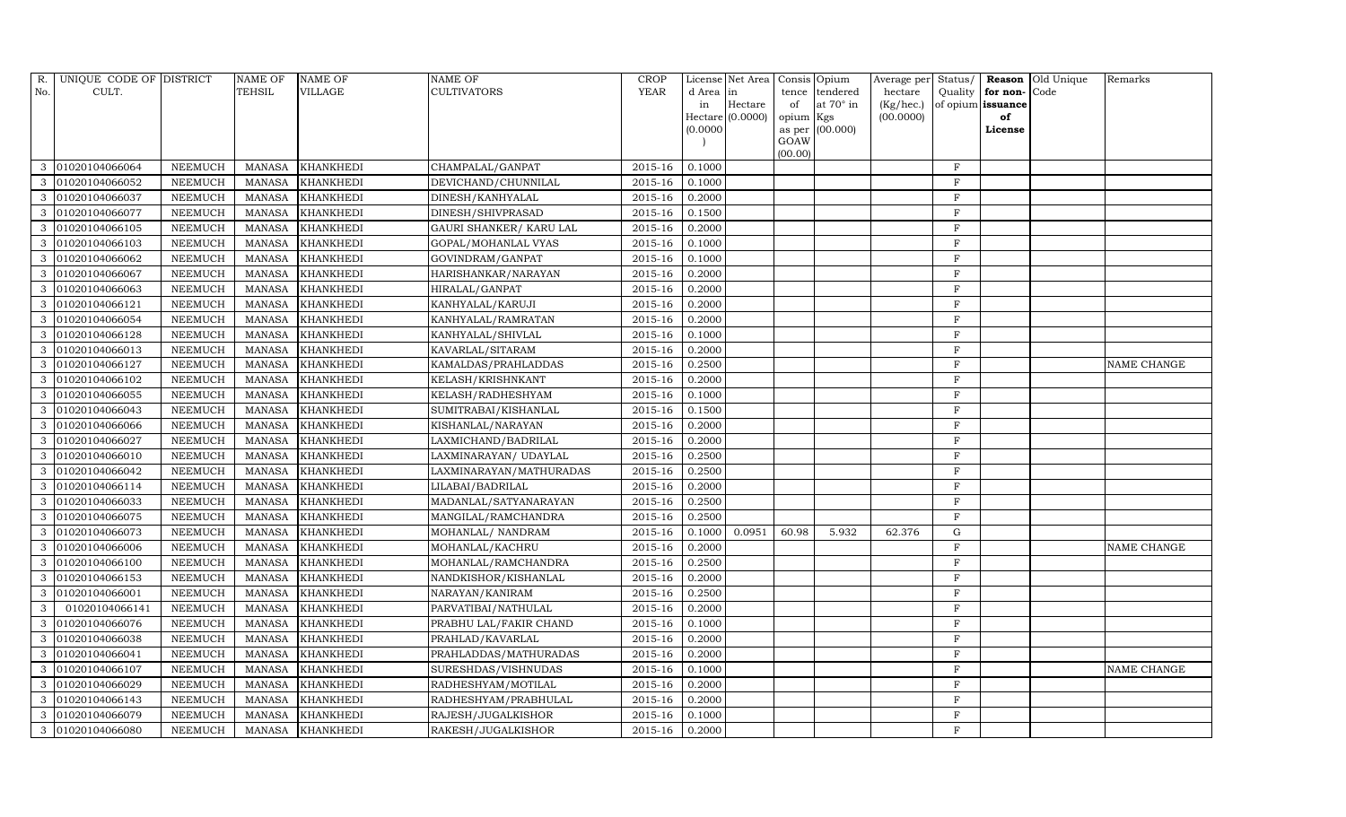| R.            | UNIQUE CODE OF DISTRICT |                | <b>NAME OF</b> | <b>NAME OF</b>   | <b>NAME OF</b>          | <b>CROP</b> |           | License Net Area   | Consis Opium |                  | Average per Status/ |                |                   | Reason Old Unique | Remarks     |
|---------------|-------------------------|----------------|----------------|------------------|-------------------------|-------------|-----------|--------------------|--------------|------------------|---------------------|----------------|-------------------|-------------------|-------------|
| No.           | CULT.                   |                | TEHSIL         | <b>VILLAGE</b>   | <b>CULTIVATORS</b>      | YEAR        | d Area in |                    |              | tence tendered   | hectare             | Quality        | for non-          | Code              |             |
|               |                         |                |                |                  |                         |             | in        | Hectare            | of           | at $70^\circ$ in | (Kg/hec.)           |                | of opium issuance |                   |             |
|               |                         |                |                |                  |                         |             |           | $Hectare$ (0.0000) | opium Kgs    |                  | (00.0000)           |                | of                |                   |             |
|               |                         |                |                |                  |                         |             | (0.0000)  |                    | GOAW         | as per (00.000)  |                     |                | License           |                   |             |
|               |                         |                |                |                  |                         |             |           |                    | (00.00)      |                  |                     |                |                   |                   |             |
| $\mathcal{S}$ | 01020104066064          | <b>NEEMUCH</b> | <b>MANASA</b>  | <b>KHANKHEDI</b> | CHAMPALAL/GANPAT        | 2015-16     | 0.1000    |                    |              |                  |                     | $\mathbf F$    |                   |                   |             |
|               | 01020104066052          | <b>NEEMUCH</b> | <b>MANASA</b>  | <b>KHANKHEDI</b> | DEVICHAND/CHUNNILAL     | 2015-16     | 0.1000    |                    |              |                  |                     | $\rm F$        |                   |                   |             |
| 3             | 01020104066037          | <b>NEEMUCH</b> | <b>MANASA</b>  | <b>KHANKHEDI</b> | DINESH/KANHYALAL        | 2015-16     | 0.2000    |                    |              |                  |                     | F              |                   |                   |             |
|               | 01020104066077          | <b>NEEMUCH</b> | <b>MANASA</b>  | <b>KHANKHEDI</b> | DINESH/SHIVPRASAD       | 2015-16     | 0.1500    |                    |              |                  |                     | $\rm F$        |                   |                   |             |
| 3             | 01020104066105          | <b>NEEMUCH</b> | <b>MANASA</b>  | <b>KHANKHEDI</b> | GAURI SHANKER/ KARU LAL | 2015-16     | 0.2000    |                    |              |                  |                     | $\rm F$        |                   |                   |             |
| 3             | 01020104066103          | <b>NEEMUCH</b> | <b>MANASA</b>  | <b>KHANKHEDI</b> | GOPAL/MOHANLAL VYAS     | 2015-16     | 0.1000    |                    |              |                  |                     | $\rm F$        |                   |                   |             |
| 3             | 01020104066062          | <b>NEEMUCH</b> | <b>MANASA</b>  | <b>KHANKHEDI</b> | GOVINDRAM/GANPAT        | 2015-16     | 0.1000    |                    |              |                  |                     | $\mathbf F$    |                   |                   |             |
| 3             | 01020104066067          | <b>NEEMUCH</b> | <b>MANASA</b>  | <b>KHANKHEDI</b> | HARISHANKAR/NARAYAN     | 2015-16     | 0.2000    |                    |              |                  |                     | $\rm F$        |                   |                   |             |
|               | 01020104066063          | <b>NEEMUCH</b> | <b>MANASA</b>  | <b>KHANKHEDI</b> | HIRALAL/GANPAT          | 2015-16     | 0.2000    |                    |              |                  |                     | $\rm F$        |                   |                   |             |
| $\mathcal{S}$ | 01020104066121          | <b>NEEMUCH</b> | <b>MANASA</b>  | <b>KHANKHEDI</b> | KANHYALAL/KARUJI        | 2015-16     | 0.2000    |                    |              |                  |                     | $\rm F$        |                   |                   |             |
| 3             | 01020104066054          | <b>NEEMUCH</b> | <b>MANASA</b>  | <b>KHANKHEDI</b> | KANHYALAL/RAMRATAN      | 2015-16     | 0.2000    |                    |              |                  |                     | $\mathbf{F}$   |                   |                   |             |
| 3             | 01020104066128          | <b>NEEMUCH</b> | <b>MANASA</b>  | <b>KHANKHEDI</b> | KANHYALAL/SHIVLAL       | 2015-16     | 0.1000    |                    |              |                  |                     | $\rm F$        |                   |                   |             |
| 3             | 01020104066013          | <b>NEEMUCH</b> | <b>MANASA</b>  | <b>KHANKHEDI</b> | KAVARLAL/SITARAM        | $2015 - 16$ | 0.2000    |                    |              |                  |                     | $\rm F$        |                   |                   |             |
|               | 01020104066127          | <b>NEEMUCH</b> | <b>MANASA</b>  | <b>KHANKHEDI</b> | KAMALDAS/PRAHLADDAS     | 2015-16     | 0.2500    |                    |              |                  |                     | $\overline{F}$ |                   |                   | NAME CHANGE |
| 3             | 01020104066102          | <b>NEEMUCH</b> | <b>MANASA</b>  | <b>KHANKHEDI</b> | KELASH/KRISHNKANT       | 2015-16     | 0.2000    |                    |              |                  |                     | $\rm F$        |                   |                   |             |
|               | 01020104066055          | <b>NEEMUCH</b> | <b>MANASA</b>  | <b>KHANKHEDI</b> | KELASH/RADHESHYAM       | 2015-16     | 0.1000    |                    |              |                  |                     | $\rm F$        |                   |                   |             |
| 3             | 01020104066043          | <b>NEEMUCH</b> | <b>MANASA</b>  | <b>KHANKHEDI</b> | SUMITRABAI/KISHANLAL    | 2015-16     | 0.1500    |                    |              |                  |                     | $\rm F$        |                   |                   |             |
| $\mathcal{R}$ | 01020104066066          | <b>NEEMUCH</b> | <b>MANASA</b>  | <b>KHANKHEDI</b> | KISHANLAL/NARAYAN       | 2015-16     | 0.2000    |                    |              |                  |                     | $\mathbf F$    |                   |                   |             |
| 3             | 01020104066027          | <b>NEEMUCH</b> | <b>MANASA</b>  | <b>KHANKHEDI</b> | LAXMICHAND/BADRILAL     | 2015-16     | 0.2000    |                    |              |                  |                     | $\mathbf F$    |                   |                   |             |
| 3             | 01020104066010          | <b>NEEMUCH</b> | <b>MANASA</b>  | <b>KHANKHEDI</b> | LAXMINARAYAN/ UDAYLAL   | 2015-16     | 0.2500    |                    |              |                  |                     | $\rm F$        |                   |                   |             |
|               | 01020104066042          | <b>NEEMUCH</b> | <b>MANASA</b>  | <b>KHANKHEDI</b> | LAXMINARAYAN/MATHURADAS | 2015-16     | 0.2500    |                    |              |                  |                     | $\rm F$        |                   |                   |             |
| $\mathcal{S}$ | 01020104066114          | <b>NEEMUCH</b> | <b>MANASA</b>  | <b>KHANKHEDI</b> | LILABAI/BADRILAL        | 2015-16     | 0.2000    |                    |              |                  |                     | $\rm F$        |                   |                   |             |
| 3             | 01020104066033          | <b>NEEMUCH</b> | <b>MANASA</b>  | <b>KHANKHEDI</b> | MADANLAL/SATYANARAYAN   | 2015-16     | 0.2500    |                    |              |                  |                     | $\rm F$        |                   |                   |             |
| 3             | 01020104066075          | <b>NEEMUCH</b> | <b>MANASA</b>  | <b>KHANKHEDI</b> | MANGILAL/RAMCHANDRA     | 2015-16     | 0.2500    |                    |              |                  |                     | $\rm F$        |                   |                   |             |
| 3             | 01020104066073          | <b>NEEMUCH</b> | <b>MANASA</b>  | <b>KHANKHEDI</b> | MOHANLAL/ NANDRAM       | $2015 - 16$ | 0.1000    | 0.0951             | 60.98        | 5.932            | 62.376              | $\mathbf G$    |                   |                   |             |
|               | 01020104066006          | <b>NEEMUCH</b> | <b>MANASA</b>  | <b>KHANKHEDI</b> | MOHANLAL/KACHRU         | 2015-16     | 0.2000    |                    |              |                  |                     | $\rm F$        |                   |                   | NAME CHANGE |
| 3             | 01020104066100          | <b>NEEMUCH</b> | <b>MANASA</b>  | <b>KHANKHEDI</b> | MOHANLAL/RAMCHANDRA     | 2015-16     | 0.2500    |                    |              |                  |                     | $\rm F$        |                   |                   |             |
| 3             | 01020104066153          | <b>NEEMUCH</b> | <b>MANASA</b>  | <b>KHANKHEDI</b> | NANDKISHOR/KISHANLAL    | 2015-16     | 0.2000    |                    |              |                  |                     | $\rm F$        |                   |                   |             |
| 3             | 01020104066001          | <b>NEEMUCH</b> | <b>MANASA</b>  | <b>KHANKHEDI</b> | NARAYAN/KANIRAM         | 2015-16     | 0.2500    |                    |              |                  |                     | $\mathbf F$    |                   |                   |             |
| 3             | 01020104066141          | <b>NEEMUCH</b> | <b>MANASA</b>  | <b>KHANKHEDI</b> | PARVATIBAI/NATHULAL     | 2015-16     | 0.2000    |                    |              |                  |                     | $\rm F$        |                   |                   |             |
|               | 01020104066076          | <b>NEEMUCH</b> | <b>MANASA</b>  | <b>KHANKHEDI</b> | PRABHU LAL/FAKIR CHAND  | 2015-16     | 0.1000    |                    |              |                  |                     | $\mathbf{F}$   |                   |                   |             |
| 3             | 01020104066038          | <b>NEEMUCH</b> | <b>MANASA</b>  | <b>KHANKHEDI</b> | PRAHLAD/KAVARLAL        | 2015-16     | 0.2000    |                    |              |                  |                     | $\rm F$        |                   |                   |             |
| 3             | 01020104066041          | <b>NEEMUCH</b> | <b>MANASA</b>  | <b>KHANKHEDI</b> | PRAHLADDAS/MATHURADAS   | 2015-16     | 0.2000    |                    |              |                  |                     | $\mathbf F$    |                   |                   |             |
| 3             | 01020104066107          | <b>NEEMUCH</b> | <b>MANASA</b>  | <b>KHANKHEDI</b> | SURESHDAS/VISHNUDAS     | 2015-16     | 0.1000    |                    |              |                  |                     | $\rm F$        |                   |                   | NAME CHANGE |
| 3             | 01020104066029          | <b>NEEMUCH</b> | <b>MANASA</b>  | <b>KHANKHEDI</b> | RADHESHYAM/MOTILAL      | 2015-16     | 0.2000    |                    |              |                  |                     | $\rm F$        |                   |                   |             |
|               | 01020104066143          | <b>NEEMUCH</b> | <b>MANASA</b>  | <b>KHANKHEDI</b> | RADHESHYAM/PRABHULAL    | 2015-16     | 0.2000    |                    |              |                  |                     | $\rm F$        |                   |                   |             |
| $\mathcal{S}$ | 01020104066079          | <b>NEEMUCH</b> | <b>MANASA</b>  | <b>KHANKHEDI</b> | RAJESH/JUGALKISHOR      | 2015-16     | 0.1000    |                    |              |                  |                     | $\rm F$        |                   |                   |             |
| 3             | 01020104066080          | <b>NEEMUCH</b> | <b>MANASA</b>  | <b>KHANKHEDI</b> | RAKESH/JUGALKISHOR      | 2015-16     | 0.2000    |                    |              |                  |                     | F              |                   |                   |             |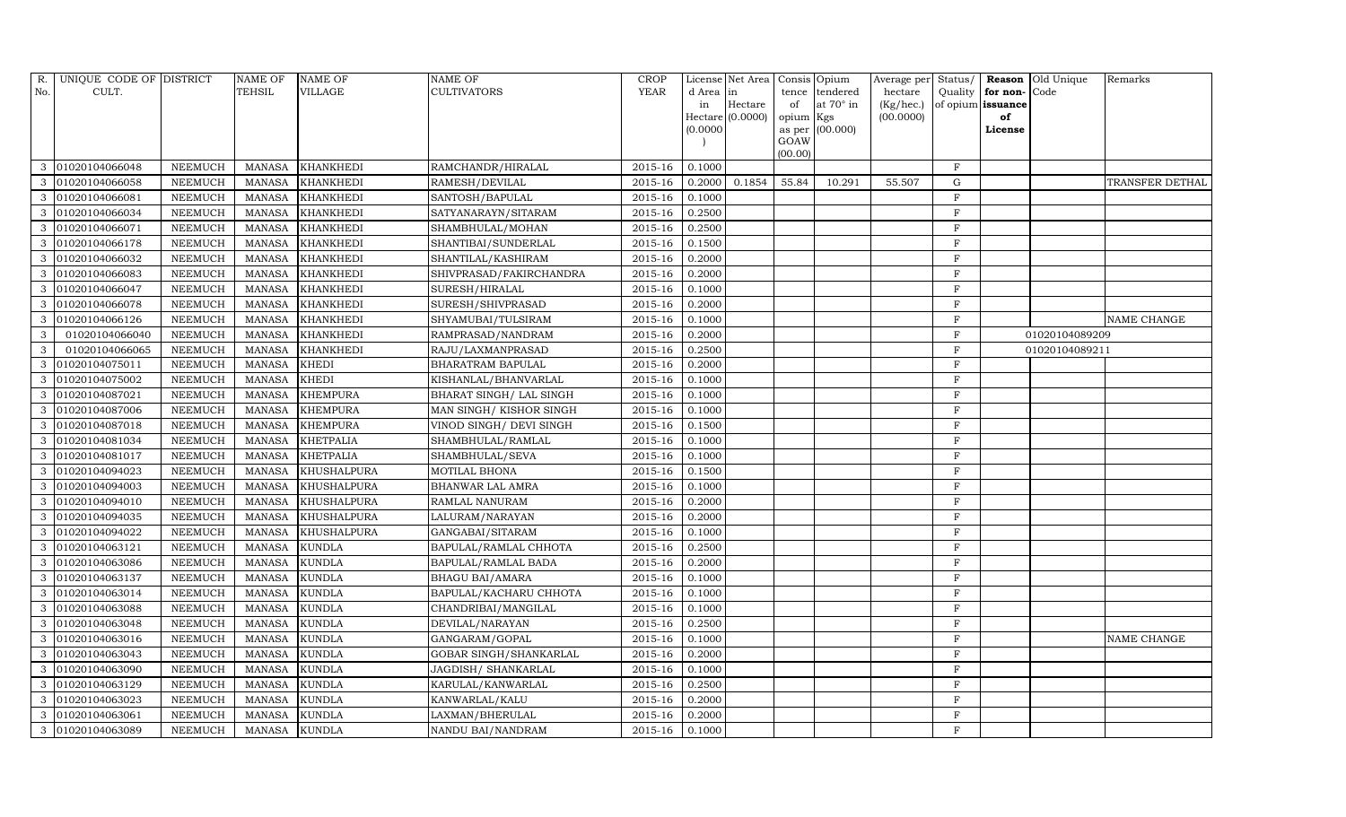| R.            | UNIQUE CODE OF DISTRICT |                | <b>NAME OF</b> | <b>NAME OF</b>     | <b>NAME OF</b>           | <b>CROP</b> |           | License Net Area Consis Opium |                 |                  |           |                |                   | Average per Status/ Reason Old Unique | Remarks         |
|---------------|-------------------------|----------------|----------------|--------------------|--------------------------|-------------|-----------|-------------------------------|-----------------|------------------|-----------|----------------|-------------------|---------------------------------------|-----------------|
| No.           | CULT.                   |                | <b>TEHSIL</b>  | <b>VILLAGE</b>     | <b>CULTIVATORS</b>       | YEAR        | d Area in |                               |                 | tence tendered   | hectare   | Quality        | for non-          | Code                                  |                 |
|               |                         |                |                |                    |                          |             | in        | Hectare                       | of              | at $70^\circ$ in | (Kg/hec.) |                | of opium issuance |                                       |                 |
|               |                         |                |                |                    |                          |             |           | $Hectare$ (0.0000)            | opium Kgs       |                  | (00.0000) |                | of                |                                       |                 |
|               |                         |                |                |                    |                          |             | (0.0000)  |                               |                 | as per (00.000)  |           |                | License           |                                       |                 |
|               |                         |                |                |                    |                          |             |           |                               | GOAW<br>(00.00) |                  |           |                |                   |                                       |                 |
| 3             | 01020104066048          | <b>NEEMUCH</b> | <b>MANASA</b>  | KHANKHEDI          | RAMCHANDR/HIRALAL        | 2015-16     | 0.1000    |                               |                 |                  |           | $\rm F$        |                   |                                       |                 |
|               | 01020104066058          | <b>NEEMUCH</b> | <b>MANASA</b>  | <b>KHANKHEDI</b>   | RAMESH/DEVILAL           | 2015-16     | 0.2000    | 0.1854                        | 55.84           | 10.291           | 55.507    | $\mathbf G$    |                   |                                       | TRANSFER DETHAL |
| 3             | 01020104066081          | <b>NEEMUCH</b> | <b>MANASA</b>  | <b>KHANKHEDI</b>   | SANTOSH/BAPULAL          | 2015-16     | 0.1000    |                               |                 |                  |           | F              |                   |                                       |                 |
|               | 01020104066034          | <b>NEEMUCH</b> | <b>MANASA</b>  | <b>KHANKHEDI</b>   | SATYANARAYN/SITARAM      | 2015-16     | 0.2500    |                               |                 |                  |           | $\rm F$        |                   |                                       |                 |
| 3             | 01020104066071          | <b>NEEMUCH</b> | <b>MANASA</b>  | <b>KHANKHEDI</b>   | SHAMBHULAL/MOHAN         | 2015-16     | 0.2500    |                               |                 |                  |           | $\rm F$        |                   |                                       |                 |
| 3             | 01020104066178          | <b>NEEMUCH</b> | <b>MANASA</b>  | <b>KHANKHEDI</b>   | SHANTIBAI/SUNDERLAL      | 2015-16     | 0.1500    |                               |                 |                  |           | $\rm F$        |                   |                                       |                 |
| 3             | 01020104066032          | <b>NEEMUCH</b> | <b>MANASA</b>  | <b>KHANKHEDI</b>   | SHANTILAL/KASHIRAM       | 2015-16     | 0.2000    |                               |                 |                  |           | $\mathbf F$    |                   |                                       |                 |
| 3             | 01020104066083          | <b>NEEMUCH</b> | <b>MANASA</b>  | <b>KHANKHEDI</b>   | SHIVPRASAD/FAKIRCHANDRA  | $2015 - 16$ | 0.2000    |                               |                 |                  |           | F              |                   |                                       |                 |
|               | 01020104066047          | <b>NEEMUCH</b> | <b>MANASA</b>  | <b>KHANKHEDI</b>   | SURESH/HIRALAL           | 2015-16     | 0.1000    |                               |                 |                  |           | F              |                   |                                       |                 |
| 3             | 01020104066078          | <b>NEEMUCH</b> | <b>MANASA</b>  | <b>KHANKHEDI</b>   | SURESH/SHIVPRASAD        | 2015-16     | 0.2000    |                               |                 |                  |           | $\rm F$        |                   |                                       |                 |
| 3             | 01020104066126          | <b>NEEMUCH</b> | <b>MANASA</b>  | <b>KHANKHEDI</b>   | SHYAMUBAI/TULSIRAM       | 2015-16     | 0.1000    |                               |                 |                  |           | $\overline{F}$ |                   |                                       | NAME CHANGE     |
| 3             | 01020104066040          | <b>NEEMUCH</b> | <b>MANASA</b>  | <b>KHANKHEDI</b>   | RAMPRASAD/NANDRAM        | 2015-16     | 0.2000    |                               |                 |                  |           | $\mathbf F$    |                   | 01020104089209                        |                 |
| 3             | 01020104066065          | <b>NEEMUCH</b> | <b>MANASA</b>  | <b>KHANKHEDI</b>   | RAJU/LAXMANPRASAD        | 2015-16     | 0.2500    |                               |                 |                  |           | $\rm F$        |                   | 01020104089211                        |                 |
|               | 01020104075011          | <b>NEEMUCH</b> | <b>MANASA</b>  | <b>KHEDI</b>       | <b>BHARATRAM BAPULAL</b> | 2015-16     | 0.2000    |                               |                 |                  |           | $\overline{F}$ |                   |                                       |                 |
| 3             | 01020104075002          | <b>NEEMUCH</b> | <b>MANASA</b>  | <b>KHEDI</b>       | KISHANLAL/BHANVARLAL     | 2015-16     | 0.1000    |                               |                 |                  |           | F              |                   |                                       |                 |
| 3             | 01020104087021          | <b>NEEMUCH</b> | <b>MANASA</b>  | <b>KHEMPURA</b>    | BHARAT SINGH/ LAL SINGH  | 2015-16     | 0.1000    |                               |                 |                  |           | $\mathbf F$    |                   |                                       |                 |
| 3             | 01020104087006          | <b>NEEMUCH</b> | <b>MANASA</b>  | <b>KHEMPURA</b>    | MAN SINGH/KISHOR SINGH   | 2015-16     | 0.1000    |                               |                 |                  |           | $\mathbf F$    |                   |                                       |                 |
| 3             | 01020104087018          | <b>NEEMUCH</b> | <b>MANASA</b>  | <b>KHEMPURA</b>    | VINOD SINGH/ DEVI SINGH  | 2015-16     | 0.1500    |                               |                 |                  |           | $\rm F$        |                   |                                       |                 |
|               | 01020104081034          | <b>NEEMUCH</b> | <b>MANASA</b>  | <b>KHETPALIA</b>   | SHAMBHULAL/RAMLAL        | 2015-16     | 0.1000    |                               |                 |                  |           | $\mathbf F$    |                   |                                       |                 |
| 3             | 01020104081017          | <b>NEEMUCH</b> | <b>MANASA</b>  | <b>KHETPALIA</b>   | SHAMBHULAL/SEVA          | 2015-16     | 0.1000    |                               |                 |                  |           | $\rm F$        |                   |                                       |                 |
| 3             | 01020104094023          | <b>NEEMUCH</b> | <b>MANASA</b>  | <b>KHUSHALPURA</b> | <b>MOTILAL BHONA</b>     | 2015-16     | 0.1500    |                               |                 |                  |           | $\mathbf{F}$   |                   |                                       |                 |
| 3             | 01020104094003          | <b>NEEMUCH</b> | <b>MANASA</b>  | KHUSHALPURA        | BHANWAR LAL AMRA         | 2015-16     | 0.1000    |                               |                 |                  |           | $\mathbf F$    |                   |                                       |                 |
| 3             | 01020104094010          | <b>NEEMUCH</b> | <b>MANASA</b>  | <b>KHUSHALPURA</b> | RAMLAL NANURAM           | 2015-16     | 0.2000    |                               |                 |                  |           | $\rm F$        |                   |                                       |                 |
|               | 01020104094035          | <b>NEEMUCH</b> | <b>MANASA</b>  | <b>KHUSHALPURA</b> | LALURAM/NARAYAN          | 2015-16     | 0.2000    |                               |                 |                  |           | $\rm F$        |                   |                                       |                 |
| 3             | 01020104094022          | <b>NEEMUCH</b> | <b>MANASA</b>  | KHUSHALPURA        | GANGABAI/SITARAM         | 2015-16     | 0.1000    |                               |                 |                  |           | $\rm F$        |                   |                                       |                 |
| 3             | 01020104063121          | <b>NEEMUCH</b> | <b>MANASA</b>  | <b>KUNDLA</b>      | BAPULAL/RAMLAL CHHOTA    | 2015-16     | 0.2500    |                               |                 |                  |           | $\rm F$        |                   |                                       |                 |
| 3             | 01020104063086          | <b>NEEMUCH</b> | <b>MANASA</b>  | <b>KUNDLA</b>      | BAPULAL/RAMLAL BADA      | 2015-16     | 0.2000    |                               |                 |                  |           | $\rm F$        |                   |                                       |                 |
| $\mathcal{R}$ | 01020104063137          | <b>NEEMUCH</b> | <b>MANASA</b>  | <b>KUNDLA</b>      | <b>BHAGU BAI/AMARA</b>   | 2015-16     | 0.1000    |                               |                 |                  |           | F              |                   |                                       |                 |
|               | 01020104063014          | <b>NEEMUCH</b> | <b>MANASA</b>  | <b>KUNDLA</b>      | BAPULAL/KACHARU CHHOTA   | 2015-16     | 0.1000    |                               |                 |                  |           | $\mathbf F$    |                   |                                       |                 |
| 3             | 01020104063088          | <b>NEEMUCH</b> | <b>MANASA</b>  | <b>KUNDLA</b>      | CHANDRIBAI/MANGILAL      | 2015-16     | 0.1000    |                               |                 |                  |           | $\rm F$        |                   |                                       |                 |
| 3             | 01020104063048          | <b>NEEMUCH</b> | <b>MANASA</b>  | <b>KUNDLA</b>      | DEVILAL/NARAYAN          | 2015-16     | 0.2500    |                               |                 |                  |           | $\rm F$        |                   |                                       |                 |
| $\mathcal{S}$ | 01020104063016          | <b>NEEMUCH</b> | <b>MANASA</b>  | <b>KUNDLA</b>      | GANGARAM/GOPAL           | 2015-16     | 0.1000    |                               |                 |                  |           | $\overline{F}$ |                   |                                       | NAME CHANGE     |
| 3             | 01020104063043          | <b>NEEMUCH</b> | <b>MANASA</b>  | <b>KUNDLA</b>      | GOBAR SINGH/SHANKARLAL   | $2015 - 16$ | 0.2000    |                               |                 |                  |           | $\rm F$        |                   |                                       |                 |
| 3             | 01020104063090          | <b>NEEMUCH</b> | <b>MANASA</b>  | <b>KUNDLA</b>      | JAGDISH / SHANKARLAL     | 2015-16     | 0.1000    |                               |                 |                  |           | $\overline{F}$ |                   |                                       |                 |
| 3             | 01020104063129          | <b>NEEMUCH</b> | <b>MANASA</b>  | <b>KUNDLA</b>      | KARULAL/KANWARLAL        | 2015-16     | 0.2500    |                               |                 |                  |           | $\rm F$        |                   |                                       |                 |
|               | 01020104063023          | <b>NEEMUCH</b> | <b>MANASA</b>  | <b>KUNDLA</b>      | KANWARLAL/KALU           | 2015-16     | 0.2000    |                               |                 |                  |           | $\rm F$        |                   |                                       |                 |
| 3             | 01020104063061          | <b>NEEMUCH</b> | <b>MANASA</b>  | <b>KUNDLA</b>      | LAXMAN/BHERULAL          | 2015-16     | 0.2000    |                               |                 |                  |           | $\rm F$        |                   |                                       |                 |
|               | 3 01020104063089        | <b>NEEMUCH</b> | <b>MANASA</b>  | <b>KUNDLA</b>      | NANDU BAI/NANDRAM        | 2015-16     | 0.1000    |                               |                 |                  |           | $\rm F$        |                   |                                       |                 |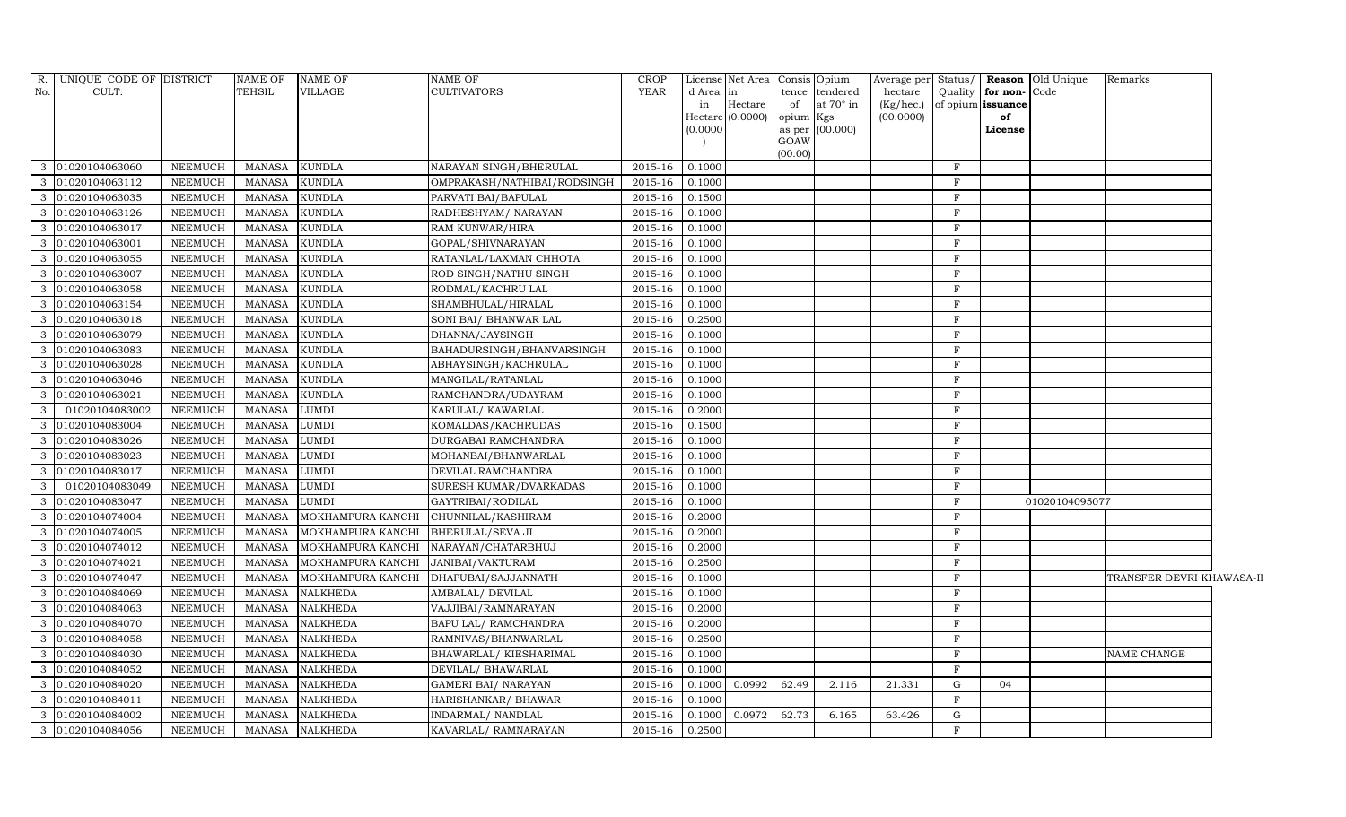| R.            | UNIQUE CODE OF DISTRICT |                | NAME OF       | <b>NAME OF</b>    | <b>NAME OF</b>              | <b>CROP</b> |          | License Net Area   |                     | Consis Opium     | Average per Status/ |              |                   | <b>Reason</b> Old Unique | Remarks                   |  |
|---------------|-------------------------|----------------|---------------|-------------------|-----------------------------|-------------|----------|--------------------|---------------------|------------------|---------------------|--------------|-------------------|--------------------------|---------------------------|--|
| No.           | CULT.                   |                | TEHSIL        | VILLAGE           | <b>CULTIVATORS</b>          | YEAR        | d Area   | lin                | tence               | tendered         | hectare             | Quality      | for non-Code      |                          |                           |  |
|               |                         |                |               |                   |                             |             | in       | Hectare            | of                  | at $70^\circ$ in | (Kg/hec.)           |              | of opium issuance |                          |                           |  |
|               |                         |                |               |                   |                             |             | (0.0000) | $Hectare$ (0.0000) | opium Kgs<br>as per | (00.000)         | (00.0000)           |              | of<br>License     |                          |                           |  |
|               |                         |                |               |                   |                             |             |          |                    | GOAW                |                  |                     |              |                   |                          |                           |  |
|               |                         |                |               |                   |                             |             |          |                    | (00.00)             |                  |                     |              |                   |                          |                           |  |
| $\mathbf{3}$  | 01020104063060          | <b>NEEMUCH</b> | <b>MANASA</b> | <b>KUNDLA</b>     | NARAYAN SINGH/BHERULAL      | $2015 - 16$ | 0.1000   |                    |                     |                  |                     | $\mathbf{F}$ |                   |                          |                           |  |
| 3             | 01020104063112          | <b>NEEMUCH</b> | <b>MANASA</b> | <b>KUNDLA</b>     | OMPRAKASH/NATHIBAI/RODSINGH | 2015-16     | 0.1000   |                    |                     |                  |                     | $\rm F$      |                   |                          |                           |  |
| $\mathbf{3}$  | 01020104063035          | <b>NEEMUCH</b> | <b>MANASA</b> | <b>KUNDLA</b>     | PARVATI BAI/BAPULAL         | 2015-16     | 0.1500   |                    |                     |                  |                     | $\mathbf{F}$ |                   |                          |                           |  |
| 3             | 01020104063126          | <b>NEEMUCH</b> | <b>MANASA</b> | <b>KUNDLA</b>     | RADHESHYAM / NARAYAN        | 2015-16     | 0.1000   |                    |                     |                  |                     | F            |                   |                          |                           |  |
| 3             | 01020104063017          | <b>NEEMUCH</b> | MANASA        | <b>KUNDLA</b>     | RAM KUNWAR/HIRA             | 2015-16     | 0.1000   |                    |                     |                  |                     | $\mathbf{F}$ |                   |                          |                           |  |
| 3             | 01020104063001          | <b>NEEMUCH</b> | <b>MANASA</b> | <b>KUNDLA</b>     | GOPAL/SHIVNARAYAN           | 2015-16     | 0.1000   |                    |                     |                  |                     | $\rm F$      |                   |                          |                           |  |
| $\mathbf{3}$  | 01020104063055          | <b>NEEMUCH</b> | <b>MANASA</b> | <b>KUNDLA</b>     | RATANLAL/LAXMAN CHHOTA      | 2015-16     | 0.1000   |                    |                     |                  |                     | $_{\rm F}$   |                   |                          |                           |  |
| 3             | 01020104063007          | <b>NEEMUCH</b> | <b>MANASA</b> | <b>KUNDLA</b>     | ROD SINGH/NATHU SINGH       | 2015-16     | 0.1000   |                    |                     |                  |                     | $\mathbf{F}$ |                   |                          |                           |  |
| 3             | 01020104063058          | <b>NEEMUCH</b> | <b>MANASA</b> | <b>KUNDLA</b>     | RODMAL/KACHRU LAL           | 2015-16     | 0.1000   |                    |                     |                  |                     | F            |                   |                          |                           |  |
| 3             | 01020104063154          | <b>NEEMUCH</b> | MANASA        | <b>KUNDLA</b>     | SHAMBHULAL/HIRALAL          | 2015-16     | 0.1000   |                    |                     |                  |                     | $\mathbf{F}$ |                   |                          |                           |  |
| $\mathcal{E}$ | 01020104063018          | <b>NEEMUCH</b> | <b>MANASA</b> | <b>KUNDLA</b>     | SONI BAI/ BHANWAR LAL       | 2015-16     | 0.2500   |                    |                     |                  |                     | F            |                   |                          |                           |  |
| 3             | 01020104063079          | <b>NEEMUCH</b> | <b>MANASA</b> | <b>KUNDLA</b>     | DHANNA/JAYSINGH             | 2015-16     | 0.1000   |                    |                     |                  |                     | $\rm F$      |                   |                          |                           |  |
| $\mathbf{3}$  | 01020104063083          | <b>NEEMUCH</b> | <b>MANASA</b> | <b>KUNDLA</b>     | BAHADURSINGH/BHANVARSINGH   | 2015-16     | 0.1000   |                    |                     |                  |                     | F            |                   |                          |                           |  |
| 3             | 01020104063028          | <b>NEEMUCH</b> | <b>MANASA</b> | <b>KUNDLA</b>     | ABHAYSINGH/KACHRULAL        | 2015-16     | 0.1000   |                    |                     |                  |                     | F            |                   |                          |                           |  |
| 3             | 01020104063046          | <b>NEEMUCH</b> | MANASA        | <b>KUNDLA</b>     | MANGILAL/RATANLAL           | $2015 - 16$ | 0.1000   |                    |                     |                  |                     | $\mathbf{F}$ |                   |                          |                           |  |
| 3             | 01020104063021          | <b>NEEMUCH</b> | <b>MANASA</b> | <b>KUNDLA</b>     | RAMCHANDRA/UDAYRAM          | 2015-16     | 0.1000   |                    |                     |                  |                     | $\mathbf{F}$ |                   |                          |                           |  |
| $\mathbf{3}$  | 01020104083002          | <b>NEEMUCH</b> | <b>MANASA</b> | <b>LUMDI</b>      | KARULAL/KAWARLAL            | 2015-16     | 0.2000   |                    |                     |                  |                     | $_{\rm F}$   |                   |                          |                           |  |
| $\mathbf{3}$  | 01020104083004          | <b>NEEMUCH</b> | <b>MANASA</b> | <b>LUMDI</b>      | KOMALDAS/KACHRUDAS          | 2015-16     | 0.1500   |                    |                     |                  |                     | F            |                   |                          |                           |  |
| 3             | 01020104083026          | <b>NEEMUCH</b> | <b>MANASA</b> | <b>LUMDI</b>      | DURGABAI RAMCHANDRA         | 2015-16     | 0.1000   |                    |                     |                  |                     | F            |                   |                          |                           |  |
| $\mathbf{3}$  | 01020104083023          | <b>NEEMUCH</b> | MANASA        | <b>LUMDI</b>      | MOHANBAI/BHANWARLAL         | 2015-16     | 0.1000   |                    |                     |                  |                     | F            |                   |                          |                           |  |
| 3             | 01020104083017          | <b>NEEMUCH</b> | <b>MANASA</b> | <b>LUMDI</b>      | DEVILAL RAMCHANDRA          | 2015-16     | 0.1000   |                    |                     |                  |                     | F            |                   |                          |                           |  |
| $\mathbf{3}$  | 01020104083049          | <b>NEEMUCH</b> | <b>MANASA</b> | <b>LUMDI</b>      | SURESH KUMAR/DVARKADAS      | 2015-16     | 0.1000   |                    |                     |                  |                     | $\rm F$      |                   |                          |                           |  |
| $\mathbf{3}$  | 01020104083047          | <b>NEEMUCH</b> | <b>MANASA</b> | <b>LUMDI</b>      | GAYTRIBAI/RODILAL           | 2015-16     | 0.1000   |                    |                     |                  |                     | F            |                   | 01020104095077           |                           |  |
| $\mathbf{3}$  | 01020104074004          | <b>NEEMUCH</b> | <b>MANASA</b> | MOKHAMPURA KANCHI | CHUNNILAL/KASHIRAM          | 2015-16     | 0.2000   |                    |                     |                  |                     | F            |                   |                          |                           |  |
| 3             | 01020104074005          | <b>NEEMUCH</b> | <b>MANASA</b> | MOKHAMPURA KANCHI | BHERULAL/SEVA JI            | 2015-16     | 0.2000   |                    |                     |                  |                     | $\mathbf{F}$ |                   |                          |                           |  |
| 3             | 01020104074012          | <b>NEEMUCH</b> | <b>MANASA</b> | MOKHAMPURA KANCHI | NARAYAN/CHATARBHUJ          | 2015-16     | 0.2000   |                    |                     |                  |                     | $\mathbf{F}$ |                   |                          |                           |  |
| 3             | 01020104074021          | <b>NEEMUCH</b> | <b>MANASA</b> | MOKHAMPURA KANCHI | JANIBAI/VAKTURAM            | 2015-16     | 0.2500   |                    |                     |                  |                     | $_{\rm F}$   |                   |                          |                           |  |
| 3             | 01020104074047          | <b>NEEMUCH</b> | <b>MANASA</b> | MOKHAMPURA KANCHI | DHAPUBAI/SAJJANNATH         | 2015-16     | 0.1000   |                    |                     |                  |                     | F            |                   |                          | TRANSFER DEVRI KHAWASA-II |  |
| 3             | 01020104084069          | <b>NEEMUCH</b> | <b>MANASA</b> | <b>NALKHEDA</b>   | AMBALAL/ DEVILAL            | 2015-16     | 0.1000   |                    |                     |                  |                     | $\mathbf{F}$ |                   |                          |                           |  |
| 3             | 01020104084063          | <b>NEEMUCH</b> | <b>MANASA</b> | <b>NALKHEDA</b>   | VAJJIBAI/RAMNARAYAN         | 2015-16     | 0.2000   |                    |                     |                  |                     | F            |                   |                          |                           |  |
| 3             | 01020104084070          | <b>NEEMUCH</b> | <b>MANASA</b> | <b>NALKHEDA</b>   | BAPU LAL/ RAMCHANDRA        | 2015-16     | 0.2000   |                    |                     |                  |                     | $\rm F$      |                   |                          |                           |  |
| 3             | 01020104084058          | <b>NEEMUCH</b> | <b>MANASA</b> | <b>NALKHEDA</b>   | RAMNIVAS/BHANWARLAL         | 2015-16     | 0.2500   |                    |                     |                  |                     | $\mathbf F$  |                   |                          |                           |  |
| $\mathbf{3}$  | 01020104084030          | <b>NEEMUCH</b> | <b>MANASA</b> | <b>NALKHEDA</b>   | BHAWARLAL/KIESHARIMAL       | 2015-16     | 0.1000   |                    |                     |                  |                     | F            |                   |                          | NAME CHANGE               |  |
| -3            | 01020104084052          | <b>NEEMUCH</b> | <b>MANASA</b> | <b>NALKHEDA</b>   | DEVILAL/ BHAWARLAL          | 2015-16     | 0.1000   |                    |                     |                  |                     | F            |                   |                          |                           |  |
| 3             | 01020104084020          | <b>NEEMUCH</b> | <b>MANASA</b> | <b>NALKHEDA</b>   | <b>GAMERI BAI/ NARAYAN</b>  | 2015-16     | 0.1000   | 0.0992             | 62.49               | 2.116            | 21.331              | G            | 04                |                          |                           |  |
| 3             | 01020104084011          | <b>NEEMUCH</b> | MANASA        | <b>NALKHEDA</b>   | HARISHANKAR/ BHAWAR         | 2015-16     | 0.1000   |                    |                     |                  |                     | $\rm F$      |                   |                          |                           |  |
| $\mathbf{3}$  | 01020104084002          | <b>NEEMUCH</b> | <b>MANASA</b> | <b>NALKHEDA</b>   | INDARMAL/ NANDLAL           | 2015-16     | 0.1000   | 0.0972             | 62.73               | 6.165            | 63.426              | G            |                   |                          |                           |  |
|               | 3 01020104084056        | <b>NEEMUCH</b> | MANASA        | <b>NALKHEDA</b>   | KAVARLAL/ RAMNARAYAN        | 2015-16     | 0.2500   |                    |                     |                  |                     | $\mathbf{F}$ |                   |                          |                           |  |
|               |                         |                |               |                   |                             |             |          |                    |                     |                  |                     |              |                   |                          |                           |  |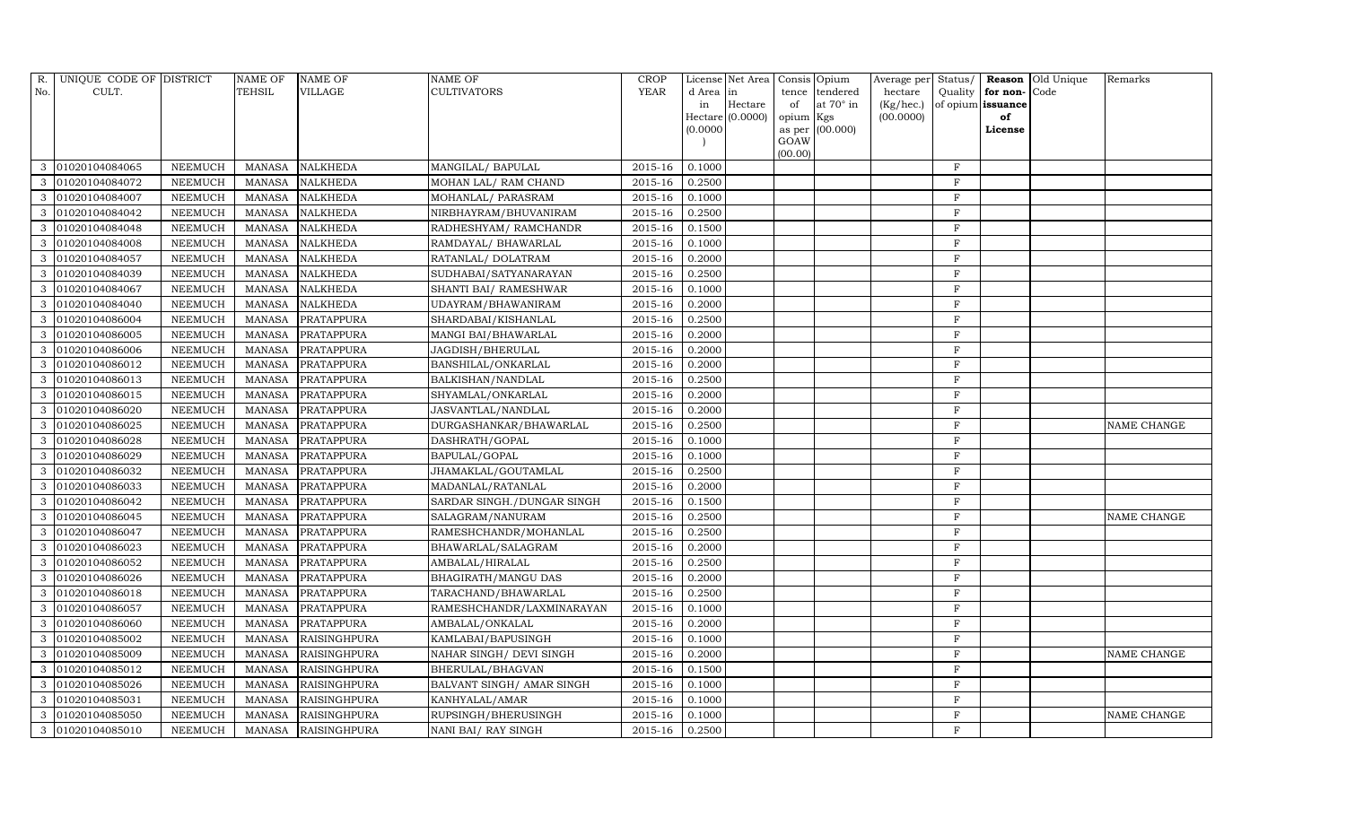| R.            | UNIQUE CODE OF DISTRICT |                | <b>NAME OF</b> | <b>NAME OF</b>      | <b>NAME OF</b>             | <b>CROP</b> |           | License Net Area   Consis   Opium |           |                  | Average per Status/ |              |                   | Reason Old Unique | Remarks            |
|---------------|-------------------------|----------------|----------------|---------------------|----------------------------|-------------|-----------|-----------------------------------|-----------|------------------|---------------------|--------------|-------------------|-------------------|--------------------|
| No.           | CULT.                   |                | TEHSIL         | <b>VILLAGE</b>      | <b>CULTIVATORS</b>         | YEAR        | d Area in |                                   | tence     | tendered         | hectare             | Quality      | for non-          | Code              |                    |
|               |                         |                |                |                     |                            |             | in        | Hectare                           | of        | at $70^\circ$ in | (Kg/hec.)           |              | of opium issuance |                   |                    |
|               |                         |                |                |                     |                            |             |           | $Hectare$ (0.0000)                | opium Kgs |                  | (00.0000)           |              | of                |                   |                    |
|               |                         |                |                |                     |                            |             | (0.0000)  |                                   | GOAW      | as per (00.000)  |                     |              | License           |                   |                    |
|               |                         |                |                |                     |                            |             |           |                                   | (00.00)   |                  |                     |              |                   |                   |                    |
| 3             | 01020104084065          | <b>NEEMUCH</b> | MANASA         | <b>NALKHEDA</b>     | MANGILAL/ BAPULAL          | 2015-16     | 0.1000    |                                   |           |                  |                     | $\mathbf F$  |                   |                   |                    |
| $\mathcal{E}$ | 01020104084072          | <b>NEEMUCH</b> | <b>MANASA</b>  | <b>NALKHEDA</b>     | MOHAN LAL/ RAM CHAND       | 2015-16     | 0.2500    |                                   |           |                  |                     | $\,$ F       |                   |                   |                    |
| 3             | 01020104084007          | <b>NEEMUCH</b> | <b>MANASA</b>  | <b>NALKHEDA</b>     | MOHANLAL/ PARASRAM         | 2015-16     | 0.1000    |                                   |           |                  |                     | $\mathbf{F}$ |                   |                   |                    |
| $\mathcal{S}$ | 01020104084042          | <b>NEEMUCH</b> | <b>MANASA</b>  | <b>NALKHEDA</b>     | NIRBHAYRAM/BHUVANIRAM      | 2015-16     | 0.2500    |                                   |           |                  |                     | $\rm F$      |                   |                   |                    |
| 3             | 01020104084048          | <b>NEEMUCH</b> | <b>MANASA</b>  | <b>NALKHEDA</b>     | RADHESHYAM/ RAMCHANDR      | 2015-16     | 0.1500    |                                   |           |                  |                     | $\,$ F       |                   |                   |                    |
| 3             | 01020104084008          | <b>NEEMUCH</b> | <b>MANASA</b>  | <b>NALKHEDA</b>     | RAMDAYAL/ BHAWARLAL        | 2015-16     | 0.1000    |                                   |           |                  |                     | $\rm F$      |                   |                   |                    |
| 3             | 01020104084057          | <b>NEEMUCH</b> | <b>MANASA</b>  | <b>NALKHEDA</b>     | RATANLAL/ DOLATRAM         | 2015-16     | 0.2000    |                                   |           |                  |                     | $\mathbf F$  |                   |                   |                    |
| 3             | 01020104084039          | <b>NEEMUCH</b> | <b>MANASA</b>  | <b>NALKHEDA</b>     | SUDHABAI/SATYANARAYAN      | 2015-16     | 0.2500    |                                   |           |                  |                     | $\rm F$      |                   |                   |                    |
|               | 01020104084067          | <b>NEEMUCH</b> | <b>MANASA</b>  | <b>NALKHEDA</b>     | SHANTI BAI/ RAMESHWAR      | 2015-16     | 0.1000    |                                   |           |                  |                     | F            |                   |                   |                    |
| 3             | 01020104084040          | <b>NEEMUCH</b> | <b>MANASA</b>  | <b>NALKHEDA</b>     | UDAYRAM/BHAWANIRAM         | 2015-16     | 0.2000    |                                   |           |                  |                     | $\,$ F       |                   |                   |                    |
| 3             | 01020104086004          | <b>NEEMUCH</b> | <b>MANASA</b>  | <b>PRATAPPURA</b>   | SHARDABAI/KISHANLAL        | 2015-16     | 0.2500    |                                   |           |                  |                     | $\mathbf F$  |                   |                   |                    |
| 3             | 01020104086005          | <b>NEEMUCH</b> | <b>MANASA</b>  | <b>PRATAPPURA</b>   | MANGI BAI/BHAWARLAL        | 2015-16     | 0.2000    |                                   |           |                  |                     | $\rm F$      |                   |                   |                    |
| 3             | 01020104086006          | <b>NEEMUCH</b> | <b>MANASA</b>  | <b>PRATAPPURA</b>   | JAGDISH/BHERULAL           | 2015-16     | 0.2000    |                                   |           |                  |                     | $\rm F$      |                   |                   |                    |
|               | 01020104086012          | <b>NEEMUCH</b> | <b>MANASA</b>  | <b>PRATAPPURA</b>   | BANSHILAL/ONKARLAL         | 2015-16     | 0.2000    |                                   |           |                  |                     | $\mathbf{F}$ |                   |                   |                    |
| 3             | 01020104086013          | <b>NEEMUCH</b> | <b>MANASA</b>  | <b>PRATAPPURA</b>   | BALKISHAN/NANDLAL          | 2015-16     | 0.2500    |                                   |           |                  |                     | $\rm F$      |                   |                   |                    |
| 3             | 01020104086015          | <b>NEEMUCH</b> | <b>MANASA</b>  | <b>PRATAPPURA</b>   | SHYAMLAL/ONKARLAL          | 2015-16     | 0.2000    |                                   |           |                  |                     | $\rm F$      |                   |                   |                    |
| 3             | 01020104086020          | <b>NEEMUCH</b> | <b>MANASA</b>  | PRATAPPURA          | JASVANTLAL/NANDLAL         | 2015-16     | 0.2000    |                                   |           |                  |                     | $\rm F$      |                   |                   |                    |
| 3             | 01020104086025          | <b>NEEMUCH</b> | <b>MANASA</b>  | PRATAPPURA          | DURGASHANKAR/BHAWARLAL     | $2015 - 16$ | 0.2500    |                                   |           |                  |                     | F            |                   |                   | NAME CHANGE        |
| 3             | 01020104086028          | <b>NEEMUCH</b> | <b>MANASA</b>  | <b>PRATAPPURA</b>   | DASHRATH/GOPAL             | 2015-16     | 0.1000    |                                   |           |                  |                     | $\mathbf F$  |                   |                   |                    |
| 3             | 01020104086029          | <b>NEEMUCH</b> | <b>MANASA</b>  | <b>PRATAPPURA</b>   | BAPULAL/GOPAL              | 2015-16     | 0.1000    |                                   |           |                  |                     | $\rm F$      |                   |                   |                    |
| $\mathcal{S}$ | 01020104086032          | <b>NEEMUCH</b> | <b>MANASA</b>  | <b>PRATAPPURA</b>   | JHAMAKLAL/GOUTAMLAL        | 2015-16     | 0.2500    |                                   |           |                  |                     | $\rm F$      |                   |                   |                    |
| 3             | 01020104086033          | <b>NEEMUCH</b> | <b>MANASA</b>  | <b>PRATAPPURA</b>   | MADANLAL/RATANLAL          | 2015-16     | 0.2000    |                                   |           |                  |                     | $\rm F$      |                   |                   |                    |
| 3             | 01020104086042          | <b>NEEMUCH</b> | <b>MANASA</b>  | <b>PRATAPPURA</b>   | SARDAR SINGH./DUNGAR SINGH | 2015-16     | 0.1500    |                                   |           |                  |                     | $\rm F$      |                   |                   |                    |
| 3             | 01020104086045          | <b>NEEMUCH</b> | <b>MANASA</b>  | <b>PRATAPPURA</b>   | SALAGRAM/NANURAM           | 2015-16     | 0.2500    |                                   |           |                  |                     | $\mathbf F$  |                   |                   | NAME CHANGE        |
| $\mathcal{S}$ | 01020104086047          | <b>NEEMUCH</b> | <b>MANASA</b>  | PRATAPPURA          | RAMESHCHANDR/MOHANLAL      | 2015-16     | 0.2500    |                                   |           |                  |                     | $\mathbf{F}$ |                   |                   |                    |
| $\mathcal{R}$ | 01020104086023          | <b>NEEMUCH</b> | <b>MANASA</b>  | <b>PRATAPPURA</b>   | BHAWARLAL/SALAGRAM         | 2015-16     | 0.2000    |                                   |           |                  |                     | $\rm F$      |                   |                   |                    |
| 3             | 01020104086052          | <b>NEEMUCH</b> | <b>MANASA</b>  | <b>PRATAPPURA</b>   | AMBALAL/HIRALAL            | 2015-16     | 0.2500    |                                   |           |                  |                     | $\rm F$      |                   |                   |                    |
| 3             | 01020104086026          | <b>NEEMUCH</b> | <b>MANASA</b>  | <b>PRATAPPURA</b>   | BHAGIRATH/MANGU DAS        | 2015-16     | 0.2000    |                                   |           |                  |                     | $\rm F$      |                   |                   |                    |
| 3             | 01020104086018          | <b>NEEMUCH</b> | <b>MANASA</b>  | <b>PRATAPPURA</b>   | TARACHAND/BHAWARLAL        | 2015-16     | 0.2500    |                                   |           |                  |                     | $\mathbf F$  |                   |                   |                    |
| 3             | 01020104086057          | <b>NEEMUCH</b> | <b>MANASA</b>  | <b>PRATAPPURA</b>   | RAMESHCHANDR/LAXMINARAYAN  | 2015-16     | 0.1000    |                                   |           |                  |                     | $\rm F$      |                   |                   |                    |
| $\mathcal{S}$ | 01020104086060          | <b>NEEMUCH</b> | <b>MANASA</b>  | PRATAPPURA          | AMBALAL/ONKALAL            | 2015-16     | 0.2000    |                                   |           |                  |                     | F            |                   |                   |                    |
| 3             | 01020104085002          | <b>NEEMUCH</b> | <b>MANASA</b>  | RAISINGHPURA        | KAMLABAI/BAPUSINGH         | 2015-16     | 0.1000    |                                   |           |                  |                     | $\rm F$      |                   |                   |                    |
| $\mathcal{S}$ | 01020104085009          | <b>NEEMUCH</b> | <b>MANASA</b>  | <b>RAISINGHPURA</b> | NAHAR SINGH/ DEVI SINGH    | 2015-16     | 0.2000    |                                   |           |                  |                     | $\mathbf F$  |                   |                   | NAME CHANGE        |
| 3             | 01020104085012          | <b>NEEMUCH</b> | <b>MANASA</b>  | <b>RAISINGHPURA</b> | BHERULAL/BHAGVAN           | 2015-16     | 0.1500    |                                   |           |                  |                     | $\rm F$      |                   |                   |                    |
| $\mathcal{S}$ | 01020104085026          | <b>NEEMUCH</b> | <b>MANASA</b>  | <b>RAISINGHPURA</b> | BALVANT SINGH/ AMAR SINGH  | 2015-16     | 0.1000    |                                   |           |                  |                     | $\rm F$      |                   |                   |                    |
|               | 01020104085031          | <b>NEEMUCH</b> | <b>MANASA</b>  | <b>RAISINGHPURA</b> | KANHYALAL/AMAR             | 2015-16     | 0.1000    |                                   |           |                  |                     | $\rm F$      |                   |                   |                    |
| 3             | 01020104085050          | <b>NEEMUCH</b> | <b>MANASA</b>  | <b>RAISINGHPURA</b> | RUPSINGH/BHERUSINGH        | 2015-16     | 0.1000    |                                   |           |                  |                     | $\rm F$      |                   |                   | <b>NAME CHANGE</b> |
| 3             | 01020104085010          | <b>NEEMUCH</b> | MANASA         | <b>RAISINGHPURA</b> | NANI BAI/RAY SINGH         | 2015-16     | 0.2500    |                                   |           |                  |                     | F            |                   |                   |                    |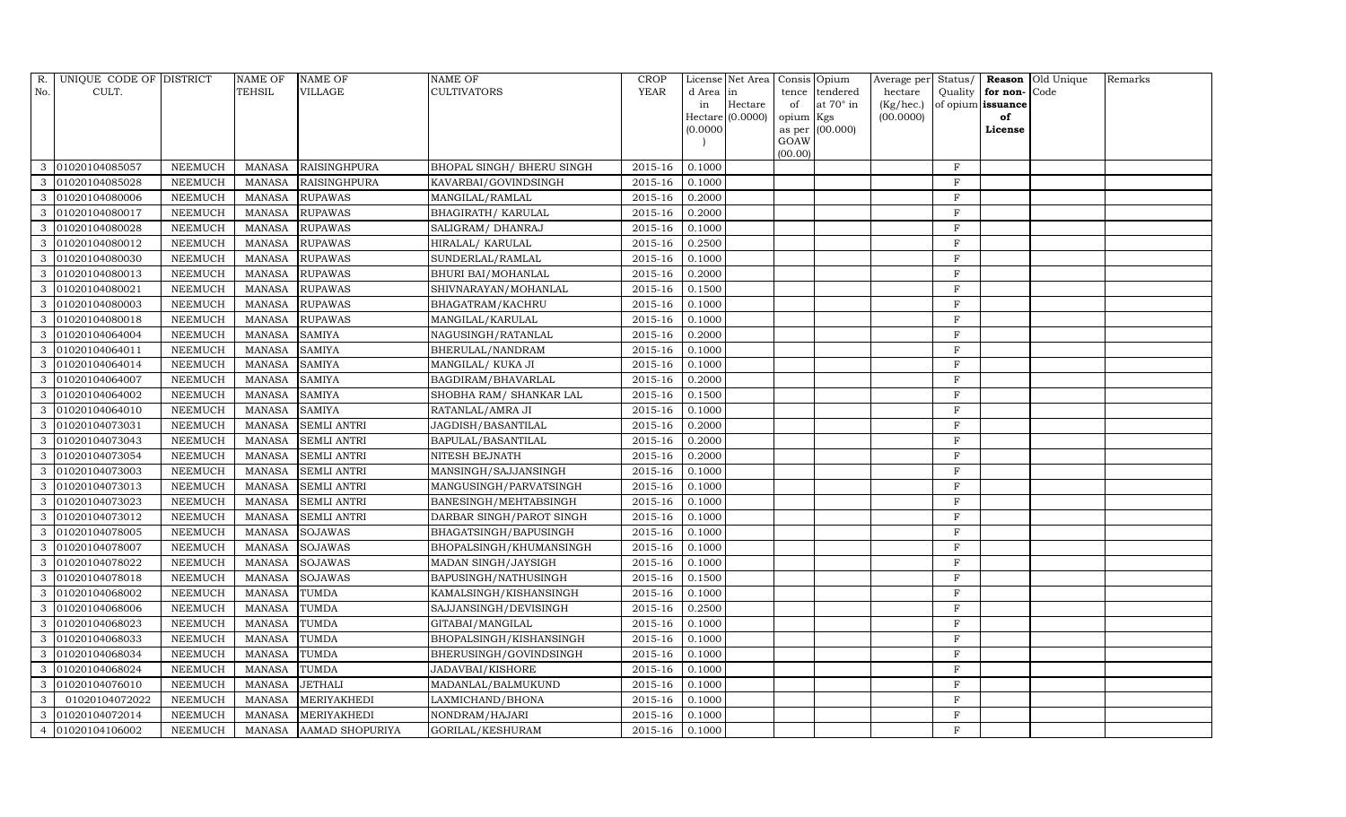| R.             | UNIQUE CODE OF DISTRICT |                | <b>NAME OF</b> | <b>NAME OF</b>         | <b>NAME OF</b>            | <b>CROP</b> |           | License Net Area   Consis   Opium |           |                  | Average per | Status/      |                   | Reason Old Unique | Remarks |
|----------------|-------------------------|----------------|----------------|------------------------|---------------------------|-------------|-----------|-----------------------------------|-----------|------------------|-------------|--------------|-------------------|-------------------|---------|
| No.            | CULT.                   |                | TEHSIL         | <b>VILLAGE</b>         | <b>CULTIVATORS</b>        | YEAR        | d Area in |                                   | tence     | tendered         | hectare     | Quality      | for non-          | Code              |         |
|                |                         |                |                |                        |                           |             | in        | Hectare                           | of        | at $70^\circ$ in | (Kg/hec.)   |              | of opium issuance |                   |         |
|                |                         |                |                |                        |                           |             |           | $Hectare$ (0.0000)                | opium Kgs |                  | (00.0000)   |              | of                |                   |         |
|                |                         |                |                |                        |                           |             | (0.0000)  |                                   | GOAW      | as per (00.000)  |             |              | License           |                   |         |
|                |                         |                |                |                        |                           |             |           |                                   | (00.00)   |                  |             |              |                   |                   |         |
| $\mathcal{S}$  | 01020104085057          | <b>NEEMUCH</b> | <b>MANASA</b>  | RAISINGHPURA           | BHOPAL SINGH/ BHERU SINGH | 2015-16     | 0.1000    |                                   |           |                  |             | $\rm F$      |                   |                   |         |
|                | 01020104085028          | <b>NEEMUCH</b> | <b>MANASA</b>  | <b>RAISINGHPURA</b>    | KAVARBAI/GOVINDSINGH      | 2015-16     | 0.1000    |                                   |           |                  |             | $\mathbf F$  |                   |                   |         |
| 3              | 01020104080006          | <b>NEEMUCH</b> | <b>MANASA</b>  | <b>RUPAWAS</b>         | MANGILAL/RAMLAL           | $2015 - 16$ | 0.2000    |                                   |           |                  |             | $\mathbf{F}$ |                   |                   |         |
|                | 01020104080017          | <b>NEEMUCH</b> | <b>MANASA</b>  | <b>RUPAWAS</b>         | <b>BHAGIRATH/ KARULAL</b> | 2015-16     | 0.2000    |                                   |           |                  |             | $\rm F$      |                   |                   |         |
| 3              | 01020104080028          | <b>NEEMUCH</b> | <b>MANASA</b>  | <b>RUPAWAS</b>         | SALIGRAM/ DHANRAJ         | 2015-16     | 0.1000    |                                   |           |                  |             | $\mathbf F$  |                   |                   |         |
| 3              | 01020104080012          | <b>NEEMUCH</b> | <b>MANASA</b>  | <b>RUPAWAS</b>         | HIRALAL/ KARULAL          | 2015-16     | 0.2500    |                                   |           |                  |             | $\rm F$      |                   |                   |         |
| 3              | 01020104080030          | <b>NEEMUCH</b> | <b>MANASA</b>  | <b>RUPAWAS</b>         | SUNDERLAL/RAMLAL          | 2015-16     | 0.1000    |                                   |           |                  |             | $\rm F$      |                   |                   |         |
| 3              | 01020104080013          | <b>NEEMUCH</b> | <b>MANASA</b>  | <b>RUPAWAS</b>         | BHURI BAI/MOHANLAL        | 2015-16     | 0.2000    |                                   |           |                  |             | F            |                   |                   |         |
|                | 01020104080021          | <b>NEEMUCH</b> | <b>MANASA</b>  | <b>RUPAWAS</b>         | SHIVNARAYAN/MOHANLAL      | 2015-16     | 0.1500    |                                   |           |                  |             | F            |                   |                   |         |
| $\mathcal{S}$  | 01020104080003          | <b>NEEMUCH</b> | <b>MANASA</b>  | <b>RUPAWAS</b>         | BHAGATRAM/KACHRU          | 2015-16     | 0.1000    |                                   |           |                  |             | F            |                   |                   |         |
| 3              | 01020104080018          | <b>NEEMUCH</b> | <b>MANASA</b>  | <b>RUPAWAS</b>         | MANGILAL/KARULAL          | 2015-16     | 0.1000    |                                   |           |                  |             | F            |                   |                   |         |
| 3              | 01020104064004          | <b>NEEMUCH</b> | <b>MANASA</b>  | <b>SAMIYA</b>          | NAGUSINGH/RATANLAL        | 2015-16     | 0.2000    |                                   |           |                  |             | $\rm F$      |                   |                   |         |
| 3              | 01020104064011          | <b>NEEMUCH</b> | <b>MANASA</b>  | <b>SAMIYA</b>          | BHERULAL/NANDRAM          | 2015-16     | 0.1000    |                                   |           |                  |             | F            |                   |                   |         |
|                | 01020104064014          | <b>NEEMUCH</b> | <b>MANASA</b>  | <b>SAMIYA</b>          | MANGILAL/ KUKA JI         | 2015-16     | 0.1000    |                                   |           |                  |             | $\rm F$      |                   |                   |         |
| $\mathcal{S}$  | 01020104064007          | <b>NEEMUCH</b> | <b>MANASA</b>  | <b>SAMIYA</b>          | BAGDIRAM/BHAVARLAL        | 2015-16     | 0.2000    |                                   |           |                  |             | $\mathbf{F}$ |                   |                   |         |
|                | 01020104064002          | <b>NEEMUCH</b> | <b>MANASA</b>  | <b>SAMIYA</b>          | SHOBHA RAM / SHANKAR LAL  | 2015-16     | 0.1500    |                                   |           |                  |             | F            |                   |                   |         |
| 3              | 01020104064010          | <b>NEEMUCH</b> | <b>MANASA</b>  | <b>SAMIYA</b>          | RATANLAL/AMRA JI          | 2015-16     | 0.1000    |                                   |           |                  |             | $\mathbf F$  |                   |                   |         |
| $\mathcal{S}$  | 01020104073031          | <b>NEEMUCH</b> | <b>MANASA</b>  | <b>SEMLI ANTRI</b>     | JAGDISH/BASANTILAL        | 2015-16     | 0.2000    |                                   |           |                  |             | F            |                   |                   |         |
| 3              | 01020104073043          | <b>NEEMUCH</b> | <b>MANASA</b>  | <b>SEMLI ANTRI</b>     | BAPULAL/BASANTILAL        | 2015-16     | 0.2000    |                                   |           |                  |             | $\mathbf F$  |                   |                   |         |
| 3              | 01020104073054          | <b>NEEMUCH</b> | <b>MANASA</b>  | <b>SEMLI ANTRI</b>     | NITESH BEJNATH            | 2015-16     | 0.2000    |                                   |           |                  |             | $\mathbf{F}$ |                   |                   |         |
| 3              | 01020104073003          | <b>NEEMUCH</b> | <b>MANASA</b>  | <b>SEMLI ANTRI</b>     | MANSINGH/SAJJANSINGH      | 2015-16     | 0.1000    |                                   |           |                  |             | $\rm F$      |                   |                   |         |
| $\mathcal{S}$  | 01020104073013          | <b>NEEMUCH</b> | <b>MANASA</b>  | <b>SEMLI ANTRI</b>     | MANGUSINGH/PARVATSINGH    | 2015-16     | 0.1000    |                                   |           |                  |             | $\rm F$      |                   |                   |         |
| 3              | 01020104073023          | <b>NEEMUCH</b> | <b>MANASA</b>  | <b>SEMLI ANTRI</b>     | BANESINGH/MEHTABSINGH     | 2015-16     | 0.1000    |                                   |           |                  |             | $\rm F$      |                   |                   |         |
| 3              | 01020104073012          | <b>NEEMUCH</b> | <b>MANASA</b>  | <b>SEMLI ANTRI</b>     | DARBAR SINGH/PAROT SINGH  | 2015-16     | 0.1000    |                                   |           |                  |             | $\mathbf F$  |                   |                   |         |
| 3              | 01020104078005          | <b>NEEMUCH</b> | <b>MANASA</b>  | <b>SOJAWAS</b>         | BHAGATSINGH/BAPUSINGH     | $2015 - 16$ | 0.1000    |                                   |           |                  |             | F            |                   |                   |         |
|                | 01020104078007          | <b>NEEMUCH</b> | <b>MANASA</b>  | <b>SOJAWAS</b>         | BHOPALSINGH/KHUMANSINGH   | 2015-16     | 0.1000    |                                   |           |                  |             | $\rm F$      |                   |                   |         |
| 3              | 01020104078022          | <b>NEEMUCH</b> | <b>MANASA</b>  | <b>SOJAWAS</b>         | MADAN SINGH/JAYSIGH       | 2015-16     | 0.1000    |                                   |           |                  |             | $\rm F$      |                   |                   |         |
| 3              | 01020104078018          | <b>NEEMUCH</b> | <b>MANASA</b>  | <b>SOJAWAS</b>         | BAPUSINGH/NATHUSINGH      | 2015-16     | 0.1500    |                                   |           |                  |             | F            |                   |                   |         |
| 3              | 01020104068002          | <b>NEEMUCH</b> | <b>MANASA</b>  | <b>TUMDA</b>           | KAMALSINGH/KISHANSINGH    | 2015-16     | 0.1000    |                                   |           |                  |             | $\rm F$      |                   |                   |         |
| 3              | 01020104068006          | <b>NEEMUCH</b> | <b>MANASA</b>  | <b>TUMDA</b>           | SAJJANSINGH/DEVISINGH     | 2015-16     | 0.2500    |                                   |           |                  |             | F            |                   |                   |         |
|                | 01020104068023          | <b>NEEMUCH</b> | <b>MANASA</b>  | <b>TUMDA</b>           | GITABAI/MANGILAL          | 2015-16     | 0.1000    |                                   |           |                  |             | F            |                   |                   |         |
| $\mathcal{S}$  | 01020104068033          | <b>NEEMUCH</b> | <b>MANASA</b>  | TUMDA                  | BHOPALSINGH/KISHANSINGH   | 2015-16     | 0.1000    |                                   |           |                  |             | $\mathbf{F}$ |                   |                   |         |
| 3              | 01020104068034          | <b>NEEMUCH</b> | <b>MANASA</b>  | <b>TUMDA</b>           | BHERUSINGH/GOVINDSINGH    | 2015-16     | 0.1000    |                                   |           |                  |             | F            |                   |                   |         |
| 3              | 01020104068024          | <b>NEEMUCH</b> | <b>MANASA</b>  | TUMDA                  | JADAVBAI/KISHORE          | 2015-16     | 0.1000    |                                   |           |                  |             | $\rm F$      |                   |                   |         |
| 3              | 01020104076010          | <b>NEEMUCH</b> | <b>MANASA</b>  | <b>JETHALI</b>         | MADANLAL/BALMUKUND        | 2015-16     | 0.1000    |                                   |           |                  |             | F            |                   |                   |         |
| 3              | 01020104072022          | <b>NEEMUCH</b> | <b>MANASA</b>  | MERIYAKHEDI            | LAXMICHAND/BHONA          | 2015-16     | 0.1000    |                                   |           |                  |             | $\mathbf F$  |                   |                   |         |
| 3              | 01020104072014          | <b>NEEMUCH</b> | <b>MANASA</b>  | MERIYAKHEDI            | NONDRAM/HAJARI            | 2015-16     | 0.1000    |                                   |           |                  |             | $\mathbf{F}$ |                   |                   |         |
| $\overline{4}$ | 01020104106002          | <b>NEEMUCH</b> | <b>MANASA</b>  | <b>AAMAD SHOPURIYA</b> | GORILAL/KESHURAM          | 2015-16     | 0.1000    |                                   |           |                  |             | F            |                   |                   |         |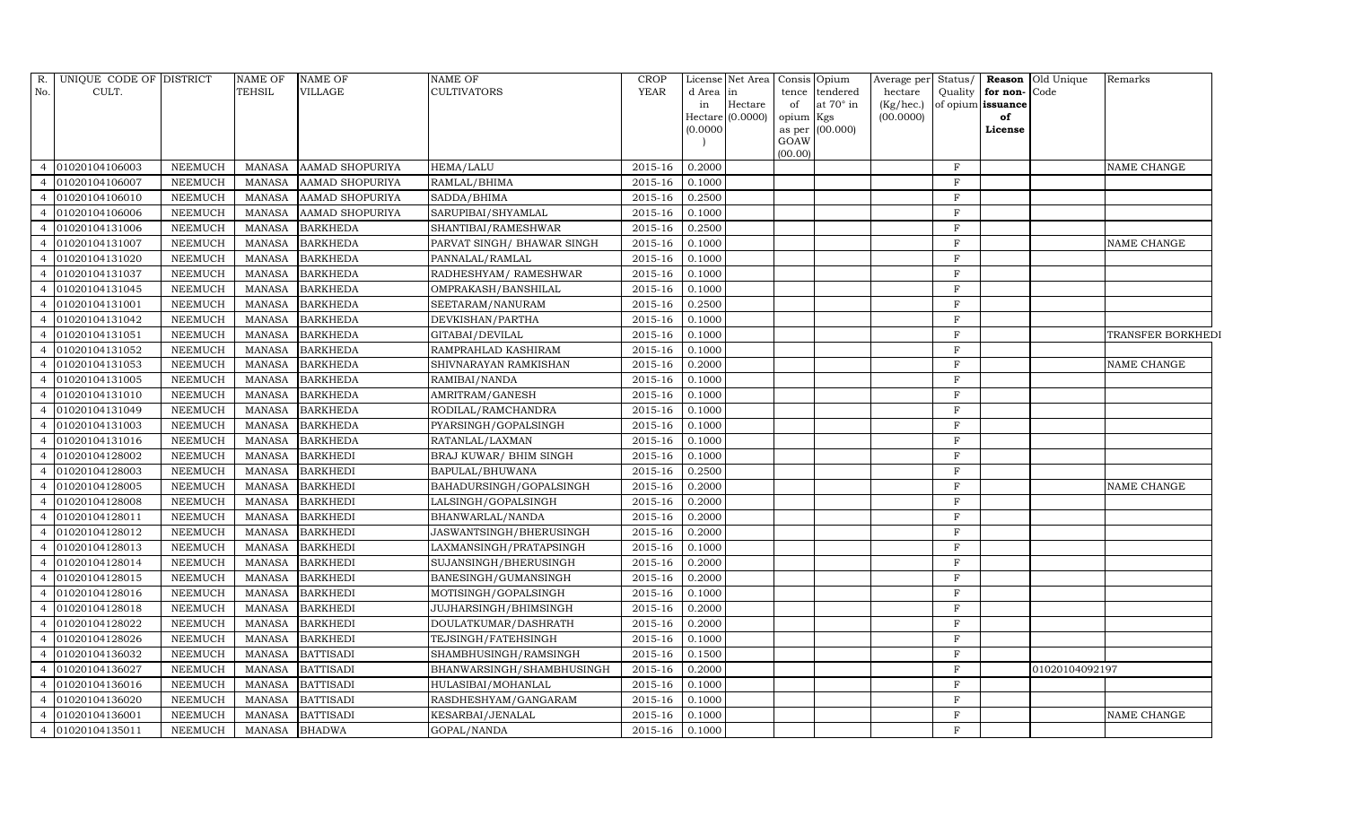| R.             | UNIQUE CODE OF DISTRICT |                | NAME OF       | <b>NAME OF</b>         | <b>NAME OF</b>              | <b>CROP</b>            |           | License Net Area   Consis   Opium |           |                   | Average per Status/ |              | <b>Reason</b> Old Unique | Remarks           |
|----------------|-------------------------|----------------|---------------|------------------------|-----------------------------|------------------------|-----------|-----------------------------------|-----------|-------------------|---------------------|--------------|--------------------------|-------------------|
| No.            | CULT.                   |                | TEHSIL        | <b>VILLAGE</b>         | <b>CULTIVATORS</b>          | YEAR                   | d Area in |                                   | tence     | tendered          | hectare             | Quality      | for non-Code             |                   |
|                |                         |                |               |                        |                             |                        | in        | Hectare                           | of        | at $70^\circ$ in  | (Kg/hec.)           |              | of opium issuance        |                   |
|                |                         |                |               |                        |                             |                        | (0.0000)  | $Hectare$ (0.0000)                | opium Kgs | as per $(00.000)$ | (00.0000)           |              | of<br>License            |                   |
|                |                         |                |               |                        |                             |                        |           |                                   | GOAW      |                   |                     |              |                          |                   |
|                |                         |                |               |                        |                             |                        |           |                                   | (00.00)   |                   |                     |              |                          |                   |
|                | 01020104106003          | <b>NEEMUCH</b> | MANASA        | AAMAD SHOPURIYA        | <b>HEMA/LALU</b>            | 2015-16                | 0.2000    |                                   |           |                   |                     | $\mathbf F$  |                          | NAME CHANGE       |
|                | 01020104106007          | <b>NEEMUCH</b> | <b>MANASA</b> | <b>AAMAD SHOPURIYA</b> | RAMLAL/BHIMA                | 2015-16                | 0.1000    |                                   |           |                   |                     | $\mathbf F$  |                          |                   |
| $\overline{4}$ | 01020104106010          | <b>NEEMUCH</b> | <b>MANASA</b> | AAMAD SHOPURIYA        | SADDA/BHIMA                 | 2015-16                | 0.2500    |                                   |           |                   |                     | $\mathbf{F}$ |                          |                   |
|                | 01020104106006          | <b>NEEMUCH</b> | <b>MANASA</b> | AAMAD SHOPURIYA        | SARUPIBAI/SHYAMLAL          | 2015-16                | 0.1000    |                                   |           |                   |                     | $\rm F$      |                          |                   |
| $\overline{4}$ | 01020104131006          | <b>NEEMUCH</b> | <b>MANASA</b> | <b>BARKHEDA</b>        | SHANTIBAI/RAMESHWAR         | 2015-16                | 0.2500    |                                   |           |                   |                     | $\mathbf{F}$ |                          |                   |
|                | 01020104131007          | <b>NEEMUCH</b> | <b>MANASA</b> | <b>BARKHEDA</b>        | PARVAT SINGH / BHAWAR SINGH | $2015 - 16$            | 0.1000    |                                   |           |                   |                     | $\rm F$      |                          | NAME CHANGE       |
|                | 01020104131020          | <b>NEEMUCH</b> | <b>MANASA</b> | <b>BARKHEDA</b>        | PANNALAL/RAMLAL             | 2015-16                | 0.1000    |                                   |           |                   |                     | $\mathbf F$  |                          |                   |
| $\overline{a}$ | 01020104131037          | <b>NEEMUCH</b> | <b>MANASA</b> | <b>BARKHEDA</b>        | RADHESHYAM/ RAMESHWAR       | 2015-16                | 0.1000    |                                   |           |                   |                     | $\mathbf F$  |                          |                   |
|                | 01020104131045          | <b>NEEMUCH</b> | <b>MANASA</b> | <b>BARKHEDA</b>        | OMPRAKASH/BANSHILAL         | 2015-16                | 0.1000    |                                   |           |                   |                     | $_{\rm F}$   |                          |                   |
| $\overline{4}$ | 01020104131001          | <b>NEEMUCH</b> | <b>MANASA</b> | <b>BARKHEDA</b>        | SEETARAM/NANURAM            | 2015-16                | 0.2500    |                                   |           |                   |                     | $\rm F$      |                          |                   |
|                | 01020104131042          | <b>NEEMUCH</b> | <b>MANASA</b> | <b>BARKHEDA</b>        | DEVKISHAN/PARTHA            | 2015-16                | 0.1000    |                                   |           |                   |                     | $\rm F$      |                          |                   |
|                | 01020104131051          | <b>NEEMUCH</b> | <b>MANASA</b> | <b>BARKHEDA</b>        | GITABAI/DEVILAL             | 2015-16                | 0.1000    |                                   |           |                   |                     | $\, {\bf F}$ |                          | TRANSFER BORKHEDI |
| $\overline{4}$ | 01020104131052          | <b>NEEMUCH</b> | <b>MANASA</b> | <b>BARKHEDA</b>        | RAMPRAHLAD KASHIRAM         | $2015 - 16$            | 0.1000    |                                   |           |                   |                     | $\mathbf{F}$ |                          |                   |
|                | 01020104131053          | <b>NEEMUCH</b> | <b>MANASA</b> | <b>BARKHEDA</b>        | SHIVNARAYAN RAMKISHAN       | 2015-16                | 0.2000    |                                   |           |                   |                     | $\rm F$      |                          | NAME CHANGE       |
| $\overline{a}$ | 01020104131005          | <b>NEEMUCH</b> | <b>MANASA</b> | <b>BARKHEDA</b>        | RAMIBAI/NANDA               | 2015-16                | 0.1000    |                                   |           |                   |                     | $\mathbf{F}$ |                          |                   |
|                | 01020104131010          | <b>NEEMUCH</b> | <b>MANASA</b> | <b>BARKHEDA</b>        | AMRITRAM/GANESH             | 2015-16                | 0.1000    |                                   |           |                   |                     | $\mathbf F$  |                          |                   |
|                | 01020104131049          | <b>NEEMUCH</b> | <b>MANASA</b> | <b>BARKHEDA</b>        | RODILAL/RAMCHANDRA          | 2015-16                | 0.1000    |                                   |           |                   |                     | $\mathbf F$  |                          |                   |
| $\overline{a}$ | 01020104131003          | <b>NEEMUCH</b> | <b>MANASA</b> | <b>BARKHEDA</b>        | PYARSINGH/GOPALSINGH        | $2015 - 16$            | 0.1000    |                                   |           |                   |                     | $\mathbf F$  |                          |                   |
|                | 01020104131016          | <b>NEEMUCH</b> | <b>MANASA</b> | <b>BARKHEDA</b>        | RATANLAL/LAXMAN             | 2015-16                | 0.1000    |                                   |           |                   |                     | $\mathbf F$  |                          |                   |
| $\overline{4}$ | 01020104128002          | <b>NEEMUCH</b> | <b>MANASA</b> | <b>BARKHEDI</b>        | BRAJ KUWAR/ BHIM SINGH      | 2015-16                | 0.1000    |                                   |           |                   |                     | $\rm F$      |                          |                   |
|                | 01020104128003          | <b>NEEMUCH</b> | <b>MANASA</b> | <b>BARKHEDI</b>        | BAPULAL/BHUWANA             | 2015-16                | 0.2500    |                                   |           |                   |                     | $\rm F$      |                          |                   |
|                | 01020104128005          | <b>NEEMUCH</b> | <b>MANASA</b> | <b>BARKHEDI</b>        | BAHADURSINGH/GOPALSINGH     | 2015-16                | 0.2000    |                                   |           |                   |                     | $\mathbf F$  |                          | NAME CHANGE       |
| $\overline{a}$ | 01020104128008          | <b>NEEMUCH</b> | <b>MANASA</b> | <b>BARKHEDI</b>        | LALSINGH/GOPALSINGH         | $2015 - 16$            | 0.2000    |                                   |           |                   |                     | F            |                          |                   |
|                | 01020104128011          | <b>NEEMUCH</b> | <b>MANASA</b> | <b>BARKHEDI</b>        | BHANWARLAL/NANDA            | 2015-16                | 0.2000    |                                   |           |                   |                     | $\rm F$      |                          |                   |
| $\overline{a}$ | 01020104128012          | <b>NEEMUCH</b> | <b>MANASA</b> | <b>BARKHEDI</b>        | JASWANTSINGH/BHERUSINGH     | 2015-16                | 0.2000    |                                   |           |                   |                     | $\mathbf F$  |                          |                   |
|                | 01020104128013          | <b>NEEMUCH</b> | <b>MANASA</b> | <b>BARKHEDI</b>        | LAXMANSINGH/PRATAPSINGH     | 2015-16                | 0.1000    |                                   |           |                   |                     | $\mathbf F$  |                          |                   |
|                | 01020104128014          | <b>NEEMUCH</b> | <b>MANASA</b> | <b>BARKHEDI</b>        | SUJANSINGH/BHERUSINGH       | 2015-16                | 0.2000    |                                   |           |                   |                     | $\rm F$      |                          |                   |
|                | 01020104128015          | <b>NEEMUCH</b> | <b>MANASA</b> | <b>BARKHEDI</b>        | BANESINGH/GUMANSINGH        | 2015-16                | 0.2000    |                                   |           |                   |                     | $\mathbf F$  |                          |                   |
|                | 01020104128016          | <b>NEEMUCH</b> | <b>MANASA</b> | <b>BARKHEDI</b>        | MOTISINGH/GOPALSINGH        | 2015-16                | 0.1000    |                                   |           |                   |                     | $_{\rm F}$   |                          |                   |
| $\overline{a}$ | 01020104128018          | <b>NEEMUCH</b> | <b>MANASA</b> | <b>BARKHEDI</b>        | JUJHARSINGH/BHIMSINGH       | 2015-16                | 0.2000    |                                   |           |                   |                     | $\mathbf{F}$ |                          |                   |
|                | 01020104128022          | <b>NEEMUCH</b> | <b>MANASA</b> | <b>BARKHEDI</b>        | DOULATKUMAR/DASHRATH        | 2015-16                | 0.2000    |                                   |           |                   |                     | $\mathbf F$  |                          |                   |
| $\overline{4}$ | 01020104128026          | <b>NEEMUCH</b> | <b>MANASA</b> | <b>BARKHEDI</b>        | TEJSINGH/FATEHSINGH         | 2015-16                | 0.1000    |                                   |           |                   |                     | $\mathbf F$  |                          |                   |
| $\overline{a}$ | 01020104136032          | <b>NEEMUCH</b> | <b>MANASA</b> | <b>BATTISADI</b>       | SHAMBHUSINGH/RAMSINGH       | 2015-16                | 0.1500    |                                   |           |                   |                     | $\rm F$      |                          |                   |
|                | 01020104136027          | <b>NEEMUCH</b> | <b>MANASA</b> | <b>BATTISADI</b>       | BHANWARSINGH/SHAMBHUSINGH   | 2015-16                | 0.2000    |                                   |           |                   |                     | F            | 01020104092197           |                   |
| $\overline{a}$ | 01020104136016          | <b>NEEMUCH</b> | <b>MANASA</b> | <b>BATTISADI</b>       | HULASIBAI/MOHANLAL          | 2015-16                | 0.1000    |                                   |           |                   |                     | $\mathbf F$  |                          |                   |
|                | 01020104136020          | <b>NEEMUCH</b> | <b>MANASA</b> | <b>BATTISADI</b>       | RASDHESHYAM/GANGARAM        | 2015-16                | 0.1000    |                                   |           |                   |                     | $_{\rm F}$   |                          |                   |
| $\overline{4}$ | 01020104136001          | <b>NEEMUCH</b> | <b>MANASA</b> | <b>BATTISADI</b>       | KESARBAI/JENALAL            | 2015-16                | 0.1000    |                                   |           |                   |                     | $\mathbf F$  |                          | NAME CHANGE       |
| $\overline{4}$ | 01020104135011          | <b>NEEMUCH</b> | <b>MANASA</b> | <b>BHADWA</b>          | GOPAL/NANDA                 | $\overline{2015} - 16$ | 0.1000    |                                   |           |                   |                     | $\rm F$      |                          |                   |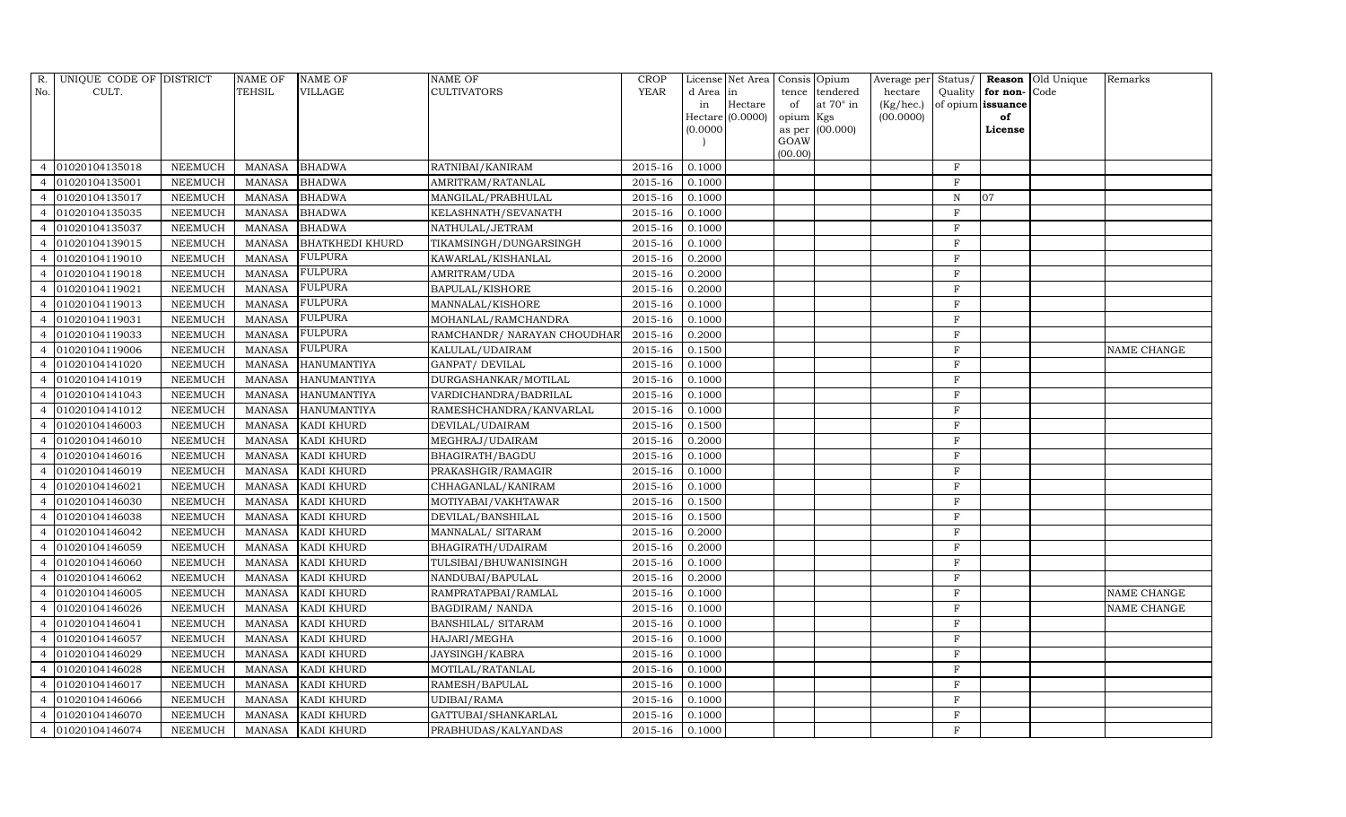| R.             | UNIQUE CODE OF DISTRICT |                | NAME OF       | <b>NAME OF</b>         | NAME OF                     | <b>CROP</b> |           | License Net Area   Consis   Opium |           |                  |           |              |                   | Average per Status/ Reason Old Unique | Remarks     |
|----------------|-------------------------|----------------|---------------|------------------------|-----------------------------|-------------|-----------|-----------------------------------|-----------|------------------|-----------|--------------|-------------------|---------------------------------------|-------------|
| No.            | CULT.                   |                | TEHSIL        | <b>VILLAGE</b>         | <b>CULTIVATORS</b>          | YEAR        | d Area in |                                   | tence     | tendered         | hectare   |              | Quality for non-  | Code                                  |             |
|                |                         |                |               |                        |                             |             | in        | Hectare                           | of        | at $70^\circ$ in | (Kg/hec.) |              | of opium issuance |                                       |             |
|                |                         |                |               |                        |                             |             |           | Hectare (0.0000)                  | opium Kgs |                  | (00.0000) |              | of                |                                       |             |
|                |                         |                |               |                        |                             |             | (0.0000)  |                                   | GOAW      | as per (00.000)  |           |              | License           |                                       |             |
|                |                         |                |               |                        |                             |             |           |                                   | (00.00)   |                  |           |              |                   |                                       |             |
|                | 01020104135018          | <b>NEEMUCH</b> | MANASA        | <b>BHADWA</b>          | RATNIBAI/KANIRAM            | $2015 - 16$ | 0.1000    |                                   |           |                  |           | $\rm F$      |                   |                                       |             |
|                | 01020104135001          | <b>NEEMUCH</b> | <b>MANASA</b> | <b>BHADWA</b>          | AMRITRAM/RATANLAL           | 2015-16     | 0.1000    |                                   |           |                  |           | $\rm F$      |                   |                                       |             |
| $\overline{4}$ | 01020104135017          | <b>NEEMUCH</b> | <b>MANASA</b> | <b>BHADWA</b>          | MANGILAL/PRABHULAL          | 2015-16     | 0.1000    |                                   |           |                  |           | $\mathbf N$  | 07                |                                       |             |
|                | 01020104135035          | <b>NEEMUCH</b> | <b>MANASA</b> | <b>BHADWA</b>          | KELASHNATH/SEVANATH         | 2015-16     | 0.1000    |                                   |           |                  |           | $\rm F$      |                   |                                       |             |
| 4              | 01020104135037          | <b>NEEMUCH</b> | <b>MANASA</b> | <b>BHADWA</b>          | NATHULAL/JETRAM             | 2015-16     | 0.1000    |                                   |           |                  |           | $\,$ F       |                   |                                       |             |
| $\overline{a}$ | 01020104139015          | <b>NEEMUCH</b> | <b>MANASA</b> | <b>BHATKHEDI KHURD</b> | TIKAMSINGH/DUNGARSINGH      | 2015-16     | 0.1000    |                                   |           |                  |           | $\rm F$      |                   |                                       |             |
| $\overline{4}$ | 01020104119010          | <b>NEEMUCH</b> | <b>MANASA</b> | <b>FULPURA</b>         | KAWARLAL/KISHANLAL          | 2015-16     | 0.2000    |                                   |           |                  |           | $\mathbf F$  |                   |                                       |             |
| $\overline{a}$ | 01020104119018          | <b>NEEMUCH</b> | <b>MANASA</b> | <b>FULPURA</b>         | AMRITRAM/UDA                | 2015-16     | 0.2000    |                                   |           |                  |           | $\mathbf{F}$ |                   |                                       |             |
|                | 01020104119021          | <b>NEEMUCH</b> | <b>MANASA</b> | <b>FULPURA</b>         | BAPULAL/KISHORE             | 2015-16     | 0.2000    |                                   |           |                  |           | $\mathbf{F}$ |                   |                                       |             |
| $\overline{4}$ | 01020104119013          | <b>NEEMUCH</b> | <b>MANASA</b> | <b>FULPURA</b>         | MANNALAL/KISHORE            | 2015-16     | 0.1000    |                                   |           |                  |           | $\,$ F       |                   |                                       |             |
| $\overline{4}$ | 01020104119031          | <b>NEEMUCH</b> | <b>MANASA</b> | <b>FULPURA</b>         | MOHANLAL/RAMCHANDRA         | 2015-16     | 0.1000    |                                   |           |                  |           | $\rm F$      |                   |                                       |             |
| $\overline{4}$ | 01020104119033          | <b>NEEMUCH</b> | <b>MANASA</b> | <b>FULPURA</b>         | RAMCHANDR/ NARAYAN CHOUDHAR | 2015-16     | 0.2000    |                                   |           |                  |           | $\mathbf F$  |                   |                                       |             |
| $\overline{4}$ | 01020104119006          | <b>NEEMUCH</b> | <b>MANASA</b> | <b>FULPURA</b>         | KALULAL/UDAIRAM             | 2015-16     | 0.1500    |                                   |           |                  |           | F            |                   |                                       | NAME CHANGE |
|                | 01020104141020          | <b>NEEMUCH</b> | <b>MANASA</b> | HANUMANTIYA            | GANPAT/ DEVILAL             | 2015-16     | 0.1000    |                                   |           |                  |           | $\mathbf{F}$ |                   |                                       |             |
| $\overline{4}$ | 01020104141019          | <b>NEEMUCH</b> | <b>MANASA</b> | <b>HANUMANTIYA</b>     | DURGASHANKAR/MOTILAL        | 2015-16     | 0.1000    |                                   |           |                  |           | $\mathbf{F}$ |                   |                                       |             |
|                | 01020104141043          | <b>NEEMUCH</b> | <b>MANASA</b> | <b>HANUMANTIYA</b>     | VARDICHANDRA/BADRILAL       | 2015-16     | 0.1000    |                                   |           |                  |           | $\rm F$      |                   |                                       |             |
| $\overline{4}$ | 01020104141012          | <b>NEEMUCH</b> | <b>MANASA</b> | <b>HANUMANTIYA</b>     | RAMESHCHANDRA/KANVARLAL     | 2015-16     | 0.1000    |                                   |           |                  |           | $\mathbf F$  |                   |                                       |             |
| $\overline{4}$ | 01020104146003          | <b>NEEMUCH</b> | <b>MANASA</b> | <b>KADI KHURD</b>      | DEVILAL/UDAIRAM             | 2015-16     | 0.1500    |                                   |           |                  |           | $\rm F$      |                   |                                       |             |
|                | 01020104146010          | <b>NEEMUCH</b> | <b>MANASA</b> | KADI KHURD             | MEGHRAJ/UDAIRAM             | 2015-16     | 0.2000    |                                   |           |                  |           | $\rm F$      |                   |                                       |             |
| $\overline{4}$ | 01020104146016          | <b>NEEMUCH</b> | <b>MANASA</b> | KADI KHURD             | BHAGIRATH/BAGDU             | 2015-16     | 0.1000    |                                   |           |                  |           | $\rm F$      |                   |                                       |             |
|                | 01020104146019          | <b>NEEMUCH</b> | <b>MANASA</b> | <b>KADI KHURD</b>      | PRAKASHGIR/RAMAGIR          | 2015-16     | 0.1000    |                                   |           |                  |           | F            |                   |                                       |             |
| $\overline{4}$ | 01020104146021          | <b>NEEMUCH</b> | <b>MANASA</b> | KADI KHURD             | CHHAGANLAL/KANIRAM          | 2015-16     | 0.1000    |                                   |           |                  |           | $\rm F$      |                   |                                       |             |
| $\overline{4}$ | 01020104146030          | <b>NEEMUCH</b> | <b>MANASA</b> | KADI KHURD             | MOTIYABAI/VAKHTAWAR         | 2015-16     | 0.1500    |                                   |           |                  |           | $\,$ F       |                   |                                       |             |
|                | 01020104146038          | <b>NEEMUCH</b> | <b>MANASA</b> | KADI KHURD             | DEVILAL/BANSHILAL           | 2015-16     | 0.1500    |                                   |           |                  |           | $\,$ F       |                   |                                       |             |
| 4              | 01020104146042          | <b>NEEMUCH</b> | <b>MANASA</b> | KADI KHURD             | MANNALAL/ SITARAM           | 2015-16     | 0.2000    |                                   |           |                  |           | $\rm F$      |                   |                                       |             |
|                | 01020104146059          | <b>NEEMUCH</b> | <b>MANASA</b> | KADI KHURD             | BHAGIRATH/UDAIRAM           | 2015-16     | 0.2000    |                                   |           |                  |           | $\,$ F       |                   |                                       |             |
| $\overline{4}$ | 01020104146060          | <b>NEEMUCH</b> | <b>MANASA</b> | KADI KHURD             | TULSIBAI/BHUWANISINGH       | 2015-16     | 0.1000    |                                   |           |                  |           | $\,$ F       |                   |                                       |             |
| $\overline{a}$ | 01020104146062          | <b>NEEMUCH</b> | <b>MANASA</b> | <b>KADI KHURD</b>      | NANDUBAI/BAPULAL            | 2015-16     | 0.2000    |                                   |           |                  |           | F            |                   |                                       |             |
|                | 01020104146005          | <b>NEEMUCH</b> | <b>MANASA</b> | KADI KHURD             | RAMPRATAPBAI/RAMLAL         | 2015-16     | 0.1000    |                                   |           |                  |           | $\rm F$      |                   |                                       | NAME CHANGE |
| $\overline{4}$ | 01020104146026          | <b>NEEMUCH</b> | MANASA        | KADI KHURD             | <b>BAGDIRAM/ NANDA</b>      | 2015-16     | 0.1000    |                                   |           |                  |           | $\,$ F       |                   |                                       | NAME CHANGE |
|                | 01020104146041          | <b>NEEMUCH</b> | <b>MANASA</b> | <b>KADI KHURD</b>      | <b>BANSHILAL/ SITARAM</b>   | 2015-16     | 0.1000    |                                   |           |                  |           | $\,$ F       |                   |                                       |             |
| 4              | 01020104146057          | <b>NEEMUCH</b> | <b>MANASA</b> | KADI KHURD             | HAJARI/MEGHA                | 2015-16     | 0.1000    |                                   |           |                  |           | $\,$ F       |                   |                                       |             |
| $\overline{4}$ | 01020104146029          | <b>NEEMUCH</b> | MANASA        | <b>KADI KHURD</b>      | JAYSINGH/KABRA              | $2015 - 16$ | 0.1000    |                                   |           |                  |           | $\mathbf F$  |                   |                                       |             |
| $\overline{4}$ | 01020104146028          | <b>NEEMUCH</b> | <b>MANASA</b> | KADI KHURD             | MOTILAL/RATANLAL            | 2015-16     | 0.1000    |                                   |           |                  |           | $\rm F$      |                   |                                       |             |
| $\overline{4}$ | 01020104146017          | <b>NEEMUCH</b> | <b>MANASA</b> | KADI KHURD             | RAMESH/BAPULAL              | 2015-16     | 0.1000    |                                   |           |                  |           | $\,$ F       |                   |                                       |             |
|                | 01020104146066          | <b>NEEMUCH</b> | <b>MANASA</b> | KADI KHURD             | UDIBAI/RAMA                 | 2015-16     | 0.1000    |                                   |           |                  |           | $\,$ F       |                   |                                       |             |
| 4              | 01020104146070          | <b>NEEMUCH</b> | <b>MANASA</b> | KADI KHURD             | GATTUBAI/SHANKARLAL         | 2015-16     | 0.1000    |                                   |           |                  |           | $\mathbf F$  |                   |                                       |             |
| $\overline{4}$ | 01020104146074          | <b>NEEMUCH</b> |               | MANASA KADI KHURD      | PRABHUDAS/KALYANDAS         | 2015-16     | 0.1000    |                                   |           |                  |           | $\mathbf{F}$ |                   |                                       |             |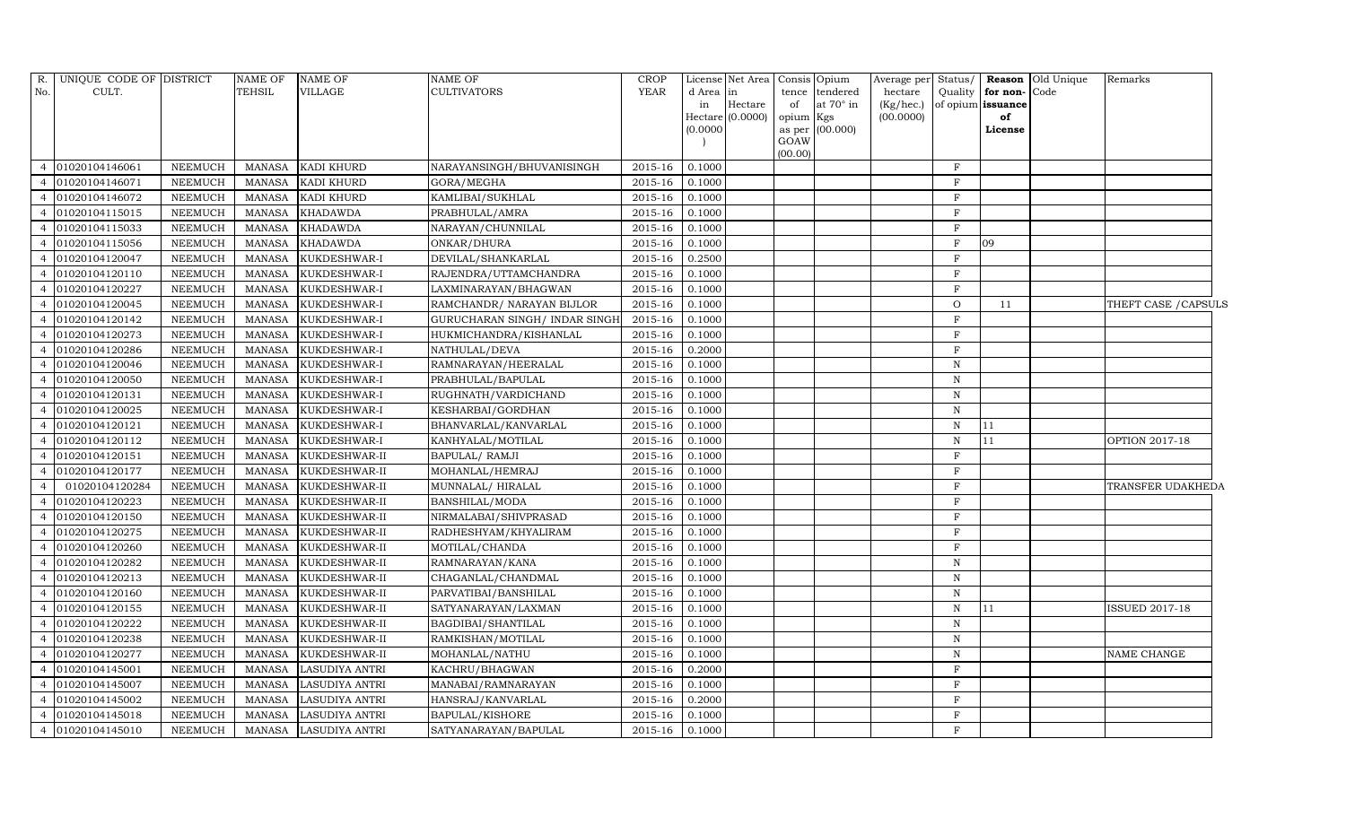| R.             | UNIQUE CODE OF DISTRICT |                | <b>NAME OF</b> | <b>NAME OF</b>        | <b>NAME OF</b>                | <b>CROP</b> |           | License Net Area | Consis Opium |                  | Average per  | Status/      |                   | <b>Reason</b> Old Unique | Remarks              |
|----------------|-------------------------|----------------|----------------|-----------------------|-------------------------------|-------------|-----------|------------------|--------------|------------------|--------------|--------------|-------------------|--------------------------|----------------------|
| No.            | CULT.                   |                | <b>TEHSIL</b>  | <b>VILLAGE</b>        | <b>CULTIVATORS</b>            | YEAR        | d Area in |                  | tence        | tendered         | hectare      | Quality      | for non-Code      |                          |                      |
|                |                         |                |                |                       |                               |             | in        | Hectare          | of           | at $70^\circ$ in | $(Kg/$ hec.) |              | of opium issuance |                          |                      |
|                |                         |                |                |                       |                               |             | (0.0000)  | Hectare (0.0000) | opium Kgs    | as per (00.000)  | (00.0000)    |              | of<br>License     |                          |                      |
|                |                         |                |                |                       |                               |             |           |                  | GOAW         |                  |              |              |                   |                          |                      |
|                |                         |                |                |                       |                               |             |           |                  | (00.00)      |                  |              |              |                   |                          |                      |
|                | 01020104146061          | <b>NEEMUCH</b> | <b>MANASA</b>  | <b>KADI KHURD</b>     | NARAYANSINGH/BHUVANISINGH     | 2015-16     | 0.1000    |                  |              |                  |              | $\mathbf{F}$ |                   |                          |                      |
|                | 01020104146071          | <b>NEEMUCH</b> | <b>MANASA</b>  | KADI KHURD            | GORA/MEGHA                    | 2015-16     | 0.1000    |                  |              |                  |              | $\mathbf{F}$ |                   |                          |                      |
| $\overline{a}$ | 01020104146072          | <b>NEEMUCH</b> | <b>MANASA</b>  | KADI KHURD            | KAMLIBAI/SUKHLAL              | $2015 - 16$ | 0.1000    |                  |              |                  |              | F            |                   |                          |                      |
|                | 01020104115015          | <b>NEEMUCH</b> | <b>MANASA</b>  | <b>KHADAWDA</b>       | PRABHULAL/AMRA                | 2015-16     | 0.1000    |                  |              |                  |              | F            |                   |                          |                      |
|                | 01020104115033          | <b>NEEMUCH</b> | <b>MANASA</b>  | <b>KHADAWDA</b>       | NARAYAN/CHUNNILAL             | 2015-16     | 0.1000    |                  |              |                  |              | $\mathbf{F}$ |                   |                          |                      |
|                | 01020104115056          | <b>NEEMUCH</b> | <b>MANASA</b>  | <b>KHADAWDA</b>       | ONKAR/DHURA                   | 2015-16     | 0.1000    |                  |              |                  |              | $\rm F$      | 09                |                          |                      |
|                | 01020104120047          | <b>NEEMUCH</b> | <b>MANASA</b>  | KUKDESHWAR-I          | DEVILAL/SHANKARLAL            | 2015-16     | 0.2500    |                  |              |                  |              | F            |                   |                          |                      |
|                | 01020104120110          | <b>NEEMUCH</b> | <b>MANASA</b>  | KUKDESHWAR-I          | RAJENDRA/UTTAMCHANDRA         | 2015-16     | 0.1000    |                  |              |                  |              | F            |                   |                          |                      |
|                | 01020104120227          | <b>NEEMUCH</b> | <b>MANASA</b>  | KUKDESHWAR-I          | LAXMINARAYAN/BHAGWAN          | 2015-16     | 0.1000    |                  |              |                  |              | F            |                   |                          |                      |
| $\overline{a}$ | 01020104120045          | <b>NEEMUCH</b> | <b>MANASA</b>  | KUKDESHWAR-I          | RAMCHANDR/ NARAYAN BIJLOR     | 2015-16     | 0.1000    |                  |              |                  |              | $\circ$      | 11                |                          | THEFT CASE / CAPSULS |
|                | 01020104120142          | <b>NEEMUCH</b> | <b>MANASA</b>  | KUKDESHWAR-I          | GURUCHARAN SINGH/ INDAR SINGH | 2015-16     | 0.1000    |                  |              |                  |              | F            |                   |                          |                      |
|                | 01020104120273          | <b>NEEMUCH</b> | <b>MANASA</b>  | KUKDESHWAR-I          | HUKMICHANDRA/KISHANLAL        | 2015-16     | 0.1000    |                  |              |                  |              | F            |                   |                          |                      |
| $\overline{a}$ | 01020104120286          | <b>NEEMUCH</b> | <b>MANASA</b>  | KUKDESHWAR-I          | NATHULAL/DEVA                 | 2015-16     | 0.2000    |                  |              |                  |              | F            |                   |                          |                      |
|                | 01020104120046          | <b>NEEMUCH</b> | <b>MANASA</b>  | KUKDESHWAR-I          | RAMNARAYAN/HEERALAL           | 2015-16     | 0.1000    |                  |              |                  |              | N            |                   |                          |                      |
|                | 01020104120050          | <b>NEEMUCH</b> | <b>MANASA</b>  | KUKDESHWAR-I          | PRABHULAL/BAPULAL             | 2015-16     | 0.1000    |                  |              |                  |              | $\mathbf N$  |                   |                          |                      |
|                | 01020104120131          | <b>NEEMUCH</b> | <b>MANASA</b>  | KUKDESHWAR-I          | RUGHNATH/VARDICHAND           | 2015-16     | 0.1000    |                  |              |                  |              | $\mathbf N$  |                   |                          |                      |
|                | 01020104120025          | <b>NEEMUCH</b> | <b>MANASA</b>  | KUKDESHWAR-I          | KESHARBAI/GORDHAN             | 2015-16     | 0.1000    |                  |              |                  |              | $\mathbf N$  |                   |                          |                      |
| $\overline{a}$ | 01020104120121          | <b>NEEMUCH</b> | <b>MANASA</b>  | KUKDESHWAR-I          | BHANVARLAL/KANVARLAL          | 2015-16     | 0.1000    |                  |              |                  |              | $\mathbf N$  | 11                |                          |                      |
|                | 01020104120112          | <b>NEEMUCH</b> | <b>MANASA</b>  | KUKDESHWAR-I          | KANHYALAL/MOTILAL             | 2015-16     | 0.1000    |                  |              |                  |              | $\mathbf N$  | 11                |                          | OPTION 2017-18       |
| $\overline{a}$ | 01020104120151          | <b>NEEMUCH</b> | <b>MANASA</b>  | KUKDESHWAR-II         | BAPULAL/RAMJI                 | 2015-16     | 0.1000    |                  |              |                  |              | $_{\rm F}$   |                   |                          |                      |
| $\overline{a}$ | 01020104120177          | <b>NEEMUCH</b> | <b>MANASA</b>  | KUKDESHWAR-II         | MOHANLAL/HEMRAJ               | 2015-16     | 0.1000    |                  |              |                  |              | F            |                   |                          |                      |
| $\overline{4}$ | 01020104120284          | <b>NEEMUCH</b> | <b>MANASA</b>  | KUKDESHWAR-II         | MUNNALAL/HIRALAL              | 2015-16     | 0.1000    |                  |              |                  |              | $\mathbf{F}$ |                   |                          | TRANSFER UDAKHEDA    |
| $\overline{4}$ | 01020104120223          | NEEMUCH        | <b>MANASA</b>  | KUKDESHWAR-II         | BANSHILAL/MODA                | 2015-16     | 0.1000    |                  |              |                  |              | F            |                   |                          |                      |
|                | 01020104120150          | <b>NEEMUCH</b> | <b>MANASA</b>  | KUKDESHWAR-II         | NIRMALABAI/SHIVPRASAD         | 2015-16     | 0.1000    |                  |              |                  |              | F            |                   |                          |                      |
| $\overline{a}$ | 01020104120275          | <b>NEEMUCH</b> | <b>MANASA</b>  | KUKDESHWAR-II         | RADHESHYAM/KHYALIRAM          | 2015-16     | 0.1000    |                  |              |                  |              | $\rm F$      |                   |                          |                      |
|                | 01020104120260          | <b>NEEMUCH</b> | <b>MANASA</b>  | KUKDESHWAR-II         | MOTILAL/CHANDA                | 2015-16     | 0.1000    |                  |              |                  |              | $\rm F$      |                   |                          |                      |
|                | 01020104120282          | <b>NEEMUCH</b> | MANASA         | KUKDESHWAR-II         | RAMNARAYAN/KANA               | 2015-16     | 0.1000    |                  |              |                  |              | $\, {\rm N}$ |                   |                          |                      |
|                | 01020104120213          | <b>NEEMUCH</b> | <b>MANASA</b>  | KUKDESHWAR-II         | CHAGANLAL/CHANDMAL            | 2015-16     | 0.1000    |                  |              |                  |              | $\mathbf N$  |                   |                          |                      |
|                | 01020104120160          | <b>NEEMUCH</b> | <b>MANASA</b>  | KUKDESHWAR-II         | PARVATIBAI/BANSHILAL          | 2015-16     | 0.1000    |                  |              |                  |              | N            |                   |                          |                      |
| $\overline{4}$ | 01020104120155          | <b>NEEMUCH</b> | <b>MANASA</b>  | KUKDESHWAR-II         | SATYANARAYAN/LAXMAN           | 2015-16     | 0.1000    |                  |              |                  |              | N            | 11                |                          | ISSUED 2017-18       |
|                | 01020104120222          | <b>NEEMUCH</b> | <b>MANASA</b>  | KUKDESHWAR-II         | BAGDIBAI/SHANTILAL            | 2015-16     | 0.1000    |                  |              |                  |              | N            |                   |                          |                      |
|                | 01020104120238          | <b>NEEMUCH</b> | <b>MANASA</b>  | KUKDESHWAR-II         | RAMKISHAN/MOTILAL             | 2015-16     | 0.1000    |                  |              |                  |              | $\mathbf N$  |                   |                          |                      |
|                | 01020104120277          | <b>NEEMUCH</b> | <b>MANASA</b>  | KUKDESHWAR-II         | MOHANLAL/NATHU                | 2015-16     | 0.1000    |                  |              |                  |              | $\mathbf N$  |                   |                          | NAME CHANGE          |
|                | 01020104145001          | <b>NEEMUCH</b> | <b>MANASA</b>  | LASUDIYA ANTRI        | KACHRU/BHAGWAN                | 2015-16     | 0.2000    |                  |              |                  |              | F            |                   |                          |                      |
| $\overline{a}$ | 01020104145007          | <b>NEEMUCH</b> | <b>MANASA</b>  | LASUDIYA ANTRI        | MANABAI/RAMNARAYAN            | 2015-16     | 0.1000    |                  |              |                  |              | F            |                   |                          |                      |
|                | 01020104145002          | <b>NEEMUCH</b> | <b>MANASA</b>  | LASUDIYA ANTRI        | HANSRAJ/KANVARLAL             | 2015-16     | 0.2000    |                  |              |                  |              | $_{\rm F}$   |                   |                          |                      |
| $\overline{4}$ | 01020104145018          | <b>NEEMUCH</b> | <b>MANASA</b>  | LASUDIYA ANTRI        | BAPULAL/KISHORE               | 2015-16     | 0.1000    |                  |              |                  |              | $\mathbf{F}$ |                   |                          |                      |
| $\overline{4}$ | 01020104145010          | <b>NEEMUCH</b> | <b>MANASA</b>  | <b>LASUDIYA ANTRI</b> | SATYANARAYAN/BAPULAL          | 2015-16     | 0.1000    |                  |              |                  |              | $\mathbf{F}$ |                   |                          |                      |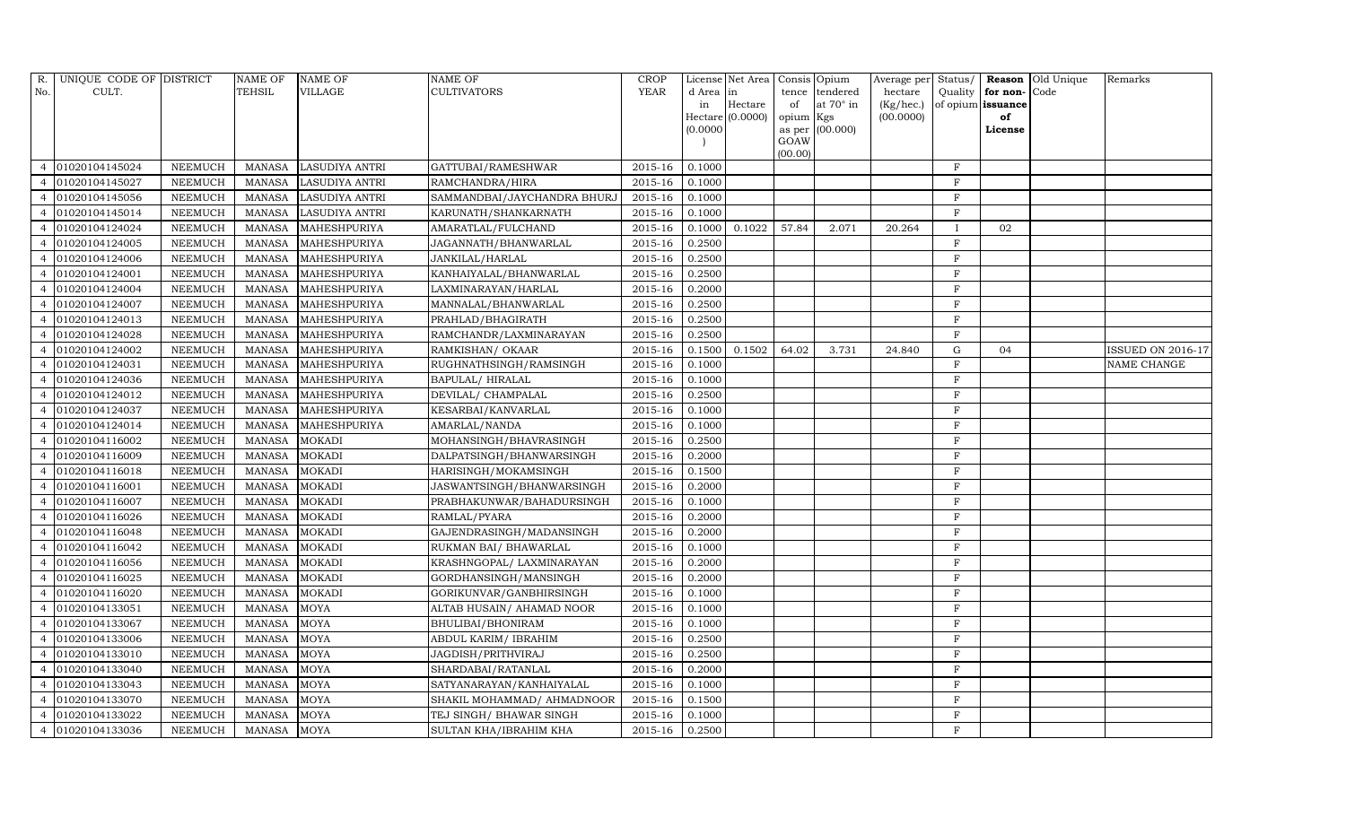| R.             | UNIQUE CODE OF DISTRICT |                | <b>NAME OF</b> | <b>NAME OF</b>        | <b>NAME OF</b>              | <b>CROP</b> |           | License Net Area   | Consis Opium    |                  | Average per Status/ |                |                   | Reason Old Unique | Remarks                  |
|----------------|-------------------------|----------------|----------------|-----------------------|-----------------------------|-------------|-----------|--------------------|-----------------|------------------|---------------------|----------------|-------------------|-------------------|--------------------------|
| No.            | CULT.                   |                | TEHSIL         | <b>VILLAGE</b>        | <b>CULTIVATORS</b>          | YEAR        | d Area in |                    |                 | tence tendered   | hectare             | Quality        | for non-Code      |                   |                          |
|                |                         |                |                |                       |                             |             | in        | Hectare            | of              | at $70^\circ$ in | (Kg/hec.)           |                | of opium issuance |                   |                          |
|                |                         |                |                |                       |                             |             |           | $Hectare$ (0.0000) | opium Kgs       |                  | (00.0000)           |                | of                |                   |                          |
|                |                         |                |                |                       |                             |             | (0.0000)  |                    |                 | as per (00.000)  |                     |                | License           |                   |                          |
|                |                         |                |                |                       |                             |             |           |                    | GOAW<br>(00.00) |                  |                     |                |                   |                   |                          |
|                | 01020104145024          | <b>NEEMUCH</b> | <b>MANASA</b>  | <b>LASUDIYA ANTRI</b> | GATTUBAI/RAMESHWAR          | 2015-16     | 0.1000    |                    |                 |                  |                     | $\rm F$        |                   |                   |                          |
|                | 01020104145027          | <b>NEEMUCH</b> | <b>MANASA</b>  | LASUDIYA ANTRI        | RAMCHANDRA/HIRA             | 2015-16     | 0.1000    |                    |                 |                  |                     | $\mathbf F$    |                   |                   |                          |
| $\overline{4}$ | 01020104145056          | <b>NEEMUCH</b> | MANASA         | <b>LASUDIYA ANTRI</b> | SAMMANDBAI/JAYCHANDRA BHURJ | 2015-16     | 0.1000    |                    |                 |                  |                     | $\rm F$        |                   |                   |                          |
|                | 01020104145014          | <b>NEEMUCH</b> | <b>MANASA</b>  | <b>LASUDIYA ANTRI</b> | KARUNATH/SHANKARNATH        | 2015-16     | 0.1000    |                    |                 |                  |                     | $\mathbf{F}$   |                   |                   |                          |
| $\overline{4}$ | 01020104124024          | <b>NEEMUCH</b> | <b>MANASA</b>  | MAHESHPURIYA          | AMARATLAL/FULCHAND          | 2015-16     | 0.1000    | 0.1022             | 57.84           | 2.071            | 20.264              | $\mathbf{I}$   | 02                |                   |                          |
| $\overline{4}$ | 01020104124005          | <b>NEEMUCH</b> | <b>MANASA</b>  | MAHESHPURIYA          | JAGANNATH/BHANWARLAL        | $2015 - 16$ | 0.2500    |                    |                 |                  |                     | F              |                   |                   |                          |
|                | 01020104124006          | <b>NEEMUCH</b> | <b>MANASA</b>  | MAHESHPURIYA          | JANKILAL/HARLAL             | 2015-16     | 0.2500    |                    |                 |                  |                     | $\rm F$        |                   |                   |                          |
| $\overline{4}$ | 01020104124001          | <b>NEEMUCH</b> | <b>MANASA</b>  | MAHESHPURIYA          | KANHAIYALAL/BHANWARLAL      | 2015-16     | 0.2500    |                    |                 |                  |                     | $\rm F$        |                   |                   |                          |
|                | 01020104124004          | <b>NEEMUCH</b> | <b>MANASA</b>  | MAHESHPURIYA          | LAXMINARAYAN/HARLAL         | 2015-16     | 0.2000    |                    |                 |                  |                     | $\rm F$        |                   |                   |                          |
| $\overline{4}$ | 01020104124007          | <b>NEEMUCH</b> | <b>MANASA</b>  | MAHESHPURIYA          | MANNALAL/BHANWARLAL         | 2015-16     | 0.2500    |                    |                 |                  |                     | $\rm F$        |                   |                   |                          |
| $\overline{a}$ | 01020104124013          | <b>NEEMUCH</b> | <b>MANASA</b>  | MAHESHPURIYA          | PRAHLAD/BHAGIRATH           | 2015-16     | 0.2500    |                    |                 |                  |                     | $\mathbf F$    |                   |                   |                          |
| $\overline{a}$ | 01020104124028          | <b>NEEMUCH</b> | <b>MANASA</b>  | MAHESHPURIYA          | RAMCHANDR/LAXMINARAYAN      | 2015-16     | 0.2500    |                    |                 |                  |                     | $\mathbf{F}$   |                   |                   |                          |
| $\overline{4}$ | 01020104124002          | <b>NEEMUCH</b> | <b>MANASA</b>  | MAHESHPURIYA          | RAMKISHAN/ OKAAR            | 2015-16     | 0.1500    | 0.1502             | 64.02           | 3.731            | 24.840              | ${\rm G}$      | 04                |                   | <b>ISSUED ON 2016-17</b> |
|                | 01020104124031          | <b>NEEMUCH</b> | <b>MANASA</b>  | MAHESHPURIYA          | RUGHNATHSINGH/RAMSINGH      | 2015-16     | 0.1000    |                    |                 |                  |                     | $\mathbf F$    |                   |                   | NAME CHANGE              |
| $\overline{a}$ | 01020104124036          | <b>NEEMUCH</b> | <b>MANASA</b>  | MAHESHPURIYA          | BAPULAL/HIRALAL             | 2015-16     | 0.1000    |                    |                 |                  |                     | $\mathbf F$    |                   |                   |                          |
|                | 01020104124012          | <b>NEEMUCH</b> | <b>MANASA</b>  | MAHESHPURIYA          | DEVILAL/ CHAMPALAL          | 2015-16     | 0.2500    |                    |                 |                  |                     | $\mathbf F$    |                   |                   |                          |
|                | 01020104124037          | <b>NEEMUCH</b> | <b>MANASA</b>  | MAHESHPURIYA          | KESARBAI/KANVARLAL          | 2015-16     | 0.1000    |                    |                 |                  |                     | $\mathbf{F}$   |                   |                   |                          |
| $\overline{4}$ | 01020104124014          | <b>NEEMUCH</b> | <b>MANASA</b>  | MAHESHPURIYA          | AMARLAL/NANDA               | 2015-16     | 0.1000    |                    |                 |                  |                     | $\mathbf{F}$   |                   |                   |                          |
|                | 01020104116002          | <b>NEEMUCH</b> | <b>MANASA</b>  | <b>MOKADI</b>         | MOHANSINGH/BHAVRASINGH      | 2015-16     | 0.2500    |                    |                 |                  |                     | $\mathbf{F}$   |                   |                   |                          |
| $\overline{4}$ | 01020104116009          | <b>NEEMUCH</b> | <b>MANASA</b>  | <b>MOKADI</b>         | DALPATSINGH/BHANWARSINGH    | 2015-16     | 0.2000    |                    |                 |                  |                     | $\mathbf{F}$   |                   |                   |                          |
|                | 01020104116018          | <b>NEEMUCH</b> | <b>MANASA</b>  | <b>MOKADI</b>         | HARISINGH/MOKAMSINGH        | 2015-16     | 0.1500    |                    |                 |                  |                     | $\overline{F}$ |                   |                   |                          |
|                | 01020104116001          | <b>NEEMUCH</b> | <b>MANASA</b>  | <b>MOKADI</b>         | JASWANTSINGH/BHANWARSINGH   | 2015-16     | 0.2000    |                    |                 |                  |                     | $\overline{F}$ |                   |                   |                          |
| $\overline{4}$ | 01020104116007          | <b>NEEMUCH</b> | <b>MANASA</b>  | <b>MOKADI</b>         | PRABHAKUNWAR/BAHADURSINGH   | $2015 - 16$ | 0.1000    |                    |                 |                  |                     | $\mathbf{F}$   |                   |                   |                          |
|                | 01020104116026          | <b>NEEMUCH</b> | <b>MANASA</b>  | <b>MOKADI</b>         | RAMLAL/PYARA                | 2015-16     | 0.2000    |                    |                 |                  |                     | $\mathbf{F}$   |                   |                   |                          |
| $\overline{4}$ | 01020104116048          | <b>NEEMUCH</b> | <b>MANASA</b>  | <b>MOKADI</b>         | GAJENDRASINGH/MADANSINGH    | 2015-16     | 0.2000    |                    |                 |                  |                     | $\mathbf{F}$   |                   |                   |                          |
|                | 01020104116042          | <b>NEEMUCH</b> | <b>MANASA</b>  | <b>MOKADI</b>         | RUKMAN BAI/ BHAWARLAL       | 2015-16     | 0.1000    |                    |                 |                  |                     | $\mathbf{F}$   |                   |                   |                          |
| $\overline{a}$ | 01020104116056          | <b>NEEMUCH</b> | <b>MANASA</b>  | <b>MOKADI</b>         | KRASHNGOPAL/ LAXMINARAYAN   | 2015-16     | 0.2000    |                    |                 |                  |                     | $\overline{F}$ |                   |                   |                          |
| $\overline{a}$ | 01020104116025          | <b>NEEMUCH</b> | <b>MANASA</b>  | <b>MOKADI</b>         | GORDHANSINGH/MANSINGH       | 2015-16     | 0.2000    |                    |                 |                  |                     | $\overline{F}$ |                   |                   |                          |
|                | 01020104116020          | <b>NEEMUCH</b> | <b>MANASA</b>  | <b>MOKADI</b>         | GORIKUNVAR/GANBHIRSINGH     | $2015 - 16$ | 0.1000    |                    |                 |                  |                     | $\mathbf{F}$   |                   |                   |                          |
| $\overline{4}$ | 01020104133051          | <b>NEEMUCH</b> | <b>MANASA</b>  | <b>MOYA</b>           | ALTAB HUSAIN/ AHAMAD NOOR   | 2015-16     | 0.1000    |                    |                 |                  |                     | $\mathbf F$    |                   |                   |                          |
|                | 01020104133067          | <b>NEEMUCH</b> | <b>MANASA</b>  | <b>MOYA</b>           | BHULIBAI/BHONIRAM           | 2015-16     | 0.1000    |                    |                 |                  |                     | $\mathbf{F}$   |                   |                   |                          |
| $\overline{4}$ | 01020104133006          | <b>NEEMUCH</b> | <b>MANASA</b>  | <b>MOYA</b>           | ABDUL KARIM/ IBRAHIM        | 2015-16     | 0.2500    |                    |                 |                  |                     | $\rm F$        |                   |                   |                          |
| $\overline{4}$ | 01020104133010          | <b>NEEMUCH</b> | <b>MANASA</b>  | <b>MOYA</b>           | JAGDISH/PRITHVIRAJ          | 2015-16     | 0.2500    |                    |                 |                  |                     | $\mathbf F$    |                   |                   |                          |
|                | 01020104133040          | <b>NEEMUCH</b> | <b>MANASA</b>  | <b>MOYA</b>           | SHARDABAI/RATANLAL          | 2015-16     | 0.2000    |                    |                 |                  |                     | $\mathbf{F}$   |                   |                   |                          |
| $\overline{a}$ | 01020104133043          | <b>NEEMUCH</b> | <b>MANASA</b>  | <b>MOYA</b>           | SATYANARAYAN/KANHAIYALAL    | 2015-16     | 0.1000    |                    |                 |                  |                     | $\mathbf F$    |                   |                   |                          |
|                | 01020104133070          | <b>NEEMUCH</b> | <b>MANASA</b>  | <b>MOYA</b>           | SHAKIL MOHAMMAD/ AHMADNOOR  | 2015-16     | 0.1500    |                    |                 |                  |                     | $\mathbf F$    |                   |                   |                          |
| $\overline{4}$ | 01020104133022          | <b>NEEMUCH</b> | <b>MANASA</b>  | <b>MOYA</b>           | TEJ SINGH/ BHAWAR SINGH     | 2015-16     | 0.1000    |                    |                 |                  |                     | $\mathbf F$    |                   |                   |                          |
| $\overline{4}$ | 01020104133036          | <b>NEEMUCH</b> | MANASA MOYA    |                       | SULTAN KHA/IBRAHIM KHA      | 2015-16     | 0.2500    |                    |                 |                  |                     | $\mathbf{F}$   |                   |                   |                          |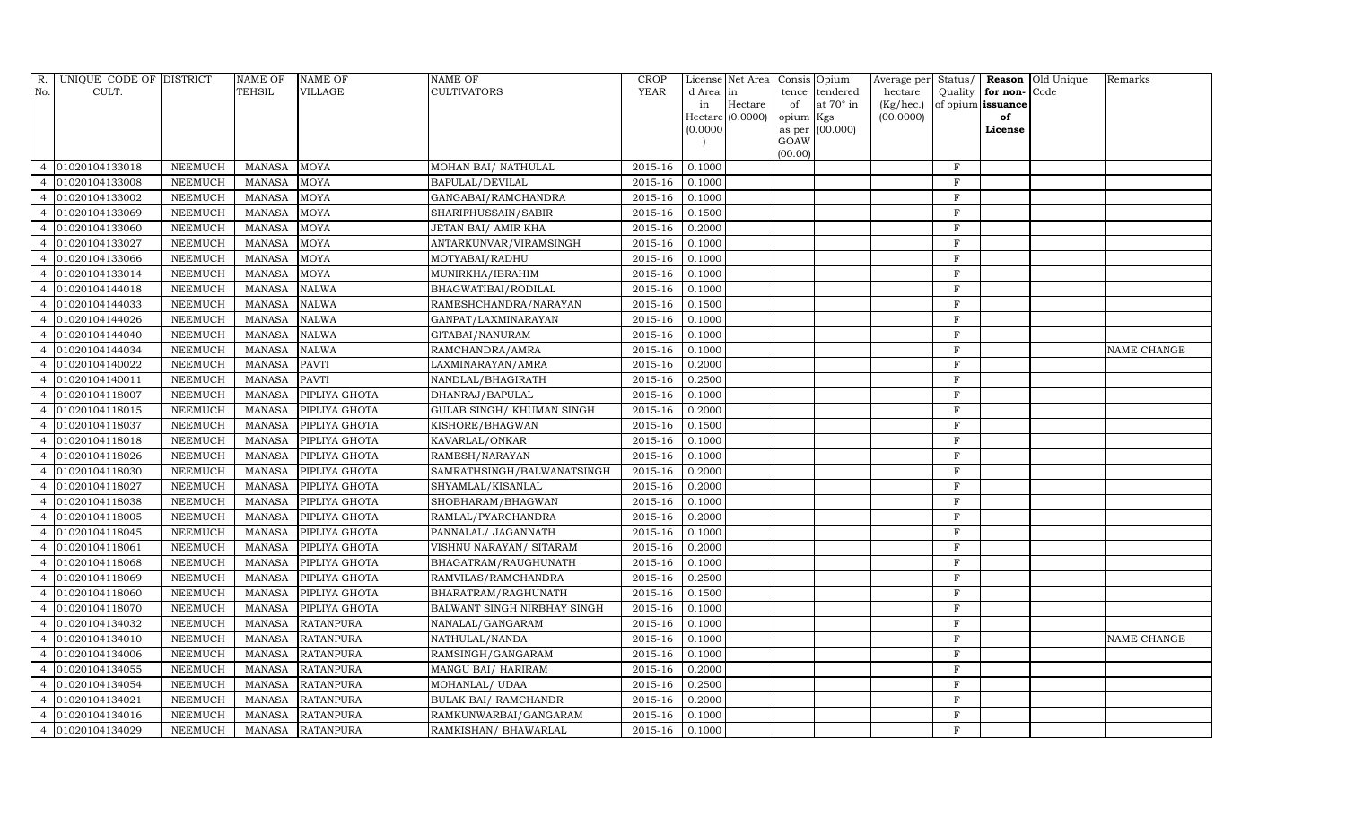| R.             | UNIQUE CODE OF DISTRICT |                | <b>NAME OF</b> | <b>NAME OF</b>   | <b>NAME OF</b>              | <b>CROP</b> |          | License Net Area   Consis   Opium |           |                  | Average per Status/ |                    |    | Reason Old Unique | Remarks     |
|----------------|-------------------------|----------------|----------------|------------------|-----------------------------|-------------|----------|-----------------------------------|-----------|------------------|---------------------|--------------------|----|-------------------|-------------|
| No.            | CULT.                   |                | TEHSIL         | <b>VILLAGE</b>   | <b>CULTIVATORS</b>          | YEAR        | d Area   | in                                |           | tence tendered   | hectare             | Quality   for non- |    | Code              |             |
|                |                         |                |                |                  |                             |             | in       | Hectare                           | of        | at $70^\circ$ in | (Kg/hec.)           | of opium issuance  |    |                   |             |
|                |                         |                |                |                  |                             |             | (0.0000) | Hectare (0.0000)                  | opium Kgs | as per (00.000)  | (00.0000)           | License            | of |                   |             |
|                |                         |                |                |                  |                             |             |          |                                   | GOAW      |                  |                     |                    |    |                   |             |
|                |                         |                |                |                  |                             |             |          |                                   | (00.00)   |                  |                     |                    |    |                   |             |
| $\overline{4}$ | 01020104133018          | <b>NEEMUCH</b> | <b>MANASA</b>  | <b>MOYA</b>      | MOHAN BAI/ NATHULAL         | $2015 - 16$ | 0.1000   |                                   |           |                  |                     | $\rm F$            |    |                   |             |
| $\overline{4}$ | 01020104133008          | <b>NEEMUCH</b> | <b>MANASA</b>  | <b>MOYA</b>      | BAPULAL/DEVILAL             | 2015-16     | 0.1000   |                                   |           |                  |                     | $\rm F$            |    |                   |             |
| $\overline{4}$ | 01020104133002          | <b>NEEMUCH</b> | <b>MANASA</b>  | <b>MOYA</b>      | GANGABAI/RAMCHANDRA         | $2015 - 16$ | 0.1000   |                                   |           |                  |                     | $\,$ F             |    |                   |             |
| $\overline{4}$ | 01020104133069          | <b>NEEMUCH</b> | <b>MANASA</b>  | <b>MOYA</b>      | SHARIFHUSSAIN/SABIR         | 2015-16     | 0.1500   |                                   |           |                  |                     | $\rm F$            |    |                   |             |
| $\overline{4}$ | 01020104133060          | <b>NEEMUCH</b> | <b>MANASA</b>  | <b>MOYA</b>      | JETAN BAI/ AMIR KHA         | 2015-16     | 0.2000   |                                   |           |                  |                     | $\,$ F             |    |                   |             |
| $\overline{4}$ | 01020104133027          | <b>NEEMUCH</b> | <b>MANASA</b>  | <b>MOYA</b>      | ANTARKUNVAR/VIRAMSINGH      | 2015-16     | 0.1000   |                                   |           |                  |                     | $\rm F$            |    |                   |             |
| $\overline{4}$ | 01020104133066          | <b>NEEMUCH</b> | <b>MANASA</b>  | <b>MOYA</b>      | MOTYABAI/RADHU              | 2015-16     | 0.1000   |                                   |           |                  |                     | $\mathbf F$        |    |                   |             |
| $\overline{4}$ | 01020104133014          | <b>NEEMUCH</b> | <b>MANASA</b>  | <b>MOYA</b>      | MUNIRKHA/IBRAHIM            | $2015 - 16$ | 0.1000   |                                   |           |                  |                     | $\mathbf{F}$       |    |                   |             |
| $\overline{4}$ | 01020104144018          | <b>NEEMUCH</b> | <b>MANASA</b>  | <b>NALWA</b>     | BHAGWATIBAI/RODILAL         | 2015-16     | 0.1000   |                                   |           |                  |                     | $\mathbf{F}$       |    |                   |             |
| $\overline{4}$ | 01020104144033          | <b>NEEMUCH</b> | <b>MANASA</b>  | <b>NALWA</b>     | RAMESHCHANDRA/NARAYAN       | 2015-16     | 0.1500   |                                   |           |                  |                     | $\,$ F             |    |                   |             |
| $\overline{4}$ | 01020104144026          | <b>NEEMUCH</b> | <b>MANASA</b>  | <b>NALWA</b>     | GANPAT/LAXMINARAYAN         | 2015-16     | 0.1000   |                                   |           |                  |                     | $\rm F$            |    |                   |             |
| $\overline{4}$ | 01020104144040          | <b>NEEMUCH</b> | <b>MANASA</b>  | <b>NALWA</b>     | GITABAI/NANURAM             | 2015-16     | 0.1000   |                                   |           |                  |                     | $\mathbf F$        |    |                   |             |
| $\overline{4}$ | 01020104144034          | <b>NEEMUCH</b> | <b>MANASA</b>  | <b>NALWA</b>     | RAMCHANDRA/AMRA             | 2015-16     | 0.1000   |                                   |           |                  |                     | F                  |    |                   | NAME CHANGE |
| $\overline{4}$ | 01020104140022          | <b>NEEMUCH</b> | <b>MANASA</b>  | <b>PAVTI</b>     | LAXMINARAYAN/AMRA           | 2015-16     | 0.2000   |                                   |           |                  |                     | $\rm F$            |    |                   |             |
| $\overline{4}$ | 01020104140011          | <b>NEEMUCH</b> | <b>MANASA</b>  | <b>PAVTI</b>     | NANDLAL/BHAGIRATH           | 2015-16     | 0.2500   |                                   |           |                  |                     | $\mathbf{F}$       |    |                   |             |
| $\overline{4}$ | 01020104118007          | <b>NEEMUCH</b> | <b>MANASA</b>  | PIPLIYA GHOTA    | DHANRAJ/BAPULAL             | 2015-16     | 0.1000   |                                   |           |                  |                     | $\mathbf F$        |    |                   |             |
| $\overline{4}$ | 01020104118015          | <b>NEEMUCH</b> | <b>MANASA</b>  | PIPLIYA GHOTA    | GULAB SINGH/ KHUMAN SINGH   | 2015-16     | 0.2000   |                                   |           |                  |                     | $\mathbf F$        |    |                   |             |
| $\overline{4}$ | 01020104118037          | <b>NEEMUCH</b> | <b>MANASA</b>  | PIPLIYA GHOTA    | KISHORE/BHAGWAN             | 2015-16     | 0.1500   |                                   |           |                  |                     | $\rm F$            |    |                   |             |
| $\overline{4}$ | 01020104118018          | <b>NEEMUCH</b> | <b>MANASA</b>  | PIPLIYA GHOTA    | KAVARLAL/ONKAR              | 2015-16     | 0.1000   |                                   |           |                  |                     | $\rm F$            |    |                   |             |
| 4              | 01020104118026          | <b>NEEMUCH</b> | <b>MANASA</b>  | PIPLIYA GHOTA    | RAMESH/NARAYAN              | 2015-16     | 0.1000   |                                   |           |                  |                     | $\rm F$            |    |                   |             |
| $\overline{4}$ | 01020104118030          | <b>NEEMUCH</b> | <b>MANASA</b>  | PIPLIYA GHOTA    | SAMRATHSINGH/BALWANATSINGH  | 2015-16     | 0.2000   |                                   |           |                  |                     | $_{\rm F}$         |    |                   |             |
| $\overline{4}$ | 01020104118027          | <b>NEEMUCH</b> | <b>MANASA</b>  | PIPLIYA GHOTA    | SHYAMLAL/KISANLAL           | 2015-16     | 0.2000   |                                   |           |                  |                     | $\rm F$            |    |                   |             |
| $\overline{4}$ | 01020104118038          | <b>NEEMUCH</b> | <b>MANASA</b>  | PIPLIYA GHOTA    | SHOBHARAM/BHAGWAN           | 2015-16     | 0.1000   |                                   |           |                  |                     | $\rm F$            |    |                   |             |
| $\overline{4}$ | 01020104118005          | <b>NEEMUCH</b> | <b>MANASA</b>  | PIPLIYA GHOTA    | RAMLAL/PYARCHANDRA          | 2015-16     | 0.2000   |                                   |           |                  |                     | $\rm F$            |    |                   |             |
| 4              | 01020104118045          | <b>NEEMUCH</b> | <b>MANASA</b>  | PIPLIYA GHOTA    | PANNALAL/ JAGANNATH         | 2015-16     | 0.1000   |                                   |           |                  |                     | $\rm F$            |    |                   |             |
| $\overline{4}$ | 01020104118061          | <b>NEEMUCH</b> | <b>MANASA</b>  | PIPLIYA GHOTA    | VISHNU NARAYAN/ SITARAM     | 2015-16     | 0.2000   |                                   |           |                  |                     | $\rm F$            |    |                   |             |
| 4              | 01020104118068          | <b>NEEMUCH</b> | <b>MANASA</b>  | PIPLIYA GHOTA    | BHAGATRAM/RAUGHUNATH        | 2015-16     | 0.1000   |                                   |           |                  |                     | $\rm F$            |    |                   |             |
| $\overline{4}$ | 01020104118069          | <b>NEEMUCH</b> | <b>MANASA</b>  | PIPLIYA GHOTA    | RAMVILAS/RAMCHANDRA         | 2015-16     | 0.2500   |                                   |           |                  |                     | F                  |    |                   |             |
| $\overline{4}$ | 01020104118060          | <b>NEEMUCH</b> | <b>MANASA</b>  | PIPLIYA GHOTA    | BHARATRAM/RAGHUNATH         | 2015-16     | 0.1500   |                                   |           |                  |                     | $\rm F$            |    |                   |             |
| $\overline{4}$ | 01020104118070          | <b>NEEMUCH</b> | <b>MANASA</b>  | PIPLIYA GHOTA    | BALWANT SINGH NIRBHAY SINGH | 2015-16     | 0.1000   |                                   |           |                  |                     | $\rm F$            |    |                   |             |
| $\overline{4}$ | 01020104134032          | <b>NEEMUCH</b> | <b>MANASA</b>  | <b>RATANPURA</b> | NANALAL/GANGARAM            | 2015-16     | 0.1000   |                                   |           |                  |                     | $\rm F$            |    |                   |             |
| $\overline{a}$ | 01020104134010          | <b>NEEMUCH</b> | <b>MANASA</b>  | <b>RATANPURA</b> | NATHULAL/NANDA              | 2015-16     | 0.1000   |                                   |           |                  |                     | $\rm F$            |    |                   | NAME CHANGE |
| $\overline{4}$ | 01020104134006          | <b>NEEMUCH</b> | <b>MANASA</b>  | <b>RATANPURA</b> | RAMSINGH/GANGARAM           | $2015 - 16$ | 0.1000   |                                   |           |                  |                     | $\rm F$            |    |                   |             |
| 4              | 01020104134055          | <b>NEEMUCH</b> | <b>MANASA</b>  | <b>RATANPURA</b> | MANGU BAI/ HARIRAM          | 2015-16     | 0.2000   |                                   |           |                  |                     | $\rm F$            |    |                   |             |
| $\overline{4}$ | 01020104134054          | <b>NEEMUCH</b> | <b>MANASA</b>  | <b>RATANPURA</b> | MOHANLAL/ UDAA              | 2015-16     | 0.2500   |                                   |           |                  |                     | $\rm F$            |    |                   |             |
| $\overline{4}$ | 01020104134021          | <b>NEEMUCH</b> | <b>MANASA</b>  | <b>RATANPURA</b> | <b>BULAK BAI/ RAMCHANDR</b> | 2015-16     | 0.2000   |                                   |           |                  |                     | $\rm F$            |    |                   |             |
| 4              | 01020104134016          | <b>NEEMUCH</b> | <b>MANASA</b>  | <b>RATANPURA</b> | RAMKUNWARBAI/GANGARAM       | 2015-16     | 0.1000   |                                   |           |                  |                     | $\rm F$            |    |                   |             |
|                | 4 01020104134029        | <b>NEEMUCH</b> | MANASA         | <b>RATANPURA</b> | RAMKISHAN/ BHAWARLAL        | 2015-16     | 0.1000   |                                   |           |                  |                     | $\mathbf{F}$       |    |                   |             |